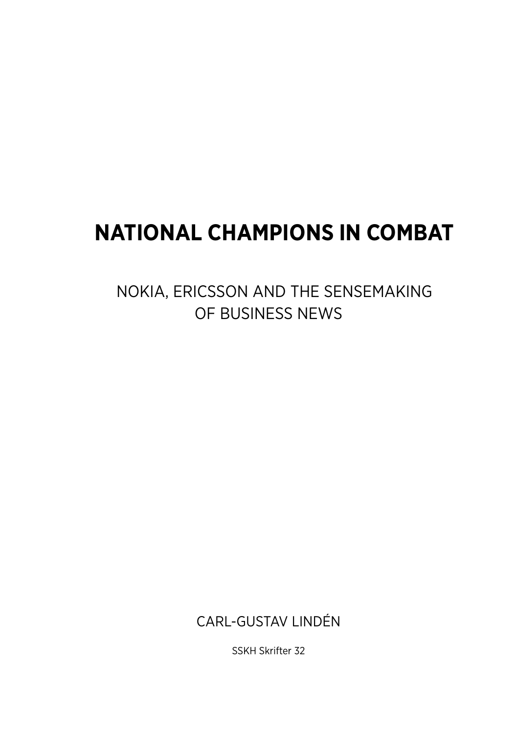# **NATIONAL CHAMPIONS IN COMBAT**

NOKIA, ERICSSON AND THE SENSEMAKING OF BUSINESS NEWS

CARL-GUSTAV LINDÉN

SSKH Skrifter 32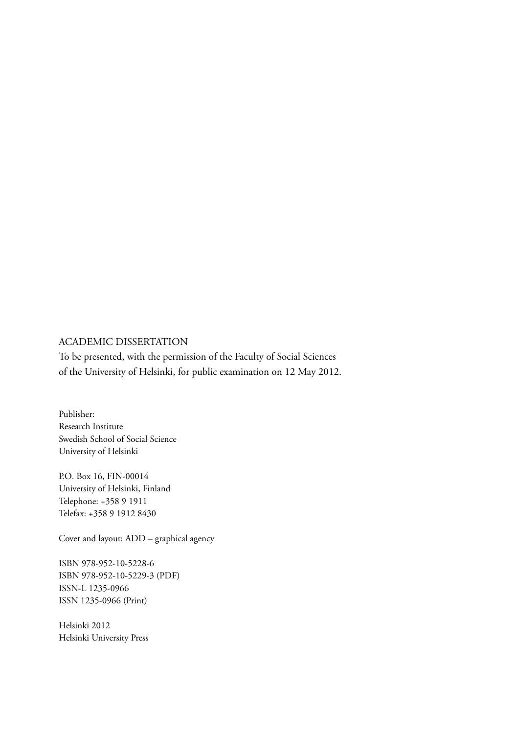#### ACADEMIC DISSERTATION

To be presented, with the permission of the Faculty of Social Sciences of the University of Helsinki, for public examination on 12 May 2012.

Publisher: Research Institute Swedish School of Social Science University of Helsinki

P.O. Box 16, FIN-00014 University of Helsinki, Finland Telephone: +358 9 1911 Telefax: +358 9 1912 8430

Cover and layout: ADD – graphical agency

ISBN 978-952-10-5228-6 ISBN 978-952-10-5229-3 (PDF) ISSN-L 1235-0966 ISSN 1235-0966 (Print)

Helsinki 2012 Helsinki University Press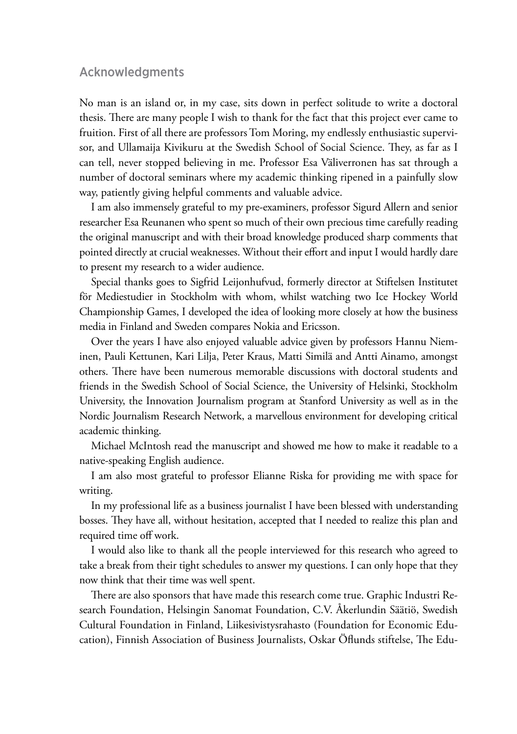#### Acknowledgments

No man is an island or, in my case, sits down in perfect solitude to write a doctoral thesis. There are many people I wish to thank for the fact that this project ever came to fruition. First of all there are professors Tom Moring, my endlessly enthusiastic supervisor, and Ullamaija Kivikuru at the Swedish School of Social Science. They, as far as I can tell, never stopped believing in me. Professor Esa Väliverronen has sat through a number of doctoral seminars where my academic thinking ripened in a painfully slow way, patiently giving helpful comments and valuable advice.

I am also immensely grateful to my pre-examiners, professor Sigurd Allern and senior researcher Esa Reunanen who spent so much of their own precious time carefully reading the original manuscript and with their broad knowledge produced sharp comments that pointed directly at crucial weaknesses. Without their effort and input I would hardly dare to present my research to a wider audience.

Special thanks goes to Sigfrid Leijonhufvud, formerly director at Stiftelsen Institutet för Mediestudier in Stockholm with whom, whilst watching two Ice Hockey World Championship Games, I developed the idea of looking more closely at how the business media in Finland and Sweden compares Nokia and Ericsson.

Over the years I have also enjoyed valuable advice given by professors Hannu Nieminen, Pauli Kettunen, Kari Lilja, Peter Kraus, Matti Similä and Antti Ainamo, amongst others. There have been numerous memorable discussions with doctoral students and friends in the Swedish School of Social Science, the University of Helsinki, Stockholm University, the Innovation Journalism program at Stanford University as well as in the Nordic Journalism Research Network, a marvellous environment for developing critical academic thinking.

Michael McIntosh read the manuscript and showed me how to make it readable to a native-speaking English audience.

I am also most grateful to professor Elianne Riska for providing me with space for writing.

In my professional life as a business journalist I have been blessed with understanding bosses. They have all, without hesitation, accepted that I needed to realize this plan and required time off work.

I would also like to thank all the people interviewed for this research who agreed to take a break from their tight schedules to answer my questions. I can only hope that they now think that their time was well spent.

There are also sponsors that have made this research come true. Graphic Industri Research Foundation, Helsingin Sanomat Foundation, C.V. Åkerlundin Säätiö, Swedish Cultural Foundation in Finland, Liikesivistysrahasto (Foundation for Economic Education), Finnish Association of Business Journalists, Oskar Öflunds stiftelse, The Edu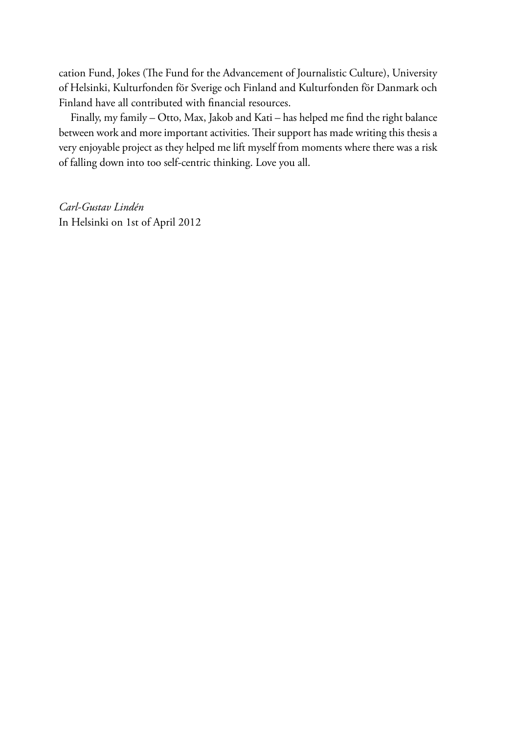cation Fund, Jokes (The Fund for the Advancement of Journalistic Culture), University of Helsinki, Kulturfonden för Sverige och Finland and Kulturfonden för Danmark och Finland have all contributed with financial resources.

Finally, my family – Otto, Max, Jakob and Kati – has helped me find the right balance between work and more important activities. Their support has made writing this thesis a very enjoyable project as they helped me lift myself from moments where there was a risk of falling down into too self-centric thinking. Love you all.

*Carl-Gustav Lindén* In Helsinki on 1st of April 2012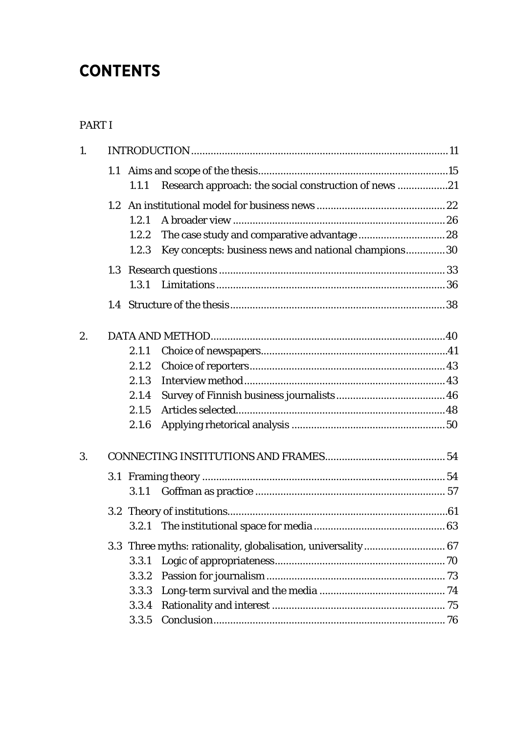## **CONTENTS**

#### [PART I](#page-10-0)

| $\mathbf{1}$ . |  |       |                                                              |  |
|----------------|--|-------|--------------------------------------------------------------|--|
|                |  |       |                                                              |  |
|                |  | 1.1.1 | Research approach: the social construction of news 21        |  |
|                |  |       |                                                              |  |
|                |  | 1.2.1 |                                                              |  |
|                |  | 1.2.2 |                                                              |  |
|                |  | 1.2.3 | Key concepts: business news and national champions30         |  |
|                |  |       |                                                              |  |
|                |  | 1.3.1 |                                                              |  |
|                |  |       |                                                              |  |
| 2.             |  |       |                                                              |  |
|                |  | 2.1.1 |                                                              |  |
|                |  | 2.1.2 |                                                              |  |
|                |  | 2.1.3 |                                                              |  |
|                |  | 2.1.4 |                                                              |  |
|                |  | 2.1.5 |                                                              |  |
|                |  | 2.1.6 |                                                              |  |
| 3.             |  |       |                                                              |  |
|                |  |       |                                                              |  |
|                |  | 3.1.1 |                                                              |  |
|                |  |       |                                                              |  |
|                |  | 3.2.1 |                                                              |  |
|                |  |       | 3.3 Three myths: rationality, globalisation, universality 67 |  |
|                |  | 3.3.1 |                                                              |  |
|                |  | 3.3.2 |                                                              |  |
|                |  | 3.3.3 |                                                              |  |
|                |  | 3.3.4 |                                                              |  |
|                |  | 3.3.5 |                                                              |  |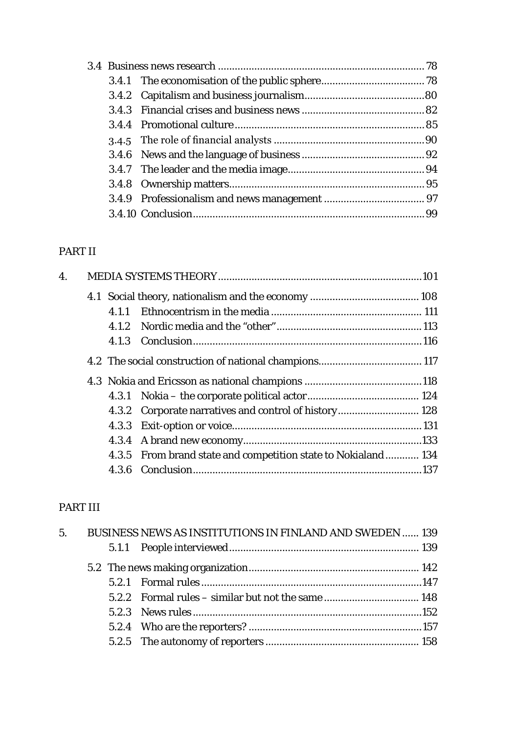#### PART II

| $\overline{4}$ . |       |                                                               |  |
|------------------|-------|---------------------------------------------------------------|--|
|                  |       |                                                               |  |
|                  | 4.1.1 |                                                               |  |
|                  |       |                                                               |  |
|                  | 4.1.3 |                                                               |  |
|                  |       |                                                               |  |
|                  |       |                                                               |  |
|                  |       |                                                               |  |
|                  |       | 4.3.2 Corporate narratives and control of history 128         |  |
|                  |       |                                                               |  |
|                  |       |                                                               |  |
|                  |       | 4.3.5 From brand state and competition state to Nokialand 134 |  |
|                  |       |                                                               |  |

### PART III

|  | 5. BUSINESS NEWS AS INSTITUTIONS IN FINLAND AND SWEDEN  139 |  |
|--|-------------------------------------------------------------|--|
|  |                                                             |  |
|  |                                                             |  |
|  |                                                             |  |
|  |                                                             |  |
|  |                                                             |  |
|  |                                                             |  |
|  |                                                             |  |
|  |                                                             |  |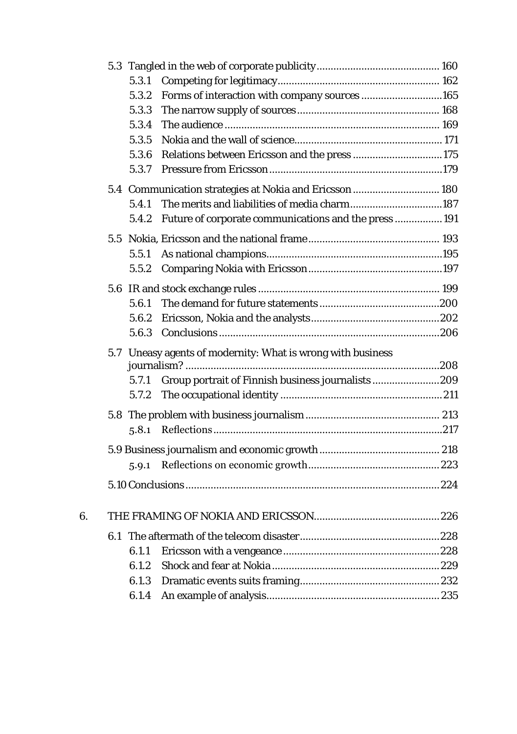|    | 5.3.1 |                                                             |  |
|----|-------|-------------------------------------------------------------|--|
|    | 5.3.2 | Forms of interaction with company sources 165               |  |
|    | 5.3.3 |                                                             |  |
|    | 5.3.4 |                                                             |  |
|    | 5.3.5 |                                                             |  |
|    | 5.3.6 | Relations between Ericsson and the press 175                |  |
|    | 5.3.7 |                                                             |  |
|    |       | 5.4 Communication strategies at Nokia and Ericsson  180     |  |
|    | 5.4.1 | The merits and liabilities of media charm187                |  |
|    |       | 5.4.2 Future of corporate communications and the press  191 |  |
|    |       |                                                             |  |
|    | 5.5.1 |                                                             |  |
|    |       |                                                             |  |
|    |       |                                                             |  |
|    | 5.6.1 |                                                             |  |
|    | 5.6.2 |                                                             |  |
|    | 5.6.3 |                                                             |  |
|    |       | 5.7 Uneasy agents of modernity: What is wrong with business |  |
|    |       |                                                             |  |
|    | 5.7.1 | Group portrait of Finnish business journalists 209          |  |
|    | 5.7.2 |                                                             |  |
|    |       |                                                             |  |
|    |       |                                                             |  |
|    |       |                                                             |  |
|    | 5.9.1 |                                                             |  |
|    |       |                                                             |  |
|    |       |                                                             |  |
| 6. |       |                                                             |  |
|    |       |                                                             |  |
|    | 6.1.1 |                                                             |  |
|    | 6.1.2 |                                                             |  |
|    | 6.1.3 |                                                             |  |
|    | 6.1.4 |                                                             |  |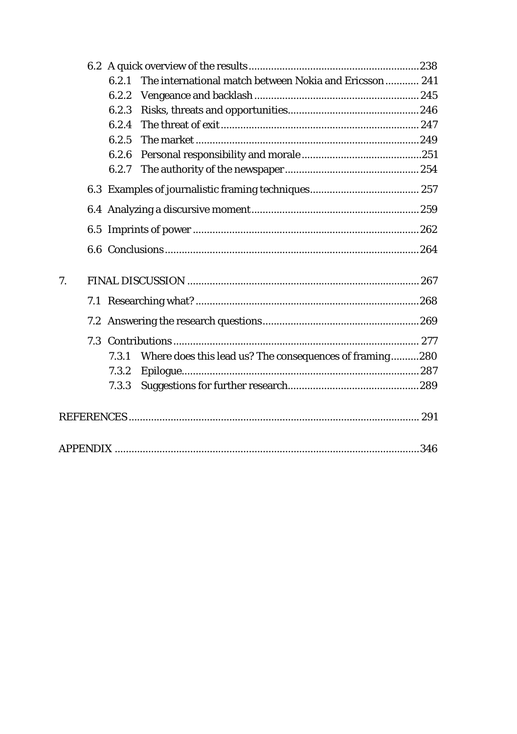|    | The international match between Nokia and Ericsson 241<br>6.2.1  |  |
|----|------------------------------------------------------------------|--|
|    | 6.2.2                                                            |  |
|    | 6.2.3                                                            |  |
|    | 6.2.4                                                            |  |
|    | 6.2.5                                                            |  |
|    | 6.2.6                                                            |  |
|    | 6.2.7                                                            |  |
|    |                                                                  |  |
|    |                                                                  |  |
|    |                                                                  |  |
|    |                                                                  |  |
| 7. |                                                                  |  |
|    |                                                                  |  |
|    |                                                                  |  |
|    |                                                                  |  |
|    | Where does this lead us? The consequences of framing280<br>7.3.1 |  |
|    | 7.3.2                                                            |  |
|    | 7.3.3                                                            |  |
|    |                                                                  |  |
|    |                                                                  |  |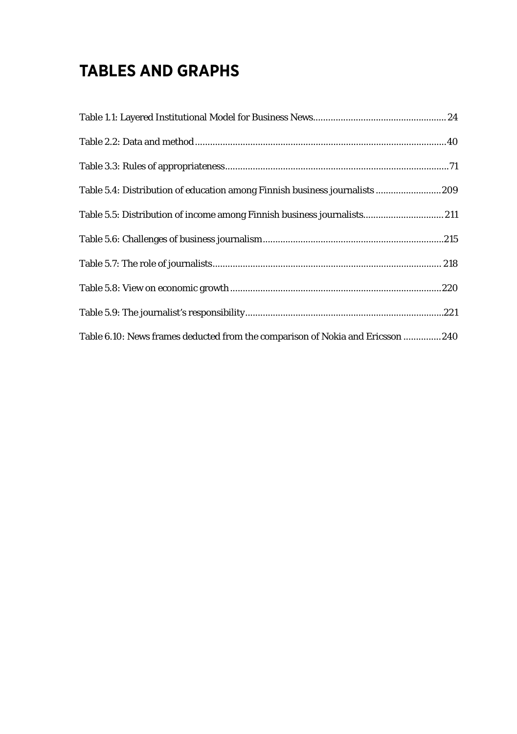## **TABLES AND GRAPHS**

| Table 5.4: Distribution of education among Finnish business journalists  209    |
|---------------------------------------------------------------------------------|
| Table 5.5: Distribution of income among Finnish business journalists 211        |
|                                                                                 |
|                                                                                 |
|                                                                                 |
|                                                                                 |
| Table 6.10: News frames deducted from the comparison of Nokia and Ericsson  240 |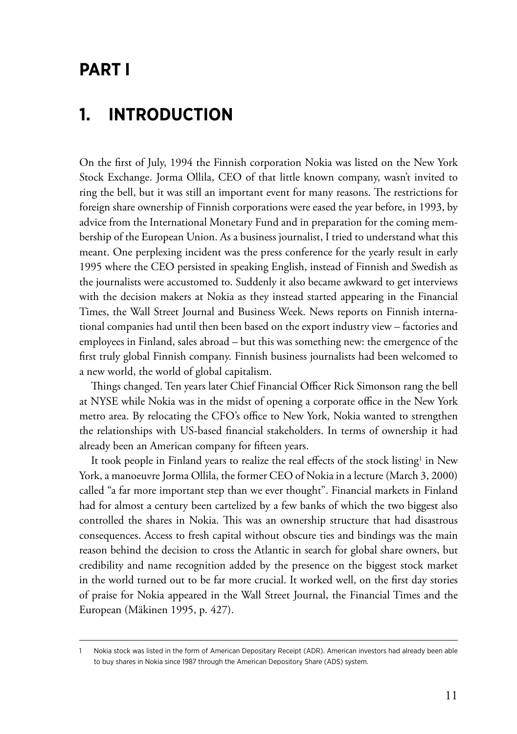### <span id="page-10-0"></span>**PART I**

### **1. Introduction**

On the first of July, 1994 the Finnish corporation Nokia was listed on the New York Stock Exchange. Jorma Ollila, CEO of that little known company, wasn't invited to ring the bell, but it was still an important event for many reasons. The restrictions for foreign share ownership of Finnish corporations were eased the year before, in 1993, by advice from the International Monetary Fund and in preparation for the coming membership of the European Union. As a business journalist, I tried to understand what this meant. One perplexing incident was the press conference for the yearly result in early 1995 where the CEO persisted in speaking English, instead of Finnish and Swedish as the journalists were accustomed to. Suddenly it also became awkward to get interviews with the decision makers at Nokia as they instead started appearing in the Financial Times, the Wall Street Journal and Business Week. News reports on Finnish international companies had until then been based on the export industry view – factories and employees in Finland, sales abroad – but this was something new: the emergence of the first truly global Finnish company. Finnish business journalists had been welcomed to a new world, the world of global capitalism.

Things changed. Ten years later Chief Financial Officer Rick Simonson rang the bell at NYSE while Nokia was in the midst of opening a corporate office in the New York metro area. By relocating the CFO's office to New York, Nokia wanted to strengthen the relationships with US-based financial stakeholders. In terms of ownership it had already been an American company for fifteen years.

It took people in Finland years to realize the real effects of the stock listing<sup>1</sup> in New York, a manoeuvre Jorma Ollila, the former CEO of Nokia in a lecture (March 3, 2000) called "a far more important step than we ever thought". Financial markets in Finland had for almost a century been cartelized by a few banks of which the two biggest also controlled the shares in Nokia. This was an ownership structure that had disastrous consequences. Access to fresh capital without obscure ties and bindings was the main reason behind the decision to cross the Atlantic in search for global share owners, but credibility and name recognition added by the presence on the biggest stock market in the world turned out to be far more crucial. It worked well, on the first day stories of praise for Nokia appeared in the Wall Street Journal, the Financial Times and the European (Mäkinen 1995, p. 427).

<sup>1</sup> Nokia stock was listed in the form of American Depositary Receipt (ADR). American investors had already been able to buy shares in Nokia since 1987 through the American Depository Share (ADS) system.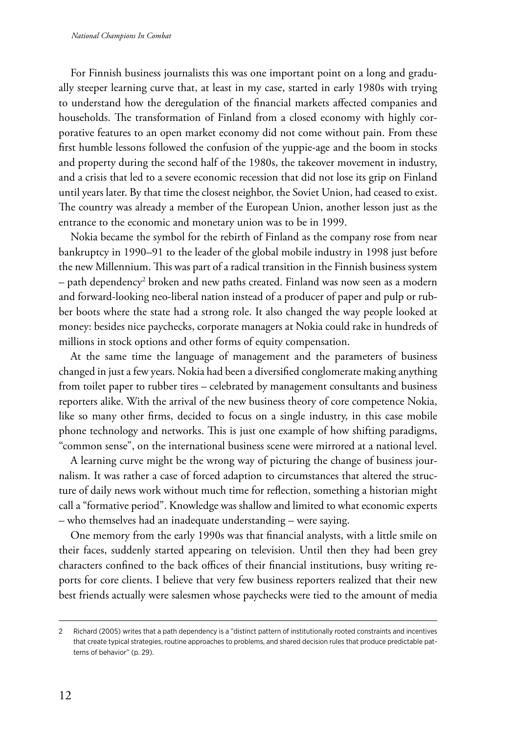For Finnish business journalists this was one important point on a long and gradually steeper learning curve that, at least in my case, started in early 1980s with trying to understand how the deregulation of the financial markets affected companies and households. The transformation of Finland from a closed economy with highly corporative features to an open market economy did not come without pain. From these first humble lessons followed the confusion of the yuppie-age and the boom in stocks and property during the second half of the 1980s, the takeover movement in industry, and a crisis that led to a severe economic recession that did not lose its grip on Finland until years later. By that time the closest neighbor, the Soviet Union, had ceased to exist. The country was already a member of the European Union, another lesson just as the entrance to the economic and monetary union was to be in 1999.

Nokia became the symbol for the rebirth of Finland as the company rose from near bankruptcy in 1990–91 to the leader of the global mobile industry in 1998 just before the new Millennium. This was part of a radical transition in the Finnish business system – path dependency $^2$  broken and new paths created. Finland was now seen as a modern and forward-looking neo-liberal nation instead of a producer of paper and pulp or rubber boots where the state had a strong role. It also changed the way people looked at money: besides nice paychecks, corporate managers at Nokia could rake in hundreds of millions in stock options and other forms of equity compensation.

At the same time the language of management and the parameters of business changed in just a few years. Nokia had been a diversified conglomerate making anything from toilet paper to rubber tires – celebrated by management consultants and business reporters alike. With the arrival of the new business theory of core competence Nokia, like so many other firms, decided to focus on a single industry, in this case mobile phone technology and networks. This is just one example of how shifting paradigms, "common sense", on the international business scene were mirrored at a national level.

A learning curve might be the wrong way of picturing the change of business journalism. It was rather a case of forced adaption to circumstances that altered the structure of daily news work without much time for reflection, something a historian might call a "formative period". Knowledge was shallow and limited to what economic experts – who themselves had an inadequate understanding – were saying.

One memory from the early 1990s was that financial analysts, with a little smile on their faces, suddenly started appearing on television. Until then they had been grey characters confined to the back offices of their financial institutions, busy writing reports for core clients. I believe that very few business reporters realized that their new best friends actually were salesmen whose paychecks were tied to the amount of media

<sup>2</sup> Richard (2005) writes that a path dependency is a "distinct pattern of institutionally rooted constraints and incentives that create typical strategies, routine approaches to problems, and shared decision rules that produce predictable patterns of behavior" (p. 29).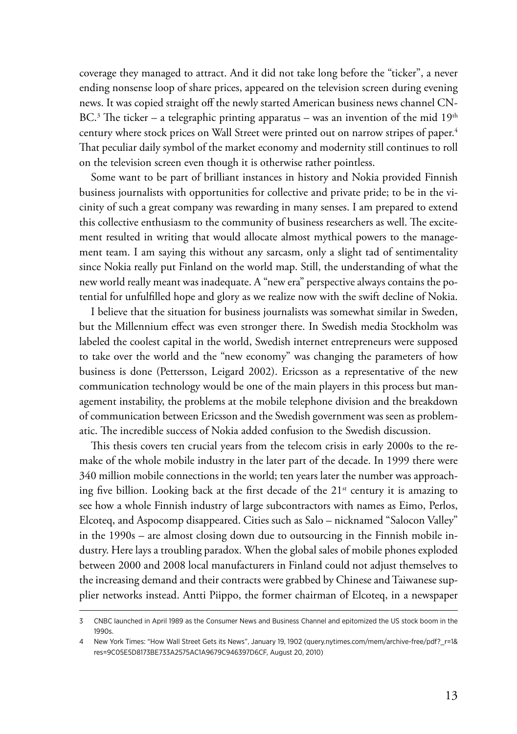coverage they managed to attract. And it did not take long before the "ticker", a never ending nonsense loop of share prices, appeared on the television screen during evening news. It was copied straight off the newly started American business news channel CN-BC.<sup>3</sup> The ticker – a telegraphic printing apparatus – was an invention of the mid  $19^{\rm th}$ century where stock prices on Wall Street were printed out on narrow stripes of paper.<sup>4</sup> That peculiar daily symbol of the market economy and modernity still continues to roll on the television screen even though it is otherwise rather pointless.

Some want to be part of brilliant instances in history and Nokia provided Finnish business journalists with opportunities for collective and private pride; to be in the vicinity of such a great company was rewarding in many senses. I am prepared to extend this collective enthusiasm to the community of business researchers as well. The excitement resulted in writing that would allocate almost mythical powers to the management team. I am saying this without any sarcasm, only a slight tad of sentimentality since Nokia really put Finland on the world map. Still, the understanding of what the new world really meant was inadequate. A "new era" perspective always contains the potential for unfulfilled hope and glory as we realize now with the swift decline of Nokia.

I believe that the situation for business journalists was somewhat similar in Sweden, but the Millennium effect was even stronger there. In Swedish media Stockholm was labeled the coolest capital in the world, Swedish internet entrepreneurs were supposed to take over the world and the "new economy" was changing the parameters of how business is done (Pettersson, Leigard 2002). Ericsson as a representative of the new communication technology would be one of the main players in this process but management instability, the problems at the mobile telephone division and the breakdown of communication between Ericsson and the Swedish government was seen as problematic. The incredible success of Nokia added confusion to the Swedish discussion.

This thesis covers ten crucial years from the telecom crisis in early 2000s to the remake of the whole mobile industry in the later part of the decade. In 1999 there were 340 million mobile connections in the world; ten years later the number was approaching five billion. Looking back at the first decade of the  $21<sup>st</sup>$  century it is amazing to see how a whole Finnish industry of large subcontractors with names as Eimo, Perlos, Elcoteq, and Aspocomp disappeared. Cities such as Salo – nicknamed "Salocon Valley" in the 1990s – are almost closing down due to outsourcing in the Finnish mobile industry. Here lays a troubling paradox. When the global sales of mobile phones exploded between 2000 and 2008 local manufacturers in Finland could not adjust themselves to the increasing demand and their contracts were grabbed by Chinese and Taiwanese supplier networks instead. Antti Piippo, the former chairman of Elcoteq, in a newspaper

<sup>3</sup> CNBC launched in April 1989 as the Consumer News and Business Channel and epitomized the US stock boom in the 1990s.

<sup>4</sup> New York Times: "How Wall Street Gets its News", January 19, 1902 (query.nytimes.com/mem/archive-free/pdf?\_r=1& res=9C05E5D8173BE733A2575AC1A9679C946397D6CF, August 20, 2010)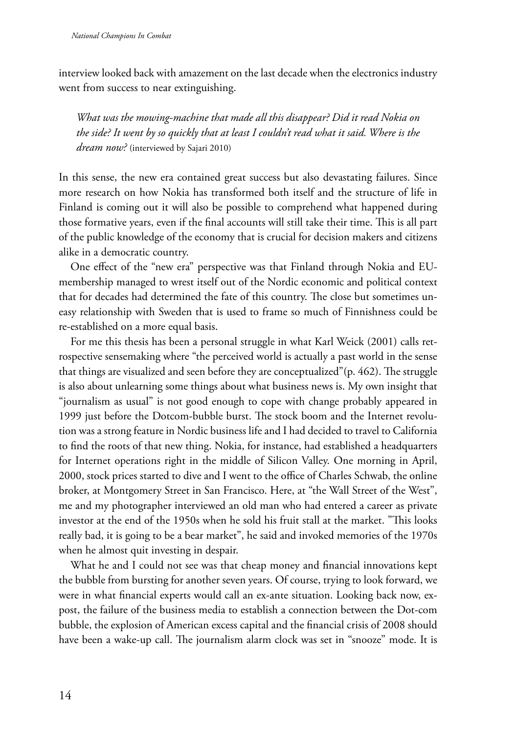interview looked back with amazement on the last decade when the electronics industry went from success to near extinguishing.

*What was the mowing-machine that made all this disappear? Did it read Nokia on the side? It went by so quickly that at least I couldn't read what it said. Where is the dream now?* (interviewed by Sajari 2010)

In this sense, the new era contained great success but also devastating failures. Since more research on how Nokia has transformed both itself and the structure of life in Finland is coming out it will also be possible to comprehend what happened during those formative years, even if the final accounts will still take their time. This is all part of the public knowledge of the economy that is crucial for decision makers and citizens alike in a democratic country.

One effect of the "new era" perspective was that Finland through Nokia and EUmembership managed to wrest itself out of the Nordic economic and political context that for decades had determined the fate of this country. The close but sometimes uneasy relationship with Sweden that is used to frame so much of Finnishness could be re-established on a more equal basis.

For me this thesis has been a personal struggle in what Karl Weick (2001) calls retrospective sensemaking where "the perceived world is actually a past world in the sense that things are visualized and seen before they are conceptualized"(p. 462). The struggle is also about unlearning some things about what business news is. My own insight that "journalism as usual" is not good enough to cope with change probably appeared in 1999 just before the Dotcom-bubble burst. The stock boom and the Internet revolution was a strong feature in Nordic business life and I had decided to travel to California to find the roots of that new thing. Nokia, for instance, had established a headquarters for Internet operations right in the middle of Silicon Valley. One morning in April, 2000, stock prices started to dive and I went to the office of Charles Schwab, the online broker, at Montgomery Street in San Francisco. Here, at "the Wall Street of the West", me and my photographer interviewed an old man who had entered a career as private investor at the end of the 1950s when he sold his fruit stall at the market. "This looks really bad, it is going to be a bear market", he said and invoked memories of the 1970s when he almost quit investing in despair.

What he and I could not see was that cheap money and financial innovations kept the bubble from bursting for another seven years. Of course, trying to look forward, we were in what financial experts would call an ex-ante situation. Looking back now, expost, the failure of the business media to establish a connection between the Dot-com bubble, the explosion of American excess capital and the financial crisis of 2008 should have been a wake-up call. The journalism alarm clock was set in "snooze" mode. It is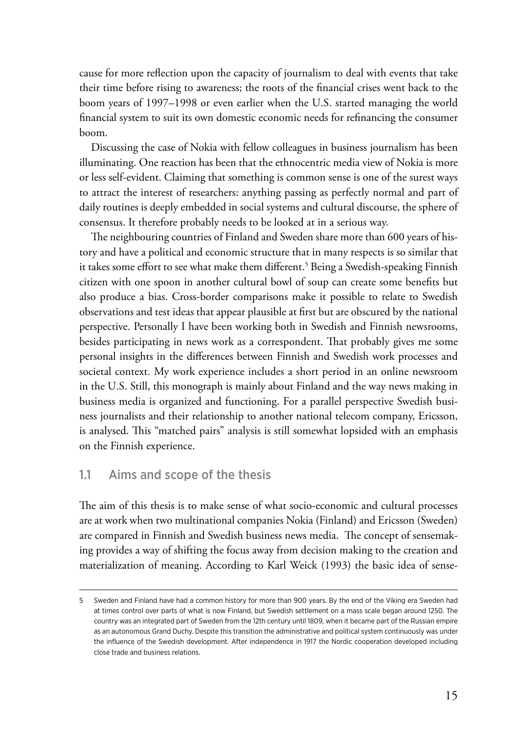<span id="page-14-0"></span>cause for more reflection upon the capacity of journalism to deal with events that take their time before rising to awareness; the roots of the financial crises went back to the boom years of 1997–1998 or even earlier when the U.S. started managing the world financial system to suit its own domestic economic needs for refinancing the consumer boom.

Discussing the case of Nokia with fellow colleagues in business journalism has been illuminating. One reaction has been that the ethnocentric media view of Nokia is more or less self-evident. Claiming that something is common sense is one of the surest ways to attract the interest of researchers: anything passing as perfectly normal and part of daily routines is deeply embedded in social systems and cultural discourse, the sphere of consensus. It therefore probably needs to be looked at in a serious way.

The neighbouring countries of Finland and Sweden share more than 600 years of history and have a political and economic structure that in many respects is so similar that it takes some effort to see what make them different.5 Being a Swedish-speaking Finnish citizen with one spoon in another cultural bowl of soup can create some benefits but also produce a bias. Cross-border comparisons make it possible to relate to Swedish observations and test ideas that appear plausible at first but are obscured by the national perspective. Personally I have been working both in Swedish and Finnish newsrooms, besides participating in news work as a correspondent. That probably gives me some personal insights in the differences between Finnish and Swedish work processes and societal context. My work experience includes a short period in an online newsroom in the U.S. Still, this monograph is mainly about Finland and the way news making in business media is organized and functioning. For a parallel perspective Swedish business journalists and their relationship to another national telecom company, Ericsson, is analysed. This "matched pairs" analysis is still somewhat lopsided with an emphasis on the Finnish experience.

#### 1.1 Aims and scope of the thesis

The aim of this thesis is to make sense of what socio-economic and cultural processes are at work when two multinational companies Nokia (Finland) and Ericsson (Sweden) are compared in Finnish and Swedish business news media. The concept of sensemaking provides a way of shifting the focus away from decision making to the creation and materialization of meaning. According to Karl Weick (1993) the basic idea of sense-

<sup>5</sup> Sweden and Finland have had a common history for more than 900 years. By the end of the Viking era Sweden had at times control over parts of what is now Finland, but Swedish settlement on a mass scale began around 1250. The country was an integrated part of Sweden from the 12th century until 1809, when it became part of the Russian empire as an autonomous Grand Duchy. Despite this transition the administrative and political system continuously was under the influence of the Swedish development. After independence in 1917 the Nordic cooperation developed including close trade and business relations.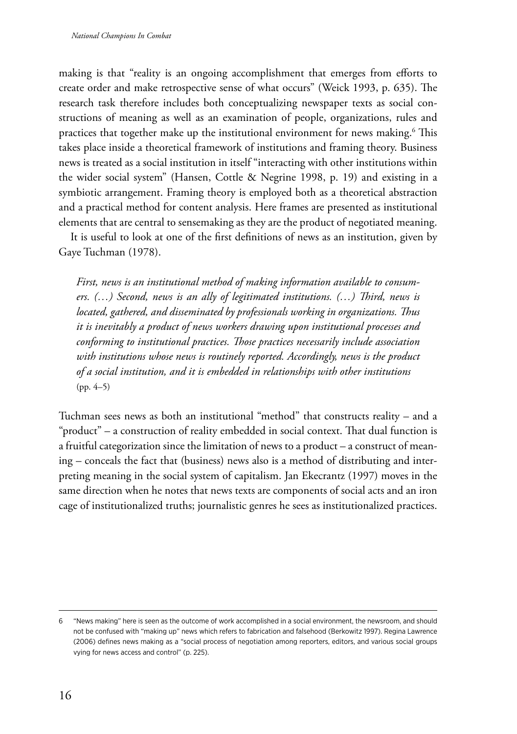making is that "reality is an ongoing accomplishment that emerges from efforts to create order and make retrospective sense of what occurs" (Weick 1993, p. 635). The research task therefore includes both conceptualizing newspaper texts as social constructions of meaning as well as an examination of people, organizations, rules and practices that together make up the institutional environment for news making. $^6$  This takes place inside a theoretical framework of institutions and framing theory. Business news is treated as a social institution in itself "interacting with other institutions within the wider social system" (Hansen, Cottle & Negrine 1998, p. 19) and existing in a symbiotic arrangement. Framing theory is employed both as a theoretical abstraction and a practical method for content analysis. Here frames are presented as institutional elements that are central to sensemaking as they are the product of negotiated meaning.

It is useful to look at one of the first definitions of news as an institution, given by Gaye Tuchman (1978).

*First, news is an institutional method of making information available to consumers. (…) Second, news is an ally of legitimated institutions. (…) Third, news is located, gathered, and disseminated by professionals working in organizations. Thus it is inevitably a product of news workers drawing upon institutional processes and conforming to institutional practices. Those practices necessarily include association*  with institutions whose news is routinely reported. Accordingly, news is the product *of a social institution, and it is embedded in relationships with other institutions*  (pp. 4–5)

Tuchman sees news as both an institutional "method" that constructs reality – and a "product" – a construction of reality embedded in social context. That dual function is a fruitful categorization since the limitation of news to a product – a construct of meaning – conceals the fact that (business) news also is a method of distributing and interpreting meaning in the social system of capitalism. Jan Ekecrantz (1997) moves in the same direction when he notes that news texts are components of social acts and an iron cage of institutionalized truths; journalistic genres he sees as institutionalized practices.

<sup>6</sup> "News making" here is seen as the outcome of work accomplished in a social environment, the newsroom, and should not be confused with "making up" news which refers to fabrication and falsehood (Berkowitz 1997). Regina Lawrence (2006) defines news making as a "social process of negotiation among reporters, editors, and various social groups vying for news access and control" (p. 225).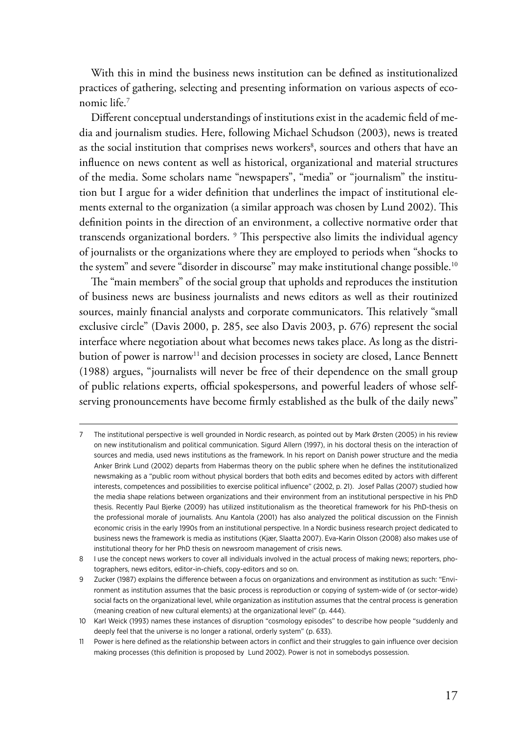With this in mind the business news institution can be defined as institutionalized practices of gathering, selecting and presenting information on various aspects of economic life.7

Different conceptual understandings of institutions exist in the academic field of media and journalism studies. Here, following Michael Schudson (2003), news is treated as the social institution that comprises news workers<sup>8</sup>, sources and others that have an influence on news content as well as historical, organizational and material structures of the media. Some scholars name "newspapers", "media" or "journalism" the institution but I argue for a wider definition that underlines the impact of institutional elements external to the organization (a similar approach was chosen by Lund 2002). This definition points in the direction of an environment, a collective normative order that transcends organizational borders. 9 This perspective also limits the individual agency of journalists or the organizations where they are employed to periods when "shocks to the system" and severe "disorder in discourse" may make institutional change possible.<sup>10</sup>

The "main members" of the social group that upholds and reproduces the institution of business news are business journalists and news editors as well as their routinized sources, mainly financial analysts and corporate communicators. This relatively "small exclusive circle" (Davis 2000, p. 285, see also Davis 2003, p. 676) represent the social interface where negotiation about what becomes news takes place. As long as the distribution of power is narrow<sup>11</sup> and decision processes in society are closed, Lance Bennett (1988) argues, "journalists will never be free of their dependence on the small group of public relations experts, official spokespersons, and powerful leaders of whose selfserving pronouncements have become firmly established as the bulk of the daily news"

<sup>7</sup> The institutional perspective is well grounded in Nordic research, as pointed out by Mark Ørsten (2005) in his review on new institutionalism and political communication. Sigurd Allern (1997), in his doctoral thesis on the interaction of sources and media, used news institutions as the framework. In his report on Danish power structure and the media Anker Brink Lund (2002) departs from Habermas theory on the public sphere when he defines the institutionalized newsmaking as a "public room without physical borders that both edits and becomes edited by actors with different interests, competences and possibilities to exercise political influence" (2002, p. 21). Josef Pallas (2007) studied how the media shape relations between organizations and their environment from an institutional perspective in his PhD thesis. Recently Paul Bjerke (2009) has utilized institutionalism as the theoretical framework for his PhD-thesis on the professional morale of journalists. Anu Kantola (2001) has also analyzed the political discussion on the Finnish economic crisis in the early 1990s from an institutional perspective. In a Nordic business research project dedicated to business news the framework is media as institutions (Kjær, Slaatta 2007). Eva-Karin Olsson (2008) also makes use of institutional theory for her PhD thesis on newsroom management of crisis news.

<sup>8</sup> I use the concept news workers to cover all individuals involved in the actual process of making news; reporters, photographers, news editors, editor-in-chiefs, copy-editors and so on.

<sup>9</sup> Zucker (1987) explains the difference between a focus on organizations and environment as institution as such: "Environment as institution assumes that the basic process is reproduction or copying of system-wide of (or sector-wide) social facts on the organizational level, while organization as institution assumes that the central process is generation (meaning creation of new cultural elements) at the organizational level" (p. 444).

<sup>10</sup> Karl Weick (1993) names these instances of disruption "cosmology episodes" to describe how people "suddenly and deeply feel that the universe is no longer a rational, orderly system" (p. 633).

<sup>11</sup> Power is here defined as the relationship between actors in conflict and their struggles to gain influence over decision making processes (this definition is proposed by Lund 2002). Power is not in somebodys possession.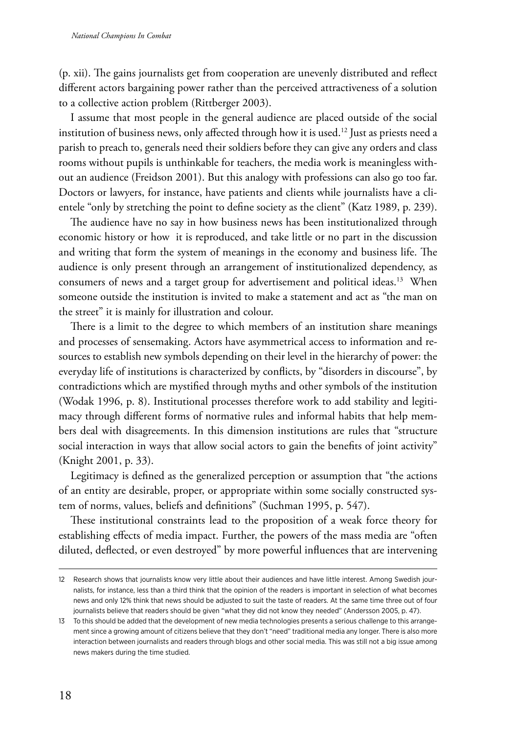(p. xii). The gains journalists get from cooperation are unevenly distributed and reflect different actors bargaining power rather than the perceived attractiveness of a solution to a collective action problem (Rittberger 2003).

I assume that most people in the general audience are placed outside of the social institution of business news, only affected through how it is used.12 Just as priests need a parish to preach to, generals need their soldiers before they can give any orders and class rooms without pupils is unthinkable for teachers, the media work is meaningless without an audience (Freidson 2001). But this analogy with professions can also go too far. Doctors or lawyers, for instance, have patients and clients while journalists have a clientele "only by stretching the point to define society as the client" (Katz 1989, p. 239).

The audience have no say in how business news has been institutionalized through economic history or how it is reproduced, and take little or no part in the discussion and writing that form the system of meanings in the economy and business life. The audience is only present through an arrangement of institutionalized dependency, as consumers of news and a target group for advertisement and political ideas.<sup>13</sup> When someone outside the institution is invited to make a statement and act as "the man on the street" it is mainly for illustration and colour.

There is a limit to the degree to which members of an institution share meanings and processes of sensemaking. Actors have asymmetrical access to information and resources to establish new symbols depending on their level in the hierarchy of power: the everyday life of institutions is characterized by conflicts, by "disorders in discourse", by contradictions which are mystified through myths and other symbols of the institution (Wodak 1996, p. 8). Institutional processes therefore work to add stability and legitimacy through different forms of normative rules and informal habits that help members deal with disagreements. In this dimension institutions are rules that "structure social interaction in ways that allow social actors to gain the benefits of joint activity" (Knight 2001, p. 33).

Legitimacy is defined as the generalized perception or assumption that "the actions of an entity are desirable, proper, or appropriate within some socially constructed system of norms, values, beliefs and definitions" (Suchman 1995, p. 547).

These institutional constraints lead to the proposition of a weak force theory for establishing effects of media impact. Further, the powers of the mass media are "often diluted, deflected, or even destroyed" by more powerful influences that are intervening

<sup>12</sup> Research shows that journalists know very little about their audiences and have little interest. Among Swedish journalists, for instance, less than a third think that the opinion of the readers is important in selection of what becomes news and only 12% think that news should be adjusted to suit the taste of readers. At the same time three out of four journalists believe that readers should be given "what they did not know they needed" (Andersson 2005, p. 47).

<sup>13</sup> To this should be added that the development of new media technologies presents a serious challenge to this arrangement since a growing amount of citizens believe that they don't "need" traditional media any longer. There is also more interaction between journalists and readers through blogs and other social media. This was still not a big issue among news makers during the time studied.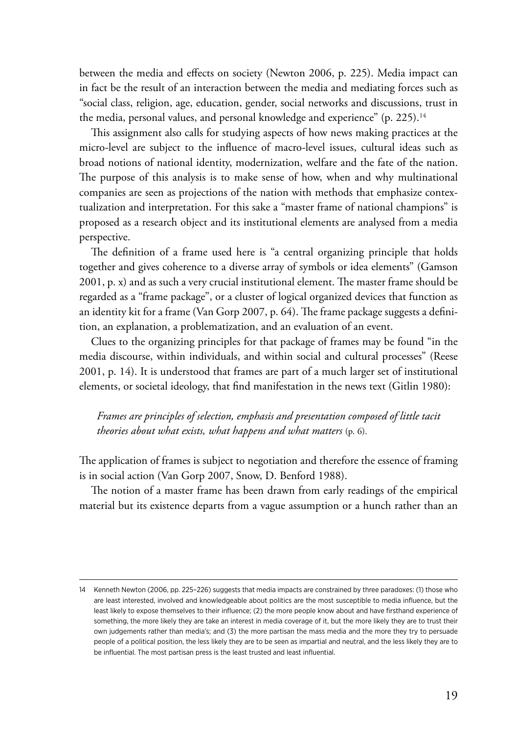between the media and effects on society (Newton 2006, p. 225). Media impact can in fact be the result of an interaction between the media and mediating forces such as "social class, religion, age, education, gender, social networks and discussions, trust in the media, personal values, and personal knowledge and experience" (p. 225).<sup>14</sup>

This assignment also calls for studying aspects of how news making practices at the micro-level are subject to the influence of macro-level issues, cultural ideas such as broad notions of national identity, modernization, welfare and the fate of the nation. The purpose of this analysis is to make sense of how, when and why multinational companies are seen as projections of the nation with methods that emphasize contextualization and interpretation. For this sake a "master frame of national champions" is proposed as a research object and its institutional elements are analysed from a media perspective.

The definition of a frame used here is "a central organizing principle that holds together and gives coherence to a diverse array of symbols or idea elements" (Gamson 2001, p. x) and as such a very crucial institutional element. The master frame should be regarded as a "frame package", or a cluster of logical organized devices that function as an identity kit for a frame (Van Gorp 2007, p. 64). The frame package suggests a definition, an explanation, a problematization, and an evaluation of an event.

Clues to the organizing principles for that package of frames may be found "in the media discourse, within individuals, and within social and cultural processes" (Reese 2001, p. 14). It is understood that frames are part of a much larger set of institutional elements, or societal ideology, that find manifestation in the news text (Gitlin 1980):

*Frames are principles of selection, emphasis and presentation composed of little tacit theories about what exists, what happens and what matters* (p. 6).

The application of frames is subject to negotiation and therefore the essence of framing is in social action (Van Gorp 2007, Snow, D. Benford 1988).

The notion of a master frame has been drawn from early readings of the empirical material but its existence departs from a vague assumption or a hunch rather than an

<sup>14</sup> Kenneth Newton (2006, pp. 225–226) suggests that media impacts are constrained by three paradoxes: (1) those who are least interested, involved and knowledgeable about politics are the most susceptible to media influence, but the least likely to expose themselves to their influence; (2) the more people know about and have firsthand experience of something, the more likely they are take an interest in media coverage of it, but the more likely they are to trust their own judgements rather than media's; and (3) the more partisan the mass media and the more they try to persuade people of a political position, the less likely they are to be seen as impartial and neutral, and the less likely they are to be influential. The most partisan press is the least trusted and least influential.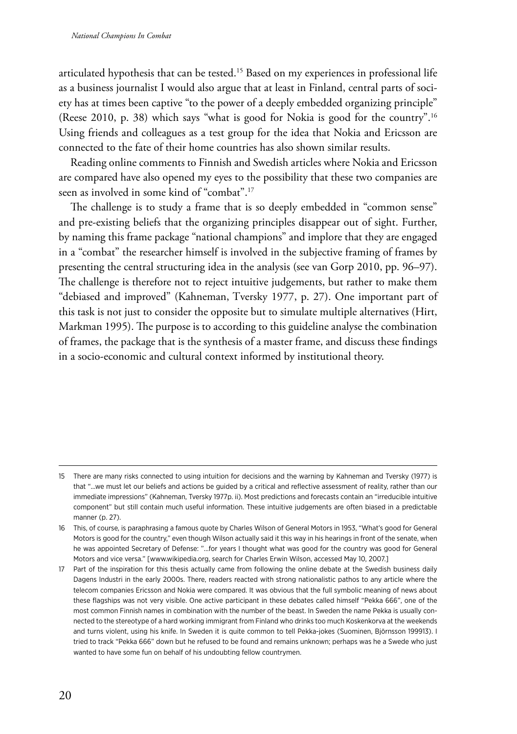articulated hypothesis that can be tested.15 Based on my experiences in professional life as a business journalist I would also argue that at least in Finland, central parts of society has at times been captive "to the power of a deeply embedded organizing principle" (Reese 2010, p. 38) which says "what is good for Nokia is good for the country".16 Using friends and colleagues as a test group for the idea that Nokia and Ericsson are connected to the fate of their home countries has also shown similar results.

Reading online comments to Finnish and Swedish articles where Nokia and Ericsson are compared have also opened my eyes to the possibility that these two companies are seen as involved in some kind of "combat".17

The challenge is to study a frame that is so deeply embedded in "common sense" and pre-existing beliefs that the organizing principles disappear out of sight. Further, by naming this frame package "national champions" and implore that they are engaged in a "combat" the researcher himself is involved in the subjective framing of frames by presenting the central structuring idea in the analysis (see van Gorp 2010, pp. 96–97). The challenge is therefore not to reject intuitive judgements, but rather to make them "debiased and improved" (Kahneman, Tversky 1977, p. 27). One important part of this task is not just to consider the opposite but to simulate multiple alternatives (Hirt, Markman 1995). The purpose is to according to this guideline analyse the combination of frames, the package that is the synthesis of a master frame, and discuss these findings in a socio-economic and cultural context informed by institutional theory.

<sup>15</sup> There are many risks connected to using intuition for decisions and the warning by Kahneman and Tversky (1977) is that "...we must let our beliefs and actions be guided by a critical and reflective assessment of reality, rather than our immediate impressions" (Kahneman, Tversky 1977p. ii). Most predictions and forecasts contain an "irreducible intuitive component" but still contain much useful information. These intuitive judgements are often biased in a predictable manner (p. 27).

<sup>16</sup> This, of course, is paraphrasing a famous quote by Charles Wilson of General Motors in 1953, "What's good for General Motors is good for the country," even though Wilson actually said it this way in his hearings in front of the senate, when he was appointed Secretary of Defense: "…for years I thought what was good for the country was good for General Motors and vice versa." [www.wikipedia.org, search for Charles Erwin Wilson, accessed May 10, 2007.]

<sup>17</sup> Part of the inspiration for this thesis actually came from following the online debate at the Swedish business daily Dagens Industri in the early 2000s. There, readers reacted with strong nationalistic pathos to any article where the telecom companies Ericsson and Nokia were compared. It was obvious that the full symbolic meaning of news about these flagships was not very visible. One active participant in these debates called himself "Pekka 666", one of the most common Finnish names in combination with the number of the beast. In Sweden the name Pekka is usually connected to the stereotype of a hard working immigrant from Finland who drinks too much Koskenkorva at the weekends and turns violent, using his knife. In Sweden it is quite common to tell Pekka-jokes (Suominen, Björnsson 199913). I tried to track "Pekka 666" down but he refused to be found and remains unknown; perhaps was he a Swede who just wanted to have some fun on behalf of his undoubting fellow countrymen.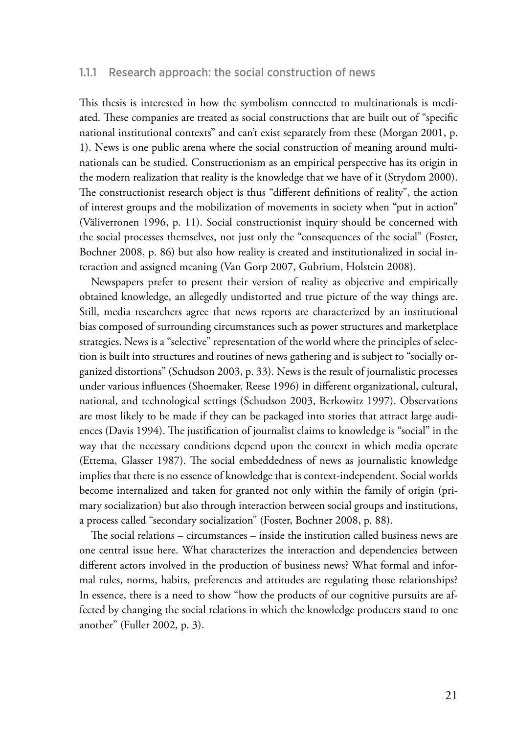#### <span id="page-20-0"></span>1.1.1 Research approach: the social construction of news

This thesis is interested in how the symbolism connected to multinationals is mediated. These companies are treated as social constructions that are built out of "specific national institutional contexts" and can't exist separately from these (Morgan 2001, p. 1). News is one public arena where the social construction of meaning around multinationals can be studied. Constructionism as an empirical perspective has its origin in the modern realization that reality is the knowledge that we have of it (Strydom 2000). The constructionist research object is thus "different definitions of reality", the action of interest groups and the mobilization of movements in society when "put in action" (Väliverronen 1996, p. 11). Social constructionist inquiry should be concerned with the social processes themselves, not just only the "consequences of the social" (Foster, Bochner 2008, p. 86) but also how reality is created and institutionalized in social interaction and assigned meaning (Van Gorp 2007, Gubrium, Holstein 2008).

Newspapers prefer to present their version of reality as objective and empirically obtained knowledge, an allegedly undistorted and true picture of the way things are. Still, media researchers agree that news reports are characterized by an institutional bias composed of surrounding circumstances such as power structures and marketplace strategies. News is a "selective" representation of the world where the principles of selection is built into structures and routines of news gathering and is subject to "socially organized distortions" (Schudson 2003, p. 33). News is the result of journalistic processes under various influences (Shoemaker, Reese 1996) in different organizational, cultural, national, and technological settings (Schudson 2003, Berkowitz 1997). Observations are most likely to be made if they can be packaged into stories that attract large audiences (Davis 1994). The justification of journalist claims to knowledge is "social" in the way that the necessary conditions depend upon the context in which media operate (Ettema, Glasser 1987). The social embeddedness of news as journalistic knowledge implies that there is no essence of knowledge that is context-independent. Social worlds become internalized and taken for granted not only within the family of origin (primary socialization) but also through interaction between social groups and institutions, a process called "secondary socialization" (Foster, Bochner 2008, p. 88).

The social relations – circumstances – inside the institution called business news are one central issue here. What characterizes the interaction and dependencies between different actors involved in the production of business news? What formal and informal rules, norms, habits, preferences and attitudes are regulating those relationships? In essence, there is a need to show "how the products of our cognitive pursuits are affected by changing the social relations in which the knowledge producers stand to one another" (Fuller 2002, p. 3).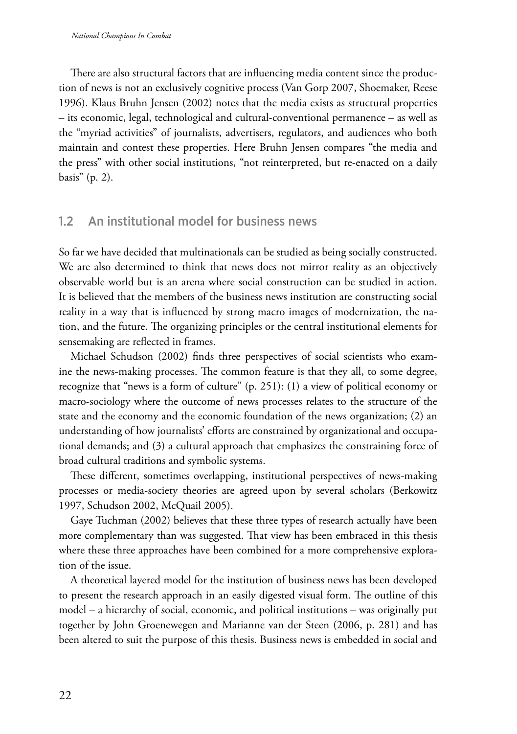<span id="page-21-0"></span>There are also structural factors that are influencing media content since the production of news is not an exclusively cognitive process (Van Gorp 2007, Shoemaker, Reese 1996). Klaus Bruhn Jensen (2002) notes that the media exists as structural properties – its economic, legal, technological and cultural-conventional permanence – as well as the "myriad activities" of journalists, advertisers, regulators, and audiences who both maintain and contest these properties. Here Bruhn Jensen compares "the media and the press" with other social institutions, "not reinterpreted, but re-enacted on a daily basis" (p. 2).

#### 1.2 An institutional model for business news

So far we have decided that multinationals can be studied as being socially constructed. We are also determined to think that news does not mirror reality as an objectively observable world but is an arena where social construction can be studied in action. It is believed that the members of the business news institution are constructing social reality in a way that is influenced by strong macro images of modernization, the nation, and the future. The organizing principles or the central institutional elements for sensemaking are reflected in frames.

Michael Schudson (2002) finds three perspectives of social scientists who examine the news-making processes. The common feature is that they all, to some degree, recognize that "news is a form of culture" (p. 251): (1) a view of political economy or macro-sociology where the outcome of news processes relates to the structure of the state and the economy and the economic foundation of the news organization; (2) an understanding of how journalists' efforts are constrained by organizational and occupational demands; and (3) a cultural approach that emphasizes the constraining force of broad cultural traditions and symbolic systems.

These different, sometimes overlapping, institutional perspectives of news-making processes or media-society theories are agreed upon by several scholars (Berkowitz 1997, Schudson 2002, McQuail 2005).

Gaye Tuchman (2002) believes that these three types of research actually have been more complementary than was suggested. That view has been embraced in this thesis where these three approaches have been combined for a more comprehensive exploration of the issue.

A theoretical layered model for the institution of business news has been developed to present the research approach in an easily digested visual form. The outline of this model – a hierarchy of social, economic, and political institutions – was originally put together by John Groenewegen and Marianne van der Steen (2006, p. 281) and has been altered to suit the purpose of this thesis. Business news is embedded in social and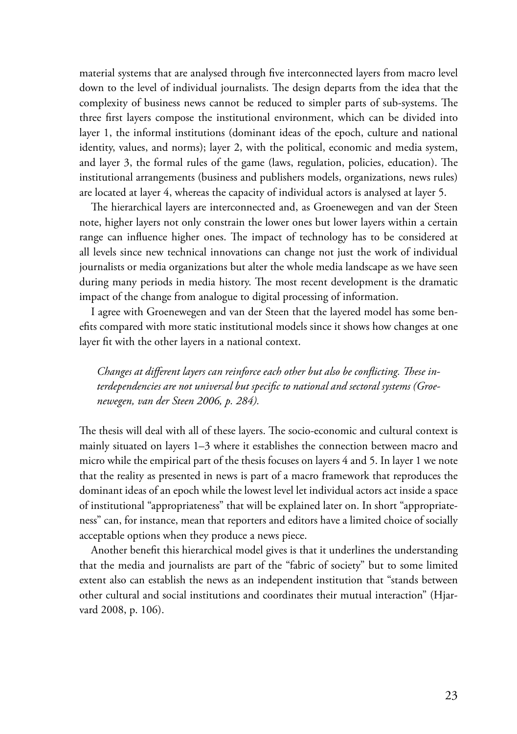material systems that are analysed through five interconnected layers from macro level down to the level of individual journalists. The design departs from the idea that the complexity of business news cannot be reduced to simpler parts of sub-systems. The three first layers compose the institutional environment, which can be divided into layer 1, the informal institutions (dominant ideas of the epoch, culture and national identity, values, and norms); layer 2, with the political, economic and media system, and layer 3, the formal rules of the game (laws, regulation, policies, education). The institutional arrangements (business and publishers models, organizations, news rules) are located at layer 4, whereas the capacity of individual actors is analysed at layer 5.

The hierarchical layers are interconnected and, as Groenewegen and van der Steen note, higher layers not only constrain the lower ones but lower layers within a certain range can influence higher ones. The impact of technology has to be considered at all levels since new technical innovations can change not just the work of individual journalists or media organizations but alter the whole media landscape as we have seen during many periods in media history. The most recent development is the dramatic impact of the change from analogue to digital processing of information.

I agree with Groenewegen and van der Steen that the layered model has some benefits compared with more static institutional models since it shows how changes at one layer fit with the other layers in a national context.

*Changes at different layers can reinforce each other but also be conflicting. These interdependencies are not universal but specific to national and sectoral systems (Groenewegen, van der Steen 2006, p. 284).*

The thesis will deal with all of these layers. The socio-economic and cultural context is mainly situated on layers 1–3 where it establishes the connection between macro and micro while the empirical part of the thesis focuses on layers 4 and 5. In layer 1 we note that the reality as presented in news is part of a macro framework that reproduces the dominant ideas of an epoch while the lowest level let individual actors act inside a space of institutional "appropriateness" that will be explained later on. In short "appropriateness" can, for instance, mean that reporters and editors have a limited choice of socially acceptable options when they produce a news piece.

Another benefit this hierarchical model gives is that it underlines the understanding that the media and journalists are part of the "fabric of society" but to some limited extent also can establish the news as an independent institution that "stands between other cultural and social institutions and coordinates their mutual interaction" (Hjarvard 2008, p. 106).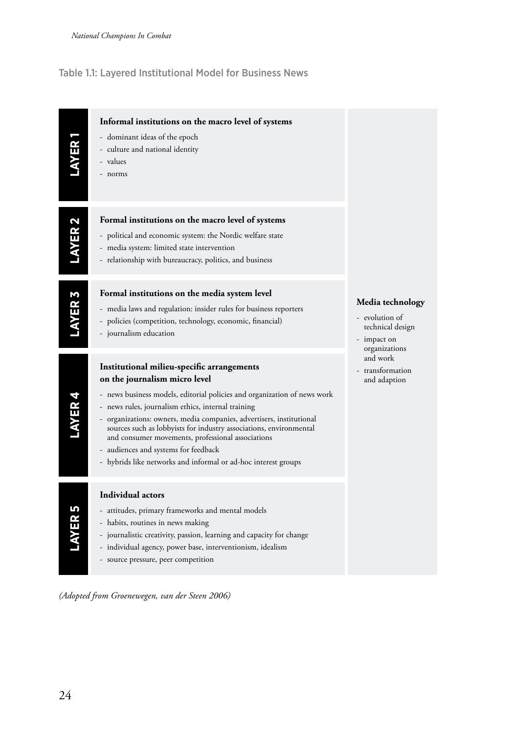#### <span id="page-23-0"></span>Table 1.1: Layered Institutional Model for Business News

| <b>ANTR</b>        | Informal institutions on the macro level of systems<br>- dominant ideas of the epoch<br>- culture and national identity<br>- values<br>- norms                                                                                                                                                                                                                                                                                                                                                                             |                                                                                                                                        |
|--------------------|----------------------------------------------------------------------------------------------------------------------------------------------------------------------------------------------------------------------------------------------------------------------------------------------------------------------------------------------------------------------------------------------------------------------------------------------------------------------------------------------------------------------------|----------------------------------------------------------------------------------------------------------------------------------------|
| LAYER 2            | Formal institutions on the macro level of systems<br>- political and economic system: the Nordic welfare state<br>- media system: limited state intervention<br>- relationship with bureaucracy, politics, and business                                                                                                                                                                                                                                                                                                    |                                                                                                                                        |
| LAYER <sub>3</sub> | Formal institutions on the media system level<br>- media laws and regulation: insider rules for business reporters<br>- policies (competition, technology, economic, financial)<br>- journalism education                                                                                                                                                                                                                                                                                                                  | Media technology<br>- evolution of<br>technical design<br>- impact on<br>organizations<br>and work<br>- transformation<br>and adaption |
| LAYER 4            | Institutional milieu-specific arrangements<br>on the journalism micro level<br>- news business models, editorial policies and organization of news work<br>- news rules, journalism ethics, internal training<br>- organizations: owners, media companies, advertisers, institutional<br>sources such as lobbyists for industry associations, environmental<br>and consumer movements, professional associations<br>- audiences and systems for feedback<br>- hybrids like networks and informal or ad-hoc interest groups |                                                                                                                                        |
| LAYER 5            | <b>Individual actors</b><br>- attitudes, primary frameworks and mental models<br>- habits, routines in news making<br>- journalistic creativity, passion, learning and capacity for change<br>- individual agency, power base, interventionism, idealism<br>- source pressure, peer competition                                                                                                                                                                                                                            |                                                                                                                                        |

*(Adopted from Groenewegen, van der Steen 2006)*

24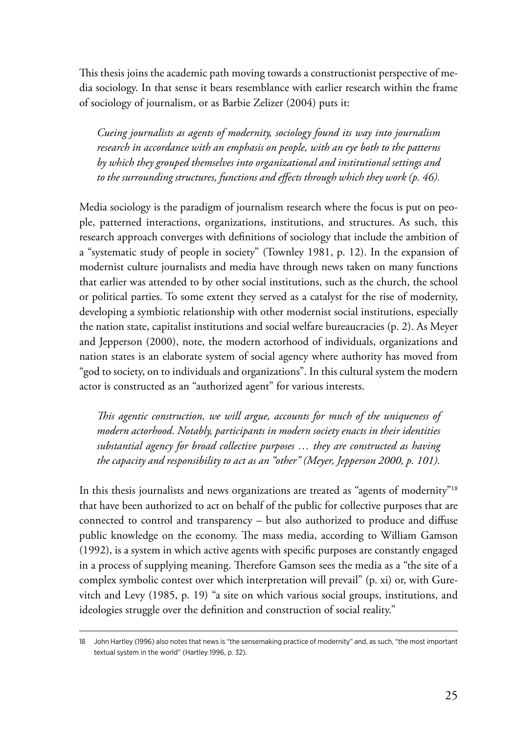This thesis joins the academic path moving towards a constructionist perspective of media sociology. In that sense it bears resemblance with earlier research within the frame of sociology of journalism, or as Barbie Zelizer (2004) puts it:

*Cueing journalists as agents of modernity, sociology found its way into journalism research in accordance with an emphasis on people, with an eye both to the patterns by which they grouped themselves into organizational and institutional settings and to the surrounding structures, functions and effects through which they work (p. 46).*

Media sociology is the paradigm of journalism research where the focus is put on people, patterned interactions, organizations, institutions, and structures. As such, this research approach converges with definitions of sociology that include the ambition of a "systematic study of people in society" (Townley 1981, p. 12). In the expansion of modernist culture journalists and media have through news taken on many functions that earlier was attended to by other social institutions, such as the church, the school or political parties. To some extent they served as a catalyst for the rise of modernity, developing a symbiotic relationship with other modernist social institutions, especially the nation state, capitalist institutions and social welfare bureaucracies (p. 2). As Meyer and Jepperson (2000), note, the modern actorhood of individuals, organizations and nation states is an elaborate system of social agency where authority has moved from "god to society, on to individuals and organizations". In this cultural system the modern actor is constructed as an "authorized agent" for various interests.

*This agentic construction, we will argue, accounts for much of the uniqueness of modern actorhood. Notably, participants in modern society enacts in their identities substantial agency for broad collective purposes … they are constructed as having the capacity and responsibility to act as an "other" (Meyer, Jepperson 2000, p. 101).*

In this thesis journalists and news organizations are treated as "agents of modernity"<sup>18</sup> that have been authorized to act on behalf of the public for collective purposes that are connected to control and transparency – but also authorized to produce and diffuse public knowledge on the economy. The mass media, according to William Gamson (1992), is a system in which active agents with specific purposes are constantly engaged in a process of supplying meaning. Therefore Gamson sees the media as a "the site of a complex symbolic contest over which interpretation will prevail" (p. xi) or, with Gurevitch and Levy (1985, p. 19) "a site on which various social groups, institutions, and ideologies struggle over the definition and construction of social reality."

<sup>18</sup> John Hartley (1996) also notes that news is "the sensemaking practice of modernity" and, as such, "the most important textual system in the world" (Hartley 1996, p. 32).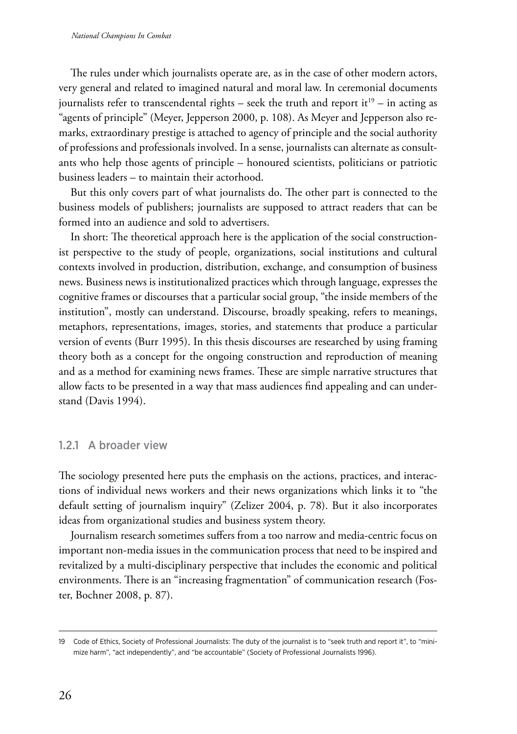<span id="page-25-0"></span>The rules under which journalists operate are, as in the case of other modern actors, very general and related to imagined natural and moral law. In ceremonial documents journalists refer to transcendental rights – seek the truth and report it<sup>19</sup> – in acting as "agents of principle" (Meyer, Jepperson 2000, p. 108). As Meyer and Jepperson also remarks, extraordinary prestige is attached to agency of principle and the social authority of professions and professionals involved. In a sense, journalists can alternate as consultants who help those agents of principle – honoured scientists, politicians or patriotic business leaders – to maintain their actorhood.

But this only covers part of what journalists do. The other part is connected to the business models of publishers; journalists are supposed to attract readers that can be formed into an audience and sold to advertisers.

In short: The theoretical approach here is the application of the social constructionist perspective to the study of people, organizations, social institutions and cultural contexts involved in production, distribution, exchange, and consumption of business news. Business news is institutionalized practices which through language, expresses the cognitive frames or discourses that a particular social group, "the inside members of the institution", mostly can understand. Discourse, broadly speaking, refers to meanings, metaphors, representations, images, stories, and statements that produce a particular version of events (Burr 1995). In this thesis discourses are researched by using framing theory both as a concept for the ongoing construction and reproduction of meaning and as a method for examining news frames. These are simple narrative structures that allow facts to be presented in a way that mass audiences find appealing and can understand (Davis 1994).

#### 1.2.1 A broader view

The sociology presented here puts the emphasis on the actions, practices, and interactions of individual news workers and their news organizations which links it to "the default setting of journalism inquiry" (Zelizer 2004, p. 78). But it also incorporates ideas from organizational studies and business system theory.

Journalism research sometimes suffers from a too narrow and media-centric focus on important non-media issues in the communication process that need to be inspired and revitalized by a multi-disciplinary perspective that includes the economic and political environments. There is an "increasing fragmentation" of communication research (Foster, Bochner 2008, p. 87).

<sup>19</sup> Code of Ethics, Society of Professional Journalists: The duty of the journalist is to "seek truth and report it", to "minimize harm", "act independently", and "be accountable" (Society of Professional Journalists 1996).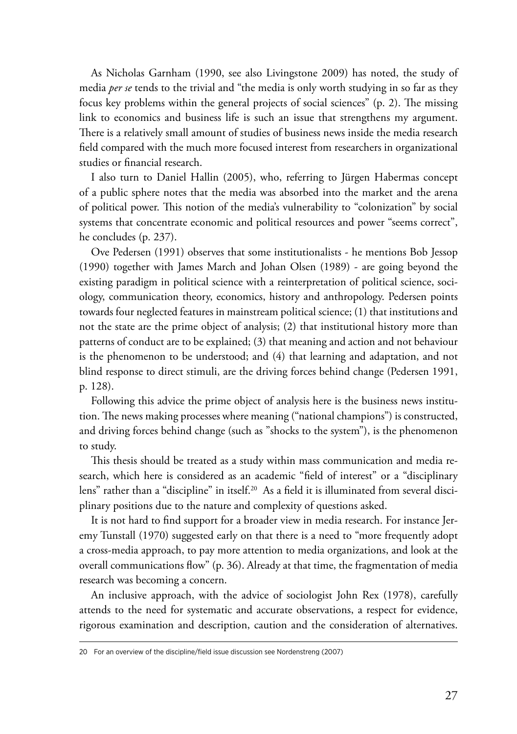As Nicholas Garnham (1990, see also Livingstone 2009) has noted, the study of media *per se* tends to the trivial and "the media is only worth studying in so far as they focus key problems within the general projects of social sciences" (p. 2). The missing link to economics and business life is such an issue that strengthens my argument. There is a relatively small amount of studies of business news inside the media research field compared with the much more focused interest from researchers in organizational studies or financial research.

I also turn to Daniel Hallin (2005), who, referring to Jürgen Habermas concept of a public sphere notes that the media was absorbed into the market and the arena of political power. This notion of the media's vulnerability to "colonization" by social systems that concentrate economic and political resources and power "seems correct", he concludes (p. 237).

Ove Pedersen (1991) observes that some institutionalists - he mentions Bob Jessop (1990) together with James March and Johan Olsen (1989) - are going beyond the existing paradigm in political science with a reinterpretation of political science, sociology, communication theory, economics, history and anthropology. Pedersen points towards four neglected features in mainstream political science; (1) that institutions and not the state are the prime object of analysis; (2) that institutional history more than patterns of conduct are to be explained; (3) that meaning and action and not behaviour is the phenomenon to be understood; and (4) that learning and adaptation, and not blind response to direct stimuli, are the driving forces behind change (Pedersen 1991, p. 128).

Following this advice the prime object of analysis here is the business news institution. The news making processes where meaning ("national champions") is constructed, and driving forces behind change (such as "shocks to the system"), is the phenomenon to study.

This thesis should be treated as a study within mass communication and media research, which here is considered as an academic "field of interest" or a "disciplinary lens" rather than a "discipline" in itself.20 As a field it is illuminated from several disciplinary positions due to the nature and complexity of questions asked.

It is not hard to find support for a broader view in media research. For instance Jeremy Tunstall (1970) suggested early on that there is a need to "more frequently adopt a cross-media approach, to pay more attention to media organizations, and look at the overall communications flow" (p. 36). Already at that time, the fragmentation of media research was becoming a concern.

An inclusive approach, with the advice of sociologist John Rex (1978), carefully attends to the need for systematic and accurate observations, a respect for evidence, rigorous examination and description, caution and the consideration of alternatives.

<sup>20</sup> For an overview of the discipline/field issue discussion see Nordenstreng (2007)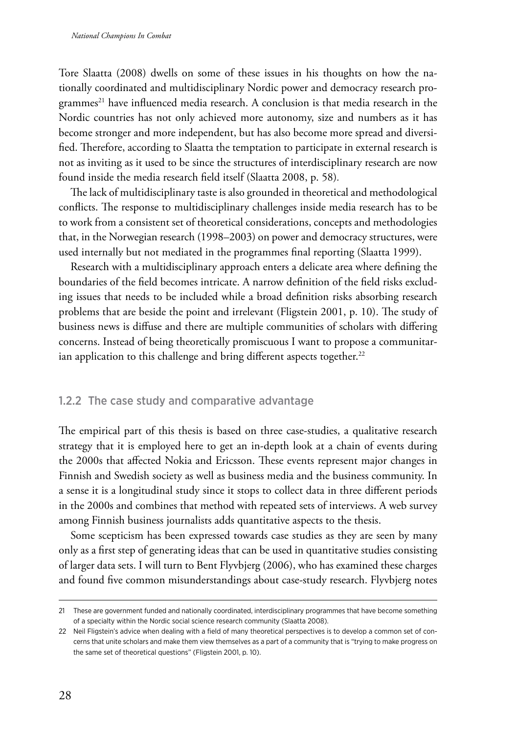<span id="page-27-0"></span>Tore Slaatta (2008) dwells on some of these issues in his thoughts on how the nationally coordinated and multidisciplinary Nordic power and democracy research programmes<sup>21</sup> have influenced media research. A conclusion is that media research in the Nordic countries has not only achieved more autonomy, size and numbers as it has become stronger and more independent, but has also become more spread and diversified. Therefore, according to Slaatta the temptation to participate in external research is not as inviting as it used to be since the structures of interdisciplinary research are now found inside the media research field itself (Slaatta 2008, p. 58)*.*

The lack of multidisciplinary taste is also grounded in theoretical and methodological conflicts. The response to multidisciplinary challenges inside media research has to be to work from a consistent set of theoretical considerations, concepts and methodologies that, in the Norwegian research (1998–2003) on power and democracy structures, were used internally but not mediated in the programmes final reporting (Slaatta 1999).

Research with a multidisciplinary approach enters a delicate area where defining the boundaries of the field becomes intricate. A narrow definition of the field risks excluding issues that needs to be included while a broad definition risks absorbing research problems that are beside the point and irrelevant (Fligstein 2001, p. 10). The study of business news is diffuse and there are multiple communities of scholars with differing concerns. Instead of being theoretically promiscuous I want to propose a communitarian application to this challenge and bring different aspects together.<sup>22</sup>

#### 1.2.2 The case study and comparative advantage

The empirical part of this thesis is based on three case-studies, a qualitative research strategy that it is employed here to get an in-depth look at a chain of events during the 2000s that affected Nokia and Ericsson. These events represent major changes in Finnish and Swedish society as well as business media and the business community. In a sense it is a longitudinal study since it stops to collect data in three different periods in the 2000s and combines that method with repeated sets of interviews. A web survey among Finnish business journalists adds quantitative aspects to the thesis.

Some scepticism has been expressed towards case studies as they are seen by many only as a first step of generating ideas that can be used in quantitative studies consisting of larger data sets. I will turn to Bent Flyvbjerg (2006), who has examined these charges and found five common misunderstandings about case-study research. Flyvbjerg notes

<sup>21</sup> These are government funded and nationally coordinated, interdisciplinary programmes that have become something of a specialty within the Nordic social science research community (Slaatta 2008).

<sup>22</sup> Neil Fligstein's advice when dealing with a field of many theoretical perspectives is to develop a common set of concerns that unite scholars and make them view themselves as a part of a community that is "trying to make progress on the same set of theoretical questions" (Fligstein 2001, p. 10).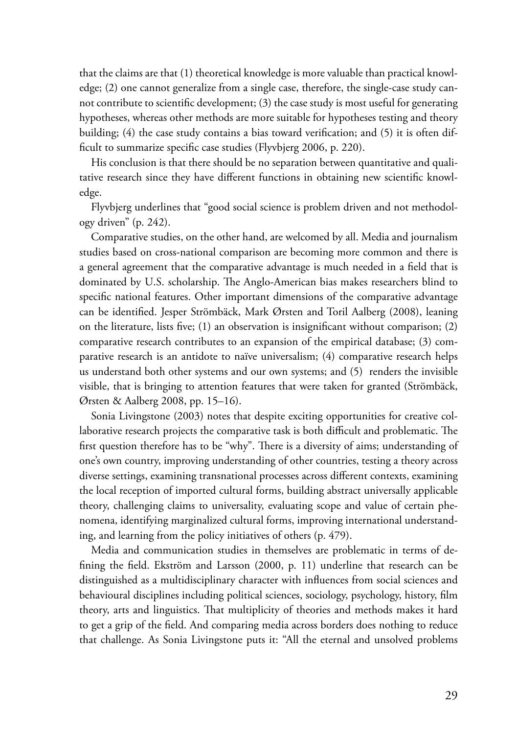that the claims are that (1) theoretical knowledge is more valuable than practical knowledge; (2) one cannot generalize from a single case, therefore, the single-case study cannot contribute to scientific development; (3) the case study is most useful for generating hypotheses, whereas other methods are more suitable for hypotheses testing and theory building; (4) the case study contains a bias toward verification; and (5) it is often difficult to summarize specific case studies (Flyvbjerg 2006, p. 220).

His conclusion is that there should be no separation between quantitative and qualitative research since they have different functions in obtaining new scientific knowledge.

Flyvbjerg underlines that "good social science is problem driven and not methodology driven" (p. 242).

Comparative studies, on the other hand, are welcomed by all. Media and journalism studies based on cross-national comparison are becoming more common and there is a general agreement that the comparative advantage is much needed in a field that is dominated by U.S. scholarship. The Anglo-American bias makes researchers blind to specific national features. Other important dimensions of the comparative advantage can be identified. Jesper Strömbäck, Mark Ørsten and Toril Aalberg (2008), leaning on the literature, lists five; (1) an observation is insignificant without comparison; (2) comparative research contributes to an expansion of the empirical database; (3) comparative research is an antidote to naïve universalism; (4) comparative research helps us understand both other systems and our own systems; and (5) renders the invisible visible, that is bringing to attention features that were taken for granted (Strömbäck, Ørsten & Aalberg 2008, pp. 15–16).

Sonia Livingstone (2003) notes that despite exciting opportunities for creative collaborative research projects the comparative task is both difficult and problematic. The first question therefore has to be "why". There is a diversity of aims; understanding of one's own country, improving understanding of other countries, testing a theory across diverse settings, examining transnational processes across different contexts, examining the local reception of imported cultural forms, building abstract universally applicable theory, challenging claims to universality, evaluating scope and value of certain phenomena, identifying marginalized cultural forms, improving international understanding, and learning from the policy initiatives of others (p. 479).

Media and communication studies in themselves are problematic in terms of defining the field. Ekström and Larsson (2000, p. 11) underline that research can be distinguished as a multidisciplinary character with influences from social sciences and behavioural disciplines including political sciences, sociology, psychology, history, film theory, arts and linguistics. That multiplicity of theories and methods makes it hard to get a grip of the field. And comparing media across borders does nothing to reduce that challenge. As Sonia Livingstone puts it: "All the eternal and unsolved problems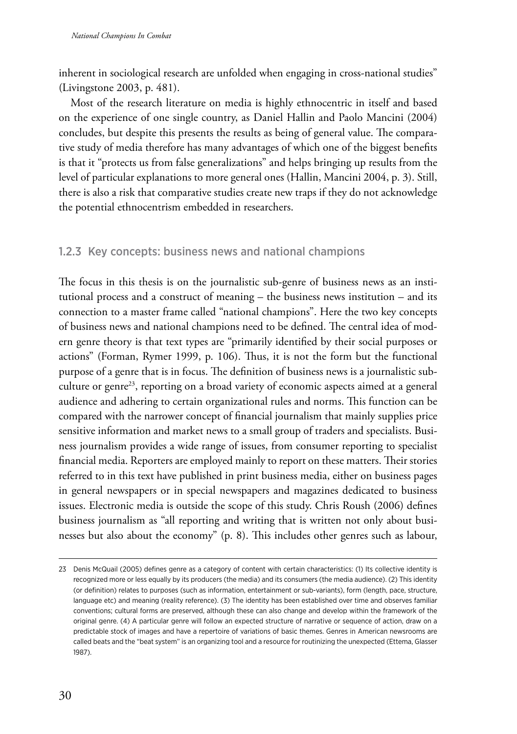<span id="page-29-0"></span>inherent in sociological research are unfolded when engaging in cross-national studies" (Livingstone 2003, p. 481).

Most of the research literature on media is highly ethnocentric in itself and based on the experience of one single country, as Daniel Hallin and Paolo Mancini (2004) concludes, but despite this presents the results as being of general value. The comparative study of media therefore has many advantages of which one of the biggest benefits is that it "protects us from false generalizations" and helps bringing up results from the level of particular explanations to more general ones (Hallin, Mancini 2004, p. 3). Still, there is also a risk that comparative studies create new traps if they do not acknowledge the potential ethnocentrism embedded in researchers.

#### 1.2.3 Key concepts: business news and national champions

The focus in this thesis is on the journalistic sub-genre of business news as an institutional process and a construct of meaning – the business news institution – and its connection to a master frame called "national champions". Here the two key concepts of business news and national champions need to be defined. The central idea of modern genre theory is that text types are "primarily identified by their social purposes or actions" (Forman, Rymer 1999, p. 106). Thus, it is not the form but the functional purpose of a genre that is in focus. The definition of business news is a journalistic subculture or genre<sup>23</sup>, reporting on a broad variety of economic aspects aimed at a general audience and adhering to certain organizational rules and norms. This function can be compared with the narrower concept of financial journalism that mainly supplies price sensitive information and market news to a small group of traders and specialists. Business journalism provides a wide range of issues, from consumer reporting to specialist financial media. Reporters are employed mainly to report on these matters. Their stories referred to in this text have published in print business media, either on business pages in general newspapers or in special newspapers and magazines dedicated to business issues. Electronic media is outside the scope of this study. Chris Roush (2006) defines business journalism as "all reporting and writing that is written not only about businesses but also about the economy" (p. 8). This includes other genres such as labour,

<sup>23</sup> Denis McQuail (2005) defines genre as a category of content with certain characteristics: (1) Its collective identity is recognized more or less equally by its producers (the media) and its consumers (the media audience). (2) This identity (or definition) relates to purposes (such as information, entertainment or sub-variants), form (length, pace, structure, language etc) and meaning (reality reference). (3) The identity has been established over time and observes familiar conventions; cultural forms are preserved, although these can also change and develop within the framework of the original genre. (4) A particular genre will follow an expected structure of narrative or sequence of action, draw on a predictable stock of images and have a repertoire of variations of basic themes. Genres in American newsrooms are called beats and the "beat system" is an organizing tool and a resource for routinizing the unexpected (Ettema, Glasser 1987).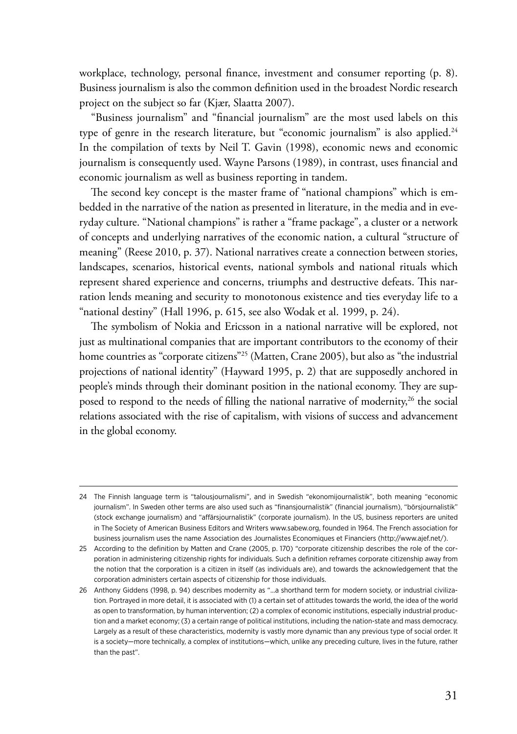workplace, technology, personal finance, investment and consumer reporting (p. 8). Business journalism is also the common definition used in the broadest Nordic research project on the subject so far (Kjær, Slaatta 2007).

"Business journalism" and "financial journalism" are the most used labels on this type of genre in the research literature, but "economic journalism" is also applied.<sup>24</sup> In the compilation of texts by Neil T. Gavin (1998), economic news and economic journalism is consequently used. Wayne Parsons (1989), in contrast, uses financial and economic journalism as well as business reporting in tandem.

The second key concept is the master frame of "national champions" which is embedded in the narrative of the nation as presented in literature, in the media and in everyday culture. "National champions" is rather a "frame package", a cluster or a network of concepts and underlying narratives of the economic nation, a cultural "structure of meaning" (Reese 2010, p. 37). National narratives create a connection between stories, landscapes, scenarios, historical events, national symbols and national rituals which represent shared experience and concerns, triumphs and destructive defeats. This narration lends meaning and security to monotonous existence and ties everyday life to a "national destiny" (Hall 1996, p. 615, see also Wodak et al. 1999, p. 24).

The symbolism of Nokia and Ericsson in a national narrative will be explored, not just as multinational companies that are important contributors to the economy of their home countries as "corporate citizens"<sup>25</sup> (Matten, Crane 2005), but also as "the industrial projections of national identity" (Hayward 1995, p. 2) that are supposedly anchored in people's minds through their dominant position in the national economy. They are supposed to respond to the needs of filling the national narrative of modernity,<sup>26</sup> the social relations associated with the rise of capitalism, with visions of success and advancement in the global economy.

<sup>24</sup> The Finnish language term is "talousjournalismi", and in Swedish "ekonomijournalistik", both meaning "economic journalism". In Sweden other terms are also used such as "finansjournalistik" (financial journalism), "börsjournalistik" (stock exchange journalism) and "affärsjournalistik" (corporate journalism). In the US, business reporters are united in The Society of American Business Editors and Writers [www.sabew.org](http://www.sabew.org), founded in 1964. The French association for business journalism uses the name Association des Journalistes Economiques et Financiers (http://www.ajef.net/).

<sup>25</sup> According to the definition by Matten and Crane (2005, p. 170) "corporate citizenship describes the role of the corporation in administering citizenship rights for individuals. Such a definition reframes corporate citizenship away from the notion that the corporation is a citizen in itself (as individuals are), and towards the acknowledgement that the corporation administers certain aspects of citizenship for those individuals.

<sup>26</sup> Anthony Giddens (1998, p. 94) describes modernity as "...a shorthand term for modern society, or industrial civilization. Portrayed in more detail, it is associated with (1) a certain set of attitudes towards the world, the idea of the world as open to transformation, by human intervention; (2) a complex of economic institutions, especially industrial production and a market economy; (3) a certain range of political institutions, including the nation-state and mass democracy. Largely as a result of these characteristics, modernity is vastly more dynamic than any previous type of social order. It is a society—more technically, a complex of institutions—which, unlike any preceding culture, lives in the future, rather than the past".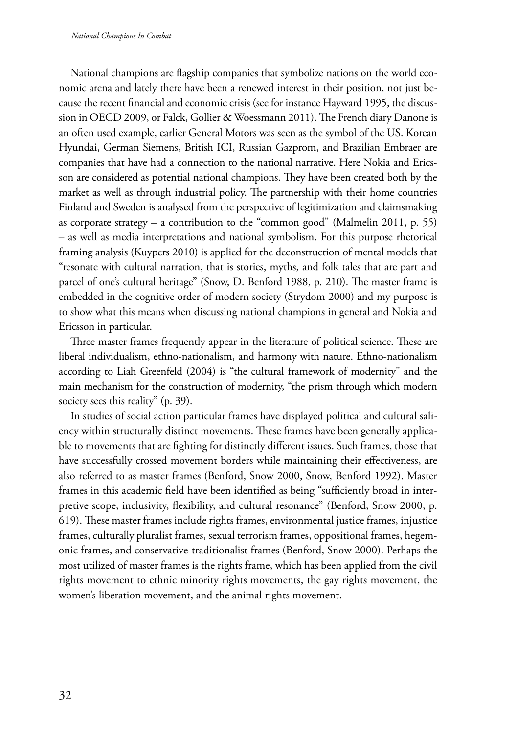National champions are flagship companies that symbolize nations on the world economic arena and lately there have been a renewed interest in their position, not just because the recent financial and economic crisis (see for instance Hayward 1995, the discussion in OECD 2009, or Falck, Gollier & Woessmann 2011). The French diary Danone is an often used example, earlier General Motors was seen as the symbol of the US. Korean Hyundai, German Siemens, British ICI, Russian Gazprom, and Brazilian Embraer are companies that have had a connection to the national narrative. Here Nokia and Ericsson are considered as potential national champions. They have been created both by the market as well as through industrial policy. The partnership with their home countries Finland and Sweden is analysed from the perspective of legitimization and claimsmaking as corporate strategy – a contribution to the "common good" (Malmelin 2011, p. 55) – as well as media interpretations and national symbolism. For this purpose rhetorical framing analysis (Kuypers 2010) is applied for the deconstruction of mental models that "resonate with cultural narration, that is stories, myths, and folk tales that are part and parcel of one's cultural heritage" (Snow, D. Benford 1988, p. 210). The master frame is embedded in the cognitive order of modern society (Strydom 2000) and my purpose is to show what this means when discussing national champions in general and Nokia and Ericsson in particular.

Three master frames frequently appear in the literature of political science. These are liberal individualism, ethno-nationalism, and harmony with nature. Ethno-nationalism according to Liah Greenfeld (2004) is "the cultural framework of modernity" and the main mechanism for the construction of modernity, "the prism through which modern society sees this reality" (p. 39).

In studies of social action particular frames have displayed political and cultural saliency within structurally distinct movements. These frames have been generally applicable to movements that are fighting for distinctly different issues. Such frames, those that have successfully crossed movement borders while maintaining their effectiveness, are also referred to as master frames (Benford, Snow 2000, Snow, Benford 1992). Master frames in this academic field have been identified as being "sufficiently broad in interpretive scope, inclusivity, flexibility, and cultural resonance" (Benford, Snow 2000, p. 619). These master frames include rights frames, environmental justice frames, injustice frames, culturally pluralist frames, sexual terrorism frames, oppositional frames, hegemonic frames, and conservative-traditionalist frames (Benford, Snow 2000). Perhaps the most utilized of master frames is the rights frame, which has been applied from the civil rights movement to ethnic minority rights movements, the gay rights movement, the women's liberation movement, and the animal rights movement.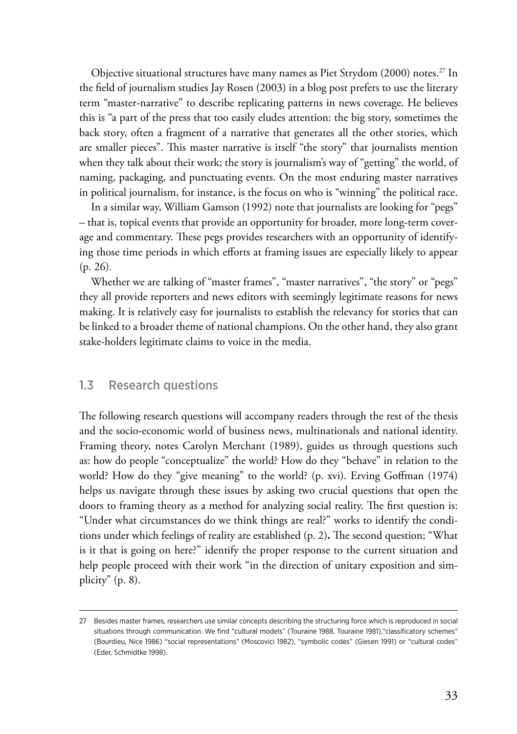<span id="page-32-0"></span>Objective situational structures have many names as Piet Strydom (2000) notes.<sup>27</sup> In the field of journalism studies Jay Rosen (2003) in a blog post prefers to use the literary term "master-narrative" to describe replicating patterns in news coverage. He believes this is "a part of the press that too easily eludes attention: the big story, sometimes the back story, often a fragment of a narrative that generates all the other stories, which are smaller pieces". This master narrative is itself "the story" that journalists mention when they talk about their work; the story is journalism's way of "getting" the world, of naming, packaging, and punctuating events. On the most enduring master narratives in political journalism, for instance, is the focus on who is "winning" the political race.

In a similar way, William Gamson (1992) note that journalists are looking for "pegs" – that is, topical events that provide an opportunity for broader, more long-term coverage and commentary. These pegs provides researchers with an opportunity of identifying those time periods in which efforts at framing issues are especially likely to appear (p. 26)*.*

Whether we are talking of "master frames", "master narratives", "the story" or "pegs" they all provide reporters and news editors with seemingly legitimate reasons for news making. It is relatively easy for journalists to establish the relevancy for stories that can be linked to a broader theme of national champions. On the other hand, they also grant stake-holders legitimate claims to voice in the media.

#### 1.3 Research questions

The following research questions will accompany readers through the rest of the thesis and the socio-economic world of business news, multinationals and national identity. Framing theory, notes Carolyn Merchant (1989), guides us through questions such as: how do people "conceptualize" the world? How do they "behave" in relation to the world? How do they "give meaning" to the world? (p. xvi). Erving Goffman (1974) helps us navigate through these issues by asking two crucial questions that open the doors to framing theory as a method for analyzing social reality. The first question is: "Under what circumstances do we think things are real?" works to identify the conditions under which feelings of reality are established (p. 2)**.** The second question; "What is it that is going on here?" identify the proper response to the current situation and help people proceed with their work "in the direction of unitary exposition and simplicity" (p. 8).

<sup>27</sup> Besides master frames, researchers use similar concepts describing the structuring force which is reproduced in social situations through communication. We find "cultural models" (Touraine 1988, Touraine 1981),"classificatory schemes" (Bourdieu, Nice 1986) "social representations" (Moscovici 1982), "symbolic codes" (Giesen 1991) or "cultural codes" (Eder, Schmidtke 1998).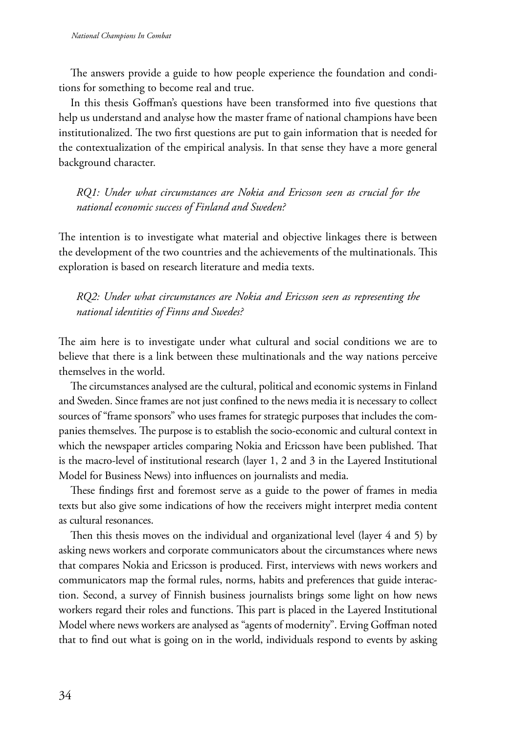The answers provide a guide to how people experience the foundation and conditions for something to become real and true.

In this thesis Goffman's questions have been transformed into five questions that help us understand and analyse how the master frame of national champions have been institutionalized. The two first questions are put to gain information that is needed for the contextualization of the empirical analysis. In that sense they have a more general background character.

*RQ1: Under what circumstances are Nokia and Ericsson seen as crucial for the national economic success of Finland and Sweden?*

The intention is to investigate what material and objective linkages there is between the development of the two countries and the achievements of the multinationals. This exploration is based on research literature and media texts.

*RQ2: Under what circumstances are Nokia and Ericsson seen as representing the national identities of Finns and Swedes?*

The aim here is to investigate under what cultural and social conditions we are to believe that there is a link between these multinationals and the way nations perceive themselves in the world.

The circumstances analysed are the cultural, political and economic systems in Finland and Sweden. Since frames are not just confined to the news media it is necessary to collect sources of "frame sponsors" who uses frames for strategic purposes that includes the companies themselves. The purpose is to establish the socio-economic and cultural context in which the newspaper articles comparing Nokia and Ericsson have been published. That is the macro-level of institutional research (layer 1, 2 and 3 in the Layered Institutional Model for Business News) into influences on journalists and media.

These findings first and foremost serve as a guide to the power of frames in media texts but also give some indications of how the receivers might interpret media content as cultural resonances.

Then this thesis moves on the individual and organizational level (layer 4 and 5) by asking news workers and corporate communicators about the circumstances where news that compares Nokia and Ericsson is produced. First, interviews with news workers and communicators map the formal rules, norms, habits and preferences that guide interaction. Second, a survey of Finnish business journalists brings some light on how news workers regard their roles and functions. This part is placed in the Layered Institutional Model where news workers are analysed as "agents of modernity". Erving Goffman noted that to find out what is going on in the world, individuals respond to events by asking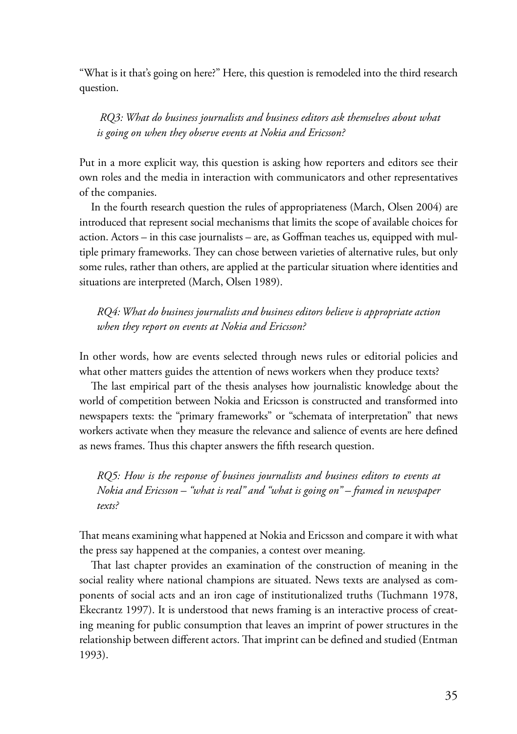"What is it that's going on here?" Here, this question is remodeled into the third research question.

 *RQ3: What do business journalists and business editors ask themselves about what is going on when they observe events at Nokia and Ericsson?*

Put in a more explicit way, this question is asking how reporters and editors see their own roles and the media in interaction with communicators and other representatives of the companies.

In the fourth research question the rules of appropriateness (March, Olsen 2004) are introduced that represent social mechanisms that limits the scope of available choices for action. Actors – in this case journalists – are, as Goffman teaches us, equipped with multiple primary frameworks. They can chose between varieties of alternative rules, but only some rules, rather than others, are applied at the particular situation where identities and situations are interpreted (March, Olsen 1989).

*RQ4: What do business journalists and business editors believe is appropriate action when they report on events at Nokia and Ericsson?*

In other words, how are events selected through news rules or editorial policies and what other matters guides the attention of news workers when they produce texts?

The last empirical part of the thesis analyses how journalistic knowledge about the world of competition between Nokia and Ericsson is constructed and transformed into newspapers texts: the "primary frameworks" or "schemata of interpretation" that news workers activate when they measure the relevance and salience of events are here defined as news frames. Thus this chapter answers the fifth research question.

*RQ5: How is the response of business journalists and business editors to events at Nokia and Ericsson – "what is real" and "what is going on" – framed in newspaper texts?*

That means examining what happened at Nokia and Ericsson and compare it with what the press say happened at the companies, a contest over meaning.

That last chapter provides an examination of the construction of meaning in the social reality where national champions are situated. News texts are analysed as components of social acts and an iron cage of institutionalized truths (Tuchmann 1978, Ekecrantz 1997). It is understood that news framing is an interactive process of creating meaning for public consumption that leaves an imprint of power structures in the relationship between different actors. That imprint can be defined and studied (Entman 1993).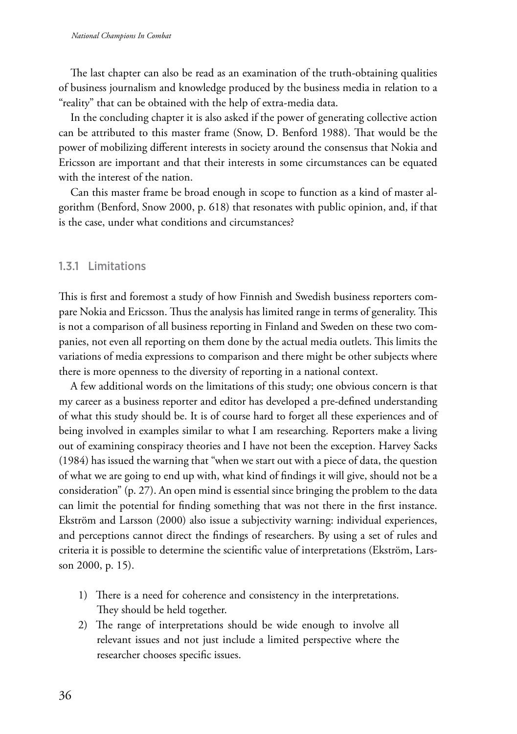<span id="page-35-0"></span>The last chapter can also be read as an examination of the truth-obtaining qualities of business journalism and knowledge produced by the business media in relation to a "reality" that can be obtained with the help of extra-media data.

In the concluding chapter it is also asked if the power of generating collective action can be attributed to this master frame (Snow, D. Benford 1988). That would be the power of mobilizing different interests in society around the consensus that Nokia and Ericsson are important and that their interests in some circumstances can be equated with the interest of the nation.

Can this master frame be broad enough in scope to function as a kind of master algorithm (Benford, Snow 2000, p. 618) that resonates with public opinion, and, if that is the case, under what conditions and circumstances?

#### 1.3.1 Limitations

This is first and foremost a study of how Finnish and Swedish business reporters compare Nokia and Ericsson. Thus the analysis has limited range in terms of generality. This is not a comparison of all business reporting in Finland and Sweden on these two companies, not even all reporting on them done by the actual media outlets. This limits the variations of media expressions to comparison and there might be other subjects where there is more openness to the diversity of reporting in a national context.

A few additional words on the limitations of this study; one obvious concern is that my career as a business reporter and editor has developed a pre-defined understanding of what this study should be. It is of course hard to forget all these experiences and of being involved in examples similar to what I am researching. Reporters make a living out of examining conspiracy theories and I have not been the exception. Harvey Sacks (1984) has issued the warning that "when we start out with a piece of data, the question of what we are going to end up with, what kind of findings it will give, should not be a consideration" (p. 27). An open mind is essential since bringing the problem to the data can limit the potential for finding something that was not there in the first instance. Ekström and Larsson (2000) also issue a subjectivity warning: individual experiences, and perceptions cannot direct the findings of researchers. By using a set of rules and criteria it is possible to determine the scientific value of interpretations (Ekström, Larsson 2000, p. 15).

- 1) There is a need for coherence and consistency in the interpretations. They should be held together.
- 2) The range of interpretations should be wide enough to involve all relevant issues and not just include a limited perspective where the researcher chooses specific issues.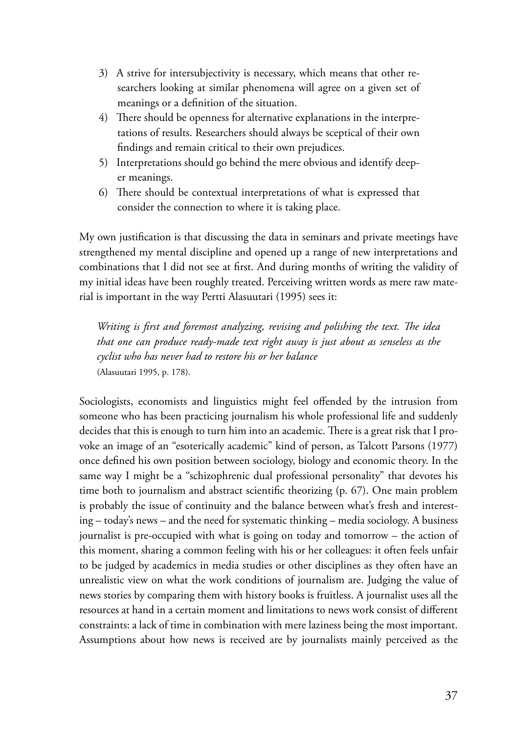- 3) A strive for intersubjectivity is necessary, which means that other researchers looking at similar phenomena will agree on a given set of meanings or a definition of the situation.
- 4) There should be openness for alternative explanations in the interpretations of results. Researchers should always be sceptical of their own findings and remain critical to their own prejudices.
- 5) Interpretations should go behind the mere obvious and identify deeper meanings.
- 6) There should be contextual interpretations of what is expressed that consider the connection to where it is taking place.

My own justification is that discussing the data in seminars and private meetings have strengthened my mental discipline and opened up a range of new interpretations and combinations that I did not see at first. And during months of writing the validity of my initial ideas have been roughly treated. Perceiving written words as mere raw material is important in the way Pertti Alasuutari (1995) sees it:

*Writing is first and foremost analyzing, revising and polishing the text. The idea that one can produce ready-made text right away is just about as senseless as the cyclist who has never had to restore his or her balance*  (Alasuutari 1995, p. 178).

Sociologists, economists and linguistics might feel offended by the intrusion from someone who has been practicing journalism his whole professional life and suddenly decides that this is enough to turn him into an academic. There is a great risk that I provoke an image of an "esoterically academic" kind of person, as Talcott Parsons (1977) once defined his own position between sociology, biology and economic theory. In the same way I might be a "schizophrenic dual professional personality" that devotes his time both to journalism and abstract scientific theorizing (p. 67). One main problem is probably the issue of continuity and the balance between what's fresh and interesting – today's news – and the need for systematic thinking – media sociology. A business journalist is pre-occupied with what is going on today and tomorrow – the action of this moment, sharing a common feeling with his or her colleagues: it often feels unfair to be judged by academics in media studies or other disciplines as they often have an unrealistic view on what the work conditions of journalism are. Judging the value of news stories by comparing them with history books is fruitless. A journalist uses all the resources at hand in a certain moment and limitations to news work consist of different constraints: a lack of time in combination with mere laziness being the most important. Assumptions about how news is received are by journalists mainly perceived as the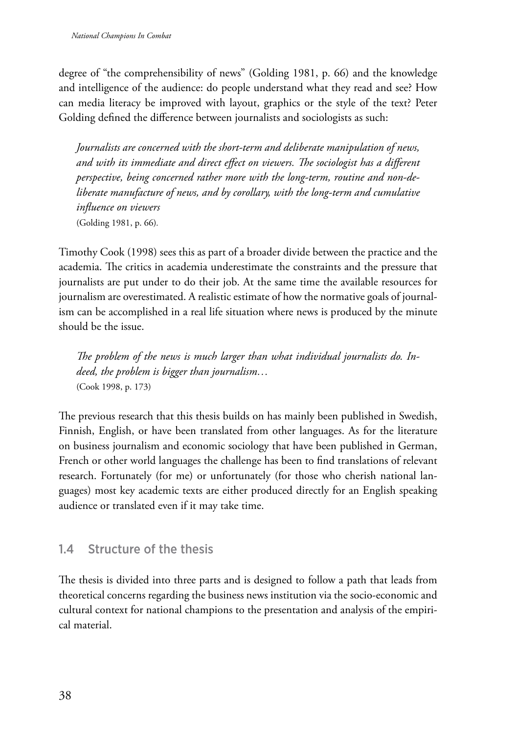degree of "the comprehensibility of news" (Golding 1981, p. 66) and the knowledge and intelligence of the audience: do people understand what they read and see? How can media literacy be improved with layout, graphics or the style of the text? Peter Golding defined the difference between journalists and sociologists as such:

*Journalists are concerned with the short-term and deliberate manipulation of news, and with its immediate and direct effect on viewers. The sociologist has a different perspective, being concerned rather more with the long-term, routine and non-deliberate manufacture of news, and by corollary, with the long-term and cumulative influence on viewers* (Golding 1981, p. 66)*.*

Timothy Cook (1998) sees this as part of a broader divide between the practice and the academia. The critics in academia underestimate the constraints and the pressure that journalists are put under to do their job. At the same time the available resources for journalism are overestimated. A realistic estimate of how the normative goals of journalism can be accomplished in a real life situation where news is produced by the minute should be the issue.

*The problem of the news is much larger than what individual journalists do. Indeed, the problem is bigger than journalism…* (Cook 1998, p. 173)

The previous research that this thesis builds on has mainly been published in Swedish, Finnish, English, or have been translated from other languages. As for the literature on business journalism and economic sociology that have been published in German, French or other world languages the challenge has been to find translations of relevant research. Fortunately (for me) or unfortunately (for those who cherish national languages) most key academic texts are either produced directly for an English speaking audience or translated even if it may take time.

# 1.4 Structure of the thesis

The thesis is divided into three parts and is designed to follow a path that leads from theoretical concerns regarding the business news institution via the socio-economic and cultural context for national champions to the presentation and analysis of the empirical material.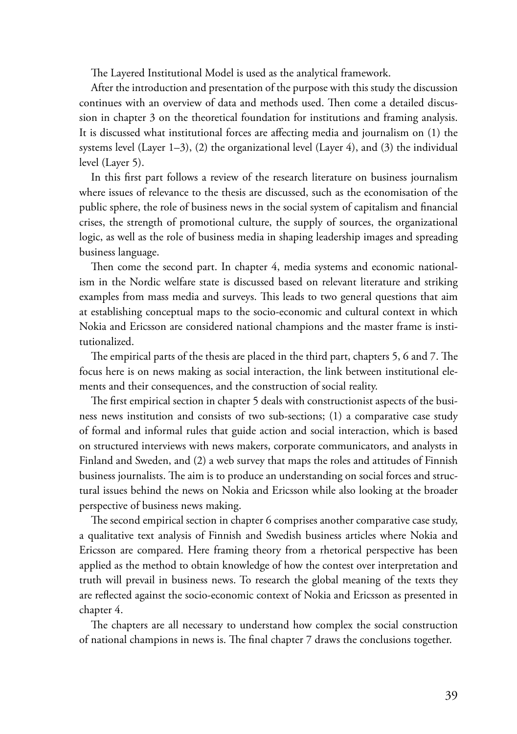The Layered Institutional Model is used as the analytical framework.

After the introduction and presentation of the purpose with this study the discussion continues with an overview of data and methods used. Then come a detailed discussion in chapter 3 on the theoretical foundation for institutions and framing analysis. It is discussed what institutional forces are affecting media and journalism on (1) the systems level (Layer 1–3), (2) the organizational level (Layer 4), and (3) the individual level (Layer 5).

In this first part follows a review of the research literature on business journalism where issues of relevance to the thesis are discussed, such as the economisation of the public sphere, the role of business news in the social system of capitalism and financial crises, the strength of promotional culture, the supply of sources, the organizational logic, as well as the role of business media in shaping leadership images and spreading business language.

Then come the second part. In chapter 4, media systems and economic nationalism in the Nordic welfare state is discussed based on relevant literature and striking examples from mass media and surveys. This leads to two general questions that aim at establishing conceptual maps to the socio-economic and cultural context in which Nokia and Ericsson are considered national champions and the master frame is institutionalized.

The empirical parts of the thesis are placed in the third part, chapters 5, 6 and 7. The focus here is on news making as social interaction, the link between institutional elements and their consequences, and the construction of social reality.

The first empirical section in chapter 5 deals with constructionist aspects of the business news institution and consists of two sub-sections; (1) a comparative case study of formal and informal rules that guide action and social interaction, which is based on structured interviews with news makers, corporate communicators, and analysts in Finland and Sweden, and (2) a web survey that maps the roles and attitudes of Finnish business journalists. The aim is to produce an understanding on social forces and structural issues behind the news on Nokia and Ericsson while also looking at the broader perspective of business news making.

The second empirical section in chapter 6 comprises another comparative case study, a qualitative text analysis of Finnish and Swedish business articles where Nokia and Ericsson are compared. Here framing theory from a rhetorical perspective has been applied as the method to obtain knowledge of how the contest over interpretation and truth will prevail in business news. To research the global meaning of the texts they are reflected against the socio-economic context of Nokia and Ericsson as presented in chapter 4.

The chapters are all necessary to understand how complex the social construction of national champions in news is. The final chapter 7 draws the conclusions together.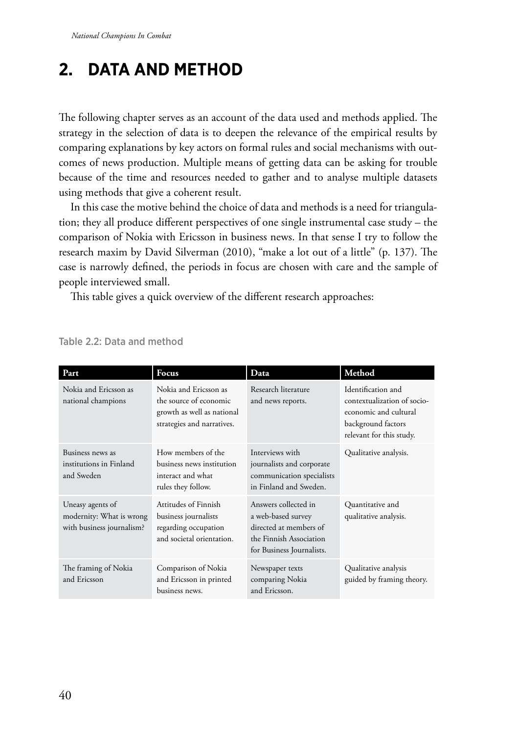# **2. Data and method**

The following chapter serves as an account of the data used and methods applied. The strategy in the selection of data is to deepen the relevance of the empirical results by comparing explanations by key actors on formal rules and social mechanisms with outcomes of news production. Multiple means of getting data can be asking for trouble because of the time and resources needed to gather and to analyse multiple datasets using methods that give a coherent result.

In this case the motive behind the choice of data and methods is a need for triangulation; they all produce different perspectives of one single instrumental case study – the comparison of Nokia with Ericsson in business news. In that sense I try to follow the research maxim by David Silverman (2010), "make a lot out of a little" (p. 137). The case is narrowly defined, the periods in focus are chosen with care and the sample of people interviewed small.

This table gives a quick overview of the different research approaches:

| Part                                                                      | Focus                                                                                                       | Data                                                                                                                         | Method                                                                                                                       |
|---------------------------------------------------------------------------|-------------------------------------------------------------------------------------------------------------|------------------------------------------------------------------------------------------------------------------------------|------------------------------------------------------------------------------------------------------------------------------|
| Nokia and Ericsson as<br>national champions                               | Nokia and Ericsson as<br>the source of economic<br>growth as well as national<br>strategies and narratives. | Research literature<br>and news reports.                                                                                     | Identification and<br>contextualization of socio-<br>economic and cultural<br>background factors<br>relevant for this study. |
| Business news as<br>institutions in Finland<br>and Sweden                 | How members of the<br>business news institution<br>interact and what<br>rules they follow.                  | Interviews with<br>journalists and corporate<br>communication specialists<br>in Finland and Sweden.                          | Qualitative analysis.                                                                                                        |
| Uneasy agents of<br>modernity: What is wrong<br>with business journalism? | Attitudes of Finnish<br>business journalists<br>regarding occupation<br>and societal orientation.           | Answers collected in<br>a web-based survey<br>directed at members of<br>the Finnish Association<br>for Business Journalists. | Quantitative and<br>qualitative analysis.                                                                                    |
| The framing of Nokia<br>and Ericsson                                      | Comparison of Nokia<br>and Ericsson in printed<br>business news.                                            | Newspaper texts<br>comparing Nokia<br>and Ericsson.                                                                          | Qualitative analysis<br>guided by framing theory.                                                                            |

### Table 2.2: Data and method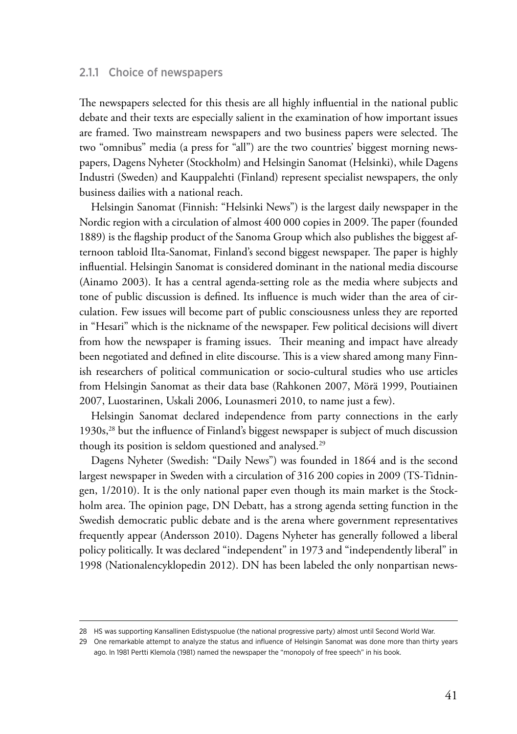### 2.1.1 Choice of newspapers

The newspapers selected for this thesis are all highly influential in the national public debate and their texts are especially salient in the examination of how important issues are framed. Two mainstream newspapers and two business papers were selected. The two "omnibus" media (a press for "all") are the two countries' biggest morning newspapers, Dagens Nyheter (Stockholm) and Helsingin Sanomat (Helsinki), while Dagens Industri (Sweden) and Kauppalehti (Finland) represent specialist newspapers, the only business dailies with a national reach.

Helsingin Sanomat (Finnish: "Helsinki News") is the largest daily newspaper in the Nordic region with a circulation of almost 400 000 copies in 2009. The paper (founded 1889) is the flagship product of the Sanoma Group which also publishes the biggest afternoon tabloid Ilta-Sanomat, Finland's second biggest newspaper. The paper is highly influential. Helsingin Sanomat is considered dominant in the national media discourse (Ainamo 2003). It has a central agenda-setting role as the media where subjects and tone of public discussion is defined. Its influence is much wider than the area of circulation. Few issues will become part of public consciousness unless they are reported in "Hesari" which is the nickname of the newspaper. Few political decisions will divert from how the newspaper is framing issues. Their meaning and impact have already been negotiated and defined in elite discourse. This is a view shared among many Finnish researchers of political communication or socio-cultural studies who use articles from Helsingin Sanomat as their data base (Rahkonen 2007, Mörä 1999, Poutiainen 2007, Luostarinen, Uskali 2006, Lounasmeri 2010, to name just a few).

Helsingin Sanomat declared independence from party connections in the early 1930s,<sup>28</sup> but the influence of Finland's biggest newspaper is subject of much discussion though its position is seldom questioned and analysed.29

Dagens Nyheter (Swedish: "Daily News") was founded in 1864 and is the second largest newspaper in Sweden with a circulation of 316 200 copies in 2009 (TS-Tidningen, 1/2010). It is the only national paper even though its main market is the Stockholm area. The opinion page, DN Debatt, has a strong agenda setting function in the Swedish democratic public debate and is the arena where government representatives frequently appear (Andersson 2010). Dagens Nyheter has generally followed a liberal policy politically. It was declared "independent" in 1973 and "independently liberal" in 1998 (Nationalencyklopedin 2012). DN has been labeled the only nonpartisan news-

<sup>28</sup> HS was supporting Kansallinen Edistyspuolue (the national progressive party) almost until Second World War.

<sup>29</sup> One remarkable attempt to analyze the status and influence of Helsingin Sanomat was done more than thirty years ago. In 1981 Pertti Klemola (1981) named the newspaper the "monopoly of free speech" in his book.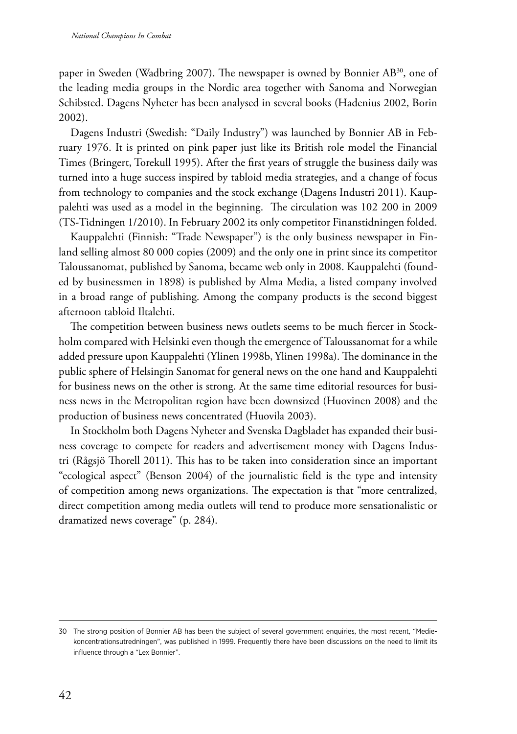paper in Sweden (Wadbring 2007). The newspaper is owned by Bonnier AB<sup>30</sup>, one of the leading media groups in the Nordic area together with Sanoma and Norwegian Schibsted. Dagens Nyheter has been analysed in several books (Hadenius 2002, Borin 2002).

Dagens Industri (Swedish: "Daily Industry") was launched by Bonnier AB in February 1976. It is printed on pink paper just like its British role model the Financial Times (Bringert, Torekull 1995). After the first years of struggle the business daily was turned into a huge success inspired by tabloid media strategies, and a change of focus from technology to companies and the stock exchange (Dagens Industri 2011). Kauppalehti was used as a model in the beginning. The circulation was 102 200 in 2009 (TS-Tidningen 1/2010). In February 2002 its only competitor Finanstidningen folded.

Kauppalehti (Finnish: "Trade Newspaper") is the only business newspaper in Finland selling almost 80 000 copies (2009) and the only one in print since its competitor Taloussanomat, published by Sanoma, became web only in 2008. Kauppalehti (founded by businessmen in 1898) is published by Alma Media, a listed company involved in a broad range of publishing. Among the company products is the second biggest afternoon tabloid Iltalehti.

The competition between business news outlets seems to be much fiercer in Stockholm compared with Helsinki even though the emergence of Taloussanomat for a while added pressure upon Kauppalehti (Ylinen 1998b, Ylinen 1998a). The dominance in the public sphere of Helsingin Sanomat for general news on the one hand and Kauppalehti for business news on the other is strong. At the same time editorial resources for business news in the Metropolitan region have been downsized (Huovinen 2008) and the production of business news concentrated (Huovila 2003).

In Stockholm both Dagens Nyheter and Svenska Dagbladet has expanded their business coverage to compete for readers and advertisement money with Dagens Industri (Rågsjö Thorell 2011). This has to be taken into consideration since an important "ecological aspect" (Benson 2004) of the journalistic field is the type and intensity of competition among news organizations. The expectation is that "more centralized, direct competition among media outlets will tend to produce more sensationalistic or dramatized news coverage" (p. 284).

<sup>30</sup> The strong position of Bonnier AB has been the subject of several government enquiries, the most recent, "Mediekoncentrationsutredningen", was published in 1999. Frequently there have been discussions on the need to limit its influence through a "Lex Bonnier".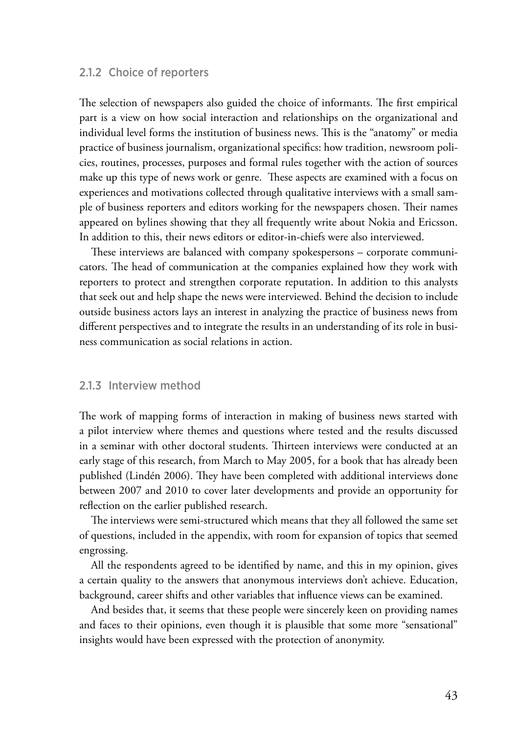### 2.1.2 Choice of reporters

The selection of newspapers also guided the choice of informants. The first empirical part is a view on how social interaction and relationships on the organizational and individual level forms the institution of business news. This is the "anatomy" or media practice of business journalism, organizational specifics: how tradition, newsroom policies, routines, processes, purposes and formal rules together with the action of sources make up this type of news work or genre. These aspects are examined with a focus on experiences and motivations collected through qualitative interviews with a small sample of business reporters and editors working for the newspapers chosen. Their names appeared on bylines showing that they all frequently write about Nokia and Ericsson. In addition to this, their news editors or editor-in-chiefs were also interviewed.

These interviews are balanced with company spokespersons – corporate communicators. The head of communication at the companies explained how they work with reporters to protect and strengthen corporate reputation. In addition to this analysts that seek out and help shape the news were interviewed. Behind the decision to include outside business actors lays an interest in analyzing the practice of business news from different perspectives and to integrate the results in an understanding of its role in business communication as social relations in action.

## 2.1.3 Interview method

The work of mapping forms of interaction in making of business news started with a pilot interview where themes and questions where tested and the results discussed in a seminar with other doctoral students. Thirteen interviews were conducted at an early stage of this research, from March to May 2005, for a book that has already been published (Lindén 2006). They have been completed with additional interviews done between 2007 and 2010 to cover later developments and provide an opportunity for reflection on the earlier published research.

The interviews were semi-structured which means that they all followed the same set of questions, included in the appendix, with room for expansion of topics that seemed engrossing.

All the respondents agreed to be identified by name, and this in my opinion, gives a certain quality to the answers that anonymous interviews don't achieve. Education, background, career shifts and other variables that influence views can be examined.

And besides that, it seems that these people were sincerely keen on providing names and faces to their opinions, even though it is plausible that some more "sensational" insights would have been expressed with the protection of anonymity.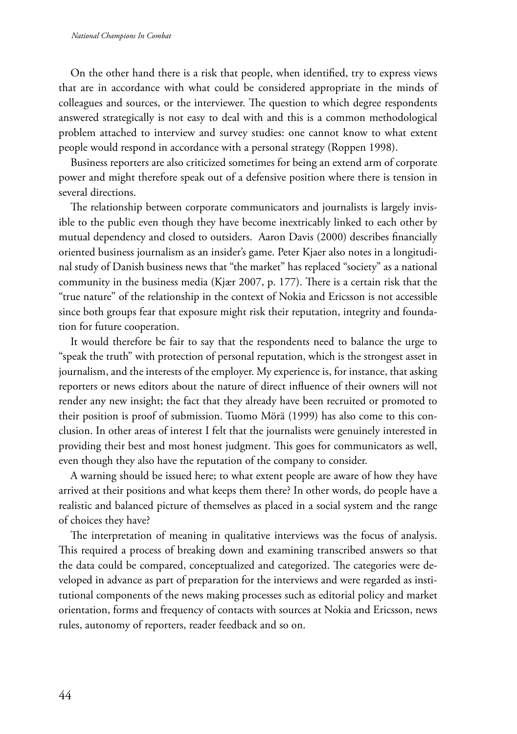On the other hand there is a risk that people, when identified, try to express views that are in accordance with what could be considered appropriate in the minds of colleagues and sources, or the interviewer. The question to which degree respondents answered strategically is not easy to deal with and this is a common methodological problem attached to interview and survey studies: one cannot know to what extent people would respond in accordance with a personal strategy (Roppen 1998).

Business reporters are also criticized sometimes for being an extend arm of corporate power and might therefore speak out of a defensive position where there is tension in several directions.

The relationship between corporate communicators and journalists is largely invisible to the public even though they have become inextricably linked to each other by mutual dependency and closed to outsiders. Aaron Davis (2000) describes financially oriented business journalism as an insider's game. Peter Kjaer also notes in a longitudinal study of Danish business news that "the market" has replaced "society" as a national community in the business media (Kjær 2007, p. 177). There is a certain risk that the "true nature" of the relationship in the context of Nokia and Ericsson is not accessible since both groups fear that exposure might risk their reputation, integrity and foundation for future cooperation.

It would therefore be fair to say that the respondents need to balance the urge to "speak the truth" with protection of personal reputation, which is the strongest asset in journalism, and the interests of the employer. My experience is, for instance, that asking reporters or news editors about the nature of direct influence of their owners will not render any new insight; the fact that they already have been recruited or promoted to their position is proof of submission. Tuomo Mörä (1999) has also come to this conclusion. In other areas of interest I felt that the journalists were genuinely interested in providing their best and most honest judgment. This goes for communicators as well, even though they also have the reputation of the company to consider.

A warning should be issued here; to what extent people are aware of how they have arrived at their positions and what keeps them there? In other words, do people have a realistic and balanced picture of themselves as placed in a social system and the range of choices they have?

The interpretation of meaning in qualitative interviews was the focus of analysis. This required a process of breaking down and examining transcribed answers so that the data could be compared, conceptualized and categorized. The categories were developed in advance as part of preparation for the interviews and were regarded as institutional components of the news making processes such as editorial policy and market orientation, forms and frequency of contacts with sources at Nokia and Ericsson, news rules, autonomy of reporters, reader feedback and so on.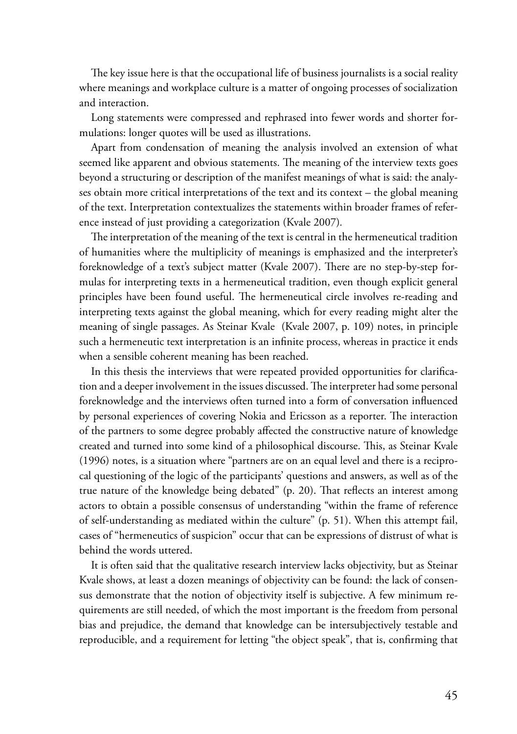The key issue here is that the occupational life of business journalists is a social reality where meanings and workplace culture is a matter of ongoing processes of socialization and interaction.

Long statements were compressed and rephrased into fewer words and shorter formulations: longer quotes will be used as illustrations.

Apart from condensation of meaning the analysis involved an extension of what seemed like apparent and obvious statements. The meaning of the interview texts goes beyond a structuring or description of the manifest meanings of what is said: the analyses obtain more critical interpretations of the text and its context – the global meaning of the text. Interpretation contextualizes the statements within broader frames of reference instead of just providing a categorization (Kvale 2007)*.*

The interpretation of the meaning of the text is central in the hermeneutical tradition of humanities where the multiplicity of meanings is emphasized and the interpreter's foreknowledge of a text's subject matter (Kvale 2007). There are no step-by-step formulas for interpreting texts in a hermeneutical tradition, even though explicit general principles have been found useful. The hermeneutical circle involves re-reading and interpreting texts against the global meaning, which for every reading might alter the meaning of single passages. As Steinar Kvale (Kvale 2007, p. 109) notes, in principle such a hermeneutic text interpretation is an infinite process, whereas in practice it ends when a sensible coherent meaning has been reached.

In this thesis the interviews that were repeated provided opportunities for clarification and a deeper involvement in the issues discussed. The interpreter had some personal foreknowledge and the interviews often turned into a form of conversation influenced by personal experiences of covering Nokia and Ericsson as a reporter. The interaction of the partners to some degree probably affected the constructive nature of knowledge created and turned into some kind of a philosophical discourse. This, as Steinar Kvale (1996) notes, is a situation where "partners are on an equal level and there is a reciprocal questioning of the logic of the participants' questions and answers, as well as of the true nature of the knowledge being debated" (p. 20). That reflects an interest among actors to obtain a possible consensus of understanding "within the frame of reference of self-understanding as mediated within the culture" (p. 51). When this attempt fail, cases of "hermeneutics of suspicion" occur that can be expressions of distrust of what is behind the words uttered.

It is often said that the qualitative research interview lacks objectivity, but as Steinar Kvale shows, at least a dozen meanings of objectivity can be found: the lack of consensus demonstrate that the notion of objectivity itself is subjective. A few minimum requirements are still needed, of which the most important is the freedom from personal bias and prejudice, the demand that knowledge can be intersubjectively testable and reproducible, and a requirement for letting "the object speak", that is, confirming that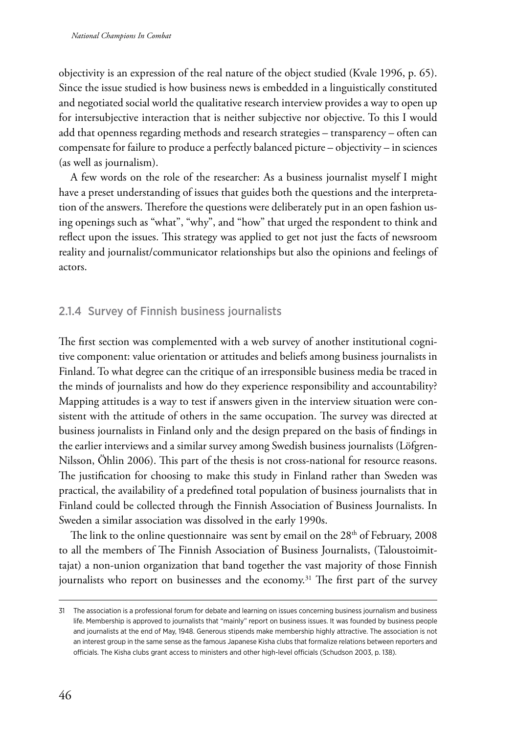objectivity is an expression of the real nature of the object studied (Kvale 1996, p. 65). Since the issue studied is how business news is embedded in a linguistically constituted and negotiated social world the qualitative research interview provides a way to open up for intersubjective interaction that is neither subjective nor objective. To this I would add that openness regarding methods and research strategies – transparency – often can compensate for failure to produce a perfectly balanced picture – objectivity – in sciences (as well as journalism).

A few words on the role of the researcher: As a business journalist myself I might have a preset understanding of issues that guides both the questions and the interpretation of the answers. Therefore the questions were deliberately put in an open fashion using openings such as "what", "why", and "how" that urged the respondent to think and reflect upon the issues. This strategy was applied to get not just the facts of newsroom reality and journalist/communicator relationships but also the opinions and feelings of actors.

## 2.1.4 Survey of Finnish business journalists

The first section was complemented with a web survey of another institutional cognitive component: value orientation or attitudes and beliefs among business journalists in Finland. To what degree can the critique of an irresponsible business media be traced in the minds of journalists and how do they experience responsibility and accountability? Mapping attitudes is a way to test if answers given in the interview situation were consistent with the attitude of others in the same occupation. The survey was directed at business journalists in Finland only and the design prepared on the basis of findings in the earlier interviews and a similar survey among Swedish business journalists (Löfgren-Nilsson, Öhlin 2006). This part of the thesis is not cross-national for resource reasons. The justification for choosing to make this study in Finland rather than Sweden was practical, the availability of a predefined total population of business journalists that in Finland could be collected through the Finnish Association of Business Journalists. In Sweden a similar association was dissolved in the early 1990s.

The link to the online questionnaire was sent by email on the  $28<sup>th</sup>$  of February, 2008 to all the members of The Finnish Association of Business Journalists, (Taloustoimittajat) a non-union organization that band together the vast majority of those Finnish journalists who report on businesses and the economy.<sup>31</sup> The first part of the survey

<sup>31</sup> The association is a professional forum for debate and learning on issues concerning business journalism and business life. Membership is approved to journalists that "mainly" report on business issues. It was founded by business people and journalists at the end of May, 1948. Generous stipends make membership highly attractive. The association is not an interest group in the same sense as the famous Japanese Kisha clubs that formalize relations between reporters and officials. The Kisha clubs grant access to ministers and other high-level officials (Schudson 2003, p. 138).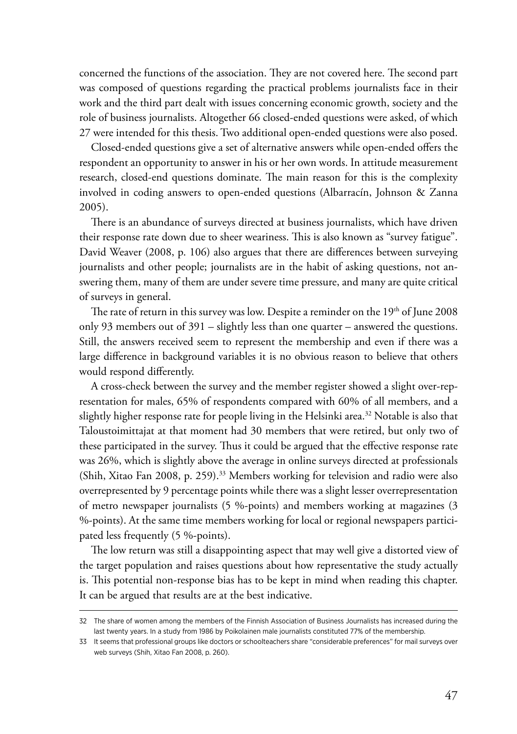concerned the functions of the association. They are not covered here. The second part was composed of questions regarding the practical problems journalists face in their work and the third part dealt with issues concerning economic growth, society and the role of business journalists. Altogether 66 closed-ended questions were asked, of which 27 were intended for this thesis. Two additional open-ended questions were also posed.

Closed-ended questions give a set of alternative answers while open-ended offers the respondent an opportunity to answer in his or her own words. In attitude measurement research, closed-end questions dominate. The main reason for this is the complexity involved in coding answers to open-ended questions (Albarracín, Johnson & Zanna 2005).

There is an abundance of surveys directed at business journalists, which have driven their response rate down due to sheer weariness. This is also known as "survey fatigue". David Weaver (2008, p. 106) also argues that there are differences between surveying journalists and other people; journalists are in the habit of asking questions, not answering them, many of them are under severe time pressure, and many are quite critical of surveys in general.

The rate of return in this survey was low. Despite a reminder on the  $19<sup>th</sup>$  of June 2008 only 93 members out of 391 – slightly less than one quarter – answered the questions. Still, the answers received seem to represent the membership and even if there was a large difference in background variables it is no obvious reason to believe that others would respond differently.

A cross-check between the survey and the member register showed a slight over-representation for males, 65% of respondents compared with 60% of all members, and a slightly higher response rate for people living in the Helsinki area.<sup>32</sup> Notable is also that Taloustoimittajat at that moment had 30 members that were retired, but only two of these participated in the survey. Thus it could be argued that the effective response rate was 26%, which is slightly above the average in online surveys directed at professionals (Shih, Xitao Fan 2008, p. 259).<sup>33</sup> Members working for television and radio were also overrepresented by 9 percentage points while there was a slight lesser overrepresentation of metro newspaper journalists (5 %-points) and members working at magazines (3 %-points). At the same time members working for local or regional newspapers participated less frequently (5 %-points).

The low return was still a disappointing aspect that may well give a distorted view of the target population and raises questions about how representative the study actually is. This potential non-response bias has to be kept in mind when reading this chapter. It can be argued that results are at the best indicative.

<sup>32</sup> The share of women among the members of the Finnish Association of Business Journalists has increased during the last twenty years. In a study from 1986 by Poikolainen male journalists constituted 77% of the membership.

<sup>33</sup> It seems that professional groups like doctors or schoolteachers share "considerable preferences" for mail surveys over web surveys (Shih, Xitao Fan 2008, p. 260).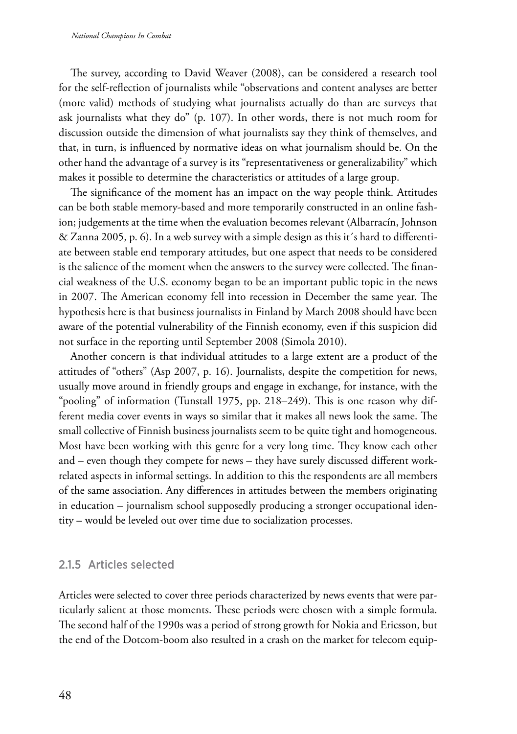The survey, according to David Weaver (2008), can be considered a research tool for the self-reflection of journalists while "observations and content analyses are better (more valid) methods of studying what journalists actually do than are surveys that ask journalists what they do" (p. 107). In other words, there is not much room for discussion outside the dimension of what journalists say they think of themselves, and that, in turn, is influenced by normative ideas on what journalism should be. On the other hand the advantage of a survey is its "representativeness or generalizability" which makes it possible to determine the characteristics or attitudes of a large group.

The significance of the moment has an impact on the way people think. Attitudes can be both stable memory-based and more temporarily constructed in an online fashion; judgements at the time when the evaluation becomes relevant (Albarracín, Johnson & Zanna 2005, p. 6). In a web survey with a simple design as this it´s hard to differentiate between stable end temporary attitudes, but one aspect that needs to be considered is the salience of the moment when the answers to the survey were collected. The financial weakness of the U.S. economy began to be an important public topic in the news in 2007. The American economy fell into recession in December the same year. The hypothesis here is that business journalists in Finland by March 2008 should have been aware of the potential vulnerability of the Finnish economy, even if this suspicion did not surface in the reporting until September 2008 (Simola 2010).

Another concern is that individual attitudes to a large extent are a product of the attitudes of "others" (Asp 2007, p. 16). Journalists, despite the competition for news, usually move around in friendly groups and engage in exchange, for instance, with the "pooling" of information (Tunstall 1975, pp. 218–249). This is one reason why different media cover events in ways so similar that it makes all news look the same. The small collective of Finnish business journalists seem to be quite tight and homogeneous. Most have been working with this genre for a very long time. They know each other and – even though they compete for news – they have surely discussed different workrelated aspects in informal settings. In addition to this the respondents are all members of the same association. Any differences in attitudes between the members originating in education – journalism school supposedly producing a stronger occupational identity – would be leveled out over time due to socialization processes.

## 2.1.5 Articles selected

Articles were selected to cover three periods characterized by news events that were particularly salient at those moments. These periods were chosen with a simple formula. The second half of the 1990s was a period of strong growth for Nokia and Ericsson, but the end of the Dotcom-boom also resulted in a crash on the market for telecom equip-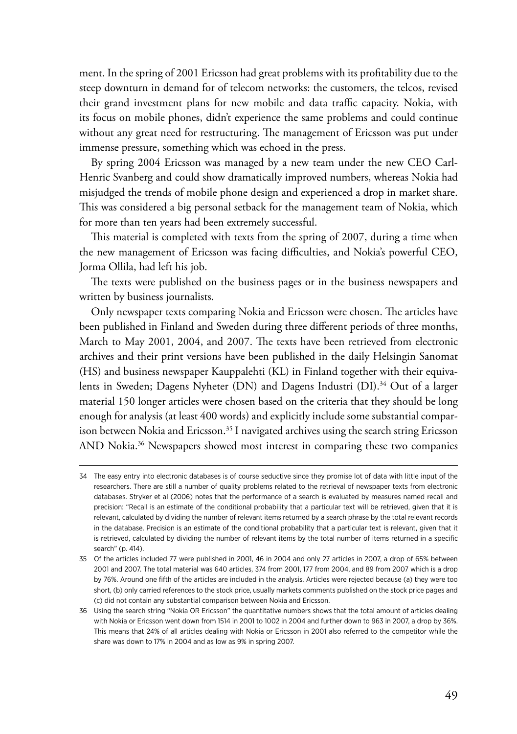ment. In the spring of 2001 Ericsson had great problems with its profitability due to the steep downturn in demand for of telecom networks: the customers, the telcos, revised their grand investment plans for new mobile and data traffic capacity. Nokia, with its focus on mobile phones, didn't experience the same problems and could continue without any great need for restructuring. The management of Ericsson was put under immense pressure, something which was echoed in the press.

By spring 2004 Ericsson was managed by a new team under the new CEO Carl-Henric Svanberg and could show dramatically improved numbers, whereas Nokia had misjudged the trends of mobile phone design and experienced a drop in market share. This was considered a big personal setback for the management team of Nokia, which for more than ten years had been extremely successful.

This material is completed with texts from the spring of 2007, during a time when the new management of Ericsson was facing difficulties, and Nokia's powerful CEO, Jorma Ollila, had left his job.

The texts were published on the business pages or in the business newspapers and written by business journalists.

Only newspaper texts comparing Nokia and Ericsson were chosen. The articles have been published in Finland and Sweden during three different periods of three months, March to May 2001, 2004, and 2007. The texts have been retrieved from electronic archives and their print versions have been published in the daily Helsingin Sanomat (HS) and business newspaper Kauppalehti (KL) in Finland together with their equivalents in Sweden; Dagens Nyheter (DN) and Dagens Industri (DI).<sup>34</sup> Out of a larger material 150 longer articles were chosen based on the criteria that they should be long enough for analysis (at least 400 words) and explicitly include some substantial comparison between Nokia and Ericsson.<sup>35</sup> I navigated archives using the search string Ericsson AND Nokia.<sup>36</sup> Newspapers showed most interest in comparing these two companies

<sup>34</sup> The easy entry into electronic databases is of course seductive since they promise lot of data with little input of the researchers. There are still a number of quality problems related to the retrieval of newspaper texts from electronic databases. Stryker et al (2006) notes that the performance of a search is evaluated by measures named recall and precision: "Recall is an estimate of the conditional probability that a particular text will be retrieved, given that it is relevant, calculated by dividing the number of relevant items returned by a search phrase by the total relevant records in the database. Precision is an estimate of the conditional probability that a particular text is relevant, given that it is retrieved, calculated by dividing the number of relevant items by the total number of items returned in a specific search" (p. 414).

<sup>35</sup> Of the articles included 77 were published in 2001, 46 in 2004 and only 27 articles in 2007, a drop of 65% between 2001 and 2007. The total material was 640 articles, 374 from 2001, 177 from 2004, and 89 from 2007 which is a drop by 76%. Around one fifth of the articles are included in the analysis. Articles were rejected because (a) they were too short, (b) only carried references to the stock price, usually markets comments published on the stock price pages and (c) did not contain any substantial comparison between Nokia and Ericsson.

<sup>36</sup> Using the search string "Nokia OR Ericsson" the quantitative numbers shows that the total amount of articles dealing with Nokia or Ericsson went down from 1514 in 2001 to 1002 in 2004 and further down to 963 in 2007, a drop by 36%. This means that 24% of all articles dealing with Nokia or Ericsson in 2001 also referred to the competitor while the share was down to 17% in 2004 and as low as 9% in spring 2007.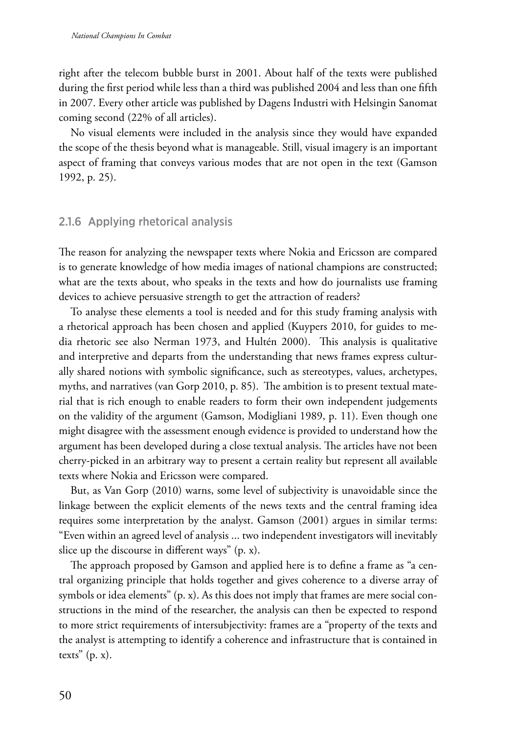right after the telecom bubble burst in 2001. About half of the texts were published during the first period while less than a third was published 2004 and less than one fifth in 2007. Every other article was published by Dagens Industri with Helsingin Sanomat coming second (22% of all articles).

No visual elements were included in the analysis since they would have expanded the scope of the thesis beyond what is manageable. Still, visual imagery is an important aspect of framing that conveys various modes that are not open in the text (Gamson 1992, p. 25).

## 2.1.6 Applying rhetorical analysis

The reason for analyzing the newspaper texts where Nokia and Ericsson are compared is to generate knowledge of how media images of national champions are constructed; what are the texts about, who speaks in the texts and how do journalists use framing devices to achieve persuasive strength to get the attraction of readers?

To analyse these elements a tool is needed and for this study framing analysis with a rhetorical approach has been chosen and applied (Kuypers 2010, for guides to media rhetoric see also Nerman 1973, and Hultén 2000). This analysis is qualitative and interpretive and departs from the understanding that news frames express culturally shared notions with symbolic significance, such as stereotypes, values, archetypes, myths, and narratives (van Gorp 2010, p. 85). The ambition is to present textual material that is rich enough to enable readers to form their own independent judgements on the validity of the argument (Gamson, Modigliani 1989, p. 11). Even though one might disagree with the assessment enough evidence is provided to understand how the argument has been developed during a close textual analysis. The articles have not been cherry-picked in an arbitrary way to present a certain reality but represent all available texts where Nokia and Ericsson were compared.

But, as Van Gorp (2010) warns, some level of subjectivity is unavoidable since the linkage between the explicit elements of the news texts and the central framing idea requires some interpretation by the analyst. Gamson (2001) argues in similar terms: "Even within an agreed level of analysis ... two independent investigators will inevitably slice up the discourse in different ways" (p. x).

The approach proposed by Gamson and applied here is to define a frame as "a central organizing principle that holds together and gives coherence to a diverse array of symbols or idea elements"  $(p, x)$ . As this does not imply that frames are mere social constructions in the mind of the researcher, the analysis can then be expected to respond to more strict requirements of intersubjectivity: frames are a "property of the texts and the analyst is attempting to identify a coherence and infrastructure that is contained in texts"  $(p, x)$ .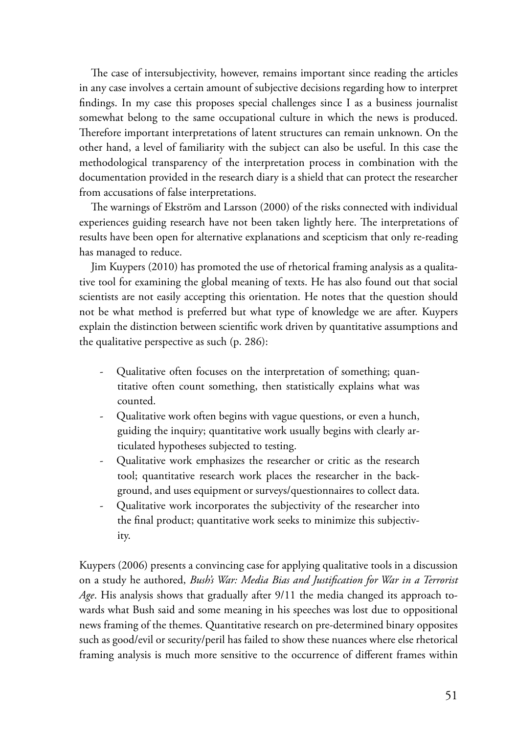The case of intersubjectivity, however, remains important since reading the articles in any case involves a certain amount of subjective decisions regarding how to interpret findings. In my case this proposes special challenges since I as a business journalist somewhat belong to the same occupational culture in which the news is produced. Therefore important interpretations of latent structures can remain unknown. On the other hand, a level of familiarity with the subject can also be useful. In this case the methodological transparency of the interpretation process in combination with the documentation provided in the research diary is a shield that can protect the researcher from accusations of false interpretations.

The warnings of Ekström and Larsson (2000) of the risks connected with individual experiences guiding research have not been taken lightly here. The interpretations of results have been open for alternative explanations and scepticism that only re-reading has managed to reduce.

Jim Kuypers (2010) has promoted the use of rhetorical framing analysis as a qualitative tool for examining the global meaning of texts. He has also found out that social scientists are not easily accepting this orientation. He notes that the question should not be what method is preferred but what type of knowledge we are after. Kuypers explain the distinction between scientific work driven by quantitative assumptions and the qualitative perspective as such (p. 286):

- Qualitative often focuses on the interpretation of something; quantitative often count something, then statistically explains what was counted.
- Qualitative work often begins with vague questions, or even a hunch, guiding the inquiry; quantitative work usually begins with clearly articulated hypotheses subjected to testing.
- Qualitative work emphasizes the researcher or critic as the research tool; quantitative research work places the researcher in the background, and uses equipment or surveys/questionnaires to collect data.
- Qualitative work incorporates the subjectivity of the researcher into the final product; quantitative work seeks to minimize this subjectivity.

Kuypers (2006) presents a convincing case for applying qualitative tools in a discussion on a study he authored, *Bush's War: Media Bias and Justification for War in a Terrorist Age*. His analysis shows that gradually after 9/11 the media changed its approach towards what Bush said and some meaning in his speeches was lost due to oppositional news framing of the themes. Quantitative research on pre-determined binary opposites such as good/evil or security/peril has failed to show these nuances where else rhetorical framing analysis is much more sensitive to the occurrence of different frames within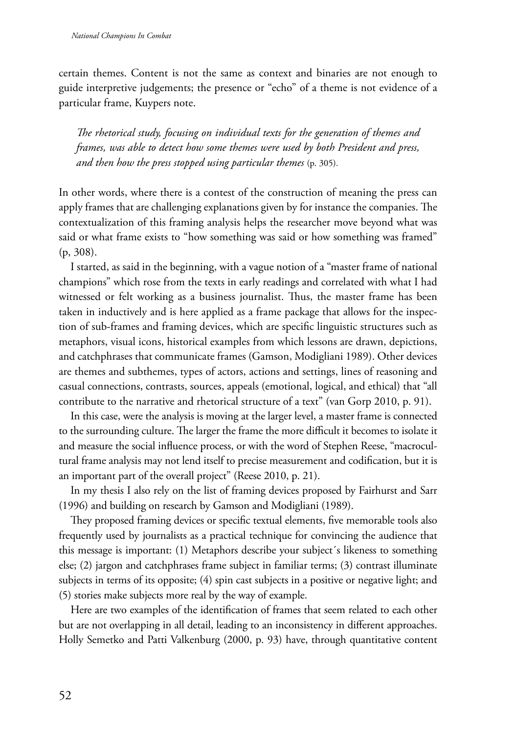certain themes. Content is not the same as context and binaries are not enough to guide interpretive judgements; the presence or "echo" of a theme is not evidence of a particular frame, Kuypers note.

*The rhetorical study, focusing on individual texts for the generation of themes and frames, was able to detect how some themes were used by both President and press, and then how the press stopped using particular themes* (p. 305).

In other words, where there is a contest of the construction of meaning the press can apply frames that are challenging explanations given by for instance the companies. The contextualization of this framing analysis helps the researcher move beyond what was said or what frame exists to "how something was said or how something was framed" (p, 308).

I started, as said in the beginning, with a vague notion of a "master frame of national champions" which rose from the texts in early readings and correlated with what I had witnessed or felt working as a business journalist. Thus, the master frame has been taken in inductively and is here applied as a frame package that allows for the inspection of sub-frames and framing devices, which are specific linguistic structures such as metaphors, visual icons, historical examples from which lessons are drawn, depictions, and catchphrases that communicate frames (Gamson, Modigliani 1989). Other devices are themes and subthemes, types of actors, actions and settings, lines of reasoning and casual connections, contrasts, sources, appeals (emotional, logical, and ethical) that "all contribute to the narrative and rhetorical structure of a text" (van Gorp 2010, p. 91).

In this case, were the analysis is moving at the larger level, a master frame is connected to the surrounding culture. The larger the frame the more difficult it becomes to isolate it and measure the social influence process, or with the word of Stephen Reese, "macrocultural frame analysis may not lend itself to precise measurement and codification, but it is an important part of the overall project" (Reese 2010, p. 21).

In my thesis I also rely on the list of framing devices proposed by Fairhurst and Sarr (1996) and building on research by Gamson and Modigliani (1989).

They proposed framing devices or specific textual elements, five memorable tools also frequently used by journalists as a practical technique for convincing the audience that this message is important: (1) Metaphors describe your subject´s likeness to something else; (2) jargon and catchphrases frame subject in familiar terms; (3) contrast illuminate subjects in terms of its opposite;  $(4)$  spin cast subjects in a positive or negative light; and (5) stories make subjects more real by the way of example.

Here are two examples of the identification of frames that seem related to each other but are not overlapping in all detail, leading to an inconsistency in different approaches. Holly Semetko and Patti Valkenburg (2000, p. 93) have, through quantitative content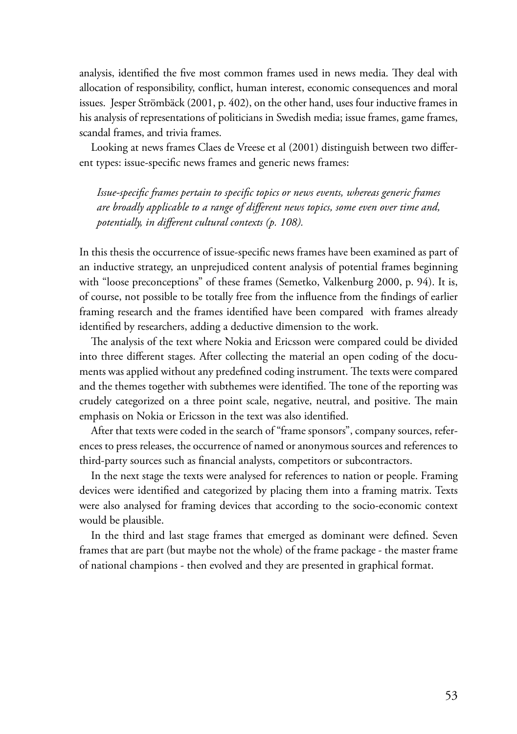analysis, identified the five most common frames used in news media. They deal with allocation of responsibility, conflict, human interest, economic consequences and moral issues. Jesper Strömbäck (2001, p. 402), on the other hand, uses four inductive frames in his analysis of representations of politicians in Swedish media; issue frames, game frames, scandal frames, and trivia frames.

Looking at news frames Claes de Vreese et al (2001) distinguish between two different types: issue-specific news frames and generic news frames:

*Issue-specific frames pertain to specific topics or news events, whereas generic frames are broadly applicable to a range of different news topics, some even over time and, potentially, in different cultural contexts (p. 108).*

In this thesis the occurrence of issue-specific news frames have been examined as part of an inductive strategy, an unprejudiced content analysis of potential frames beginning with "loose preconceptions" of these frames (Semetko, Valkenburg 2000, p. 94). It is, of course, not possible to be totally free from the influence from the findings of earlier framing research and the frames identified have been compared with frames already identified by researchers, adding a deductive dimension to the work.

The analysis of the text where Nokia and Ericsson were compared could be divided into three different stages. After collecting the material an open coding of the documents was applied without any predefined coding instrument. The texts were compared and the themes together with subthemes were identified. The tone of the reporting was crudely categorized on a three point scale, negative, neutral, and positive. The main emphasis on Nokia or Ericsson in the text was also identified.

After that texts were coded in the search of "frame sponsors", company sources, references to press releases, the occurrence of named or anonymous sources and references to third-party sources such as financial analysts, competitors or subcontractors.

In the next stage the texts were analysed for references to nation or people. Framing devices were identified and categorized by placing them into a framing matrix. Texts were also analysed for framing devices that according to the socio-economic context would be plausible.

In the third and last stage frames that emerged as dominant were defined. Seven frames that are part (but maybe not the whole) of the frame package - the master frame of national champions - then evolved and they are presented in graphical format.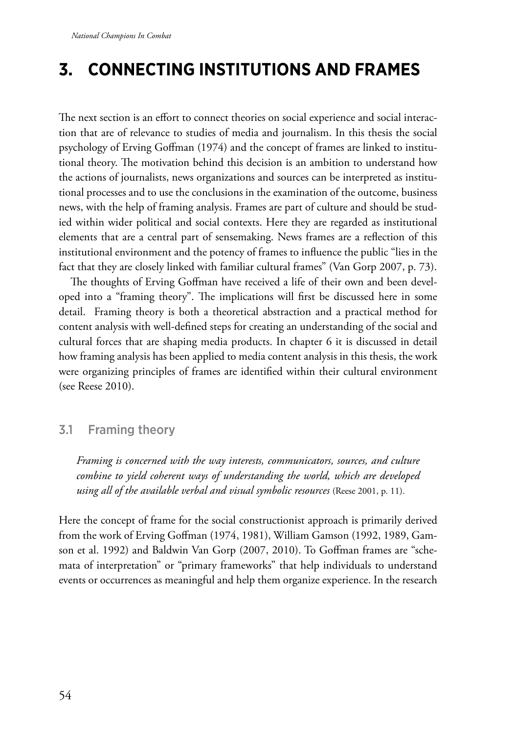# **3. Connecting institutions and frames**

The next section is an effort to connect theories on social experience and social interaction that are of relevance to studies of media and journalism. In this thesis the social psychology of Erving Goffman (1974) and the concept of frames are linked to institutional theory. The motivation behind this decision is an ambition to understand how the actions of journalists, news organizations and sources can be interpreted as institutional processes and to use the conclusions in the examination of the outcome, business news, with the help of framing analysis. Frames are part of culture and should be studied within wider political and social contexts. Here they are regarded as institutional elements that are a central part of sensemaking. News frames are a reflection of this institutional environment and the potency of frames to influence the public "lies in the fact that they are closely linked with familiar cultural frames" (Van Gorp 2007, p. 73).

The thoughts of Erving Goffman have received a life of their own and been developed into a "framing theory". The implications will first be discussed here in some detail. Framing theory is both a theoretical abstraction and a practical method for content analysis with well-defined steps for creating an understanding of the social and cultural forces that are shaping media products. In chapter 6 it is discussed in detail how framing analysis has been applied to media content analysis in this thesis, the work were organizing principles of frames are identified within their cultural environment (see Reese 2010).

# 3.1 Framing theory

*Framing is concerned with the way interests, communicators, sources, and culture combine to yield coherent ways of understanding the world, which are developed using all of the available verbal and visual symbolic resources* (Reese 2001, p. 11).

Here the concept of frame for the social constructionist approach is primarily derived from the work of Erving Goffman (1974, 1981), William Gamson (1992, 1989, Gamson et al. 1992) and Baldwin Van Gorp (2007, 2010). To Goffman frames are "schemata of interpretation" or "primary frameworks" that help individuals to understand events or occurrences as meaningful and help them organize experience. In the research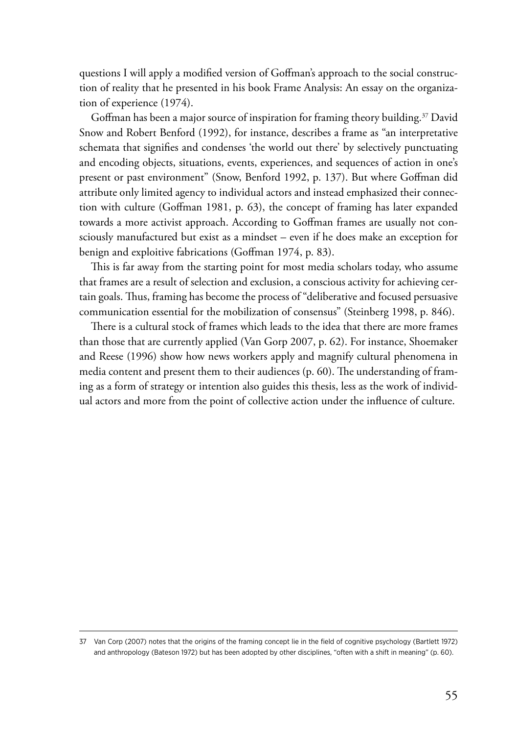questions I will apply a modified version of Goffman's approach to the social construction of reality that he presented in his book Frame Analysis: An essay on the organization of experience (1974).

Goffman has been a major source of inspiration for framing theory building.<sup>37</sup> David Snow and Robert Benford (1992), for instance, describes a frame as "an interpretative schemata that signifies and condenses 'the world out there' by selectively punctuating and encoding objects, situations, events, experiences, and sequences of action in one's present or past environment" (Snow, Benford 1992, p. 137). But where Goffman did attribute only limited agency to individual actors and instead emphasized their connection with culture (Goffman 1981, p. 63), the concept of framing has later expanded towards a more activist approach. According to Goffman frames are usually not consciously manufactured but exist as a mindset – even if he does make an exception for benign and exploitive fabrications (Goffman 1974, p. 83).

This is far away from the starting point for most media scholars today, who assume that frames are a result of selection and exclusion, a conscious activity for achieving certain goals. Thus, framing has become the process of "deliberative and focused persuasive communication essential for the mobilization of consensus" (Steinberg 1998, p. 846).

There is a cultural stock of frames which leads to the idea that there are more frames than those that are currently applied (Van Gorp 2007, p. 62). For instance, Shoemaker and Reese (1996) show how news workers apply and magnify cultural phenomena in media content and present them to their audiences (p. 60). The understanding of framing as a form of strategy or intention also guides this thesis, less as the work of individual actors and more from the point of collective action under the influence of culture.

<sup>37</sup> Van Corp (2007) notes that the origins of the framing concept lie in the field of cognitive psychology (Bartlett 1972) and anthropology (Bateson 1972) but has been adopted by other disciplines, "often with a shift in meaning" (p. 60).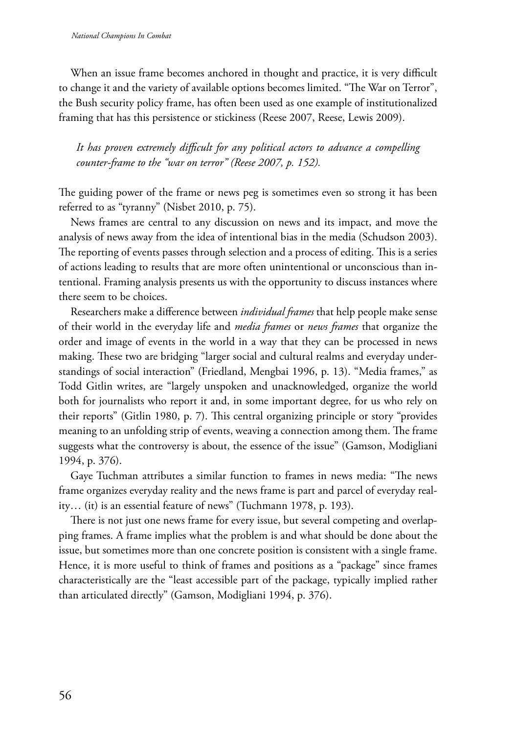When an issue frame becomes anchored in thought and practice, it is very difficult to change it and the variety of available options becomes limited. "The War on Terror", the Bush security policy frame, has often been used as one example of institutionalized framing that has this persistence or stickiness (Reese 2007, Reese, Lewis 2009).

*It has proven extremely difficult for any political actors to advance a compelling counter-frame to the "war on terror" (Reese 2007, p. 152).*

The guiding power of the frame or news peg is sometimes even so strong it has been referred to as "tyranny" (Nisbet 2010, p. 75).

News frames are central to any discussion on news and its impact, and move the analysis of news away from the idea of intentional bias in the media (Schudson 2003). The reporting of events passes through selection and a process of editing. This is a series of actions leading to results that are more often unintentional or unconscious than intentional. Framing analysis presents us with the opportunity to discuss instances where there seem to be choices.

Researchers make a difference between *individual frames* that help people make sense of their world in the everyday life and *media frames* or *news frames* that organize the order and image of events in the world in a way that they can be processed in news making. These two are bridging "larger social and cultural realms and everyday understandings of social interaction" (Friedland, Mengbai 1996, p. 13). "Media frames," as Todd Gitlin writes, are "largely unspoken and unacknowledged, organize the world both for journalists who report it and, in some important degree, for us who rely on their reports" (Gitlin 1980, p. 7). This central organizing principle or story "provides meaning to an unfolding strip of events, weaving a connection among them. The frame suggests what the controversy is about, the essence of the issue" (Gamson, Modigliani 1994, p. 376).

Gaye Tuchman attributes a similar function to frames in news media: "The news frame organizes everyday reality and the news frame is part and parcel of everyday reality… (it) is an essential feature of news" (Tuchmann 1978, p. 193).

There is not just one news frame for every issue, but several competing and overlapping frames. A frame implies what the problem is and what should be done about the issue, but sometimes more than one concrete position is consistent with a single frame. Hence, it is more useful to think of frames and positions as a "package" since frames characteristically are the "least accessible part of the package, typically implied rather than articulated directly" (Gamson, Modigliani 1994, p. 376).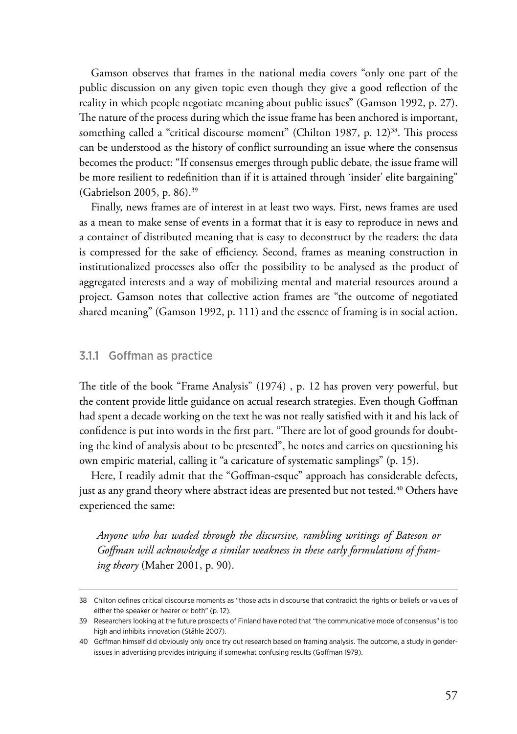Gamson observes that frames in the national media covers "only one part of the public discussion on any given topic even though they give a good reflection of the reality in which people negotiate meaning about public issues" (Gamson 1992, p. 27). The nature of the process during which the issue frame has been anchored is important, something called a "critical discourse moment" (Chilton 1987, p.  $12$ )<sup>38</sup>. This process can be understood as the history of conflict surrounding an issue where the consensus becomes the product: "If consensus emerges through public debate, the issue frame will be more resilient to redefinition than if it is attained through 'insider' elite bargaining" (Gabrielson 2005, p. 86).39

Finally, news frames are of interest in at least two ways. First, news frames are used as a mean to make sense of events in a format that it is easy to reproduce in news and a container of distributed meaning that is easy to deconstruct by the readers: the data is compressed for the sake of efficiency. Second, frames as meaning construction in institutionalized processes also offer the possibility to be analysed as the product of aggregated interests and a way of mobilizing mental and material resources around a project. Gamson notes that collective action frames are "the outcome of negotiated shared meaning" (Gamson 1992, p. 111) and the essence of framing is in social action.

### 3.1.1 Goffman as practice

The title of the book "Frame Analysis" (1974) , p. 12 has proven very powerful, but the content provide little guidance on actual research strategies. Even though Goffman had spent a decade working on the text he was not really satisfied with it and his lack of confidence is put into words in the first part. "There are lot of good grounds for doubting the kind of analysis about to be presented", he notes and carries on questioning his own empiric material, calling it "a caricature of systematic samplings" (p. 15).

Here, I readily admit that the "Goffman-esque" approach has considerable defects, just as any grand theory where abstract ideas are presented but not tested.<sup>40</sup> Others have experienced the same:

*Anyone who has waded through the discursive, rambling writings of Bateson or Goffman will acknowledge a similar weakness in these early formulations of framing theory* (Maher 2001, p. 90).

<sup>38</sup> Chilton defines critical discourse moments as "those acts in discourse that contradict the rights or beliefs or values of either the speaker or hearer or both" (p. 12).

<sup>39</sup> Researchers looking at the future prospects of Finland have noted that "the communicative mode of consensus" is too high and inhibits innovation (Ståhle 2007).

<sup>40</sup> Goffman himself did obviously only once try out research based on framing analysis. The outcome, a study in genderissues in advertising provides intriguing if somewhat confusing results (Goffman 1979).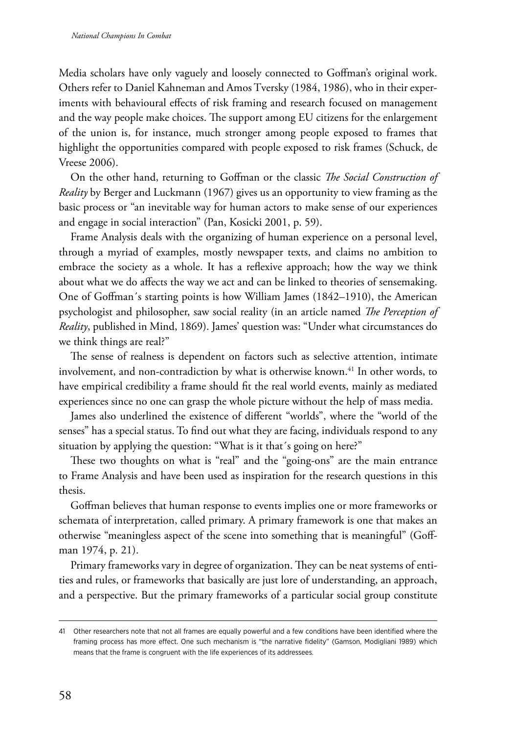Media scholars have only vaguely and loosely connected to Goffman's original work. Others refer to Daniel Kahneman and Amos Tversky (1984, 1986), who in their experiments with behavioural effects of risk framing and research focused on management and the way people make choices. The support among EU citizens for the enlargement of the union is, for instance, much stronger among people exposed to frames that highlight the opportunities compared with people exposed to risk frames (Schuck, de Vreese 2006).

On the other hand, returning to Goffman or the classic *The Social Construction of Reality* by Berger and Luckmann (1967) gives us an opportunity to view framing as the basic process or "an inevitable way for human actors to make sense of our experiences and engage in social interaction" (Pan, Kosicki 2001, p. 59).

Frame Analysis deals with the organizing of human experience on a personal level, through a myriad of examples, mostly newspaper texts, and claims no ambition to embrace the society as a whole. It has a reflexive approach; how the way we think about what we do affects the way we act and can be linked to theories of sensemaking. One of Goffman´s starting points is how William James (1842–1910), the American psychologist and philosopher, saw social reality (in an article named *The Perception of Reality*, published in Mind, 1869). James' question was: "Under what circumstances do we think things are real?"

The sense of realness is dependent on factors such as selective attention, intimate involvement, and non-contradiction by what is otherwise known.<sup>41</sup> In other words, to have empirical credibility a frame should fit the real world events, mainly as mediated experiences since no one can grasp the whole picture without the help of mass media.

James also underlined the existence of different "worlds", where the "world of the senses" has a special status. To find out what they are facing, individuals respond to any situation by applying the question: "What is it that´s going on here?"

These two thoughts on what is "real" and the "going-ons" are the main entrance to Frame Analysis and have been used as inspiration for the research questions in this thesis.

Goffman believes that human response to events implies one or more frameworks or schemata of interpretation, called primary. A primary framework is one that makes an otherwise "meaningless aspect of the scene into something that is meaningful" (Goffman 1974, p. 21).

Primary frameworks vary in degree of organization. They can be neat systems of entities and rules, or frameworks that basically are just lore of understanding, an approach, and a perspective. But the primary frameworks of a particular social group constitute

<sup>41</sup> Other researchers note that not all frames are equally powerful and a few conditions have been identified where the framing process has more effect. One such mechanism is "the narrative fidelity" (Gamson, Modigliani 1989) which means that the frame is congruent with the life experiences of its addressees.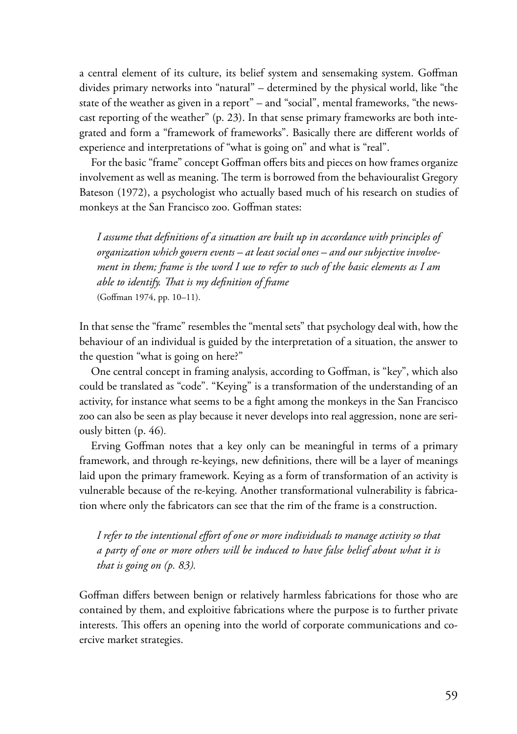a central element of its culture, its belief system and sensemaking system. Goffman divides primary networks into "natural" – determined by the physical world, like "the state of the weather as given in a report" – and "social", mental frameworks, "the newscast reporting of the weather" (p. 23). In that sense primary frameworks are both integrated and form a "framework of frameworks". Basically there are different worlds of experience and interpretations of "what is going on" and what is "real".

For the basic "frame" concept Goffman offers bits and pieces on how frames organize involvement as well as meaning. The term is borrowed from the behaviouralist Gregory Bateson (1972), a psychologist who actually based much of his research on studies of monkeys at the San Francisco zoo. Goffman states:

*I assume that definitions of a situation are built up in accordance with principles of organization which govern events – at least social ones – and our subjective involvement in them; frame is the word I use to refer to such of the basic elements as I am able to identify. That is my definition of frame*  (Goffman 1974, pp. 10–11).

In that sense the "frame" resembles the "mental sets" that psychology deal with, how the behaviour of an individual is guided by the interpretation of a situation, the answer to the question "what is going on here?"

One central concept in framing analysis, according to Goffman, is "key", which also could be translated as "code". "Keying" is a transformation of the understanding of an activity, for instance what seems to be a fight among the monkeys in the San Francisco zoo can also be seen as play because it never develops into real aggression, none are seriously bitten (p. 46)*.*

Erving Goffman notes that a key only can be meaningful in terms of a primary framework, and through re-keyings, new definitions, there will be a layer of meanings laid upon the primary framework. Keying as a form of transformation of an activity is vulnerable because of the re-keying. Another transformational vulnerability is fabrication where only the fabricators can see that the rim of the frame is a construction.

*I refer to the intentional effort of one or more individuals to manage activity so that a party of one or more others will be induced to have false belief about what it is that is going on (p. 83).*

Goffman differs between benign or relatively harmless fabrications for those who are contained by them, and exploitive fabrications where the purpose is to further private interests. This offers an opening into the world of corporate communications and coercive market strategies.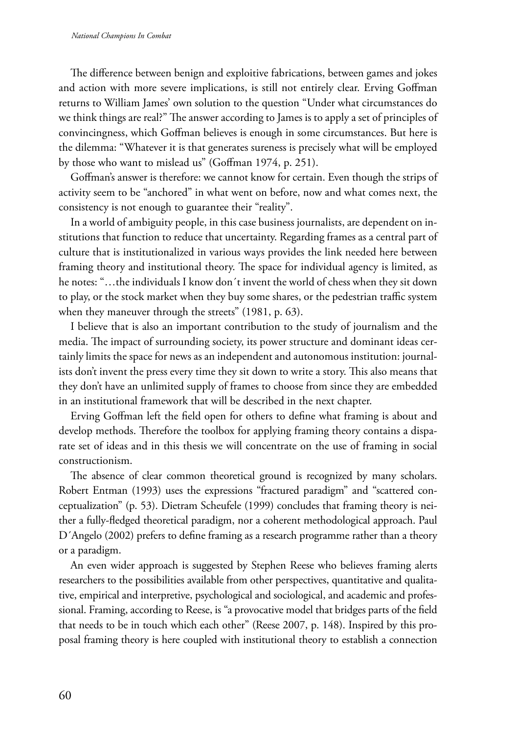The difference between benign and exploitive fabrications, between games and jokes and action with more severe implications, is still not entirely clear. Erving Goffman returns to William James' own solution to the question "Under what circumstances do we think things are real?" The answer according to James is to apply a set of principles of convincingness, which Goffman believes is enough in some circumstances. But here is the dilemma: "Whatever it is that generates sureness is precisely what will be employed by those who want to mislead us" (Goffman 1974, p. 251).

Goffman's answer is therefore: we cannot know for certain. Even though the strips of activity seem to be "anchored" in what went on before, now and what comes next, the consistency is not enough to guarantee their "reality".

In a world of ambiguity people, in this case business journalists, are dependent on institutions that function to reduce that uncertainty. Regarding frames as a central part of culture that is institutionalized in various ways provides the link needed here between framing theory and institutional theory. The space for individual agency is limited, as he notes: "…the individuals I know don´t invent the world of chess when they sit down to play, or the stock market when they buy some shares, or the pedestrian traffic system when they maneuver through the streets" (1981, p. 63).

I believe that is also an important contribution to the study of journalism and the media. The impact of surrounding society, its power structure and dominant ideas certainly limits the space for news as an independent and autonomous institution: journalists don't invent the press every time they sit down to write a story. This also means that they don't have an unlimited supply of frames to choose from since they are embedded in an institutional framework that will be described in the next chapter.

Erving Goffman left the field open for others to define what framing is about and develop methods. Therefore the toolbox for applying framing theory contains a disparate set of ideas and in this thesis we will concentrate on the use of framing in social constructionism.

The absence of clear common theoretical ground is recognized by many scholars. Robert Entman (1993) uses the expressions "fractured paradigm" and "scattered conceptualization" (p. 53). Dietram Scheufele (1999) concludes that framing theory is neither a fully-fledged theoretical paradigm, nor a coherent methodological approach. Paul D´Angelo (2002) prefers to define framing as a research programme rather than a theory or a paradigm.

An even wider approach is suggested by Stephen Reese who believes framing alerts researchers to the possibilities available from other perspectives, quantitative and qualitative, empirical and interpretive, psychological and sociological, and academic and professional. Framing, according to Reese, is "a provocative model that bridges parts of the field that needs to be in touch which each other" (Reese 2007, p. 148). Inspired by this proposal framing theory is here coupled with institutional theory to establish a connection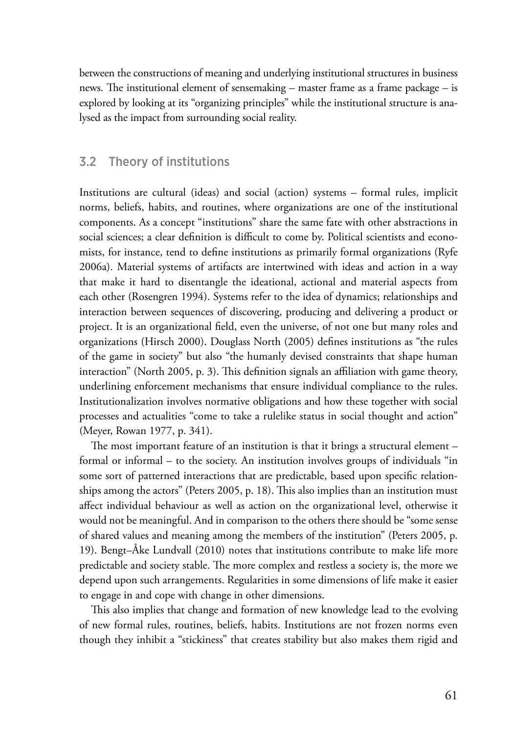between the constructions of meaning and underlying institutional structures in business news. The institutional element of sensemaking – master frame as a frame package – is explored by looking at its "organizing principles" while the institutional structure is analysed as the impact from surrounding social reality.

## 3.2 Theory of institutions

Institutions are cultural (ideas) and social (action) systems – formal rules, implicit norms, beliefs, habits, and routines, where organizations are one of the institutional components. As a concept "institutions" share the same fate with other abstractions in social sciences; a clear definition is difficult to come by. Political scientists and economists, for instance, tend to define institutions as primarily formal organizations (Ryfe 2006a). Material systems of artifacts are intertwined with ideas and action in a way that make it hard to disentangle the ideational, actional and material aspects from each other (Rosengren 1994). Systems refer to the idea of dynamics; relationships and interaction between sequences of discovering, producing and delivering a product or project. It is an organizational field, even the universe, of not one but many roles and organizations (Hirsch 2000). Douglass North (2005) defines institutions as "the rules of the game in society" but also "the humanly devised constraints that shape human interaction" (North 2005, p. 3). This definition signals an affiliation with game theory, underlining enforcement mechanisms that ensure individual compliance to the rules. Institutionalization involves normative obligations and how these together with social processes and actualities "come to take a rulelike status in social thought and action" (Meyer, Rowan 1977, p. 341).

The most important feature of an institution is that it brings a structural element – formal or informal – to the society. An institution involves groups of individuals "in some sort of patterned interactions that are predictable, based upon specific relationships among the actors" (Peters 2005, p. 18). This also implies than an institution must affect individual behaviour as well as action on the organizational level, otherwise it would not be meaningful. And in comparison to the others there should be "some sense of shared values and meaning among the members of the institution" (Peters 2005, p. 19). Bengt–Åke Lundvall (2010) notes that institutions contribute to make life more predictable and society stable. The more complex and restless a society is, the more we depend upon such arrangements. Regularities in some dimensions of life make it easier to engage in and cope with change in other dimensions.

This also implies that change and formation of new knowledge lead to the evolving of new formal rules, routines, beliefs, habits. Institutions are not frozen norms even though they inhibit a "stickiness" that creates stability but also makes them rigid and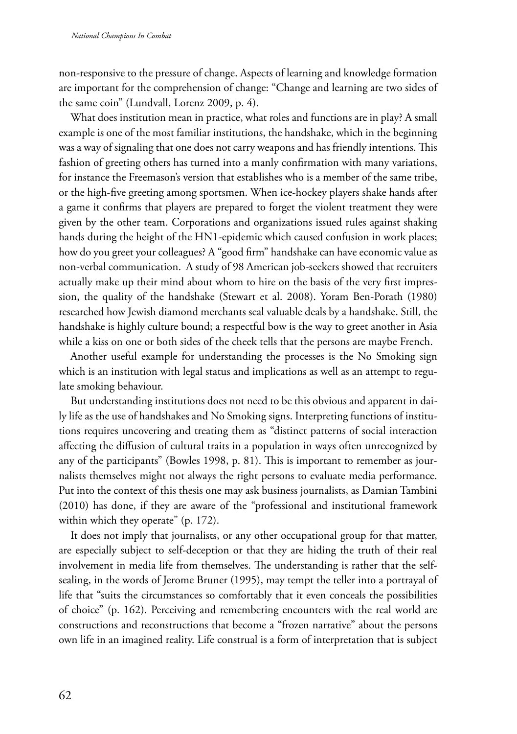non-responsive to the pressure of change. Aspects of learning and knowledge formation are important for the comprehension of change: "Change and learning are two sides of the same coin" (Lundvall, Lorenz 2009, p. 4).

What does institution mean in practice, what roles and functions are in play? A small example is one of the most familiar institutions, the handshake, which in the beginning was a way of signaling that one does not carry weapons and has friendly intentions. This fashion of greeting others has turned into a manly confirmation with many variations, for instance the Freemason's version that establishes who is a member of the same tribe, or the high-five greeting among sportsmen. When ice-hockey players shake hands after a game it confirms that players are prepared to forget the violent treatment they were given by the other team. Corporations and organizations issued rules against shaking hands during the height of the HN1-epidemic which caused confusion in work places; how do you greet your colleagues? A "good firm" handshake can have economic value as non-verbal communication. A study of 98 American job-seekers showed that recruiters actually make up their mind about whom to hire on the basis of the very first impression, the quality of the handshake (Stewart et al. 2008). Yoram Ben-Porath (1980) researched how Jewish diamond merchants seal valuable deals by a handshake. Still, the handshake is highly culture bound; a respectful bow is the way to greet another in Asia while a kiss on one or both sides of the cheek tells that the persons are maybe French.

Another useful example for understanding the processes is the No Smoking sign which is an institution with legal status and implications as well as an attempt to regulate smoking behaviour.

But understanding institutions does not need to be this obvious and apparent in daily life as the use of handshakes and No Smoking signs. Interpreting functions of institutions requires uncovering and treating them as "distinct patterns of social interaction affecting the diffusion of cultural traits in a population in ways often unrecognized by any of the participants" (Bowles 1998, p. 81). This is important to remember as journalists themselves might not always the right persons to evaluate media performance. Put into the context of this thesis one may ask business journalists, as Damian Tambini (2010) has done, if they are aware of the "professional and institutional framework within which they operate" (p. 172).

It does not imply that journalists, or any other occupational group for that matter, are especially subject to self-deception or that they are hiding the truth of their real involvement in media life from themselves. The understanding is rather that the selfsealing, in the words of Jerome Bruner (1995), may tempt the teller into a portrayal of life that "suits the circumstances so comfortably that it even conceals the possibilities of choice" (p. 162). Perceiving and remembering encounters with the real world are constructions and reconstructions that become a "frozen narrative" about the persons own life in an imagined reality. Life construal is a form of interpretation that is subject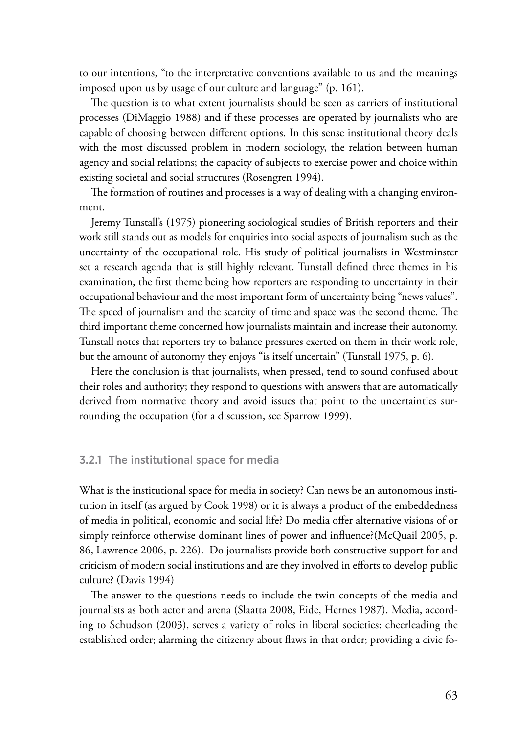to our intentions, "to the interpretative conventions available to us and the meanings imposed upon us by usage of our culture and language" (p. 161).

The question is to what extent journalists should be seen as carriers of institutional processes (DiMaggio 1988) and if these processes are operated by journalists who are capable of choosing between different options. In this sense institutional theory deals with the most discussed problem in modern sociology, the relation between human agency and social relations; the capacity of subjects to exercise power and choice within existing societal and social structures (Rosengren 1994).

The formation of routines and processes is a way of dealing with a changing environment.

Jeremy Tunstall's (1975) pioneering sociological studies of British reporters and their work still stands out as models for enquiries into social aspects of journalism such as the uncertainty of the occupational role. His study of political journalists in Westminster set a research agenda that is still highly relevant. Tunstall defined three themes in his examination, the first theme being how reporters are responding to uncertainty in their occupational behaviour and the most important form of uncertainty being "news values". The speed of journalism and the scarcity of time and space was the second theme. The third important theme concerned how journalists maintain and increase their autonomy. Tunstall notes that reporters try to balance pressures exerted on them in their work role, but the amount of autonomy they enjoys "is itself uncertain" (Tunstall 1975, p. 6)*.*

Here the conclusion is that journalists, when pressed, tend to sound confused about their roles and authority; they respond to questions with answers that are automatically derived from normative theory and avoid issues that point to the uncertainties surrounding the occupation (for a discussion, see Sparrow 1999).

## 3.2.1 The institutional space for media

What is the institutional space for media in society? Can news be an autonomous institution in itself (as argued by Cook 1998) or it is always a product of the embeddedness of media in political, economic and social life? Do media offer alternative visions of or simply reinforce otherwise dominant lines of power and influence?(McQuail 2005, p. 86, Lawrence 2006, p. 226). Do journalists provide both constructive support for and criticism of modern social institutions and are they involved in efforts to develop public culture? (Davis 1994)

The answer to the questions needs to include the twin concepts of the media and journalists as both actor and arena (Slaatta 2008, Eide, Hernes 1987). Media, according to Schudson (2003), serves a variety of roles in liberal societies: cheerleading the established order; alarming the citizenry about flaws in that order; providing a civic fo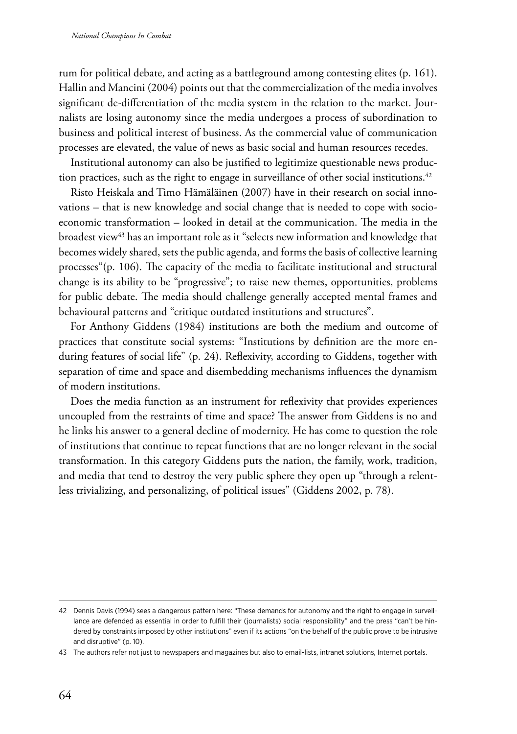rum for political debate, and acting as a battleground among contesting elites (p. 161). Hallin and Mancini (2004) points out that the commercialization of the media involves significant de-differentiation of the media system in the relation to the market. Journalists are losing autonomy since the media undergoes a process of subordination to business and political interest of business. As the commercial value of communication processes are elevated, the value of news as basic social and human resources recedes.

Institutional autonomy can also be justified to legitimize questionable news production practices, such as the right to engage in surveillance of other social institutions.<sup>42</sup>

Risto Heiskala and Timo Hämäläinen (2007) have in their research on social innovations – that is new knowledge and social change that is needed to cope with socioeconomic transformation – looked in detail at the communication. The media in the broadest view<sup>43</sup> has an important role as it "selects new information and knowledge that becomes widely shared, sets the public agenda, and forms the basis of collective learning processes"(p. 106). The capacity of the media to facilitate institutional and structural change is its ability to be "progressive"; to raise new themes, opportunities, problems for public debate. The media should challenge generally accepted mental frames and behavioural patterns and "critique outdated institutions and structures".

For Anthony Giddens (1984) institutions are both the medium and outcome of practices that constitute social systems: "Institutions by definition are the more enduring features of social life" (p. 24). Reflexivity, according to Giddens, together with separation of time and space and disembedding mechanisms influences the dynamism of modern institutions.

Does the media function as an instrument for reflexivity that provides experiences uncoupled from the restraints of time and space? The answer from Giddens is no and he links his answer to a general decline of modernity. He has come to question the role of institutions that continue to repeat functions that are no longer relevant in the social transformation. In this category Giddens puts the nation, the family, work, tradition, and media that tend to destroy the very public sphere they open up "through a relentless trivializing, and personalizing, of political issues" (Giddens 2002, p. 78).

<sup>42</sup> Dennis Davis (1994) sees a dangerous pattern here: "These demands for autonomy and the right to engage in surveillance are defended as essential in order to fulfill their (journalists) social responsibility" and the press "can't be hindered by constraints imposed by other institutions" even if its actions "on the behalf of the public prove to be intrusive and disruptive" (p. 10).

<sup>43</sup> The authors refer not just to newspapers and magazines but also to email-lists, intranet solutions, Internet portals.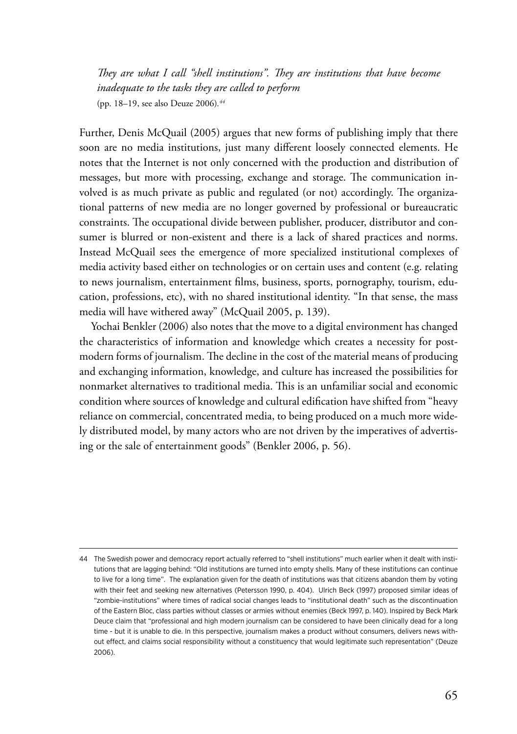*They are what I call "shell institutions". They are institutions that have become inadequate to the tasks they are called to perform*  (pp. 18–19, see also Deuze 2006)*. 44*

Further, Denis McQuail (2005) argues that new forms of publishing imply that there soon are no media institutions, just many different loosely connected elements. He notes that the Internet is not only concerned with the production and distribution of messages, but more with processing, exchange and storage. The communication involved is as much private as public and regulated (or not) accordingly. The organizational patterns of new media are no longer governed by professional or bureaucratic constraints. The occupational divide between publisher, producer, distributor and consumer is blurred or non-existent and there is a lack of shared practices and norms. Instead McQuail sees the emergence of more specialized institutional complexes of media activity based either on technologies or on certain uses and content (e.g. relating to news journalism, entertainment films, business, sports, pornography, tourism, education, professions, etc), with no shared institutional identity. "In that sense, the mass media will have withered away" (McQuail 2005, p. 139).

Yochai Benkler (2006) also notes that the move to a digital environment has changed the characteristics of information and knowledge which creates a necessity for postmodern forms of journalism. The decline in the cost of the material means of producing and exchanging information, knowledge, and culture has increased the possibilities for nonmarket alternatives to traditional media. This is an unfamiliar social and economic condition where sources of knowledge and cultural edification have shifted from "heavy reliance on commercial, concentrated media, to being produced on a much more widely distributed model, by many actors who are not driven by the imperatives of advertising or the sale of entertainment goods" (Benkler 2006, p. 56).

<sup>44</sup> The Swedish power and democracy report actually referred to "shell institutions" much earlier when it dealt with institutions that are lagging behind: "Old institutions are turned into empty shells. Many of these institutions can continue to live for a long time". The explanation given for the death of institutions was that citizens abandon them by voting with their feet and seeking new alternatives (Petersson 1990, p. 404). Ulrich Beck (1997) proposed similar ideas of "zombie-institutions" where times of radical social changes leads to "institutional death" such as the discontinuation of the Eastern Bloc, class parties without classes or armies without enemies (Beck 1997, p. 140). Inspired by Beck Mark Deuce claim that "professional and high modern journalism can be considered to have been clinically dead for a long time - but it is unable to die. In this perspective, journalism makes a product without consumers, delivers news without effect, and claims social responsibility without a constituency that would legitimate such representation" (Deuze 2006).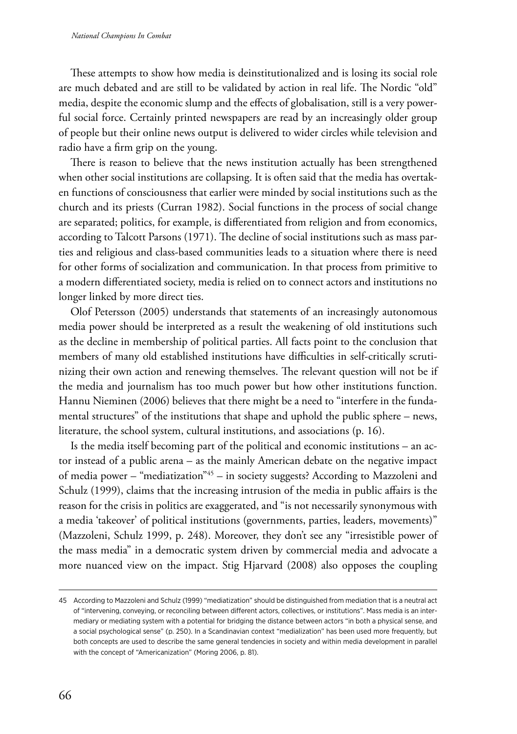These attempts to show how media is deinstitutionalized and is losing its social role are much debated and are still to be validated by action in real life. The Nordic "old" media, despite the economic slump and the effects of globalisation, still is a very powerful social force. Certainly printed newspapers are read by an increasingly older group of people but their online news output is delivered to wider circles while television and radio have a firm grip on the young.

There is reason to believe that the news institution actually has been strengthened when other social institutions are collapsing. It is often said that the media has overtaken functions of consciousness that earlier were minded by social institutions such as the church and its priests (Curran 1982). Social functions in the process of social change are separated; politics, for example, is differentiated from religion and from economics, according to Talcott Parsons (1971). The decline of social institutions such as mass parties and religious and class-based communities leads to a situation where there is need for other forms of socialization and communication. In that process from primitive to a modern differentiated society, media is relied on to connect actors and institutions no longer linked by more direct ties.

Olof Petersson (2005) understands that statements of an increasingly autonomous media power should be interpreted as a result the weakening of old institutions such as the decline in membership of political parties. All facts point to the conclusion that members of many old established institutions have difficulties in self-critically scrutinizing their own action and renewing themselves. The relevant question will not be if the media and journalism has too much power but how other institutions function. Hannu Nieminen (2006) believes that there might be a need to "interfere in the fundamental structures" of the institutions that shape and uphold the public sphere – news, literature, the school system, cultural institutions, and associations (p. 16).

Is the media itself becoming part of the political and economic institutions – an actor instead of a public arena – as the mainly American debate on the negative impact of media power – "mediatization"45 – in society suggests? According to Mazzoleni and Schulz (1999), claims that the increasing intrusion of the media in public affairs is the reason for the crisis in politics are exaggerated, and "is not necessarily synonymous with a media 'takeover' of political institutions (governments, parties, leaders, movements)" (Mazzoleni, Schulz 1999, p. 248). Moreover, they don't see any "irresistible power of the mass media" in a democratic system driven by commercial media and advocate a more nuanced view on the impact. Stig Hjarvard (2008) also opposes the coupling

<sup>45</sup> According to Mazzoleni and Schulz (1999) "mediatization" should be distinguished from mediation that is a neutral act of "intervening, conveying, or reconciling between different actors, collectives, or institutions". Mass media is an intermediary or mediating system with a potential for bridging the distance between actors "in both a physical sense, and a social psychological sense" (p. 250). In a Scandinavian context "medialization" has been used more frequently, but both concepts are used to describe the same general tendencies in society and within media development in parallel with the concept of "Americanization" (Moring 2006, p. 81).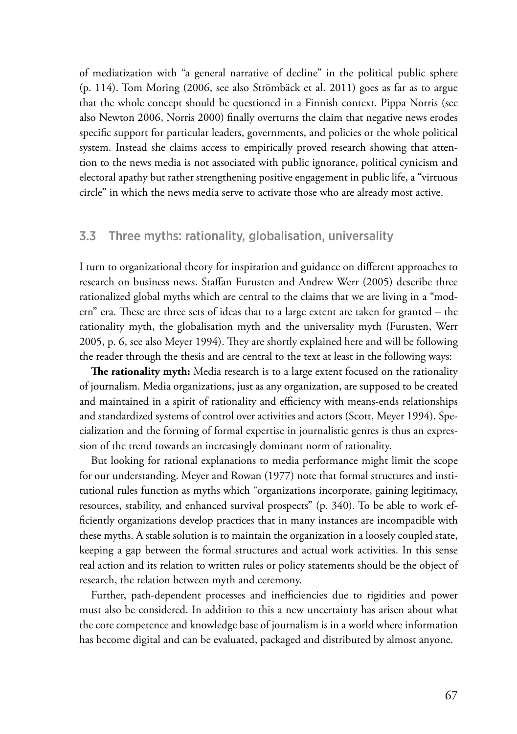of mediatization with "a general narrative of decline" in the political public sphere (p. 114). Tom Moring (2006, see also Strömbäck et al. 2011) goes as far as to argue that the whole concept should be questioned in a Finnish context. Pippa Norris (see also Newton 2006, Norris 2000) finally overturns the claim that negative news erodes specific support for particular leaders, governments, and policies or the whole political system. Instead she claims access to empirically proved research showing that attention to the news media is not associated with public ignorance, political cynicism and electoral apathy but rather strengthening positive engagement in public life, a "virtuous circle" in which the news media serve to activate those who are already most active.

## 3.3 Three myths: rationality, globalisation, universality

I turn to organizational theory for inspiration and guidance on different approaches to research on business news. Staffan Furusten and Andrew Werr (2005) describe three rationalized global myths which are central to the claims that we are living in a "modern" era. These are three sets of ideas that to a large extent are taken for granted – the rationality myth, the globalisation myth and the universality myth (Furusten, Werr 2005, p. 6, see also Meyer 1994). They are shortly explained here and will be following the reader through the thesis and are central to the text at least in the following ways:

**The rationality myth:** Media research is to a large extent focused on the rationality of journalism. Media organizations, just as any organization, are supposed to be created and maintained in a spirit of rationality and efficiency with means-ends relationships and standardized systems of control over activities and actors (Scott, Meyer 1994). Specialization and the forming of formal expertise in journalistic genres is thus an expression of the trend towards an increasingly dominant norm of rationality.

But looking for rational explanations to media performance might limit the scope for our understanding. Meyer and Rowan (1977) note that formal structures and institutional rules function as myths which "organizations incorporate, gaining legitimacy, resources, stability, and enhanced survival prospects" (p. 340). To be able to work efficiently organizations develop practices that in many instances are incompatible with these myths. A stable solution is to maintain the organization in a loosely coupled state, keeping a gap between the formal structures and actual work activities. In this sense real action and its relation to written rules or policy statements should be the object of research, the relation between myth and ceremony.

Further, path-dependent processes and inefficiencies due to rigidities and power must also be considered. In addition to this a new uncertainty has arisen about what the core competence and knowledge base of journalism is in a world where information has become digital and can be evaluated, packaged and distributed by almost anyone.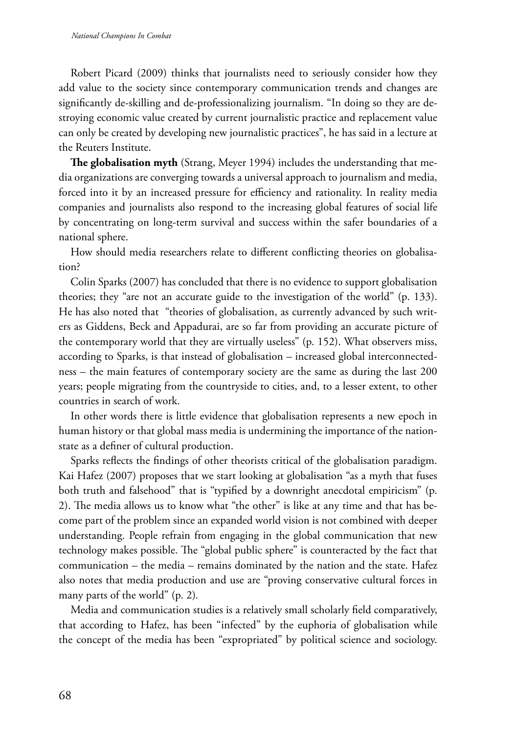Robert Picard (2009) thinks that journalists need to seriously consider how they add value to the society since contemporary communication trends and changes are significantly de-skilling and de-professionalizing journalism. "In doing so they are destroying economic value created by current journalistic practice and replacement value can only be created by developing new journalistic practices", he has said in a lecture at the Reuters Institute.

**The globalisation myth** (Strang, Meyer 1994) includes the understanding that media organizations are converging towards a universal approach to journalism and media, forced into it by an increased pressure for efficiency and rationality. In reality media companies and journalists also respond to the increasing global features of social life by concentrating on long-term survival and success within the safer boundaries of a national sphere.

How should media researchers relate to different conflicting theories on globalisation?

Colin Sparks (2007) has concluded that there is no evidence to support globalisation theories; they "are not an accurate guide to the investigation of the world" (p. 133). He has also noted that "theories of globalisation, as currently advanced by such writers as Giddens, Beck and Appadurai, are so far from providing an accurate picture of the contemporary world that they are virtually useless" (p. 152). What observers miss, according to Sparks, is that instead of globalisation – increased global interconnectedness – the main features of contemporary society are the same as during the last 200 years; people migrating from the countryside to cities, and, to a lesser extent, to other countries in search of work.

In other words there is little evidence that globalisation represents a new epoch in human history or that global mass media is undermining the importance of the nationstate as a definer of cultural production.

Sparks reflects the findings of other theorists critical of the globalisation paradigm. Kai Hafez (2007) proposes that we start looking at globalisation "as a myth that fuses both truth and falsehood" that is "typified by a downright anecdotal empiricism" (p. 2). The media allows us to know what "the other" is like at any time and that has become part of the problem since an expanded world vision is not combined with deeper understanding. People refrain from engaging in the global communication that new technology makes possible. The "global public sphere" is counteracted by the fact that communication – the media – remains dominated by the nation and the state. Hafez also notes that media production and use are "proving conservative cultural forces in many parts of the world" (p. 2)*.*

Media and communication studies is a relatively small scholarly field comparatively, that according to Hafez, has been "infected" by the euphoria of globalisation while the concept of the media has been "expropriated" by political science and sociology.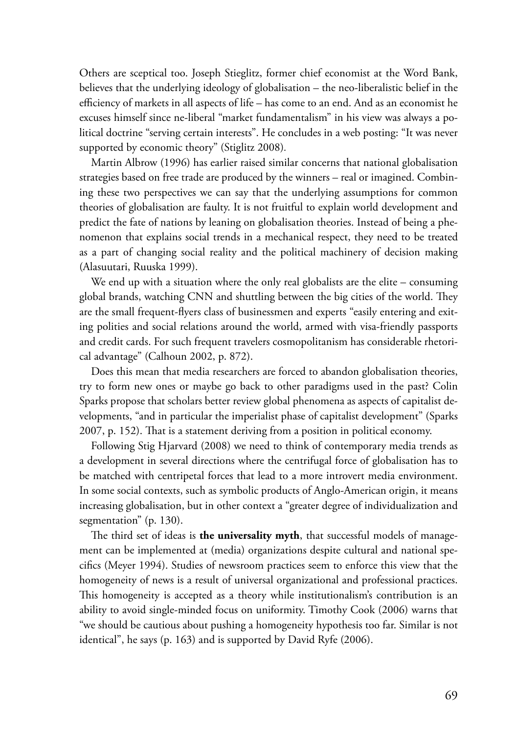Others are sceptical too. Joseph Stieglitz, former chief economist at the Word Bank, believes that the underlying ideology of globalisation – the neo-liberalistic belief in the efficiency of markets in all aspects of life – has come to an end. And as an economist he excuses himself since ne-liberal "market fundamentalism" in his view was always a political doctrine "serving certain interests". He concludes in a web posting: "It was never supported by economic theory" (Stiglitz 2008)*.*

Martin Albrow (1996) has earlier raised similar concerns that national globalisation strategies based on free trade are produced by the winners – real or imagined. Combining these two perspectives we can say that the underlying assumptions for common theories of globalisation are faulty. It is not fruitful to explain world development and predict the fate of nations by leaning on globalisation theories. Instead of being a phenomenon that explains social trends in a mechanical respect, they need to be treated as a part of changing social reality and the political machinery of decision making (Alasuutari, Ruuska 1999).

We end up with a situation where the only real globalists are the elite – consuming global brands, watching CNN and shuttling between the big cities of the world. They are the small frequent-flyers class of businessmen and experts "easily entering and exiting polities and social relations around the world, armed with visa-friendly passports and credit cards. For such frequent travelers cosmopolitanism has considerable rhetorical advantage" (Calhoun 2002, p. 872).

Does this mean that media researchers are forced to abandon globalisation theories, try to form new ones or maybe go back to other paradigms used in the past? Colin Sparks propose that scholars better review global phenomena as aspects of capitalist developments, "and in particular the imperialist phase of capitalist development" (Sparks 2007, p. 152). That is a statement deriving from a position in political economy.

Following Stig Hjarvard (2008) we need to think of contemporary media trends as a development in several directions where the centrifugal force of globalisation has to be matched with centripetal forces that lead to a more introvert media environment. In some social contexts, such as symbolic products of Anglo-American origin, it means increasing globalisation, but in other context a "greater degree of individualization and segmentation" (p. 130).

The third set of ideas is **the universality myth**, that successful models of management can be implemented at (media) organizations despite cultural and national specifics (Meyer 1994). Studies of newsroom practices seem to enforce this view that the homogeneity of news is a result of universal organizational and professional practices. This homogeneity is accepted as a theory while institutionalism's contribution is an ability to avoid single-minded focus on uniformity. Timothy Cook (2006) warns that "we should be cautious about pushing a homogeneity hypothesis too far. Similar is not identical", he says (p. 163) and is supported by David Ryfe (2006).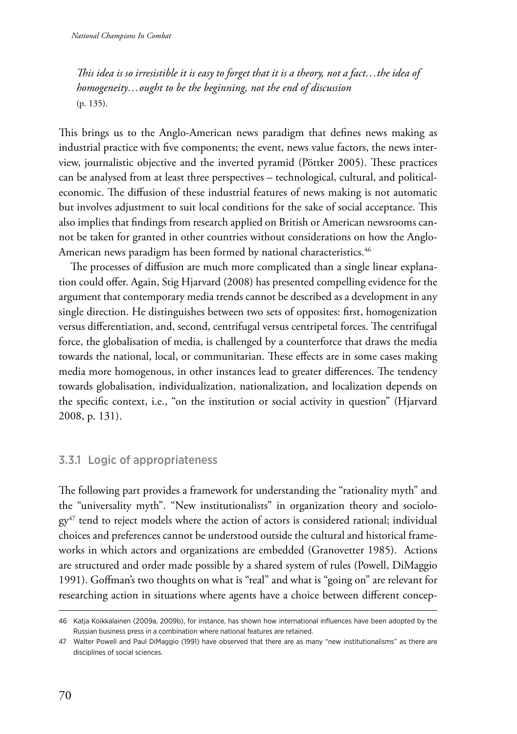*This idea is so irresistible it is easy to forget that it is a theory, not a fact…the idea of homogeneity…ought to be the beginning, not the end of discussion*  (p. 135).

This brings us to the Anglo-American news paradigm that defines news making as industrial practice with five components; the event, news value factors, the news interview, journalistic objective and the inverted pyramid (Pöttker 2005). These practices can be analysed from at least three perspectives – technological, cultural, and politicaleconomic. The diffusion of these industrial features of news making is not automatic but involves adjustment to suit local conditions for the sake of social acceptance. This also implies that findings from research applied on British or American newsrooms cannot be taken for granted in other countries without considerations on how the Anglo-American news paradigm has been formed by national characteristics.<sup>46</sup>

The processes of diffusion are much more complicated than a single linear explanation could offer. Again, Stig Hjarvard (2008) has presented compelling evidence for the argument that contemporary media trends cannot be described as a development in any single direction. He distinguishes between two sets of opposites: first, homogenization versus differentiation, and, second, centrifugal versus centripetal forces. The centrifugal force, the globalisation of media, is challenged by a counterforce that draws the media towards the national, local, or communitarian. These effects are in some cases making media more homogenous, in other instances lead to greater differences. The tendency towards globalisation, individualization, nationalization, and localization depends on the specific context, i.e., "on the institution or social activity in question" (Hjarvard 2008, p. 131).

# 3.3.1 Logic of appropriateness

The following part provides a framework for understanding the "rationality myth" and the "universality myth". "New institutionalists" in organization theory and sociolo $gy<sup>47</sup>$  tend to reject models where the action of actors is considered rational; individual choices and preferences cannot be understood outside the cultural and historical frameworks in which actors and organizations are embedded (Granovetter 1985). Actions are structured and order made possible by a shared system of rules (Powell, DiMaggio 1991). Goffman's two thoughts on what is "real" and what is "going on" are relevant for researching action in situations where agents have a choice between different concep-

<sup>46</sup> Katja Koikkalainen (2009a, 2009b), for instance, has shown how international influences have been adopted by the Russian business press in a combination where national features are retained.

<sup>47</sup> Walter Powell and Paul DiMaggio (1991) have observed that there are as many "new institutionalisms" as there are disciplines of social sciences.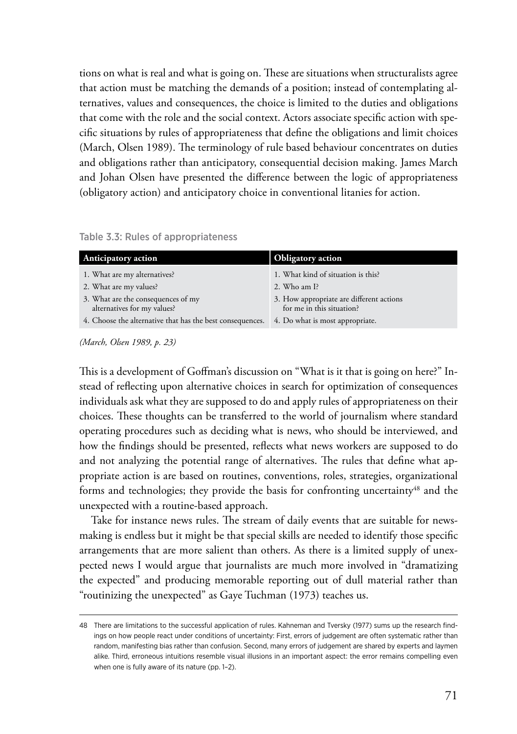tions on what is real and what is going on. These are situations when structuralists agree that action must be matching the demands of a position; instead of contemplating alternatives, values and consequences, the choice is limited to the duties and obligations that come with the role and the social context. Actors associate specific action with specific situations by rules of appropriateness that define the obligations and limit choices (March, Olsen 1989). The terminology of rule based behaviour concentrates on duties and obligations rather than anticipatory, consequential decision making. James March and Johan Olsen have presented the difference between the logic of appropriateness (obligatory action) and anticipatory choice in conventional litanies for action.

| <b>Anticipatory action</b>                                        | <b>Obligatory action</b>                                              |  |
|-------------------------------------------------------------------|-----------------------------------------------------------------------|--|
| 1. What are my alternatives?                                      | 1. What kind of situation is this?                                    |  |
| 2. What are my values?                                            | 2. Who am I?                                                          |  |
| 3. What are the consequences of my<br>alternatives for my values? | 3. How appropriate are different actions<br>for me in this situation? |  |
| 4. Choose the alternative that has the best consequences.         | 4. Do what is most appropriate.                                       |  |

*<sup>(</sup>March, Olsen 1989, p. 23)*

This is a development of Goffman's discussion on "What is it that is going on here?" Instead of reflecting upon alternative choices in search for optimization of consequences individuals ask what they are supposed to do and apply rules of appropriateness on their choices. These thoughts can be transferred to the world of journalism where standard operating procedures such as deciding what is news, who should be interviewed, and how the findings should be presented, reflects what news workers are supposed to do and not analyzing the potential range of alternatives. The rules that define what appropriate action is are based on routines, conventions, roles, strategies, organizational forms and technologies; they provide the basis for confronting uncertainty<sup>48</sup> and the unexpected with a routine-based approach.

Take for instance news rules. The stream of daily events that are suitable for newsmaking is endless but it might be that special skills are needed to identify those specific arrangements that are more salient than others. As there is a limited supply of unexpected news I would argue that journalists are much more involved in "dramatizing the expected" and producing memorable reporting out of dull material rather than "routinizing the unexpected" as Gaye Tuchman (1973) teaches us.

<sup>48</sup> There are limitations to the successful application of rules. Kahneman and Tversky (1977) sums up the research findings on how people react under conditions of uncertainty: First, errors of judgement are often systematic rather than random, manifesting bias rather than confusion. Second, many errors of judgement are shared by experts and laymen alike. Third, erroneous intuitions resemble visual illusions in an important aspect: the error remains compelling even when one is fully aware of its nature (pp. 1–2).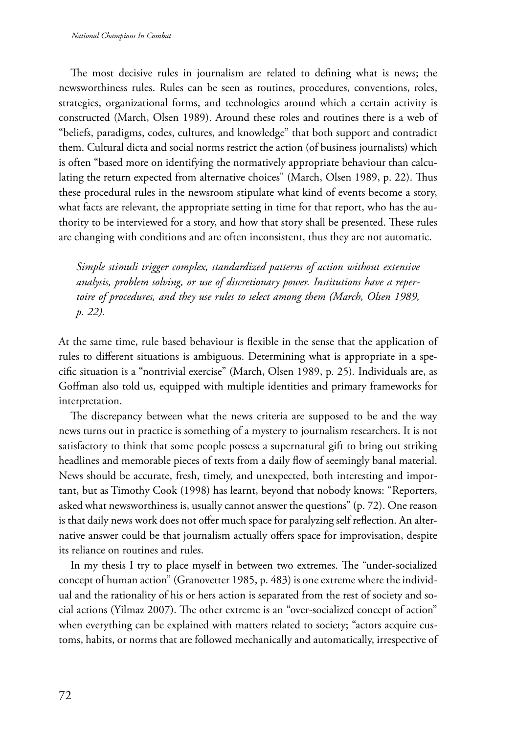The most decisive rules in journalism are related to defining what is news; the newsworthiness rules. Rules can be seen as routines, procedures, conventions, roles, strategies, organizational forms, and technologies around which a certain activity is constructed (March, Olsen 1989). Around these roles and routines there is a web of "beliefs, paradigms, codes, cultures, and knowledge" that both support and contradict them. Cultural dicta and social norms restrict the action (of business journalists) which is often "based more on identifying the normatively appropriate behaviour than calculating the return expected from alternative choices" (March, Olsen 1989, p. 22). Thus these procedural rules in the newsroom stipulate what kind of events become a story, what facts are relevant, the appropriate setting in time for that report, who has the authority to be interviewed for a story, and how that story shall be presented. These rules are changing with conditions and are often inconsistent, thus they are not automatic.

*Simple stimuli trigger complex, standardized patterns of action without extensive analysis, problem solving, or use of discretionary power. Institutions have a repertoire of procedures, and they use rules to select among them (March, Olsen 1989, p. 22).*

At the same time, rule based behaviour is flexible in the sense that the application of rules to different situations is ambiguous. Determining what is appropriate in a specific situation is a "nontrivial exercise" (March, Olsen 1989, p. 25)*.* Individuals are, as Goffman also told us, equipped with multiple identities and primary frameworks for interpretation.

The discrepancy between what the news criteria are supposed to be and the way news turns out in practice is something of a mystery to journalism researchers. It is not satisfactory to think that some people possess a supernatural gift to bring out striking headlines and memorable pieces of texts from a daily flow of seemingly banal material. News should be accurate, fresh, timely, and unexpected, both interesting and important, but as Timothy Cook (1998) has learnt, beyond that nobody knows: "Reporters, asked what newsworthiness is, usually cannot answer the questions" (p. 72). One reason is that daily news work does not offer much space for paralyzing self reflection. An alternative answer could be that journalism actually offers space for improvisation, despite its reliance on routines and rules.

In my thesis I try to place myself in between two extremes. The "under-socialized concept of human action" (Granovetter 1985, p. 483) is one extreme where the individual and the rationality of his or hers action is separated from the rest of society and social actions (Yilmaz 2007). The other extreme is an "over-socialized concept of action" when everything can be explained with matters related to society; "actors acquire customs, habits, or norms that are followed mechanically and automatically, irrespective of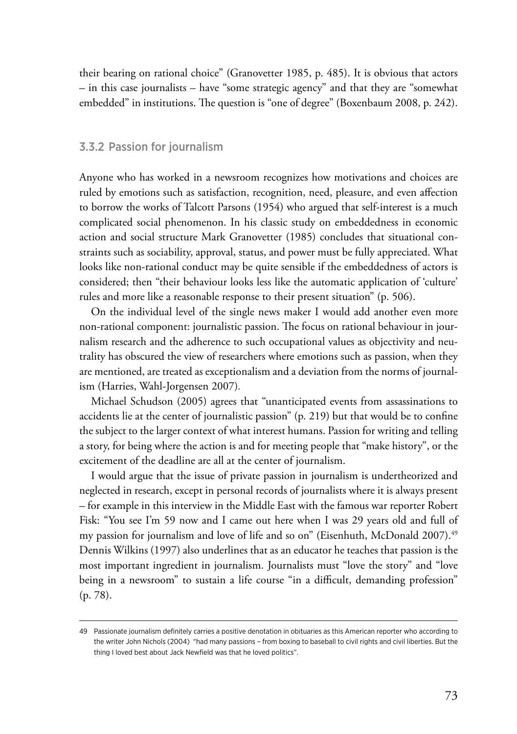their bearing on rational choice" (Granovetter 1985, p. 485). It is obvious that actors – in this case journalists – have "some strategic agency" and that they are "somewhat embedded" in institutions. The question is "one of degree" (Boxenbaum 2008, p. 242).

#### 3.3.2 Passion for journalism

Anyone who has worked in a newsroom recognizes how motivations and choices are ruled by emotions such as satisfaction, recognition, need, pleasure, and even affection to borrow the works of Talcott Parsons (1954) who argued that self-interest is a much complicated social phenomenon. In his classic study on embeddedness in economic action and social structure Mark Granovetter (1985) concludes that situational constraints such as sociability, approval, status, and power must be fully appreciated. What looks like non-rational conduct may be quite sensible if the embeddedness of actors is considered; then "their behaviour looks less like the automatic application of 'culture' rules and more like a reasonable response to their present situation" (p. 506).

On the individual level of the single news maker I would add another even more non-rational component: journalistic passion. The focus on rational behaviour in journalism research and the adherence to such occupational values as objectivity and neutrality has obscured the view of researchers where emotions such as passion, when they are mentioned, are treated as exceptionalism and a deviation from the norms of journalism (Harries, Wahl-Jorgensen 2007)*.*

Michael Schudson (2005) agrees that "unanticipated events from assassinations to accidents lie at the center of journalistic passion" (p. 219) but that would be to confine the subject to the larger context of what interest humans. Passion for writing and telling a story, for being where the action is and for meeting people that "make history", or the excitement of the deadline are all at the center of journalism.

I would argue that the issue of private passion in journalism is undertheorized and neglected in research, except in personal records of journalists where it is always present – for example in this interview in the Middle East with the famous war reporter Robert Fisk: "You see I'm 59 now and I came out here when I was 29 years old and full of my passion for journalism and love of life and so on" (Eisenhuth, McDonald 2007).<sup>49</sup> Dennis Wilkins (1997) also underlines that as an educator he teaches that passion is the most important ingredient in journalism. Journalists must "love the story" and "love being in a newsroom" to sustain a life course "in a difficult, demanding profession" (p. 78).

<sup>49</sup> Passionate journalism definitely carries a positive denotation in obituaries as this American reporter who according to the writer John Nichols (2004) "had many passions – from boxing to baseball to civil rights and civil liberties. But the thing I loved best about Jack Newfield was that he loved politics".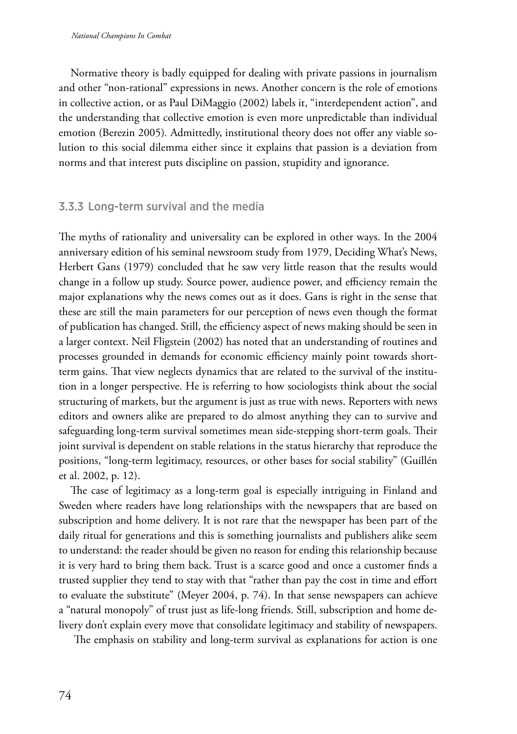Normative theory is badly equipped for dealing with private passions in journalism and other "non-rational" expressions in news. Another concern is the role of emotions in collective action, or as Paul DiMaggio (2002) labels it, "interdependent action", and the understanding that collective emotion is even more unpredictable than individual emotion (Berezin 2005)*.* Admittedly, institutional theory does not offer any viable solution to this social dilemma either since it explains that passion is a deviation from norms and that interest puts discipline on passion, stupidity and ignorance.

## 3.3.3 Long-term survival and the media

The myths of rationality and universality can be explored in other ways. In the 2004 anniversary edition of his seminal newsroom study from 1979, Deciding What's News, Herbert Gans (1979) concluded that he saw very little reason that the results would change in a follow up study. Source power, audience power, and efficiency remain the major explanations why the news comes out as it does. Gans is right in the sense that these are still the main parameters for our [perception](http://thesaurus.com/browse/perception) of news even though the format of publication has changed. Still, the efficiency aspect of news making should be seen in a larger context. Neil Fligstein (2002) has noted that an understanding of routines and processes grounded in demands for economic efficiency mainly point towards shortterm gains. That view neglects dynamics that are related to the survival of the institution in a longer perspective. He is referring to how sociologists think about the social structuring of markets, but the argument is just as true with news. Reporters with news editors and owners alike are prepared to do almost anything they can to survive and safeguarding long-term survival sometimes mean side-stepping short-term goals. Their joint survival is dependent on stable relations in the status hierarchy that reproduce the positions, "long-term legitimacy, resources, or other bases for social stability" (Guillén et al. 2002, p. 12).

The case of legitimacy as a long-term goal is especially intriguing in Finland and Sweden where readers have long relationships with the newspapers that are based on subscription and home delivery. It is not rare that the newspaper has been part of the daily ritual for generations and this is something journalists and publishers alike seem to understand: the reader should be given no reason for ending this relationship because it is very hard to bring them back. Trust is a scarce good and once a customer finds a trusted supplier they tend to stay with that "rather than pay the cost in time and effort to evaluate the substitute" (Meyer 2004, p. 74). In that sense newspapers can achieve a "natural monopoly" of trust just as life-long friends. Still, subscription and home delivery don't explain every move that consolidate legitimacy and stability of newspapers.

The emphasis on stability and long-term survival as explanations for action is one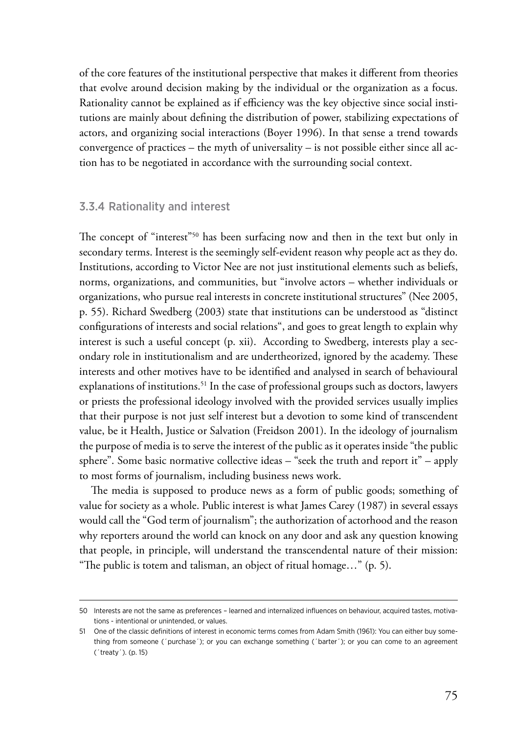of the core features of the institutional perspective that makes it different from theories that evolve around decision making by the individual or the organization as a focus. Rationality cannot be explained as if efficiency was the key objective since social institutions are mainly about defining the distribution of power, stabilizing expectations of actors, and organizing social interactions (Boyer 1996). In that sense a trend towards convergence of practices – the myth of universality – is not possible either since all action has to be negotiated in accordance with the surrounding social context.

## 3.3.4 Rationality and interest

The concept of "interest"<sup>50</sup> has been surfacing now and then in the text but only in secondary terms. Interest is the seemingly self-evident reason why people act as they do. Institutions, according to Victor Nee are not just institutional elements such as beliefs, norms, organizations, and communities, but "involve actors – whether individuals or organizations, who pursue real interests in concrete institutional structures" (Nee 2005, p. 55). Richard Swedberg (2003) state that institutions can be understood as "distinct configurations of interests and social relations", and goes to great length to explain why interest is such a useful concept (p. xii). According to Swedberg, interests play a secondary role in institutionalism and are undertheorized, ignored by the academy. These interests and other motives have to be identified and analysed in search of behavioural explanations of institutions.<sup>51</sup> In the case of professional groups such as doctors, lawyers or priests the professional ideology involved with the provided services usually implies that their purpose is not just self interest but a devotion to some kind of transcendent value, be it Health, Justice or Salvation (Freidson 2001). In the ideology of journalism the purpose of media is to serve the interest of the public as it operates inside "the public sphere". Some basic normative collective ideas – "seek the truth and report it" – apply to most forms of journalism, including business news work.

The media is supposed to produce news as a form of public goods; something of value for society as a whole. Public interest is what James Carey (1987) in several essays would call the "God term of journalism"; the authorization of actorhood and the reason why reporters around the world can knock on any door and ask any question knowing that people, in principle, will understand the transcendental nature of their mission: "The public is totem and talisman, an object of ritual homage…" (p. 5).

<sup>50</sup> Interests are not the same as preferences – learned and internalized influences on behaviour, acquired tastes, motivations - intentional or unintended, or values.

<sup>51</sup> One of the classic definitions of interest in economic terms comes from Adam Smith (1961): You can either buy something from someone (´purchase´); or you can exchange something (´barter´); or you can come to an agreement (´treaty´). (p. 15)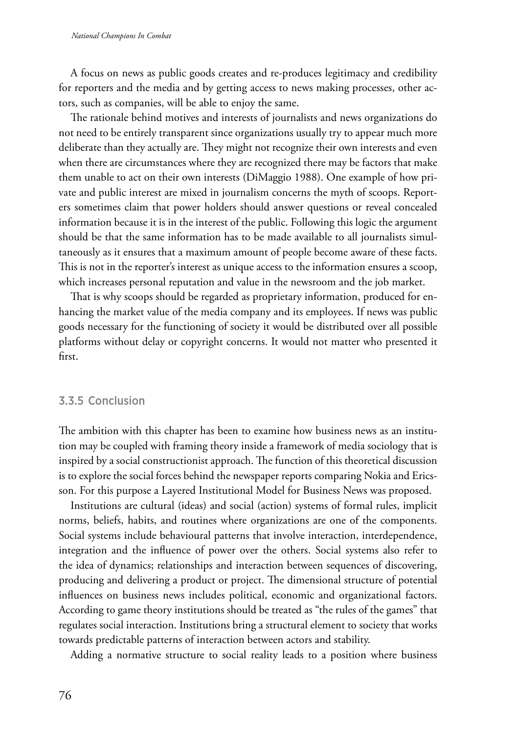A focus on news as public goods creates and re-produces legitimacy and credibility for reporters and the media and by getting access to news making processes, other actors, such as companies, will be able to enjoy the same.

The rationale behind motives and interests of journalists and news organizations do not need to be entirely transparent since organizations usually try to appear much more deliberate than they actually are. They might not recognize their own interests and even when there are circumstances where they are recognized there may be factors that make them unable to act on their own interests (DiMaggio 1988). One example of how private and public interest are mixed in journalism concerns the myth of scoops. Reporters sometimes claim that power holders should answer questions or reveal concealed information because it is in the interest of the public. Following this logic the argument should be that the same information has to be made available to all journalists simultaneously as it ensures that a maximum amount of people become aware of these facts. This is not in the reporter's interest as unique access to the information ensures a scoop, which increases personal reputation and value in the newsroom and the job market.

That is why scoops should be regarded as proprietary information, produced for enhancing the market value of the media company and its employees. If news was public goods necessary for the functioning of society it would be distributed over all possible platforms without delay or copyright concerns. It would not matter who presented it first.

#### 3.3.5 Conclusion

The ambition with this chapter has been to examine how business news as an institution may be coupled with framing theory inside a framework of media sociology that is inspired by a social constructionist approach. The function of this theoretical discussion is to explore the social forces behind the newspaper reports comparing Nokia and Ericsson. For this purpose a Layered Institutional Model for Business News was proposed.

Institutions are cultural (ideas) and social (action) systems of formal rules, implicit norms, beliefs, habits, and routines where organizations are one of the components. Social systems include behavioural patterns that involve interaction, interdependence, integration and the influence of power over the others. Social systems also refer to the idea of dynamics; relationships and interaction between sequences of discovering, producing and delivering a product or project. The dimensional structure of potential influences on business news includes political, economic and organizational factors. According to game theory institutions should be treated as "the rules of the games" that regulates social interaction. Institutions bring a structural element to society that works towards predictable patterns of interaction between actors and stability.

Adding a normative structure to social reality leads to a position where business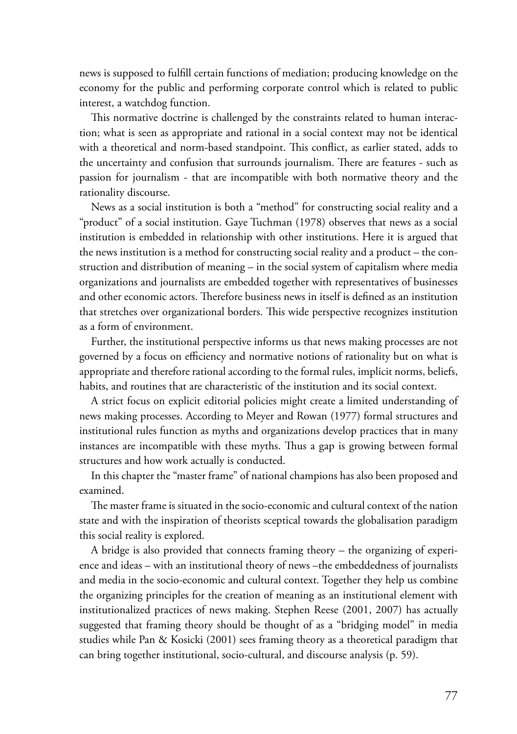news is supposed to fulfill certain functions of mediation; producing knowledge on the economy for the public and performing corporate control which is related to public interest, a watchdog function.

This normative doctrine is challenged by the constraints related to human interaction; what is seen as appropriate and rational in a social context may not be identical with a theoretical and norm-based standpoint. This conflict, as earlier stated, adds to the uncertainty and confusion that surrounds journalism. There are features - such as passion for journalism - that are incompatible with both normative theory and the rationality discourse.

News as a social institution is both a "method" for constructing social reality and a "product" of a social institution. Gaye Tuchman (1978) observes that news as a social institution is embedded in relationship with other institutions. Here it is argued that the news institution is a method for constructing social reality and a product – the construction and distribution of meaning – in the social system of capitalism where media organizations and journalists are embedded together with representatives of businesses and other economic actors. Therefore business news in itself is defined as an institution that stretches over organizational borders. This wide perspective recognizes institution as a form of environment.

Further, the institutional perspective informs us that news making processes are not governed by a focus on efficiency and normative notions of rationality but on what is appropriate and therefore rational according to the formal rules, implicit norms, beliefs, habits, and routines that are characteristic of the institution and its social context.

A strict focus on explicit editorial policies might create a limited understanding of news making processes. According to Meyer and Rowan (1977) formal structures and institutional rules function as myths and organizations develop practices that in many instances are incompatible with these myths. Thus a gap is growing between formal structures and how work actually is conducted.

In this chapter the "master frame" of national champions has also been proposed and examined.

The master frame is situated in the socio-economic and cultural context of the nation state and with the inspiration of theorists sceptical towards the globalisation paradigm this social reality is explored.

A bridge is also provided that connects framing theory – the organizing of experience and ideas – with an institutional theory of news –the embeddedness of journalists and media in the socio-economic and cultural context. Together they help us combine the organizing principles for the creation of meaning as an institutional element with institutionalized practices of news making. Stephen Reese (2001, 2007) has actually suggested that framing theory should be thought of as a "bridging model" in media studies while Pan & Kosicki (2001) sees framing theory as a theoretical paradigm that can bring together institutional, socio-cultural, and discourse analysis (p. 59).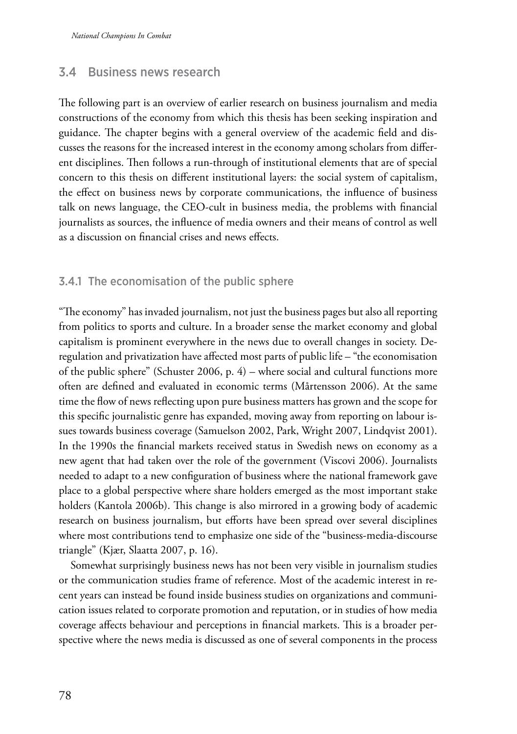## 3.4 Business news research

The following part is an overview of earlier research on business journalism and media constructions of the economy from which this thesis has been seeking inspiration and guidance. The chapter begins with a general overview of the academic field and discusses the reasons for the increased interest in the economy among scholars from different disciplines. Then follows a run-through of institutional elements that are of special concern to this thesis on different institutional layers: the social system of capitalism, the effect on business news by corporate communications, the influence of business talk on news language, the CEO-cult in business media, the problems with financial journalists as sources, the influence of media owners and their means of control as well as a discussion on financial crises and news effects.

## 3.4.1 The economisation of the public sphere

"The economy" has invaded journalism, not just the business pages but also all reporting from politics to sports and culture. In a broader sense the market economy and global capitalism is prominent everywhere in the news due to overall changes in society. Deregulation and privatization have affected most parts of public life – "the economisation of the public sphere" (Schuster 2006, p. 4) – where social and cultural functions more often are defined and evaluated in economic terms (Mårtensson 2006). At the same time the flow of news reflecting upon pure business matters has grown and the scope for this specific journalistic genre has expanded, moving away from reporting on labour issues towards business coverage (Samuelson 2002, Park, Wright 2007, Lindqvist 2001). In the 1990s the financial markets received status in Swedish news on economy as a new agent that had taken over the role of the government (Viscovi 2006). Journalists needed to adapt to a new configuration of business where the national framework gave place to a global perspective where share holders emerged as the most important stake holders (Kantola 2006b). This change is also mirrored in a growing body of academic research on business journalism, but efforts have been spread over several disciplines where most contributions tend to emphasize one side of the "business-media-discourse triangle" (Kjær, Slaatta 2007, p. 16).

Somewhat surprisingly business news has not been very visible in journalism studies or the communication studies frame of reference. Most of the academic interest in recent years can instead be found inside business studies on organizations and communication issues related to corporate promotion and reputation, or in studies of how media coverage affects behaviour and perceptions in financial markets. This is a broader perspective where the news media is discussed as one of several components in the process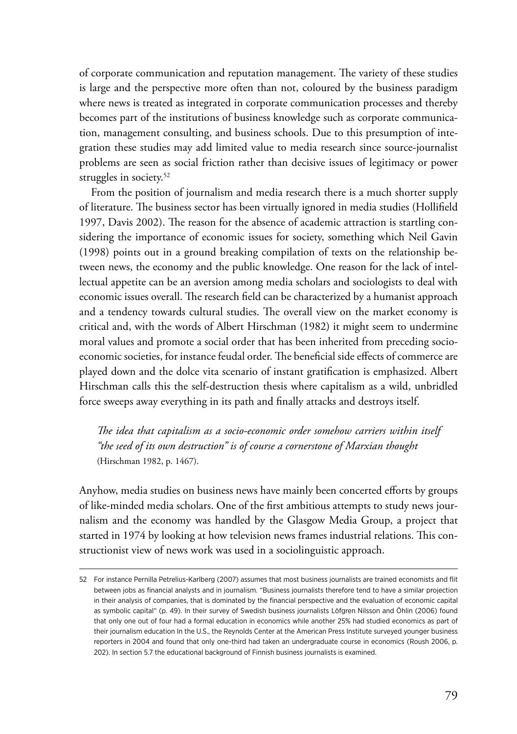of corporate communication and reputation management. The variety of these studies is large and the perspective more often than not, coloured by the business paradigm where news is treated as integrated in corporate communication processes and thereby becomes part of the institutions of business knowledge such as corporate communication, management consulting, and business schools. Due to this presumption of integration these studies may add limited value to media research since source-journalist problems are seen as social friction rather than decisive issues of legitimacy or power struggles in society.<sup>52</sup>

From the position of journalism and media research there is a much shorter supply of literature. The business sector has been virtually ignored in media studies (Hollifield 1997, Davis 2002). The reason for the absence of academic attraction is startling considering the importance of economic issues for society, something which Neil Gavin (1998) points out in a ground breaking compilation of texts on the relationship between news, the economy and the public knowledge. One reason for the lack of intellectual appetite can be an aversion among media scholars and sociologists to deal with economic issues overall. The research field can be characterized by a humanist approach and a tendency towards cultural studies. The overall view on the market economy is critical and, with the words of Albert Hirschman (1982) it might seem to undermine moral values and promote a social order that has been inherited from preceding socioeconomic societies, for instance feudal order. The beneficial side effects of commerce are played down and the dolce vita scenario of instant gratification is emphasized. Albert Hirschman calls this the self-destruction thesis where capitalism as a wild, unbridled force sweeps away everything in its path and finally attacks and destroys itself.

*The idea that capitalism as a socio-economic order somehow carriers within itself "the seed of its own destruction" is of course a cornerstone of Marxian thought*  (Hirschman 1982, p. 1467).

Anyhow, media studies on business news have mainly been concerted efforts by groups of like-minded media scholars. One of the first ambitious attempts to study news journalism and the economy was handled by the Glasgow Media Group, a project that started in 1974 by looking at how television news frames industrial relations. This constructionist view of news work was used in a sociolinguistic approach.

<sup>52</sup> For instance Pernilla Petrelius-Karlberg (2007) assumes that most business journalists are trained economists and flit between jobs as financial analysts and in journalism. "Business journalists therefore tend to have a similar projection in their analysis of companies, that is dominated by the financial perspective and the evaluation of economic capital as symbolic capital" (p. 49). In their survey of Swedish business journalists Löfgren Nilsson and Öhlin (2006) found that only one out of four had a formal education in economics while another 25% had studied economics as part of their journalism education In the U.S., the Reynolds Center at the American Press Institute surveyed younger business reporters in 2004 and found that only one-third had taken an undergraduate course in economics (Roush 2006, p. 202). In section 5.7 the educational background of Finnish business journalists is examined.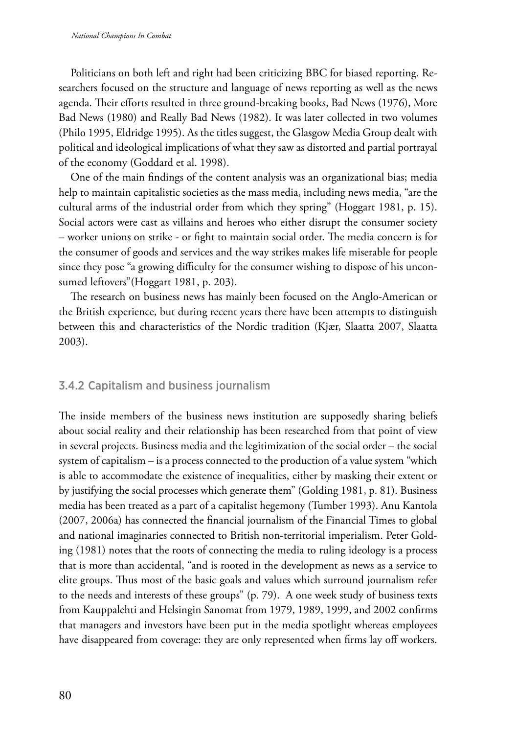Politicians on both left and right had been criticizing BBC for biased reporting. Researchers focused on the structure and language of news reporting as well as the news agenda. Their efforts resulted in three ground-breaking books, Bad News (1976), More Bad News (1980) and Really Bad News (1982). It was later collected in two volumes (Philo 1995, Eldridge 1995). As the titles suggest, the Glasgow Media Group dealt with political and ideological implications of what they saw as distorted and partial portrayal of the economy (Goddard et al. 1998).

One of the main findings of the content analysis was an organizational bias; media help to maintain capitalistic societies as the mass media, including news media, "are the cultural arms of the industrial order from which they spring" (Hoggart 1981, p. 15). Social actors were cast as villains and heroes who either disrupt the consumer society – worker unions on strike - or fight to maintain social order. The media concern is for the consumer of goods and services and the way strikes makes life miserable for people since they pose "a growing difficulty for the consumer wishing to dispose of his unconsumed leftovers"(Hoggart 1981, p. 203).

The research on business news has mainly been focused on the Anglo-American or the British experience, but during recent years there have been attempts to distinguish between this and characteristics of the Nordic tradition (Kjær, Slaatta 2007, Slaatta 2003).

### 3.4.2 Capitalism and business journalism

The inside members of the business news institution are supposedly sharing beliefs about social reality and their relationship has been researched from that point of view in several projects. Business media and the legitimization of the social order – the social system of capitalism – is a process connected to the production of a value system "which is able to accommodate the existence of inequalities, either by masking their extent or by justifying the social processes which generate them" (Golding 1981, p. 81). Business media has been treated as a part of a capitalist hegemony (Tumber 1993). Anu Kantola (2007, 2006a) has connected the financial journalism of the Financial Times to global and national imaginaries connected to British non-territorial imperialism. Peter Golding (1981) notes that the roots of connecting the media to ruling ideology is a process that is more than accidental, "and is rooted in the development as news as a service to elite groups. Thus most of the basic goals and values which surround journalism refer to the needs and interests of these groups" (p. 79). A one week study of business texts from Kauppalehti and Helsingin Sanomat from 1979, 1989, 1999, and 2002 confirms that managers and investors have been put in the media spotlight whereas employees have disappeared from coverage: they are only represented when firms lay off workers.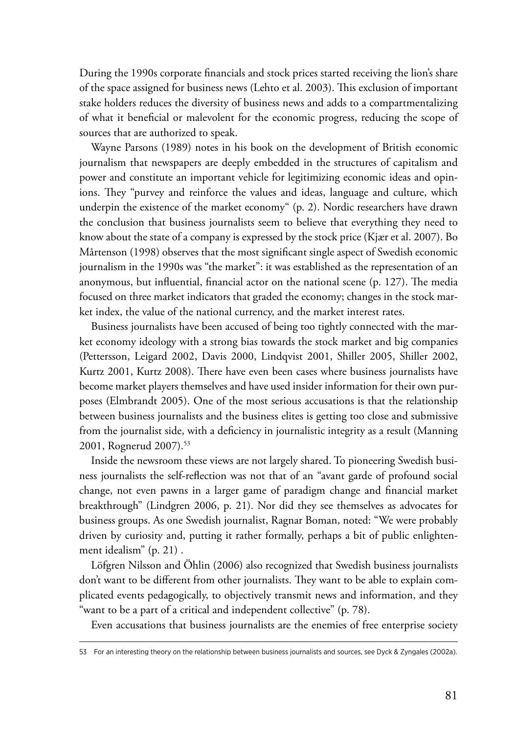During the 1990s corporate financials and stock prices started receiving the lion's share of the space assigned for business news (Lehto et al. 2003). This exclusion of important stake holders reduces the diversity of business news and adds to a compartmentalizing of what it beneficial or malevolent for the economic progress, reducing the scope of sources that are authorized to speak.

Wayne Parsons (1989) notes in his book on the development of British economic journalism that newspapers are deeply embedded in the structures of capitalism and power and constitute an important vehicle for legitimizing economic ideas and opinions. They "purvey and reinforce the values and ideas, language and culture, which underpin the existence of the market economy" (p. 2). Nordic researchers have drawn the conclusion that business journalists seem to believe that everything they need to know about the state of a company is expressed by the stock price (Kjær et al. 2007). Bo Mårtenson (1998) observes that the most significant single aspect of Swedish economic journalism in the 1990s was "the market": it was established as the representation of an anonymous, but influential, financial actor on the national scene (p. 127). The media focused on three market indicators that graded the economy; changes in the stock market index, the value of the national currency, and the market interest rates.

Business journalists have been accused of being too tightly connected with the market economy ideology with a strong bias towards the stock market and big companies (Pettersson, Leigard 2002, Davis 2000, Lindqvist 2001, Shiller 2005, Shiller 2002, Kurtz 2001, Kurtz 2008). There have even been cases where business journalists have become market players themselves and have used insider information for their own purposes (Elmbrandt 2005). One of the most serious accusations is that the relationship between business journalists and the business elites is getting too close and submissive from the journalist side, with a deficiency in journalistic integrity as a result (Manning 2001, Rognerud 2007).53

Inside the newsroom these views are not largely shared. To pioneering Swedish business journalists the self-reflection was not that of an "avant garde of profound social change, not even pawns in a larger game of paradigm change and financial market breakthrough" (Lindgren 2006, p. 21). Nor did they see themselves as advocates for business groups. As one Swedish journalist, Ragnar Boman, noted: "We were probably driven by curiosity and, putting it rather formally, perhaps a bit of public enlightenment idealism" (p. 21) .

Löfgren Nilsson and Öhlin (2006) also recognized that Swedish business journalists don't want to be different from other journalists. They want to be able to explain complicated events pedagogically, to objectively transmit news and information, and they "want to be a part of a critical and independent collective" (p. 78).

Even accusations that business journalists are the enemies of free enterprise society

<sup>53</sup> For an interesting theory on the relationship between business journalists and sources, see Dyck & Zyngales (2002a).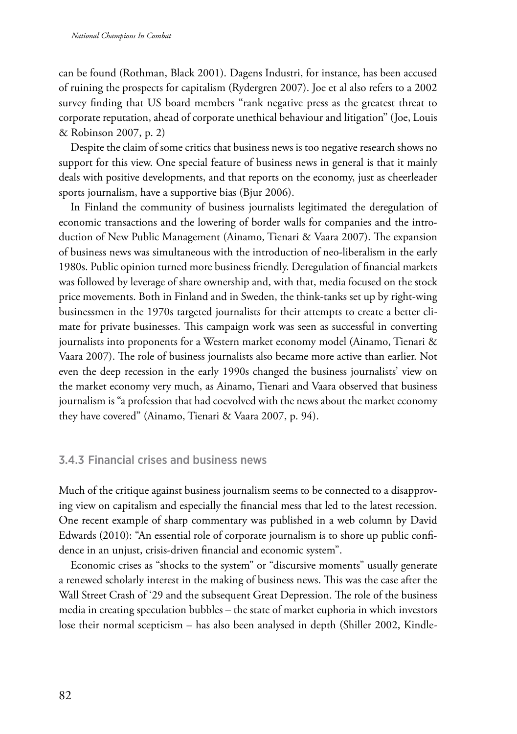can be found (Rothman, Black 2001). Dagens Industri, for instance, has been accused of ruining the prospects for capitalism (Rydergren 2007). Joe et al also refers to a 2002 survey finding that US board members "rank negative press as the greatest threat to corporate reputation, ahead of corporate unethical behaviour and litigation'' (Joe, Louis & Robinson 2007, p. 2)

Despite the claim of some critics that business news is too negative research shows no support for this view. One special feature of business news in general is that it mainly deals with positive developments, and that reports on the economy, just as cheerleader sports journalism, have a supportive bias (Bjur 2006).

In Finland the community of business journalists legitimated the deregulation of economic transactions and the lowering of border walls for companies and the introduction of New Public Management (Ainamo, Tienari & Vaara 2007). The expansion of business news was simultaneous with the introduction of neo-liberalism in the early 1980s. Public opinion turned more business friendly. Deregulation of financial markets was followed by leverage of share ownership and, with that, media focused on the stock price movements. Both in Finland and in Sweden, the think-tanks set up by right-wing businessmen in the 1970s targeted journalists for their attempts to create a better climate for private businesses. This campaign work was seen as successful in converting journalists into proponents for a Western market economy model (Ainamo, Tienari & Vaara 2007). The role of business journalists also became more active than earlier. Not even the deep recession in the early 1990s changed the business journalists' view on the market economy very much, as Ainamo, Tienari and Vaara observed that business journalism is "a profession that had coevolved with the news about the market economy they have covered" (Ainamo, Tienari & Vaara 2007, p. 94).

## 3.4.3 Financial crises and business news

Much of the critique against business journalism seems to be connected to a disapproving view on capitalism and especially the financial mess that led to the latest recession. One recent example of sharp commentary was published in a web column by David Edwards (2010): "An essential role of corporate journalism is to shore up public confidence in an unjust, crisis-driven financial and economic system".

Economic crises as "shocks to the system" or "discursive moments" usually generate a renewed scholarly interest in the making of business news. This was the case after the Wall Street Crash of '29 and the subsequent Great Depression. The role of the business media in creating speculation bubbles – the state of market euphoria in which investors lose their normal scepticism – has also been analysed in depth (Shiller 2002, Kindle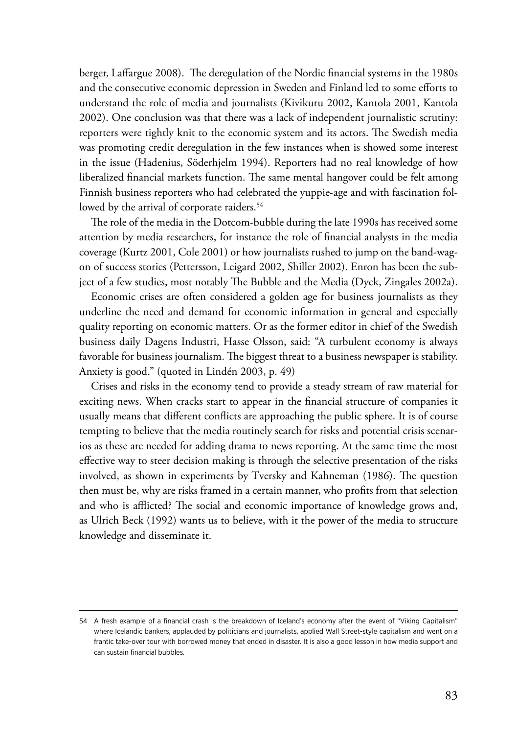berger, Laffargue 2008). The deregulation of the Nordic financial systems in the 1980s and the consecutive economic depression in Sweden and Finland led to some efforts to understand the role of media and journalists (Kivikuru 2002, Kantola 2001, Kantola 2002). One conclusion was that there was a lack of independent journalistic scrutiny: reporters were tightly knit to the economic system and its actors. The Swedish media was promoting credit deregulation in the few instances when is showed some interest in the issue (Hadenius, Söderhjelm 1994). Reporters had no real knowledge of how liberalized financial markets function. The same mental hangover could be felt among Finnish business reporters who had celebrated the yuppie-age and with fascination followed by the arrival of corporate raiders.<sup>54</sup>

The role of the media in the Dotcom-bubble during the late 1990s has received some attention by media researchers, for instance the role of financial analysts in the media coverage (Kurtz 2001, Cole 2001) or how journalists rushed to jump on the band-wagon of success stories (Pettersson, Leigard 2002, Shiller 2002). Enron has been the subject of a few studies, most notably The Bubble and the Media (Dyck, Zingales 2002a).

Economic crises are often considered a golden age for business journalists as they underline the need and demand for economic information in general and especially quality reporting on economic matters. Or as the former editor in chief of the Swedish business daily Dagens Industri, Hasse Olsson, said: "A turbulent economy is always favorable for business journalism. The biggest threat to a business newspaper is stability. Anxiety is good." (quoted in Lindén 2003, p. 49)

Crises and risks in the economy tend to provide a steady stream of raw material for exciting news. When cracks start to appear in the financial structure of companies it usually means that different conflicts are approaching the public sphere. It is of course tempting to believe that the media routinely search for risks and potential crisis scenarios as these are needed for adding drama to news reporting. At the same time the most effective way to steer decision making is through the selective presentation of the risks involved, as shown in experiments by Tversky and Kahneman (1986). The question then must be, why are risks framed in a certain manner, who profits from that selection and who is afflicted? The social and economic importance of knowledge grows and, as Ulrich Beck (1992) wants us to believe, with it the power of the media to structure knowledge and disseminate it.

<sup>54</sup> A fresh example of a financial crash is the breakdown of Iceland's economy after the event of "Viking Capitalism" where Icelandic bankers, applauded by politicians and journalists, applied Wall Street-style capitalism and went on a frantic take-over tour with borrowed money that ended in disaster. It is also a good lesson in how media support and can sustain financial bubbles.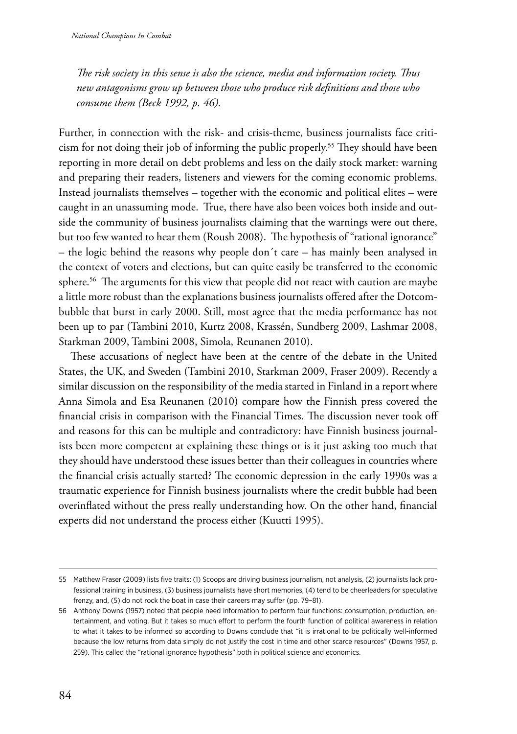*The risk society in this sense is also the science, media and information society. Thus new antagonisms grow up between those who produce risk definitions and those who consume them (Beck 1992, p. 46).*

Further, in connection with the risk- and crisis-theme, business journalists face criticism for not doing their job of informing the public properly.55 They should have been reporting in more detail on debt problems and less on the daily stock market: warning and preparing their readers, listeners and viewers for the coming economic problems. Instead journalists themselves – together with the economic and political elites – were caught in an unassuming mode. True, there have also been voices both inside and outside the community of business journalists claiming that the warnings were out there, but too few wanted to hear them (Roush 2008). The hypothesis of "rational ignorance" – the logic behind the reasons why people don´t care – has mainly been analysed in the context of voters and elections, but can quite easily be transferred to the economic sphere.<sup>56</sup> The arguments for this view that people did not react with caution are maybe a little more robust than the explanations business journalists offered after the Dotcombubble that burst in early 2000. Still, most agree that the media performance has not been up to par (Tambini 2010, Kurtz 2008, Krassén, Sundberg 2009, Lashmar 2008, Starkman 2009, Tambini 2008, Simola, Reunanen 2010).

These accusations of neglect have been at the centre of the debate in the United States, the UK, and Sweden (Tambini 2010, Starkman 2009, Fraser 2009). Recently a similar discussion on the responsibility of the media started in Finland in a report where Anna Simola and Esa Reunanen (2010) compare how the Finnish press covered the financial crisis in comparison with the Financial Times. The discussion never took off and reasons for this can be multiple and contradictory: have Finnish business journalists been more competent at explaining these things or is it just asking too much that they should have understood these issues better than their colleagues in countries where the financial crisis actually started? The economic depression in the early 1990s was a traumatic experience for Finnish business journalists where the credit bubble had been overinflated without the press really understanding how. On the other hand, financial experts did not understand the process either (Kuutti 1995).

<sup>55</sup> Matthew Fraser (2009) lists five traits: (1) Scoops are driving business journalism, not analysis, (2) journalists lack professional training in business, (3) business journalists have short memories, (4) tend to be cheerleaders for speculative frenzy, and, (5) do not rock the boat in case their careers may suffer (pp. 79–81).

<sup>56</sup> Anthony Downs (1957) noted that people need information to perform four functions: consumption, production, entertainment, and voting. But it takes so much effort to perform the fourth function of political awareness in relation to what it takes to be informed so according to Downs conclude that "it is irrational to be politically well-informed because the low returns from data simply do not justify the cost in time and other scarce resources" (Downs 1957, p. 259). This called the "rational ignorance hypothesis" both in political science and economics.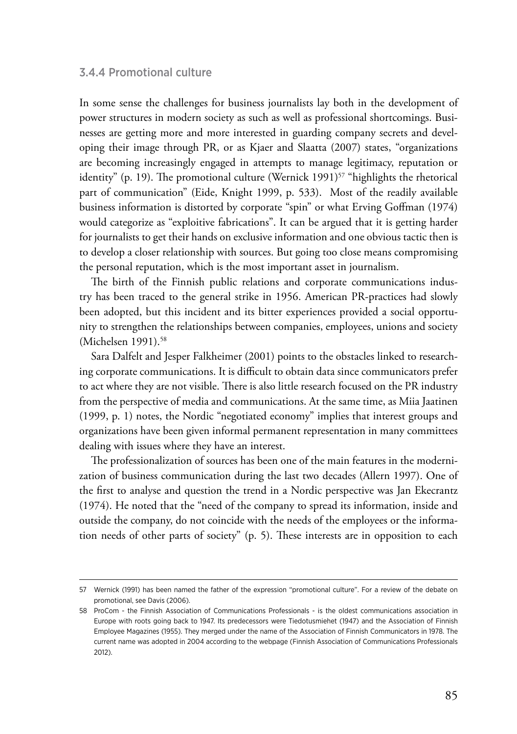### 3.4.4 Promotional culture

In some sense the challenges for business journalists lay both in the development of power structures in modern society as such as well as professional shortcomings. Businesses are getting more and more interested in guarding company secrets and developing their image through PR, or as Kjaer and Slaatta (2007) states, "organizations are becoming increasingly engaged in attempts to manage legitimacy, reputation or identity" (p. 19). The promotional culture (Wernick 1991) $57$  "highlights the rhetorical part of communication" (Eide, Knight 1999, p. 533). Most of the readily available business information is distorted by corporate "spin" or what Erving Goffman (1974) would categorize as "exploitive fabrications". It can be argued that it is getting harder for journalists to get their hands on exclusive information and one obvious tactic then is to develop a closer relationship with sources. But going too close means compromising the personal reputation, which is the most important asset in journalism.

The birth of the Finnish public relations and corporate communications industry has been traced to the general strike in 1956. American PR-practices had slowly been adopted, but this incident and its bitter experiences provided a social opportunity to strengthen the relationships between companies, employees, unions and society (Michelsen 1991).<sup>58</sup>

Sara Dalfelt and Jesper Falkheimer (2001) points to the obstacles linked to researching corporate communications. It is difficult to obtain data since communicators prefer to act where they are not visible. There is also little research focused on the PR industry from the perspective of media and communications. At the same time, as Miia Jaatinen (1999, p. 1) notes, the Nordic "negotiated economy" implies that interest groups and organizations have been given informal permanent representation in many committees dealing with issues where they have an interest.

The professionalization of sources has been one of the main features in the modernization of business communication during the last two decades (Allern 1997). One of the first to analyse and question the trend in a Nordic perspective was Jan Ekecrantz (1974). He noted that the "need of the company to spread its information, inside and outside the company, do not coincide with the needs of the employees or the information needs of other parts of society" (p. 5). These interests are in opposition to each

<sup>57</sup> Wernick (1991) has been named the father of the expression "promotional culture". For a review of the debate on promotional, see Davis (2006).

<sup>58</sup> ProCom - the Finnish Association of Communications Professionals - is the oldest communications association in Europe with roots going back to 1947. Its predecessors were Tiedotusmiehet (1947) and the Association of Finnish Employee Magazines (1955). They merged under the name of the Association of Finnish Communicators in 1978. The current name was adopted in 2004 according to the webpage (Finnish Association of Communications Professionals 2012).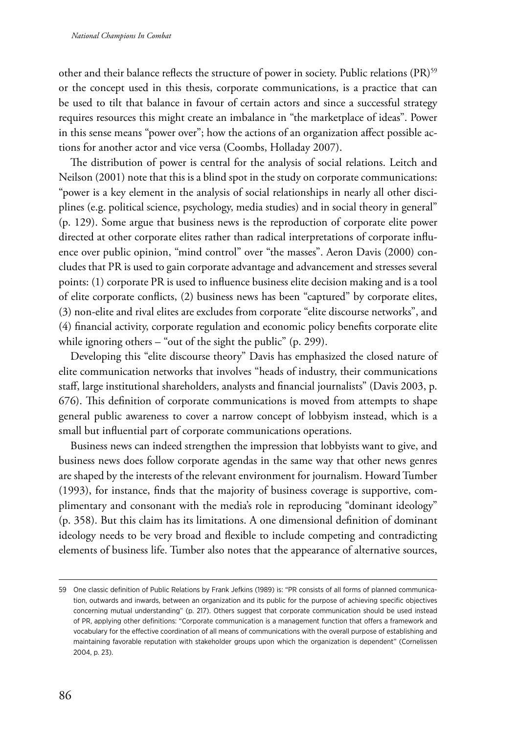other and their balance reflects the structure of power in society. Public relations (PR)<sup>59</sup> or the concept used in this thesis, corporate communications, is a practice that can be used to tilt that balance in favour of certain actors and since a successful strategy requires resources this might create an imbalance in "the marketplace of ideas". Power in this sense means "power over"; how the actions of an organization affect possible actions for another actor and vice versa (Coombs, Holladay 2007).

The distribution of power is central for the analysis of social relations. Leitch and Neilson (2001) note that this is a blind spot in the study on corporate communications: "power is a key element in the analysis of social relationships in nearly all other disciplines (e.g. political science, psychology, media studies) and in social theory in general" (p. 129). Some argue that business news is the reproduction of corporate elite power directed at other corporate elites rather than radical interpretations of corporate influence over public opinion, "mind control" over "the masses". Aeron Davis (2000) concludes that PR is used to gain corporate advantage and advancement and stresses several points: (1) corporate PR is used to influence business elite decision making and is a tool of elite corporate conflicts, (2) business news has been "captured" by corporate elites, (3) non-elite and rival elites are excludes from corporate "elite discourse networks", and (4) financial activity, corporate regulation and economic policy benefits corporate elite while ignoring others – "out of the sight the public" (p. 299).

Developing this "elite discourse theory" Davis has emphasized the closed nature of elite communication networks that involves "heads of industry, their communications staff, large institutional shareholders, analysts and financial journalists" (Davis 2003, p. 676). This definition of corporate communications is moved from attempts to shape general public awareness to cover a narrow concept of lobbyism instead, which is a small but influential part of corporate communications operations.

Business news can indeed strengthen the impression that lobbyists want to give, and business news does follow corporate agendas in the same way that other news genres are shaped by the interests of the relevant environment for journalism. Howard Tumber (1993), for instance, finds that the majority of business coverage is supportive, complimentary and consonant with the media's role in reproducing "dominant ideology" (p. 358). But this claim has its limitations. A one dimensional definition of dominant ideology needs to be very broad and flexible to include competing and contradicting elements of business life. Tumber also notes that the appearance of alternative sources,

<sup>59</sup> One classic definition of Public Relations by Frank Jefkins (1989) is: "PR consists of all forms of planned communication, outwards and inwards, between an organization and its public for the purpose of achieving specific objectives concerning mutual understanding" (p. 217). Others suggest that corporate communication should be used instead of PR, applying other definitions: "Corporate communication is a management function that offers a framework and vocabulary for the effective coordination of all means of communications with the overall purpose of establishing and maintaining favorable reputation with stakeholder groups upon which the organization is dependent" (Cornelissen 2004, p. 23).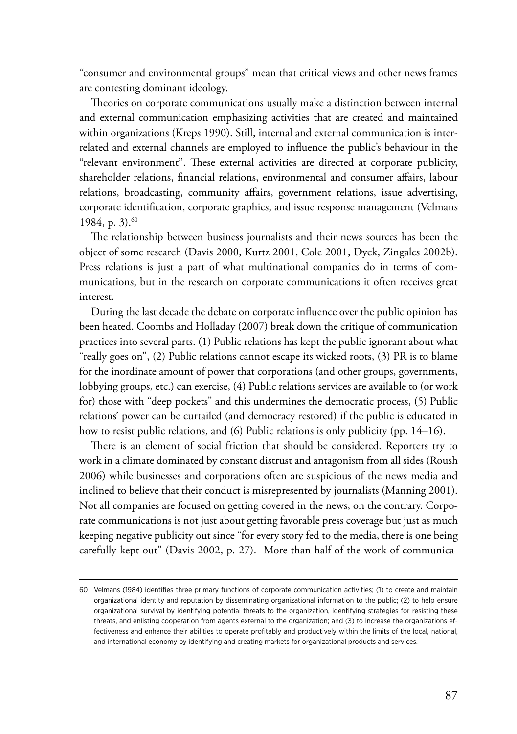"consumer and environmental groups" mean that critical views and other news frames are contesting dominant ideology.

Theories on corporate communications usually make a distinction between internal and external communication emphasizing activities that are created and maintained within organizations (Kreps 1990). Still, internal and external communication is interrelated and external channels are employed to influence the public's behaviour in the "relevant environment". These external activities are directed at corporate publicity, shareholder relations, financial relations, environmental and consumer affairs, labour relations, broadcasting, community affairs, government relations, issue advertising, corporate identification, corporate graphics, and issue response management (Velmans 1984, p. 3). $60$ 

The relationship between business journalists and their news sources has been the object of some research (Davis 2000, Kurtz 2001, Cole 2001, Dyck, Zingales 2002b). Press relations is just a part of what multinational companies do in terms of communications, but in the research on corporate communications it often receives great interest.

During the last decade the debate on corporate influence over the public opinion has been heated. Coombs and Holladay (2007) break down the critique of communication practices into several parts. (1) Public relations has kept the public ignorant about what "really goes on'', (2) Public relations cannot escape its wicked roots, (3) PR is to blame for the inordinate amount of power that corporations (and other groups, governments, lobbying groups, etc.) can exercise, (4) Public relations services are available to (or work for) those with "deep pockets" and this undermines the democratic process, (5) Public relations' power can be curtailed (and democracy restored) if the public is educated in how to resist public relations, and (6) Public relations is only publicity (pp. 14–16).

There is an element of social friction that should be considered. Reporters try to work in a climate dominated by constant distrust and antagonism from all sides (Roush 2006) while businesses and corporations often are suspicious of the news media and inclined to believe that their conduct is misrepresented by journalists (Manning 2001). Not all companies are focused on getting covered in the news, on the contrary. Corporate communications is not just about getting favorable press coverage but just as much keeping negative publicity out since "for every story fed to the media, there is one being carefully kept out" (Davis 2002, p. 27). More than half of the work of communica-

<sup>60</sup> Velmans (1984) identifies three primary functions of corporate communication activities; (1) to create and maintain organizational identity and reputation by disseminating organizational information to the public; (2) to help ensure organizational survival by identifying potential threats to the organization, identifying strategies for resisting these threats, and enlisting cooperation from agents external to the organization; and (3) to increase the organizations effectiveness and enhance their abilities to operate profitably and productively within the limits of the local, national, and international economy by identifying and creating markets for organizational products and services.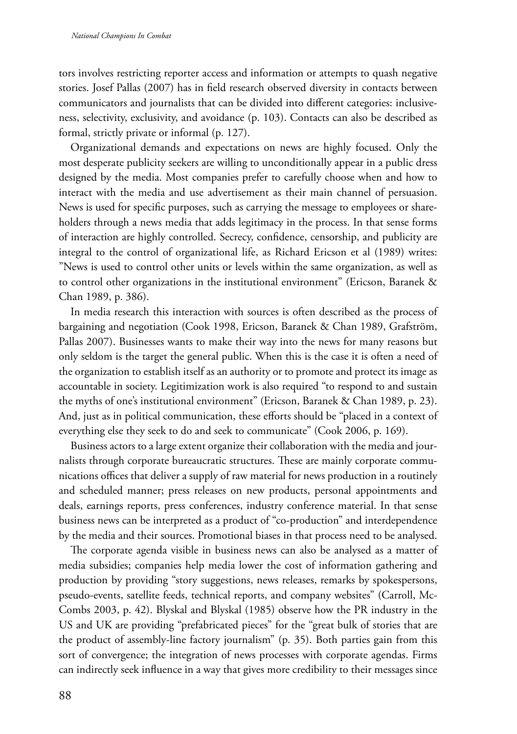tors involves restricting reporter access and information or attempts to quash negative stories. Josef Pallas (2007) has in field research observed diversity in contacts between communicators and journalists that can be divided into different categories: inclusiveness, selectivity, exclusivity, and avoidance (p. 103). Contacts can also be described as formal, strictly private or informal (p. 127).

Organizational demands and expectations on news are highly focused. Only the most desperate publicity seekers are willing to unconditionally appear in a public dress designed by the media. Most companies prefer to carefully choose when and how to interact with the media and use advertisement as their main channel of persuasion. News is used for specific purposes, such as carrying the message to employees or shareholders through a news media that adds legitimacy in the process. In that sense forms of interaction are highly controlled. Secrecy, confidence, censorship, and publicity are integral to the control of organizational life, as Richard Ericson et al (1989) writes: "News is used to control other units or levels within the same organization, as well as to control other organizations in the institutional environment" (Ericson, Baranek & Chan 1989, p. 386).

In media research this interaction with sources is often described as the process of bargaining and negotiation (Cook 1998, Ericson, Baranek & Chan 1989, Grafström, Pallas 2007). Businesses wants to make their way into the news for many reasons but only seldom is the target the general public. When this is the case it is often a need of the organization to establish itself as an authority or to promote and protect its image as accountable in society. Legitimization work is also required "to respond to and sustain the myths of one's institutional environment" (Ericson, Baranek & Chan 1989, p. 23). And, just as in political communication, these efforts should be "placed in a context of everything else they seek to do and seek to communicate" (Cook 2006, p. 169).

Business actors to a large extent organize their collaboration with the media and journalists through corporate bureaucratic structures. These are mainly corporate communications offices that deliver a supply of raw material for news production in a routinely and scheduled manner; press releases on new products, personal appointments and deals, earnings reports, press conferences, industry conference material. In that sense business news can be interpreted as a product of "co-production" and interdependence by the media and their sources. Promotional biases in that process need to be analysed.

The corporate agenda visible in business news can also be analysed as a matter of media subsidies; companies help media lower the cost of information gathering and production by providing "story suggestions, news releases, remarks by spokespersons, pseudo-events, satellite feeds, technical reports, and company websites" (Carroll, Mc-Combs 2003, p. 42). Blyskal and Blyskal (1985) observe how the PR industry in the US and UK are providing "prefabricated pieces" for the "great bulk of stories that are the product of assembly-line factory journalism" (p. 35). Both parties gain from this sort of convergence; the integration of news processes with corporate agendas. Firms can indirectly seek influence in a way that gives more credibility to their messages since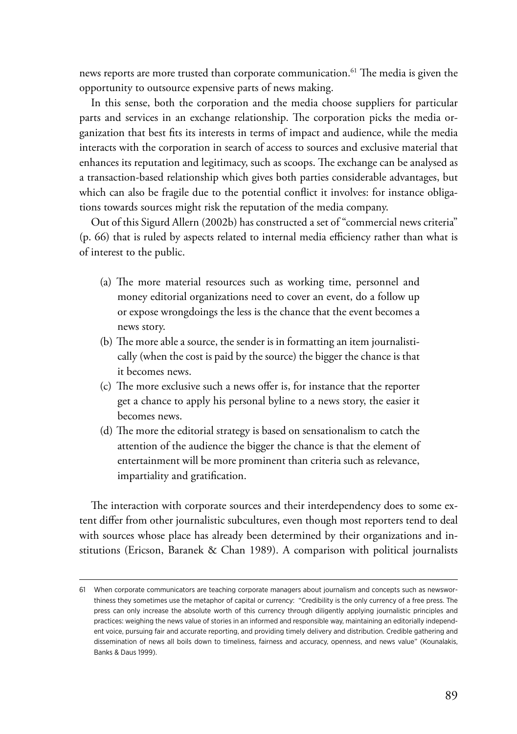news reports are more trusted than corporate communication.<sup>61</sup> The media is given the opportunity to outsource expensive parts of news making.

In this sense, both the corporation and the media choose suppliers for particular parts and services in an exchange relationship. The corporation picks the media organization that best fits its interests in terms of impact and audience, while the media interacts with the corporation in search of access to sources and exclusive material that enhances its reputation and legitimacy, such as scoops. The exchange can be analysed as a transaction-based relationship which gives both parties considerable advantages, but which can also be fragile due to the potential conflict it involves: for instance obligations towards sources might risk the reputation of the media company.

Out of this Sigurd Allern (2002b) has constructed a set of "commercial news criteria" (p. 66) that is ruled by aspects related to internal media efficiency rather than what is of interest to the public.

- (a) The more material resources such as working time, personnel and money editorial organizations need to cover an event, do a follow up or expose wrongdoings the less is the chance that the event becomes a news story.
- (b) The more able a source, the sender is in formatting an item journalistically (when the cost is paid by the source) the bigger the chance is that it becomes news.
- (c) The more exclusive such a news offer is, for instance that the reporter get a chance to apply his personal byline to a news story, the easier it becomes news.
- (d) The more the editorial strategy is based on sensationalism to catch the attention of the audience the bigger the chance is that the element of entertainment will be more prominent than criteria such as relevance, impartiality and gratification.

The interaction with corporate sources and their interdependency does to some extent differ from other journalistic subcultures, even though most reporters tend to deal with sources whose place has already been determined by their organizations and institutions (Ericson, Baranek & Chan 1989). A comparison with political journalists

<sup>61</sup> When corporate communicators are teaching corporate managers about journalism and concepts such as newsworthiness they sometimes use the metaphor of capital or currency: "Credibility is the only currency of a free press. The press can only increase the absolute worth of this currency through diligently applying journalistic principles and practices: weighing the news value of stories in an informed and responsible way, maintaining an editorially independent voice, pursuing fair and accurate reporting, and providing timely delivery and distribution. Credible gathering and dissemination of news all boils down to timeliness, fairness and accuracy, openness, and news value" (Kounalakis, Banks & Daus 1999).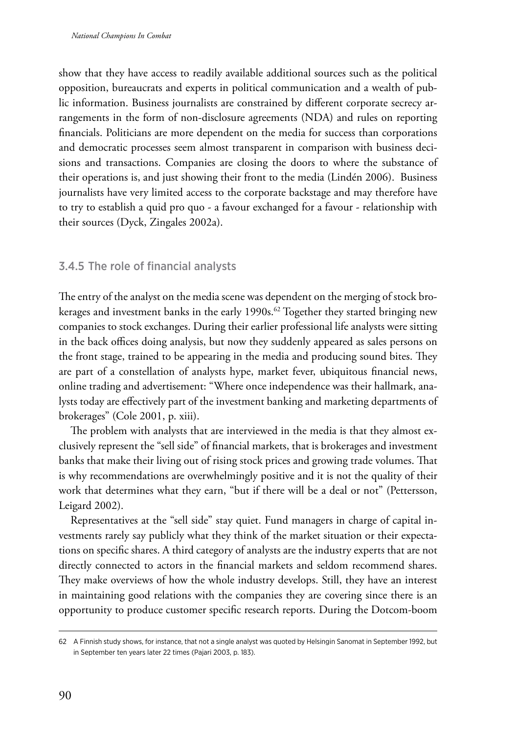show that they have access to readily available additional sources such as the political opposition, bureaucrats and experts in political communication and a wealth of public information. Business journalists are constrained by different corporate secrecy arrangements in the form of non-disclosure agreements (NDA) and rules on reporting financials. Politicians are more dependent on the media for success than corporations and democratic processes seem almost transparent in comparison with business decisions and transactions. Companies are closing the doors to where the substance of their operations is, and just showing their front to the media (Lindén 2006). Business journalists have very limited access to the corporate backstage and may therefore have to try to establish a quid pro quo - a favour exchanged for a favour - relationship with their sources (Dyck, Zingales 2002a).

## 3.4.5 The role of financial analysts

The entry of the analyst on the media scene was dependent on the merging of stock brokerages and investment banks in the early 1990s.<sup>62</sup> Together they started bringing new companies to stock exchanges. During their earlier professional life analysts were sitting in the back offices doing analysis, but now they suddenly appeared as sales persons on the front stage, trained to be appearing in the media and producing sound bites. They are part of a constellation of analysts hype, market fever, ubiquitous financial news, online trading and advertisement: "Where once independence was their hallmark, analysts today are effectively part of the investment banking and marketing departments of brokerages" (Cole 2001, p. xiii).

The problem with analysts that are interviewed in the media is that they almost exclusively represent the "sell side" of financial markets, that is brokerages and investment banks that make their living out of rising stock prices and growing trade volumes. That is why recommendations are overwhelmingly positive and it is not the quality of their work that determines what they earn, "but if there will be a deal or not" (Pettersson, Leigard 2002).

Representatives at the "sell side" stay quiet. Fund managers in charge of capital investments rarely say publicly what they think of the market situation or their expectations on specific shares. A third category of analysts are the industry experts that are not directly connected to actors in the financial markets and seldom recommend shares. They make overviews of how the whole industry develops. Still, they have an interest in maintaining good relations with the companies they are covering since there is an opportunity to produce customer specific research reports. During the Dotcom-boom

<sup>62</sup> A Finnish study shows, for instance, that not a single analyst was quoted by Helsingin Sanomat in September 1992, but in September ten years later 22 times (Pajari 2003, p. 183).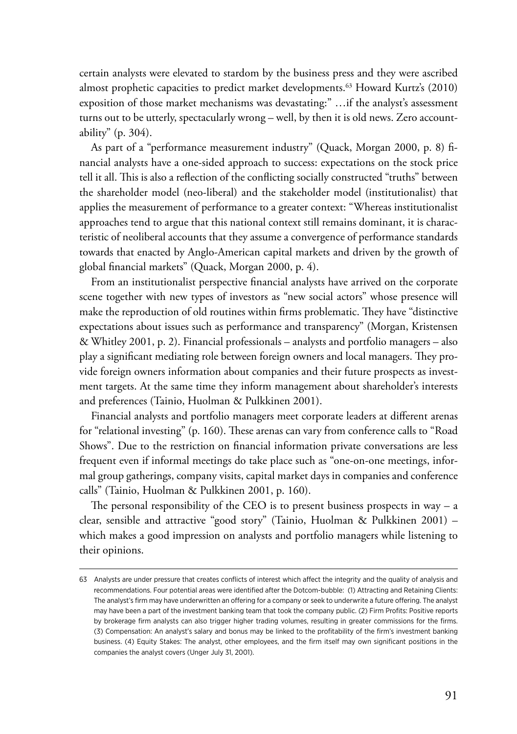certain analysts were elevated to stardom by the business press and they were ascribed almost prophetic capacities to predict market developments.<sup>63</sup> Howard Kurtz's (2010) exposition of those market mechanisms was devastating:" …if the analyst's assessment turns out to be utterly, spectacularly wrong – well, by then it is old news. Zero accountability" (p. 304).

As part of a "performance measurement industry" (Quack, Morgan 2000, p. 8) financial analysts have a one-sided approach to success: expectations on the stock price tell it all. This is also a reflection of the conflicting socially constructed "truths" between the shareholder model (neo-liberal) and the stakeholder model (institutionalist) that applies the measurement of performance to a greater context: "Whereas institutionalist approaches tend to argue that this national context still remains dominant, it is characteristic of neoliberal accounts that they assume a convergence of performance standards towards that enacted by Anglo-American capital markets and driven by the growth of global financial markets" (Quack, Morgan 2000, p. 4).

From an institutionalist perspective financial analysts have arrived on the corporate scene together with new types of investors as "new social actors" whose presence will make the reproduction of old routines within firms problematic. They have "distinctive expectations about issues such as performance and transparency" (Morgan, Kristensen & Whitley 2001, p. 2). Financial professionals – analysts and portfolio managers – also play a significant mediating role between foreign owners and local managers. They provide foreign owners information about companies and their future prospects as investment targets. At the same time they inform management about shareholder's interests and preferences (Tainio, Huolman & Pulkkinen 2001).

Financial analysts and portfolio managers meet corporate leaders at different arenas for "relational investing" (p. 160). These arenas can vary from conference calls to "Road Shows". Due to the restriction on financial information private conversations are less frequent even if informal meetings do take place such as "one-on-one meetings, informal group gatherings, company visits, capital market days in companies and conference calls" (Tainio, Huolman & Pulkkinen 2001, p. 160).

The personal responsibility of the CEO is to present business prospects in way  $-$  a clear, sensible and attractive "good story" (Tainio, Huolman & Pulkkinen 2001) – which makes a good impression on analysts and portfolio managers while listening to their opinions.

<sup>63</sup> Analysts are under pressure that creates conflicts of interest which affect the integrity and the quality of analysis and recommendations. Four potential areas were identified after the Dotcom-bubble: (1) Attracting and Retaining Clients: The analyst's firm may have underwritten an offering for a company or seek to underwrite a future offering. The analyst may have been a part of the investment banking team that took the company public. (2) Firm Profits: Positive reports by brokerage firm analysts can also trigger higher trading volumes, resulting in greater commissions for the firms. (3) Compensation: An analyst's salary and bonus may be linked to the profitability of the firm's investment banking business. (4) Equity Stakes: The analyst, other employees, and the firm itself may own significant positions in the companies the analyst covers (Unger July 31, 2001).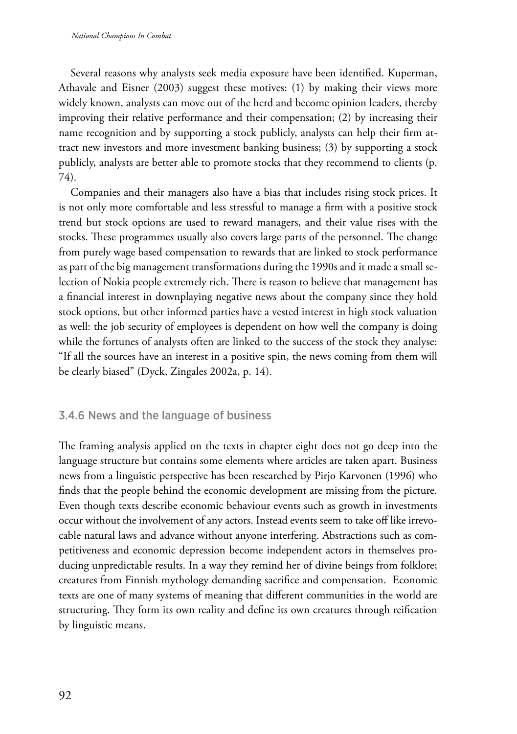Several reasons why analysts seek media exposure have been identified. Kuperman, Athavale and Eisner (2003) suggest these motives: (1) by making their views more widely known, analysts can move out of the herd and become opinion leaders, thereby improving their relative performance and their compensation; (2) by increasing their name recognition and by supporting a stock publicly, analysts can help their firm attract new investors and more investment banking business; (3) by supporting a stock publicly, analysts are better able to promote stocks that they recommend to clients (p. 74).

Companies and their managers also have a bias that includes rising stock prices. It is not only more comfortable and less stressful to manage a firm with a positive stock trend but stock options are used to reward managers, and their value rises with the stocks. These programmes usually also covers large parts of the personnel. The change from purely wage based compensation to rewards that are linked to stock performance as part of the big management transformations during the 1990s and it made a small selection of Nokia people extremely rich. There is reason to believe that management has a financial interest in downplaying negative news about the company since they hold stock options, but other informed parties have a vested interest in high stock valuation as well: the job security of employees is dependent on how well the company is doing while the fortunes of analysts often are linked to the success of the stock they analyse: "If all the sources have an interest in a positive spin, the news coming from them will be clearly biased" (Dyck, Zingales 2002a, p. 14).

## 3.4.6 News and the language of business

The framing analysis applied on the texts in chapter eight does not go deep into the language structure but contains some elements where articles are taken apart. Business news from a linguistic perspective has been researched by Pirjo Karvonen (1996) who finds that the people behind the economic development are missing from the picture. Even though texts describe economic behaviour events such as growth in investments occur without the involvement of any actors. Instead events seem to take off like irrevocable natural laws and advance without anyone interfering. Abstractions such as competitiveness and economic depression become independent actors in themselves producing unpredictable results. In a way they remind her of divine beings from folklore; creatures from Finnish mythology demanding sacrifice and compensation. Economic texts are one of many systems of meaning that different communities in the world are structuring. They form its own reality and define its own creatures through reification by linguistic means.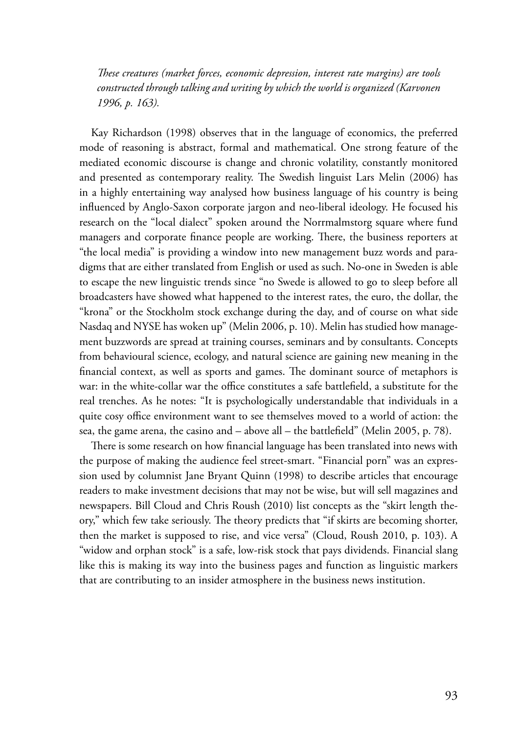*These creatures (market forces, economic depression, interest rate margins) are tools constructed through talking and writing by which the world is organized (Karvonen 1996, p. 163).* 

Kay Richardson (1998) observes that in the language of economics, the preferred mode of reasoning is abstract, formal and mathematical. One strong feature of the mediated economic discourse is change and chronic volatility, constantly monitored and presented as contemporary reality. The Swedish linguist Lars Melin (2006) has in a highly entertaining way analysed how business language of his country is being influenced by Anglo-Saxon corporate jargon and neo-liberal ideology. He focused his research on the "local dialect" spoken around the Norrmalmstorg square where fund managers and corporate finance people are working. There, the business reporters at "the local media" is providing a window into new management buzz words and paradigms that are either translated from English or used as such. No-one in Sweden is able to escape the new linguistic trends since "no Swede is allowed to go to sleep before all broadcasters have showed what happened to the interest rates, the euro, the dollar, the "krona" or the Stockholm stock exchange during the day, and of course on what side Nasdaq and NYSE has woken up" (Melin 2006, p. 10). Melin has studied how management buzzwords are spread at training courses, seminars and by consultants. Concepts from behavioural science, ecology, and natural science are gaining new meaning in the financial context, as well as sports and games. The dominant source of metaphors is war: in the white-collar war the office constitutes a safe battlefield, a substitute for the real trenches. As he notes: "It is psychologically understandable that individuals in a quite cosy office environment want to see themselves moved to a world of action: the sea, the game arena, the casino and – above all – the battlefield" (Melin 2005, p. 78).

There is some research on how financial language has been translated into news with the purpose of making the audience feel street-smart. "Financial porn" was an expression used by columnist Jane Bryant Quinn (1998) to describe articles that encourage readers to make investment decisions that may not be wise, but will sell magazines and newspapers. Bill Cloud and Chris Roush (2010) list concepts as the "skirt length theory," which few take seriously. The theory predicts that "if skirts are becoming shorter, then the market is supposed to rise, and vice versa" (Cloud, Roush 2010, p. 103). A "widow and orphan stock" is a safe, low-risk stock that pays dividends. Financial slang like this is making its way into the business pages and function as linguistic markers that are contributing to an insider atmosphere in the business news institution.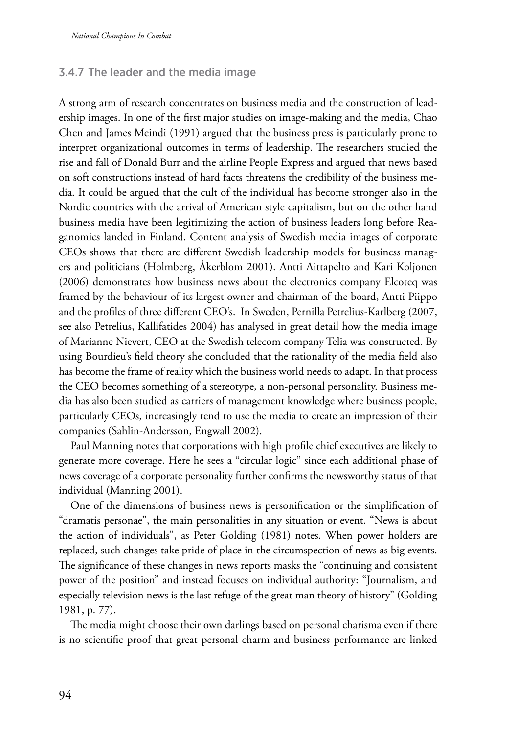## 3.4.7 The leader and the media image

A strong arm of research concentrates on business media and the construction of leadership images. In one of the first major studies on image-making and the media, Chao Chen and James Meindi (1991) argued that the business press is particularly prone to interpret organizational outcomes in terms of leadership. The researchers studied the rise and fall of Donald Burr and the airline People Express and argued that news based on soft constructions instead of hard facts threatens the credibility of the business media. It could be argued that the cult of the individual has become stronger also in the Nordic countries with the arrival of American style capitalism, but on the other hand business media have been legitimizing the action of business leaders long before Reaganomics landed in Finland. Content analysis of Swedish media images of corporate CEOs shows that there are different Swedish leadership models for business managers and politicians (Holmberg, Åkerblom 2001). Antti Aittapelto and Kari Koljonen (2006) demonstrates how business news about the electronics company Elcoteq was framed by the behaviour of its largest owner and chairman of the board, Antti Piippo and the profiles of three different CEO's. In Sweden, Pernilla Petrelius-Karlberg (2007, see also Petrelius, Kallifatides 2004) has analysed in great detail how the media image of Marianne Nievert, CEO at the Swedish telecom company Telia was constructed. By using Bourdieu's field theory she concluded that the rationality of the media field also has become the frame of reality which the business world needs to adapt. In that process the CEO becomes something of a stereotype, a non-personal personality. Business media has also been studied as carriers of management knowledge where business people, particularly CEOs, increasingly tend to use the media to create an impression of their companies (Sahlin-Andersson, Engwall 2002).

Paul Manning notes that corporations with high profile chief executives are likely to generate more coverage. Here he sees a "circular logic" since each additional phase of news coverage of a corporate personality further confirms the newsworthy status of that individual (Manning 2001).

One of the dimensions of business news is personification or the simplification of "dramatis personae", the main personalities in any situation or event. "News is about the action of individuals", as Peter Golding (1981) notes. When power holders are replaced, such changes take pride of place in the circumspection of news as big events. The significance of these changes in news reports masks the "continuing and consistent power of the position" and instead focuses on individual authority: "Journalism, and especially television news is the last refuge of the great man theory of history" (Golding 1981, p. 77).

The media might choose their own darlings based on personal charisma even if there is no scientific proof that great personal charm and business performance are linked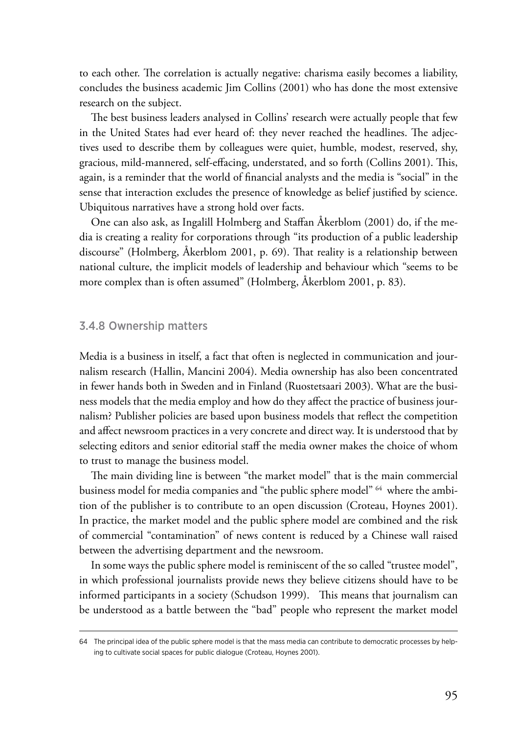to each other. The correlation is actually negative: charisma easily becomes a liability, concludes the business academic Jim Collins (2001) who has done the most extensive research on the subject.

The best business leaders analysed in Collins' research were actually people that few in the United States had ever heard of: they never reached the headlines. The adjectives used to describe them by colleagues were quiet, humble, modest, reserved, shy, gracious, mild-mannered, self-effacing, understated, and so forth (Collins 2001). This, again, is a reminder that the world of financial analysts and the media is "social" in the sense that interaction excludes the presence of knowledge as belief justified by science. Ubiquitous narratives have a strong hold over facts.

One can also ask, as Ingalill Holmberg and Staffan Åkerblom (2001) do, if the media is creating a reality for corporations through "its production of a public leadership discourse" (Holmberg, Åkerblom 2001, p. 69). That reality is a relationship between national culture, the implicit models of leadership and behaviour which "seems to be more complex than is often assumed" (Holmberg, Åkerblom 2001, p. 83).

#### 3.4.8 Ownership matters

Media is a business in itself, a fact that often is neglected in communication and journalism research (Hallin, Mancini 2004). Media ownership has also been concentrated in fewer hands both in Sweden and in Finland (Ruostetsaari 2003). What are the business models that the media employ and how do they affect the practice of business journalism? Publisher policies are based upon business models that reflect the competition and affect newsroom practices in a very concrete and direct way. It is understood that by selecting editors and senior editorial staff the media owner makes the choice of whom to trust to manage the business model.

The main dividing line is between "the market model" that is the main commercial business model for media companies and "the public sphere model" 64 where the ambition of the publisher is to contribute to an open discussion (Croteau, Hoynes 2001). In practice, the market model and the public sphere model are combined and the risk of commercial "contamination" of news content is reduced by a Chinese wall raised between the advertising department and the newsroom.

In some ways the public sphere model is reminiscent of the so called "trustee model", in which professional journalists provide news they believe citizens should have to be informed participants in a society (Schudson 1999). This means that journalism can be understood as a battle between the "bad" people who represent the market model

<sup>64</sup> The principal idea of the public sphere model is that the mass media can contribute to democratic processes by helping to cultivate social spaces for public dialogue (Croteau, Hoynes 2001).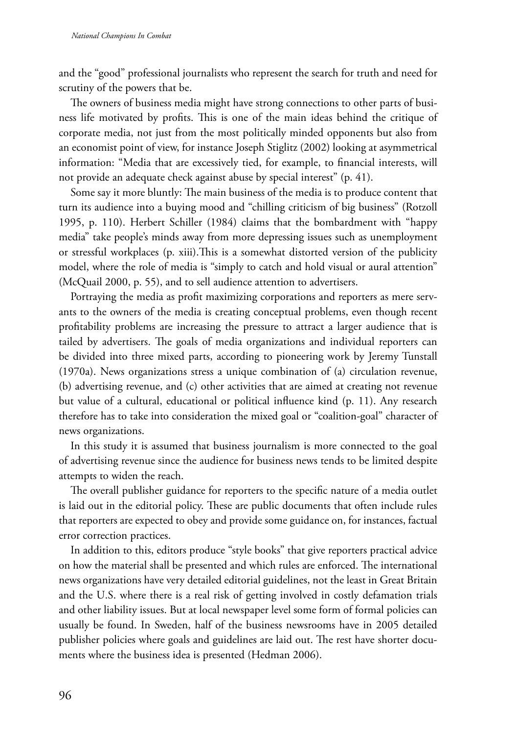and the "good" professional journalists who represent the search for truth and need for scrutiny of the powers that be.

The owners of business media might have strong connections to other parts of business life motivated by profits. This is one of the main ideas behind the critique of corporate media, not just from the most politically minded opponents but also from an economist point of view, for instance Joseph Stiglitz (2002) looking at asymmetrical information: "Media that are excessively tied, for example, to financial interests, will not provide an adequate check against abuse by special interest" (p. 41).

Some say it more bluntly: The main business of the media is to produce content that turn its audience into a buying mood and "chilling criticism of big business" (Rotzoll 1995, p. 110). Herbert Schiller (1984) claims that the bombardment with "happy media" take people's minds away from more depressing issues such as unemployment or stressful workplaces (p. xiii).This is a somewhat distorted version of the publicity model, where the role of media is "simply to catch and hold visual or aural attention" (McQuail 2000, p. 55), and to sell audience attention to advertisers.

Portraying the media as profit maximizing corporations and reporters as mere servants to the owners of the media is creating conceptual problems, even though recent profitability problems are increasing the pressure to attract a larger audience that is tailed by advertisers. The goals of media organizations and individual reporters can be divided into three mixed parts, according to pioneering work by Jeremy Tunstall (1970a). News organizations stress a unique combination of (a) circulation revenue, (b) advertising revenue, and (c) other activities that are aimed at creating not revenue but value of a cultural, educational or political influence kind (p. 11). Any research therefore has to take into consideration the mixed goal or "coalition-goal" character of news organizations.

In this study it is assumed that business journalism is more connected to the goal of advertising revenue since the audience for business news tends to be limited despite attempts to widen the reach.

The overall publisher guidance for reporters to the specific nature of a media outlet is laid out in the editorial policy. These are public documents that often include rules that reporters are expected to obey and provide some guidance on, for instances, factual error correction practices.

In addition to this, editors produce "style books" that give reporters practical advice on how the material shall be presented and which rules are enforced. The international news organizations have very detailed editorial guidelines, not the least in Great Britain and the U.S. where there is a real risk of getting involved in costly defamation trials and other liability issues. But at local newspaper level some form of formal policies can usually be found. In Sweden, half of the business newsrooms have in 2005 detailed publisher policies where goals and guidelines are laid out. The rest have shorter documents where the business idea is presented (Hedman 2006).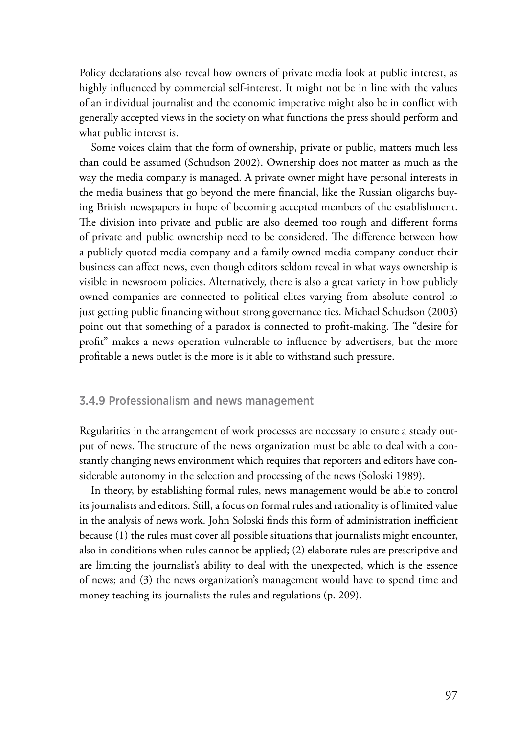Policy declarations also reveal how owners of private media look at public interest, as highly influenced by commercial self-interest. It might not be in line with the values of an individual journalist and the economic imperative might also be in conflict with generally accepted views in the society on what functions the press should perform and what public interest is.

Some voices claim that the form of ownership, private or public, matters much less than could be assumed (Schudson 2002). Ownership does not matter as much as the way the media company is managed. A private owner might have personal interests in the media business that go beyond the mere financial, like the Russian oligarchs buying British newspapers in hope of becoming accepted members of the establishment. The division into private and public are also deemed too rough and different forms of private and public ownership need to be considered. The difference between how a publicly quoted media company and a family owned media company conduct their business can affect news, even though editors seldom reveal in what ways ownership is visible in newsroom policies. Alternatively, there is also a great variety in how publicly owned companies are connected to political elites varying from absolute control to just getting public financing without strong governance ties. Michael Schudson (2003) point out that something of a paradox is connected to profit-making. The "desire for profit" makes a news operation vulnerable to influence by advertisers, but the more profitable a news outlet is the more is it able to withstand such pressure.

## 3.4.9 Professionalism and news management

Regularities in the arrangement of work processes are necessary to ensure a steady output of news. The structure of the news organization must be able to deal with a constantly changing news environment which requires that reporters and editors have considerable autonomy in the selection and processing of the news (Soloski 1989).

In theory, by establishing formal rules, news management would be able to control its journalists and editors. Still, a focus on formal rules and rationality is of limited value in the analysis of news work. John Soloski finds this form of administration inefficient because (1) the rules must cover all possible situations that journalists might encounter, also in conditions when rules cannot be applied; (2) elaborate rules are prescriptive and are limiting the journalist's ability to deal with the unexpected, which is the essence of news; and (3) the news organization's management would have to spend time and money teaching its journalists the rules and regulations (p. 209).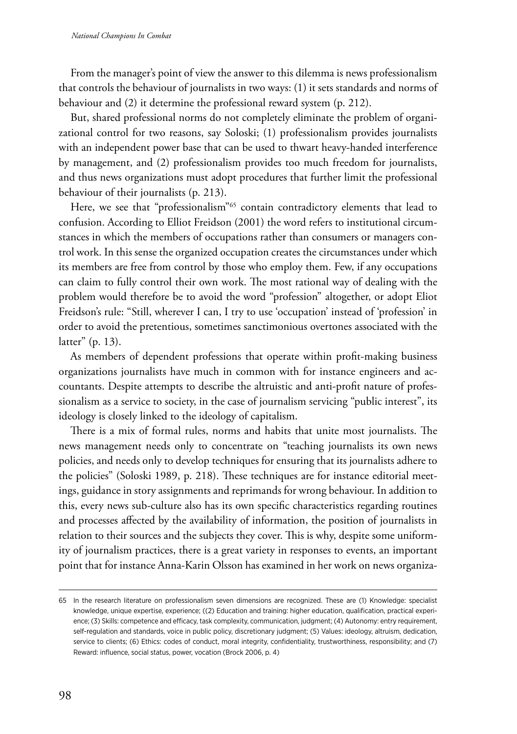From the manager's point of view the answer to this dilemma is news professionalism that controls the behaviour of journalists in two ways: (1) it sets standards and norms of behaviour and (2) it determine the professional reward system (p. 212).

But, shared professional norms do not completely eliminate the problem of organizational control for two reasons, say Soloski; (1) professionalism provides journalists with an independent power base that can be used to thwart heavy-handed interference by management, and (2) professionalism provides too much freedom for journalists, and thus news organizations must adopt procedures that further limit the professional behaviour of their journalists (p. 213).

Here, we see that "professionalism"<sup>65</sup> contain contradictory elements that lead to confusion. According to Elliot Freidson (2001) the word refers to institutional circumstances in which the members of occupations rather than consumers or managers control work. In this sense the organized occupation creates the circumstances under which its members are free from control by those who employ them. Few, if any occupations can claim to fully control their own work. The most rational way of dealing with the problem would therefore be to avoid the word "profession" altogether, or adopt Eliot Freidson's rule: "Still, wherever I can, I try to use 'occupation' instead of 'profession' in order to avoid the pretentious, sometimes sanctimonious overtones associated with the latter" (p. 13).

As members of dependent professions that operate within profit-making business organizations journalists have much in common with for instance engineers and accountants. Despite attempts to describe the altruistic and anti-profit nature of professionalism as a service to society, in the case of journalism servicing "public interest", its ideology is closely linked to the ideology of capitalism.

There is a mix of formal rules, norms and habits that unite most journalists. The news management needs only to concentrate on "teaching journalists its own news policies, and needs only to develop techniques for ensuring that its journalists adhere to the policies" (Soloski 1989, p. 218). These techniques are for instance editorial meetings, guidance in story assignments and reprimands for wrong behaviour. In addition to this, every news sub-culture also has its own specific characteristics regarding routines and processes affected by the availability of information, the position of journalists in relation to their sources and the subjects they cover. This is why, despite some uniformity of journalism practices, there is a great variety in responses to events, an important point that for instance Anna-Karin Olsson has examined in her work on news organiza-

<sup>65</sup> In the research literature on professionalism seven dimensions are recognized. These are (1) Knowledge: specialist knowledge, unique expertise, experience; ((2) Education and training: higher education, qualification, practical experience; (3) Skills: competence and efficacy, task complexity, communication, judgment; (4) Autonomy: entry requirement, self-regulation and standards, voice in public policy, discretionary judgment; (5) Values: ideology, altruism, dedication, service to clients; (6) Ethics: codes of conduct, moral integrity, confidentiality, trustworthiness, responsibility; and (7) Reward: influence, social status, power, vocation (Brock 2006, p. 4)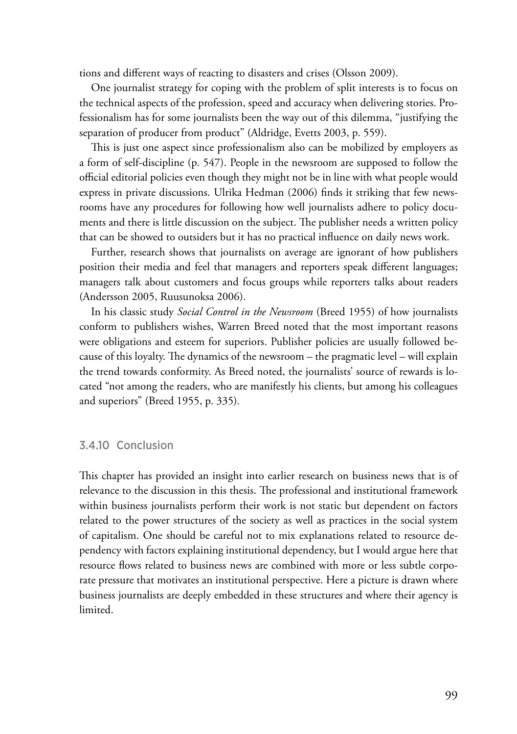tions and different ways of reacting to disasters and crises (Olsson 2009).

One journalist strategy for coping with the problem of split interests is to focus on the technical aspects of the profession, speed and accuracy when delivering stories. Professionalism has for some journalists been the way out of this dilemma, "justifying the separation of producer from product" (Aldridge, Evetts 2003, p. 559).

This is just one aspect since professionalism also can be mobilized by employers as a form of self-discipline (p. 547). People in the newsroom are supposed to follow the official editorial policies even though they might not be in line with what people would express in private discussions. Ulrika Hedman (2006) finds it striking that few newsrooms have any procedures for following how well journalists adhere to policy documents and there is little discussion on the subject. The publisher needs a written policy that can be showed to outsiders but it has no practical influence on daily news work.

Further, research shows that journalists on average are ignorant of how publishers position their media and feel that managers and reporters speak different languages; managers talk about customers and focus groups while reporters talks about readers (Andersson 2005, Ruusunoksa 2006).

In his classic study *Social Control in the Newsroom* (Breed 1955) of how journalists conform to publishers wishes, Warren Breed noted that the most important reasons were obligations and esteem for superiors. Publisher policies are usually followed because of this loyalty. The dynamics of the newsroom – the pragmatic level – will explain the trend towards conformity. As Breed noted, the journalists' source of rewards is located "not among the readers, who are manifestly his clients, but among his colleagues and superiors" (Breed 1955, p. 335)*.*

## 3.4.10 Conclusion

This chapter has provided an insight into earlier research on business news that is of relevance to the discussion in this thesis. The professional and institutional framework within business journalists perform their work is not static but dependent on factors related to the power structures of the society as well as practices in the social system of capitalism. One should be careful not to mix explanations related to resource dependency with factors explaining institutional dependency, but I would argue here that resource flows related to business news are combined with more or less subtle corporate pressure that motivates an institutional perspective. Here a picture is drawn where business journalists are deeply embedded in these structures and where their agency is limited.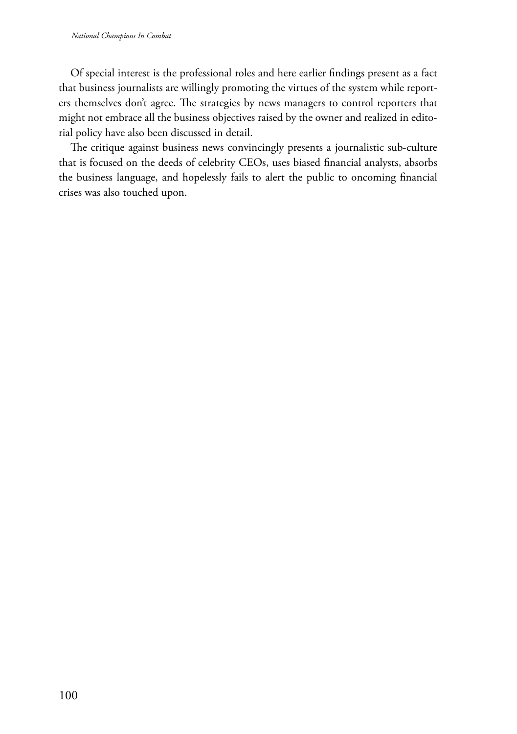Of special interest is the professional roles and here earlier findings present as a fact that business journalists are willingly promoting the virtues of the system while reporters themselves don't agree. The strategies by news managers to control reporters that might not embrace all the business objectives raised by the owner and realized in editorial policy have also been discussed in detail.

The critique against business news convincingly presents a journalistic sub-culture that is focused on the deeds of celebrity CEOs, uses biased financial analysts, absorbs the business language, and hopelessly fails to alert the public to oncoming financial crises was also touched upon.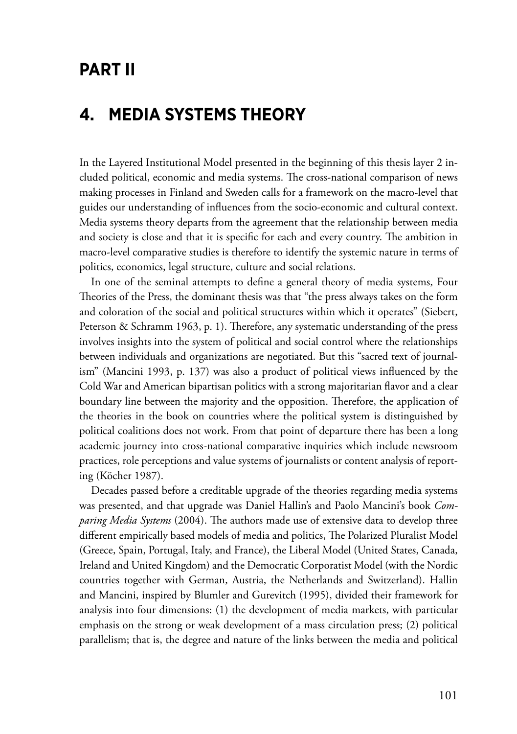# **Part II**

# **4. Media systems theory**

In the Layered Institutional Model presented in the beginning of this thesis layer 2 included political, economic and media systems. The cross-national comparison of news making processes in Finland and Sweden calls for a framework on the macro-level that guides our understanding of influences from the socio-economic and cultural context. Media systems theory departs from the agreement that the relationship between media and society is close and that it is specific for each and every country. The ambition in macro-level comparative studies is therefore to identify the systemic nature in terms of politics, economics, legal structure, culture and social relations.

In one of the seminal attempts to define a general theory of media systems, Four Theories of the Press, the dominant thesis was that "the press always takes on the form and coloration of the social and political structures within which it operates" (Siebert, Peterson & Schramm 1963, p. 1). Therefore, any systematic understanding of the press involves insights into the system of political and social control where the relationships between individuals and organizations are negotiated. But this "sacred text of journalism" (Mancini 1993, p. 137) was also a product of political views influenced by the Cold War and American bipartisan politics with a strong majoritarian flavor and a clear boundary line between the majority and the opposition. Therefore, the application of the theories in the book on countries where the political system is distinguished by political coalitions does not work. From that point of departure there has been a long academic journey into cross-national comparative inquiries which include newsroom practices, role perceptions and value systems of journalists or content analysis of reporting (Köcher 1987).

Decades passed before a creditable upgrade of the theories regarding media systems was presented, and that upgrade was Daniel Hallin's and Paolo Mancini's book *Comparing Media Systems* (2004). The authors made use of extensive data to develop three different empirically based models of media and politics, The Polarized Pluralist Model (Greece, Spain, Portugal, Italy, and France), the Liberal Model (United States, Canada, Ireland and United Kingdom) and the Democratic Corporatist Model (with the Nordic countries together with German, Austria, the Netherlands and Switzerland). Hallin and Mancini, inspired by Blumler and Gurevitch (1995), divided their framework for analysis into four dimensions: (1) the development of media markets, with particular emphasis on the strong or weak development of a mass circulation press; (2) political parallelism; that is, the degree and nature of the links between the media and political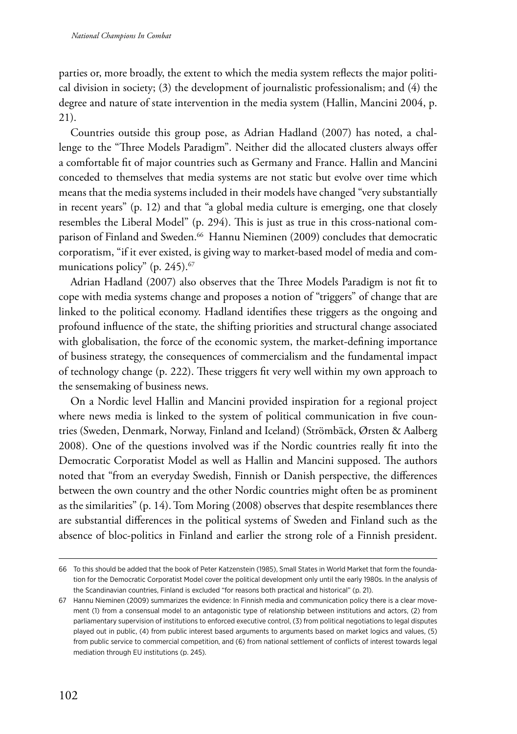parties or, more broadly, the extent to which the media system reflects the major political division in society; (3) the development of journalistic professionalism; and (4) the degree and nature of state intervention in the media system (Hallin, Mancini 2004, p. 21).

Countries outside this group pose, as Adrian Hadland (2007) has noted, a challenge to the "Three Models Paradigm". Neither did the allocated clusters always offer a comfortable fit of major countries such as Germany and France. Hallin and Mancini conceded to themselves that media systems are not static but evolve over time which means that the media systems included in their models have changed "very substantially in recent years" (p. 12) and that "a global media culture is emerging, one that closely resembles the Liberal Model" (p. 294). This is just as true in this cross-national comparison of Finland and Sweden.66 Hannu Nieminen (2009) concludes that democratic corporatism, "if it ever existed, is giving way to market-based model of media and communications policy" (p. 245).<sup>67</sup>

Adrian Hadland (2007) also observes that the Three Models Paradigm is not fit to cope with media systems change and proposes a notion of "triggers" of change that are linked to the political economy. Hadland identifies these triggers as the ongoing and profound influence of the state, the shifting priorities and structural change associated with globalisation, the force of the economic system, the market-defining importance of business strategy, the consequences of commercialism and the fundamental impact of technology change (p. 222). These triggers fit very well within my own approach to the sensemaking of business news.

On a Nordic level Hallin and Mancini provided inspiration for a regional project where news media is linked to the system of political communication in five countries (Sweden, Denmark, Norway, Finland and Iceland) (Strömbäck, Ørsten & Aalberg 2008). One of the questions involved was if the Nordic countries really fit into the Democratic Corporatist Model as well as Hallin and Mancini supposed. The authors noted that "from an everyday Swedish, Finnish or Danish perspective, the differences between the own country and the other Nordic countries might often be as prominent as the similarities" (p. 14). Tom Moring (2008) observes that despite resemblances there are substantial differences in the political systems of Sweden and Finland such as the absence of bloc-politics in Finland and earlier the strong role of a Finnish president.

<sup>66</sup> To this should be added that the book of Peter Katzenstein (1985), Small States in World Market that form the foundation for the Democratic Corporatist Model cover the political development only until the early 1980s. In the analysis of the Scandinavian countries, Finland is excluded "for reasons both practical and historical" (p. 21).

<sup>67</sup> Hannu Nieminen (2009) summarizes the evidence: In Finnish media and communication policy there is a clear movement (1) from a consensual model to an antagonistic type of relationship between institutions and actors, (2) from parliamentary supervision of institutions to enforced executive control, (3) from political negotiations to legal disputes played out in public, (4) from public interest based arguments to arguments based on market logics and values, (5) from public service to commercial competition, and (6) from national settlement of conflicts of interest towards legal mediation through EU institutions (p. 245).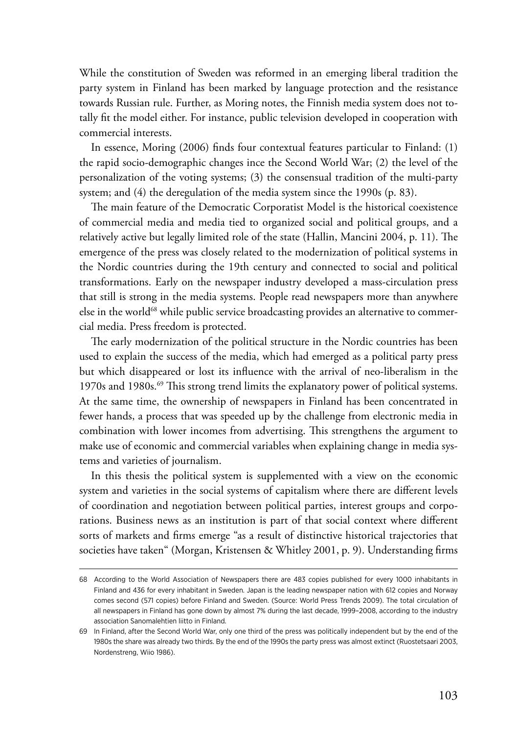While the constitution of Sweden was reformed in an emerging liberal tradition the party system in Finland has been marked by language protection and the resistance towards Russian rule. Further, as Moring notes, the Finnish media system does not totally fit the model either. For instance, public television developed in cooperation with commercial interests.

In essence, Moring (2006) finds four contextual features particular to Finland: (1) the rapid socio-demographic changes ince the Second World War; (2) the level of the personalization of the voting systems; (3) the consensual tradition of the multi-party system; and (4) the deregulation of the media system since the 1990s (p. 83).

The main feature of the Democratic Corporatist Model is the historical coexistence of commercial media and media tied to organized social and political groups, and a relatively active but legally limited role of the state (Hallin, Mancini 2004, p. 11). The emergence of the press was closely related to the modernization of political systems in the Nordic countries during the 19th century and connected to social and political transformations. Early on the newspaper industry developed a mass-circulation press that still is strong in the media systems. People read newspapers more than anywhere else in the world<sup>68</sup> while public service broadcasting provides an alternative to commercial media. Press freedom is protected.

The early modernization of the political structure in the Nordic countries has been used to explain the success of the media, which had emerged as a political party press but which disappeared or lost its influence with the arrival of neo-liberalism in the 1970s and 1980s.69 This strong trend limits the explanatory power of political systems. At the same time, the ownership of newspapers in Finland has been concentrated in fewer hands, a process that was speeded up by the challenge from electronic media in combination with lower incomes from advertising. This strengthens the argument to make use of economic and commercial variables when explaining change in media systems and varieties of journalism.

In this thesis the political system is supplemented with a view on the economic system and varieties in the social systems of capitalism where there are different levels of coordination and negotiation between political parties, interest groups and corporations. Business news as an institution is part of that social context where different sorts of markets and firms emerge "as a result of distinctive historical trajectories that societies have taken" (Morgan, Kristensen & Whitley 2001, p. 9). Understanding firms

<sup>68</sup> According to the World Association of Newspapers there are 483 copies published for every 1000 inhabitants in Finland and 436 for every inhabitant in Sweden. Japan is the leading newspaper nation with 612 copies and Norway comes second (571 copies) before Finland and Sweden. (Source: World Press Trends 2009). The total circulation of all newspapers in Finland has gone down by almost 7% during the last decade, 1999–2008, according to the industry association Sanomalehtien liitto in Finland.

<sup>69</sup> In Finland, after the Second World War, only one third of the press was politically independent but by the end of the 1980s the share was already two thirds. By the end of the 1990s the party press was almost extinct (Ruostetsaari 2003, Nordenstreng, Wiio 1986).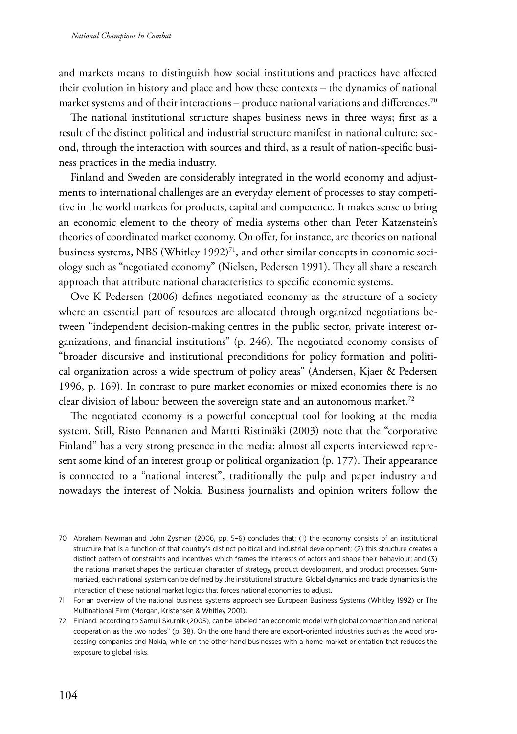and markets means to distinguish how social institutions and practices have affected their evolution in history and place and how these contexts – the dynamics of national market systems and of their interactions – produce national variations and differences.<sup>70</sup>

The national institutional structure shapes business news in three ways; first as a result of the distinct political and industrial structure manifest in national culture; second, through the interaction with sources and third, as a result of nation-specific business practices in the media industry.

Finland and Sweden are considerably integrated in the world economy and adjustments to international challenges are an everyday element of processes to stay competitive in the world markets for products, capital and competence. It makes sense to bring an economic element to the theory of media systems other than Peter Katzenstein's theories of coordinated market economy. On offer, for instance, are theories on national business systems, NBS (Whitley 1992)<sup>71</sup>, and other similar concepts in economic sociology such as "negotiated economy" (Nielsen, Pedersen 1991). They all share a research approach that attribute national characteristics to specific economic systems.

Ove K Pedersen (2006) defines negotiated economy as the structure of a society where an essential part of resources are allocated through organized negotiations between "independent decision-making centres in the public sector, private interest organizations, and financial institutions" (p. 246). The negotiated economy consists of "broader discursive and institutional preconditions for policy formation and political organization across a wide spectrum of policy areas" (Andersen, Kjaer & Pedersen 1996, p. 169). In contrast to pure market economies or mixed economies there is no clear division of labour between the sovereign state and an autonomous market.<sup>72</sup>

The negotiated economy is a powerful conceptual tool for looking at the media system. Still, Risto Pennanen and Martti Ristimäki (2003) note that the "corporative Finland" has a very strong presence in the media: almost all experts interviewed represent some kind of an interest group or political organization (p. 177). Their appearance is connected to a "national interest", traditionally the pulp and paper industry and nowadays the interest of Nokia. Business journalists and opinion writers follow the

<sup>70</sup> Abraham Newman and John Zysman (2006, pp. 5–6) concludes that; (1) the economy consists of an institutional structure that is a function of that country's distinct political and industrial development; (2) this structure creates a distinct pattern of constraints and incentives which frames the interests of actors and shape their behaviour; and (3) the national market shapes the particular character of strategy, product development, and product processes. Summarized, each national system can be defined by the institutional structure. Global dynamics and trade dynamics is the interaction of these national market logics that forces national economies to adjust.

<sup>71</sup> For an overview of the national business systems approach see European Business Systems (Whitley 1992) or The Multinational Firm (Morgan, Kristensen & Whitley 2001).

<sup>72</sup> Finland, according to Samuli Skurnik (2005), can be labeled "an economic model with global competition and national cooperation as the two nodes" (p. 38). On the one hand there are export-oriented industries such as the wood processing companies and Nokia, while on the other hand businesses with a home market orientation that reduces the exposure to global risks.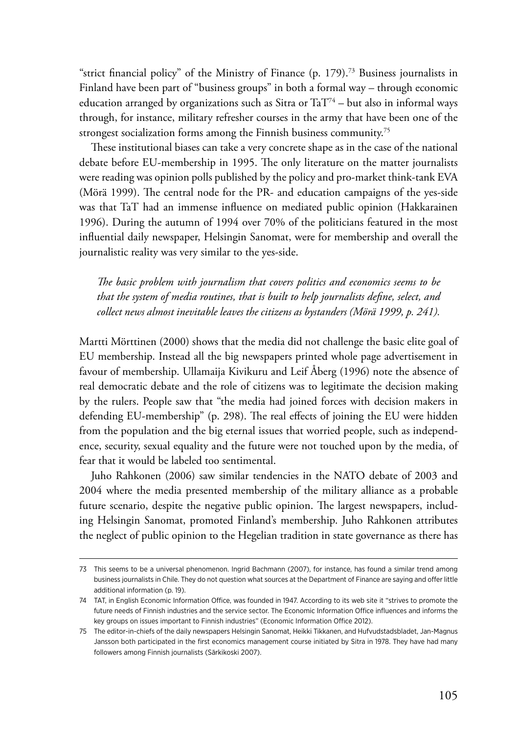"strict financial policy" of the Ministry of Finance  $(p. 179)$ .<sup>73</sup> Business journalists in Finland have been part of "business groups" in both a formal way – through economic education arranged by organizations such as Sitra or  $TaT<sup>74</sup> - but also in informal ways$ through, for instance, military refresher courses in the army that have been one of the strongest socialization forms among the Finnish business community.<sup>75</sup>

These institutional biases can take a very concrete shape as in the case of the national debate before EU-membership in 1995. The only literature on the matter journalists were reading was opinion polls published by the policy and pro-market think-tank EVA (Mörä 1999). The central node for the PR- and education campaigns of the yes-side was that TaT had an immense influence on mediated public opinion (Hakkarainen 1996). During the autumn of 1994 over 70% of the politicians featured in the most influential daily newspaper, Helsingin Sanomat, were for membership and overall the journalistic reality was very similar to the yes-side.

*The basic problem with journalism that covers politics and economics seems to be that the system of media routines, that is built to help journalists define, select, and collect news almost inevitable leaves the citizens as bystanders (Mörä 1999, p. 241).*

Martti Mörttinen (2000) shows that the media did not challenge the basic elite goal of EU membership. Instead all the big newspapers printed whole page advertisement in favour of membership. Ullamaija Kivikuru and Leif Åberg (1996) note the absence of real democratic debate and the role of citizens was to legitimate the decision making by the rulers. People saw that "the media had joined forces with decision makers in defending EU-membership" (p. 298). The real effects of joining the EU were hidden from the population and the big eternal issues that worried people, such as independence, security, sexual equality and the future were not touched upon by the media, of fear that it would be labeled too sentimental.

Juho Rahkonen (2006) saw similar tendencies in the NATO debate of 2003 and 2004 where the media presented membership of the military alliance as a probable future scenario, despite the negative public opinion. The largest newspapers, including Helsingin Sanomat, promoted Finland's membership. Juho Rahkonen attributes the neglect of public opinion to the Hegelian tradition in state governance as there has

<sup>73</sup> This seems to be a universal phenomenon. Ingrid Bachmann (2007), for instance, has found a similar trend among business journalists in Chile. They do not question what sources at the Department of Finance are saying and offer little additional information (p. 19).

<sup>74</sup> TAT, in English Economic Information Office, was founded in 1947. According to its web site it "strives to promote the future needs of Finnish industries and the service sector. The Economic Information Office influences and informs the key groups on issues important to Finnish industries" (Economic Information Office 2012).

<sup>75</sup> The editor-in-chiefs of the daily newspapers Helsingin Sanomat, Heikki Tikkanen, and Hufvudstadsbladet, Jan-Magnus Jansson both participated in the first economics management course initiated by Sitra in 1978. They have had many followers among Finnish journalists (Särkikoski 2007).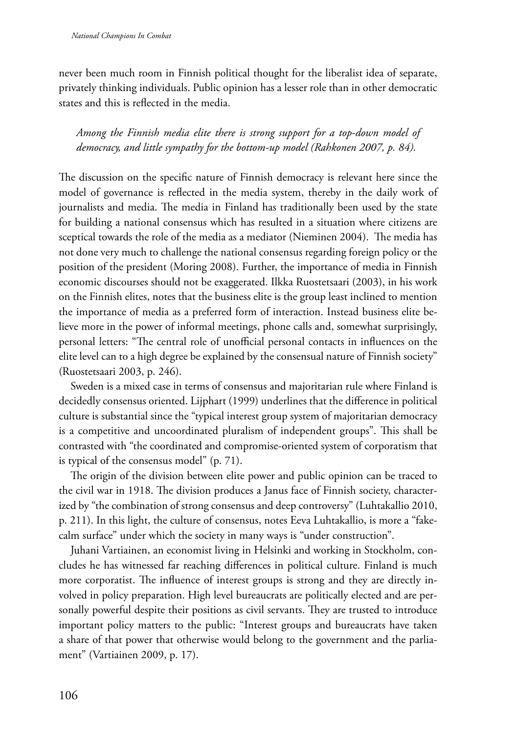never been much room in Finnish political thought for the liberalist idea of separate, privately thinking individuals. Public opinion has a lesser role than in other democratic states and this is reflected in the media.

*Among the Finnish media elite there is strong support for a top-down model of democracy, and little sympathy for the bottom-up model (Rahkonen 2007, p. 84).*

The discussion on the specific nature of Finnish democracy is relevant here since the model of governance is reflected in the media system, thereby in the daily work of journalists and media. The media in Finland has traditionally been used by the state for building a national consensus which has resulted in a situation where citizens are sceptical towards the role of the media as a mediator (Nieminen 2004). The media has not done very much to challenge the national consensus regarding foreign policy or the position of the president (Moring 2008). Further, the importance of media in Finnish economic discourses should not be exaggerated. Ilkka Ruostetsaari (2003), in his work on the Finnish elites, notes that the business elite is the group least inclined to mention the importance of media as a preferred form of interaction. Instead business elite believe more in the power of informal meetings, phone calls and, somewhat surprisingly, personal letters: "The central role of unofficial personal contacts in influences on the elite level can to a high degree be explained by the consensual nature of Finnish society" (Ruostetsaari 2003, p. 246).

Sweden is a mixed case in terms of consensus and majoritarian rule where Finland is decidedly consensus oriented. Lijphart (1999) underlines that the difference in political culture is substantial since the "typical interest group system of majoritarian democracy is a competitive and uncoordinated pluralism of independent groups". This shall be contrasted with "the coordinated and compromise-oriented system of corporatism that is typical of the consensus model" (p. 71).

The origin of the division between elite power and public opinion can be traced to the civil war in 1918. The division produces a Janus face of Finnish society, characterized by "the combination of strong consensus and deep controversy" (Luhtakallio 2010, p. 211). In this light, the culture of consensus, notes Eeva Luhtakallio, is more a "fakecalm surface" under which the society in many ways is "under construction".

Juhani Vartiainen, an economist living in Helsinki and working in Stockholm, concludes he has witnessed far reaching differences in political culture. Finland is much more corporatist. The influence of interest groups is strong and they are directly involved in policy preparation. High level bureaucrats are politically elected and are personally powerful despite their positions as civil servants. They are trusted to introduce important policy matters to the public: "Interest groups and bureaucrats have taken a share of that power that otherwise would belong to the government and the parliament" (Vartiainen 2009, p. 17).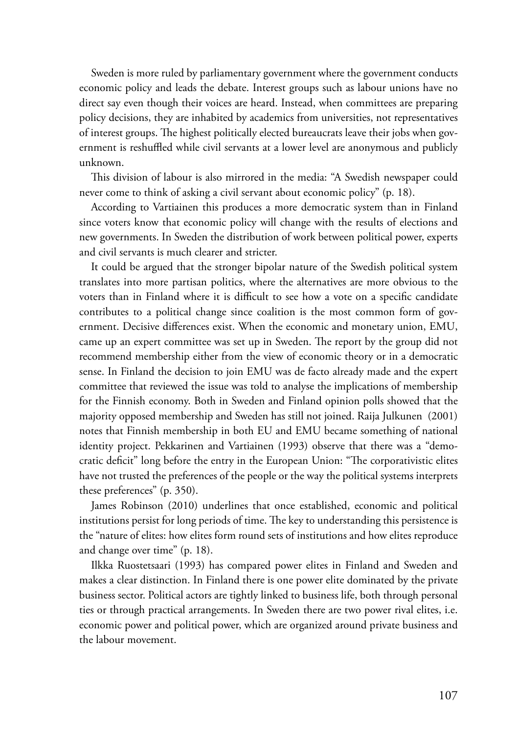Sweden is more ruled by parliamentary government where the government conducts economic policy and leads the debate. Interest groups such as labour unions have no direct say even though their voices are heard. Instead, when committees are preparing policy decisions, they are inhabited by academics from universities, not representatives of interest groups. The highest politically elected bureaucrats leave their jobs when government is reshuffled while civil servants at a lower level are anonymous and publicly unknown.

This division of labour is also mirrored in the media: "A Swedish newspaper could never come to think of asking a civil servant about economic policy" (p. 18).

According to Vartiainen this produces a more democratic system than in Finland since voters know that economic policy will change with the results of elections and new governments. In Sweden the distribution of work between political power, experts and civil servants is much clearer and stricter.

It could be argued that the stronger bipolar nature of the Swedish political system translates into more partisan politics, where the alternatives are more obvious to the voters than in Finland where it is difficult to see how a vote on a specific candidate contributes to a political change since coalition is the most common form of government. Decisive differences exist. When the economic and monetary union, EMU, came up an expert committee was set up in Sweden. The report by the group did not recommend membership either from the view of economic theory or in a democratic sense. In Finland the decision to join EMU was de facto already made and the expert committee that reviewed the issue was told to analyse the implications of membership for the Finnish economy. Both in Sweden and Finland opinion polls showed that the majority opposed membership and Sweden has still not joined. Raija Julkunen (2001) notes that Finnish membership in both EU and EMU became something of national identity project. Pekkarinen and Vartiainen (1993) observe that there was a "democratic deficit" long before the entry in the European Union: "The corporativistic elites have not trusted the preferences of the people or the way the political systems interprets these preferences" (p. 350).

James Robinson (2010) underlines that once established, economic and political institutions persist for long periods of time. The key to understanding this persistence is the "nature of elites: how elites form round sets of institutions and how elites reproduce and change over time" (p. 18).

Ilkka Ruostetsaari (1993) has compared power elites in Finland and Sweden and makes a clear distinction. In Finland there is one power elite dominated by the private business sector. Political actors are tightly linked to business life, both through personal ties or through practical arrangements. In Sweden there are two power rival elites, i.e. economic power and political power, which are organized around private business and the labour movement.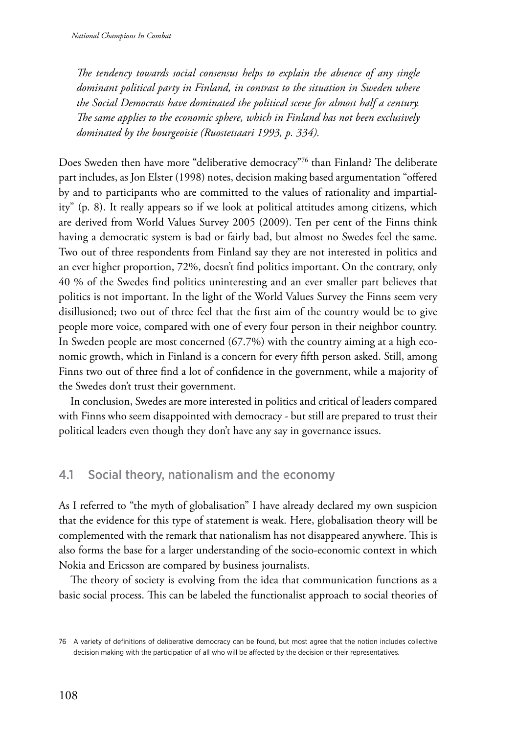*The tendency towards social consensus helps to explain the absence of any single dominant political party in Finland, in contrast to the situation in Sweden where the Social Democrats have dominated the political scene for almost half a century. The same applies to the economic sphere, which in Finland has not been exclusively dominated by the bourgeoisie (Ruostetsaari 1993, p. 334).*

Does Sweden then have more "deliberative democracy"76 than Finland? The deliberate part includes, as Jon Elster (1998) notes, decision making based argumentation "offered by and to participants who are committed to the values of rationality and impartiality" (p. 8). It really appears so if we look at political attitudes among citizens, which are derived from World Values Survey 2005 (2009). Ten per cent of the Finns think having a democratic system is bad or fairly bad, but almost no Swedes feel the same. Two out of three respondents from Finland say they are not interested in politics and an ever higher proportion, 72%, doesn't find politics important. On the contrary, only 40 % of the Swedes find politics uninteresting and an ever smaller part believes that politics is not important. In the light of the World Values Survey the Finns seem very disillusioned; two out of three feel that the first aim of the country would be to give people more voice, compared with one of every four person in their neighbor country. In Sweden people are most concerned (67.7%) with the country aiming at a high economic growth, which in Finland is a concern for every fifth person asked. Still, among Finns two out of three find a lot of confidence in the government, while a majority of the Swedes don't trust their government.

In conclusion, Swedes are more interested in politics and critical of leaders compared with Finns who seem disappointed with democracy - but still are prepared to trust their political leaders even though they don't have any say in governance issues.

## 4.1 Social theory, nationalism and the economy

As I referred to "the myth of globalisation" I have already declared my own suspicion that the evidence for this type of statement is weak. Here, globalisation theory will be complemented with the remark that nationalism has not disappeared anywhere. This is also forms the base for a larger understanding of the socio-economic context in which Nokia and Ericsson are compared by business journalists.

The theory of society is evolving from the idea that communication functions as a basic social process. This can be labeled the functionalist approach to social theories of

<sup>76</sup> A variety of definitions of deliberative democracy can be found, but most agree that the notion includes collective decision making with the participation of all who will be affected by the decision or their representatives.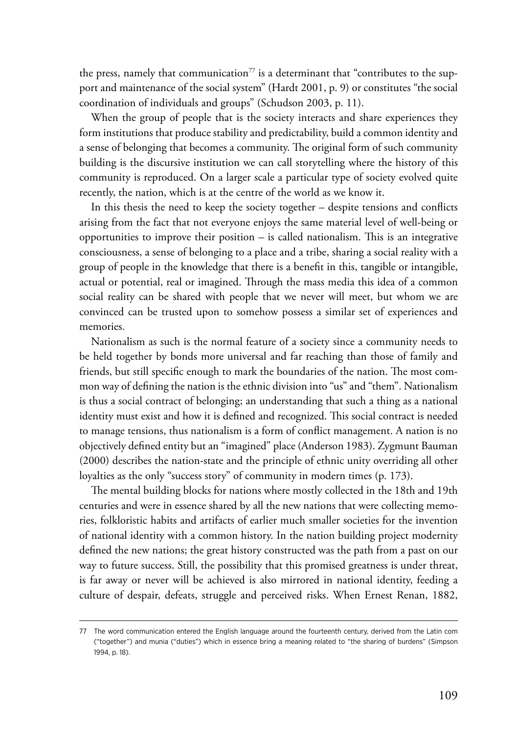the press, namely that communication<sup>77</sup> is a determinant that "contributes to the support and maintenance of the social system" (Hardt 2001, p. 9) or constitutes "the social coordination of individuals and groups" (Schudson 2003, p. 11).

When the group of people that is the society interacts and share experiences they form institutions that produce stability and predictability, build a common identity and a sense of belonging that becomes a community. The original form of such community building is the discursive institution we can call storytelling where the history of this community is reproduced. On a larger scale a particular type of society evolved quite recently, the nation, which is at the centre of the world as we know it.

In this thesis the need to keep the society together – despite tensions and conflicts arising from the fact that not everyone enjoys the same material level of well-being or opportunities to improve their position – is called nationalism. This is an integrative consciousness, a sense of belonging to a place and a tribe, sharing a social reality with a group of people in the knowledge that there is a benefit in this, tangible or intangible, actual or potential, real or imagined. Through the mass media this idea of a common social reality can be shared with people that we never will meet, but whom we are convinced can be trusted upon to somehow possess a similar set of experiences and memories.

Nationalism as such is the normal feature of a society since a community needs to be held together by bonds more universal and far reaching than those of family and friends, but still specific enough to mark the boundaries of the nation. The most common way of defining the nation is the ethnic division into "us" and "them". Nationalism is thus a social contract of belonging; an understanding that such a thing as a national identity must exist and how it is defined and recognized. This social contract is needed to manage tensions, thus nationalism is a form of conflict management. A nation is no objectively defined entity but an "imagined" place (Anderson 1983). Zygmunt Bauman (2000) describes the nation-state and the principle of ethnic unity overriding all other loyalties as the only "success story" of community in modern times (p. 173).

The mental building blocks for nations where mostly collected in the 18th and 19th centuries and were in essence shared by all the new nations that were collecting memories, folkloristic habits and artifacts of earlier much smaller societies for the invention of national identity with a common history. In the nation building project modernity defined the new nations; the great history constructed was the path from a past on our way to future success. Still, the possibility that this promised greatness is under threat, is far away or never will be achieved is also mirrored in national identity, feeding a culture of despair, defeats, struggle and perceived risks. When Ernest Renan, 1882,

<sup>77</sup> The word communication entered the English language around the fourteenth century, derived from the Latin com ("together") and munia ("duties") which in essence bring a meaning related to "the sharing of burdens" (Simpson 1994, p. 18).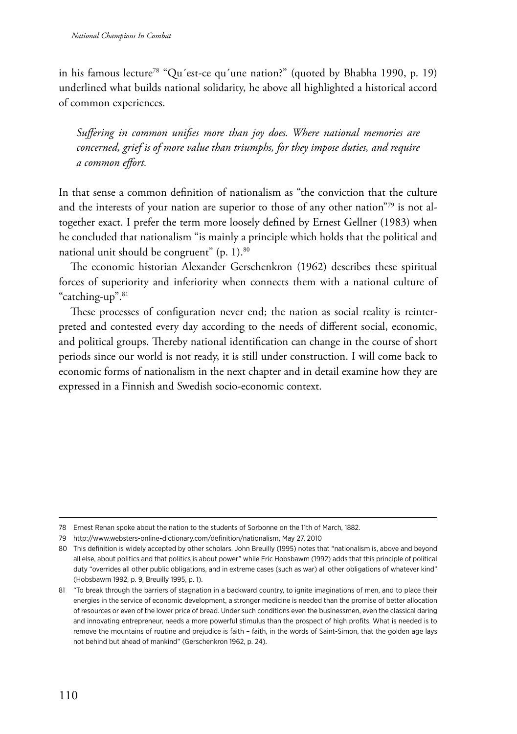in his famous lecture78 "Qu´est-ce qu´une nation?" (quoted by Bhabha 1990, p. 19) underlined what builds national solidarity, he above all highlighted a historical accord of common experiences.

*Suffering in common unifies more than joy does. Where national memories are concerned, grief is of more value than triumphs, for they impose duties, and require a common effort.*

In that sense a common definition of nationalism as "the conviction that the culture and the interests of your nation are superior to those of any other nation"79 is not altogether exact. I prefer the term more loosely defined by Ernest Gellner (1983) when he concluded that nationalism "is mainly a principle which holds that the political and national unit should be congruent" (p. 1).<sup>80</sup>

The economic historian Alexander Gerschenkron (1962) describes these spiritual forces of superiority and inferiority when connects them with a national culture of "catching-up".<sup>81</sup>

These processes of configuration never end; the nation as social reality is reinterpreted and contested every day according to the needs of different social, economic, and political groups. Thereby national identification can change in the course of short periods since our world is not ready, it is still under construction. I will come back to economic forms of nationalism in the next chapter and in detail examine how they are expressed in a Finnish and Swedish socio-economic context.

<sup>78</sup> Ernest Renan spoke about the nation to the students of Sorbonne on the 11th of March, 1882.

<sup>79</sup> <http://www.websters-online-dictionary.com/definition/nationalism>, May 27, 2010

<sup>80</sup> This definition is widely accepted by other scholars. John Breuilly (1995) notes that "nationalism is, above and beyond all else, about politics and that politics is about power" while Eric Hobsbawm (1992) adds that this principle of political duty "overrides all other public obligations, and in extreme cases (such as war) all other obligations of whatever kind" (Hobsbawm 1992, p. 9, Breuilly 1995, p. 1).

<sup>81</sup> "To break through the barriers of stagnation in a backward country, to ignite imaginations of men, and to place their energies in the service of economic development, a stronger medicine is needed than the promise of better allocation of resources or even of the lower price of bread. Under such conditions even the businessmen, even the classical daring and innovating entrepreneur, needs a more powerful stimulus than the prospect of high profits. What is needed is to remove the mountains of routine and prejudice is faith – faith, in the words of Saint-Simon, that the golden age lays not behind but ahead of mankind" (Gerschenkron 1962, p. 24).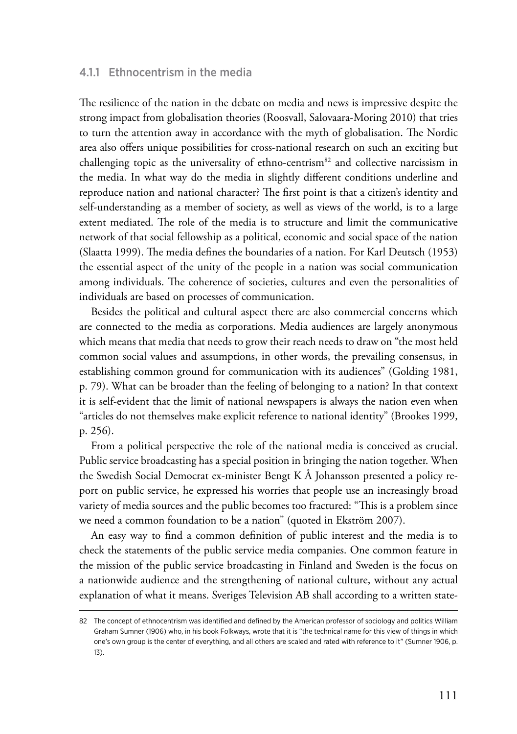## 4.1.1 Ethnocentrism in the media

The resilience of the nation in the debate on media and news is impressive despite the strong impact from globalisation theories (Roosvall, Salovaara-Moring 2010) that tries to turn the attention away in accordance with the myth of globalisation. The Nordic area also offers unique possibilities for cross-national research on such an exciting but challenging topic as the universality of ethno-centrism $82$  and collective narcissism in the media. In what way do the media in slightly different conditions underline and reproduce nation and national character? The first point is that a citizen's identity and self-understanding as a member of society, as well as views of the world, is to a large extent mediated. The role of the media is to structure and limit the communicative network of that social fellowship as a political, economic and social space of the nation (Slaatta 1999). The media defines the boundaries of a nation. For Karl Deutsch (1953) the essential aspect of the unity of the people in a nation was social communication among individuals. The coherence of societies, cultures and even the personalities of individuals are based on processes of communication.

Besides the political and cultural aspect there are also commercial concerns which are connected to the media as corporations. Media audiences are largely anonymous which means that media that needs to grow their reach needs to draw on "the most held common social values and assumptions, in other words, the prevailing consensus, in establishing common ground for communication with its audiences" (Golding 1981, p. 79). What can be broader than the feeling of belonging to a nation? In that context it is self-evident that the limit of national newspapers is always the nation even when "articles do not themselves make explicit reference to national identity" (Brookes 1999, p. 256).

From a political perspective the role of the national media is conceived as crucial. Public service broadcasting has a special position in bringing the nation together. When the Swedish Social Democrat ex-minister Bengt K Å Johansson presented a policy report on public service, he expressed his worries that people use an increasingly broad variety of media sources and the public becomes too fractured: "This is a problem since we need a common foundation to be a nation" (quoted in Ekström 2007).

An easy way to find a common definition of public interest and the media is to check the statements of the public service media companies. One common feature in the mission of the public service broadcasting in Finland and Sweden is the focus on a nationwide audience and the strengthening of national culture, without any actual explanation of what it means. Sveriges Television AB shall according to a written state-

<sup>82</sup> The concept of ethnocentrism was identified and defined by the American professor of sociology and politics William Graham Sumner (1906) who, in his book Folkways, wrote that it is "the technical name for this view of things in which one's own group is the center of everything, and all others are scaled and rated with reference to it" (Sumner 1906, p. 13).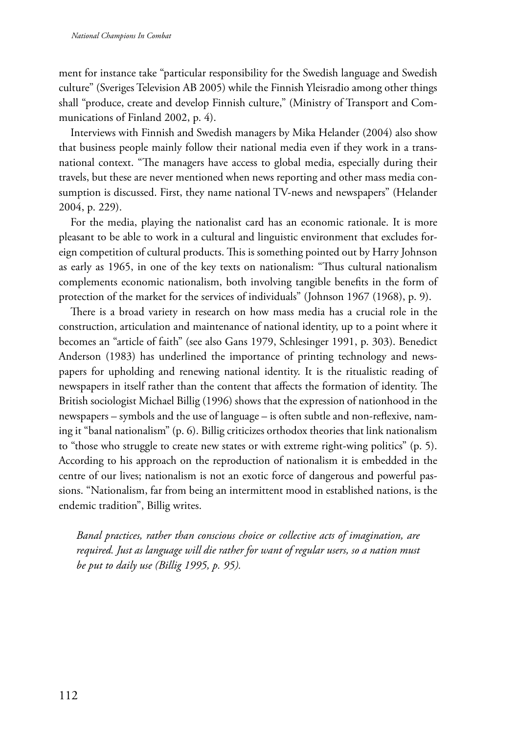ment for instance take "particular responsibility for the Swedish language and Swedish culture" (Sveriges Television AB 2005) while the Finnish Yleisradio among other things shall "produce, create and develop Finnish culture," (Ministry of Transport and Communications of Finland 2002, p. 4).

Interviews with Finnish and Swedish managers by Mika Helander (2004) also show that business people mainly follow their national media even if they work in a transnational context. "The managers have access to global media, especially during their travels, but these are never mentioned when news reporting and other mass media consumption is discussed. First, they name national TV-news and newspapers" (Helander 2004, p. 229).

For the media, playing the nationalist card has an economic rationale. It is more pleasant to be able to work in a cultural and linguistic environment that excludes foreign competition of cultural products. This is something pointed out by Harry Johnson as early as 1965, in one of the key texts on nationalism: "Thus cultural nationalism complements economic nationalism, both involving tangible benefits in the form of protection of the market for the services of individuals" (Johnson 1967 (1968), p. 9).

There is a broad variety in research on how mass media has a crucial role in the construction, articulation and maintenance of national identity, up to a point where it becomes an "article of faith" (see also Gans 1979, Schlesinger 1991, p. 303). Benedict Anderson (1983) has underlined the importance of printing technology and newspapers for upholding and renewing national identity. It is the ritualistic reading of newspapers in itself rather than the content that affects the formation of identity. The British sociologist Michael Billig (1996) shows that the expression of nationhood in the newspapers – symbols and the use of language – is often subtle and non-reflexive, naming it "banal nationalism" (p. 6). Billig criticizes orthodox theories that link nationalism to "those who struggle to create new states or with extreme right-wing politics" (p. 5). According to his approach on the reproduction of nationalism it is embedded in the centre of our lives; nationalism is not an exotic force of dangerous and powerful passions. "Nationalism, far from being an intermittent mood in established nations, is the endemic tradition", Billig writes.

*Banal practices, rather than conscious choice or collective acts of imagination, are required. Just as language will die rather for want of regular users, so a nation must be put to daily use (Billig 1995, p. 95).*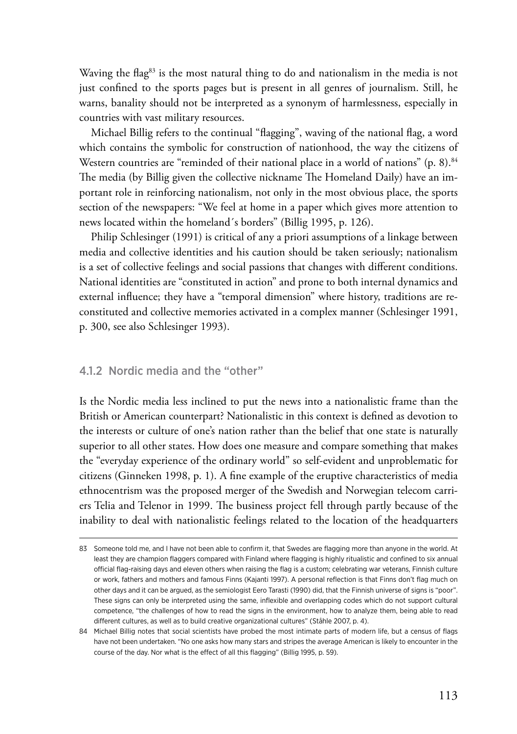Waving the flag<sup>83</sup> is the most natural thing to do and nationalism in the media is not just confined to the sports pages but is present in all genres of journalism. Still, he warns, banality should not be interpreted as a synonym of harmlessness, especially in countries with vast military resources.

Michael Billig refers to the continual "flagging", waving of the national flag, a word which contains the symbolic for construction of nationhood, the way the citizens of Western countries are "reminded of their national place in a world of nations" (p. 8).<sup>84</sup> The media (by Billig given the collective nickname The Homeland Daily) have an important role in reinforcing nationalism, not only in the most obvious place, the sports section of the newspapers: "We feel at home in a paper which gives more attention to news located within the homeland´s borders" (Billig 1995, p. 126).

Philip Schlesinger (1991) is critical of any a priori assumptions of a linkage between media and collective identities and his caution should be taken seriously; nationalism is a set of collective feelings and social passions that changes with different conditions. National identities are "constituted in action" and prone to both internal dynamics and external influence; they have a "temporal dimension" where history, traditions are reconstituted and collective memories activated in a complex manner (Schlesinger 1991, p. 300, see also Schlesinger 1993).

## 4.1.2 Nordic media and the "other"

Is the Nordic media less inclined to put the news into a nationalistic frame than the British or American counterpart? Nationalistic in this context is defined as devotion to the interests or culture of one's nation rather than the belief that one state is naturally superior to all other states. How does one measure and compare something that makes the "everyday experience of the ordinary world" so self-evident and unproblematic for citizens (Ginneken 1998, p. 1). A fine example of the eruptive characteristics of media ethnocentrism was the proposed merger of the Swedish and Norwegian telecom carriers Telia and Telenor in 1999. The business project fell through partly because of the inability to deal with nationalistic feelings related to the location of the headquarters

<sup>83</sup> Someone told me, and I have not been able to confirm it, that Swedes are flagging more than anyone in the world. At least they are champion flaggers compared with Finland where flagging is highly ritualistic and confined to six annual official flag-raising days and eleven others when raising the flag is a custom; celebrating war veterans, Finnish culture or work, fathers and mothers and famous Finns (Kajanti 1997). A personal reflection is that Finns don't flag much on other days and it can be argued, as the semiologist Eero Tarasti (1990) did, that the Finnish universe of signs is "poor". These signs can only be interpreted using the same, inflexible and overlapping codes which do not support cultural competence, "the challenges of how to read the signs in the environment, how to analyze them, being able to read different cultures, as well as to build creative organizational cultures" (Ståhle 2007, p. 4).

<sup>84</sup> Michael Billig notes that social scientists have probed the most intimate parts of modern life, but a census of flags have not been undertaken. "No one asks how many stars and stripes the average American is likely to encounter in the course of the day. Nor what is the effect of all this flagging" (Billig 1995, p. 59).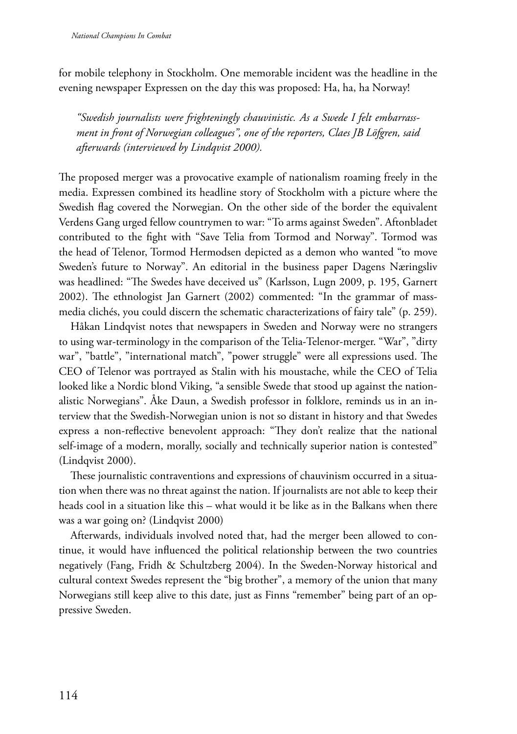for mobile telephony in Stockholm. One memorable incident was the headline in the evening newspaper Expressen on the day this was proposed: Ha, ha, ha Norway!

*"Swedish journalists were frighteningly chauvinistic. As a Swede I felt embarrassment in front of Norwegian colleagues", one of the reporters, Claes JB Löfgren, said afterwards (interviewed by Lindqvist 2000).* 

The proposed merger was a provocative example of nationalism roaming freely in the media. Expressen combined its headline story of Stockholm with a picture where the Swedish flag covered the Norwegian. On the other side of the border the equivalent Verdens Gang urged fellow countrymen to war: "To arms against Sweden". Aftonbladet contributed to the fight with "Save Telia from Tormod and Norway". Tormod was the head of Telenor, Tormod Hermodsen depicted as a demon who wanted "to move Sweden's future to Norway". An editorial in the business paper Dagens Næringsliv was headlined: "The Swedes have deceived us" (Karlsson, Lugn 2009, p. 195, Garnert 2002). The ethnologist Jan Garnert (2002) commented: "In the grammar of massmedia clichés, you could discern the schematic characterizations of fairy tale" (p. 259).

Håkan Lindqvist notes that newspapers in Sweden and Norway were no strangers to using war-terminology in the comparison of the Telia-Telenor-merger. "War", "dirty war", "battle", "international match", "power struggle" were all expressions used. The CEO of Telenor was portrayed as Stalin with his moustache, while the CEO of Telia looked like a Nordic blond Viking, "a sensible Swede that stood up against the nationalistic Norwegians". Åke Daun, a Swedish professor in folklore, reminds us in an interview that the Swedish-Norwegian union is not so distant in history and that Swedes express a non-reflective benevolent approach: "They don't realize that the national self-image of a modern, morally, socially and technically superior nation is contested" (Lindqvist 2000).

These journalistic contraventions and expressions of chauvinism occurred in a situation when there was no threat against the nation. If journalists are not able to keep their heads cool in a situation like this – what would it be like as in the Balkans when there was a war going on? (Lindqvist 2000)

Afterwards, individuals involved noted that, had the merger been allowed to continue, it would have influenced the political relationship between the two countries negatively (Fang, Fridh & Schultzberg 2004). In the Sweden-Norway historical and cultural context Swedes represent the "big brother", a memory of the union that many Norwegians still keep alive to this date, just as Finns "remember" being part of an oppressive Sweden.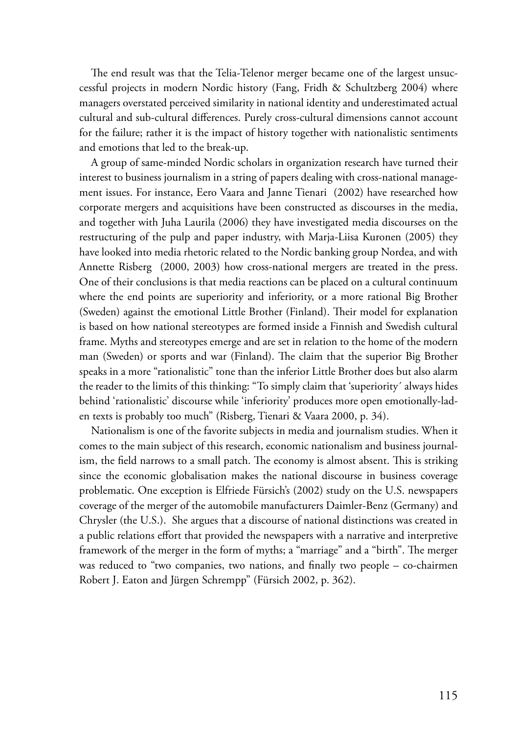The end result was that the Telia-Telenor merger became one of the largest unsuccessful projects in modern Nordic history (Fang, Fridh & Schultzberg 2004) where managers overstated perceived similarity in national identity and underestimated actual cultural and sub-cultural differences. Purely cross-cultural dimensions cannot account for the failure; rather it is the impact of history together with nationalistic sentiments and emotions that led to the break-up.

A group of same-minded Nordic scholars in organization research have turned their interest to business journalism in a string of papers dealing with cross-national management issues. For instance, Eero Vaara and Janne Tienari (2002) have researched how corporate mergers and acquisitions have been constructed as discourses in the media, and together with Juha Laurila (2006) they have investigated media discourses on the restructuring of the pulp and paper industry, with Marja-Liisa Kuronen (2005) they have looked into media rhetoric related to the Nordic banking group Nordea, and with Annette Risberg (2000, 2003) how cross-national mergers are treated in the press. One of their conclusions is that media reactions can be placed on a cultural continuum where the end points are superiority and inferiority, or a more rational Big Brother (Sweden) against the emotional Little Brother (Finland). Their model for explanation is based on how national stereotypes are formed inside a Finnish and Swedish cultural frame. Myths and stereotypes emerge and are set in relation to the home of the modern man (Sweden) or sports and war (Finland). The claim that the superior Big Brother speaks in a more "rationalistic" tone than the inferior Little Brother does but also alarm the reader to the limits of this thinking: "To simply claim that 'superiority´ always hides behind 'rationalistic' discourse while 'inferiority' produces more open emotionally-laden texts is probably too much" (Risberg, Tienari & Vaara 2000, p. 34).

Nationalism is one of the favorite subjects in media and journalism studies. When it comes to the main subject of this research, economic nationalism and business journalism, the field narrows to a small patch. The economy is almost absent. This is striking since the economic globalisation makes the national discourse in business coverage problematic. One exception is Elfriede Fürsich's (2002) study on the U.S. newspapers coverage of the merger of the automobile manufacturers Daimler-Benz (Germany) and Chrysler (the U.S.). She argues that a discourse of national distinctions was created in a public relations effort that provided the newspapers with a narrative and interpretive framework of the merger in the form of myths; a "marriage" and a "birth". The merger was reduced to "two companies, two nations, and finally two people – co-chairmen Robert J. Eaton and Jürgen Schrempp" (Fürsich 2002, p. 362).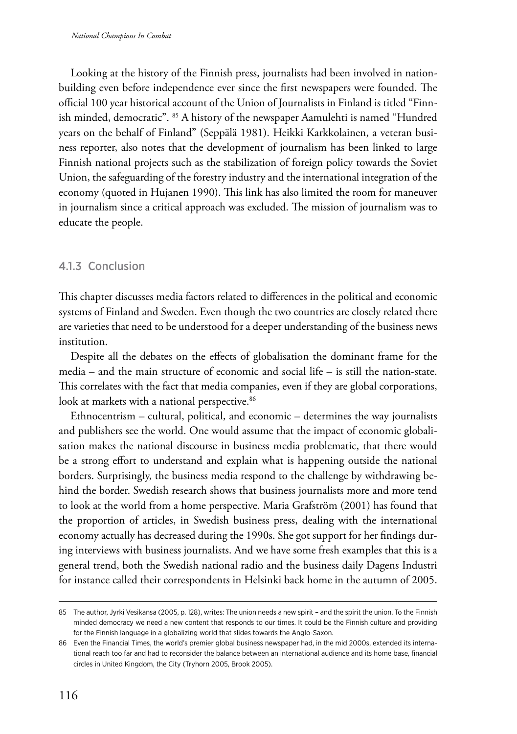Looking at the history of the Finnish press, journalists had been involved in nationbuilding even before independence ever since the first newspapers were founded. The official 100 year historical account of the Union of Journalists in Finland is titled "Finnish minded, democratic". 85 A history of the newspaper Aamulehti is named "Hundred years on the behalf of Finland" (Seppälä 1981). Heikki Karkkolainen, a veteran business reporter, also notes that the development of journalism has been linked to large Finnish national projects such as the stabilization of foreign policy towards the Soviet Union, the safeguarding of the forestry industry and the international integration of the economy (quoted in Hujanen 1990). This link has also limited the room for maneuver in journalism since a critical approach was excluded. The mission of journalism was to educate the people.

## 4.1.3 Conclusion

This chapter discusses media factors related to differences in the political and economic systems of Finland and Sweden. Even though the two countries are closely related there are varieties that need to be understood for a deeper understanding of the business news institution.

Despite all the debates on the effects of globalisation the dominant frame for the media – and the main structure of economic and social life – is still the nation-state. This correlates with the fact that media companies, even if they are global corporations, look at markets with a national perspective.<sup>86</sup>

Ethnocentrism – cultural, political, and economic – determines the way journalists and publishers see the world. One would assume that the impact of economic globalisation makes the national discourse in business media problematic, that there would be a strong effort to understand and explain what is happening outside the national borders. Surprisingly, the business media respond to the challenge by withdrawing behind the border. Swedish research shows that business journalists more and more tend to look at the world from a home perspective. Maria Grafström (2001) has found that the proportion of articles, in Swedish business press, dealing with the international economy actually has decreased during the 1990s. She got support for her findings during interviews with business journalists. And we have some fresh examples that this is a general trend, both the Swedish national radio and the business daily Dagens Industri for instance called their correspondents in Helsinki back home in the autumn of 2005.

<sup>85</sup> The author, Jyrki Vesikansa (2005, p. 128), writes: The union needs a new spirit – and the spirit the union. To the Finnish minded democracy we need a new content that responds to our times. It could be the Finnish culture and providing for the Finnish language in a globalizing world that slides towards the Anglo-Saxon.

<sup>86</sup> Even the Financial Times, the world's premier global business newspaper had, in the mid 2000s, extended its international reach too far and had to reconsider the balance between an international audience and its home base, financial circles in United Kingdom, the City (Tryhorn 2005, Brook 2005).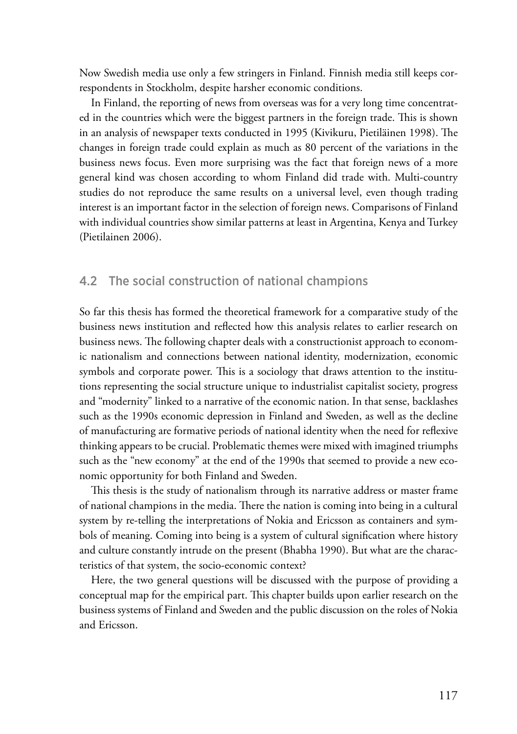Now Swedish media use only a few stringers in Finland. Finnish media still keeps correspondents in Stockholm, despite harsher economic conditions.

In Finland, the reporting of news from overseas was for a very long time concentrated in the countries which were the biggest partners in the foreign trade. This is shown in an analysis of newspaper texts conducted in 1995 (Kivikuru, Pietiläinen 1998). The changes in foreign trade could explain as much as 80 percent of the variations in the business news focus. Even more surprising was the fact that foreign news of a more general kind was chosen according to whom Finland did trade with. Multi-country studies do not reproduce the same results on a universal level, even though trading interest is an important factor in the selection of foreign news. Comparisons of Finland with individual countries show similar patterns at least in Argentina, Kenya and Turkey (Pietilainen 2006).

## 4.2 The social construction of national champions

So far this thesis has formed the theoretical framework for a comparative study of the business news institution and reflected how this analysis relates to earlier research on business news. The following chapter deals with a constructionist approach to economic nationalism and connections between national identity, modernization, economic symbols and corporate power. This is a sociology that draws attention to the institutions representing the social structure unique to industrialist capitalist society, progress and "modernity" linked to a narrative of the economic nation. In that sense, backlashes such as the 1990s economic depression in Finland and Sweden, as well as the decline of manufacturing are formative periods of national identity when the need for reflexive thinking appears to be crucial. Problematic themes were mixed with imagined triumphs such as the "new economy" at the end of the 1990s that seemed to provide a new economic opportunity for both Finland and Sweden.

This thesis is the study of nationalism through its narrative address or master frame of national champions in the media. There the nation is coming into being in a cultural system by re-telling the interpretations of Nokia and Ericsson as containers and symbols of meaning. Coming into being is a system of cultural signification where history and culture constantly intrude on the present (Bhabha 1990). But what are the characteristics of that system, the socio-economic context?

Here, the two general questions will be discussed with the purpose of providing a conceptual map for the empirical part. This chapter builds upon earlier research on the business systems of Finland and Sweden and the public discussion on the roles of Nokia and Ericsson.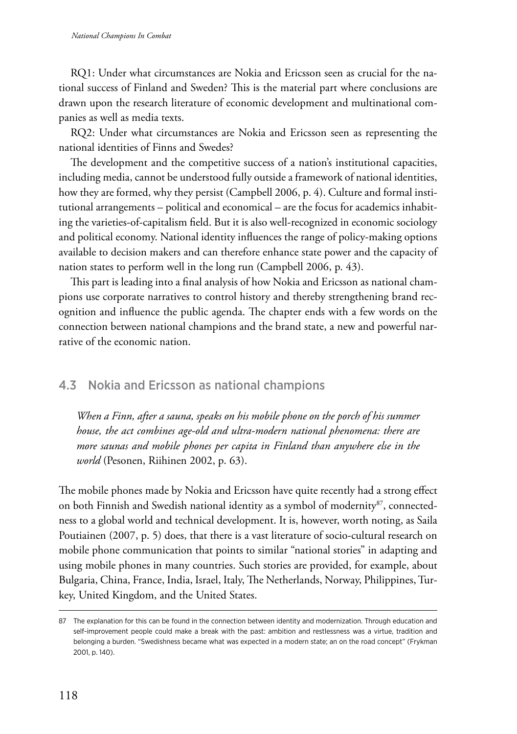RQ1: Under what circumstances are Nokia and Ericsson seen as crucial for the national success of Finland and Sweden? This is the material part where conclusions are drawn upon the research literature of economic development and multinational companies as well as media texts.

RQ2: Under what circumstances are Nokia and Ericsson seen as representing the national identities of Finns and Swedes?

The development and the competitive success of a nation's institutional capacities, including media, cannot be understood fully outside a framework of national identities, how they are formed, why they persist (Campbell 2006, p. 4). Culture and formal institutional arrangements – political and economical – are the focus for academics inhabiting the varieties-of-capitalism field. But it is also well-recognized in economic sociology and political economy. National identity influences the range of policy-making options available to decision makers and can therefore enhance state power and the capacity of nation states to perform well in the long run (Campbell 2006, p. 43).

This part is leading into a final analysis of how Nokia and Ericsson as national champions use corporate narratives to control history and thereby strengthening brand recognition and influence the public agenda. The chapter ends with a few words on the connection between national champions and the brand state, a new and powerful narrative of the economic nation.

# 4.3 Nokia and Ericsson as national champions

*When a Finn, after a sauna, speaks on his mobile phone on the porch of his summer house, the act combines age-old and ultra-modern national phenomena: there are more saunas and mobile phones per capita in Finland than anywhere else in the world* (Pesonen, Riihinen 2002, p. 63).

The mobile phones made by Nokia and Ericsson have quite recently had a strong effect on both Finnish and Swedish national identity as a symbol of modernity<sup>87</sup>, connectedness to a global world and technical development. It is, however, worth noting, as Saila Poutiainen (2007, p. 5) does, that there is a vast literature of socio-cultural research on mobile phone communication that points to similar "national stories" in adapting and using mobile phones in many countries. Such stories are provided, for example, about Bulgaria, China, France, India, Israel, Italy, The Netherlands, Norway, Philippines, Turkey, United Kingdom, and the United States.

<sup>87</sup> The explanation for this can be found in the connection between identity and modernization. Through education and self-improvement people could make a break with the past: ambition and restlessness was a virtue, tradition and belonging a burden. "Swedishness became what was expected in a modern state; an on the road concept" (Frykman 2001, p. 140).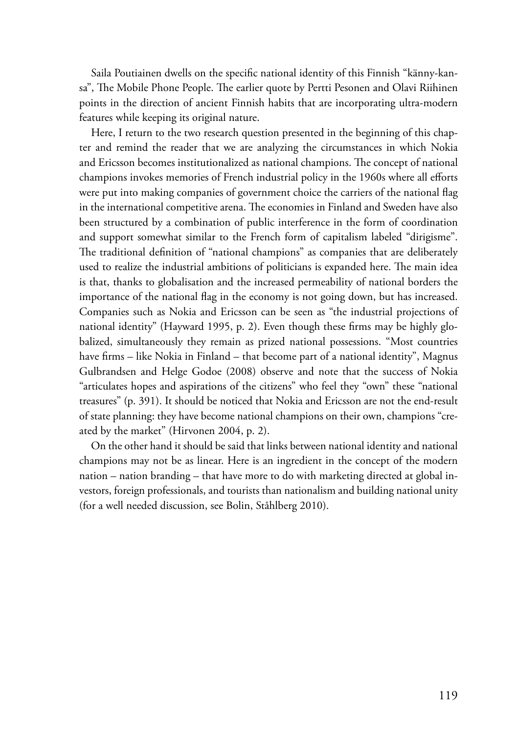Saila Poutiainen dwells on the specific national identity of this Finnish "känny-kansa", The Mobile Phone People. The earlier quote by Pertti Pesonen and Olavi Riihinen points in the direction of ancient Finnish habits that are incorporating ultra-modern features while keeping its original nature.

Here, I return to the two research question presented in the beginning of this chapter and remind the reader that we are analyzing the circumstances in which Nokia and Ericsson becomes institutionalized as national champions. The concept of national champions invokes memories of French industrial policy in the 1960s where all efforts were put into making companies of government choice the carriers of the national flag in the international competitive arena. The economies in Finland and Sweden have also been structured by a combination of public interference in the form of coordination and support somewhat similar to the French form of capitalism labeled "dirigisme". The traditional definition of "national champions" as companies that are deliberately used to realize the industrial ambitions of politicians is expanded here. The main idea is that, thanks to globalisation and the increased permeability of national borders the importance of the national flag in the economy is not going down, but has increased. Companies such as Nokia and Ericsson can be seen as "the industrial projections of national identity" (Hayward 1995, p. 2). Even though these firms may be highly globalized, simultaneously they remain as prized national possessions. "Most countries have firms – like Nokia in Finland – that become part of a national identity", Magnus Gulbrandsen and Helge Godoe (2008) observe and note that the success of Nokia "articulates hopes and aspirations of the citizens" who feel they "own" these "national treasures" (p. 391). It should be noticed that Nokia and Ericsson are not the end-result of state planning: they have become national champions on their own, champions "created by the market" (Hirvonen 2004, p. 2).

On the other hand it should be said that links between national identity and national champions may not be as linear. Here is an ingredient in the concept of the modern nation – nation branding – that have more to do with marketing directed at global investors, foreign professionals, and tourists than nationalism and building national unity (for a well needed discussion, see Bolin, Ståhlberg 2010).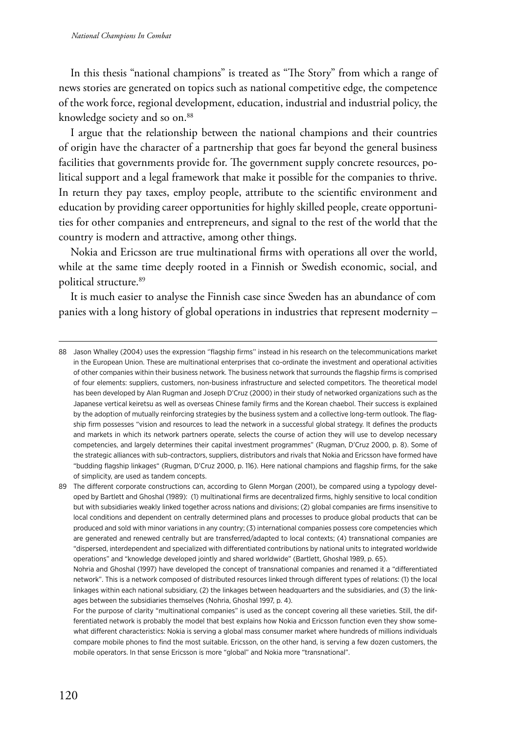In this thesis "national champions" is treated as "The Story" from which a range of news stories are generated on topics such as national competitive edge, the competence of the work force, regional development, education, industrial and industrial policy, the knowledge society and so on.<sup>88</sup>

I argue that the relationship between the national champions and their countries of origin have the character of a partnership that goes far beyond the general business facilities that governments provide for. The government supply concrete resources, political support and a legal framework that make it possible for the companies to thrive. In return they pay taxes, employ people, attribute to the scientific environment and education by providing career opportunities for highly skilled people, create opportunities for other companies and entrepreneurs, and signal to the rest of the world that the country is modern and attractive, among other things.

Nokia and Ericsson are true multinational firms with operations all over the world, while at the same time deeply rooted in a Finnish or Swedish economic, social, and political structure.<sup>89</sup>

It is much easier to analyse the Finnish case since Sweden has an abundance of com panies with a long history of global operations in industries that represent modernity –

<sup>88</sup> Jason Whalley (2004) uses the expression "flagship firms" instead in his research on the telecommunications market in the European Union. These are multinational enterprises that co-ordinate the investment and operational activities of other companies within their business network. The business network that surrounds the flagship firms is comprised of four elements: suppliers, customers, non-business infrastructure and selected competitors. The theoretical model has been developed by Alan Rugman and Joseph D'Cruz (2000) in their study of networked organizations such as the Japanese vertical keiretsu as well as overseas Chinese family firms and the Korean chaebol. Their success is explained by the adoption of mutually reinforcing strategies by the business system and a collective long-term outlook. The flagship firm possesses "vision and resources to lead the network in a successful global strategy. It defines the products and markets in which its network partners operate, selects the course of action they will use to develop necessary competencies, and largely determines their capital investment programmes" (Rugman, D'Cruz 2000, p. 8). Some of the strategic alliances with sub-contractors, suppliers, distributors and rivals that Nokia and Ericsson have formed have "budding flagship linkages" (Rugman, D'Cruz 2000, p. 116). Here national champions and flagship firms, for the sake of simplicity, are used as tandem concepts.

<sup>89</sup> The different corporate constructions can, according to Glenn Morgan (2001), be compared using a typology developed by Bartlett and Ghoshal (1989): (1) multinational firms are decentralized firms, highly sensitive to local condition but with subsidiaries weakly linked together across nations and divisions; (2) global companies are firms insensitive to local conditions and dependent on centrally determined plans and processes to produce global products that can be produced and sold with minor variations in any country; (3) international companies possess core competencies which are generated and renewed centrally but are transferred/adapted to local contexts; (4) transnational companies are "dispersed, interdependent and specialized with differentiated contributions by national units to integrated worldwide operations" and "knowledge developed jointly and shared worldwide" (Bartlett, Ghoshal 1989, p. 65).

Nohria and Ghoshal (1997) have developed the concept of transnational companies and renamed it a "differentiated network". This is a network composed of distributed resources linked through different types of relations: (1) the local linkages within each national subsidiary, (2) the linkages between headquarters and the subsidiaries, and (3) the linkages between the subsidiaries themselves (Nohria, Ghoshal 1997, p. 4).

For the purpose of clarity "multinational companies" is used as the concept covering all these varieties. Still, the differentiated network is probably the model that best explains how Nokia and Ericsson function even they show somewhat different characteristics: Nokia is serving a global mass consumer market where hundreds of millions individuals compare mobile phones to find the most suitable. Ericsson, on the other hand, is serving a few dozen customers, the mobile operators. In that sense Ericsson is more "global" and Nokia more "transnational".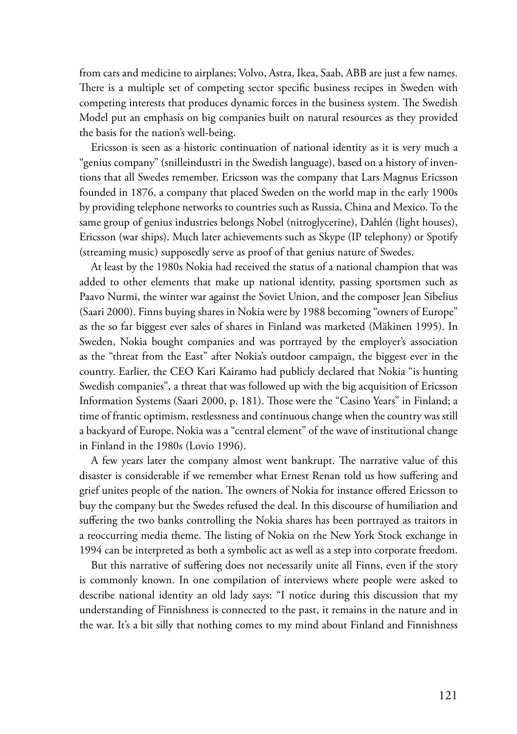from cars and medicine to airplanes; Volvo, Astra, Ikea, Saab, ABB are just a few names. There is a multiple set of competing sector specific business recipes in Sweden with competing interests that produces dynamic forces in the business system. The Swedish Model put an emphasis on big companies built on natural resources as they provided the basis for the nation's well-being.

Ericsson is seen as a historic continuation of national identity as it is very much a "genius company" (snilleindustri in the Swedish language), based on a history of inventions that all Swedes remember. Ericsson was the company that Lars Magnus Ericsson founded in 1876, a company that placed Sweden on the world map in the early 1900s by providing telephone networks to countries such as Russia, China and Mexico. To the same group of genius industries belongs Nobel (nitroglycerine), Dahlén (light houses), Ericsson (war ships). Much later achievements such as Skype (IP telephony) or Spotify (streaming music) supposedly serve as proof of that genius nature of Swedes.

At least by the 1980s Nokia had received the status of a national champion that was added to other elements that make up national identity, passing sportsmen such as Paavo Nurmi, the winter war against the Soviet Union, and the composer Jean Sibelius (Saari 2000). Finns buying shares in Nokia were by 1988 becoming "owners of Europe" as the so far biggest ever sales of shares in Finland was marketed (Mäkinen 1995). In Sweden, Nokia bought companies and was portrayed by the employer's association as the "threat from the East" after Nokia's outdoor campaign, the biggest ever in the country. Earlier, the CEO Kari Kairamo had publicly declared that Nokia "is hunting Swedish companies", a threat that was followed up with the big acquisition of Ericsson Information Systems (Saari 2000, p. 181). Those were the "Casino Years" in Finland; a time of frantic optimism, restlessness and continuous change when the country was still a backyard of Europe. Nokia was a "central element" of the wave of institutional change in Finland in the 1980s (Lovio 1996).

A few years later the company almost went bankrupt. The narrative value of this disaster is considerable if we remember what Ernest Renan told us how suffering and grief unites people of the nation. The owners of Nokia for instance offered Ericsson to buy the company but the Swedes refused the deal. In this discourse of humiliation and suffering the two banks controlling the Nokia shares has been portrayed as traitors in a reoccurring media theme. The listing of Nokia on the New York Stock exchange in 1994 can be interpreted as both a symbolic act as well as a step into corporate freedom.

But this narrative of suffering does not necessarily unite all Finns, even if the story is commonly known. In one compilation of interviews where people were asked to describe national identity an old lady says: "I notice during this discussion that my understanding of Finnishness is connected to the past, it remains in the nature and in the war. It's a bit silly that nothing comes to my mind about Finland and Finnishness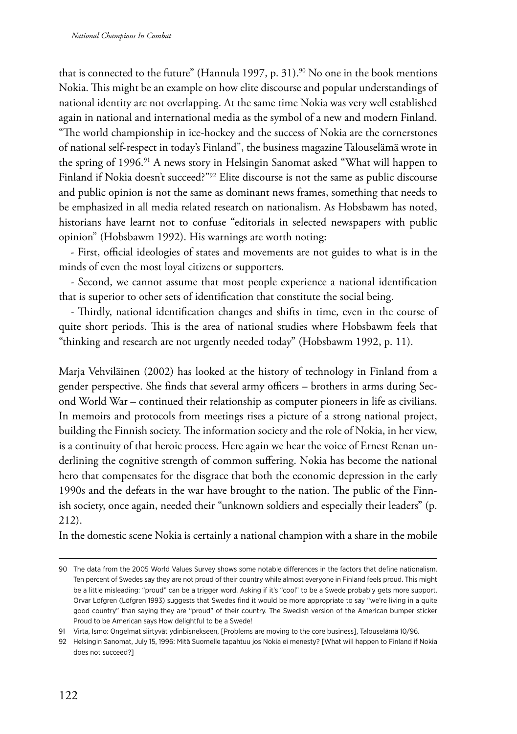that is connected to the future" (Hannula 1997, p. 31).<sup>90</sup> No one in the book mentions Nokia. This might be an example on how elite discourse and popular understandings of national identity are not overlapping. At the same time Nokia was very well established again in national and international media as the symbol of a new and modern Finland. "The world championship in ice-hockey and the success of Nokia are the cornerstones of national self-respect in today's Finland", the business magazine Talouselämä wrote in the spring of 1996.<sup>91</sup> A news story in Helsingin Sanomat asked "What will happen to Finland if Nokia doesn't succeed?"<sup>92</sup> Elite discourse is not the same as public discourse and public opinion is not the same as dominant news frames, something that needs to be emphasized in all media related research on nationalism. As Hobsbawm has noted, historians have learnt not to confuse "editorials in selected newspapers with public opinion" (Hobsbawm 1992). His warnings are worth noting:

- First, official ideologies of states and movements are not guides to what is in the minds of even the most loyal citizens or supporters.

- Second, we cannot assume that most people experience a national identification that is superior to other sets of identification that constitute the social being.

- Thirdly, national identification changes and shifts in time, even in the course of quite short periods. This is the area of national studies where Hobsbawm feels that "thinking and research are not urgently needed today" (Hobsbawm 1992, p. 11).

Marja Vehviläinen (2002) has looked at the history of technology in Finland from a gender perspective. She finds that several army officers – brothers in arms during Second World War – continued their relationship as computer pioneers in life as civilians. In memoirs and protocols from meetings rises a picture of a strong national project, building the Finnish society. The information society and the role of Nokia, in her view, is a continuity of that heroic process. Here again we hear the voice of Ernest Renan underlining the cognitive strength of common suffering. Nokia has become the national hero that compensates for the disgrace that both the economic depression in the early 1990s and the defeats in the war have brought to the nation. The public of the Finnish society, once again, needed their "unknown soldiers and especially their leaders" (p. 212).

In the domestic scene Nokia is certainly a national champion with a share in the mobile

<sup>90</sup> The data from the 2005 World Values Survey shows some notable differences in the factors that define nationalism. Ten percent of Swedes say they are not proud of their country while almost everyone in Finland feels proud. This might be a little misleading: "proud" can be a trigger word. Asking if it's "cool" to be a Swede probably gets more support. Orvar Löfgren (Löfgren 1993) suggests that Swedes find it would be more appropriate to say "we're living in a quite good country" than saying they are "proud" of their country. The Swedish version of the American bumper sticker Proud to be American says How delightful to be a Swede!

<sup>91</sup> Virta, Ismo: Ongelmat siirtyvät ydinbisnekseen, [Problems are moving to the core business], Talouselämä 10/96.

<sup>92</sup> Helsingin Sanomat, July 15, 1996: Mitä Suomelle tapahtuu jos Nokia ei menesty? [What will happen to Finland if Nokia does not succeed?]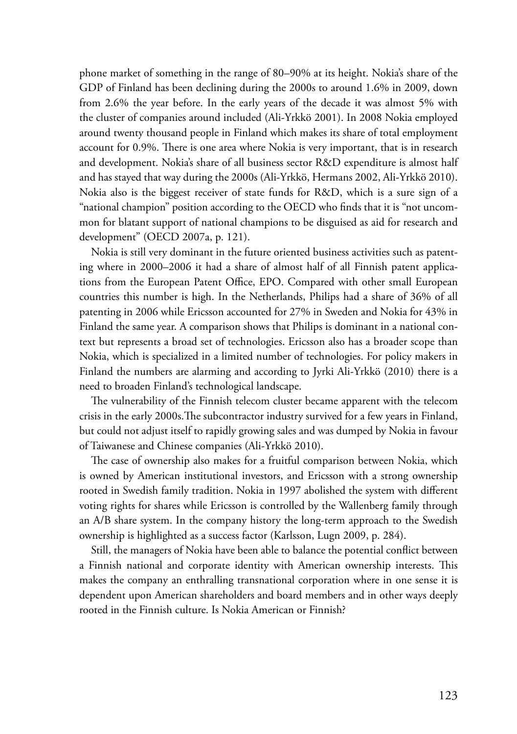phone market of something in the range of 80–90% at its height. Nokia's share of the GDP of Finland has been declining during the 2000s to around 1.6% in 2009, down from 2.6% the year before. In the early years of the decade it was almost 5% with the cluster of companies around included (Ali-Yrkkö 2001). In 2008 Nokia employed around twenty thousand people in Finland which makes its share of total employment account for 0.9%. There is one area where Nokia is very important, that is in research and development. Nokia's share of all business sector R&D expenditure is almost half and has stayed that way during the 2000s (Ali-Yrkkö, Hermans 2002, Ali-Yrkkö 2010). Nokia also is the biggest receiver of state funds for R&D, which is a sure sign of a "national champion" position according to the OECD who finds that it is "not uncommon for blatant support of national champions to be disguised as aid for research and development" (OECD 2007a, p. 121).

Nokia is still very dominant in the future oriented business activities such as patenting where in 2000–2006 it had a share of almost half of all Finnish patent applications from the European Patent Office, EPO. Compared with other small European countries this number is high. In the Netherlands, Philips had a share of 36% of all patenting in 2006 while Ericsson accounted for 27% in Sweden and Nokia for 43% in Finland the same year. A comparison shows that Philips is dominant in a national context but represents a broad set of technologies. Ericsson also has a broader scope than Nokia, which is specialized in a limited number of technologies. For policy makers in Finland the numbers are alarming and according to Jyrki Ali-Yrkkö (2010) there is a need to broaden Finland's technological landscape.

The vulnerability of the Finnish telecom cluster became apparent with the telecom crisis in the early 2000s.The subcontractor industry survived for a few years in Finland, but could not adjust itself to rapidly growing sales and was dumped by Nokia in favour of Taiwanese and Chinese companies (Ali-Yrkkö 2010).

The case of ownership also makes for a fruitful comparison between Nokia, which is owned by American institutional investors, and Ericsson with a strong ownership rooted in Swedish family tradition. Nokia in 1997 abolished the system with different voting rights for shares while Ericsson is controlled by the Wallenberg family through an A/B share system. In the company history the long-term approach to the Swedish ownership is highlighted as a success factor (Karlsson, Lugn 2009, p. 284).

Still, the managers of Nokia have been able to balance the potential conflict between a Finnish national and corporate identity with American ownership interests. This makes the company an enthralling transnational corporation where in one sense it is dependent upon American shareholders and board members and in other ways deeply rooted in the Finnish culture. Is Nokia American or Finnish?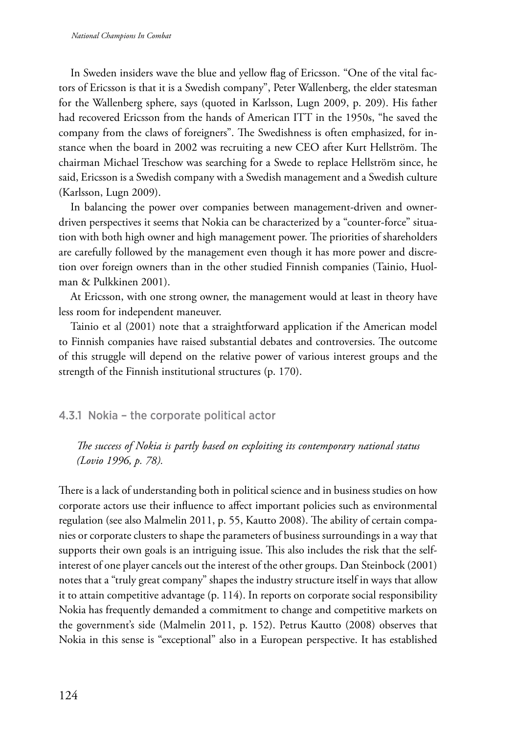In Sweden insiders wave the blue and yellow flag of Ericsson. "One of the vital factors of Ericsson is that it is a Swedish company", Peter Wallenberg, the elder statesman for the Wallenberg sphere, says (quoted in Karlsson, Lugn 2009, p. 209). His father had recovered Ericsson from the hands of American ITT in the 1950s, "he saved the company from the claws of foreigners". The Swedishness is often emphasized, for instance when the board in 2002 was recruiting a new CEO after Kurt Hellström. The chairman Michael Treschow was searching for a Swede to replace Hellström since, he said, Ericsson is a Swedish company with a Swedish management and a Swedish culture (Karlsson, Lugn 2009).

In balancing the power over companies between management-driven and ownerdriven perspectives it seems that Nokia can be characterized by a "counter-force" situation with both high owner and high management power. The priorities of shareholders are carefully followed by the management even though it has more power and discretion over foreign owners than in the other studied Finnish companies (Tainio, Huolman & Pulkkinen 2001).

At Ericsson, with one strong owner, the management would at least in theory have less room for independent maneuver.

Tainio et al (2001) note that a straightforward application if the American model to Finnish companies have raised substantial debates and controversies. The outcome of this struggle will depend on the relative power of various interest groups and the strength of the Finnish institutional structures (p. 170).

## 4.3.1 Nokia – the corporate political actor

*The success of Nokia is partly based on exploiting its contemporary national status (Lovio 1996, p. 78).*

There is a lack of understanding both in political science and in business studies on how corporate actors use their influence to affect important policies such as environmental regulation (see also Malmelin 2011, p. 55, Kautto 2008). The ability of certain companies or corporate clusters to shape the parameters of business surroundings in a way that supports their own goals is an intriguing issue. This also includes the risk that the selfinterest of one player cancels out the interest of the other groups. Dan Steinbock (2001) notes that a "truly great company" shapes the industry structure itself in ways that allow it to attain competitive advantage (p. 114). In reports on corporate social responsibility Nokia has frequently demanded a commitment to change and competitive markets on the government's side (Malmelin 2011, p. 152). Petrus Kautto (2008) observes that Nokia in this sense is "exceptional" also in a European perspective. It has established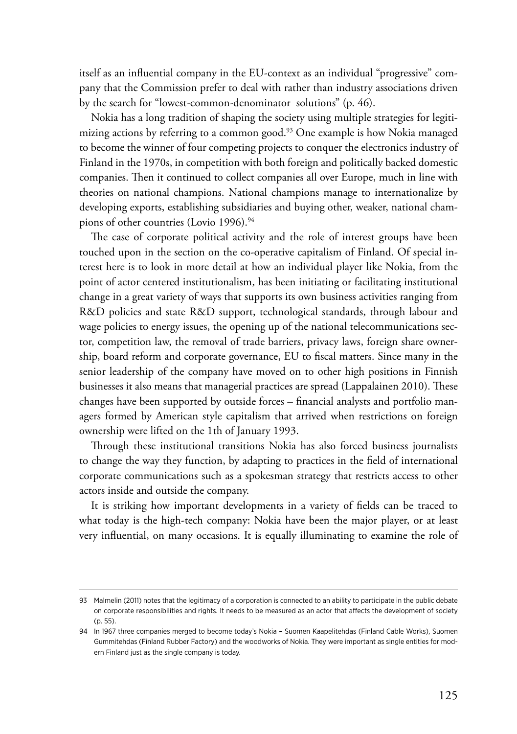itself as an influential company in the EU-context as an individual "progressive" company that the Commission prefer to deal with rather than industry associations driven by the search for "lowest-common-denominator solutions" (p. 46).

Nokia has a long tradition of shaping the society using multiple strategies for legitimizing actions by referring to a common good.<sup>93</sup> One example is how Nokia managed to become the winner of four competing projects to conquer the electronics industry of Finland in the 1970s, in competition with both foreign and politically backed domestic companies. Then it continued to collect companies all over Europe, much in line with theories on national champions. National champions manage to internationalize by developing exports, establishing subsidiaries and buying other, weaker, national champions of other countries (Lovio 1996).<sup>94</sup>

The case of corporate political activity and the role of interest groups have been touched upon in the section on the co-operative capitalism of Finland. Of special interest here is to look in more detail at how an individual player like Nokia, from the point of actor centered institutionalism, has been initiating or facilitating institutional change in a great variety of ways that supports its own business activities ranging from R&D policies and state R&D support, technological standards, through labour and wage policies to energy issues, the opening up of the national telecommunications sector, competition law, the removal of trade barriers, privacy laws, foreign share ownership, board reform and corporate governance, EU to fiscal matters. Since many in the senior leadership of the company have moved on to other high positions in Finnish businesses it also means that managerial practices are spread (Lappalainen 2010). These changes have been supported by outside forces – financial analysts and portfolio managers formed by American style capitalism that arrived when restrictions on foreign ownership were lifted on the 1th of January 1993.

Through these institutional transitions Nokia has also forced business journalists to change the way they function, by adapting to practices in the field of international corporate communications such as a spokesman strategy that restricts access to other actors inside and outside the company.

It is striking how important developments in a variety of fields can be traced to what today is the high-tech company: Nokia have been the major player, or at least very influential, on many occasions. It is equally illuminating to examine the role of

<sup>93</sup> Malmelin (2011) notes that the legitimacy of a corporation is connected to an ability to participate in the public debate on corporate responsibilities and rights. It needs to be measured as an actor that affects the development of society (p. 55).

<sup>94</sup> In 1967 three companies merged to become today's Nokia – Suomen Kaapelitehdas (Finland Cable Works), Suomen Gummitehdas (Finland Rubber Factory) and the woodworks of Nokia. They were important as single entities for modern Finland just as the single company is today.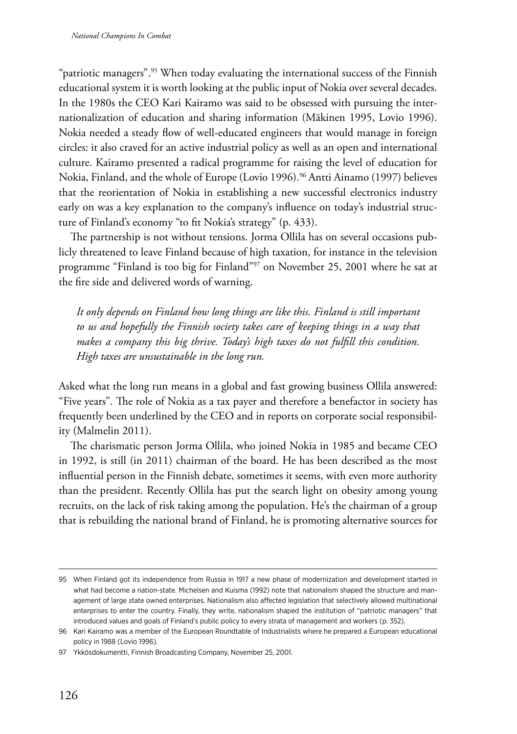"patriotic managers".<sup>95</sup> When today evaluating the international success of the Finnish educational system it is worth looking at the public input of Nokia over several decades. In the 1980s the CEO Kari Kairamo was said to be obsessed with pursuing the internationalization of education and sharing information (Mäkinen 1995, Lovio 1996). Nokia needed a steady flow of well-educated engineers that would manage in foreign circles: it also craved for an active industrial policy as well as an open and international culture. Kairamo presented a radical programme for raising the level of education for Nokia, Finland, and the whole of Europe (Lovio 1996).<sup>96</sup> Antti Ainamo (1997) believes that the reorientation of Nokia in establishing a new successful electronics industry early on was a key explanation to the company's influence on today's industrial structure of Finland's economy "to fit Nokia's strategy" (p. 433).

The partnership is not without tensions. Jorma Ollila has on several occasions publicly threatened to leave Finland because of high taxation, for instance in the television programme "Finland is too big for Finland"97 on November 25, 2001 where he sat at the fire side and delivered words of warning.

*It only depends on Finland how long things are like this. Finland is still important to us and hopefully the Finnish society takes care of keeping things in a way that makes a company this big thrive. Today's high taxes do not fulfill this condition. High taxes are unsustainable in the long run.*

Asked what the long run means in a global and fast growing business Ollila answered: "Five years". The role of Nokia as a tax payer and therefore a benefactor in society has frequently been underlined by the CEO and in reports on corporate social responsibility (Malmelin 2011).

The charismatic person Jorma Ollila, who joined Nokia in 1985 and became CEO in 1992, is still (in 2011) chairman of the board. He has been described as the most influential person in the Finnish debate, sometimes it seems, with even more authority than the president. Recently Ollila has put the search light on obesity among young recruits, on the lack of risk taking among the population. He's the chairman of a group that is rebuilding the national brand of Finland, he is promoting alternative sources for

<sup>95</sup> When Finland got its independence from Russia in 1917 a new phase of modernization and development started in what had become a nation-state. Michelsen and Kuisma (1992) note that nationalism shaped the structure and management of large state owned enterprises. Nationalism also affected legislation that selectively allowed multinational enterprises to enter the country. Finally, they write, nationalism shaped the institution of "patriotic managers" that introduced values and goals of Finland's public policy to every strata of management and workers (p. 352).

<sup>96</sup> Kari Kairamo was a member of the European Roundtable of Industrialists where he prepared a European educational policy in 1988 (Lovio 1996).

<sup>97</sup> Ykkösdokumentti, Finnish Broadcasting Company, November 25, 2001.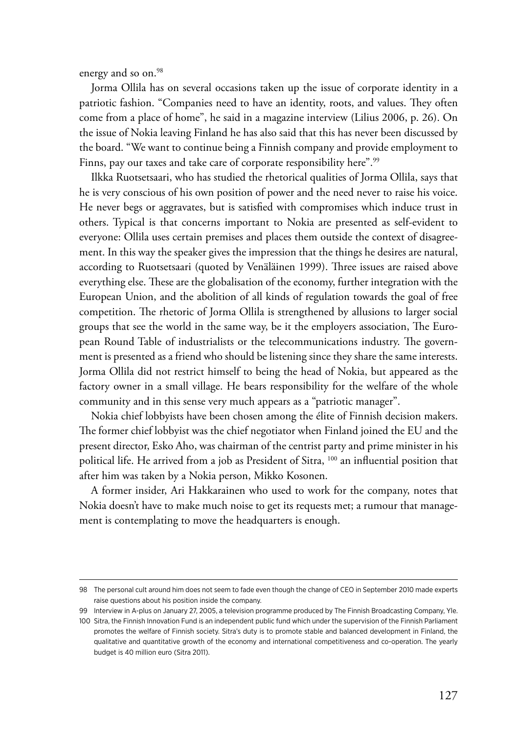energy and so on.<sup>98</sup>

Jorma Ollila has on several occasions taken up the issue of corporate identity in a patriotic fashion. "Companies need to have an identity, roots, and values. They often come from a place of home", he said in a magazine interview (Lilius 2006, p. 26). On the issue of Nokia leaving Finland he has also said that this has never been discussed by the board. "We want to continue being a Finnish company and provide employment to Finns, pay our taxes and take care of corporate responsibility here".<sup>99</sup>

Ilkka Ruotsetsaari, who has studied the rhetorical qualities of Jorma Ollila, says that he is very conscious of his own position of power and the need never to raise his voice. He never begs or aggravates, but is satisfied with compromises which induce trust in others. Typical is that concerns important to Nokia are presented as self-evident to everyone: Ollila uses certain premises and places them outside the context of disagreement. In this way the speaker gives the impression that the things he desires are natural, according to Ruotsetsaari (quoted by Venäläinen 1999). Three issues are raised above everything else. These are the globalisation of the economy, further integration with the European Union, and the abolition of all kinds of regulation towards the goal of free competition. The rhetoric of Jorma Ollila is strengthened by allusions to larger social groups that see the world in the same way, be it the employers association, The European Round Table of industrialists or the telecommunications industry. The government is presented as a friend who should be listening since they share the same interests. Jorma Ollila did not restrict himself to being the head of Nokia, but appeared as the factory owner in a small village. He bears responsibility for the welfare of the whole community and in this sense very much appears as a "patriotic manager".

Nokia chief lobbyists have been chosen among the élite of Finnish decision makers. The former chief lobbyist was the chief negotiator when Finland joined the EU and the present director, Esko Aho, was chairman of the centrist party and prime minister in his political life. He arrived from a job as President of Sitra, <sup>100</sup> an influential position that after him was taken by a Nokia person, Mikko Kosonen.

A former insider, Ari Hakkarainen who used to work for the company, notes that Nokia doesn't have to make much noise to get its requests met; a rumour that management is contemplating to move the headquarters is enough.

<sup>98</sup> The personal cult around him does not seem to fade even though the change of CEO in September 2010 made experts raise questions about his position inside the company.

<sup>99</sup> Interview in A-plus on January 27, 2005, a television programme produced by The Finnish Broadcasting Company, Yle.

<sup>100</sup> Sitra, the Finnish Innovation Fund is an independent public fund which under the supervision of the Finnish Parliament promotes the welfare of Finnish society. Sitra's duty is to promote stable and balanced development in Finland, the qualitative and quantitative growth of the economy and international competitiveness and co-operation. The yearly budget is 40 million euro (Sitra 2011).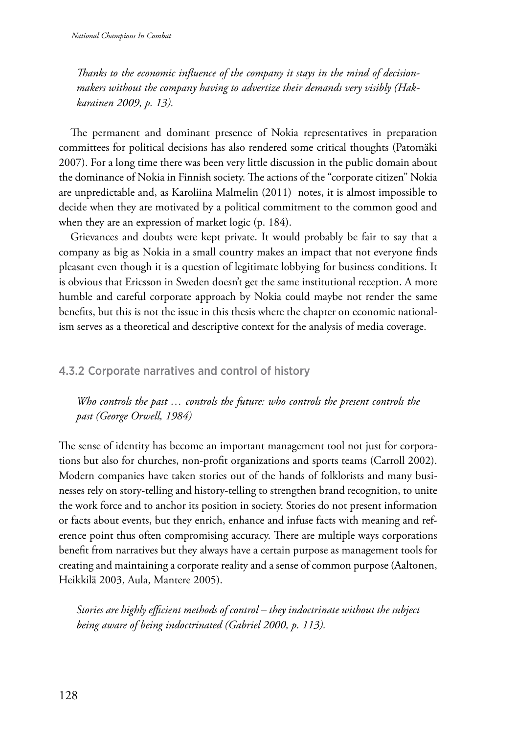*Thanks to the economic influence of the company it stays in the mind of decisionmakers without the company having to advertize their demands very visibly (Hakkarainen 2009, p. 13).*

The permanent and dominant presence of Nokia representatives in preparation committees for political decisions has also rendered some critical thoughts (Patomäki 2007). For a long time there was been very little discussion in the public domain about the dominance of Nokia in Finnish society. The actions of the "corporate citizen" Nokia are unpredictable and, as Karoliina Malmelin (2011) notes, it is almost impossible to decide when they are motivated by a political commitment to the common good and when they are an expression of market logic (p. 184).

Grievances and doubts were kept private. It would probably be fair to say that a company as big as Nokia in a small country makes an impact that not everyone finds pleasant even though it is a question of legitimate lobbying for business conditions. It is obvious that Ericsson in Sweden doesn't get the same institutional reception. A more humble and careful corporate approach by Nokia could maybe not render the same benefits, but this is not the issue in this thesis where the chapter on economic nationalism serves as a theoretical and descriptive context for the analysis of media coverage.

# 4.3.2 Corporate narratives and control of history

*Who controls the past … controls the future: who controls the present controls the past (George Orwell, 1984)*

The sense of identity has become an important management tool not just for corporations but also for churches, non-profit organizations and sports teams (Carroll 2002). Modern companies have taken stories out of the hands of folklorists and many businesses rely on story-telling and history-telling to strengthen brand recognition, to unite the work force and to anchor its position in society. Stories do not present information or facts about events, but they enrich, enhance and infuse facts with meaning and reference point thus often compromising accuracy. There are multiple ways corporations benefit from narratives but they always have a certain purpose as management tools for creating and maintaining a corporate reality and a sense of common purpose (Aaltonen, Heikkilä 2003, Aula, Mantere 2005).

*Stories are highly efficient methods of control – they indoctrinate without the subject being aware of being indoctrinated (Gabriel 2000, p. 113).*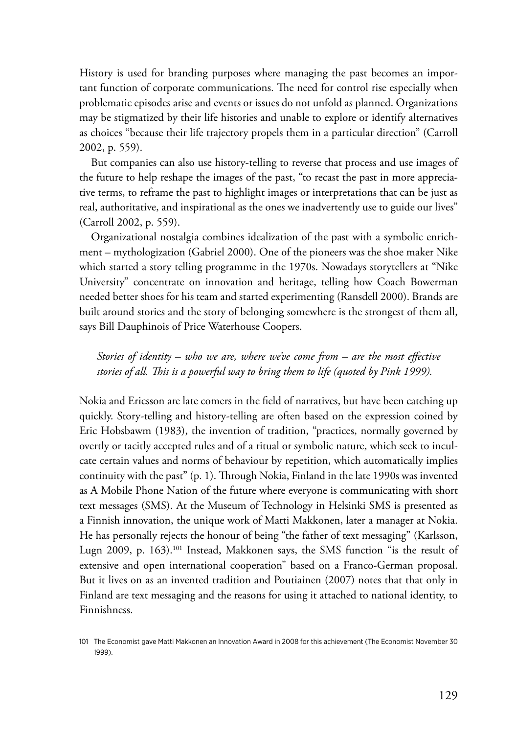History is used for branding purposes where managing the past becomes an important function of corporate communications. The need for control rise especially when problematic episodes arise and events or issues do not unfold as planned. Organizations may be stigmatized by their life histories and unable to explore or identify alternatives as choices "because their life trajectory propels them in a particular direction" (Carroll 2002, p. 559).

But companies can also use history-telling to reverse that process and use images of the future to help reshape the images of the past, "to recast the past in more appreciative terms, to reframe the past to highlight images or interpretations that can be just as real, authoritative, and inspirational as the ones we inadvertently use to guide our lives" (Carroll 2002, p. 559).

Organizational nostalgia combines idealization of the past with a symbolic enrichment – mythologization (Gabriel 2000). One of the pioneers was the shoe maker Nike which started a story telling programme in the 1970s. Nowadays storytellers at "Nike University" concentrate on innovation and heritage, telling how Coach Bowerman needed better shoes for his team and started experimenting (Ransdell 2000). Brands are built around stories and the story of belonging somewhere is the strongest of them all, says Bill Dauphinois of Price Waterhouse Coopers.

*Stories of identity – who we are, where we've come from – are the most effective stories of all. This is a powerful way to bring them to life (quoted by Pink 1999).*

Nokia and Ericsson are late comers in the field of narratives, but have been catching up quickly. Story-telling and history-telling are often based on the expression coined by Eric Hobsbawm (1983), the invention of tradition, "practices, normally governed by overtly or tacitly accepted rules and of a ritual or symbolic nature, which seek to inculcate certain values and norms of behaviour by repetition, which automatically implies continuity with the past" (p. 1). Through Nokia, Finland in the late 1990s was invented as A Mobile Phone Nation of the future where everyone is communicating with short text messages (SMS). At the Museum of Technology in Helsinki SMS is presented as a Finnish innovation, the unique work of Matti Makkonen, later a manager at Nokia. He has personally rejects the honour of being "the father of text messaging" (Karlsson, Lugn 2009, p. 163).101 Instead, Makkonen says, the SMS function "is the result of extensive and open international cooperation" based on a Franco-German proposal. But it lives on as an invented tradition and Poutiainen (2007) notes that that only in Finland are text messaging and the reasons for using it attached to national identity, to Finnishness.

<sup>101</sup> The Economist gave Matti Makkonen an Innovation Award in 2008 for this achievement (The Economist November 30 1999).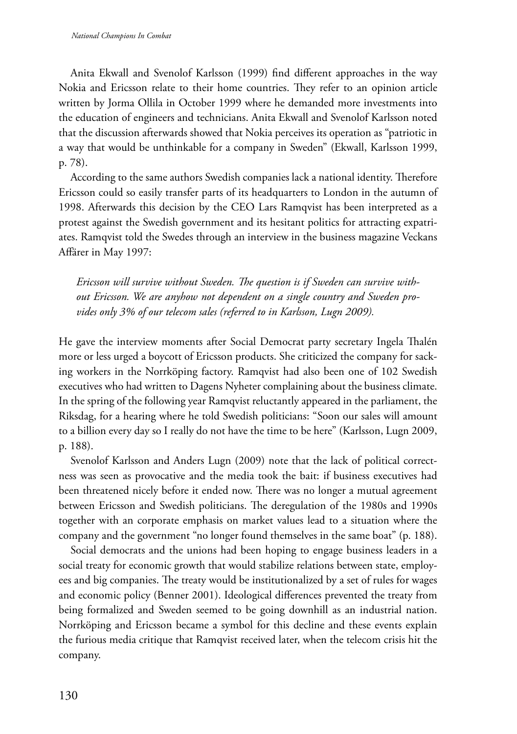Anita Ekwall and Svenolof Karlsson (1999) find different approaches in the way Nokia and Ericsson relate to their home countries. They refer to an opinion article written by Jorma Ollila in October 1999 where he demanded more investments into the education of engineers and technicians. Anita Ekwall and Svenolof Karlsson noted that the discussion afterwards showed that Nokia perceives its operation as "patriotic in a way that would be unthinkable for a company in Sweden" (Ekwall, Karlsson 1999, p. 78).

According to the same authors Swedish companies lack a national identity. Therefore Ericsson could so easily transfer parts of its headquarters to London in the autumn of 1998. Afterwards this decision by the CEO Lars Ramqvist has been interpreted as a protest against the Swedish government and its hesitant politics for attracting expatriates. Ramqvist told the Swedes through an interview in the business magazine Veckans Affärer in May 1997:

*Ericsson will survive without Sweden. The question is if Sweden can survive without Ericsson. We are anyhow not dependent on a single country and Sweden provides only 3% of our telecom sales (referred to in Karlsson, Lugn 2009).*

He gave the interview moments after Social Democrat party secretary Ingela Thalén more or less urged a boycott of Ericsson products. She criticized the company for sacking workers in the Norrköping factory. Ramqvist had also been one of 102 Swedish executives who had written to Dagens Nyheter complaining about the business climate. In the spring of the following year Ramqvist reluctantly appeared in the parliament, the Riksdag, for a hearing where he told Swedish politicians: "Soon our sales will amount to a billion every day so I really do not have the time to be here" (Karlsson, Lugn 2009, p. 188).

Svenolof Karlsson and Anders Lugn (2009) note that the lack of political correctness was seen as provocative and the media took the bait: if business executives had been threatened nicely before it ended now. There was no longer a mutual agreement between Ericsson and Swedish politicians. The deregulation of the 1980s and 1990s together with an corporate emphasis on market values lead to a situation where the company and the government "no longer found themselves in the same boat" (p. 188).

Social democrats and the unions had been hoping to engage business leaders in a social treaty for economic growth that would stabilize relations between state, employees and big companies. The treaty would be institutionalized by a set of rules for wages and economic policy (Benner 2001). Ideological differences prevented the treaty from being formalized and Sweden seemed to be going downhill as an industrial nation. Norrköping and Ericsson became a symbol for this decline and these events explain the furious media critique that Ramqvist received later, when the telecom crisis hit the company.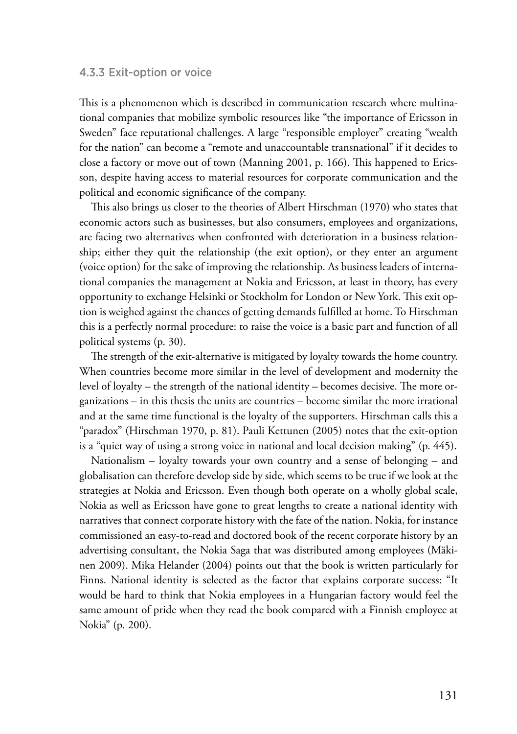#### 4.3.3 Exit-option or voice

This is a phenomenon which is described in communication research where multinational companies that mobilize symbolic resources like "the importance of Ericsson in Sweden" face reputational challenges. A large "responsible employer" creating "wealth for the nation" can become a "remote and unaccountable transnational" if it decides to close a factory or move out of town (Manning 2001, p. 166). This happened to Ericsson, despite having access to material resources for corporate communication and the political and economic significance of the company.

This also brings us closer to the theories of Albert Hirschman (1970) who states that economic actors such as businesses, but also consumers, employees and organizations, are facing two alternatives when confronted with deterioration in a business relationship; either they quit the relationship (the exit option), or they enter an argument (voice option) for the sake of improving the relationship. As business leaders of international companies the management at Nokia and Ericsson, at least in theory, has every opportunity to exchange Helsinki or Stockholm for London or New York. This exit option is weighed against the chances of getting demands fulfilled at home. To Hirschman this is a perfectly normal procedure: to raise the voice is a basic part and function of all political systems (p. 30).

The strength of the exit-alternative is mitigated by loyalty towards the home country. When countries become more similar in the level of development and modernity the level of loyalty – the strength of the national identity – becomes decisive. The more organizations – in this thesis the units are countries – become similar the more irrational and at the same time functional is the loyalty of the supporters. Hirschman calls this a "paradox" (Hirschman 1970, p. 81). Pauli Kettunen (2005) notes that the exit-option is a "quiet way of using a strong voice in national and local decision making" (p. 445).

Nationalism – loyalty towards your own country and a sense of belonging – and globalisation can therefore develop side by side, which seems to be true if we look at the strategies at Nokia and Ericsson. Even though both operate on a wholly global scale, Nokia as well as Ericsson have gone to great lengths to create a national identity with narratives that connect corporate history with the fate of the nation. Nokia, for instance commissioned an easy-to-read and doctored book of the recent corporate history by an advertising consultant, the Nokia Saga that was distributed among employees (Mäkinen 2009). Mika Helander (2004) points out that the book is written particularly for Finns. National identity is selected as the factor that explains corporate success: "It would be hard to think that Nokia employees in a Hungarian factory would feel the same amount of pride when they read the book compared with a Finnish employee at Nokia" (p. 200).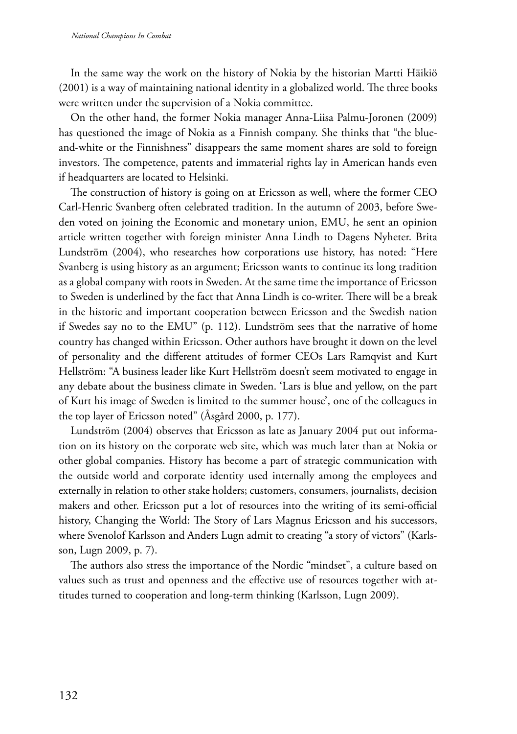In the same way the work on the history of Nokia by the historian Martti Häikiö (2001) is a way of maintaining national identity in a globalized world. The three books were written under the supervision of a Nokia committee.

On the other hand, the former Nokia manager Anna-Liisa Palmu-Joronen (2009) has questioned the image of Nokia as a Finnish company. She thinks that "the blueand-white or the Finnishness" disappears the same moment shares are sold to foreign investors. The competence, patents and immaterial rights lay in American hands even if headquarters are located to Helsinki.

The construction of history is going on at Ericsson as well, where the former CEO Carl-Henric Svanberg often celebrated tradition. In the autumn of 2003, before Sweden voted on joining the Economic and monetary union, EMU, he sent an opinion article written together with foreign minister Anna Lindh to Dagens Nyheter. Brita Lundström (2004), who researches how corporations use history, has noted: "Here Svanberg is using history as an argument; Ericsson wants to continue its long tradition as a global company with roots in Sweden. At the same time the importance of Ericsson to Sweden is underlined by the fact that Anna Lindh is co-writer. There will be a break in the historic and important cooperation between Ericsson and the Swedish nation if Swedes say no to the EMU" (p. 112). Lundström sees that the narrative of home country has changed within Ericsson. Other authors have brought it down on the level of personality and the different attitudes of former CEOs Lars Ramqvist and Kurt Hellström: "A business leader like Kurt Hellström doesn't seem motivated to engage in any debate about the business climate in Sweden. 'Lars is blue and yellow, on the part of Kurt his image of Sweden is limited to the summer house', one of the colleagues in the top layer of Ericsson noted" (Åsgård 2000, p. 177).

Lundström (2004) observes that Ericsson as late as January 2004 put out information on its history on the corporate web site, which was much later than at Nokia or other global companies. History has become a part of strategic communication with the outside world and corporate identity used internally among the employees and externally in relation to other stake holders; customers, consumers, journalists, decision makers and other. Ericsson put a lot of resources into the writing of its semi-official history, Changing the World: The Story of Lars Magnus Ericsson and his successors, where Svenolof Karlsson and Anders Lugn admit to creating "a story of victors" (Karlsson, Lugn 2009, p. 7).

The authors also stress the importance of the Nordic "mindset", a culture based on values such as trust and openness and the effective use of resources together with attitudes turned to cooperation and long-term thinking (Karlsson, Lugn 2009).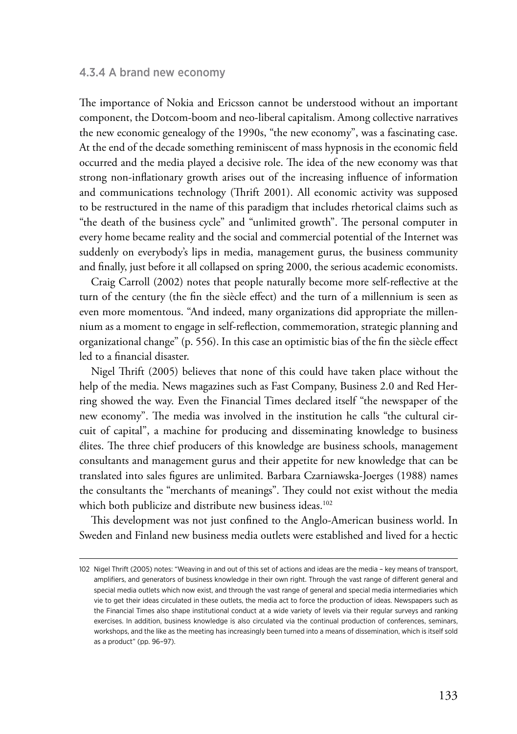#### 4.3.4 A brand new economy

The importance of Nokia and Ericsson cannot be understood without an important component, the Dotcom-boom and neo-liberal capitalism. Among collective narratives the new economic genealogy of the 1990s, "the new economy", was a fascinating case. At the end of the decade something reminiscent of mass hypnosis in the economic field occurred and the media played a decisive role. The idea of the new economy was that strong non-inflationary growth arises out of the increasing influence of information and communications technology (Thrift 2001). All economic activity was supposed to be restructured in the name of this paradigm that includes rhetorical claims such as "the death of the business cycle" and "unlimited growth". The personal computer in every home became reality and the social and commercial potential of the Internet was suddenly on everybody's lips in media, management gurus, the business community and finally, just before it all collapsed on spring 2000, the serious academic economists.

Craig Carroll (2002) notes that people naturally become more self-reflective at the turn of the century (the fin the siècle effect) and the turn of a millennium is seen as even more momentous. "And indeed, many organizations did appropriate the millennium as a moment to engage in self-reflection, commemoration, strategic planning and organizational change" (p. 556). In this case an optimistic bias of the fin the siècle effect led to a financial disaster.

Nigel Thrift (2005) believes that none of this could have taken place without the help of the media. News magazines such as Fast Company, Business 2.0 and Red Herring showed the way. Even the Financial Times declared itself "the newspaper of the new economy". The media was involved in the institution he calls "the cultural circuit of capital", a machine for producing and disseminating knowledge to business élites. The three chief producers of this knowledge are business schools, management consultants and management gurus and their appetite for new knowledge that can be translated into sales figures are unlimited. Barbara Czarniawska-Joerges (1988) names the consultants the "merchants of meanings". They could not exist without the media which both publicize and distribute new business ideas.<sup>102</sup>

This development was not just confined to the Anglo-American business world. In Sweden and Finland new business media outlets were established and lived for a hectic

<sup>102</sup> Nigel Thrift (2005) notes: "Weaving in and out of this set of actions and ideas are the media – key means of transport, amplifiers, and generators of business knowledge in their own right. Through the vast range of different general and special media outlets which now exist, and through the vast range of general and special media intermediaries which vie to get their ideas circulated in these outlets, the media act to force the production of ideas. Newspapers such as the Financial Times also shape institutional conduct at a wide variety of levels via their regular surveys and ranking exercises. In addition, business knowledge is also circulated via the continual production of conferences, seminars, workshops, and the like as the meeting has increasingly been turned into a means of dissemination, which is itself sold as a product" (pp. 96–97).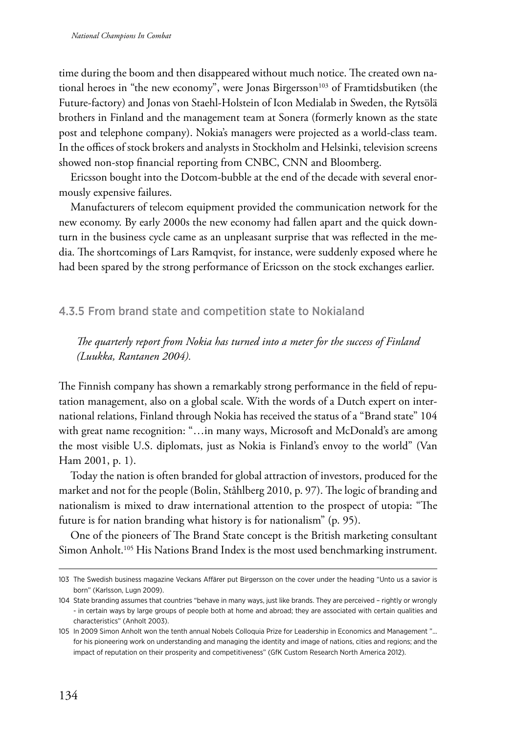time during the boom and then disappeared without much notice. The created own national heroes in "the new economy", were Jonas Birgersson<sup>103</sup> of Framtidsbutiken (the Future-factory) and Jonas von Staehl-Holstein of Icon Medialab in Sweden, the Rytsölä brothers in Finland and the management team at Sonera (formerly known as the state post and telephone company). Nokia's managers were projected as a world-class team. In the offices of stock brokers and analysts in Stockholm and Helsinki, television screens showed non-stop financial reporting from CNBC, CNN and Bloomberg.

Ericsson bought into the Dotcom-bubble at the end of the decade with several enormously expensive failures.

Manufacturers of telecom equipment provided the communication network for the new economy. By early 2000s the new economy had fallen apart and the quick downturn in the business cycle came as an unpleasant surprise that was reflected in the media. The shortcomings of Lars Ramqvist, for instance, were suddenly exposed where he had been spared by the strong performance of Ericsson on the stock exchanges earlier.

## 4.3.5 From brand state and competition state to Nokialand

*The quarterly report from Nokia has turned into a meter for the success of Finland (Luukka, Rantanen 2004).* 

The Finnish company has shown a remarkably strong performance in the field of reputation management, also on a global scale. With the words of a Dutch expert on international relations, Finland through Nokia has received the status of a "Brand state" 104 with great name recognition: "…in many ways, Microsoft and McDonald's are among the most visible U.S. diplomats, just as Nokia is Finland's envoy to the world" (Van Ham 2001, p. 1).

Today the nation is often branded for global attraction of investors, produced for the market and not for the people (Bolin, Ståhlberg 2010, p. 97). The logic of branding and nationalism is mixed to draw international attention to the prospect of utopia: "The future is for nation branding what history is for nationalism" (p. 95).

One of the pioneers of The Brand State concept is the British marketing consultant Simon Anholt.<sup>105</sup> His Nations Brand Index is the most used benchmarking instrument.

<sup>103</sup> The Swedish business magazine Veckans Affärer put Birgersson on the cover under the heading "Unto us a savior is born" (Karlsson, Lugn 2009).

<sup>104</sup> State branding assumes that countries "behave in many ways, just like brands. They are perceived – rightly or wrongly - in certain ways by large groups of people both at home and abroad; they are associated with certain qualities and characteristics" (Anholt 2003).

<sup>105</sup> In 2009 Simon Anholt won the tenth annual Nobels Colloquia Prize for Leadership in Economics and Management "... for his pioneering work on understanding and managing the identity and image of nations, cities and regions; and the impact of reputation on their prosperity and competitiveness" (GfK Custom Research North America 2012).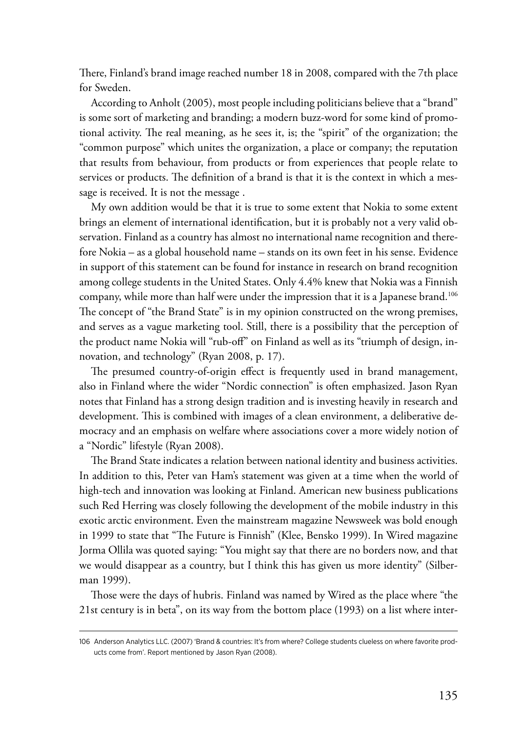There, Finland's brand image reached number 18 in 2008, compared with the 7th place for Sweden.

According to Anholt (2005), most people including politicians believe that a "brand" is some sort of marketing and branding; a modern buzz-word for some kind of promotional activity. The real meaning, as he sees it, is; the "spirit" of the organization; the "common purpose" which unites the organization, a place or company; the reputation that results from behaviour, from products or from experiences that people relate to services or products. The definition of a brand is that it is the context in which a message is received. It is not the message .

My own addition would be that it is true to some extent that Nokia to some extent brings an element of international identification, but it is probably not a very valid observation. Finland as a country has almost no international name recognition and therefore Nokia – as a global household name – stands on its own feet in his sense. Evidence in support of this statement can be found for instance in research on brand recognition among college students in the United States. Only 4.4% knew that Nokia was a Finnish company, while more than half were under the impression that it is a Japanese brand.106 The concept of "the Brand State" is in my opinion constructed on the wrong premises, and serves as a vague marketing tool. Still, there is a possibility that the perception of the product name Nokia will "rub-off" on Finland as well as its "triumph of design, innovation, and technology" (Ryan 2008, p. 17).

The presumed country-of-origin effect is frequently used in brand management, also in Finland where the wider "Nordic connection" is often emphasized. Jason Ryan notes that Finland has a strong design tradition and is investing heavily in research and development. This is combined with images of a clean environment, a deliberative democracy and an emphasis on welfare where associations cover a more widely notion of a "Nordic" lifestyle (Ryan 2008).

The Brand State indicates a relation between national identity and business activities. In addition to this, Peter van Ham's statement was given at a time when the world of high-tech and innovation was looking at Finland. American new business publications such Red Herring was closely following the development of the mobile industry in this exotic arctic environment. Even the mainstream magazine Newsweek was bold enough in 1999 to state that "The Future is Finnish" (Klee, Bensko 1999). In Wired magazine Jorma Ollila was quoted saying: "You might say that there are no borders now, and that we would disappear as a country, but I think this has given us more identity" (Silberman 1999).

Those were the days of hubris. Finland was named by Wired as the place where "the 21st century is in beta", on its way from the bottom place (1993) on a list where inter-

<sup>106</sup> Anderson Analytics LLC. (2007) 'Brand & countries: It's from where? College students clueless on where favorite products come from'. Report mentioned by Jason Ryan (2008).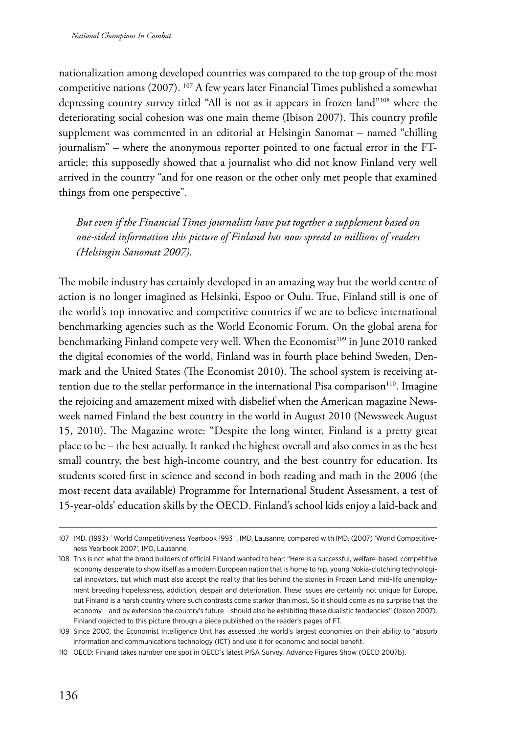nationalization among developed countries was compared to the top group of the most competitive nations (2007). 107 A few years later Financial Times published a somewhat depressing country survey titled "All is not as it appears in frozen land"108 where the deteriorating social cohesion was one main theme (Ibison 2007). This country profile supplement was commented in an editorial at Helsingin Sanomat – named "chilling journalism" – where the anonymous reporter pointed to one factual error in the FTarticle; this supposedly showed that a journalist who did not know Finland very well arrived in the country "and for one reason or the other only met people that examined things from one perspective".

*But even if the Financial Times journalists have put together a supplement based on one-sided information this picture of Finland has now spread to millions of readers (Helsingin Sanomat 2007).*

The mobile industry has certainly developed in an amazing way but the world centre of action is no longer imagined as Helsinki, Espoo or Oulu. True, Finland still is one of the world's top innovative and competitive countries if we are to believe international benchmarking agencies such as the World Economic Forum. On the global arena for benchmarking Finland compete very well. When the Economist<sup>109</sup> in June 2010 ranked the digital economies of the world, Finland was in fourth place behind Sweden, Denmark and the United States (The Economist 2010). The school system is receiving attention due to the stellar performance in the international Pisa comparison $110$ . Imagine the rejoicing and amazement mixed with disbelief when the American magazine Newsweek named Finland the best country in the world in August 2010 (Newsweek August 15, 2010). The Magazine wrote: "Despite the long winter, Finland is a pretty great place to be – the best actually. It ranked the highest overall and also comes in as the best small country, the best high-income country, and the best country for education. Its students scored first in science and second in both reading and math in the 2006 (the most recent data available) Programme for International Student Assessment, a test of 15-year-olds' education skills by the OECD. Finland's school kids enjoy a laid-back and

<sup>107</sup> IMD. (1993) ´World Competitiveness Yearbook 1993`, IMD, Lausanne, compared with IMD. (2007) 'World Competitiveness Yearbook 2007', IMD, Lausanne.

<sup>108</sup> This is not what the brand builders of official Finland wanted to hear: "Here is a successful, welfare-based, competitive economy desperate to show itself as a modern European nation that is home to hip, young Nokia-clutching technological innovators, but which must also accept the reality that lies behind the stories in Frozen Land: mid-life unemployment breeding hopelessness, addiction, despair and deterioration. These issues are certainly not unique for Europe, but Finland is a harsh country where such contrasts come starker than most. So it should come as no surprise that the economy – and by extension the country's future – should also be exhibiting these dualistic tendencies" (Ibison 2007). Finland objected to this picture through a piece published on the reader's pages of FT.

<sup>109</sup> Since 2000, the Economist Intelligence Unit has assessed the world's largest economies on their ability to "absorb information and communications technology (ICT) and use it for economic and social benefit.

<sup>110</sup> OECD: Finland takes number one spot in OECD's latest PISA Survey, Advance Figures Show (OECD 2007b).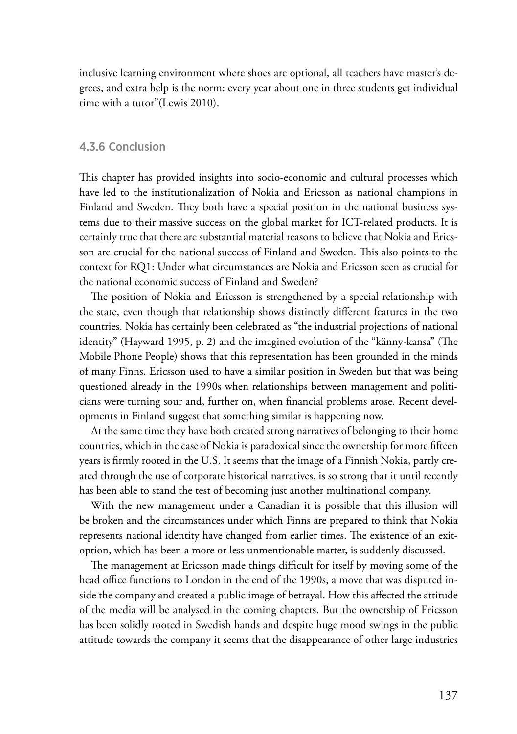inclusive learning environment where shoes are optional, all teachers have master's degrees, and extra help is the norm: every year about one in three students get individual time with a tutor"(Lewis 2010).

#### 4.3.6 Conclusion

This chapter has provided insights into socio-economic and cultural processes which have led to the institutionalization of Nokia and Ericsson as national champions in Finland and Sweden. They both have a special position in the national business systems due to their massive success on the global market for ICT-related products. It is certainly true that there are substantial material reasons to believe that Nokia and Ericsson are crucial for the national success of Finland and Sweden. This also points to the context for RQ1: Under what circumstances are Nokia and Ericsson seen as crucial for the national economic success of Finland and Sweden?

The position of Nokia and Ericsson is strengthened by a special relationship with the state, even though that relationship shows distinctly different features in the two countries. Nokia has certainly been celebrated as "the industrial projections of national identity" (Hayward 1995, p. 2) and the imagined evolution of the "känny-kansa" (The Mobile Phone People) shows that this representation has been grounded in the minds of many Finns. Ericsson used to have a similar position in Sweden but that was being questioned already in the 1990s when relationships between management and politicians were turning sour and, further on, when financial problems arose. Recent developments in Finland suggest that something similar is happening now.

At the same time they have both created strong narratives of belonging to their home countries, which in the case of Nokia is paradoxical since the ownership for more fifteen years is firmly rooted in the U.S. It seems that the image of a Finnish Nokia, partly created through the use of corporate historical narratives, is so strong that it until recently has been able to stand the test of becoming just another multinational company.

With the new management under a Canadian it is possible that this illusion will be broken and the circumstances under which Finns are prepared to think that Nokia represents national identity have changed from earlier times. The existence of an exitoption, which has been a more or less unmentionable matter, is suddenly discussed.

The management at Ericsson made things difficult for itself by moving some of the head office functions to London in the end of the 1990s, a move that was disputed inside the company and created a public image of betrayal. How this affected the attitude of the media will be analysed in the coming chapters. But the ownership of Ericsson has been solidly rooted in Swedish hands and despite huge mood swings in the public attitude towards the company it seems that the disappearance of other large industries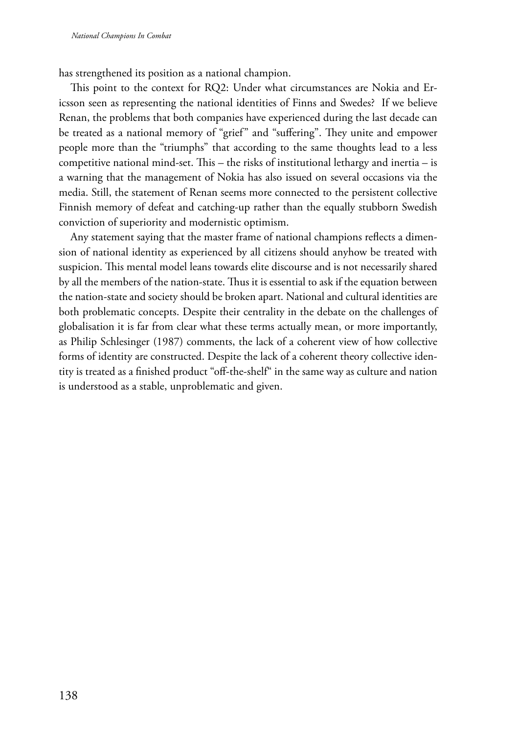has strengthened its position as a national champion.

This point to the context for RQ2: Under what circumstances are Nokia and Ericsson seen as representing the national identities of Finns and Swedes? If we believe Renan, the problems that both companies have experienced during the last decade can be treated as a national memory of "grief" and "suffering". They unite and empower people more than the "triumphs" that according to the same thoughts lead to a less competitive national mind-set. This – the risks of institutional lethargy and inertia – is a warning that the management of Nokia has also issued on several occasions via the media. Still, the statement of Renan seems more connected to the persistent collective Finnish memory of defeat and catching-up rather than the equally stubborn Swedish conviction of superiority and modernistic optimism.

Any statement saying that the master frame of national champions reflects a dimension of national identity as experienced by all citizens should anyhow be treated with suspicion. This mental model leans towards elite discourse and is not necessarily shared by all the members of the nation-state. Thus it is essential to ask if the equation between the nation-state and society should be broken apart. National and cultural identities are both problematic concepts. Despite their centrality in the debate on the challenges of globalisation it is far from clear what these terms actually mean, or more importantly, as Philip Schlesinger (1987) comments, the lack of a coherent view of how collective forms of identity are constructed. Despite the lack of a coherent theory collective identity is treated as a finished product "off-the-shelf" in the same way as culture and nation is understood as a stable, unproblematic and given.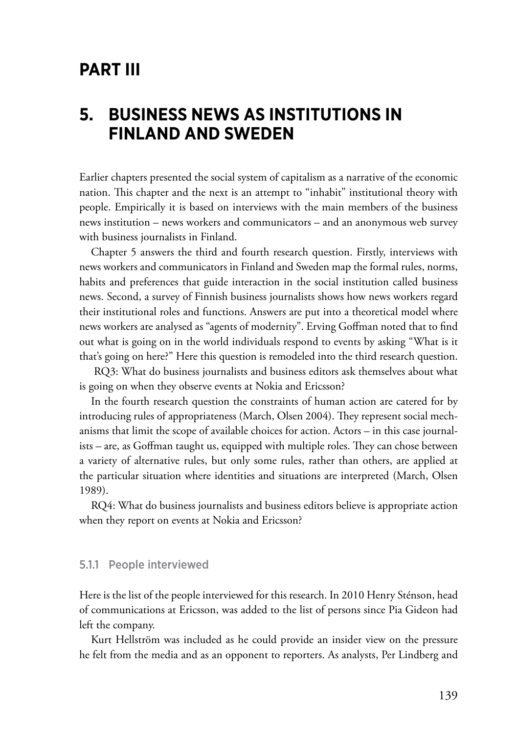# **Part III**

# **5. Business news as institutions in Finland and Sweden**

Earlier chapters presented the social system of capitalism as a narrative of the economic nation. This chapter and the next is an attempt to "inhabit" institutional theory with people. Empirically it is based on interviews with the main members of the business news institution – news workers and communicators – and an anonymous web survey with business journalists in Finland.

Chapter 5 answers the third and fourth research question. Firstly, interviews with news workers and communicators in Finland and Sweden map the formal rules, norms, habits and preferences that guide interaction in the social institution called business news. Second, a survey of Finnish business journalists shows how news workers regard their institutional roles and functions. Answers are put into a theoretical model where news workers are analysed as "agents of modernity". Erving Goffman noted that to find out what is going on in the world individuals respond to events by asking "What is it that's going on here?" Here this question is remodeled into the third research question.

 RQ3: What do business journalists and business editors ask themselves about what is going on when they observe events at Nokia and Ericsson?

In the fourth research question the constraints of human action are catered for by introducing rules of appropriateness (March, Olsen 2004). They represent social mechanisms that limit the scope of available choices for action. Actors – in this case journalists – are, as Goffman taught us, equipped with multiple roles. They can chose between a variety of alternative rules, but only some rules, rather than others, are applied at the particular situation where identities and situations are interpreted (March, Olsen 1989).

RQ4: What do business journalists and business editors believe is appropriate action when they report on events at Nokia and Ericsson?

### 5.1.1 People interviewed

Here is the list of the people interviewed for this research. In 2010 Henry Sténson, head of communications at Ericsson, was added to the list of persons since Pia Gideon had left the company.

Kurt Hellström was included as he could provide an insider view on the pressure he felt from the media and as an opponent to reporters. As analysts, Per Lindberg and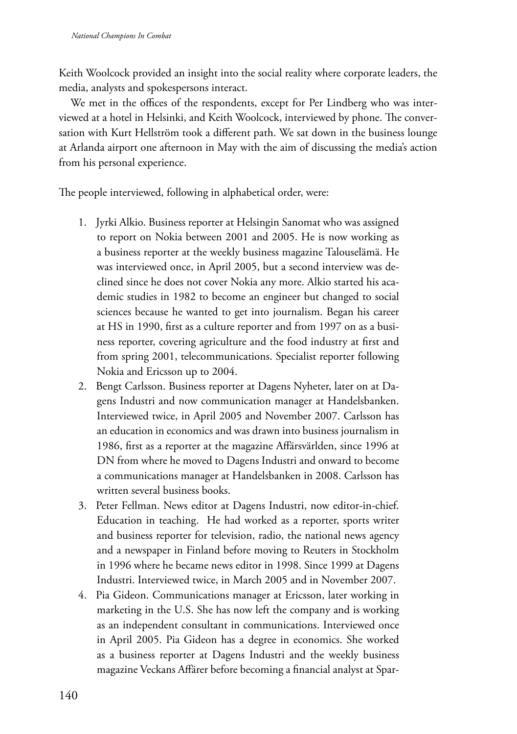Keith Woolcock provided an insight into the social reality where corporate leaders, the media, analysts and spokespersons interact.

We met in the offices of the respondents, except for Per Lindberg who was interviewed at a hotel in Helsinki, and Keith Woolcock, interviewed by phone. The conversation with Kurt Hellström took a different path. We sat down in the business lounge at Arlanda airport one afternoon in May with the aim of discussing the media's action from his personal experience.

The people interviewed, following in alphabetical order, were:

- 1. Jyrki Alkio. Business reporter at Helsingin Sanomat who was assigned to report on Nokia between 2001 and 2005. He is now working as a business reporter at the weekly business magazine Talouselämä. He was interviewed once, in April 2005, but a second interview was declined since he does not cover Nokia any more. Alkio started his academic studies in 1982 to become an engineer but changed to social sciences because he wanted to get into journalism. Began his career at HS in 1990, first as a culture reporter and from 1997 on as a business reporter, covering agriculture and the food industry at first and from spring 2001, telecommunications. Specialist reporter following Nokia and Ericsson up to 2004.
- 2. Bengt Carlsson. Business reporter at Dagens Nyheter, later on at Dagens Industri and now communication manager at Handelsbanken. Interviewed twice, in April 2005 and November 2007. Carlsson has an education in economics and was drawn into business journalism in 1986, first as a reporter at the magazine Affärsvärlden, since 1996 at DN from where he moved to Dagens Industri and onward to become a communications manager at Handelsbanken in 2008. Carlsson has written several business books.
- 3. Peter Fellman. News editor at Dagens Industri, now editor-in-chief. Education in teaching. He had worked as a reporter, sports writer and business reporter for television, radio, the national news agency and a newspaper in Finland before moving to Reuters in Stockholm in 1996 where he became news editor in 1998. Since 1999 at Dagens Industri. Interviewed twice, in March 2005 and in November 2007.
- 4. Pia Gideon. Communications manager at Ericsson, later working in marketing in the U.S. She has now left the company and is working as an independent consultant in communications. Interviewed once in April 2005. Pia Gideon has a degree in economics. She worked as a business reporter at Dagens Industri and the weekly business magazine Veckans Affärer before becoming a financial analyst at Spar-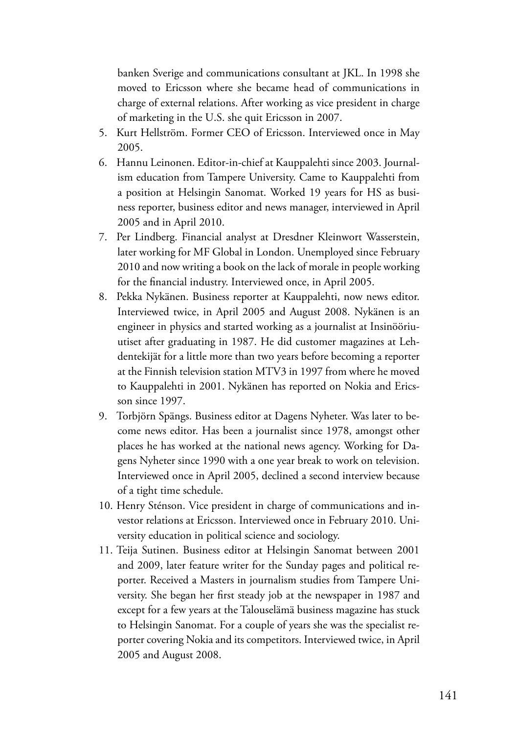banken Sverige and communications consultant at JKL. In 1998 she moved to Ericsson where she became head of communications in charge of external relations. After working as vice president in charge of marketing in the U.S. she quit Ericsson in 2007.

- 5. Kurt Hellström. Former CEO of Ericsson. Interviewed once in May 2005.
- 6. Hannu Leinonen. Editor-in-chief at Kauppalehti since 2003. Journalism education from Tampere University. Came to Kauppalehti from a position at Helsingin Sanomat. Worked 19 years for HS as business reporter, business editor and news manager, interviewed in April 2005 and in April 2010.
- 7. Per Lindberg. Financial analyst at Dresdner Kleinwort Wasserstein, later working for MF Global in London. Unemployed since February 2010 and now writing a book on the lack of morale in people working for the financial industry. Interviewed once, in April 2005.
- 8. Pekka Nykänen. Business reporter at Kauppalehti, now news editor. Interviewed twice, in April 2005 and August 2008. Nykänen is an engineer in physics and started working as a journalist at Insinööriuutiset after graduating in 1987. He did customer magazines at Lehdentekijät for a little more than two years before becoming a reporter at the Finnish television station MTV3 in 1997 from where he moved to Kauppalehti in 2001. Nykänen has reported on Nokia and Ericsson since 1997.
- 9. Torbjörn Spängs. Business editor at Dagens Nyheter. Was later to become news editor. Has been a journalist since 1978, amongst other places he has worked at the national news agency. Working for Dagens Nyheter since 1990 with a one year break to work on television. Interviewed once in April 2005, declined a second interview because of a tight time schedule.
- 10. Henry Sténson. Vice president in charge of communications and investor relations at Ericsson. Interviewed once in February 2010. University education in political science and sociology.
- 11. Teija Sutinen. Business editor at Helsingin Sanomat between 2001 and 2009, later feature writer for the Sunday pages and political reporter. Received a Masters in journalism studies from Tampere University. She began her first steady job at the newspaper in 1987 and except for a few years at the Talouselämä business magazine has stuck to Helsingin Sanomat. For a couple of years she was the specialist reporter covering Nokia and its competitors. Interviewed twice, in April 2005 and August 2008.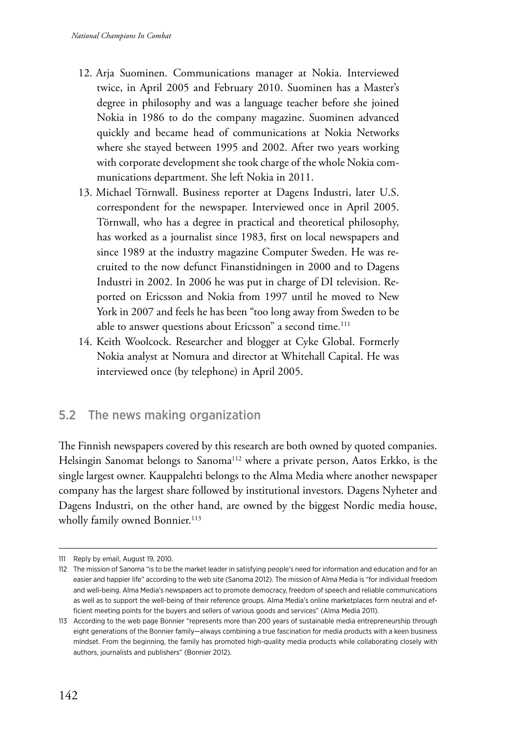- 12. Arja Suominen. Communications manager at Nokia. Interviewed twice, in April 2005 and February 2010. Suominen has a Master's degree in philosophy and was a language teacher before she joined Nokia in 1986 to do the company magazine. Suominen advanced quickly and became head of communications at Nokia Networks where she stayed between 1995 and 2002. After two years working with corporate development she took charge of the whole Nokia communications department. She left Nokia in 2011.
- 13. Michael Törnwall. Business reporter at Dagens Industri, later U.S. correspondent for the newspaper. Interviewed once in April 2005. Törnwall, who has a degree in practical and theoretical philosophy, has worked as a journalist since 1983, first on local newspapers and since 1989 at the industry magazine Computer Sweden. He was recruited to the now defunct Finanstidningen in 2000 and to Dagens Industri in 2002. In 2006 he was put in charge of DI television. Reported on Ericsson and Nokia from 1997 until he moved to New York in 2007 and feels he has been "too long away from Sweden to be able to answer questions about Ericsson" a second time.<sup>111</sup>
- 14. Keith Woolcock. Researcher and blogger at Cyke Global. Formerly Nokia analyst at Nomura and director at Whitehall Capital. He was interviewed once (by telephone) in April 2005.

# 5.2 The news making organization

The Finnish newspapers covered by this research are both owned by quoted companies. Helsingin Sanomat belongs to Sanoma<sup>112</sup> where a private person, Aatos Erkko, is the single largest owner. Kauppalehti belongs to the Alma Media where another newspaper company has the largest share followed by institutional investors. Dagens Nyheter and Dagens Industri, on the other hand, are owned by the biggest Nordic media house, wholly family owned Bonnier.<sup>113</sup>

<sup>111</sup> Reply by email, August 19, 2010.

<sup>112</sup> The mission of Sanoma "is to be the market leader in satisfying people's need for information and education and for an easier and happier life" according to the web site (Sanoma 2012). The mission of Alma Media is "for individual freedom and well-being. Alma Media's newspapers act to promote democracy, freedom of speech and reliable communications as well as to support the well-being of their reference groups. Alma Media's online marketplaces form neutral and efficient meeting points for the buyers and sellers of various goods and services" (Alma Media 2011).

<sup>113</sup> According to the web page Bonnier "represents more than 200 years of sustainable media entrepreneurship through eight generations of the Bonnier family—always combining a true fascination for media products with a keen business mindset. From the beginning, the family has promoted high-quality media products while collaborating closely with authors, journalists and publishers" (Bonnier 2012).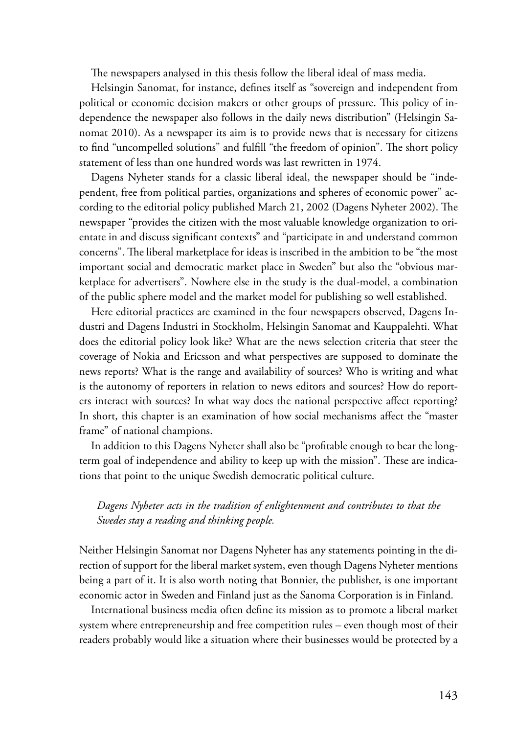The newspapers analysed in this thesis follow the liberal ideal of mass media.

Helsingin Sanomat, for instance, defines itself as "sovereign and independent from political or economic decision makers or other groups of pressure. This policy of independence the newspaper also follows in the daily news distribution" (Helsingin Sanomat 2010). As a newspaper its aim is to provide news that is necessary for citizens to find "uncompelled solutions" and fulfill "the freedom of opinion". The short policy statement of less than one hundred words was last rewritten in 1974.

Dagens Nyheter stands for a classic liberal ideal, the newspaper should be "independent, free from political parties, organizations and spheres of economic power" according to the editorial policy published March 21, 2002 (Dagens Nyheter 2002). The newspaper "provides the citizen with the most valuable knowledge organization to orientate in and discuss significant contexts" and "participate in and understand common concerns". The liberal marketplace for ideas is inscribed in the ambition to be "the most important social and democratic market place in Sweden" but also the "obvious marketplace for advertisers". Nowhere else in the study is the dual-model, a combination of the public sphere model and the market model for publishing so well established.

Here editorial practices are examined in the four newspapers observed, Dagens Industri and Dagens Industri in Stockholm, Helsingin Sanomat and Kauppalehti. What does the editorial policy look like? What are the news selection criteria that steer the coverage of Nokia and Ericsson and what perspectives are supposed to dominate the news reports? What is the range and availability of sources? Who is writing and what is the autonomy of reporters in relation to news editors and sources? How do reporters interact with sources? In what way does the national perspective affect reporting? In short, this chapter is an examination of how social mechanisms affect the "master frame" of national champions.

In addition to this Dagens Nyheter shall also be "profitable enough to bear the longterm goal of independence and ability to keep up with the mission". These are indications that point to the unique Swedish democratic political culture.

## *Dagens Nyheter acts in the tradition of enlightenment and contributes to that the Swedes stay a reading and thinking people.*

Neither Helsingin Sanomat nor Dagens Nyheter has any statements pointing in the direction of support for the liberal market system, even though Dagens Nyheter mentions being a part of it. It is also worth noting that Bonnier, the publisher, is one important economic actor in Sweden and Finland just as the Sanoma Corporation is in Finland.

International business media often define its mission as to promote a liberal market system where entrepreneurship and free competition rules – even though most of their readers probably would like a situation where their businesses would be protected by a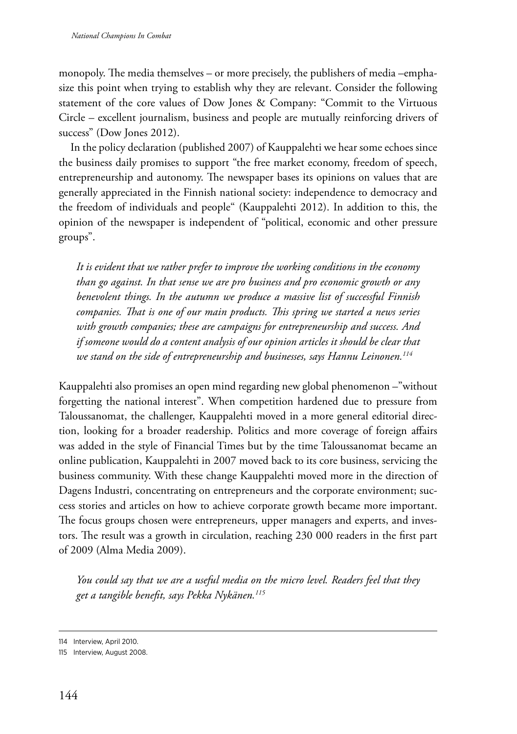monopoly. The media themselves – or more precisely, the publishers of media –emphasize this point when trying to establish why they are relevant. Consider the following statement of the core values of Dow Jones & Company: "Commit to the Virtuous Circle – excellent journalism, business and people are mutually reinforcing drivers of success" (Dow Jones 2012).

In the policy declaration (published 2007) of Kauppalehti we hear some echoes since the business daily promises to support "the free market economy, freedom of speech, entrepreneurship and autonomy. The newspaper bases its opinions on values that are generally appreciated in the Finnish national society: independence to democracy and the freedom of individuals and people" (Kauppalehti 2012). In addition to this, the opinion of the newspaper is independent of "political, economic and other pressure groups".

*It is evident that we rather prefer to improve the working conditions in the economy than go against. In that sense we are pro business and pro economic growth or any benevolent things. In the autumn we produce a massive list of successful Finnish companies. That is one of our main products. This spring we started a news series with growth companies; these are campaigns for entrepreneurship and success. And if someone would do a content analysis of our opinion articles it should be clear that we stand on the side of entrepreneurship and businesses, says Hannu Leinonen.114*

Kauppalehti also promises an open mind regarding new global phenomenon –"without forgetting the national interest". When competition hardened due to pressure from Taloussanomat, the challenger, Kauppalehti moved in a more general editorial direction, looking for a broader readership. Politics and more coverage of foreign affairs was added in the style of Financial Times but by the time Taloussanomat became an online publication, Kauppalehti in 2007 moved back to its core business, servicing the business community. With these change Kauppalehti moved more in the direction of Dagens Industri, concentrating on entrepreneurs and the corporate environment; success stories and articles on how to achieve corporate growth became more important. The focus groups chosen were entrepreneurs, upper managers and experts, and investors. The result was a growth in circulation, reaching 230 000 readers in the first part of 2009 (Alma Media 2009).

*You could say that we are a useful media on the micro level. Readers feel that they get a tangible benefit, says Pekka Nykänen.115*

<sup>114</sup> Interview, April 2010.

<sup>115</sup> Interview, August 2008.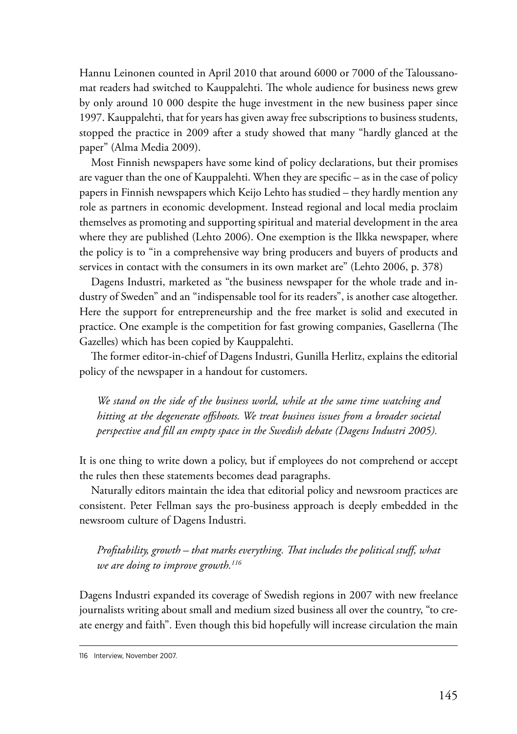Hannu Leinonen counted in April 2010 that around 6000 or 7000 of the Taloussanomat readers had switched to Kauppalehti. The whole audience for business news grew by only around 10 000 despite the huge investment in the new business paper since 1997. Kauppalehti, that for years has given away free subscriptions to business students, stopped the practice in 2009 after a study showed that many "hardly glanced at the paper" (Alma Media 2009).

Most Finnish newspapers have some kind of policy declarations, but their promises are vaguer than the one of Kauppalehti. When they are specific – as in the case of policy papers in Finnish newspapers which Keijo Lehto has studied – they hardly mention any role as partners in economic development. Instead regional and local media proclaim themselves as promoting and supporting spiritual and material development in the area where they are published (Lehto 2006). One exemption is the Ilkka newspaper, where the policy is to "in a comprehensive way bring producers and buyers of products and services in contact with the consumers in its own market are" (Lehto 2006, p. 378)

Dagens Industri, marketed as "the business newspaper for the whole trade and industry of Sweden" and an "indispensable tool for its readers", is another case altogether. Here the support for entrepreneurship and the free market is solid and executed in practice. One example is the competition for fast growing companies, Gasellerna (The Gazelles) which has been copied by Kauppalehti.

The former editor-in-chief of Dagens Industri, Gunilla Herlitz, explains the editorial policy of the newspaper in a handout for customers.

*We stand on the side of the business world, while at the same time watching and hitting at the degenerate offshoots. We treat business issues from a broader societal perspective and fill an empty space in the Swedish debate (Dagens Industri 2005).*

It is one thing to write down a policy, but if employees do not comprehend or accept the rules then these statements becomes dead paragraphs.

Naturally editors maintain the idea that editorial policy and newsroom practices are consistent. Peter Fellman says the pro-business approach is deeply embedded in the newsroom culture of Dagens Industri.

*Profitability, growth – that marks everything. That includes the political stuff, what we are doing to improve growth.116*

Dagens Industri expanded its coverage of Swedish regions in 2007 with new freelance journalists writing about small and medium sized business all over the country, "to create energy and faith". Even though this bid hopefully will increase circulation the main

<sup>116</sup> Interview, November 2007.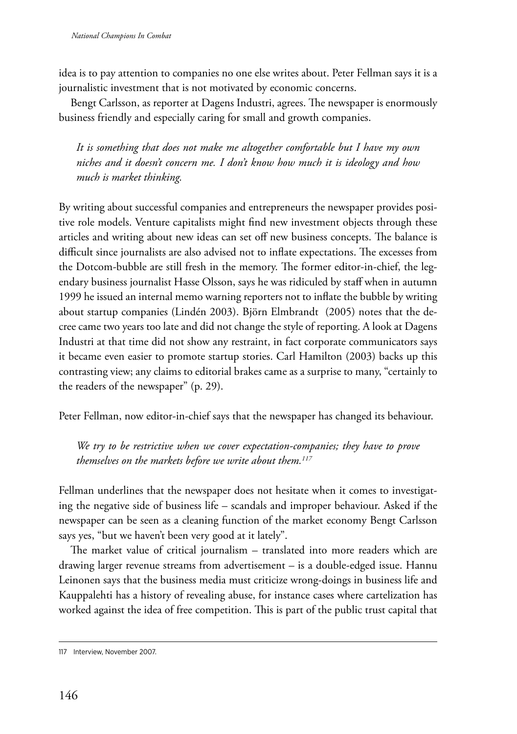idea is to pay attention to companies no one else writes about. Peter Fellman says it is a journalistic investment that is not motivated by economic concerns.

Bengt Carlsson, as reporter at Dagens Industri, agrees. The newspaper is enormously business friendly and especially caring for small and growth companies.

*It is something that does not make me altogether comfortable but I have my own niches and it doesn't concern me. I don't know how much it is ideology and how much is market thinking.*

By writing about successful companies and entrepreneurs the newspaper provides positive role models. Venture capitalists might find new investment objects through these articles and writing about new ideas can set off new business concepts. The balance is difficult since journalists are also advised not to inflate expectations. The excesses from the Dotcom-bubble are still fresh in the memory. The former editor-in-chief, the legendary business journalist Hasse Olsson, says he was ridiculed by staff when in autumn 1999 he issued an internal memo warning reporters not to inflate the bubble by writing about startup companies (Lindén 2003). Björn Elmbrandt (2005) notes that the decree came two years too late and did not change the style of reporting. A look at Dagens Industri at that time did not show any restraint, in fact corporate communicators says it became even easier to promote startup stories. Carl Hamilton (2003) backs up this contrasting view; any claims to editorial brakes came as a surprise to many, "certainly to the readers of the newspaper" (p. 29).

Peter Fellman, now editor-in-chief says that the newspaper has changed its behaviour.

*We try to be restrictive when we cover expectation-companies; they have to prove themselves on the markets before we write about them.117*

Fellman underlines that the newspaper does not hesitate when it comes to investigating the negative side of business life – scandals and improper behaviour. Asked if the newspaper can be seen as a cleaning function of the market economy Bengt Carlsson says yes, "but we haven't been very good at it lately".

The market value of critical journalism – translated into more readers which are drawing larger revenue streams from advertisement – is a double-edged issue. Hannu Leinonen says that the business media must criticize wrong-doings in business life and Kauppalehti has a history of revealing abuse, for instance cases where cartelization has worked against the idea of free competition. This is part of the public trust capital that

<sup>117</sup> Interview, November 2007.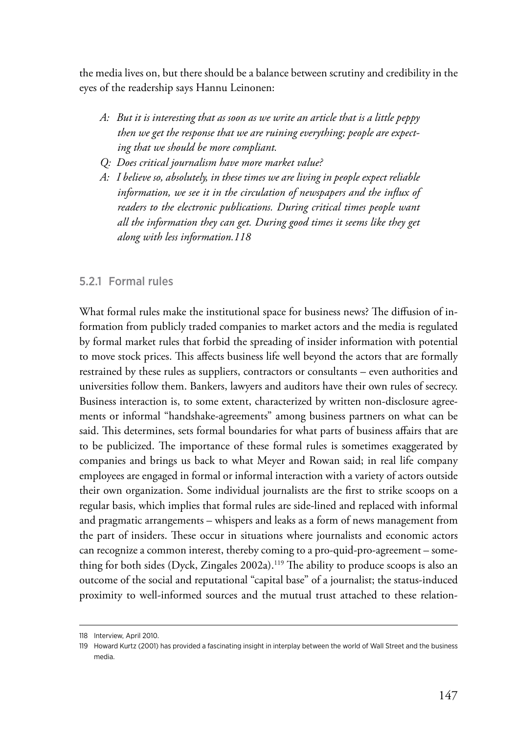the media lives on, but there should be a balance between scrutiny and credibility in the eyes of the readership says Hannu Leinonen:

- *A: But it is interesting that as soon as we write an article that is a little peppy then we get the response that we are ruining everything; people are expecting that we should be more compliant.*
- *Q: Does critical journalism have more market value?*
- *A: I believe so, absolutely, in these times we are living in people expect reliable information, we see it in the circulation of newspapers and the influx of*  readers to the electronic publications. During critical times people want *all the information they can get. During good times it seems like they get along with less information.118*

## 5.2.1 Formal rules

What formal rules make the institutional space for business news? The diffusion of information from publicly traded companies to market actors and the media is regulated by formal market rules that forbid the spreading of insider information with potential to move stock prices. This affects business life well beyond the actors that are formally restrained by these rules as suppliers, contractors or consultants – even authorities and universities follow them. Bankers, lawyers and auditors have their own rules of secrecy. Business interaction is, to some extent, characterized by written non-disclosure agreements or informal "handshake-agreements" among business partners on what can be said. This determines, sets formal boundaries for what parts of business affairs that are to be publicized. The importance of these formal rules is sometimes exaggerated by companies and brings us back to what Meyer and Rowan said; in real life company employees are engaged in formal or informal interaction with a variety of actors outside their own organization. Some individual journalists are the first to strike scoops on a regular basis, which implies that formal rules are side-lined and replaced with informal and pragmatic arrangements – whispers and leaks as a form of news management from the part of insiders. These occur in situations where journalists and economic actors can recognize a common interest, thereby coming to a pro-quid-pro-agreement – something for both sides (Dyck, Zingales 2002a).119 The ability to produce scoops is also an outcome of the social and reputational "capital base" of a journalist; the status-induced proximity to well-informed sources and the mutual trust attached to these relation-

<sup>118</sup> Interview, April 2010.

<sup>119</sup> Howard Kurtz (2001) has provided a fascinating insight in interplay between the world of Wall Street and the business media.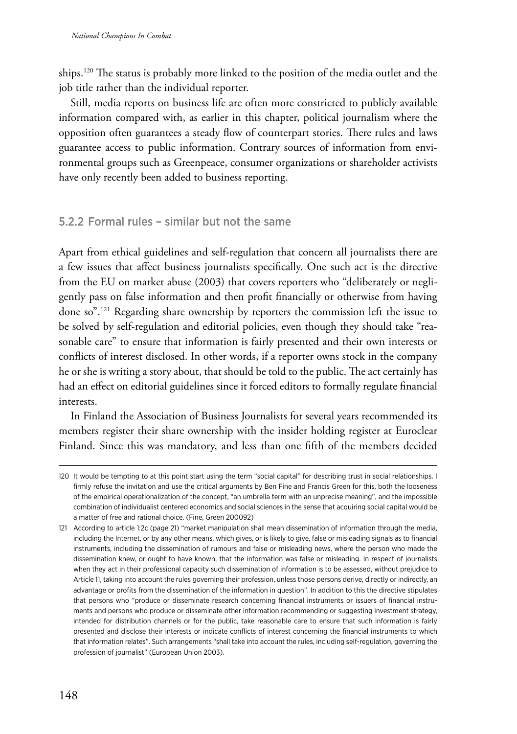ships.120 The status is probably more linked to the position of the media outlet and the job title rather than the individual reporter.

Still, media reports on business life are often more constricted to publicly available information compared with, as earlier in this chapter, political journalism where the opposition often guarantees a steady flow of counterpart stories. There rules and laws guarantee access to public information. Contrary sources of information from environmental groups such as Greenpeace, consumer organizations or shareholder activists have only recently been added to business reporting.

## 5.2.2 Formal rules – similar but not the same

Apart from ethical guidelines and self-regulation that concern all journalists there are a few issues that affect business journalists specifically. One such act is the directive from the EU on market abuse (2003) that covers reporters who "deliberately or negligently pass on false information and then profit financially or otherwise from having done so".121 Regarding share ownership by reporters the commission left the issue to be solved by self-regulation and editorial policies, even though they should take "reasonable care" to ensure that information is fairly presented and their own interests or conflicts of interest disclosed. In other words, if a reporter owns stock in the company he or she is writing a story about, that should be told to the public. The act certainly has had an effect on editorial guidelines since it forced editors to formally regulate financial interests.

In Finland the Association of Business Journalists for several years recommended its members register their share ownership with the insider holding register at Euroclear Finland. Since this was mandatory, and less than one fifth of the members decided

<sup>120</sup> It would be tempting to at this point start using the term "social capital" for describing trust in social relationships. I firmly refuse the invitation and use the critical arguments by Ben Fine and Francis Green for this, both the looseness of the empirical operationalization of the concept, "an umbrella term with an unprecise meaning", and the impossible combination of individualist centered economics and social sciences in the sense that acquiring social capital would be a matter of free and rational choice. (Fine, Green 200092)

<sup>121</sup> According to article 1:2c (page 21) "market manipulation shall mean dissemination of information through the media, including the Internet, or by any other means, which gives, or is likely to give, false or misleading signals as to financial instruments, including the dissemination of rumours and false or misleading news, where the person who made the dissemination knew, or ought to have known, that the information was false or misleading. In respect of journalists when they act in their professional capacity such dissemination of information is to be assessed, without prejudice to Article 11, taking into account the rules governing their profession, unless those persons derive, directly or indirectly, an advantage or profits from the dissemination of the information in question". In addition to this the directive stipulates that persons who "produce or disseminate research concerning financial instruments or issuers of financial instruments and persons who produce or disseminate other information recommending or suggesting investment strategy, intended for distribution channels or for the public, take reasonable care to ensure that such information is fairly presented and disclose their interests or indicate conflicts of interest concerning the financial instruments to which that information relates". Such arrangements "shall take into account the rules, including self-regulation, governing the profession of journalist" (European Union 2003).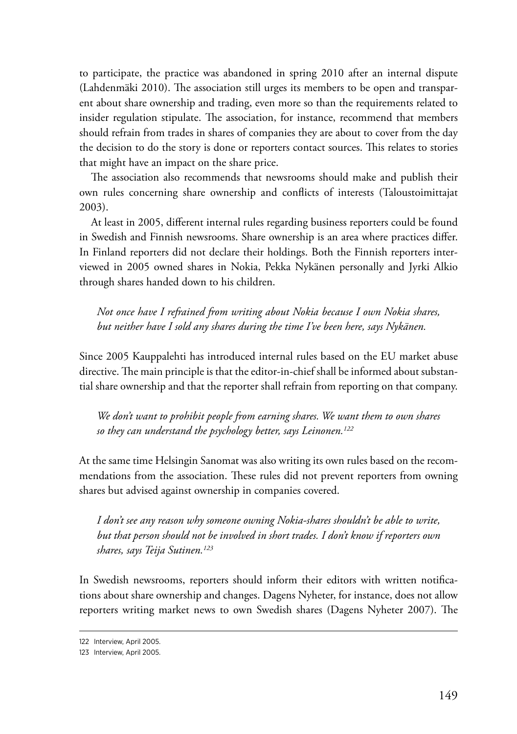to participate, the practice was abandoned in spring 2010 after an internal dispute (Lahdenmäki 2010). The association still urges its members to be open and transparent about share ownership and trading, even more so than the requirements related to insider regulation stipulate. The association, for instance, recommend that members should refrain from trades in shares of companies they are about to cover from the day the decision to do the story is done or reporters contact sources. This relates to stories that might have an impact on the share price.

The association also recommends that newsrooms should make and publish their own rules concerning share ownership and conflicts of interests (Taloustoimittajat 2003).

At least in 2005, different internal rules regarding business reporters could be found in Swedish and Finnish newsrooms. Share ownership is an area where practices differ. In Finland reporters did not declare their holdings. Both the Finnish reporters interviewed in 2005 owned shares in Nokia, Pekka Nykänen personally and Jyrki Alkio through shares handed down to his children.

*Not once have I refrained from writing about Nokia because I own Nokia shares, but neither have I sold any shares during the time I've been here, says Nykänen.*

Since 2005 Kauppalehti has introduced internal rules based on the EU market abuse directive. The main principle is that the editor-in-chief shall be informed about substantial share ownership and that the reporter shall refrain from reporting on that company.

*We don't want to prohibit people from earning shares. We want them to own shares so they can understand the psychology better, says Leinonen.122*

At the same time Helsingin Sanomat was also writing its own rules based on the recommendations from the association. These rules did not prevent reporters from owning shares but advised against ownership in companies covered.

*I don't see any reason why someone owning Nokia-shares shouldn't be able to write, but that person should not be involved in short trades. I don't know if reporters own shares, says Teija Sutinen.123*

In Swedish newsrooms, reporters should inform their editors with written notifications about share ownership and changes. Dagens Nyheter, for instance, does not allow reporters writing market news to own Swedish shares (Dagens Nyheter 2007). The

<sup>122</sup> Interview, April 2005.

<sup>123</sup> Interview, April 2005.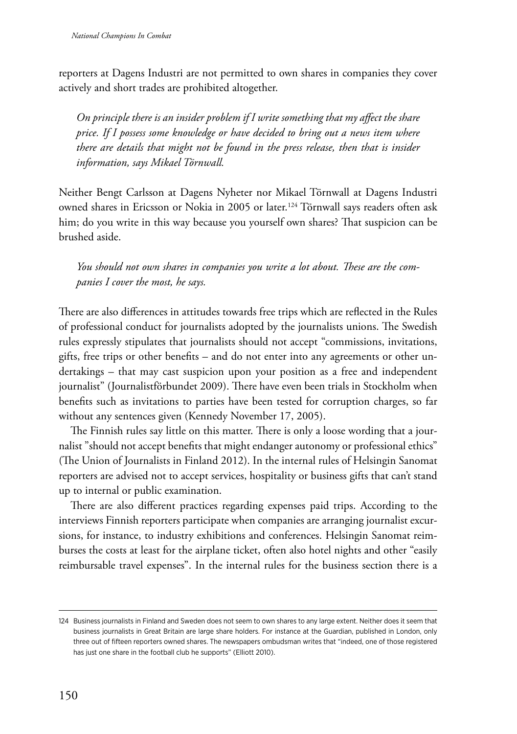reporters at Dagens Industri are not permitted to own shares in companies they cover actively and short trades are prohibited altogether.

*On principle there is an insider problem if I write something that my affect the share price. If I possess some knowledge or have decided to bring out a news item where there are details that might not be found in the press release, then that is insider information, says Mikael Törnwall.*

Neither Bengt Carlsson at Dagens Nyheter nor Mikael Törnwall at Dagens Industri owned shares in Ericsson or Nokia in 2005 or later.<sup>124</sup> Törnwall says readers often ask him; do you write in this way because you yourself own shares? That suspicion can be brushed aside.

*You should not own shares in companies you write a lot about. These are the companies I cover the most, he says.*

There are also differences in attitudes towards free trips which are reflected in the Rules of professional conduct for journalists adopted by the journalists unions. The Swedish rules expressly stipulates that journalists should not accept "commissions, invitations, gifts, free trips or other benefits – and do not enter into any agreements or other undertakings – that may cast suspicion upon your position as a free and independent journalist" (Journalistförbundet 2009). There have even been trials in Stockholm when benefits such as invitations to parties have been tested for corruption charges, so far without any sentences given (Kennedy November 17, 2005).

The Finnish rules say little on this matter. There is only a loose wording that a journalist "should not accept benefits that might endanger autonomy or professional ethics" (The Union of Journalists in Finland 2012). In the internal rules of Helsingin Sanomat reporters are advised not to accept services, hospitality or business gifts that can't stand up to internal or public examination.

There are also different practices regarding expenses paid trips. According to the interviews Finnish reporters participate when companies are arranging journalist excursions, for instance, to industry exhibitions and conferences. Helsingin Sanomat reimburses the costs at least for the airplane ticket, often also hotel nights and other "easily reimbursable travel expenses". In the internal rules for the business section there is a

<sup>124</sup> Business journalists in Finland and Sweden does not seem to own shares to any large extent. Neither does it seem that business journalists in Great Britain are large share holders. For instance at the Guardian, published in London, only three out of fifteen reporters owned shares. The newspapers ombudsman writes that "indeed, one of those registered has just one share in the football club he supports" (Elliott 2010).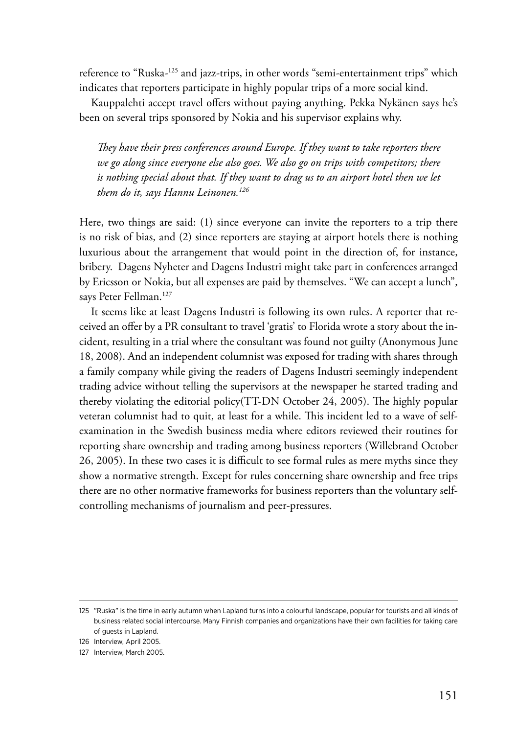reference to "Ruska-125 and jazz-trips, in other words "semi-entertainment trips" which indicates that reporters participate in highly popular trips of a more social kind.

Kauppalehti accept travel offers without paying anything. Pekka Nykänen says he's been on several trips sponsored by Nokia and his supervisor explains why.

*They have their press conferences around Europe. If they want to take reporters there we go along since everyone else also goes. We also go on trips with competitors; there is nothing special about that. If they want to drag us to an airport hotel then we let them do it, says Hannu Leinonen.126*

Here, two things are said: (1) since everyone can invite the reporters to a trip there is no risk of bias, and (2) since reporters are staying at airport hotels there is nothing luxurious about the arrangement that would point in the direction of, for instance, bribery. Dagens Nyheter and Dagens Industri might take part in conferences arranged by Ericsson or Nokia, but all expenses are paid by themselves. "We can accept a lunch", says Peter Fellman.<sup>127</sup>

It seems like at least Dagens Industri is following its own rules. A reporter that received an offer by a PR consultant to travel 'gratis' to Florida wrote a story about the incident, resulting in a trial where the consultant was found not guilty (Anonymous June 18, 2008). And an independent columnist was exposed for trading with shares through a family company while giving the readers of Dagens Industri seemingly independent trading advice without telling the supervisors at the newspaper he started trading and thereby violating the editorial policy(TT-DN October 24, 2005). The highly popular veteran columnist had to quit, at least for a while. This incident led to a wave of selfexamination in the Swedish business media where editors reviewed their routines for reporting share ownership and trading among business reporters (Willebrand October 26, 2005). In these two cases it is difficult to see formal rules as mere myths since they show a normative strength. Except for rules concerning share ownership and free trips there are no other normative frameworks for business reporters than the voluntary selfcontrolling mechanisms of journalism and peer-pressures.

<sup>125</sup> "Ruska" is the time in early autumn when Lapland turns into a colourful landscape, popular for tourists and all kinds of business related social intercourse. Many Finnish companies and organizations have their own facilities for taking care of guests in Lapland.

<sup>126</sup> Interview, April 2005.

<sup>127</sup> Interview, March 2005.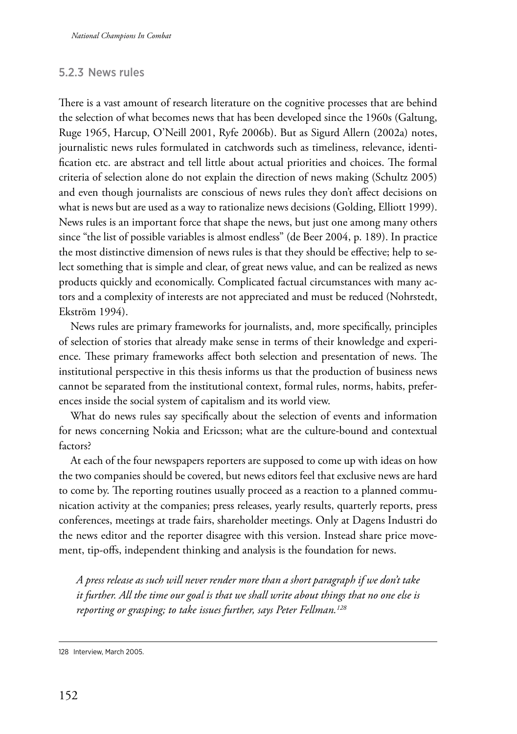## 5.2.3 News rules

There is a vast amount of research literature on the cognitive processes that are behind the selection of what becomes news that has been developed since the 1960s (Galtung, Ruge 1965, Harcup, O'Neill 2001, Ryfe 2006b). But as Sigurd Allern (2002a) notes, journalistic news rules formulated in catchwords such as timeliness, relevance, identification etc. are abstract and tell little about actual priorities and choices. The formal criteria of selection alone do not explain the direction of news making (Schultz 2005) and even though journalists are conscious of news rules they don't affect decisions on what is news but are used as a way to rationalize news decisions (Golding, Elliott 1999). News rules is an important force that shape the news, but just one among many others since "the list of possible variables is almost endless" (de Beer 2004, p. 189). In practice the most distinctive dimension of news rules is that they should be effective; help to select something that is simple and clear, of great news value, and can be realized as news products quickly and economically. Complicated factual circumstances with many actors and a complexity of interests are not appreciated and must be reduced (Nohrstedt, Ekström 1994).

News rules are primary frameworks for journalists, and, more specifically, principles of selection of stories that already make sense in terms of their knowledge and experience. These primary frameworks affect both selection and presentation of news. The institutional perspective in this thesis informs us that the production of business news cannot be separated from the institutional context, formal rules, norms, habits, preferences inside the social system of capitalism and its world view.

What do news rules say specifically about the selection of events and information for news concerning Nokia and Ericsson; what are the culture-bound and contextual factors?

At each of the four newspapers reporters are supposed to come up with ideas on how the two companies should be covered, but news editors feel that exclusive news are hard to come by. The reporting routines usually proceed as a reaction to a planned communication activity at the companies; press releases, yearly results, quarterly reports, press conferences, meetings at trade fairs, shareholder meetings. Only at Dagens Industri do the news editor and the reporter disagree with this version. Instead share price movement, tip-offs, independent thinking and analysis is the foundation for news.

*A press release as such will never render more than a short paragraph if we don't take it further. All the time our goal is that we shall write about things that no one else is reporting or grasping; to take issues further, says Peter Fellman.128*

<sup>128</sup> Interview, March 2005.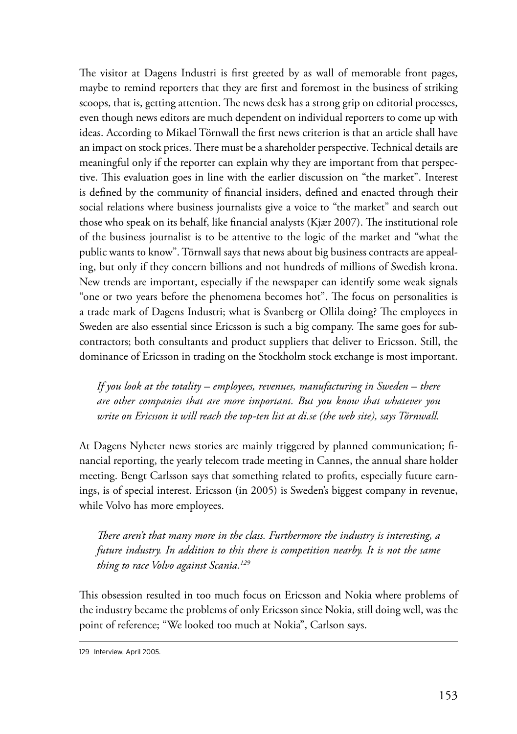The visitor at Dagens Industri is first greeted by as wall of memorable front pages, maybe to remind reporters that they are first and foremost in the business of striking scoops, that is, getting attention. The news desk has a strong grip on editorial processes, even though news editors are much dependent on individual reporters to come up with ideas. According to Mikael Törnwall the first news criterion is that an article shall have an impact on stock prices. There must be a shareholder perspective. Technical details are meaningful only if the reporter can explain why they are important from that perspective. This evaluation goes in line with the earlier discussion on "the market". Interest is defined by the community of financial insiders, defined and enacted through their social relations where business journalists give a voice to "the market" and search out those who speak on its behalf, like financial analysts (Kjær 2007). The institutional role of the business journalist is to be attentive to the logic of the market and "what the public wants to know". Törnwall says that news about big business contracts are appealing, but only if they concern billions and not hundreds of millions of Swedish krona. New trends are important, especially if the newspaper can identify some weak signals "one or two years before the phenomena becomes hot". The focus on personalities is a trade mark of Dagens Industri; what is Svanberg or Ollila doing? The employees in Sweden are also essential since Ericsson is such a big company. The same goes for subcontractors; both consultants and product suppliers that deliver to Ericsson. Still, the dominance of Ericsson in trading on the Stockholm stock exchange is most important.

*If you look at the totality – employees, revenues, manufacturing in Sweden – there are other companies that are more important. But you know that whatever you write on Ericsson it will reach the top-ten list at di.se (the web site), says Törnwall.*

At Dagens Nyheter news stories are mainly triggered by planned communication; financial reporting, the yearly telecom trade meeting in Cannes, the annual share holder meeting. Bengt Carlsson says that something related to profits, especially future earnings, is of special interest. Ericsson (in 2005) is Sweden's biggest company in revenue, while Volvo has more employees.

*There aren't that many more in the class. Furthermore the industry is interesting, a future industry. In addition to this there is competition nearby. It is not the same thing to race Volvo against Scania.129*

This obsession resulted in too much focus on Ericsson and Nokia where problems of the industry became the problems of only Ericsson since Nokia, still doing well, was the point of reference; "We looked too much at Nokia", Carlson says.

<sup>129</sup> Interview, April 2005.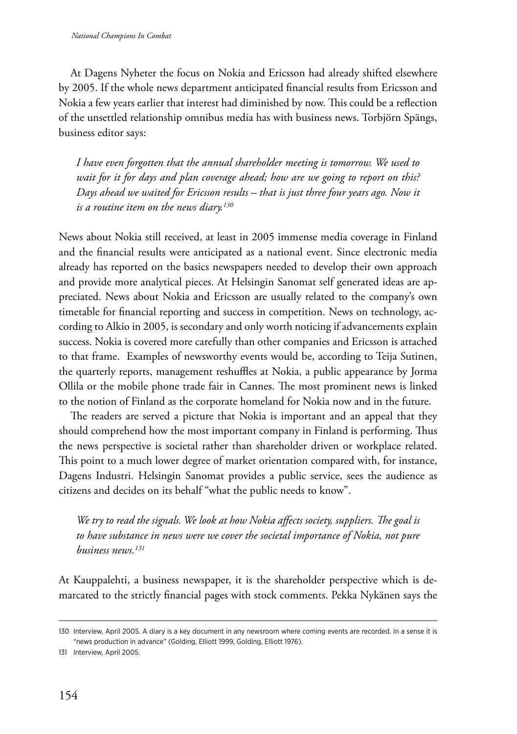At Dagens Nyheter the focus on Nokia and Ericsson had already shifted elsewhere by 2005. If the whole news department anticipated financial results from Ericsson and Nokia a few years earlier that interest had diminished by now. This could be a reflection of the unsettled relationship omnibus media has with business news. Torbjörn Spängs, business editor says:

*I have even forgotten that the annual shareholder meeting is tomorrow. We used to wait for it for days and plan coverage ahead; how are we going to report on this? Days ahead we waited for Ericsson results – that is just three four years ago. Now it is a routine item on the news diary.130*

News about Nokia still received, at least in 2005 immense media coverage in Finland and the financial results were anticipated as a national event. Since electronic media already has reported on the basics newspapers needed to develop their own approach and provide more analytical pieces. At Helsingin Sanomat self generated ideas are appreciated. News about Nokia and Ericsson are usually related to the company's own timetable for financial reporting and success in competition. News on technology, according to Alkio in 2005, is secondary and only worth noticing if advancements explain success. Nokia is covered more carefully than other companies and Ericsson is attached to that frame. Examples of newsworthy events would be, according to Teija Sutinen, the quarterly reports, management reshuffles at Nokia, a public appearance by Jorma Ollila or the mobile phone trade fair in Cannes. The most prominent news is linked to the notion of Finland as the corporate homeland for Nokia now and in the future.

The readers are served a picture that Nokia is important and an appeal that they should comprehend how the most important company in Finland is performing. Thus the news perspective is societal rather than shareholder driven or workplace related. This point to a much lower degree of market orientation compared with, for instance, Dagens Industri. Helsingin Sanomat provides a public service, sees the audience as citizens and decides on its behalf "what the public needs to know".

*We try to read the signals. We look at how Nokia affects society, suppliers. The goal is to have substance in news were we cover the societal importance of Nokia, not pure business news.131*

At Kauppalehti, a business newspaper, it is the shareholder perspective which is demarcated to the strictly financial pages with stock comments. Pekka Nykänen says the

<sup>130</sup> Interview, April 2005. A diary is a key document in any newsroom where coming events are recorded. In a sense it is "news production in advance" (Golding, Elliott 1999, Golding, Elliott 1976).

<sup>131</sup> Interview, April 2005.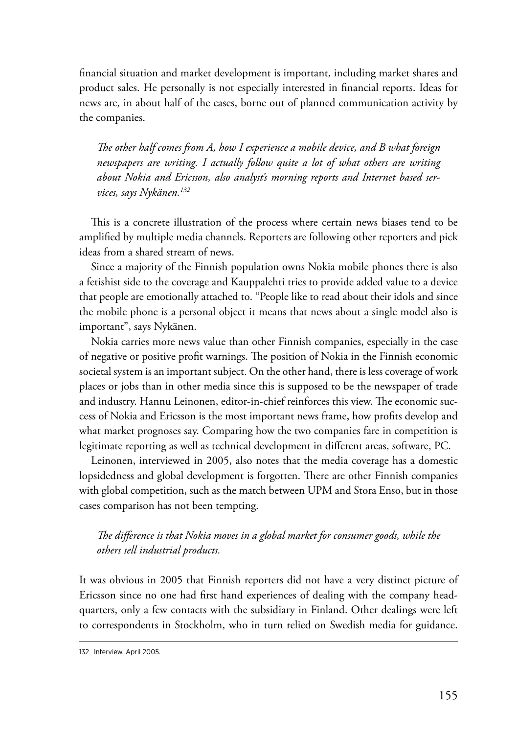financial situation and market development is important, including market shares and product sales. He personally is not especially interested in financial reports. Ideas for news are, in about half of the cases, borne out of planned communication activity by the companies.

*The other half comes from A, how I experience a mobile device, and B what foreign newspapers are writing. I actually follow quite a lot of what others are writing about Nokia and Ericsson, also analyst's morning reports and Internet based services, says Nykänen.132*

This is a concrete illustration of the process where certain news biases tend to be amplified by multiple media channels. Reporters are following other reporters and pick ideas from a shared stream of news.

Since a majority of the Finnish population owns Nokia mobile phones there is also a fetishist side to the coverage and Kauppalehti tries to provide added value to a device that people are emotionally attached to. "People like to read about their idols and since the mobile phone is a personal object it means that news about a single model also is important", says Nykänen.

Nokia carries more news value than other Finnish companies, especially in the case of negative or positive profit warnings. The position of Nokia in the Finnish economic societal system is an important subject. On the other hand, there is less coverage of work places or jobs than in other media since this is supposed to be the newspaper of trade and industry. Hannu Leinonen, editor-in-chief reinforces this view. The economic success of Nokia and Ericsson is the most important news frame, how profits develop and what market prognoses say. Comparing how the two companies fare in competition is legitimate reporting as well as technical development in different areas, software, PC.

Leinonen, interviewed in 2005, also notes that the media coverage has a domestic lopsidedness and global development is forgotten. There are other Finnish companies with global competition, such as the match between UPM and Stora Enso, but in those cases comparison has not been tempting.

## *The difference is that Nokia moves in a global market for consumer goods, while the others sell industrial products.*

It was obvious in 2005 that Finnish reporters did not have a very distinct picture of Ericsson since no one had first hand experiences of dealing with the company headquarters, only a few contacts with the subsidiary in Finland. Other dealings were left to correspondents in Stockholm, who in turn relied on Swedish media for guidance.

<sup>132</sup> Interview, April 2005.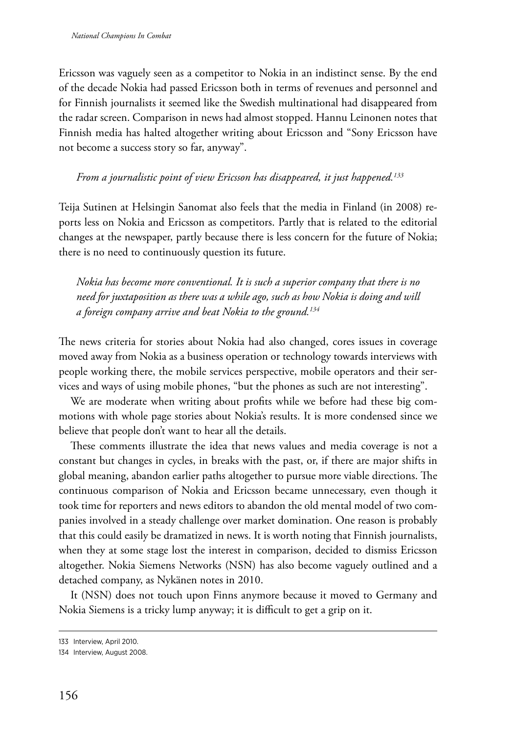Ericsson was vaguely seen as a competitor to Nokia in an indistinct sense. By the end of the decade Nokia had passed Ericsson both in terms of revenues and personnel and for Finnish journalists it seemed like the Swedish multinational had disappeared from the radar screen. Comparison in news had almost stopped. Hannu Leinonen notes that Finnish media has halted altogether writing about Ericsson and "Sony Ericsson have not become a success story so far, anyway".

## *From a journalistic point of view Ericsson has disappeared, it just happened.133*

Teija Sutinen at Helsingin Sanomat also feels that the media in Finland (in 2008) reports less on Nokia and Ericsson as competitors. Partly that is related to the editorial changes at the newspaper, partly because there is less concern for the future of Nokia; there is no need to continuously question its future.

*Nokia has become more conventional. It is such a superior company that there is no need for juxtaposition as there was a while ago, such as how Nokia is doing and will a foreign company arrive and beat Nokia to the ground.134*

The news criteria for stories about Nokia had also changed, cores issues in coverage moved away from Nokia as a business operation or technology towards interviews with people working there, the mobile services perspective, mobile operators and their services and ways of using mobile phones, "but the phones as such are not interesting".

We are moderate when writing about profits while we before had these big commotions with whole page stories about Nokia's results. It is more condensed since we believe that people don't want to hear all the details.

These comments illustrate the idea that news values and media coverage is not a constant but changes in cycles, in breaks with the past, or, if there are major shifts in global meaning, abandon earlier paths altogether to pursue more viable directions. The continuous comparison of Nokia and Ericsson became unnecessary, even though it took time for reporters and news editors to abandon the old mental model of two companies involved in a steady challenge over market domination. One reason is probably that this could easily be dramatized in news. It is worth noting that Finnish journalists, when they at some stage lost the interest in comparison, decided to dismiss Ericsson altogether. Nokia Siemens Networks (NSN) has also become vaguely outlined and a detached company, as Nykänen notes in 2010.

It (NSN) does not touch upon Finns anymore because it moved to Germany and Nokia Siemens is a tricky lump anyway; it is difficult to get a grip on it.

<sup>133</sup> Interview, April 2010.

<sup>134</sup> Interview, August 2008.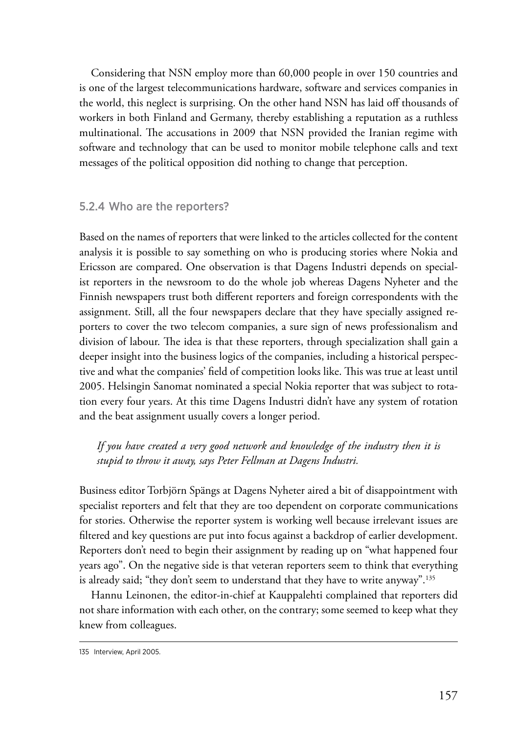Considering that NSN employ more than 60,000 people in over 150 countries and is one of the largest telecommunications hardware, software and services companies in the world, this neglect is surprising. On the other hand NSN has laid off thousands of workers in both Finland and Germany, thereby establishing a reputation as a ruthless multinational. The accusations in 2009 that NSN provided the Iranian regime with software and technology that can be used to monitor mobile telephone calls and text messages of the political opposition did nothing to change that perception.

#### 5.2.4 Who are the reporters?

Based on the names of reporters that were linked to the articles collected for the content analysis it is possible to say something on who is producing stories where Nokia and Ericsson are compared. One observation is that Dagens Industri depends on specialist reporters in the newsroom to do the whole job whereas Dagens Nyheter and the Finnish newspapers trust both different reporters and foreign correspondents with the assignment. Still, all the four newspapers declare that they have specially assigned reporters to cover the two telecom companies, a sure sign of news professionalism and division of labour. The idea is that these reporters, through specialization shall gain a deeper insight into the business logics of the companies, including a historical perspective and what the companies' field of competition looks like. This was true at least until 2005. Helsingin Sanomat nominated a special Nokia reporter that was subject to rotation every four years. At this time Dagens Industri didn't have any system of rotation and the beat assignment usually covers a longer period.

*If you have created a very good network and knowledge of the industry then it is stupid to throw it away, says Peter Fellman at Dagens Industri.*

Business editor Torbjörn Spängs at Dagens Nyheter aired a bit of disappointment with specialist reporters and felt that they are too dependent on corporate communications for stories. Otherwise the reporter system is working well because irrelevant issues are filtered and key questions are put into focus against a backdrop of earlier development. Reporters don't need to begin their assignment by reading up on "what happened four years ago". On the negative side is that veteran reporters seem to think that everything is already said; "they don't seem to understand that they have to write anyway".135

Hannu Leinonen, the editor-in-chief at Kauppalehti complained that reporters did not share information with each other, on the contrary; some seemed to keep what they knew from colleagues.

<sup>135</sup> Interview, April 2005.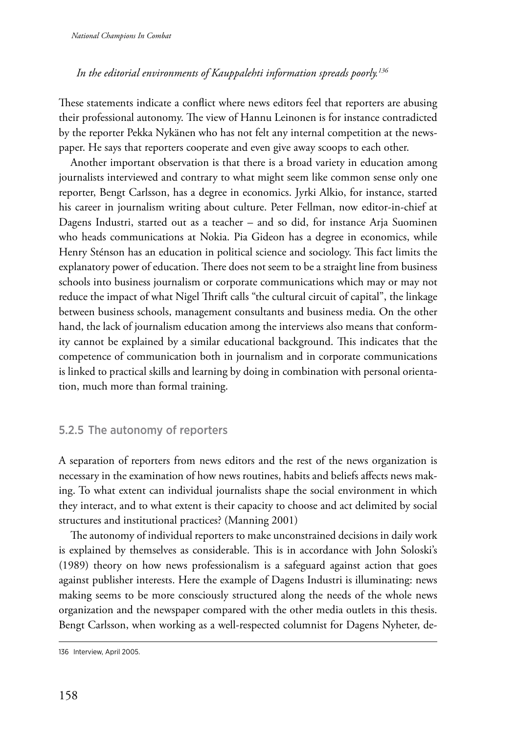#### *In the editorial environments of Kauppalehti information spreads poorly.136*

These statements indicate a conflict where news editors feel that reporters are abusing their professional autonomy. The view of Hannu Leinonen is for instance contradicted by the reporter Pekka Nykänen who has not felt any internal competition at the newspaper. He says that reporters cooperate and even give away scoops to each other.

Another important observation is that there is a broad variety in education among journalists interviewed and contrary to what might seem like common sense only one reporter, Bengt Carlsson, has a degree in economics. Jyrki Alkio, for instance, started his career in journalism writing about culture. Peter Fellman, now editor-in-chief at Dagens Industri, started out as a teacher – and so did, for instance Arja Suominen who heads communications at Nokia. Pia Gideon has a degree in economics, while Henry Sténson has an education in political science and sociology. This fact limits the explanatory power of education. There does not seem to be a straight line from business schools into business journalism or corporate communications which may or may not reduce the impact of what Nigel Thrift calls "the cultural circuit of capital", the linkage between business schools, management consultants and business media. On the other hand, the lack of journalism education among the interviews also means that conformity cannot be explained by a similar educational background. This indicates that the competence of communication both in journalism and in corporate communications is linked to practical skills and learning by doing in combination with personal orientation, much more than formal training.

### 5.2.5 The autonomy of reporters

A separation of reporters from news editors and the rest of the news organization is necessary in the examination of how news routines, habits and beliefs affects news making. To what extent can individual journalists shape the social environment in which they interact, and to what extent is their capacity to choose and act delimited by social structures and institutional practices? (Manning 2001)

The autonomy of individual reporters to make unconstrained decisions in daily work is explained by themselves as considerable. This is in accordance with John Soloski's (1989) theory on how news professionalism is a safeguard against action that goes against publisher interests. Here the example of Dagens Industri is illuminating: news making seems to be more consciously structured along the needs of the whole news organization and the newspaper compared with the other media outlets in this thesis. Bengt Carlsson, when working as a well-respected columnist for Dagens Nyheter, de-

<sup>136</sup> Interview, April 2005.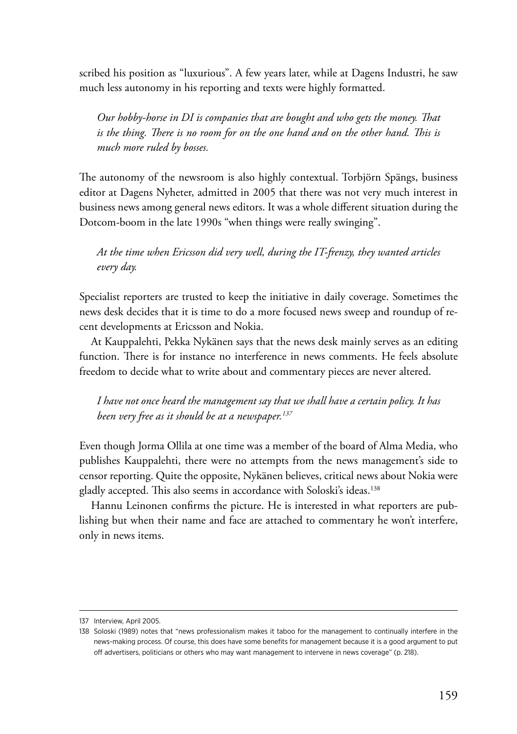scribed his position as "luxurious". A few years later, while at Dagens Industri, he saw much less autonomy in his reporting and texts were highly formatted.

*Our hobby-horse in DI is companies that are bought and who gets the money. That*  is the thing. There is no room for on the one hand and on the other hand. This is *much more ruled by bosses.*

The autonomy of the newsroom is also highly contextual. Torbjörn Spängs, business editor at Dagens Nyheter, admitted in 2005 that there was not very much interest in business news among general news editors. It was a whole different situation during the Dotcom-boom in the late 1990s "when things were really swinging".

*At the time when Ericsson did very well, during the IT-frenzy, they wanted articles every day.*

Specialist reporters are trusted to keep the initiative in daily coverage. Sometimes the news desk decides that it is time to do a more focused news sweep and roundup of recent developments at Ericsson and Nokia.

At Kauppalehti, Pekka Nykänen says that the news desk mainly serves as an editing function. There is for instance no interference in news comments. He feels absolute freedom to decide what to write about and commentary pieces are never altered.

*I have not once heard the management say that we shall have a certain policy. It has been very free as it should be at a newspaper.137*

Even though Jorma Ollila at one time was a member of the board of Alma Media, who publishes Kauppalehti, there were no attempts from the news management's side to censor reporting. Quite the opposite, Nykänen believes, critical news about Nokia were gladly accepted. This also seems in accordance with Soloski's ideas.138

Hannu Leinonen confirms the picture. He is interested in what reporters are publishing but when their name and face are attached to commentary he won't interfere, only in news items.

<sup>137</sup> Interview, April 2005.

<sup>138</sup> Soloski (1989) notes that "news professionalism makes it taboo for the management to continually interfere in the news-making process. Of course, this does have some benefits for management because it is a good argument to put off advertisers, politicians or others who may want management to intervene in news coverage" (p. 218).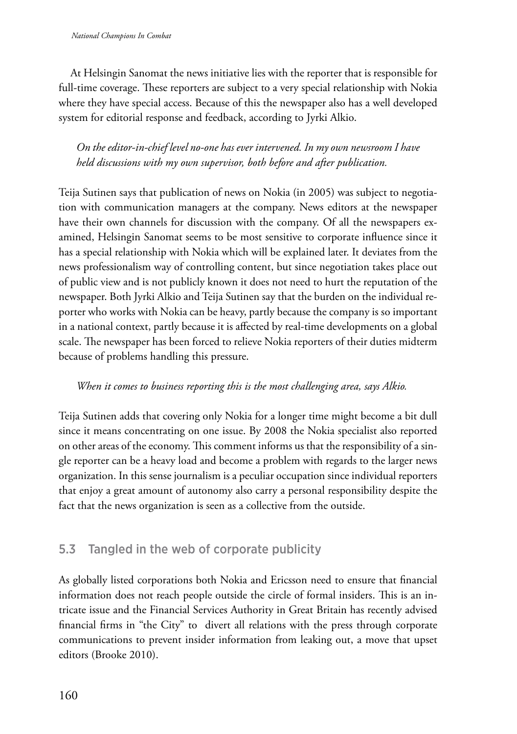At Helsingin Sanomat the news initiative lies with the reporter that is responsible for full-time coverage. These reporters are subject to a very special relationship with Nokia where they have special access. Because of this the newspaper also has a well developed system for editorial response and feedback, according to Jyrki Alkio.

## *On the editor-in-chief level no-one has ever intervened. In my own newsroom I have held discussions with my own supervisor, both before and after publication.*

Teija Sutinen says that publication of news on Nokia (in 2005) was subject to negotiation with communication managers at the company. News editors at the newspaper have their own channels for discussion with the company. Of all the newspapers examined, Helsingin Sanomat seems to be most sensitive to corporate influence since it has a special relationship with Nokia which will be explained later. It deviates from the news professionalism way of controlling content, but since negotiation takes place out of public view and is not publicly known it does not need to hurt the reputation of the newspaper. Both Jyrki Alkio and Teija Sutinen say that the burden on the individual reporter who works with Nokia can be heavy, partly because the company is so important in a national context, partly because it is affected by real-time developments on a global scale. The newspaper has been forced to relieve Nokia reporters of their duties midterm because of problems handling this pressure.

## *When it comes to business reporting this is the most challenging area, says Alkio.*

Teija Sutinen adds that covering only Nokia for a longer time might become a bit dull since it means concentrating on one issue. By 2008 the Nokia specialist also reported on other areas of the economy. This comment informs us that the responsibility of a single reporter can be a heavy load and become a problem with regards to the larger news organization. In this sense journalism is a peculiar occupation since individual reporters that enjoy a great amount of autonomy also carry a personal responsibility despite the fact that the news organization is seen as a collective from the outside.

## 5.3 Tangled in the web of corporate publicity

As globally listed corporations both Nokia and Ericsson need to ensure that financial information does not reach people outside the circle of formal insiders. This is an intricate issue and the Financial Services Authority in Great Britain has recently advised financial firms in "the City" to divert all relations with the press through corporate communications to prevent insider information from leaking out, a move that upset editors (Brooke 2010).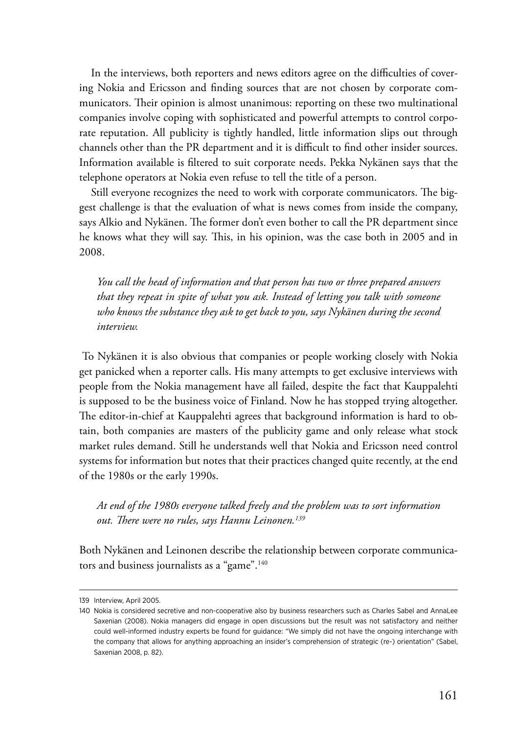In the interviews, both reporters and news editors agree on the difficulties of covering Nokia and Ericsson and finding sources that are not chosen by corporate communicators. Their opinion is almost unanimous: reporting on these two multinational companies involve coping with sophisticated and powerful attempts to control corporate reputation. All publicity is tightly handled, little information slips out through channels other than the PR department and it is difficult to find other insider sources. Information available is filtered to suit corporate needs. Pekka Nykänen says that the telephone operators at Nokia even refuse to tell the title of a person.

Still everyone recognizes the need to work with corporate communicators. The biggest challenge is that the evaluation of what is news comes from inside the company, says Alkio and Nykänen. The former don't even bother to call the PR department since he knows what they will say. This, in his opinion, was the case both in 2005 and in 2008.

*You call the head of information and that person has two or three prepared answers that they repeat in spite of what you ask. Instead of letting you talk with someone who knows the substance they ask to get back to you, says Nykänen during the second interview.*

 To Nykänen it is also obvious that companies or people working closely with Nokia get panicked when a reporter calls. His many attempts to get exclusive interviews with people from the Nokia management have all failed, despite the fact that Kauppalehti is supposed to be the business voice of Finland. Now he has stopped trying altogether. The editor-in-chief at Kauppalehti agrees that background information is hard to obtain, both companies are masters of the publicity game and only release what stock market rules demand. Still he understands well that Nokia and Ericsson need control systems for information but notes that their practices changed quite recently, at the end of the 1980s or the early 1990s.

*At end of the 1980s everyone talked freely and the problem was to sort information out. There were no rules, says Hannu Leinonen.139*

Both Nykänen and Leinonen describe the relationship between corporate communicators and business journalists as a "game".<sup>140</sup>

<sup>139</sup> Interview, April 2005.

<sup>140</sup> Nokia is considered secretive and non-cooperative also by business researchers such as Charles Sabel and AnnaLee Saxenian (2008). Nokia managers did engage in open discussions but the result was not satisfactory and neither could well-informed industry experts be found for guidance: "We simply did not have the ongoing interchange with the company that allows for anything approaching an insider's comprehension of strategic (re-) orientation" (Sabel, Saxenian 2008, p. 82).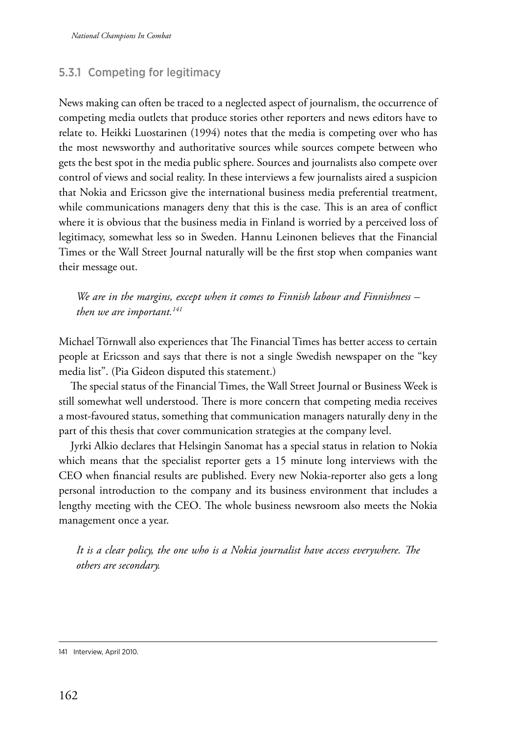## 5.3.1 Competing for legitimacy

News making can often be traced to a neglected aspect of journalism, the occurrence of competing media outlets that produce stories other reporters and news editors have to relate to. Heikki Luostarinen (1994) notes that the media is competing over who has the most newsworthy and authoritative sources while sources compete between who gets the best spot in the media public sphere. Sources and journalists also compete over control of views and social reality. In these interviews a few journalists aired a suspicion that Nokia and Ericsson give the international business media preferential treatment, while communications managers deny that this is the case. This is an area of conflict where it is obvious that the business media in Finland is worried by a perceived loss of legitimacy, somewhat less so in Sweden. Hannu Leinonen believes that the Financial Times or the Wall Street Journal naturally will be the first stop when companies want their message out.

*We are in the margins, except when it comes to Finnish labour and Finnishness – then we are important.141*

Michael Törnwall also experiences that The Financial Times has better access to certain people at Ericsson and says that there is not a single Swedish newspaper on the "key media list". (Pia Gideon disputed this statement.)

The special status of the Financial Times, the Wall Street Journal or Business Week is still somewhat well understood. There is more concern that competing media receives a most-favoured status, something that communication managers naturally deny in the part of this thesis that cover communication strategies at the company level.

Jyrki Alkio declares that Helsingin Sanomat has a special status in relation to Nokia which means that the specialist reporter gets a 15 minute long interviews with the CEO when financial results are published. Every new Nokia-reporter also gets a long personal introduction to the company and its business environment that includes a lengthy meeting with the CEO. The whole business newsroom also meets the Nokia management once a year.

*It is a clear policy, the one who is a Nokia journalist have access everywhere. The others are secondary.*

<sup>141</sup> Interview, April 2010.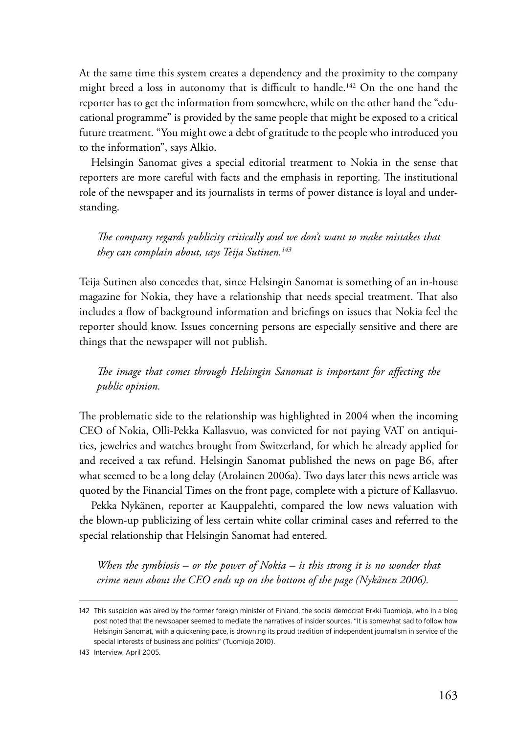At the same time this system creates a dependency and the proximity to the company might breed a loss in autonomy that is difficult to handle.<sup>142</sup> On the one hand the reporter has to get the information from somewhere, while on the other hand the "educational programme" is provided by the same people that might be exposed to a critical future treatment. "You might owe a debt of gratitude to the people who introduced you to the information", says Alkio.

Helsingin Sanomat gives a special editorial treatment to Nokia in the sense that reporters are more careful with facts and the emphasis in reporting. The institutional role of the newspaper and its journalists in terms of power distance is loyal and understanding.

*The company regards publicity critically and we don't want to make mistakes that they can complain about, says Teija Sutinen.143*

Teija Sutinen also concedes that, since Helsingin Sanomat is something of an in-house magazine for Nokia, they have a relationship that needs special treatment. That also includes a flow of background information and briefings on issues that Nokia feel the reporter should know. Issues concerning persons are especially sensitive and there are things that the newspaper will not publish.

*The image that comes through Helsingin Sanomat is important for affecting the public opinion.*

The problematic side to the relationship was highlighted in 2004 when the incoming CEO of Nokia, Olli-Pekka Kallasvuo, was convicted for not paying VAT on antiquities, jewelries and watches brought from Switzerland, for which he already applied for and received a tax refund. Helsingin Sanomat published the news on page B6, after what seemed to be a long delay (Arolainen 2006a). Two days later this news article was quoted by the Financial Times on the front page, complete with a picture of Kallasvuo.

Pekka Nykänen, reporter at Kauppalehti, compared the low news valuation with the blown-up publicizing of less certain white collar criminal cases and referred to the special relationship that Helsingin Sanomat had entered.

*When the symbiosis – or the power of Nokia – is this strong it is no wonder that crime news about the CEO ends up on the bottom of the page (Nykänen 2006).*

<sup>142</sup> This suspicion was aired by the former foreign minister of Finland, the social democrat Erkki Tuomioja, who in a blog post noted that the newspaper seemed to mediate the narratives of insider sources. "It is somewhat sad to follow how Helsingin Sanomat, with a quickening pace, is drowning its proud tradition of independent journalism in service of the special interests of business and politics" (Tuomioja 2010).

<sup>143</sup> Interview, April 2005.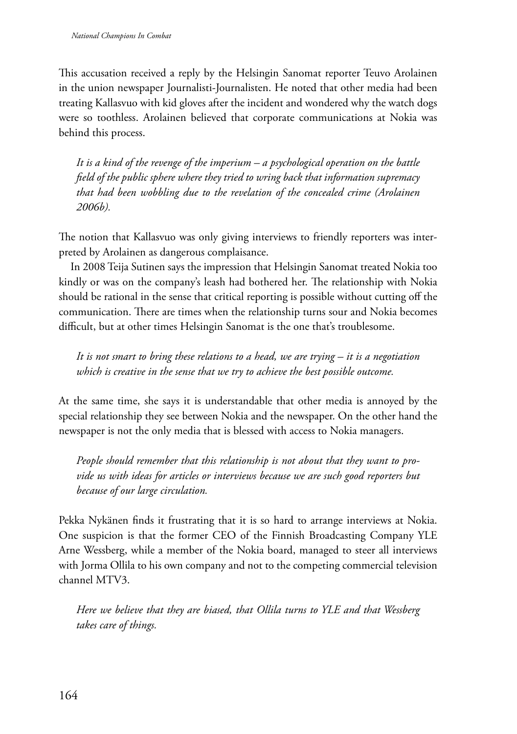This accusation received a reply by the Helsingin Sanomat reporter Teuvo Arolainen in the union newspaper Journalisti-Journalisten. He noted that other media had been treating Kallasvuo with kid gloves after the incident and wondered why the watch dogs were so toothless. Arolainen believed that corporate communications at Nokia was behind this process.

*It is a kind of the revenge of the imperium – a psychological operation on the battle field of the public sphere where they tried to wring back that information supremacy*  that had been wobbling due to the revelation of the concealed crime (Arolainen *2006b).*

The notion that Kallasvuo was only giving interviews to friendly reporters was interpreted by Arolainen as dangerous complaisance.

In 2008 Teija Sutinen says the impression that Helsingin Sanomat treated Nokia too kindly or was on the company's leash had bothered her. The relationship with Nokia should be rational in the sense that critical reporting is possible without cutting off the communication. There are times when the relationship turns sour and Nokia becomes difficult, but at other times Helsingin Sanomat is the one that's troublesome.

*It is not smart to bring these relations to a head, we are trying – it is a negotiation which is creative in the sense that we try to achieve the best possible outcome.*

At the same time, she says it is understandable that other media is annoyed by the special relationship they see between Nokia and the newspaper. On the other hand the newspaper is not the only media that is blessed with access to Nokia managers.

*People should remember that this relationship is not about that they want to provide us with ideas for articles or interviews because we are such good reporters but because of our large circulation.*

Pekka Nykänen finds it frustrating that it is so hard to arrange interviews at Nokia. One suspicion is that the former CEO of the Finnish Broadcasting Company YLE Arne Wessberg, while a member of the Nokia board, managed to steer all interviews with Jorma Ollila to his own company and not to the competing commercial television channel MTV3.

*Here we believe that they are biased, that Ollila turns to YLE and that Wessberg takes care of things.*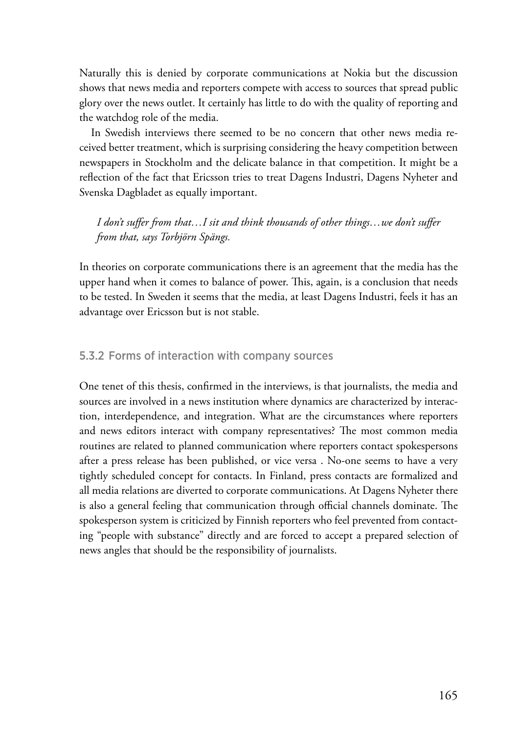Naturally this is denied by corporate communications at Nokia but the discussion shows that news media and reporters compete with access to sources that spread public glory over the news outlet. It certainly has little to do with the quality of reporting and the watchdog role of the media.

In Swedish interviews there seemed to be no concern that other news media received better treatment, which is surprising considering the heavy competition between newspapers in Stockholm and the delicate balance in that competition. It might be a reflection of the fact that Ericsson tries to treat Dagens Industri, Dagens Nyheter and Svenska Dagbladet as equally important.

*I don't suffer from that…I sit and think thousands of other things…we don't suffer from that, says Torbjörn Spängs.*

In theories on corporate communications there is an agreement that the media has the upper hand when it comes to balance of power. This, again, is a conclusion that needs to be tested. In Sweden it seems that the media, at least Dagens Industri, feels it has an advantage over Ericsson but is not stable.

## 5.3.2 Forms of interaction with company sources

One tenet of this thesis, confirmed in the interviews, is that journalists, the media and sources are involved in a news institution where dynamics are characterized by interaction, interdependence, and integration. What are the circumstances where reporters and news editors interact with company representatives? The most common media routines are related to planned communication where reporters contact spokespersons after a press release has been published, or vice versa . No-one seems to have a very tightly scheduled concept for contacts. In Finland, press contacts are formalized and all media relations are diverted to corporate communications. At Dagens Nyheter there is also a general feeling that communication through official channels dominate. The spokesperson system is criticized by Finnish reporters who feel prevented from contacting "people with substance" directly and are forced to accept a prepared selection of news angles that should be the responsibility of journalists.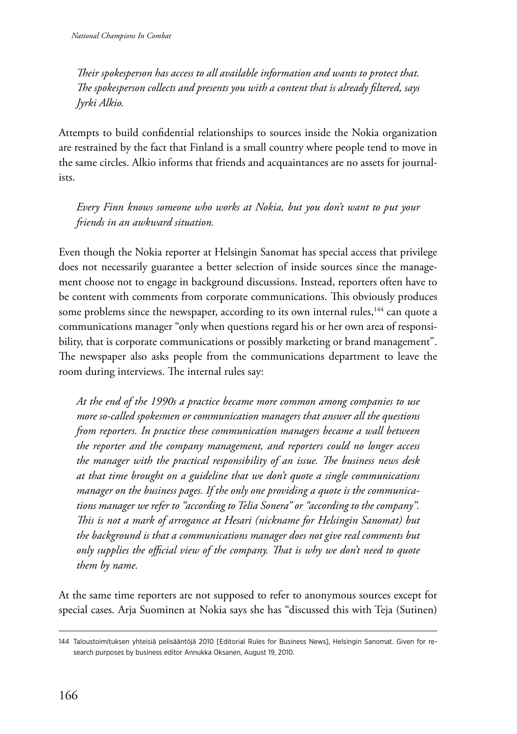*Their spokesperson has access to all available information and wants to protect that. The spokesperson collects and presents you with a content that is already filtered, says Jyrki Alkio.*

Attempts to build confidential relationships to sources inside the Nokia organization are restrained by the fact that Finland is a small country where people tend to move in the same circles. Alkio informs that friends and acquaintances are no assets for journalists.

*Every Finn knows someone who works at Nokia, but you don't want to put your friends in an awkward situation.*

Even though the Nokia reporter at Helsingin Sanomat has special access that privilege does not necessarily guarantee a better selection of inside sources since the management choose not to engage in background discussions. Instead, reporters often have to be content with comments from corporate communications. This obviously produces some problems since the newspaper, according to its own internal rules,<sup>144</sup> can quote a communications manager "only when questions regard his or her own area of responsibility, that is corporate communications or possibly marketing or brand management". The newspaper also asks people from the communications department to leave the room during interviews. The internal rules say:

*At the end of the 1990s a practice became more common among companies to use more so-called spokesmen or communication managers that answer all the questions from reporters. In practice these communication managers became a wall between the reporter and the company management, and reporters could no longer access the manager with the practical responsibility of an issue. The business news desk at that time brought on a guideline that we don't quote a single communications manager on the business pages. If the only one providing a quote is the communications manager we refer to "according to Telia Sonera" or "according to the company". This is not a mark of arrogance at Hesari (nickname for Helsingin Sanomat) but the background is that a communications manager does not give real comments but only supplies the official view of the company. That is why we don't need to quote them by name.*

At the same time reporters are not supposed to refer to anonymous sources except for special cases. Arja Suominen at Nokia says she has "discussed this with Teja (Sutinen)

<sup>144</sup> Taloustoimituksen yhteisiä pelisääntöjä 2010 [Editorial Rules for Business News], Helsingin Sanomat. Given for research purposes by business editor Annukka Oksanen, August 19, 2010.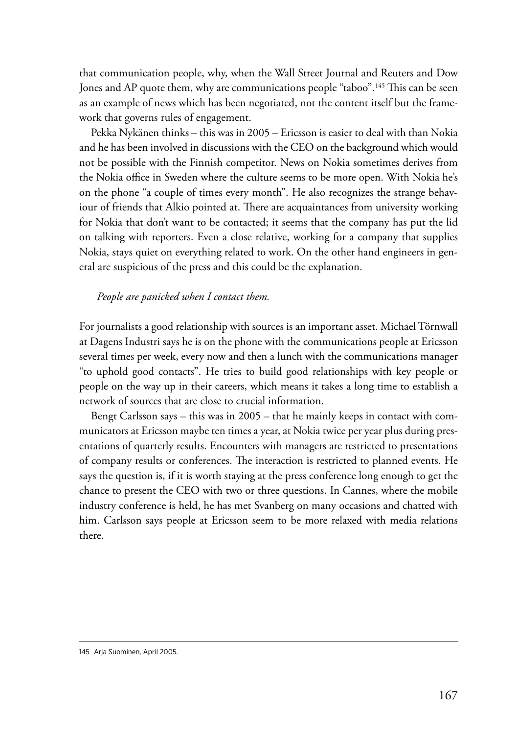that communication people, why, when the Wall Street Journal and Reuters and Dow Jones and AP quote them, why are communications people "taboo".<sup>145</sup> This can be seen as an example of news which has been negotiated, not the content itself but the framework that governs rules of engagement.

Pekka Nykänen thinks – this was in 2005 – Ericsson is easier to deal with than Nokia and he has been involved in discussions with the CEO on the background which would not be possible with the Finnish competitor. News on Nokia sometimes derives from the Nokia office in Sweden where the culture seems to be more open. With Nokia he's on the phone "a couple of times every month". He also recognizes the strange behaviour of friends that Alkio pointed at. There are acquaintances from university working for Nokia that don't want to be contacted; it seems that the company has put the lid on talking with reporters. Even a close relative, working for a company that supplies Nokia, stays quiet on everything related to work. On the other hand engineers in general are suspicious of the press and this could be the explanation.

#### *People are panicked when I contact them.*

For journalists a good relationship with sources is an important asset. Michael Törnwall at Dagens Industri says he is on the phone with the communications people at Ericsson several times per week, every now and then a lunch with the communications manager "to uphold good contacts". He tries to build good relationships with key people or people on the way up in their careers, which means it takes a long time to establish a network of sources that are close to crucial information.

Bengt Carlsson says – this was in 2005 – that he mainly keeps in contact with communicators at Ericsson maybe ten times a year, at Nokia twice per year plus during presentations of quarterly results. Encounters with managers are restricted to presentations of company results or conferences. The interaction is restricted to planned events. He says the question is, if it is worth staying at the press conference long enough to get the chance to present the CEO with two or three questions. In Cannes, where the mobile industry conference is held, he has met Svanberg on many occasions and chatted with him. Carlsson says people at Ericsson seem to be more relaxed with media relations there.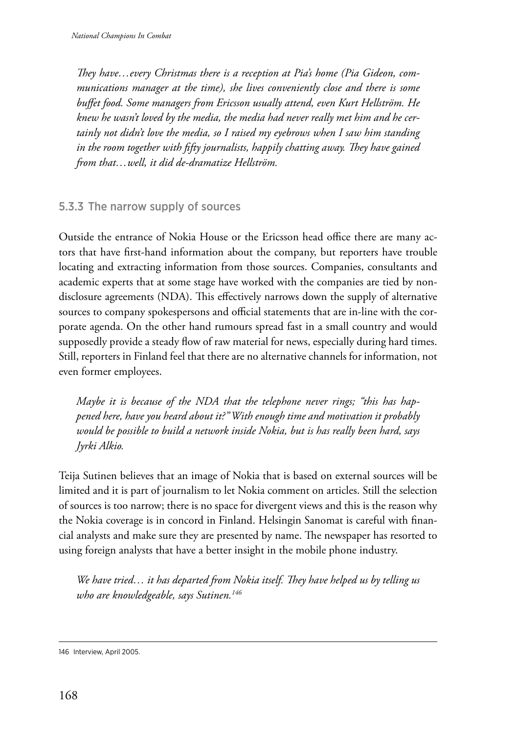*They have…every Christmas there is a reception at Pia's home (Pia Gideon, communications manager at the time), she lives conveniently close and there is some buffet food. Some managers from Ericsson usually attend, even Kurt Hellström. He knew he wasn't loved by the media, the media had never really met him and he certainly not didn't love the media, so I raised my eyebrows when I saw him standing in the room together with fifty journalists, happily chatting away. They have gained from that…well, it did de-dramatize Hellström.*

## 5.3.3 The narrow supply of sources

Outside the entrance of Nokia House or the Ericsson head office there are many actors that have first-hand information about the company, but reporters have trouble locating and extracting information from those sources. Companies, consultants and academic experts that at some stage have worked with the companies are tied by nondisclosure agreements (NDA). This effectively narrows down the supply of alternative sources to company spokespersons and official statements that are in-line with the corporate agenda. On the other hand rumours spread fast in a small country and would supposedly provide a steady flow of raw material for news, especially during hard times. Still, reporters in Finland feel that there are no alternative channels for information, not even former employees.

*Maybe it is because of the NDA that the telephone never rings; "this has happened here, have you heard about it?" With enough time and motivation it probably would be possible to build a network inside Nokia, but is has really been hard, says Jyrki Alkio.*

Teija Sutinen believes that an image of Nokia that is based on external sources will be limited and it is part of journalism to let Nokia comment on articles. Still the selection of sources is too narrow; there is no space for divergent views and this is the reason why the Nokia coverage is in concord in Finland. Helsingin Sanomat is careful with financial analysts and make sure they are presented by name. The newspaper has resorted to using foreign analysts that have a better insight in the mobile phone industry.

*We have tried… it has departed from Nokia itself. They have helped us by telling us who are knowledgeable, says Sutinen.146*

<sup>146</sup> Interview, April 2005.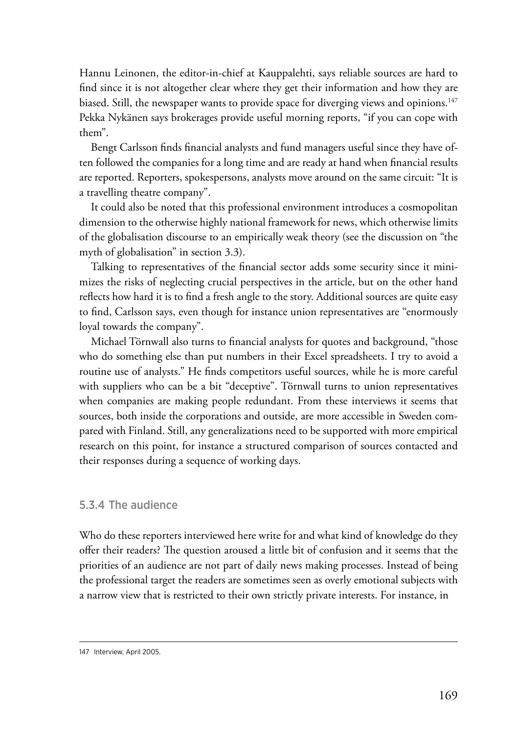Hannu Leinonen, the editor-in-chief at Kauppalehti, says reliable sources are hard to find since it is not altogether clear where they get their information and how they are biased. Still, the newspaper wants to provide space for diverging views and opinions.<sup>147</sup> Pekka Nykänen says brokerages provide useful morning reports, "if you can cope with them".

Bengt Carlsson finds financial analysts and fund managers useful since they have often followed the companies for a long time and are ready at hand when financial results are reported. Reporters, spokespersons, analysts move around on the same circuit: "It is a travelling theatre company".

It could also be noted that this professional environment introduces a cosmopolitan dimension to the otherwise highly national framework for news, which otherwise limits of the globalisation discourse to an empirically weak theory (see the discussion on "the myth of globalisation" in section 3.3).

Talking to representatives of the financial sector adds some security since it minimizes the risks of neglecting crucial perspectives in the article, but on the other hand reflects how hard it is to find a fresh angle to the story. Additional sources are quite easy to find, Carlsson says, even though for instance union representatives are "enormously loyal towards the company".

Michael Törnwall also turns to financial analysts for quotes and background, "those who do something else than put numbers in their Excel spreadsheets. I try to avoid a routine use of analysts." He finds competitors useful sources, while he is more careful with suppliers who can be a bit "deceptive". Törnwall turns to union representatives when companies are making people redundant. From these interviews it seems that sources, both inside the corporations and outside, are more accessible in Sweden compared with Finland. Still, any generalizations need to be supported with more empirical research on this point, for instance a structured comparison of sources contacted and their responses during a sequence of working days.

#### 5.3.4 The audience

Who do these reporters interviewed here write for and what kind of knowledge do they offer their readers? The question aroused a little bit of confusion and it seems that the priorities of an audience are not part of daily news making processes. Instead of being the professional target the readers are sometimes seen as overly emotional subjects with a narrow view that is restricted to their own strictly private interests. For instance, in

<sup>147</sup> Interview, April 2005.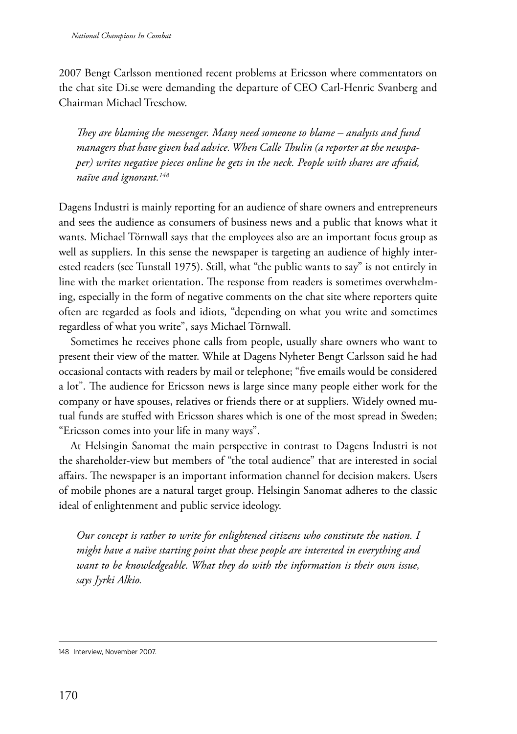2007 Bengt Carlsson mentioned recent problems at Ericsson where commentators on the chat site Di.se were demanding the departure of CEO Carl-Henric Svanberg and Chairman Michael Treschow.

*They are blaming the messenger. Many need someone to blame – analysts and fund managers that have given bad advice. When Calle Thulin (a reporter at the newspaper) writes negative pieces online he gets in the neck. People with shares are afraid, naïve and ignorant.148*

Dagens Industri is mainly reporting for an audience of share owners and entrepreneurs and sees the audience as consumers of business news and a public that knows what it wants. Michael Törnwall says that the employees also are an important focus group as well as suppliers. In this sense the newspaper is targeting an audience of highly interested readers (see Tunstall 1975). Still, what "the public wants to say" is not entirely in line with the market orientation. The response from readers is sometimes overwhelming, especially in the form of negative comments on the chat site where reporters quite often are regarded as fools and idiots, "depending on what you write and sometimes regardless of what you write", says Michael Törnwall.

Sometimes he receives phone calls from people, usually share owners who want to present their view of the matter. While at Dagens Nyheter Bengt Carlsson said he had occasional contacts with readers by mail or telephone; "five emails would be considered a lot". The audience for Ericsson news is large since many people either work for the company or have spouses, relatives or friends there or at suppliers. Widely owned mutual funds are stuffed with Ericsson shares which is one of the most spread in Sweden; "Ericsson comes into your life in many ways".

At Helsingin Sanomat the main perspective in contrast to Dagens Industri is not the shareholder-view but members of "the total audience" that are interested in social affairs. The newspaper is an important information channel for decision makers. Users of mobile phones are a natural target group. Helsingin Sanomat adheres to the classic ideal of enlightenment and public service ideology.

*Our concept is rather to write for enlightened citizens who constitute the nation. I might have a naïve starting point that these people are interested in everything and want to be knowledgeable. What they do with the information is their own issue, says Jyrki Alkio.*

<sup>148</sup> Interview, November 2007.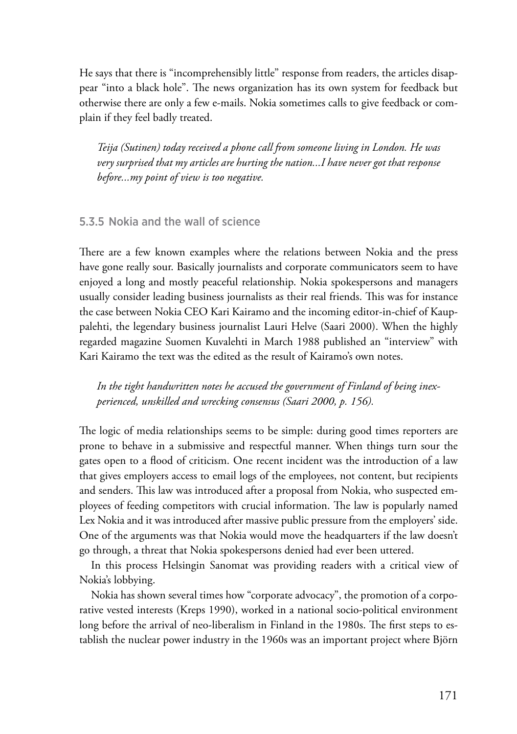He says that there is "incomprehensibly little" response from readers, the articles disappear "into a black hole". The news organization has its own system for feedback but otherwise there are only a few e-mails. Nokia sometimes calls to give feedback or complain if they feel badly treated.

*Teija (Sutinen) today received a phone call from someone living in London. He was very surprised that my articles are hurting the nation...I have never got that response before...my point of view is too negative.*

## 5.3.5 Nokia and the wall of science

There are a few known examples where the relations between Nokia and the press have gone really sour. Basically journalists and corporate communicators seem to have enjoyed a long and mostly peaceful relationship. Nokia spokespersons and managers usually consider leading business journalists as their real friends. This was for instance the case between Nokia CEO Kari Kairamo and the incoming editor-in-chief of Kauppalehti, the legendary business journalist Lauri Helve (Saari 2000). When the highly regarded magazine Suomen Kuvalehti in March 1988 published an "interview" with Kari Kairamo the text was the edited as the result of Kairamo's own notes.

*In the tight handwritten notes he accused the government of Finland of being inexperienced, unskilled and wrecking consensus (Saari 2000, p. 156).*

The logic of media relationships seems to be simple: during good times reporters are prone to behave in a submissive and respectful manner. When things turn sour the gates open to a flood of criticism. One recent incident was the introduction of a law that gives employers access to email logs of the employees, not content, but recipients and senders. This law was introduced after a proposal from Nokia, who suspected employees of feeding competitors with crucial information. The law is popularly named Lex Nokia and it was introduced after massive public pressure from the employers' side. One of the arguments was that Nokia would move the headquarters if the law doesn't go through, a threat that Nokia spokespersons denied had ever been uttered.

In this process Helsingin Sanomat was providing readers with a critical view of Nokia's lobbying.

Nokia has shown several times how "corporate advocacy", the promotion of a corporative vested interests (Kreps 1990), worked in a national socio-political environment long before the arrival of neo-liberalism in Finland in the 1980s. The first steps to establish the nuclear power industry in the 1960s was an important project where Björn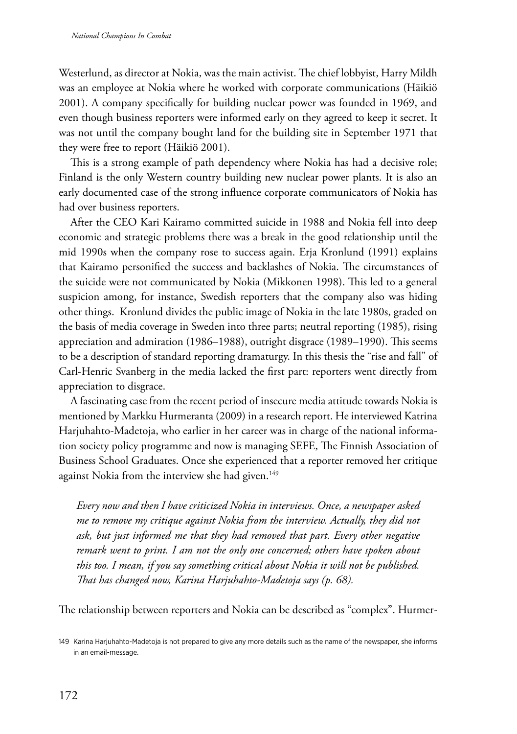Westerlund, as director at Nokia, was the main activist. The chief lobbyist, Harry Mildh was an employee at Nokia where he worked with corporate communications (Häikiö 2001). A company specifically for building nuclear power was founded in 1969, and even though business reporters were informed early on they agreed to keep it secret. It was not until the company bought land for the building site in September 1971 that they were free to report (Häikiö 2001).

This is a strong example of path dependency where Nokia has had a decisive role; Finland is the only Western country building new nuclear power plants. It is also an early documented case of the strong influence corporate communicators of Nokia has had over business reporters.

After the CEO Kari Kairamo committed suicide in 1988 and Nokia fell into deep economic and strategic problems there was a break in the good relationship until the mid 1990s when the company rose to success again. Erja Kronlund (1991) explains that Kairamo personified the success and backlashes of Nokia. The circumstances of the suicide were not communicated by Nokia (Mikkonen 1998). This led to a general suspicion among, for instance, Swedish reporters that the company also was hiding other things. Kronlund divides the public image of Nokia in the late 1980s, graded on the basis of media coverage in Sweden into three parts; neutral reporting (1985), rising appreciation and admiration (1986–1988), outright disgrace (1989–1990). This seems to be a description of standard reporting dramaturgy. In this thesis the "rise and fall" of Carl-Henric Svanberg in the media lacked the first part: reporters went directly from appreciation to disgrace.

A fascinating case from the recent period of insecure media attitude towards Nokia is mentioned by Markku Hurmeranta (2009) in a research report. He interviewed Katrina Harjuhahto-Madetoja, who earlier in her career was in charge of the national information society policy programme and now is managing SEFE, The Finnish Association of Business School Graduates. Once she experienced that a reporter removed her critique against Nokia from the interview she had given.<sup>149</sup>

*Every now and then I have criticized Nokia in interviews. Once, a newspaper asked me to remove my critique against Nokia from the interview. Actually, they did not ask, but just informed me that they had removed that part. Every other negative remark went to print. I am not the only one concerned; others have spoken about this too. I mean, if you say something critical about Nokia it will not be published. That has changed now, Karina Harjuhahto-Madetoja says (p. 68).*

The relationship between reporters and Nokia can be described as "complex". Hurmer-

<sup>149</sup> Karina Harjuhahto-Madetoja is not prepared to give any more details such as the name of the newspaper, she informs in an email-message.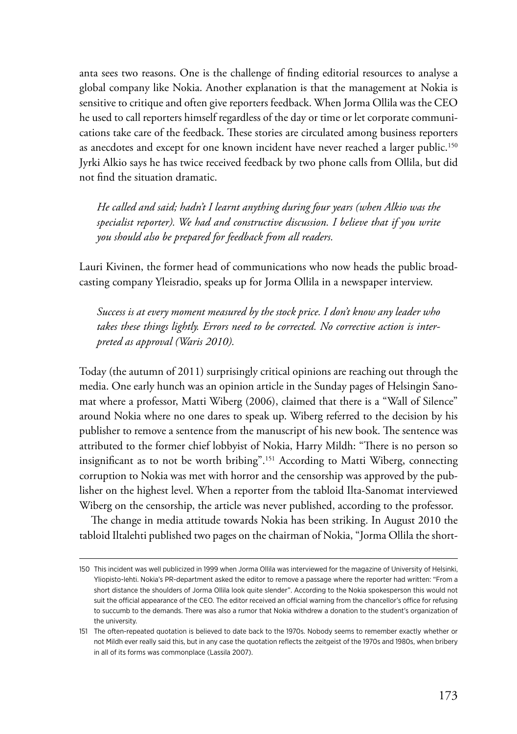anta sees two reasons. One is the challenge of finding editorial resources to analyse a global company like Nokia. Another explanation is that the management at Nokia is sensitive to critique and often give reporters feedback. When Jorma Ollila was the CEO he used to call reporters himself regardless of the day or time or let corporate communications take care of the feedback. These stories are circulated among business reporters as anecdotes and except for one known incident have never reached a larger public.<sup>150</sup> Jyrki Alkio says he has twice received feedback by two phone calls from Ollila, but did not find the situation dramatic.

*He called and said; hadn't I learnt anything during four years (when Alkio was the specialist reporter). We had and constructive discussion. I believe that if you write you should also be prepared for feedback from all readers.*

Lauri Kivinen, the former head of communications who now heads the public broadcasting company Yleisradio, speaks up for Jorma Ollila in a newspaper interview.

*Success is at every moment measured by the stock price. I don't know any leader who takes these things lightly. Errors need to be corrected. No corrective action is interpreted as approval (Waris 2010).*

Today (the autumn of 2011) surprisingly critical opinions are reaching out through the media. One early hunch was an opinion article in the Sunday pages of Helsingin Sanomat where a professor, Matti Wiberg (2006), claimed that there is a "Wall of Silence" around Nokia where no one dares to speak up. Wiberg referred to the decision by his publisher to remove a sentence from the manuscript of his new book. The sentence was attributed to the former chief lobbyist of Nokia, Harry Mildh: "There is no person so insignificant as to not be worth bribing".151 According to Matti Wiberg, connecting corruption to Nokia was met with horror and the censorship was approved by the publisher on the highest level. When a reporter from the tabloid Ilta-Sanomat interviewed Wiberg on the censorship, the article was never published, according to the professor.

The change in media attitude towards Nokia has been striking. In August 2010 the tabloid Iltalehti published two pages on the chairman of Nokia, "Jorma Ollila the short-

<sup>150</sup> This incident was well publicized in 1999 when Jorma Ollila was interviewed for the magazine of University of Helsinki, Yliopisto-lehti. Nokia's PR-department asked the editor to remove a passage where the reporter had written: "From a short distance the shoulders of Jorma Ollila look quite slender". According to the Nokia spokesperson this would not suit the official appearance of the CEO. The editor received an official warning from the chancellor's office for refusing to succumb to the demands. There was also a rumor that Nokia withdrew a donation to the student's organization of the university.

<sup>151</sup> The often-repeated quotation is believed to date back to the 1970s. Nobody seems to remember exactly whether or not Mildh ever really said this, but in any case the quotation reflects the zeitgeist of the 1970s and 1980s, when bribery in all of its forms was commonplace (Lassila 2007).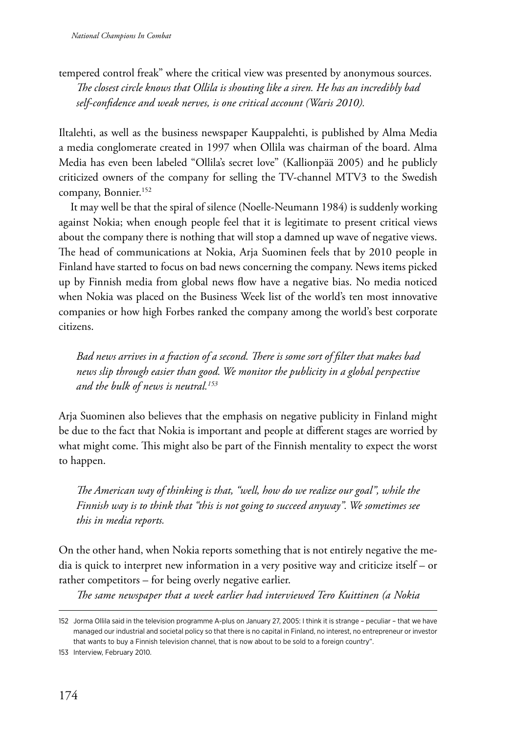tempered control freak" where the critical view was presented by anonymous sources. *The closest circle knows that Ollila is shouting like a siren. He has an incredibly bad self-confidence and weak nerves, is one critical account (Waris 2010).*

Iltalehti, as well as the business newspaper Kauppalehti, is published by Alma Media a media conglomerate created in 1997 when Ollila was chairman of the board. Alma Media has even been labeled "Ollila's secret love" (Kallionpää 2005) and he publicly criticized owners of the company for selling the TV-channel MTV3 to the Swedish company, Bonnier.<sup>152</sup>

It may well be that the spiral of silence (Noelle-Neumann 1984) is suddenly working against Nokia; when enough people feel that it is legitimate to present critical views about the company there is nothing that will stop a damned up wave of negative views. The head of communications at Nokia, Arja Suominen feels that by 2010 people in Finland have started to focus on bad news concerning the company. News items picked up by Finnish media from global news flow have a negative bias. No media noticed when Nokia was placed on the Business Week list of the world's ten most innovative companies or how high Forbes ranked the company among the world's best corporate citizens.

*Bad news arrives in a fraction of a second. There is some sort of filter that makes bad news slip through easier than good. We monitor the publicity in a global perspective and the bulk of news is neutral.153*

Arja Suominen also believes that the emphasis on negative publicity in Finland might be due to the fact that Nokia is important and people at different stages are worried by what might come. This might also be part of the Finnish mentality to expect the worst to happen.

*The American way of thinking is that, "well, how do we realize our goal", while the Finnish way is to think that "this is not going to succeed anyway". We sometimes see this in media reports.*

On the other hand, when Nokia reports something that is not entirely negative the media is quick to interpret new information in a very positive way and criticize itself – or rather competitors – for being overly negative earlier.

*The same newspaper that a week earlier had interviewed Tero Kuittinen (a Nokia* 

<sup>152</sup> Jorma Ollila said in the television programme A-plus on January 27, 2005: I think it is strange – peculiar – that we have managed our industrial and societal policy so that there is no capital in Finland, no interest, no entrepreneur or investor that wants to buy a Finnish television channel, that is now about to be sold to a foreign country".

<sup>153</sup> Interview, February 2010.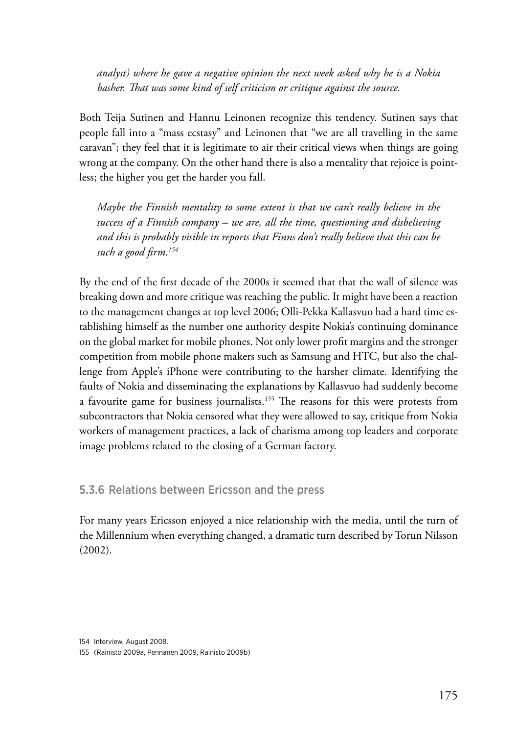*analyst) where he gave a negative opinion the next week asked why he is a Nokia basher. That was some kind of self criticism or critique against the source.*

Both Teija Sutinen and Hannu Leinonen recognize this tendency. Sutinen says that people fall into a "mass ecstasy" and Leinonen that "we are all travelling in the same caravan"; they feel that it is legitimate to air their critical views when things are going wrong at the company. On the other hand there is also a mentality that rejoice is pointless; the higher you get the harder you fall.

*Maybe the Finnish mentality to some extent is that we can't really believe in the success of a Finnish company – we are, all the time, questioning and disbelieving and this is probably visible in reports that Finns don't really believe that this can be such a good firm.154*

By the end of the first decade of the 2000s it seemed that that the wall of silence was breaking down and more critique was reaching the public. It might have been a reaction to the management changes at top level 2006; Olli-Pekka Kallasvuo had a hard time establishing himself as the number one authority despite Nokia's continuing dominance on the global market for mobile phones. Not only lower profit margins and the stronger competition from mobile phone makers such as Samsung and HTC, but also the challenge from Apple's iPhone were contributing to the harsher climate. Identifying the faults of Nokia and disseminating the explanations by Kallasvuo had suddenly become a favourite game for business journalists.<sup>155</sup> The reasons for this were protests from subcontractors that Nokia censored what they were allowed to say, critique from Nokia workers of management practices, a lack of charisma among top leaders and corporate image problems related to the closing of a German factory.

5.3.6 Relations between Ericsson and the press

For many years Ericsson enjoyed a nice relationship with the media, until the turn of the Millennium when everything changed, a dramatic turn described by Torun Nilsson (2002).

<sup>154</sup> Interview, August 2008.

<sup>155</sup> (Rainisto 2009a, Pennanen 2009, Rainisto 2009b)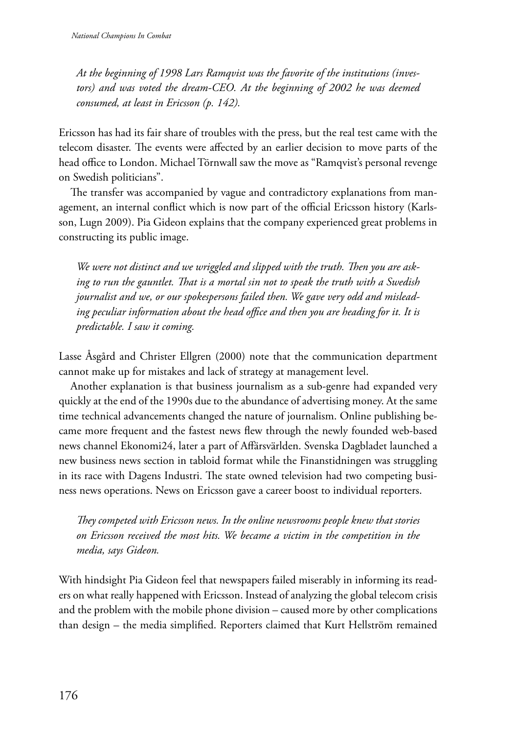*At the beginning of 1998 Lars Ramqvist was the favorite of the institutions (inves*tors) and was voted the dream-CEO. At the beginning of 2002 he was deemed *consumed, at least in Ericsson (p. 142).*

Ericsson has had its fair share of troubles with the press, but the real test came with the telecom disaster. The events were affected by an earlier decision to move parts of the head office to London. Michael Törnwall saw the move as "Ramqvist's personal revenge on Swedish politicians".

The transfer was accompanied by vague and contradictory explanations from management, an internal conflict which is now part of the official Ericsson history (Karlsson, Lugn 2009). Pia Gideon explains that the company experienced great problems in constructing its public image.

*We were not distinct and we wriggled and slipped with the truth. Then you are asking to run the gauntlet. That is a mortal sin not to speak the truth with a Swedish journalist and we, or our spokespersons failed then. We gave very odd and misleading peculiar information about the head office and then you are heading for it. It is predictable. I saw it coming.*

Lasse Åsgård and Christer Ellgren (2000) note that the communication department cannot make up for mistakes and lack of strategy at management level.

Another explanation is that business journalism as a sub-genre had expanded very quickly at the end of the 1990s due to the abundance of advertising money. At the same time technical advancements changed the nature of journalism. Online publishing became more frequent and the fastest news flew through the newly founded web-based news channel Ekonomi24, later a part of Affärsvärlden. Svenska Dagbladet launched a new business news section in tabloid format while the Finanstidningen was struggling in its race with Dagens Industri. The state owned television had two competing business news operations. News on Ericsson gave a career boost to individual reporters.

*They competed with Ericsson news. In the online newsrooms people knew that stories on Ericsson received the most hits. We became a victim in the competition in the media, says Gideon.*

With hindsight Pia Gideon feel that newspapers failed miserably in informing its readers on what really happened with Ericsson. Instead of analyzing the global telecom crisis and the problem with the mobile phone division – caused more by other complications than design – the media simplified. Reporters claimed that Kurt Hellström remained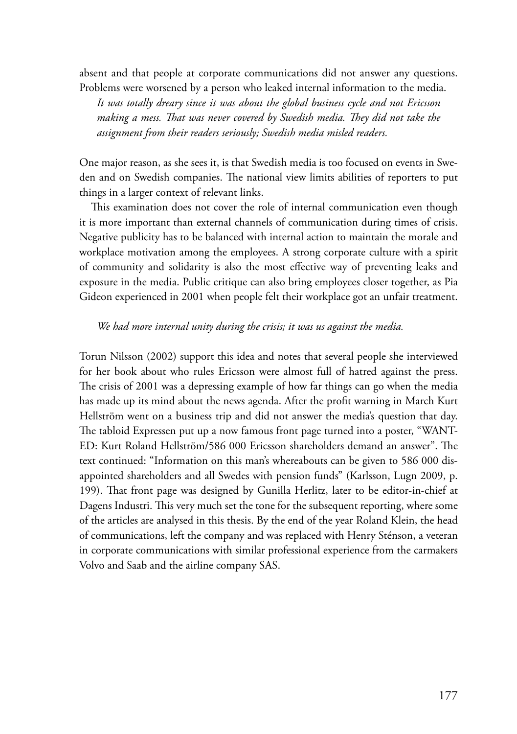absent and that people at corporate communications did not answer any questions. Problems were worsened by a person who leaked internal information to the media.

*It was totally dreary since it was about the global business cycle and not Ericsson making a mess. That was never covered by Swedish media. They did not take the assignment from their readers seriously; Swedish media misled readers.*

One major reason, as she sees it, is that Swedish media is too focused on events in Sweden and on Swedish companies. The national view limits abilities of reporters to put things in a larger context of relevant links.

This examination does not cover the role of internal communication even though it is more important than external channels of communication during times of crisis. Negative publicity has to be balanced with internal action to maintain the morale and workplace motivation among the employees. A strong corporate culture with a spirit of community and solidarity is also the most effective way of preventing leaks and exposure in the media. Public critique can also bring employees closer together, as Pia Gideon experienced in 2001 when people felt their workplace got an unfair treatment.

#### *We had more internal unity during the crisis; it was us against the media.*

Torun Nilsson (2002) support this idea and notes that several people she interviewed for her book about who rules Ericsson were almost full of hatred against the press. The crisis of 2001 was a depressing example of how far things can go when the media has made up its mind about the news agenda. After the profit warning in March Kurt Hellström went on a business trip and did not answer the media's question that day. The tabloid Expressen put up a now famous front page turned into a poster, "WANT-ED: Kurt Roland Hellström/586 000 Ericsson shareholders demand an answer". The text continued: "Information on this man's whereabouts can be given to 586 000 disappointed shareholders and all Swedes with pension funds" (Karlsson, Lugn 2009, p. 199). That front page was designed by Gunilla Herlitz, later to be editor-in-chief at Dagens Industri. This very much set the tone for the subsequent reporting, where some of the articles are analysed in this thesis. By the end of the year Roland Klein, the head of communications, left the company and was replaced with Henry Sténson, a veteran in corporate communications with similar professional experience from the carmakers Volvo and Saab and the airline company SAS.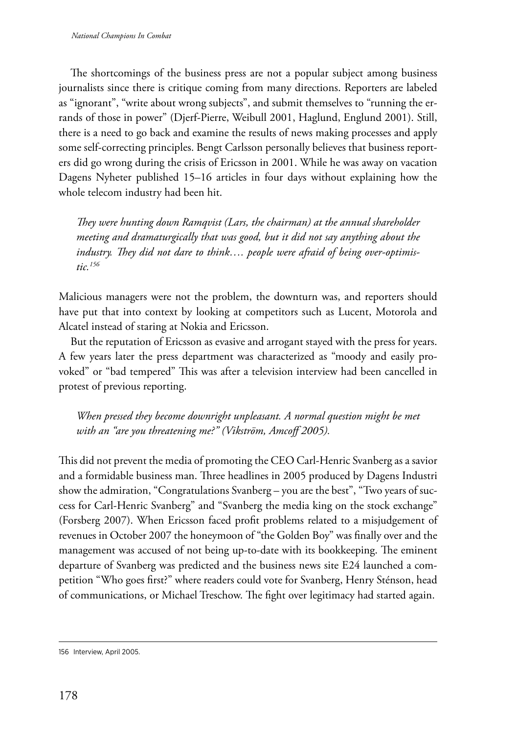The shortcomings of the business press are not a popular subject among business journalists since there is critique coming from many directions. Reporters are labeled as "ignorant", "write about wrong subjects", and submit themselves to "running the errands of those in power" (Djerf-Pierre, Weibull 2001, Haglund, Englund 2001). Still, there is a need to go back and examine the results of news making processes and apply some self-correcting principles. Bengt Carlsson personally believes that business reporters did go wrong during the crisis of Ericsson in 2001. While he was away on vacation Dagens Nyheter published 15–16 articles in four days without explaining how the whole telecom industry had been hit.

*They were hunting down Ramqvist (Lars, the chairman) at the annual shareholder meeting and dramaturgically that was good, but it did not say anything about the industry. They did not dare to think…. people were afraid of being over-optimistic.156*

Malicious managers were not the problem, the downturn was, and reporters should have put that into context by looking at competitors such as Lucent, Motorola and Alcatel instead of staring at Nokia and Ericsson.

But the reputation of Ericsson as evasive and arrogant stayed with the press for years. A few years later the press department was characterized as "moody and easily provoked" or "bad tempered" This was after a television interview had been cancelled in protest of previous reporting.

When pressed they become downright unpleasant. A normal question might be met *with an "are you threatening me?" (Vikström, Amcoff 2005).* 

This did not prevent the media of promoting the CEO Carl-Henric Svanberg as a savior and a formidable business man. Three headlines in 2005 produced by Dagens Industri show the admiration, "Congratulations Svanberg – you are the best", "Two years of success for Carl-Henric Svanberg" and "Svanberg the media king on the stock exchange" (Forsberg 2007). When Ericsson faced profit problems related to a misjudgement of revenues in October 2007 the honeymoon of "the Golden Boy" was finally over and the management was accused of not being up-to-date with its bookkeeping. The eminent departure of Svanberg was predicted and the business news site E24 launched a competition "Who goes first?" where readers could vote for Svanberg, Henry Sténson, head of communications, or Michael Treschow. The fight over legitimacy had started again.

<sup>156</sup> Interview, April 2005.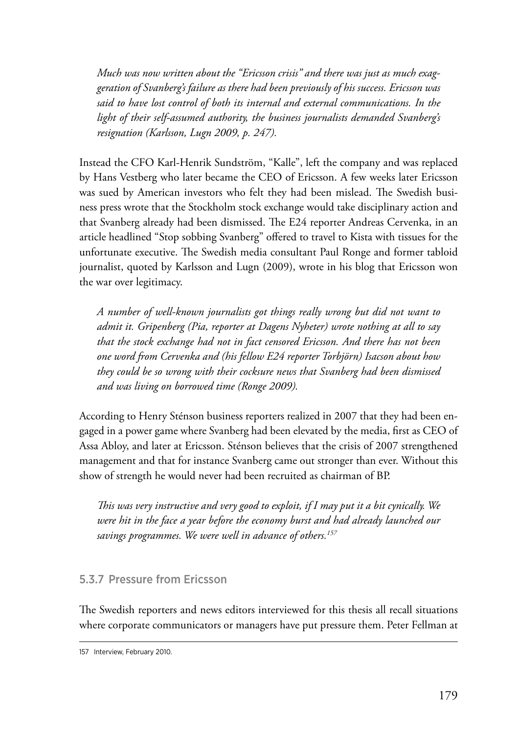*Much was now written about the "Ericsson crisis" and there was just as much exaggeration of Svanberg's failure as there had been previously of his success. Ericsson was said to have lost control of both its internal and external communications. In the light of their self-assumed authority, the business journalists demanded Svanberg's resignation (Karlsson, Lugn 2009, p. 247).*

Instead the CFO Karl-Henrik Sundström, "Kalle", left the company and was replaced by Hans Vestberg who later became the CEO of Ericsson. A few weeks later Ericsson was sued by American investors who felt they had been mislead. The Swedish business press wrote that the Stockholm stock exchange would take disciplinary action and that Svanberg already had been dismissed. The E24 reporter Andreas Cervenka, in an article headlined "Stop sobbing Svanberg" offered to travel to Kista with tissues for the unfortunate executive. The Swedish media consultant Paul Ronge and former tabloid journalist, quoted by Karlsson and Lugn (2009), wrote in his blog that Ericsson won the war over legitimacy.

*A number of well-known journalists got things really wrong but did not want to admit it. Gripenberg (Pia, reporter at Dagens Nyheter) wrote nothing at all to say that the stock exchange had not in fact censored Ericsson. And there has not been one word from Cervenka and (his fellow E24 reporter Torbjörn) Isacson about how they could be so wrong with their cocksure news that Svanberg had been dismissed and was living on borrowed time (Ronge 2009).*

According to Henry Sténson business reporters realized in 2007 that they had been engaged in a power game where Svanberg had been elevated by the media, first as CEO of Assa Abloy, and later at Ericsson. Sténson believes that the crisis of 2007 strengthened management and that for instance Svanberg came out stronger than ever. Without this show of strength he would never had been recruited as chairman of BP.

*This was very instructive and very good to exploit, if I may put it a bit cynically. We were hit in the face a year before the economy burst and had already launched our savings programmes. We were well in advance of others.157*

### 5.3.7 Pressure from Ericsson

The Swedish reporters and news editors interviewed for this thesis all recall situations where corporate communicators or managers have put pressure them. Peter Fellman at

<sup>157</sup> Interview, February 2010.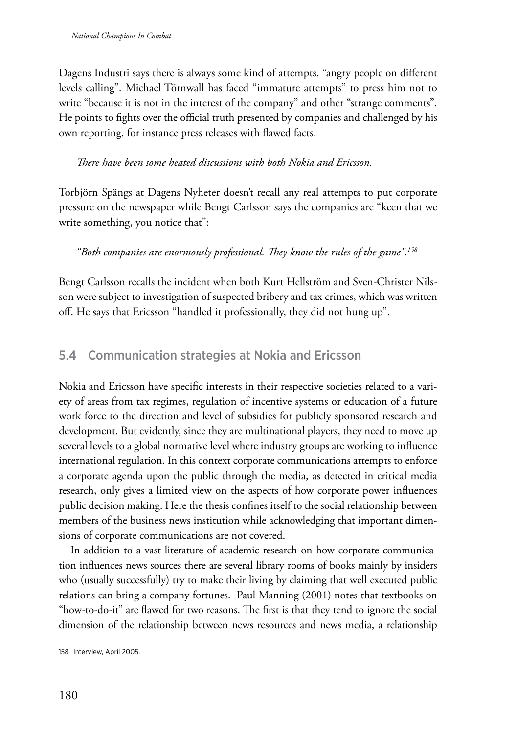Dagens Industri says there is always some kind of attempts, "angry people on different levels calling". Michael Törnwall has faced "immature attempts" to press him not to write "because it is not in the interest of the company" and other "strange comments". He points to fights over the official truth presented by companies and challenged by his own reporting, for instance press releases with flawed facts.

### *There have been some heated discussions with both Nokia and Ericsson.*

Torbjörn Spängs at Dagens Nyheter doesn't recall any real attempts to put corporate pressure on the newspaper while Bengt Carlsson says the companies are "keen that we write something, you notice that":

*"Both companies are enormously professional. They know the rules of the game".158*

Bengt Carlsson recalls the incident when both Kurt Hellström and Sven-Christer Nilsson were subject to investigation of suspected bribery and tax crimes, which was written off. He says that Ericsson "handled it professionally, they did not hung up".

# 5.4 Communication strategies at Nokia and Ericsson

Nokia and Ericsson have specific interests in their respective societies related to a variety of areas from tax regimes, regulation of incentive systems or education of a future work force to the direction and level of subsidies for publicly sponsored research and development. But evidently, since they are multinational players, they need to move up several levels to a global normative level where industry groups are working to influence international regulation. In this context corporate communications attempts to enforce a corporate agenda upon the public through the media, as detected in critical media research, only gives a limited view on the aspects of how corporate power influences public decision making. Here the thesis confines itself to the social relationship between members of the business news institution while acknowledging that important dimensions of corporate communications are not covered.

In addition to a vast literature of academic research on how corporate communication influences news sources there are several library rooms of books mainly by insiders who (usually successfully) try to make their living by claiming that well executed public relations can bring a company fortunes. Paul Manning (2001) notes that textbooks on "how-to-do-it" are flawed for two reasons. The first is that they tend to ignore the social dimension of the relationship between news resources and news media, a relationship

<sup>158</sup> Interview, April 2005.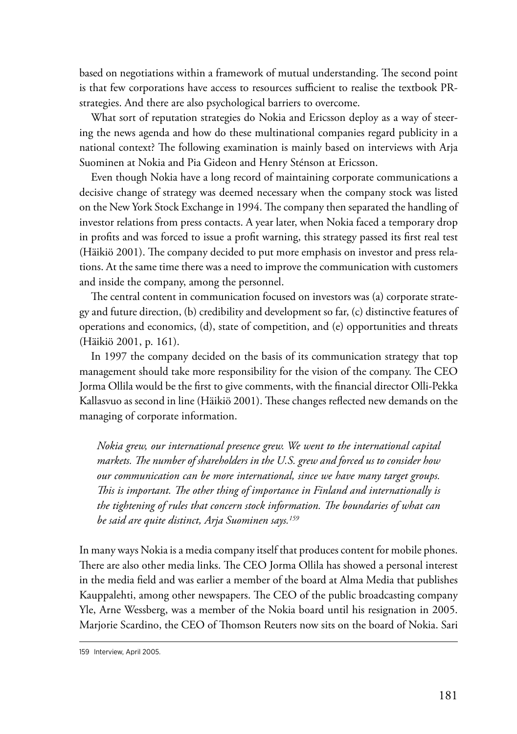based on negotiations within a framework of mutual understanding. The second point is that few corporations have access to resources sufficient to realise the textbook PRstrategies. And there are also psychological barriers to overcome.

What sort of reputation strategies do Nokia and Ericsson deploy as a way of steering the news agenda and how do these multinational companies regard publicity in a national context? The following examination is mainly based on interviews with Arja Suominen at Nokia and Pia Gideon and Henry Sténson at Ericsson.

Even though Nokia have a long record of maintaining corporate communications a decisive change of strategy was deemed necessary when the company stock was listed on the New York Stock Exchange in 1994. The company then separated the handling of investor relations from press contacts. A year later, when Nokia faced a temporary drop in profits and was forced to issue a profit warning, this strategy passed its first real test (Häikiö 2001). The company decided to put more emphasis on investor and press relations. At the same time there was a need to improve the communication with customers and inside the company, among the personnel.

The central content in communication focused on investors was (a) corporate strategy and future direction, (b) credibility and development so far, (c) distinctive features of operations and economics, (d), state of competition, and (e) opportunities and threats (Häikiö 2001, p. 161).

In 1997 the company decided on the basis of its communication strategy that top management should take more responsibility for the vision of the company. The CEO Jorma Ollila would be the first to give comments, with the financial director Olli-Pekka Kallasvuo as second in line (Häikiö 2001). These changes reflected new demands on the managing of corporate information.

*Nokia grew, our international presence grew. We went to the international capital markets. The number of shareholders in the U.S. grew and forced us to consider how our communication can be more international, since we have many target groups. This is important. The other thing of importance in Finland and internationally is the tightening of rules that concern stock information. The boundaries of what can be said are quite distinct, Arja Suominen says.159*

In many ways Nokia is a media company itself that produces content for mobile phones. There are also other media links. The CEO Jorma Ollila has showed a personal interest in the media field and was earlier a member of the board at Alma Media that publishes Kauppalehti, among other newspapers. The CEO of the public broadcasting company Yle, Arne Wessberg, was a member of the Nokia board until his resignation in 2005. Marjorie Scardino, the CEO of Thomson Reuters now sits on the board of Nokia. Sari

<sup>159</sup> Interview, April 2005.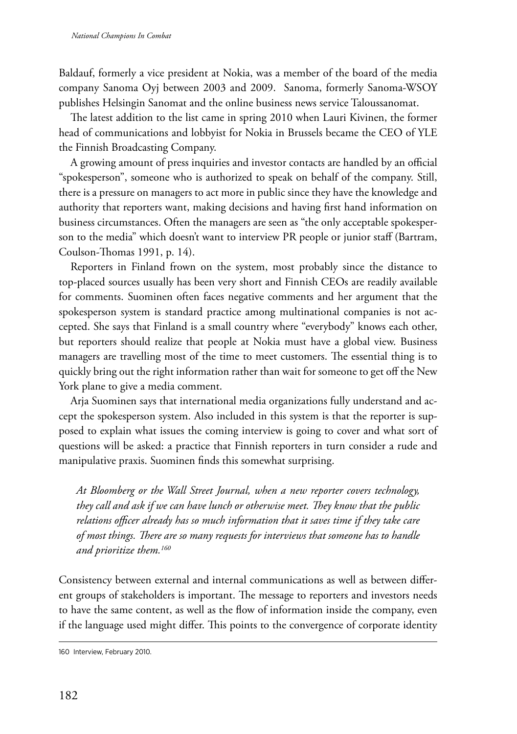Baldauf, formerly a vice president at Nokia, was a member of the board of the media company Sanoma Oyj between 2003 and 2009. Sanoma, formerly Sanoma-WSOY publishes Helsingin Sanomat and the online business news service Taloussanomat.

The latest addition to the list came in spring 2010 when Lauri Kivinen, the former head of communications and lobbyist for Nokia in Brussels became the CEO of YLE the Finnish Broadcasting Company.

A growing amount of press inquiries and investor contacts are handled by an official "spokesperson", someone who is authorized to speak on behalf of the company. Still, there is a pressure on managers to act more in public since they have the knowledge and authority that reporters want, making decisions and having first hand information on business circumstances. Often the managers are seen as "the only acceptable spokesperson to the media" which doesn't want to interview PR people or junior staff (Bartram, Coulson-Thomas 1991, p. 14).

Reporters in Finland frown on the system, most probably since the distance to top-placed sources usually has been very short and Finnish CEOs are readily available for comments. Suominen often faces negative comments and her argument that the spokesperson system is standard practice among multinational companies is not accepted. She says that Finland is a small country where "everybody" knows each other, but reporters should realize that people at Nokia must have a global view. Business managers are travelling most of the time to meet customers. The essential thing is to quickly bring out the right information rather than wait for someone to get off the New York plane to give a media comment.

Arja Suominen says that international media organizations fully understand and accept the spokesperson system. Also included in this system is that the reporter is supposed to explain what issues the coming interview is going to cover and what sort of questions will be asked: a practice that Finnish reporters in turn consider a rude and manipulative praxis. Suominen finds this somewhat surprising.

*At Bloomberg or the Wall Street Journal, when a new reporter covers technology, they call and ask if we can have lunch or otherwise meet. They know that the public relations officer already has so much information that it saves time if they take care of most things. There are so many requests for interviews that someone has to handle and prioritize them.160*

Consistency between external and internal communications as well as between different groups of stakeholders is important. The message to reporters and investors needs to have the same content, as well as the flow of information inside the company, even if the language used might differ. This points to the convergence of corporate identity

<sup>160</sup> Interview, February 2010.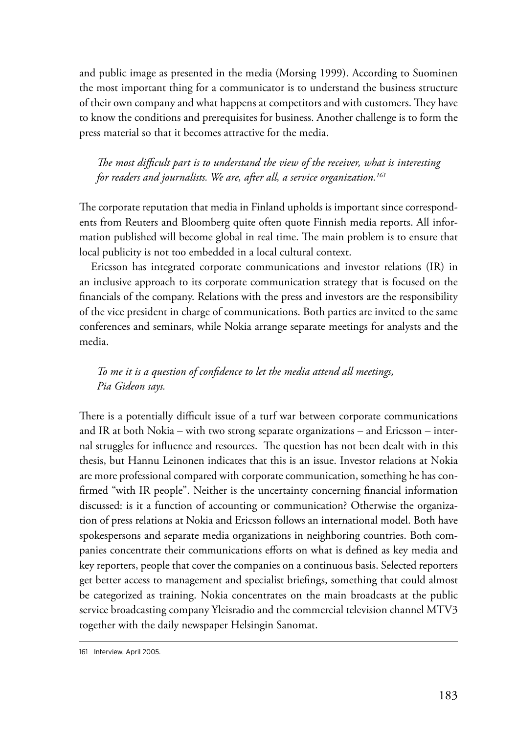and public image as presented in the media (Morsing 1999). According to Suominen the most important thing for a communicator is to understand the business structure of their own company and what happens at competitors and with customers. They have to know the conditions and prerequisites for business. Another challenge is to form the press material so that it becomes attractive for the media.

*The most difficult part is to understand the view of the receiver, what is interesting for readers and journalists. We are, after all, a service organization.161*

The corporate reputation that media in Finland upholds is important since correspondents from Reuters and Bloomberg quite often quote Finnish media reports. All information published will become global in real time. The main problem is to ensure that local publicity is not too embedded in a local cultural context.

Ericsson has integrated corporate communications and investor relations (IR) in an inclusive approach to its corporate communication strategy that is focused on the financials of the company. Relations with the press and investors are the responsibility of the vice president in charge of communications. Both parties are invited to the same conferences and seminars, while Nokia arrange separate meetings for analysts and the media.

*To me it is a question of confidence to let the media attend all meetings, Pia Gideon says.*

There is a potentially difficult issue of a turf war between corporate communications and IR at both Nokia – with two strong separate organizations – and Ericsson – internal struggles for influence and resources. The question has not been dealt with in this thesis, but Hannu Leinonen indicates that this is an issue. Investor relations at Nokia are more professional compared with corporate communication, something he has confirmed "with IR people". Neither is the uncertainty concerning financial information discussed: is it a function of accounting or communication? Otherwise the organization of press relations at Nokia and Ericsson follows an international model. Both have spokespersons and separate media organizations in neighboring countries. Both companies concentrate their communications efforts on what is defined as key media and key reporters, people that cover the companies on a continuous basis. Selected reporters get better access to management and specialist briefings, something that could almost be categorized as training. Nokia concentrates on the main broadcasts at the public service broadcasting company Yleisradio and the commercial television channel MTV3 together with the daily newspaper Helsingin Sanomat.

<sup>161</sup> Interview, April 2005.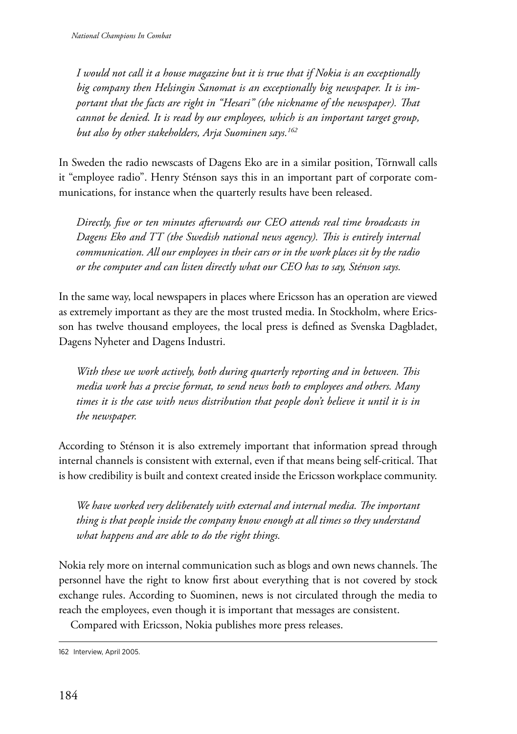*I would not call it a house magazine but it is true that if Nokia is an exceptionally big company then Helsingin Sanomat is an exceptionally big newspaper. It is important that the facts are right in "Hesari" (the nickname of the newspaper). That cannot be denied. It is read by our employees, which is an important target group, but also by other stakeholders, Arja Suominen says.162*

In Sweden the radio newscasts of Dagens Eko are in a similar position, Törnwall calls it "employee radio". Henry Sténson says this in an important part of corporate communications, for instance when the quarterly results have been released.

*Directly, five or ten minutes afterwards our CEO attends real time broadcasts in Dagens Eko and TT (the Swedish national news agency). This is entirely internal communication. All our employees in their cars or in the work places sit by the radio or the computer and can listen directly what our CEO has to say, Sténson says.*

In the same way, local newspapers in places where Ericsson has an operation are viewed as extremely important as they are the most trusted media. In Stockholm, where Ericsson has twelve thousand employees, the local press is defined as Svenska Dagbladet, Dagens Nyheter and Dagens Industri.

*With these we work actively, both during quarterly reporting and in between. This media work has a precise format, to send news both to employees and others. Many times it is the case with news distribution that people don't believe it until it is in the newspaper.* 

According to Sténson it is also extremely important that information spread through internal channels is consistent with external, even if that means being self-critical. That is how credibility is built and context created inside the Ericsson workplace community.

*We have worked very deliberately with external and internal media. The important thing is that people inside the company know enough at all times so they understand what happens and are able to do the right things.*

Nokia rely more on internal communication such as blogs and own news channels. The personnel have the right to know first about everything that is not covered by stock exchange rules. According to Suominen, news is not circulated through the media to reach the employees, even though it is important that messages are consistent.

Compared with Ericsson, Nokia publishes more press releases.

<sup>162</sup> Interview, April 2005.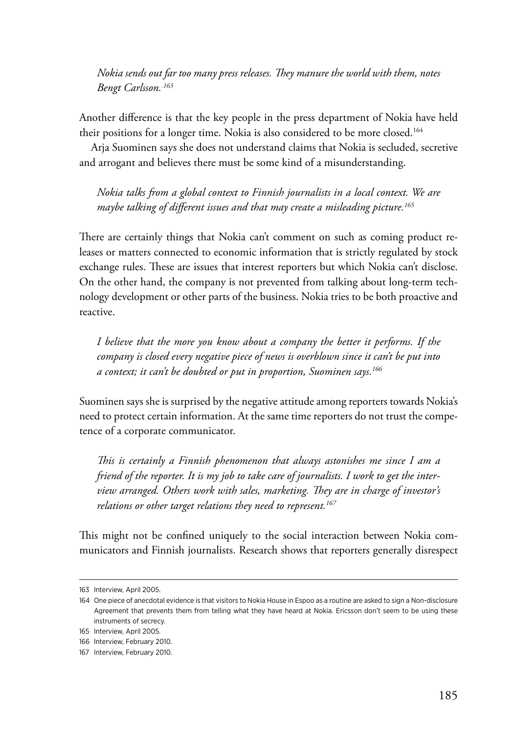*Nokia sends out far too many press releases. They manure the world with them, notes Bengt Carlsson..163*

Another difference is that the key people in the press department of Nokia have held their positions for a longer time. Nokia is also considered to be more closed.164

Arja Suominen says she does not understand claims that Nokia is secluded, secretive and arrogant and believes there must be some kind of a misunderstanding.

*Nokia talks from a global context to Finnish journalists in a local context. We are maybe talking of different issues and that may create a misleading picture.165*

There are certainly things that Nokia can't comment on such as coming product releases or matters connected to economic information that is strictly regulated by stock exchange rules. These are issues that interest reporters but which Nokia can't disclose. On the other hand, the company is not prevented from talking about long-term technology development or other parts of the business. Nokia tries to be both proactive and reactive.

*I believe that the more you know about a company the better it performs. If the company is closed every negative piece of news is overblown since it can't be put into a context; it can't be doubted or put in proportion, Suominen says.166*

Suominen says she is surprised by the negative attitude among reporters towards Nokia's need to protect certain information. At the same time reporters do not trust the competence of a corporate communicator.

*This is certainly a Finnish phenomenon that always astonishes me since I am a friend of the reporter. It is my job to take care of journalists. I work to get the interview arranged. Others work with sales, marketing. They are in charge of investor's relations or other target relations they need to represent.167*

This might not be confined uniquely to the social interaction between Nokia communicators and Finnish journalists. Research shows that reporters generally disrespect

<sup>163</sup> Interview, April 2005.

<sup>164</sup> One piece of anecdotal evidence is that visitors to Nokia House in Espoo as a routine are asked to sign a Non-disclosure Agreement that prevents them from telling what they have heard at Nokia. Ericsson don't seem to be using these instruments of secrecy.

<sup>165</sup> Interview, April 2005.

<sup>166</sup> Interview, February 2010.

<sup>167</sup> Interview, February 2010.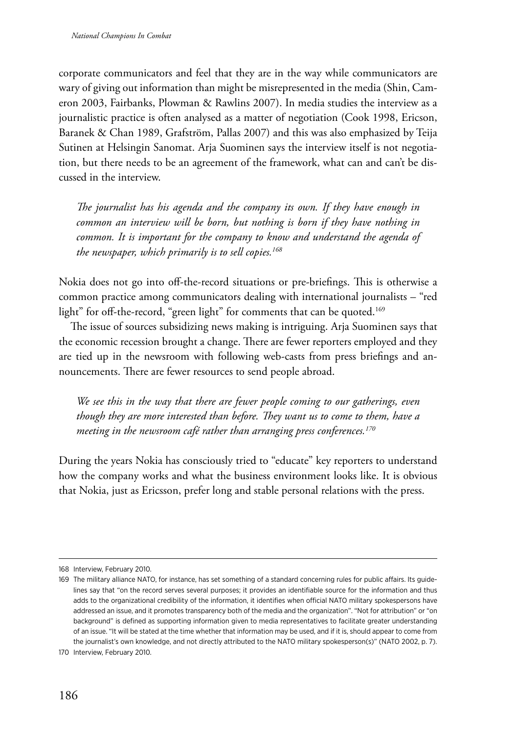corporate communicators and feel that they are in the way while communicators are wary of giving out information than might be misrepresented in the media (Shin, Cameron 2003, Fairbanks, Plowman & Rawlins 2007). In media studies the interview as a journalistic practice is often analysed as a matter of negotiation (Cook 1998, Ericson, Baranek & Chan 1989, Grafström, Pallas 2007) and this was also emphasized by Teija Sutinen at Helsingin Sanomat. Arja Suominen says the interview itself is not negotiation, but there needs to be an agreement of the framework, what can and can't be discussed in the interview.

*The journalist has his agenda and the company its own. If they have enough in common an interview will be born, but nothing is born if they have nothing in common. It is important for the company to know and understand the agenda of the newspaper, which primarily is to sell copies.168*

Nokia does not go into off-the-record situations or pre-briefings. This is otherwise a common practice among communicators dealing with international journalists – "red light" for off-the-record, "green light" for comments that can be quoted.<sup>169</sup>

The issue of sources subsidizing news making is intriguing. Arja Suominen says that the economic recession brought a change. There are fewer reporters employed and they are tied up in the newsroom with following web-casts from press briefings and announcements. There are fewer resources to send people abroad.

*We see this in the way that there are fewer people coming to our gatherings, even though they are more interested than before. They want us to come to them, have a meeting in the newsroom café rather than arranging press conferences.170*

During the years Nokia has consciously tried to "educate" key reporters to understand how the company works and what the business environment looks like. It is obvious that Nokia, just as Ericsson, prefer long and stable personal relations with the press.

<sup>168</sup> Interview, February 2010.

<sup>169</sup> The military alliance NATO, for instance, has set something of a standard concerning rules for public affairs. Its guidelines say that "on the record serves several purposes; it provides an identifiable source for the information and thus adds to the organizational credibility of the information, it identifies when official NATO military spokespersons have addressed an issue, and it promotes transparency both of the media and the organization". "Not for attribution" or "on background" is defined as supporting information given to media representatives to facilitate greater understanding of an issue. "It will be stated at the time whether that information may be used, and if it is, should appear to come from the journalist's own knowledge, and not directly attributed to the NATO military spokesperson(s)" (NATO 2002, p. 7).

<sup>170</sup> Interview, February 2010.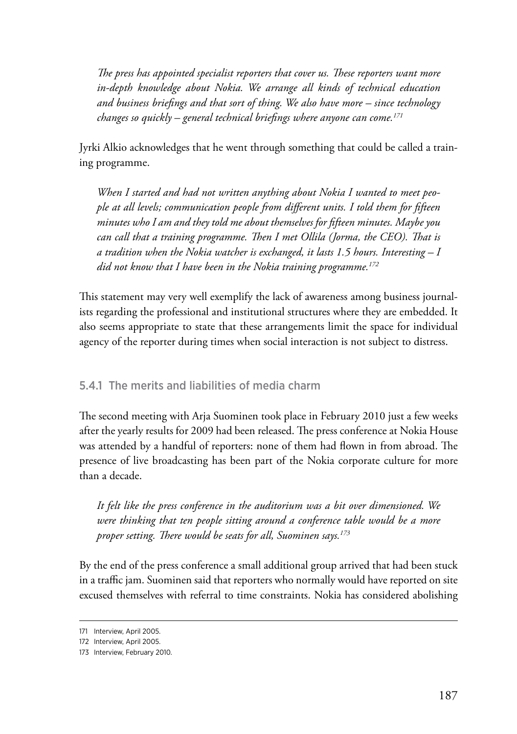*The press has appointed specialist reporters that cover us. These reporters want more in-depth knowledge about Nokia. We arrange all kinds of technical education and business briefings and that sort of thing. We also have more – since technology changes so quickly – general technical briefings where anyone can come.171*

Jyrki Alkio acknowledges that he went through something that could be called a training programme.

*When I started and had not written anything about Nokia I wanted to meet people at all levels; communication people from different units. I told them for fifteen minutes who I am and they told me about themselves for fifteen minutes. Maybe you can call that a training programme. Then I met Ollila (Jorma, the CEO). That is a tradition when the Nokia watcher is exchanged, it lasts 1.5 hours. Interesting – I did not know that I have been in the Nokia training programme.172*

This statement may very well exemplify the lack of awareness among business journalists regarding the professional and institutional structures where they are embedded. It also seems appropriate to state that these arrangements limit the space for individual agency of the reporter during times when social interaction is not subject to distress.

## 5.4.1 The merits and liabilities of media charm

The second meeting with Arja Suominen took place in February 2010 just a few weeks after the yearly results for 2009 had been released. The press conference at Nokia House was attended by a handful of reporters: none of them had flown in from abroad. The presence of live broadcasting has been part of the Nokia corporate culture for more than a decade.

*It felt like the press conference in the auditorium was a bit over dimensioned. We were thinking that ten people sitting around a conference table would be a more proper setting. There would be seats for all, Suominen says.173*

By the end of the press conference a small additional group arrived that had been stuck in a traffic jam. Suominen said that reporters who normally would have reported on site excused themselves with referral to time constraints. Nokia has considered abolishing

<sup>171</sup> Interview, April 2005.

<sup>172</sup> Interview, April 2005.

<sup>173</sup> Interview, February 2010.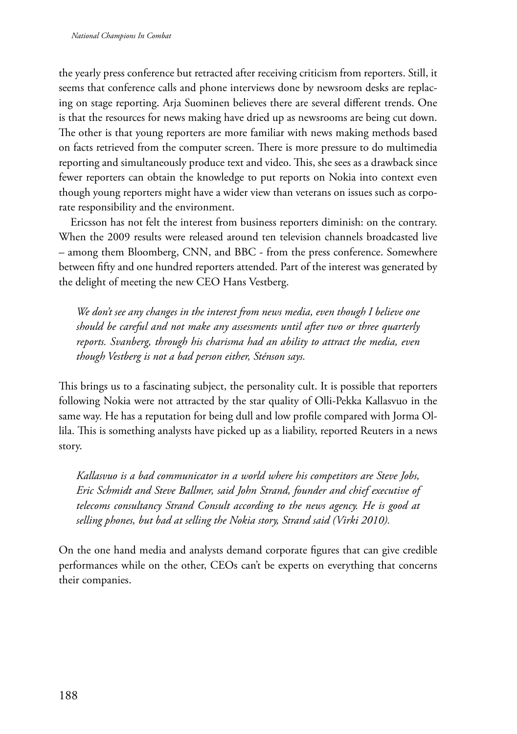the yearly press conference but retracted after receiving criticism from reporters. Still, it seems that conference calls and phone interviews done by newsroom desks are replacing on stage reporting. Arja Suominen believes there are several different trends. One is that the resources for news making have dried up as newsrooms are being cut down. The other is that young reporters are more familiar with news making methods based on facts retrieved from the computer screen. There is more pressure to do multimedia reporting and simultaneously produce text and video. This, she sees as a drawback since fewer reporters can obtain the knowledge to put reports on Nokia into context even though young reporters might have a wider view than veterans on issues such as corporate responsibility and the environment.

Ericsson has not felt the interest from business reporters diminish: on the contrary. When the 2009 results were released around ten television channels broadcasted live – among them Bloomberg, CNN, and BBC - from the press conference. Somewhere between fifty and one hundred reporters attended. Part of the interest was generated by the delight of meeting the new CEO Hans Vestberg.

*We don't see any changes in the interest from news media, even though I believe one should be careful and not make any assessments until after two or three quarterly reports. Svanberg, through his charisma had an ability to attract the media, even though Vestberg is not a bad person either, Sténson says.*

This brings us to a fascinating subject, the personality cult. It is possible that reporters following Nokia were not attracted by the star quality of Olli-Pekka Kallasvuo in the same way. He has a reputation for being dull and low profile compared with Jorma Ollila. This is something analysts have picked up as a liability, reported Reuters in a news story.

*Kallasvuo is a bad communicator in a world where his competitors are Steve Jobs, Eric Schmidt and Steve Ballmer, said John Strand, founder and chief executive of telecoms consultancy Strand Consult according to the news agency. He is good at selling phones, but bad at selling the Nokia story, Strand said (Virki 2010).*

On the one hand media and analysts demand corporate figures that can give credible performances while on the other, CEOs can't be experts on everything that concerns their companies.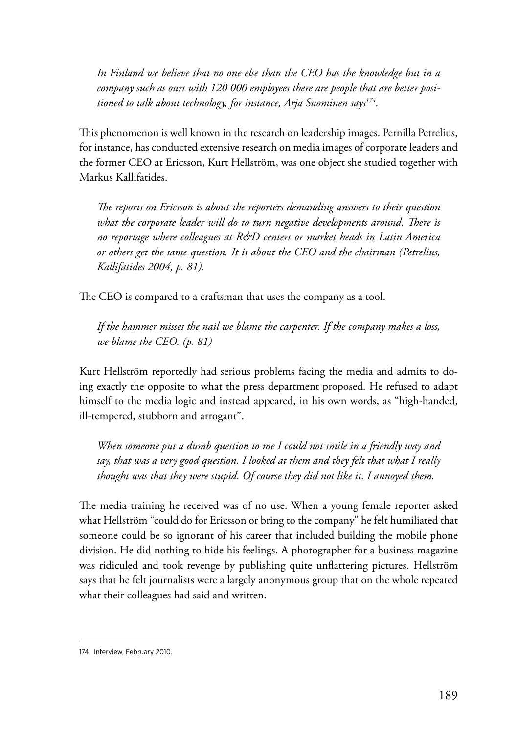*In Finland we believe that no one else than the CEO has the knowledge but in a company such as ours with 120 000 employees there are people that are better positioned to talk about technology, for instance, Arja Suominen says174.*

This phenomenon is well known in the research on leadership images. Pernilla Petrelius, for instance, has conducted extensive research on media images of corporate leaders and the former CEO at Ericsson, Kurt Hellström, was one object she studied together with Markus Kallifatides.

*The reports on Ericsson is about the reporters demanding answers to their question*  what the corporate leader will do to turn negative developments around. There is *no reportage where colleagues at R&D centers or market heads in Latin America or others get the same question. It is about the CEO and the chairman (Petrelius, Kallifatides 2004, p. 81).*

The CEO is compared to a craftsman that uses the company as a tool.

*If the hammer misses the nail we blame the carpenter. If the company makes a loss, we blame the CEO. (p. 81)*

Kurt Hellström reportedly had serious problems facing the media and admits to doing exactly the opposite to what the press department proposed. He refused to adapt himself to the media logic and instead appeared, in his own words, as "high-handed, ill-tempered, stubborn and arrogant".

*When someone put a dumb question to me I could not smile in a friendly way and say, that was a very good question. I looked at them and they felt that what I really thought was that they were stupid. Of course they did not like it. I annoyed them.*

The media training he received was of no use. When a young female reporter asked what Hellström "could do for Ericsson or bring to the company" he felt humiliated that someone could be so ignorant of his career that included building the mobile phone division. He did nothing to hide his feelings. A photographer for a business magazine was ridiculed and took revenge by publishing quite unflattering pictures. Hellström says that he felt journalists were a largely anonymous group that on the whole repeated what their colleagues had said and written.

<sup>174</sup> Interview, February 2010.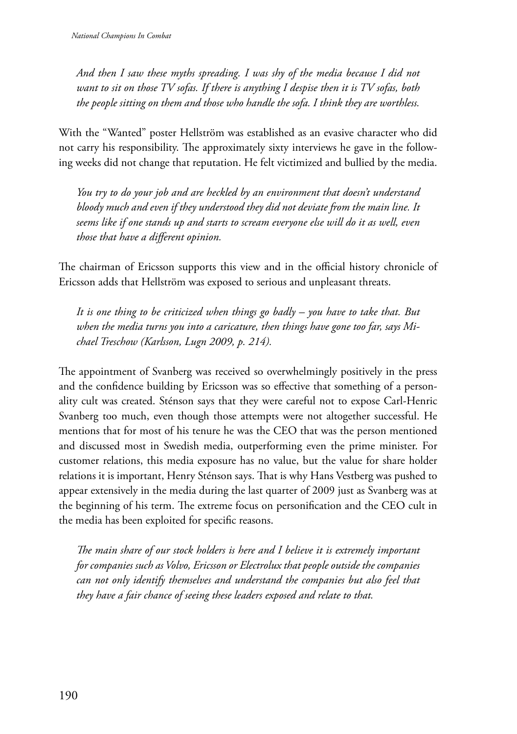*And then I saw these myths spreading. I was shy of the media because I did not want to sit on those TV sofas. If there is anything I despise then it is TV sofas, both the people sitting on them and those who handle the sofa. I think they are worthless.*

With the "Wanted" poster Hellström was established as an evasive character who did not carry his responsibility. The approximately sixty interviews he gave in the following weeks did not change that reputation. He felt victimized and bullied by the media.

*You try to do your job and are heckled by an environment that doesn't understand bloody much and even if they understood they did not deviate from the main line. It seems like if one stands up and starts to scream everyone else will do it as well, even those that have a different opinion.*

The chairman of Ericsson supports this view and in the official history chronicle of Ericsson adds that Hellström was exposed to serious and unpleasant threats.

*It is one thing to be criticized when things go badly – you have to take that. But when the media turns you into a caricature, then things have gone too far, says Michael Treschow (Karlsson, Lugn 2009, p. 214).*

The appointment of Svanberg was received so overwhelmingly positively in the press and the confidence building by Ericsson was so effective that something of a personality cult was created. Sténson says that they were careful not to expose Carl-Henric Svanberg too much, even though those attempts were not altogether successful. He mentions that for most of his tenure he was the CEO that was the person mentioned and discussed most in Swedish media, outperforming even the prime minister. For customer relations, this media exposure has no value, but the value for share holder relations it is important, Henry Sténson says. That is why Hans Vestberg was pushed to appear extensively in the media during the last quarter of 2009 just as Svanberg was at the beginning of his term. The extreme focus on personification and the CEO cult in the media has been exploited for specific reasons.

*The main share of our stock holders is here and I believe it is extremely important for companies such as Volvo, Ericsson or Electrolux that people outside the companies can not only identify themselves and understand the companies but also feel that they have a fair chance of seeing these leaders exposed and relate to that.*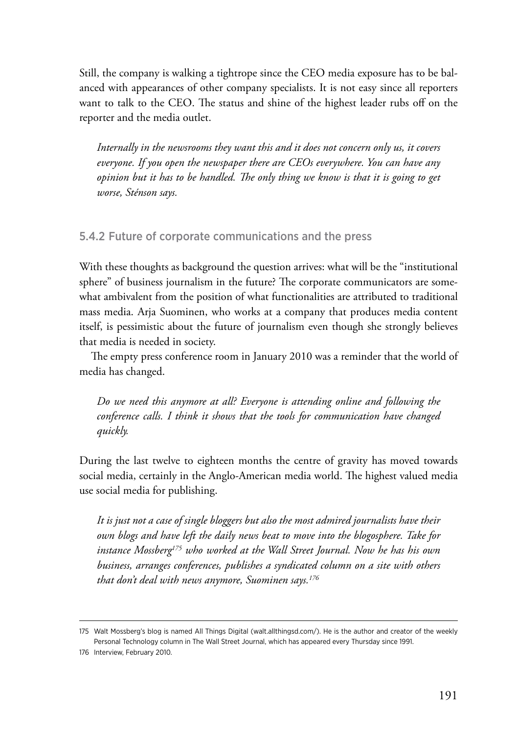Still, the company is walking a tightrope since the CEO media exposure has to be balanced with appearances of other company specialists. It is not easy since all reporters want to talk to the CEO. The status and shine of the highest leader rubs off on the reporter and the media outlet.

*Internally in the newsrooms they want this and it does not concern only us, it covers everyone. If you open the newspaper there are CEOs everywhere. You can have any opinion but it has to be handled. The only thing we know is that it is going to get worse, Sténson says.*

#### 5.4.2 Future of corporate communications and the press

With these thoughts as background the question arrives: what will be the "institutional sphere" of business journalism in the future? The corporate communicators are somewhat ambivalent from the position of what functionalities are attributed to traditional mass media. Arja Suominen, who works at a company that produces media content itself, is pessimistic about the future of journalism even though she strongly believes that media is needed in society.

The empty press conference room in January 2010 was a reminder that the world of media has changed.

*Do we need this anymore at all? Everyone is attending online and following the conference calls. I think it shows that the tools for communication have changed quickly.*

During the last twelve to eighteen months the centre of gravity has moved towards social media, certainly in the Anglo-American media world. The highest valued media use social media for publishing.

*It is just not a case of single bloggers but also the most admired journalists have their own blogs and have left the daily news beat to move into the blogosphere. Take for instance Mossberg175 who worked at the Wall Street Journal. Now he has his own business, arranges conferences, publishes a syndicated column on a site with others that don't deal with news anymore, Suominen says.176*

<sup>175</sup> Walt Mossberg's blog is named All Things Digital (walt.allthingsd.com/). He is the author and creator of the weekly Personal Technology column in The Wall Street Journal, which has appeared every Thursday since 1991.

<sup>176</sup> Interview, February 2010.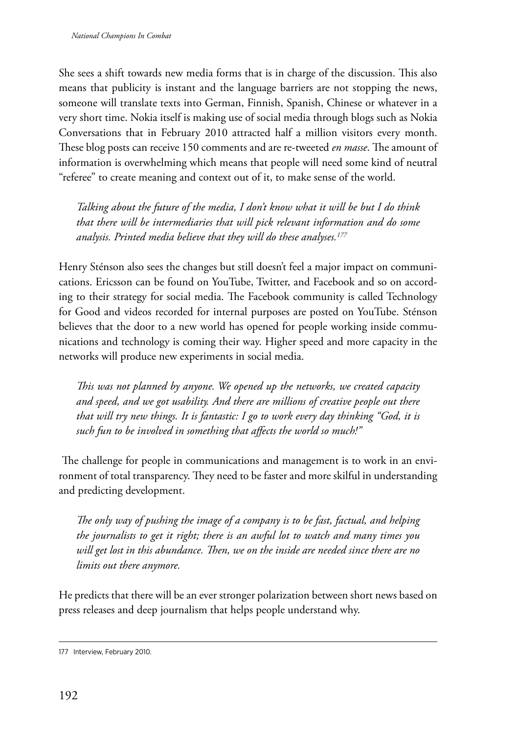She sees a shift towards new media forms that is in charge of the discussion. This also means that publicity is instant and the language barriers are not stopping the news, someone will translate texts into German, Finnish, Spanish, Chinese or whatever in a very short time. Nokia itself is making use of social media through blogs such as Nokia Conversations that in February 2010 attracted half a million visitors every month. These blog posts can receive 150 comments and are re-tweeted *en masse*. The amount of information is overwhelming which means that people will need some kind of neutral "referee" to create meaning and context out of it, to make sense of the world.

*Talking about the future of the media, I don't know what it will be but I do think that there will be intermediaries that will pick relevant information and do some analysis. Printed media believe that they will do these analyses.177* 

Henry Sténson also sees the changes but still doesn't feel a major impact on communications. Ericsson can be found on YouTube, Twitter, and Facebook and so on according to their strategy for social media. The Facebook community is called Technology for Good and videos recorded for internal purposes are posted on YouTube. Sténson believes that the door to a new world has opened for people working inside communications and technology is coming their way. Higher speed and more capacity in the networks will produce new experiments in social media.

*This was not planned by anyone. We opened up the networks, we created capacity and speed, and we got usability. And there are millions of creative people out there that will try new things. It is fantastic: I go to work every day thinking "God, it is such fun to be involved in something that affects the world so much!"*

 The challenge for people in communications and management is to work in an environment of total transparency. They need to be faster and more skilful in understanding and predicting development.

*The only way of pushing the image of a company is to be fast, factual, and helping the journalists to get it right; there is an awful lot to watch and many times you will get lost in this abundance. Then, we on the inside are needed since there are no limits out there anymore.*

He predicts that there will be an ever stronger polarization between short news based on press releases and deep journalism that helps people understand why.

<sup>177</sup> Interview, February 2010.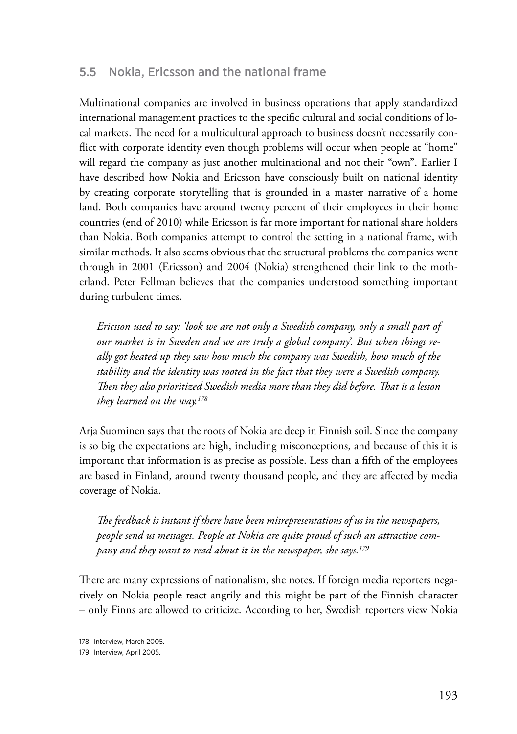# 5.5 Nokia, Ericsson and the national frame

Multinational companies are involved in business operations that apply standardized international management practices to the specific cultural and social conditions of local markets. The need for a multicultural approach to business doesn't necessarily conflict with corporate identity even though problems will occur when people at "home" will regard the company as just another multinational and not their "own". Earlier I have described how Nokia and Ericsson have consciously built on national identity by creating corporate storytelling that is grounded in a master narrative of a home land. Both companies have around twenty percent of their employees in their home countries (end of 2010) while Ericsson is far more important for national share holders than Nokia. Both companies attempt to control the setting in a national frame, with similar methods. It also seems obvious that the structural problems the companies went through in 2001 (Ericsson) and 2004 (Nokia) strengthened their link to the motherland. Peter Fellman believes that the companies understood something important during turbulent times.

*Ericsson used to say: 'look we are not only a Swedish company, only a small part of our market is in Sweden and we are truly a global company'. But when things really got heated up they saw how much the company was Swedish, how much of the stability and the identity was rooted in the fact that they were a Swedish company. Then they also prioritized Swedish media more than they did before. That is a lesson they learned on the way.178*

Arja Suominen says that the roots of Nokia are deep in Finnish soil. Since the company is so big the expectations are high, including misconceptions, and because of this it is important that information is as precise as possible. Less than a fifth of the employees are based in Finland, around twenty thousand people, and they are affected by media coverage of Nokia.

*The feedback is instant if there have been misrepresentations of us in the newspapers, people send us messages. People at Nokia are quite proud of such an attractive company and they want to read about it in the newspaper, she says.179*

There are many expressions of nationalism, she notes. If foreign media reporters negatively on Nokia people react angrily and this might be part of the Finnish character – only Finns are allowed to criticize. According to her, Swedish reporters view Nokia

<sup>178</sup> Interview, March 2005.

<sup>179</sup> Interview, April 2005.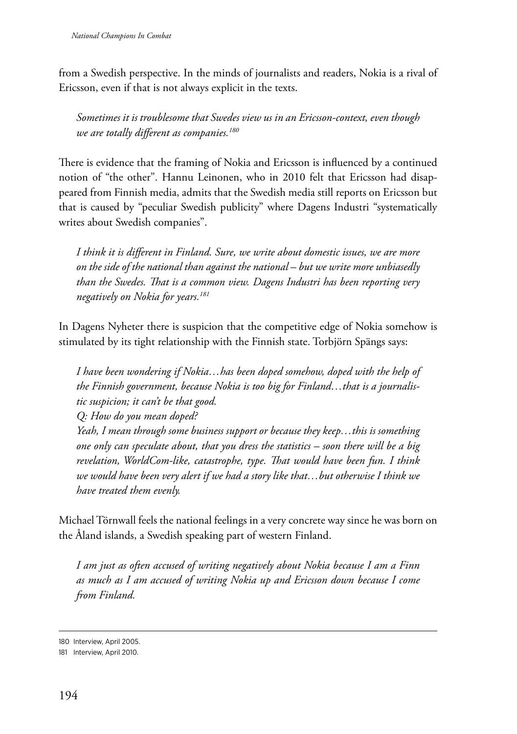from a Swedish perspective. In the minds of journalists and readers, Nokia is a rival of Ericsson, even if that is not always explicit in the texts.

*Sometimes it is troublesome that Swedes view us in an Ericsson-context, even though we are totally different as companies.180*

There is evidence that the framing of Nokia and Ericsson is influenced by a continued notion of "the other". Hannu Leinonen, who in 2010 felt that Ericsson had disappeared from Finnish media, admits that the Swedish media still reports on Ericsson but that is caused by "peculiar Swedish publicity" where Dagens Industri "systematically writes about Swedish companies".

*I think it is different in Finland. Sure, we write about domestic issues, we are more on the side of the national than against the national – but we write more unbiasedly than the Swedes. That is a common view. Dagens Industri has been reporting very negatively on Nokia for years.181*

In Dagens Nyheter there is suspicion that the competitive edge of Nokia somehow is stimulated by its tight relationship with the Finnish state. Torbjörn Spängs says:

*I have been wondering if Nokia…has been doped somehow, doped with the help of the Finnish government, because Nokia is too big for Finland…that is a journalistic suspicion; it can't be that good. Q: How do you mean doped? Yeah, I mean through some business support or because they keep…this is something one only can speculate about, that you dress the statistics – soon there will be a big revelation, WorldCom-like, catastrophe, type. That would have been fun. I think we would have been very alert if we had a story like that…but otherwise I think we have treated them evenly.*

Michael Törnwall feels the national feelings in a very concrete way since he was born on the Åland islands, a Swedish speaking part of western Finland.

*I am just as often accused of writing negatively about Nokia because I am a Finn as much as I am accused of writing Nokia up and Ericsson down because I come from Finland.*

<sup>180</sup> Interview, April 2005.

<sup>181</sup> Interview, April 2010.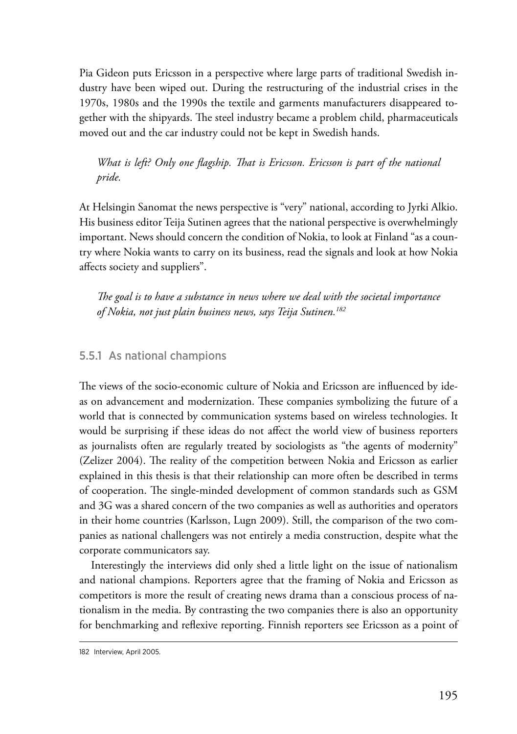Pia Gideon puts Ericsson in a perspective where large parts of traditional Swedish industry have been wiped out. During the restructuring of the industrial crises in the 1970s, 1980s and the 1990s the textile and garments manufacturers disappeared together with the shipyards. The steel industry became a problem child, pharmaceuticals moved out and the car industry could not be kept in Swedish hands.

*What is left? Only one flagship. That is Ericsson. Ericsson is part of the national pride.*

At Helsingin Sanomat the news perspective is "very" national, according to Jyrki Alkio. His business editor Teija Sutinen agrees that the national perspective is overwhelmingly important. News should concern the condition of Nokia, to look at Finland "as a country where Nokia wants to carry on its business, read the signals and look at how Nokia affects society and suppliers".

*The goal is to have a substance in news where we deal with the societal importance of Nokia, not just plain business news, says Teija Sutinen.182*

#### 5.5.1 As national champions

The views of the socio-economic culture of Nokia and Ericsson are influenced by ideas on advancement and modernization. These companies symbolizing the future of a world that is connected by communication systems based on wireless technologies. It would be surprising if these ideas do not affect the world view of business reporters as journalists often are regularly treated by sociologists as "the agents of modernity" (Zelizer 2004). The reality of the competition between Nokia and Ericsson as earlier explained in this thesis is that their relationship can more often be described in terms of cooperation. The single-minded development of common standards such as GSM and 3G was a shared concern of the two companies as well as authorities and operators in their home countries (Karlsson, Lugn 2009). Still, the comparison of the two companies as national challengers was not entirely a media construction, despite what the corporate communicators say.

Interestingly the interviews did only shed a little light on the issue of nationalism and national champions. Reporters agree that the framing of Nokia and Ericsson as competitors is more the result of creating news drama than a conscious process of nationalism in the media. By contrasting the two companies there is also an opportunity for benchmarking and reflexive reporting. Finnish reporters see Ericsson as a point of

<sup>182</sup> Interview, April 2005.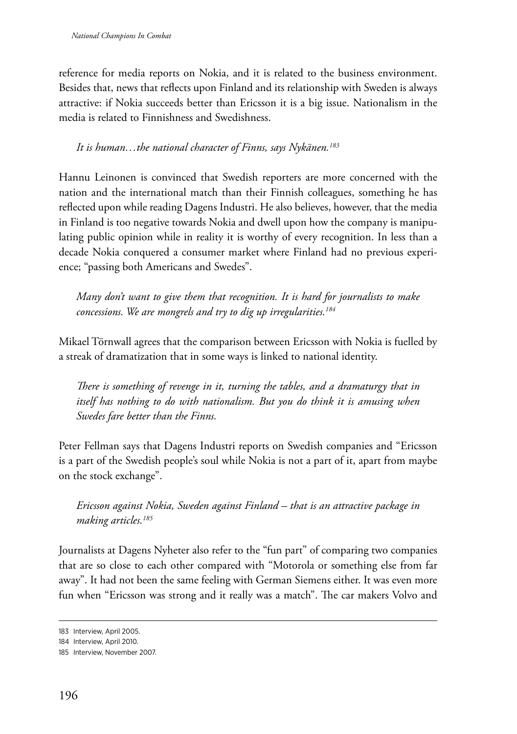reference for media reports on Nokia, and it is related to the business environment. Besides that, news that reflects upon Finland and its relationship with Sweden is always attractive: if Nokia succeeds better than Ericsson it is a big issue. Nationalism in the media is related to Finnishness and Swedishness.

*It is human…the national character of Finns, says Nykänen.183*

Hannu Leinonen is convinced that Swedish reporters are more concerned with the nation and the international match than their Finnish colleagues, something he has reflected upon while reading Dagens Industri. He also believes, however, that the media in Finland is too negative towards Nokia and dwell upon how the company is manipulating public opinion while in reality it is worthy of every recognition. In less than a decade Nokia conquered a consumer market where Finland had no previous experience; "passing both Americans and Swedes".

*Many don't want to give them that recognition. It is hard for journalists to make concessions. We are mongrels and try to dig up irregularities.184*

Mikael Törnwall agrees that the comparison between Ericsson with Nokia is fuelled by a streak of dramatization that in some ways is linked to national identity.

*There is something of revenge in it, turning the tables, and a dramaturgy that in itself has nothing to do with nationalism. But you do think it is amusing when Swedes fare better than the Finns.*

Peter Fellman says that Dagens Industri reports on Swedish companies and "Ericsson is a part of the Swedish people's soul while Nokia is not a part of it, apart from maybe on the stock exchange".

*Ericsson against Nokia, Sweden against Finland – that is an attractive package in making articles.185*

Journalists at Dagens Nyheter also refer to the "fun part" of comparing two companies that are so close to each other compared with "Motorola or something else from far away". It had not been the same feeling with German Siemens either. It was even more fun when "Ericsson was strong and it really was a match". The car makers Volvo and

<sup>183</sup> Interview, April 2005.

<sup>184</sup> Interview, April 2010.

<sup>185</sup> Interview, November 2007.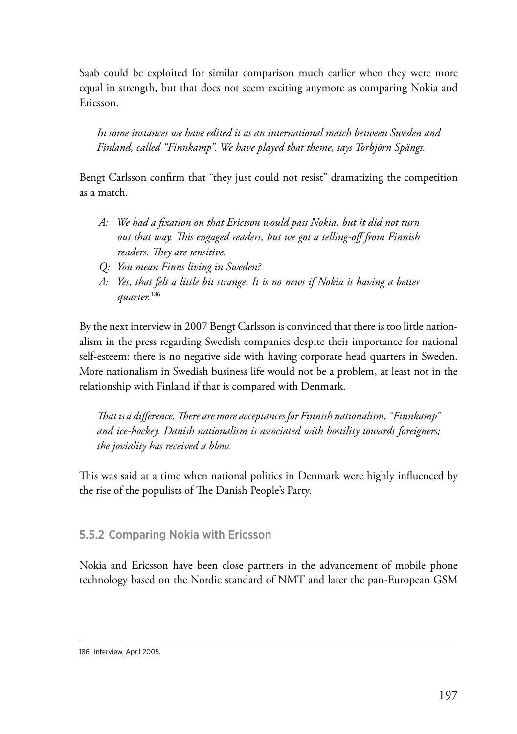Saab could be exploited for similar comparison much earlier when they were more equal in strength, but that does not seem exciting anymore as comparing Nokia and Ericsson.

*In some instances we have edited it as an international match between Sweden and Finland, called "Finnkamp". We have played that theme, says Torbjörn Spängs.*

Bengt Carlsson confirm that "they just could not resist" dramatizing the competition as a match.

- *A: We had a fixation on that Ericsson would pass Nokia, but it did not turn out that way. This engaged readers, but we got a telling-off from Finnish readers. They are sensitive.*
- *Q: You mean Finns living in Sweden?*
- *A: Yes, that felt a little bit strange. It is no news if Nokia is having a better quarter.*<sup>186</sup>

By the next interview in 2007 Bengt Carlsson is convinced that there is too little nationalism in the press regarding Swedish companies despite their importance for national self-esteem: there is no negative side with having corporate head quarters in Sweden. More nationalism in Swedish business life would not be a problem, at least not in the relationship with Finland if that is compared with Denmark.

*That is a difference. There are more acceptances for Finnish nationalism, "Finnkamp" and ice-hockey. Danish nationalism is associated with hostility towards foreigners; the joviality has received a blow.*

This was said at a time when national politics in Denmark were highly influenced by the rise of the populists of The Danish People's Party.

# 5.5.2 Comparing Nokia with Ericsson

Nokia and Ericsson have been close partners in the advancement of mobile phone technology based on the Nordic standard of NMT and later the pan-European GSM

<sup>186</sup> Interview, April 2005.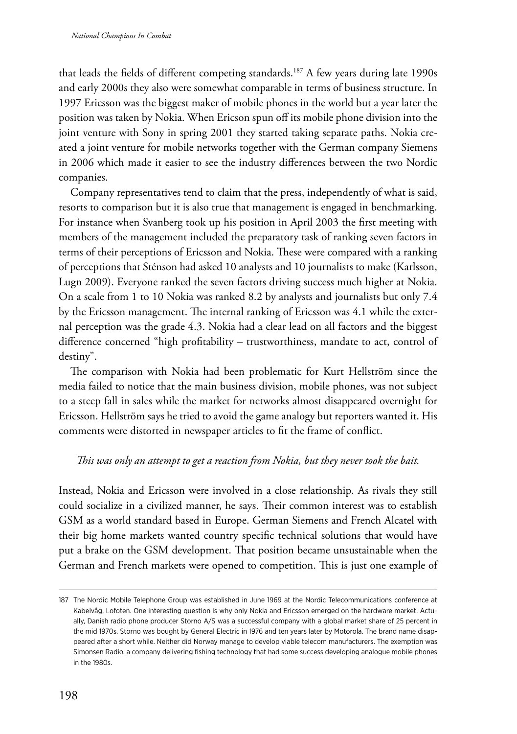that leads the fields of different competing standards.<sup>187</sup> A few years during late 1990s and early 2000s they also were somewhat comparable in terms of business structure. In 1997 Ericsson was the biggest maker of mobile phones in the world but a year later the position was taken by Nokia. When Ericson spun off its mobile phone division into the joint venture with Sony in spring 2001 they started taking separate paths. Nokia created a joint venture for mobile networks together with the German company Siemens in 2006 which made it easier to see the industry differences between the two Nordic companies.

Company representatives tend to claim that the press, independently of what is said, resorts to comparison but it is also true that management is engaged in benchmarking. For instance when Svanberg took up his position in April 2003 the first meeting with members of the management included the preparatory task of ranking seven factors in terms of their perceptions of Ericsson and Nokia. These were compared with a ranking of perceptions that Sténson had asked 10 analysts and 10 journalists to make (Karlsson, Lugn 2009). Everyone ranked the seven factors driving success much higher at Nokia. On a scale from 1 to 10 Nokia was ranked 8.2 by analysts and journalists but only 7.4 by the Ericsson management. The internal ranking of Ericsson was 4.1 while the external perception was the grade 4.3. Nokia had a clear lead on all factors and the biggest difference concerned "high profitability – trustworthiness, mandate to act, control of destiny".

The comparison with Nokia had been problematic for Kurt Hellström since the media failed to notice that the main business division, mobile phones, was not subject to a steep fall in sales while the market for networks almost disappeared overnight for Ericsson. Hellström says he tried to avoid the game analogy but reporters wanted it. His comments were distorted in newspaper articles to fit the frame of conflict.

#### *This was only an attempt to get a reaction from Nokia, but they never took the bait.*

Instead, Nokia and Ericsson were involved in a close relationship. As rivals they still could socialize in a civilized manner, he says. Their common interest was to establish GSM as a world standard based in Europe. German Siemens and French Alcatel with their big home markets wanted country specific technical solutions that would have put a brake on the GSM development. That position became unsustainable when the German and French markets were opened to competition. This is just one example of

<sup>187</sup> The Nordic Mobile Telephone Group was established in June 1969 at the Nordic Telecommunications conference at Kabelvåg, Lofoten. One interesting question is why only Nokia and Ericsson emerged on the hardware market. Actually, Danish radio phone producer Storno A/S was a successful company with a global market share of 25 percent in the mid 1970s. Storno was bought by General Electric in 1976 and ten years later by Motorola. The brand name disappeared after a short while. Neither did Norway manage to develop viable telecom manufacturers. The exemption was Simonsen Radio, a company delivering fishing technology that had some success developing analogue mobile phones in the 1980s.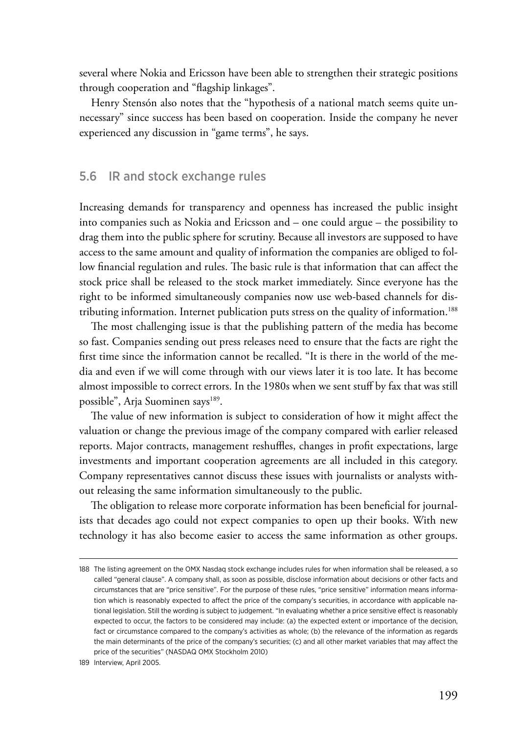several where Nokia and Ericsson have been able to strengthen their strategic positions through cooperation and "flagship linkages".

Henry Stensón also notes that the "hypothesis of a national match seems quite unnecessary" since success has been based on cooperation. Inside the company he never experienced any discussion in "game terms", he says.

#### 5.6 IR and stock exchange rules

Increasing demands for transparency and openness has increased the public insight into companies such as Nokia and Ericsson and – one could argue – the possibility to drag them into the public sphere for scrutiny. Because all investors are supposed to have access to the same amount and quality of information the companies are obliged to follow financial regulation and rules. The basic rule is that information that can affect the stock price shall be released to the stock market immediately. Since everyone has the right to be informed simultaneously companies now use web-based channels for distributing information. Internet publication puts stress on the quality of information.<sup>188</sup>

The most challenging issue is that the publishing pattern of the media has become so fast. Companies sending out press releases need to ensure that the facts are right the first time since the information cannot be recalled. "It is there in the world of the media and even if we will come through with our views later it is too late. It has become almost impossible to correct errors. In the 1980s when we sent stuff by fax that was still possible", Arja Suominen says<sup>189</sup>.

The value of new information is subject to consideration of how it might affect the valuation or change the previous image of the company compared with earlier released reports. Major contracts, management reshuffles, changes in profit expectations, large investments and important cooperation agreements are all included in this category. Company representatives cannot discuss these issues with journalists or analysts without releasing the same information simultaneously to the public.

The obligation to release more corporate information has been beneficial for journalists that decades ago could not expect companies to open up their books. With new technology it has also become easier to access the same information as other groups.

<sup>188</sup> The listing agreement on the OMX Nasdaq stock exchange includes rules for when information shall be released, a so called "general clause". A company shall, as soon as possible, disclose information about decisions or other facts and circumstances that are "price sensitive". For the purpose of these rules, "price sensitive" information means information which is reasonably expected to affect the price of the company's securities, in accordance with applicable national legislation. Still the wording is subject to judgement. "In evaluating whether a price sensitive effect is reasonably expected to occur, the factors to be considered may include: (a) the expected extent or importance of the decision, fact or circumstance compared to the company's activities as whole; (b) the relevance of the information as regards the main determinants of the price of the company's securities; (c) and all other market variables that may affect the price of the securities" (NASDAQ OMX Stockholm 2010)

<sup>189</sup> Interview, April 2005.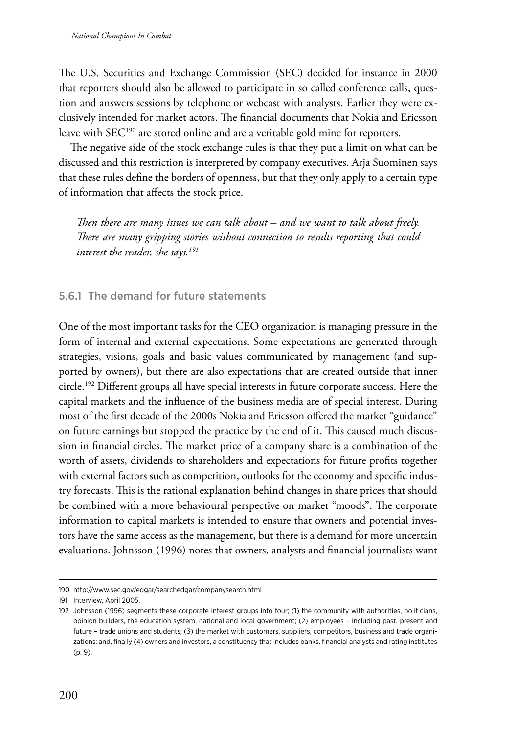The U.S. Securities and Exchange Commission (SEC) decided for instance in 2000 that reporters should also be allowed to participate in so called conference calls, question and answers sessions by telephone or webcast with analysts. Earlier they were exclusively intended for market actors. The financial documents that Nokia and Ericsson leave with SEC<sup>190</sup> are stored online and are a veritable gold mine for reporters.

The negative side of the stock exchange rules is that they put a limit on what can be discussed and this restriction is interpreted by company executives. Arja Suominen says that these rules define the borders of openness, but that they only apply to a certain type of information that affects the stock price.

*Then there are many issues we can talk about – and we want to talk about freely. There are many gripping stories without connection to results reporting that could interest the reader, she says.191*

#### 5.6.1 The demand for future statements

One of the most important tasks for the CEO organization is managing pressure in the form of internal and external expectations. Some expectations are generated through strategies, visions, goals and basic values communicated by management (and supported by owners), but there are also expectations that are created outside that inner circle.192 Different groups all have special interests in future corporate success. Here the capital markets and the influence of the business media are of special interest. During most of the first decade of the 2000s Nokia and Ericsson offered the market "guidance" on future earnings but stopped the practice by the end of it. This caused much discussion in financial circles. The market price of a company share is a combination of the worth of assets, dividends to shareholders and expectations for future profits together with external factors such as competition, outlooks for the economy and specific industry forecasts. This is the rational explanation behind changes in share prices that should be combined with a more behavioural perspective on market "moods". The corporate information to capital markets is intended to ensure that owners and potential investors have the same access as the management, but there is a demand for more uncertain evaluations. Johnsson (1996) notes that owners, analysts and financial journalists want

<sup>190</sup> http://www.sec.gov/edgar/searchedgar/companysearch.html

<sup>191</sup> Interview, April 2005.

<sup>192</sup> Johnsson (1996) segments these corporate interest groups into four; (1) the community with authorities, politicians, opinion builders, the education system, national and local government; (2) employees – including past, present and future – trade unions and students; (3) the market with customers, suppliers, competitors, business and trade organizations; and, finally (4) owners and investors, a constituency that includes banks, financial analysts and rating institutes (p. 9).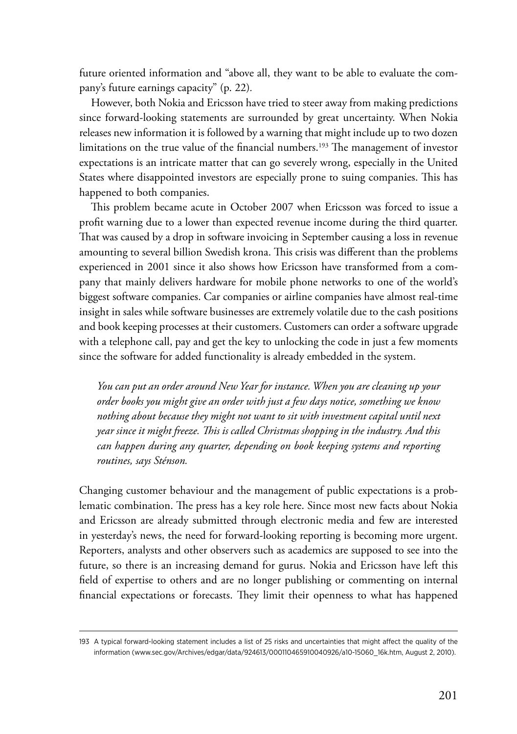future oriented information and "above all, they want to be able to evaluate the company's future earnings capacity" (p. 22)*.*

However, both Nokia and Ericsson have tried to steer away from making predictions since forward-looking statements are surrounded by great uncertainty. When Nokia releases new information it is followed by a warning that might include up to two dozen limitations on the true value of the financial numbers.<sup>193</sup> The management of investor expectations is an intricate matter that can go severely wrong, especially in the United States where disappointed investors are especially prone to suing companies. This has happened to both companies.

This problem became acute in October 2007 when Ericsson was forced to issue a profit warning due to a lower than expected revenue income during the third quarter. That was caused by a drop in software invoicing in September causing a loss in revenue amounting to several billion Swedish krona. This crisis was different than the problems experienced in 2001 since it also shows how Ericsson have transformed from a company that mainly delivers hardware for mobile phone networks to one of the world's biggest software companies. Car companies or airline companies have almost real-time insight in sales while software businesses are extremely volatile due to the cash positions and book keeping processes at their customers. Customers can order a software upgrade with a telephone call, pay and get the key to unlocking the code in just a few moments since the software for added functionality is already embedded in the system.

*You can put an order around New Year for instance. When you are cleaning up your order books you might give an order with just a few days notice, something we know nothing about because they might not want to sit with investment capital until next year since it might freeze. This is called Christmas shopping in the industry. And this can happen during any quarter, depending on book keeping systems and reporting routines, says Sténson.*

Changing customer behaviour and the management of public expectations is a problematic combination. The press has a key role here. Since most new facts about Nokia and Ericsson are already submitted through electronic media and few are interested in yesterday's news, the need for forward-looking reporting is becoming more urgent. Reporters, analysts and other observers such as academics are supposed to see into the future, so there is an increasing demand for gurus. Nokia and Ericsson have left this field of expertise to others and are no longer publishing or commenting on internal financial expectations or forecasts. They limit their openness to what has happened

<sup>193</sup> A typical forward-looking statement includes a list of 25 risks and uncertainties that might affect the quality of the information (www.sec.gov/Archives/edgar/data/924613/000110465910040926/a10-15060\_16k.htm, August 2, 2010).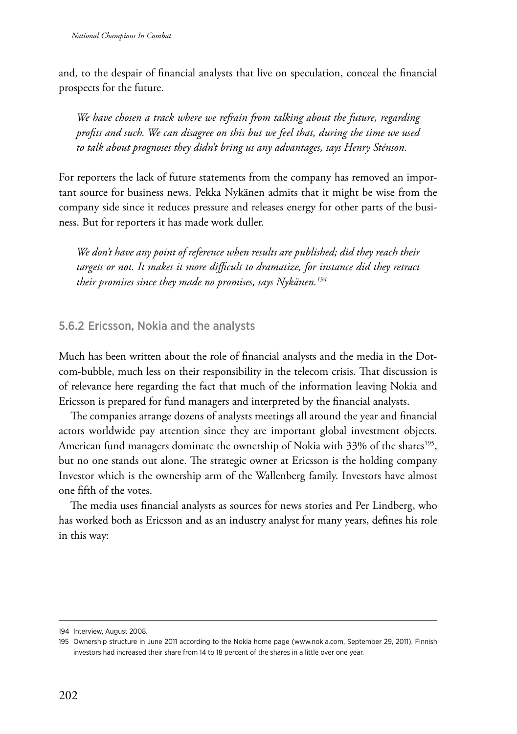and, to the despair of financial analysts that live on speculation, conceal the financial prospects for the future.

*We have chosen a track where we refrain from talking about the future, regarding profits and such. We can disagree on this but we feel that, during the time we used to talk about prognoses they didn't bring us any advantages, says Henry Sténson.*

For reporters the lack of future statements from the company has removed an important source for business news. Pekka Nykänen admits that it might be wise from the company side since it reduces pressure and releases energy for other parts of the business. But for reporters it has made work duller.

*We don't have any point of reference when results are published; did they reach their targets or not. It makes it more difficult to dramatize, for instance did they retract their promises since they made no promises, says Nykänen.194*

#### 5.6.2 Ericsson, Nokia and the analysts

Much has been written about the role of financial analysts and the media in the Dotcom-bubble, much less on their responsibility in the telecom crisis. That discussion is of relevance here regarding the fact that much of the information leaving Nokia and Ericsson is prepared for fund managers and interpreted by the financial analysts.

The companies arrange dozens of analysts meetings all around the year and financial actors worldwide pay attention since they are important global investment objects. American fund managers dominate the ownership of Nokia with 33% of the shares<sup>195</sup>, but no one stands out alone. The strategic owner at Ericsson is the holding company Investor which is the ownership arm of the Wallenberg family. Investors have almost one fifth of the votes.

The media uses financial analysts as sources for news stories and Per Lindberg, who has worked both as Ericsson and as an industry analyst for many years, defines his role in this way:

<sup>194</sup> Interview, August 2008.

<sup>195</sup> Ownership structure in June 2011 according to the Nokia home page [\(www.nokia.com,](http://www.nokia.com) September 29, 2011). Finnish investors had increased their share from 14 to 18 percent of the shares in a little over one year.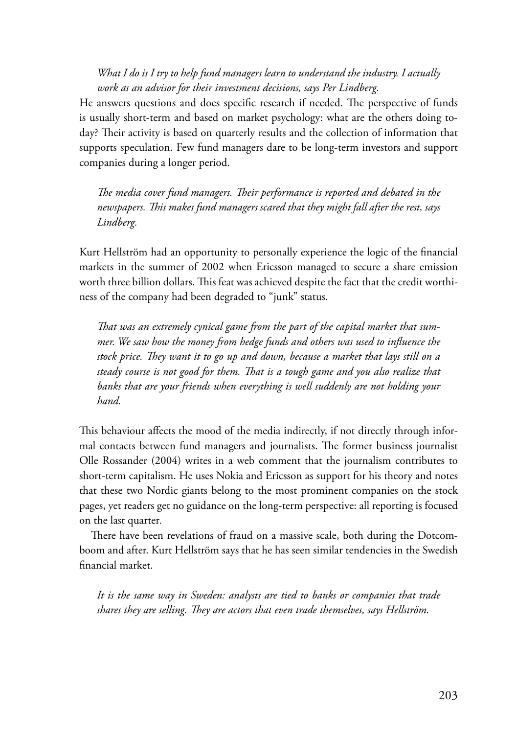*What I do is I try to help fund managers learn to understand the industry. I actually work as an advisor for their investment decisions, says Per Lindberg.*

He answers questions and does specific research if needed. The perspective of funds is usually short-term and based on market psychology: what are the others doing today? Their activity is based on quarterly results and the collection of information that supports speculation. Few fund managers dare to be long-term investors and support companies during a longer period.

*The media cover fund managers. Their performance is reported and debated in the newspapers. This makes fund managers scared that they might fall after the rest, says Lindberg.*

Kurt Hellström had an opportunity to personally experience the logic of the financial markets in the summer of 2002 when Ericsson managed to secure a share emission worth three billion dollars. This feat was achieved despite the fact that the credit worthiness of the company had been degraded to "junk" status.

*That was an extremely cynical game from the part of the capital market that summer. We saw how the money from hedge funds and others was used to influence the stock price. They want it to go up and down, because a market that lays still on a steady course is not good for them. That is a tough game and you also realize that banks that are your friends when everything is well suddenly are not holding your hand.*

This behaviour affects the mood of the media indirectly, if not directly through informal contacts between fund managers and journalists. The former business journalist Olle Rossander (2004) writes in a web comment that the journalism contributes to short-term capitalism. He uses Nokia and Ericsson as support for his theory and notes that these two Nordic giants belong to the most prominent companies on the stock pages, yet readers get no guidance on the long-term perspective: all reporting is focused on the last quarter*.*

There have been revelations of fraud on a massive scale, both during the Dotcomboom and after. Kurt Hellström says that he has seen similar tendencies in the Swedish financial market.

*It is the same way in Sweden: analysts are tied to banks or companies that trade shares they are selling. They are actors that even trade themselves, says Hellström.*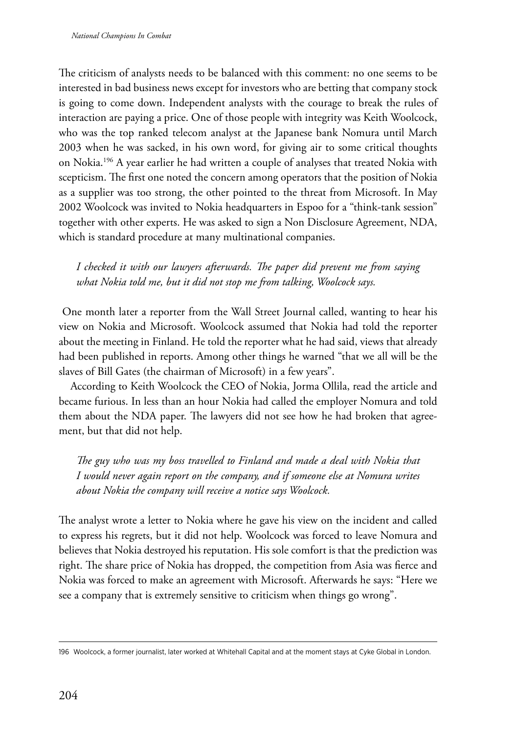The criticism of analysts needs to be balanced with this comment: no one seems to be interested in bad business news except for investors who are betting that company stock is going to come down. Independent analysts with the courage to break the rules of interaction are paying a price. One of those people with integrity was Keith Woolcock, who was the top ranked telecom analyst at the Japanese bank Nomura until March 2003 when he was sacked, in his own word, for giving air to some critical thoughts on Nokia.196 A year earlier he had written a couple of analyses that treated Nokia with scepticism. The first one noted the concern among operators that the position of Nokia as a supplier was too strong, the other pointed to the threat from Microsoft. In May 2002 Woolcock was invited to Nokia headquarters in Espoo for a "think-tank session" together with other experts. He was asked to sign a Non Disclosure Agreement, NDA, which is standard procedure at many multinational companies.

*I checked it with our lawyers afterwards. The paper did prevent me from saying what Nokia told me, but it did not stop me from talking, Woolcock says.*

 One month later a reporter from the Wall Street Journal called, wanting to hear his view on Nokia and Microsoft. Woolcock assumed that Nokia had told the reporter about the meeting in Finland. He told the reporter what he had said, views that already had been published in reports. Among other things he warned "that we all will be the slaves of Bill Gates (the chairman of Microsoft) in a few years".

According to Keith Woolcock the CEO of Nokia, Jorma Ollila, read the article and became furious. In less than an hour Nokia had called the employer Nomura and told them about the NDA paper. The lawyers did not see how he had broken that agreement, but that did not help.

*The guy who was my boss travelled to Finland and made a deal with Nokia that I would never again report on the company, and if someone else at Nomura writes about Nokia the company will receive a notice says Woolcock.*

The analyst wrote a letter to Nokia where he gave his view on the incident and called to express his regrets, but it did not help. Woolcock was forced to leave Nomura and believes that Nokia destroyed his reputation. His sole comfort is that the prediction was right. The share price of Nokia has dropped, the competition from Asia was fierce and Nokia was forced to make an agreement with Microsoft. Afterwards he says: "Here we see a company that is extremely sensitive to criticism when things go wrong".

<sup>196</sup> Woolcock, a former journalist, later worked at Whitehall Capital and at the moment stays at Cyke Global in London.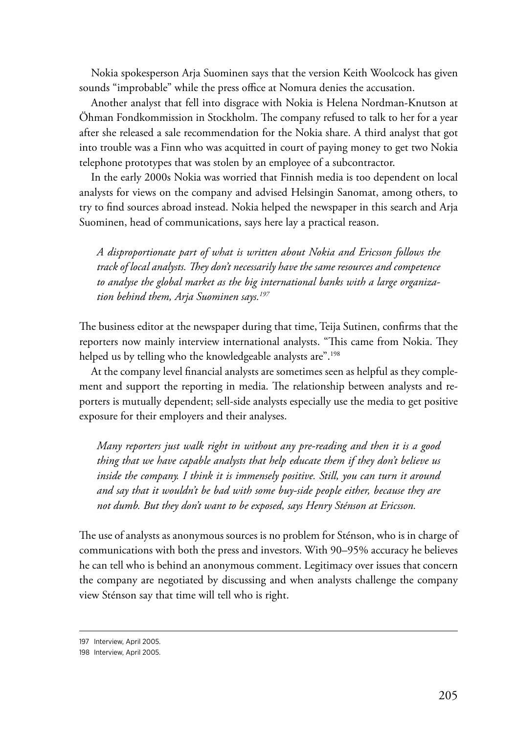Nokia spokesperson Arja Suominen says that the version Keith Woolcock has given sounds "improbable" while the press office at Nomura denies the accusation.

Another analyst that fell into disgrace with Nokia is Helena Nordman-Knutson at Öhman Fondkommission in Stockholm. The company refused to talk to her for a year after she released a sale recommendation for the Nokia share. A third analyst that got into trouble was a Finn who was acquitted in court of paying money to get two Nokia telephone prototypes that was stolen by an employee of a subcontractor.

In the early 2000s Nokia was worried that Finnish media is too dependent on local analysts for views on the company and advised Helsingin Sanomat, among others, to try to find sources abroad instead. Nokia helped the newspaper in this search and Arja Suominen, head of communications, says here lay a practical reason.

*A disproportionate part of what is written about Nokia and Ericsson follows the track of local analysts. They don't necessarily have the same resources and competence to analyse the global market as the big international banks with a large organization behind them, Arja Suominen says.197*

The business editor at the newspaper during that time, Teija Sutinen, confirms that the reporters now mainly interview international analysts. "This came from Nokia. They helped us by telling who the knowledgeable analysts are".<sup>198</sup>

At the company level financial analysts are sometimes seen as helpful as they complement and support the reporting in media. The relationship between analysts and reporters is mutually dependent; sell-side analysts especially use the media to get positive exposure for their employers and their analyses.

*Many reporters just walk right in without any pre-reading and then it is a good thing that we have capable analysts that help educate them if they don't believe us inside the company. I think it is immensely positive. Still, you can turn it around and say that it wouldn't be bad with some buy-side people either, because they are not dumb. But they don't want to be exposed, says Henry Sténson at Ericsson.*

The use of analysts as anonymous sources is no problem for Sténson, who is in charge of communications with both the press and investors. With 90–95% accuracy he believes he can tell who is behind an anonymous comment. Legitimacy over issues that concern the company are negotiated by discussing and when analysts challenge the company view Sténson say that time will tell who is right.

<sup>197</sup> Interview, April 2005.

<sup>198</sup> Interview, April 2005.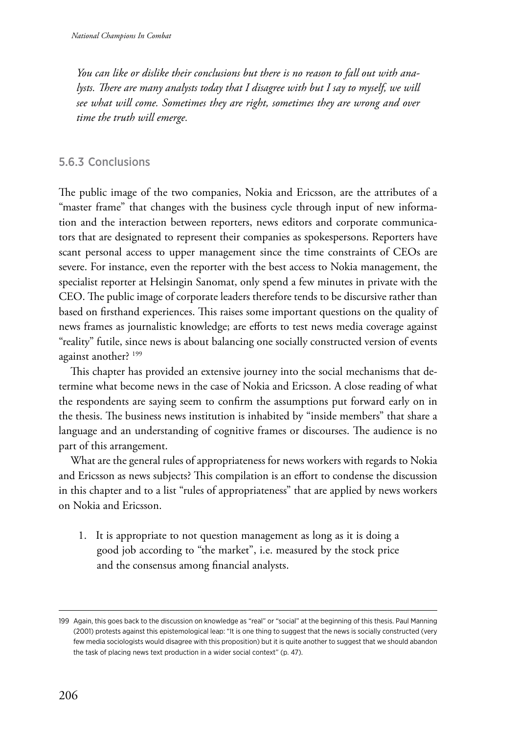*You can like or dislike their conclusions but there is no reason to fall out with analysts. There are many analysts today that I disagree with but I say to myself, we will see what will come. Sometimes they are right, sometimes they are wrong and over time the truth will emerge.*

### 5.6.3 Conclusions

The public image of the two companies, Nokia and Ericsson, are the attributes of a "master frame" that changes with the business cycle through input of new information and the interaction between reporters, news editors and corporate communicators that are designated to represent their companies as spokespersons. Reporters have scant personal access to upper management since the time constraints of CEOs are severe. For instance, even the reporter with the best access to Nokia management, the specialist reporter at Helsingin Sanomat, only spend a few minutes in private with the CEO. The public image of corporate leaders therefore tends to be discursive rather than based on firsthand experiences. This raises some important questions on the quality of news frames as journalistic knowledge; are efforts to test news media coverage against "reality" futile, since news is about balancing one socially constructed version of events against another? <sup>199</sup>

This chapter has provided an extensive journey into the social mechanisms that determine what become news in the case of Nokia and Ericsson. A close reading of what the respondents are saying seem to confirm the assumptions put forward early on in the thesis. The business news institution is inhabited by "inside members" that share a language and an understanding of cognitive frames or discourses. The audience is no part of this arrangement.

What are the general rules of appropriateness for news workers with regards to Nokia and Ericsson as news subjects? This compilation is an effort to condense the discussion in this chapter and to a list "rules of appropriateness" that are applied by news workers on Nokia and Ericsson.

1. It is appropriate to not question management as long as it is doing a good job according to "the market", i.e. measured by the stock price and the consensus among financial analysts.

<sup>199</sup> Again, this goes back to the discussion on knowledge as "real" or "social" at the beginning of this thesis. Paul Manning (2001) protests against this epistemological leap: "It is one thing to suggest that the news is socially constructed (very few media sociologists would disagree with this proposition) but it is quite another to suggest that we should abandon the task of placing news text production in a wider social context" (p. 47).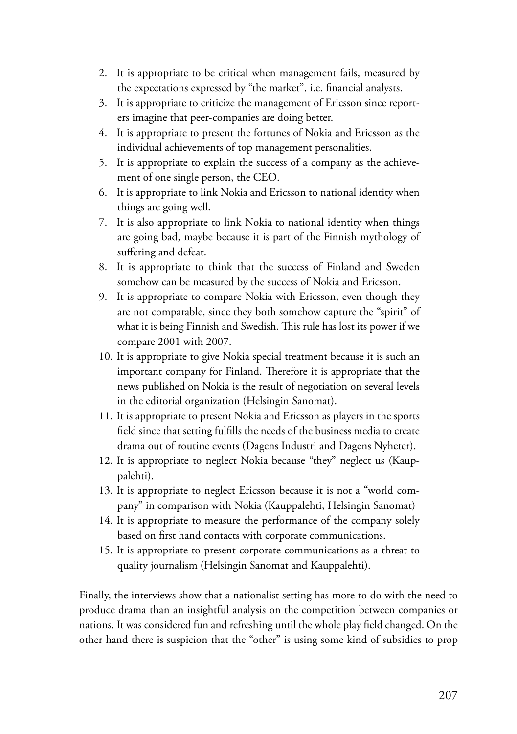- 2. It is appropriate to be critical when management fails, measured by the expectations expressed by "the market", i.e. financial analysts.
- 3. It is appropriate to criticize the management of Ericsson since reporters imagine that peer-companies are doing better.
- 4. It is appropriate to present the fortunes of Nokia and Ericsson as the individual achievements of top management personalities.
- 5. It is appropriate to explain the success of a company as the achievement of one single person, the CEO.
- 6. It is appropriate to link Nokia and Ericsson to national identity when things are going well.
- 7. It is also appropriate to link Nokia to national identity when things are going bad, maybe because it is part of the Finnish mythology of suffering and defeat.
- 8. It is appropriate to think that the success of Finland and Sweden somehow can be measured by the success of Nokia and Ericsson.
- 9. It is appropriate to compare Nokia with Ericsson, even though they are not comparable, since they both somehow capture the "spirit" of what it is being Finnish and Swedish. This rule has lost its power if we compare 2001 with 2007.
- 10. It is appropriate to give Nokia special treatment because it is such an important company for Finland. Therefore it is appropriate that the news published on Nokia is the result of negotiation on several levels in the editorial organization (Helsingin Sanomat).
- 11. It is appropriate to present Nokia and Ericsson as players in the sports field since that setting fulfills the needs of the business media to create drama out of routine events (Dagens Industri and Dagens Nyheter).
- 12. It is appropriate to neglect Nokia because "they" neglect us (Kauppalehti).
- 13. It is appropriate to neglect Ericsson because it is not a "world company" in comparison with Nokia (Kauppalehti, Helsingin Sanomat)
- 14. It is appropriate to measure the performance of the company solely based on first hand contacts with corporate communications.
- 15. It is appropriate to present corporate communications as a threat to quality journalism (Helsingin Sanomat and Kauppalehti).

Finally, the interviews show that a nationalist setting has more to do with the need to produce drama than an insightful analysis on the competition between companies or nations. It was considered fun and refreshing until the whole play field changed. On the other hand there is suspicion that the "other" is using some kind of subsidies to prop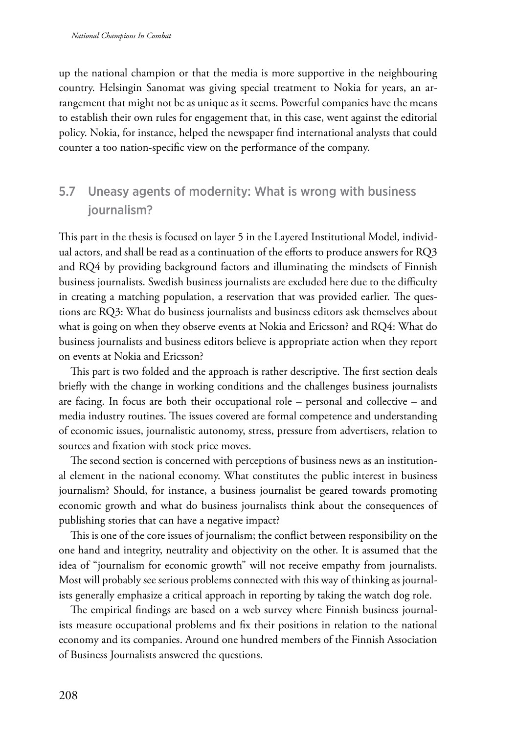up the national champion or that the media is more supportive in the neighbouring country. Helsingin Sanomat was giving special treatment to Nokia for years, an arrangement that might not be as unique as it seems. Powerful companies have the means to establish their own rules for engagement that, in this case, went against the editorial policy. Nokia, for instance, helped the newspaper find international analysts that could counter a too nation-specific view on the performance of the company.

# 5.7 Uneasy agents of modernity: What is wrong with business journalism?

This part in the thesis is focused on layer 5 in the Layered Institutional Model, individual actors, and shall be read as a continuation of the efforts to produce answers for RQ3 and RQ4 by providing background factors and illuminating the mindsets of Finnish business journalists. Swedish business journalists are excluded here due to the difficulty in creating a matching population, a reservation that was provided earlier. The questions are RQ3: What do business journalists and business editors ask themselves about what is going on when they observe events at Nokia and Ericsson? and RQ4: What do business journalists and business editors believe is appropriate action when they report on events at Nokia and Ericsson?

This part is two folded and the approach is rather descriptive. The first section deals briefly with the change in working conditions and the challenges business journalists are facing. In focus are both their occupational role – personal and collective – and media industry routines. The issues covered are formal competence and understanding of economic issues, journalistic autonomy, stress, pressure from advertisers, relation to sources and fixation with stock price moves.

The second section is concerned with perceptions of business news as an institutional element in the national economy. What constitutes the public interest in business journalism? Should, for instance, a business journalist be geared towards promoting economic growth and what do business journalists think about the consequences of publishing stories that can have a negative impact?

This is one of the core issues of journalism; the conflict between responsibility on the one hand and integrity, neutrality and objectivity on the other. It is assumed that the idea of "journalism for economic growth" will not receive empathy from journalists. Most will probably see serious problems connected with this way of thinking as journalists generally emphasize a critical approach in reporting by taking the watch dog role.

The empirical findings are based on a web survey where Finnish business journalists measure occupational problems and fix their positions in relation to the national economy and its companies. Around one hundred members of the Finnish Association of Business Journalists answered the questions.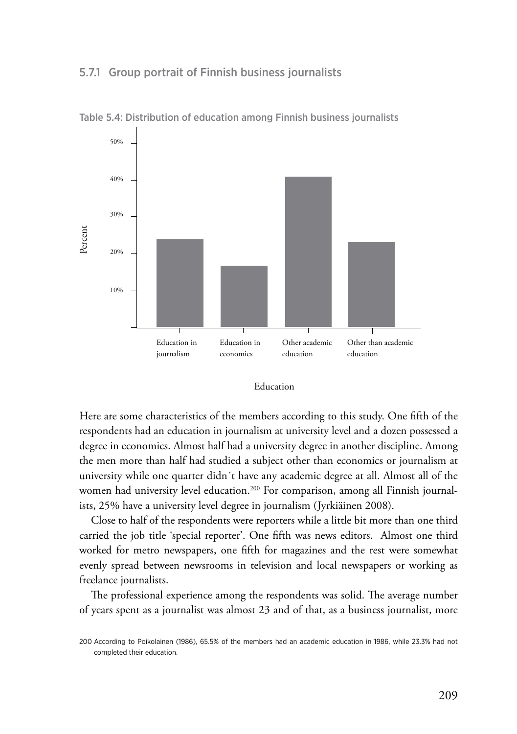#### 5.7.1 Group portrait of Finnish business journalists



Table 5.4: Distribution of education among Finnish business journalists

#### Education

Here are some characteristics of the members according to this study. One fifth of the respondents had an education in journalism at university level and a dozen possessed a degree in economics. Almost half had a university degree in another discipline. Among the men more than half had studied a subject other than economics or journalism at university while one quarter didn´t have any academic degree at all. Almost all of the women had university level education.<sup>200</sup> For comparison, among all Finnish journalists, 25% have a university level degree in journalism (Jyrkiäinen 2008).

Close to half of the respondents were reporters while a little bit more than one third carried the job title 'special reporter'. One fifth was news editors. Almost one third worked for metro newspapers, one fifth for magazines and the rest were somewhat evenly spread between newsrooms in television and local newspapers or working as freelance journalists.

The professional experience among the respondents was solid. The average number of years spent as a journalist was almost 23 and of that, as a business journalist, more

<sup>200</sup> According to Poikolainen (1986), 65.5% of the members had an academic education in 1986, while 23.3% had not completed their education.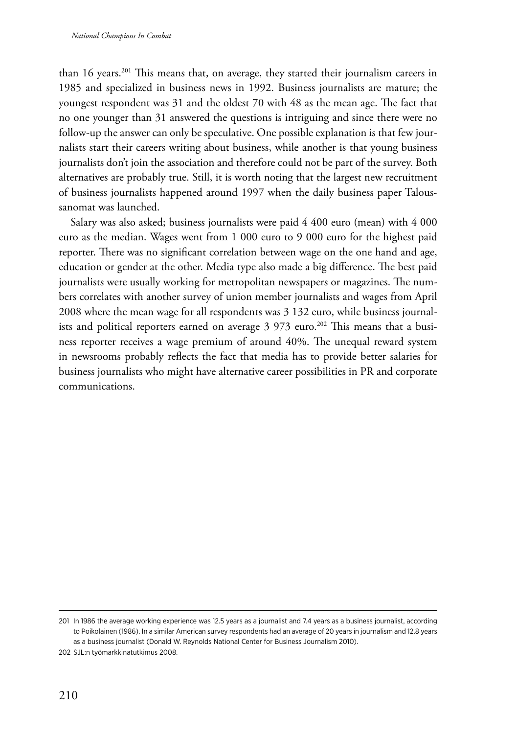than 16 years.<sup>201</sup> This means that, on average, they started their journalism careers in 1985 and specialized in business news in 1992. Business journalists are mature; the youngest respondent was 31 and the oldest 70 with 48 as the mean age. The fact that no one younger than 31 answered the questions is intriguing and since there were no follow-up the answer can only be speculative. One possible explanation is that few journalists start their careers writing about business, while another is that young business journalists don't join the association and therefore could not be part of the survey. Both alternatives are probably true. Still, it is worth noting that the largest new recruitment of business journalists happened around 1997 when the daily business paper Taloussanomat was launched.

Salary was also asked; business journalists were paid 4 400 euro (mean) with 4 000 euro as the median. Wages went from 1 000 euro to 9 000 euro for the highest paid reporter. There was no significant correlation between wage on the one hand and age, education or gender at the other. Media type also made a big difference. The best paid journalists were usually working for metropolitan newspapers or magazines. The numbers correlates with another survey of union member journalists and wages from April 2008 where the mean wage for all respondents was 3 132 euro, while business journalists and political reporters earned on average  $3\,973$  euro.<sup>202</sup> This means that a business reporter receives a wage premium of around 40%. The unequal reward system in newsrooms probably reflects the fact that media has to provide better salaries for business journalists who might have alternative career possibilities in PR and corporate communications.

<sup>201</sup> In 1986 the average working experience was 12.5 years as a journalist and 7.4 years as a business journalist, according to Poikolainen (1986). In a similar American survey respondents had an average of 20 years in journalism and 12.8 years as a business journalist (Donald W. Reynolds National Center for Business Journalism 2010).

<sup>202</sup> SJL:n työmarkkinatutkimus 2008.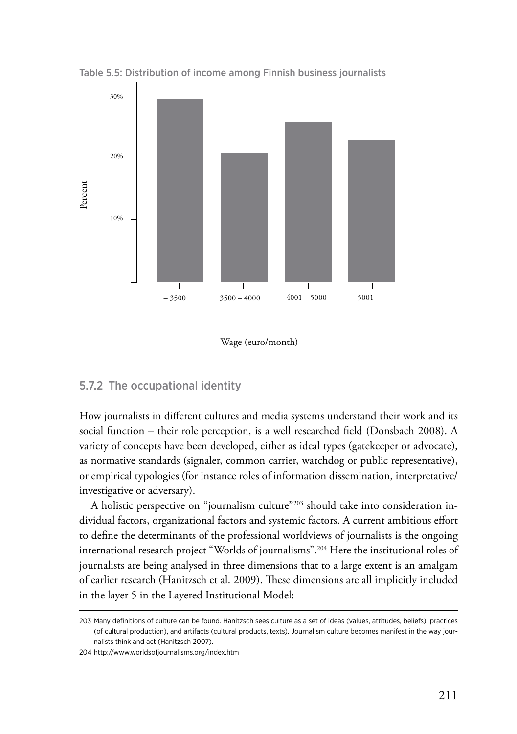

Table 5.5: Distribution of income among Finnish business journalists

Wage (euro/month)

#### 5.7.2 The occupational identity

How journalists in different cultures and media systems understand their work and its social function – their role perception, is a well researched field (Donsbach 2008). A variety of concepts have been developed, either as ideal types (gatekeeper or advocate), as normative standards (signaler, common carrier, watchdog or public representative), or empirical typologies (for instance roles of information dissemination, interpretative/ investigative or adversary).

A holistic perspective on "journalism culture"203 should take into consideration individual factors, organizational factors and systemic factors. A current ambitious effort to define the determinants of the professional worldviews of journalists is the ongoing international research project "Worlds of journalisms".204 Here the institutional roles of journalists are being analysed in three dimensions that to a large extent is an amalgam of earlier research (Hanitzsch et al. 2009). These dimensions are all implicitly included in the layer 5 in the Layered Institutional Model:

<sup>203</sup> Many definitions of culture can be found. Hanitzsch sees culture as a set of ideas (values, attitudes, beliefs), practices (of cultural production), and artifacts (cultural products, texts). Journalism culture becomes manifest in the way journalists think and act (Hanitzsch 2007).

<sup>204</sup> http://www.worldsofjournalisms.org/index.htm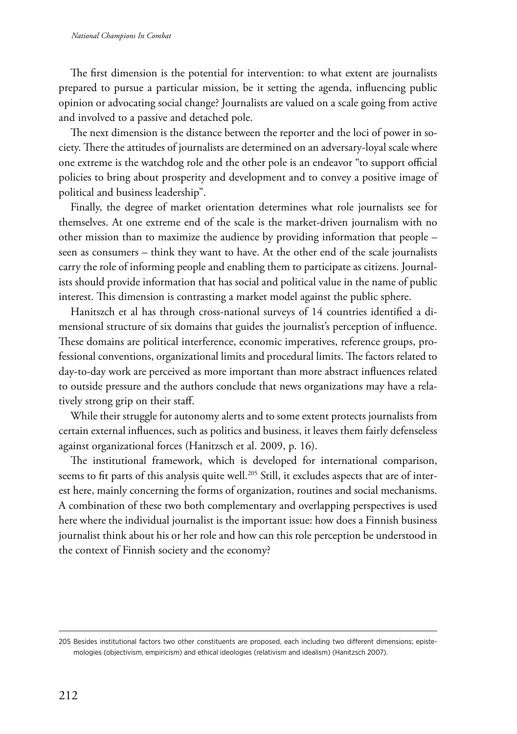The first dimension is the potential for intervention: to what extent are journalists prepared to pursue a particular mission, be it setting the agenda, influencing public opinion or advocating social change? Journalists are valued on a scale going from active and involved to a passive and detached pole.

The next dimension is the distance between the reporter and the loci of power in society. There the attitudes of journalists are determined on an adversary-loyal scale where one extreme is the watchdog role and the other pole is an endeavor "to support official policies to bring about prosperity and development and to convey a positive image of political and business leadership".

Finally, the degree of market orientation determines what role journalists see for themselves. At one extreme end of the scale is the market-driven journalism with no other mission than to maximize the audience by providing information that people – seen as consumers – think they want to have. At the other end of the scale journalists carry the role of informing people and enabling them to participate as citizens. Journalists should provide information that has social and political value in the name of public interest. This dimension is contrasting a market model against the public sphere.

Hanitszch et al has through cross-national surveys of 14 countries identified a dimensional structure of six domains that guides the journalist's perception of influence. These domains are political interference, economic imperatives, reference groups, professional conventions, organizational limits and procedural limits. The factors related to day-to-day work are perceived as more important than more abstract influences related to outside pressure and the authors conclude that news organizations may have a relatively strong grip on their staff.

While their struggle for autonomy alerts and to some extent protects journalists from certain external influences, such as politics and business, it leaves them fairly defenseless against organizational forces (Hanitzsch et al. 2009, p. 16).

The institutional framework, which is developed for international comparison, seems to fit parts of this analysis quite well.<sup>205</sup> Still, it excludes aspects that are of interest here, mainly concerning the forms of organization, routines and social mechanisms. A combination of these two both complementary and overlapping perspectives is used here where the individual journalist is the important issue: how does a Finnish business journalist think about his or her role and how can this role perception be understood in the context of Finnish society and the economy?

<sup>205</sup> Besides institutional factors two other constituents are proposed, each including two different dimensions; epistemologies (objectivism, empiricism) and ethical ideologies (relativism and idealism) (Hanitzsch 2007).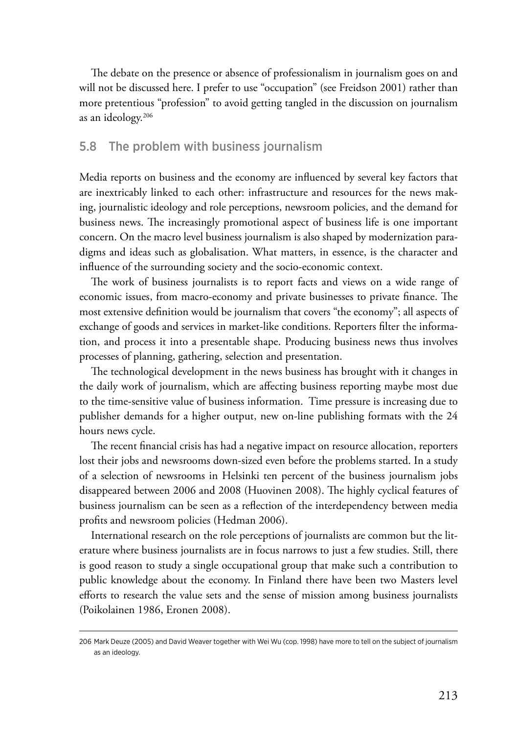The debate on the presence or absence of professionalism in journalism goes on and will not be discussed here. I prefer to use "occupation" (see Freidson 2001) rather than more pretentious "profession" to avoid getting tangled in the discussion on journalism as an ideology.206

#### 5.8 The problem with business journalism

Media reports on business and the economy are influenced by several key factors that are inextricably linked to each other: infrastructure and resources for the news making, journalistic ideology and role perceptions, newsroom policies, and the demand for business news. The increasingly promotional aspect of business life is one important concern. On the macro level business journalism is also shaped by modernization paradigms and ideas such as globalisation. What matters, in essence, is the character and influence of the surrounding society and the socio-economic context.

The work of business journalists is to report facts and views on a wide range of economic issues, from macro-economy and private businesses to private finance. The most extensive definition would be journalism that covers "the economy"; all aspects of exchange of goods and services in market-like conditions. Reporters filter the information, and process it into a presentable shape. Producing business news thus involves processes of planning, gathering, selection and presentation.

The technological development in the news business has brought with it changes in the daily work of journalism, which are affecting business reporting maybe most due to the time-sensitive value of business information. Time pressure is increasing due to publisher demands for a higher output, new on-line publishing formats with the 24 hours news cycle.

The recent financial crisis has had a negative impact on resource allocation, reporters lost their jobs and newsrooms down-sized even before the problems started. In a study of a selection of newsrooms in Helsinki ten percent of the business journalism jobs disappeared between 2006 and 2008 (Huovinen 2008). The highly cyclical features of business journalism can be seen as a reflection of the interdependency between media profits and newsroom policies (Hedman 2006).

International research on the role perceptions of journalists are common but the literature where business journalists are in focus narrows to just a few studies. Still, there is good reason to study a single occupational group that make such a contribution to public knowledge about the economy. In Finland there have been two Masters level efforts to research the value sets and the sense of mission among business journalists (Poikolainen 1986, Eronen 2008).

<sup>206</sup> Mark Deuze (2005) and David Weaver together with Wei Wu (cop. 1998) have more to tell on the subject of journalism as an ideology.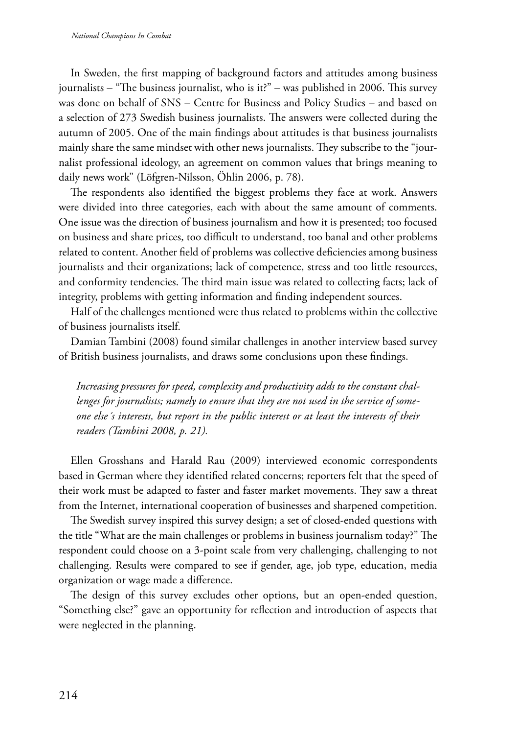In Sweden, the first mapping of background factors and attitudes among business journalists – "The business journalist, who is it?" – was published in 2006. This survey was done on behalf of SNS – Centre for Business and Policy Studies – and based on a selection of 273 Swedish business journalists. The answers were collected during the autumn of 2005. One of the main findings about attitudes is that business journalists mainly share the same mindset with other news journalists. They subscribe to the "journalist professional ideology, an agreement on common values that brings meaning to daily news work" (Löfgren-Nilsson, Öhlin 2006, p. 78).

The respondents also identified the biggest problems they face at work. Answers were divided into three categories, each with about the same amount of comments. One issue was the direction of business journalism and how it is presented; too focused on business and share prices, too difficult to understand, too banal and other problems related to content. Another field of problems was collective deficiencies among business journalists and their organizations; lack of competence, stress and too little resources, and conformity tendencies. The third main issue was related to collecting facts; lack of integrity, problems with getting information and finding independent sources.

Half of the challenges mentioned were thus related to problems within the collective of business journalists itself.

Damian Tambini (2008) found similar challenges in another interview based survey of British business journalists, and draws some conclusions upon these findings.

*Increasing pressures for speed, complexity and productivity adds to the constant challenges for journalists; namely to ensure that they are not used in the service of someone else´s interests, but report in the public interest or at least the interests of their readers (Tambini 2008, p. 21).*

Ellen Grosshans and Harald Rau (2009) interviewed economic correspondents based in German where they identified related concerns; reporters felt that the speed of their work must be adapted to faster and faster market movements. They saw a threat from the Internet, international cooperation of businesses and sharpened competition.

The Swedish survey inspired this survey design; a set of closed-ended questions with the title "What are the main challenges or problems in business journalism today?" The respondent could choose on a 3-point scale from very challenging, challenging to not challenging. Results were compared to see if gender, age, job type, education, media organization or wage made a difference.

The design of this survey excludes other options, but an open-ended question, "Something else?" gave an opportunity for reflection and introduction of aspects that were neglected in the planning.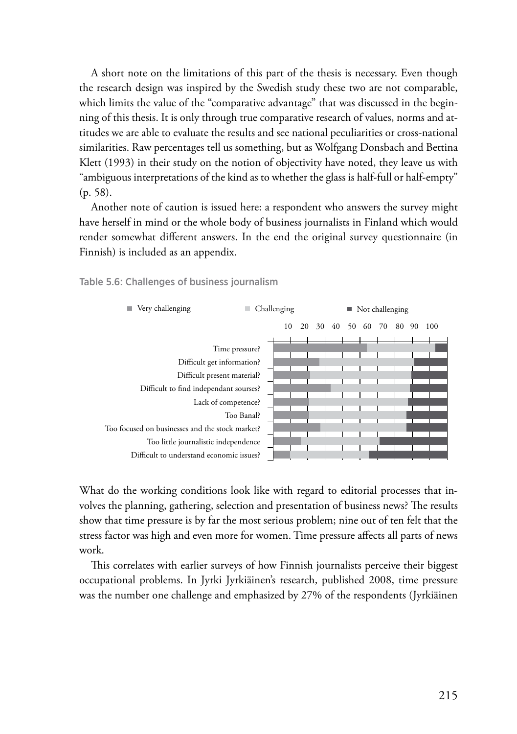A short note on the limitations of this part of the thesis is necessary. Even though the research design was inspired by the Swedish study these two are not comparable, which limits the value of the "comparative advantage" that was discussed in the beginning of this thesis. It is only through true comparative research of values, norms and attitudes we are able to evaluate the results and see national peculiarities or cross-national similarities. Raw percentages tell us something, but as Wolfgang Donsbach and Bettina Klett (1993) in their study on the notion of objectivity have noted, they leave us with "ambiguous interpretations of the kind as to whether the glass is half-full or half-empty" (p. 58).

Another note of caution is issued here: a respondent who answers the survey might have herself in mind or the whole body of business journalists in Finland which would render somewhat different answers. In the end the original survey questionnaire (in Finnish) is included as an appendix.

Table 5.6: Challenges of business journalism



What do the working conditions look like with regard to editorial processes that involves the planning, gathering, selection and presentation of business news? The results show that time pressure is by far the most serious problem; nine out of ten felt that the stress factor was high and even more for women. Time pressure affects all parts of news work.

This correlates with earlier surveys of how Finnish journalists perceive their biggest occupational problems. In Jyrki Jyrkiäinen's research, published 2008, time pressure was the number one challenge and emphasized by 27% of the respondents (Jyrkiäinen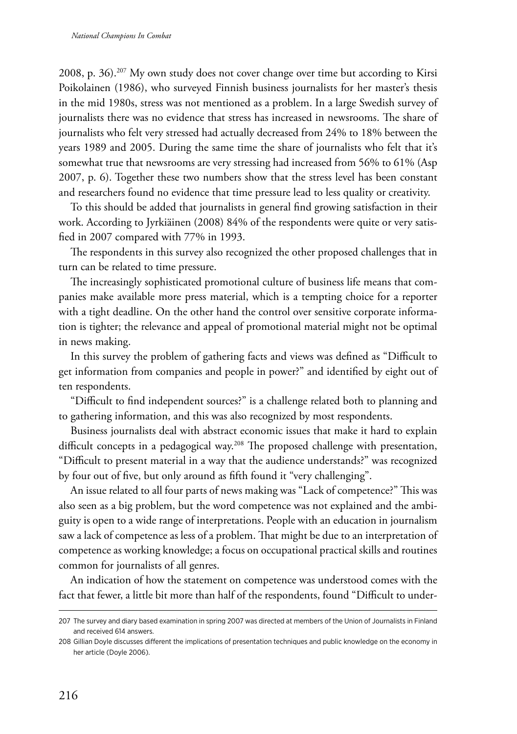2008, p. 36).207 My own study does not cover change over time but according to Kirsi Poikolainen (1986), who surveyed Finnish business journalists for her master's thesis in the mid 1980s, stress was not mentioned as a problem. In a large Swedish survey of journalists there was no evidence that stress has increased in newsrooms. The share of journalists who felt very stressed had actually decreased from 24% to 18% between the years 1989 and 2005. During the same time the share of journalists who felt that it's somewhat true that newsrooms are very stressing had increased from 56% to 61% (Asp 2007, p. 6). Together these two numbers show that the stress level has been constant and researchers found no evidence that time pressure lead to less quality or creativity.

To this should be added that journalists in general find growing satisfaction in their work. According to Jyrkiäinen (2008) 84% of the respondents were quite or very satisfied in 2007 compared with 77% in 1993.

The respondents in this survey also recognized the other proposed challenges that in turn can be related to time pressure.

The increasingly sophisticated promotional culture of business life means that companies make available more press material, which is a tempting choice for a reporter with a tight deadline. On the other hand the control over sensitive corporate information is tighter; the relevance and appeal of promotional material might not be optimal in news making.

In this survey the problem of gathering facts and views was defined as "Difficult to get information from companies and people in power?" and identified by eight out of ten respondents.

"Difficult to find independent sources?" is a challenge related both to planning and to gathering information, and this was also recognized by most respondents.

Business journalists deal with abstract economic issues that make it hard to explain difficult concepts in a pedagogical way.<sup>208</sup> The proposed challenge with presentation, "Difficult to present material in a way that the audience understands?" was recognized by four out of five, but only around as fifth found it "very challenging".

An issue related to all four parts of news making was "Lack of competence?" This was also seen as a big problem, but the word competence was not explained and the ambiguity is open to a wide range of interpretations. People with an education in journalism saw a lack of competence as less of a problem. That might be due to an interpretation of competence as working knowledge; a focus on occupational practical skills and routines common for journalists of all genres.

An indication of how the statement on competence was understood comes with the fact that fewer, a little bit more than half of the respondents, found "Difficult to under-

<sup>207</sup> The survey and diary based examination in spring 2007 was directed at members of the Union of Journalists in Finland and received 614 answers.

<sup>208</sup> Gillian Doyle discusses different the implications of presentation techniques and public knowledge on the economy in her article (Doyle 2006).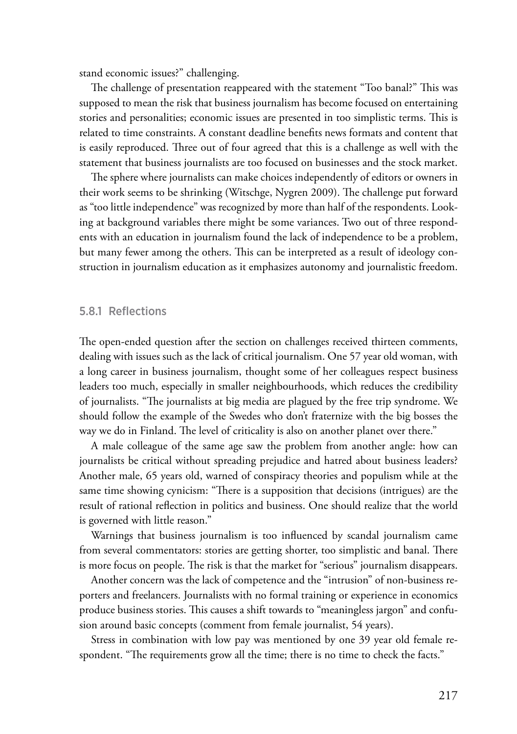stand economic issues?" challenging.

The challenge of presentation reappeared with the statement "Too banal?" This was supposed to mean the risk that business journalism has become focused on entertaining stories and personalities; economic issues are presented in too simplistic terms. This is related to time constraints. A constant deadline benefits news formats and content that is easily reproduced. Three out of four agreed that this is a challenge as well with the statement that business journalists are too focused on businesses and the stock market.

The sphere where journalists can make choices independently of editors or owners in their work seems to be shrinking (Witschge, Nygren 2009). The challenge put forward as "too little independence" was recognized by more than half of the respondents. Looking at background variables there might be some variances. Two out of three respondents with an education in journalism found the lack of independence to be a problem, but many fewer among the others. This can be interpreted as a result of ideology construction in journalism education as it emphasizes autonomy and journalistic freedom.

#### 5.8.1 Reflections

The open-ended question after the section on challenges received thirteen comments, dealing with issues such as the lack of critical journalism. One 57 year old woman, with a long career in business journalism, thought some of her colleagues respect business leaders too much, especially in smaller neighbourhoods, which reduces the credibility of journalists. "The journalists at big media are plagued by the free trip syndrome. We should follow the example of the Swedes who don't fraternize with the big bosses the way we do in Finland. The level of criticality is also on another planet over there."

A male colleague of the same age saw the problem from another angle: how can journalists be critical without spreading prejudice and hatred about business leaders? Another male, 65 years old, warned of conspiracy theories and populism while at the same time showing cynicism: "There is a supposition that decisions (intrigues) are the result of rational reflection in politics and business. One should realize that the world is governed with little reason."

Warnings that business journalism is too influenced by scandal journalism came from several commentators: stories are getting shorter, too simplistic and banal. There is more focus on people. The risk is that the market for "serious" journalism disappears.

Another concern was the lack of competence and the "intrusion" of non-business reporters and freelancers. Journalists with no formal training or experience in economics produce business stories. This causes a shift towards to "meaningless jargon" and confusion around basic concepts (comment from female journalist, 54 years).

Stress in combination with low pay was mentioned by one 39 year old female respondent. "The requirements grow all the time; there is no time to check the facts."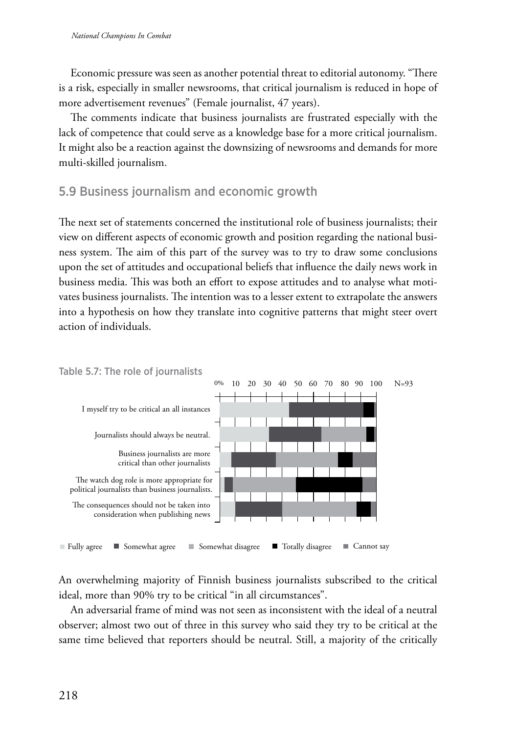Economic pressure was seen as another potential threat to editorial autonomy. "There is a risk, especially in smaller newsrooms, that critical journalism is reduced in hope of more advertisement revenues" (Female journalist, 47 years).

The comments indicate that business journalists are frustrated especially with the lack of competence that could serve as a knowledge base for a more critical journalism. It might also be a reaction against the downsizing of newsrooms and demands for more multi-skilled journalism.

# 5.9 Business journalism and economic growth

The next set of statements concerned the institutional role of business journalists; their view on different aspects of economic growth and position regarding the national business system. The aim of this part of the survey was to try to draw some conclusions upon the set of attitudes and occupational beliefs that influence the daily news work in business media. This was both an effort to expose attitudes and to analyse what motivates business journalists. The intention was to a lesser extent to extrapolate the answers into a hypothesis on how they translate into cognitive patterns that might steer overt action of individuals.



An overwhelming majority of Finnish business journalists subscribed to the critical ideal, more than 90% try to be critical "in all circumstances".

An adversarial frame of mind was not seen as inconsistent with the ideal of a neutral observer; almost two out of three in this survey who said they try to be critical at the same time believed that reporters should be neutral. Still, a majority of the critically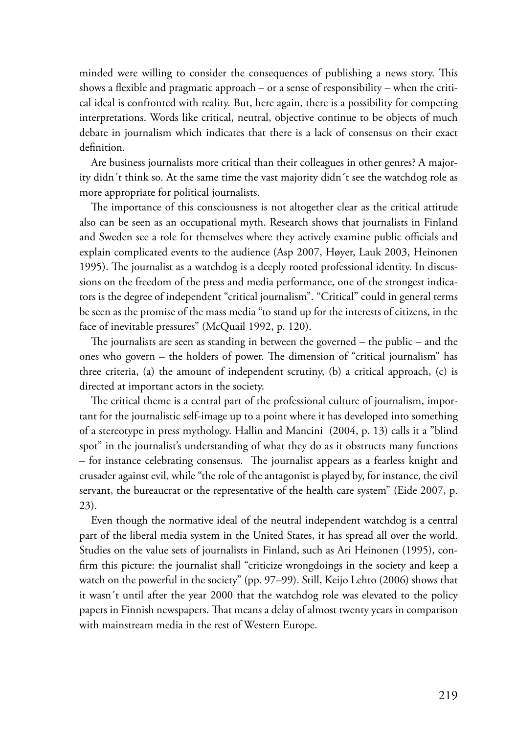minded were willing to consider the consequences of publishing a news story. This shows a flexible and pragmatic approach – or a sense of responsibility – when the critical ideal is confronted with reality. But, here again, there is a possibility for competing interpretations. Words like critical, neutral, objective continue to be objects of much debate in journalism which indicates that there is a lack of consensus on their exact definition.

Are business journalists more critical than their colleagues in other genres? A majority didn´t think so. At the same time the vast majority didn´t see the watchdog role as more appropriate for political journalists.

The importance of this consciousness is not altogether clear as the critical attitude also can be seen as an occupational myth. Research shows that journalists in Finland and Sweden see a role for themselves where they actively examine public officials and explain complicated events to the audience (Asp 2007, Høyer, Lauk 2003, Heinonen 1995). The journalist as a watchdog is a deeply rooted professional identity. In discussions on the freedom of the press and media performance, one of the strongest indicators is the degree of independent "critical journalism". "Critical" could in general terms be seen as the promise of the mass media "to stand up for the interests of citizens, in the face of inevitable pressures" (McQuail 1992, p. 120).

The journalists are seen as standing in between the governed – the public – and the ones who govern – the holders of power. The dimension of "critical journalism" has three criteria, (a) the amount of independent scrutiny, (b) a critical approach, (c) is directed at important actors in the society.

The critical theme is a central part of the professional culture of journalism, important for the journalistic self-image up to a point where it has developed into something of a stereotype in press mythology. Hallin and Mancini (2004, p. 13) calls it a "blind spot" in the journalist's understanding of what they do as it obstructs many functions – for instance celebrating consensus. The journalist appears as a fearless knight and crusader against evil, while "the role of the antagonist is played by, for instance, the civil servant, the bureaucrat or the representative of the health care system" (Eide 2007, p. 23).

Even though the normative ideal of the neutral independent watchdog is a central part of the liberal media system in the United States, it has spread all over the world. Studies on the value sets of journalists in Finland, such as Ari Heinonen (1995), confirm this picture: the journalist shall "criticize wrongdoings in the society and keep a watch on the powerful in the society" (pp. 97–99). Still, Keijo Lehto (2006) shows that it wasn´t until after the year 2000 that the watchdog role was elevated to the policy papers in Finnish newspapers. That means a delay of almost twenty years in comparison with mainstream media in the rest of Western Europe.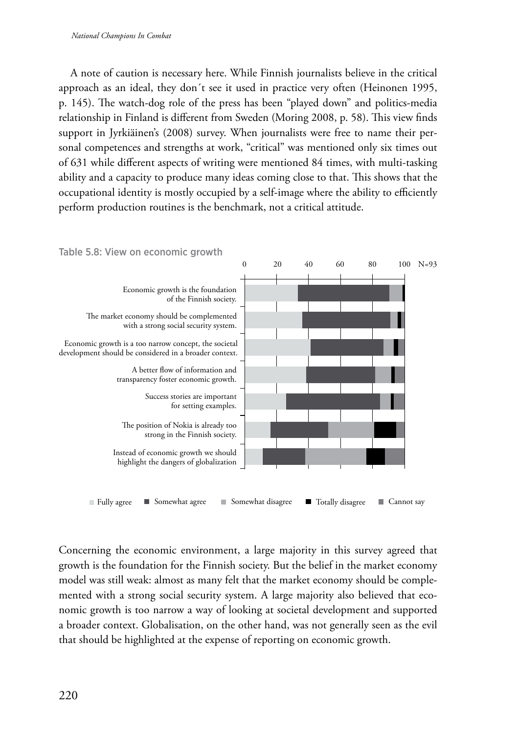A note of caution is necessary here. While Finnish journalists believe in the critical approach as an ideal, they don´t see it used in practice very often (Heinonen 1995, p. 145). The watch-dog role of the press has been "played down" and politics-media relationship in Finland is different from Sweden (Moring 2008, p. 58). This view finds support in Jyrkiäinen's (2008) survey. When journalists were free to name their personal competences and strengths at work, "critical" was mentioned only six times out of 631 while different aspects of writing were mentioned 84 times, with multi-tasking ability and a capacity to produce many ideas coming close to that. This shows that the occupational identity is mostly occupied by a self-image where the ability to efficiently perform production routines is the benchmark, not a critical attitude.



■ Fully agree ■ Somewhat agree ■ Somewhat disagree ■ Totally disagree ■ Cannot say

Concerning the economic environment, a large majority in this survey agreed that growth is the foundation for the Finnish society. But the belief in the market economy model was still weak: almost as many felt that the market economy should be complemented with a strong social security system. A large majority also believed that economic growth is too narrow a way of looking at societal development and supported a broader context. Globalisation, on the other hand, was not generally seen as the evil that should be highlighted at the expense of reporting on economic growth.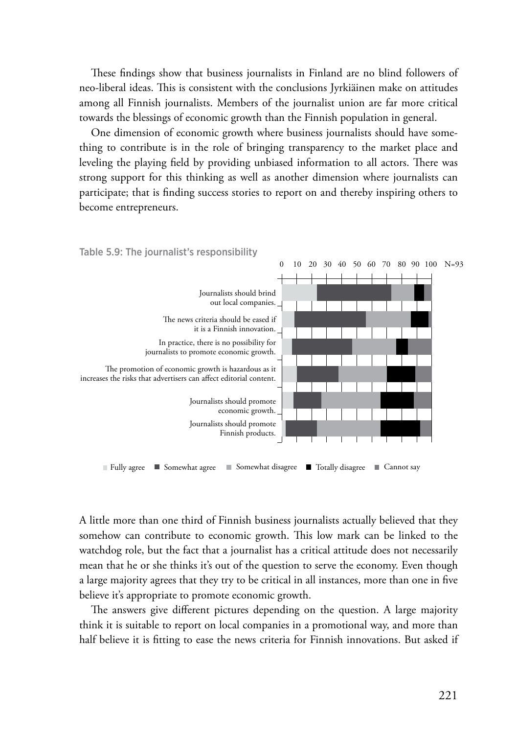These findings show that business journalists in Finland are no blind followers of neo-liberal ideas. This is consistent with the conclusions Jyrkiäinen make on attitudes among all Finnish journalists. Members of the journalist union are far more critical towards the blessings of economic growth than the Finnish population in general.

One dimension of economic growth where business journalists should have something to contribute is in the role of bringing transparency to the market place and leveling the playing field by providing unbiased information to all actors. There was strong support for this thinking as well as another dimension where journalists can participate; that is finding success stories to report on and thereby inspiring others to become entrepreneurs.



A little more than one third of Finnish business journalists actually believed that they somehow can contribute to economic growth. This low mark can be linked to the watchdog role, but the fact that a journalist has a critical attitude does not necessarily mean that he or she thinks it's out of the question to serve the economy. Even though a large majority agrees that they try to be critical in all instances, more than one in five believe it's appropriate to promote economic growth.

The answers give different pictures depending on the question. A large majority think it is suitable to report on local companies in a promotional way, and more than half believe it is fitting to ease the news criteria for Finnish innovations. But asked if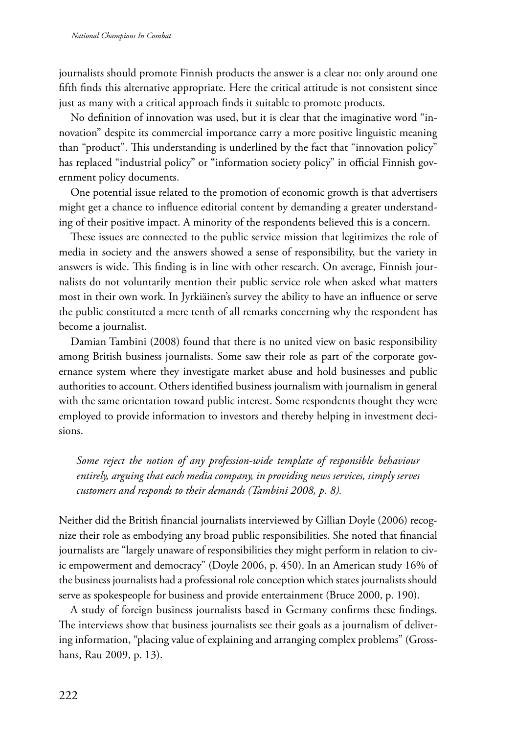journalists should promote Finnish products the answer is a clear no: only around one fifth finds this alternative appropriate. Here the critical attitude is not consistent since just as many with a critical approach finds it suitable to promote products.

No definition of innovation was used, but it is clear that the imaginative word "innovation" despite its commercial importance carry a more positive linguistic meaning than "product". This understanding is underlined by the fact that "innovation policy" has replaced "industrial policy" or "information society policy" in official Finnish government policy documents.

One potential issue related to the promotion of economic growth is that advertisers might get a chance to influence editorial content by demanding a greater understanding of their positive impact. A minority of the respondents believed this is a concern.

These issues are connected to the public service mission that legitimizes the role of media in society and the answers showed a sense of responsibility, but the variety in answers is wide. This finding is in line with other research. On average, Finnish journalists do not voluntarily mention their public service role when asked what matters most in their own work. In Jyrkiäinen's survey the ability to have an influence or serve the public constituted a mere tenth of all remarks concerning why the respondent has become a journalist.

Damian Tambini (2008) found that there is no united view on basic responsibility among British business journalists. Some saw their role as part of the corporate governance system where they investigate market abuse and hold businesses and public authorities to account. Others identified business journalism with journalism in general with the same orientation toward public interest. Some respondents thought they were employed to provide information to investors and thereby helping in investment decisions.

*Some reject the notion of any profession-wide template of responsible behaviour entirely, arguing that each media company, in providing news services, simply serves customers and responds to their demands (Tambini 2008, p. 8).*

Neither did the British financial journalists interviewed by Gillian Doyle (2006) recognize their role as embodying any broad public responsibilities. She noted that financial journalists are "largely unaware of responsibilities they might perform in relation to civic empowerment and democracy" (Doyle 2006, p. 450). In an American study 16% of the business journalists had a professional role conception which states journalists should serve as spokespeople for business and provide entertainment (Bruce 2000, p. 190).

A study of foreign business journalists based in Germany confirms these findings. The interviews show that business journalists see their goals as a journalism of delivering information, "placing value of explaining and arranging complex problems" (Grosshans, Rau 2009, p. 13).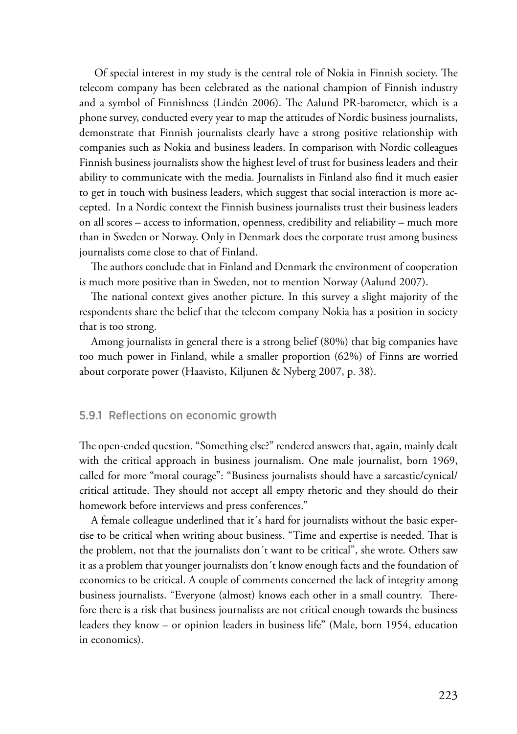Of special interest in my study is the central role of Nokia in Finnish society. The telecom company has been celebrated as the national champion of Finnish industry and a symbol of Finnishness (Lindén 2006). The Aalund PR-barometer, which is a phone survey, conducted every year to map the attitudes of Nordic business journalists, demonstrate that Finnish journalists clearly have a strong positive relationship with companies such as Nokia and business leaders. In comparison with Nordic colleagues Finnish business journalists show the highest level of trust for business leaders and their ability to communicate with the media. Journalists in Finland also find it much easier to get in touch with business leaders, which suggest that social interaction is more accepted. In a Nordic context the Finnish business journalists trust their business leaders on all scores – access to information, openness, credibility and reliability – much more than in Sweden or Norway. Only in Denmark does the corporate trust among business journalists come close to that of Finland.

The authors conclude that in Finland and Denmark the environment of cooperation is much more positive than in Sweden, not to mention Norway (Aalund 2007).

The national context gives another picture. In this survey a slight majority of the respondents share the belief that the telecom company Nokia has a position in society that is too strong.

Among journalists in general there is a strong belief (80%) that big companies have too much power in Finland, while a smaller proportion (62%) of Finns are worried about corporate power (Haavisto, Kiljunen & Nyberg 2007, p. 38).

#### 5.9.1 Reflections on economic growth

The open-ended question, "Something else?" rendered answers that, again, mainly dealt with the critical approach in business journalism. One male journalist, born 1969, called for more "moral courage": "Business journalists should have a sarcastic/cynical/ critical attitude. They should not accept all empty rhetoric and they should do their homework before interviews and press conferences."

A female colleague underlined that it´s hard for journalists without the basic expertise to be critical when writing about business. "Time and expertise is needed. That is the problem, not that the journalists don´t want to be critical", she wrote. Others saw it as a problem that younger journalists don´t know enough facts and the foundation of economics to be critical. A couple of comments concerned the lack of integrity among business journalists. "Everyone (almost) knows each other in a small country. Therefore there is a risk that business journalists are not critical enough towards the business leaders they know – or opinion leaders in business life" (Male, born 1954, education in economics).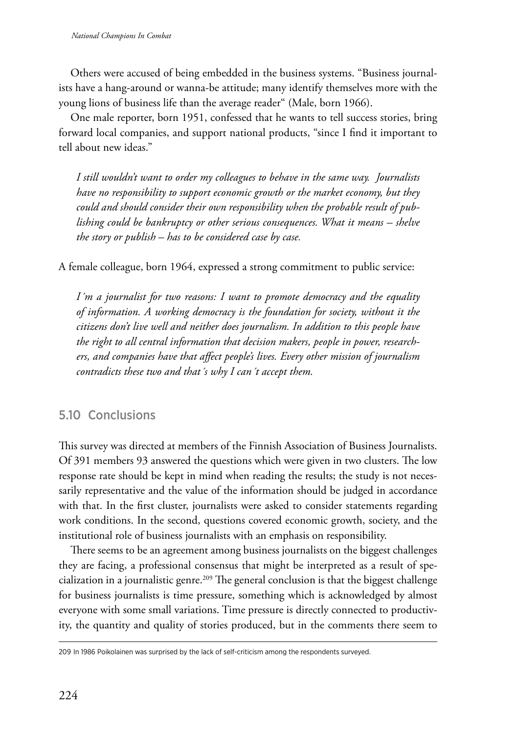Others were accused of being embedded in the business systems. "Business journalists have a hang-around or wanna-be attitude; many identify themselves more with the young lions of business life than the average reader" (Male, born 1966).

One male reporter, born 1951, confessed that he wants to tell success stories, bring forward local companies, and support national products, "since I find it important to tell about new ideas."

*I still wouldn't want to order my colleagues to behave in the same way. Journalists have no responsibility to support economic growth or the market economy, but they could and should consider their own responsibility when the probable result of publishing could be bankruptcy or other serious consequences. What it means – shelve the story or publish – has to be considered case by case.*

A female colleague, born 1964, expressed a strong commitment to public service:

*I´m a journalist for two reasons: I want to promote democracy and the equality of information. A working democracy is the foundation for society, without it the citizens don't live well and neither does journalism. In addition to this people have the right to all central information that decision makers, people in power, researchers, and companies have that affect people's lives. Every other mission of journalism contradicts these two and that´s why I can´t accept them.*

# 5.10 Conclusions

This survey was directed at members of the Finnish Association of Business Journalists. Of 391 members 93 answered the questions which were given in two clusters. The low response rate should be kept in mind when reading the results; the study is not necessarily representative and the value of the information should be judged in accordance with that. In the first cluster, journalists were asked to consider statements regarding work conditions. In the second, questions covered economic growth, society, and the institutional role of business journalists with an emphasis on responsibility.

There seems to be an agreement among business journalists on the biggest challenges they are facing, a professional consensus that might be interpreted as a result of specialization in a journalistic genre.<sup>209</sup> The general conclusion is that the biggest challenge for business journalists is time pressure, something which is acknowledged by almost everyone with some small variations. Time pressure is directly connected to productivity, the quantity and quality of stories produced, but in the comments there seem to

<sup>209</sup> In 1986 Poikolainen was surprised by the lack of self-criticism among the respondents surveyed.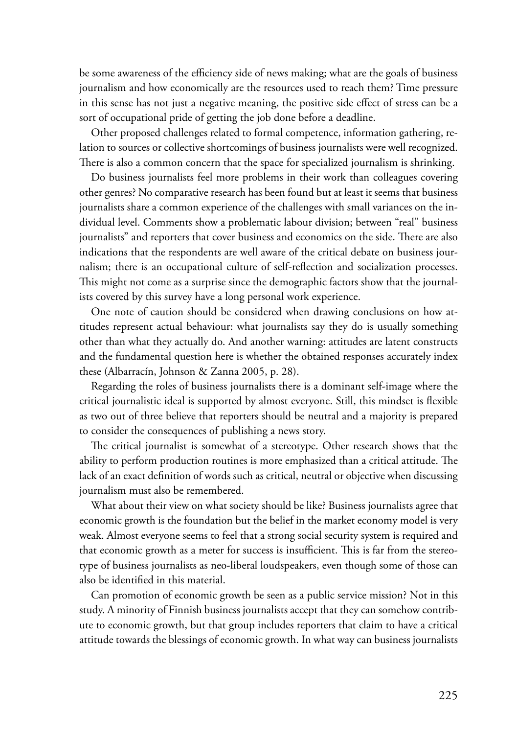be some awareness of the efficiency side of news making; what are the goals of business journalism and how economically are the resources used to reach them? Time pressure in this sense has not just a negative meaning, the positive side effect of stress can be a sort of occupational pride of getting the job done before a deadline.

Other proposed challenges related to formal competence, information gathering, relation to sources or collective shortcomings of business journalists were well recognized. There is also a common concern that the space for specialized journalism is shrinking.

Do business journalists feel more problems in their work than colleagues covering other genres? No comparative research has been found but at least it seems that business journalists share a common experience of the challenges with small variances on the individual level. Comments show a problematic labour division; between "real" business journalists" and reporters that cover business and economics on the side. There are also indications that the respondents are well aware of the critical debate on business journalism; there is an occupational culture of self-reflection and socialization processes. This might not come as a surprise since the demographic factors show that the journalists covered by this survey have a long personal work experience.

One note of caution should be considered when drawing conclusions on how attitudes represent actual behaviour: what journalists say they do is usually something other than what they actually do. And another warning: attitudes are latent constructs and the fundamental question here is whether the obtained responses accurately index these (Albarracín, Johnson & Zanna 2005, p. 28).

Regarding the roles of business journalists there is a dominant self-image where the critical journalistic ideal is supported by almost everyone. Still, this mindset is flexible as two out of three believe that reporters should be neutral and a majority is prepared to consider the consequences of publishing a news story.

The critical journalist is somewhat of a stereotype. Other research shows that the ability to perform production routines is more emphasized than a critical attitude. The lack of an exact definition of words such as critical, neutral or objective when discussing journalism must also be remembered.

What about their view on what society should be like? Business journalists agree that economic growth is the foundation but the belief in the market economy model is very weak. Almost everyone seems to feel that a strong social security system is required and that economic growth as a meter for success is insufficient. This is far from the stereotype of business journalists as neo-liberal loudspeakers, even though some of those can also be identified in this material.

Can promotion of economic growth be seen as a public service mission? Not in this study. A minority of Finnish business journalists accept that they can somehow contribute to economic growth, but that group includes reporters that claim to have a critical attitude towards the blessings of economic growth. In what way can business journalists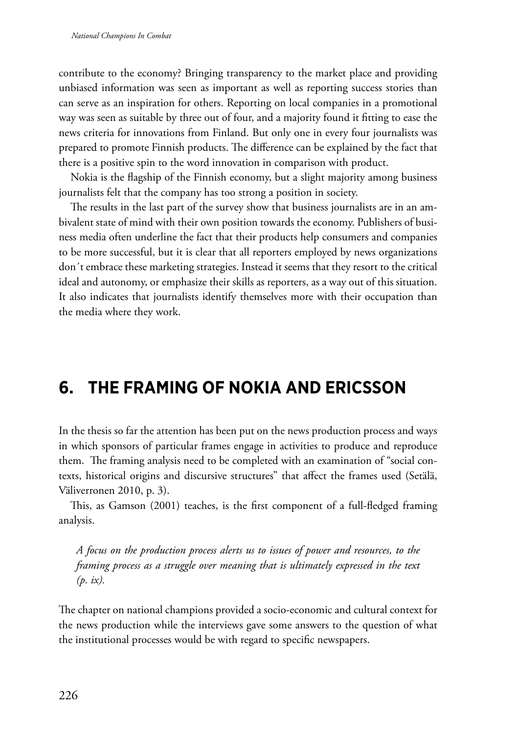contribute to the economy? Bringing transparency to the market place and providing unbiased information was seen as important as well as reporting success stories than can serve as an inspiration for others. Reporting on local companies in a promotional way was seen as suitable by three out of four, and a majority found it fitting to ease the news criteria for innovations from Finland. But only one in every four journalists was prepared to promote Finnish products. The difference can be explained by the fact that there is a positive spin to the word innovation in comparison with product.

Nokia is the flagship of the Finnish economy, but a slight majority among business journalists felt that the company has too strong a position in society.

The results in the last part of the survey show that business journalists are in an ambivalent state of mind with their own position towards the economy. Publishers of business media often underline the fact that their products help consumers and companies to be more successful, but it is clear that all reporters employed by news organizations don´t embrace these marketing strategies. Instead it seems that they resort to the critical ideal and autonomy, or emphasize their skills as reporters, as a way out of this situation. It also indicates that journalists identify themselves more with their occupation than the media where they work.

# **6. The framing of Nokia and Ericsson**

In the thesis so far the attention has been put on the news production process and ways in which sponsors of particular frames engage in activities to produce and reproduce them. The framing analysis need to be completed with an examination of "social contexts, historical origins and discursive structures" that affect the frames used (Setälä, Väliverronen 2010, p. 3).

This, as Gamson (2001) teaches, is the first component of a full-fledged framing analysis.

*A focus on the production process alerts us to issues of power and resources, to the framing process as a struggle over meaning that is ultimately expressed in the text (p. ix).*

The chapter on national champions provided a socio-economic and cultural context for the news production while the interviews gave some answers to the question of what the institutional processes would be with regard to specific newspapers.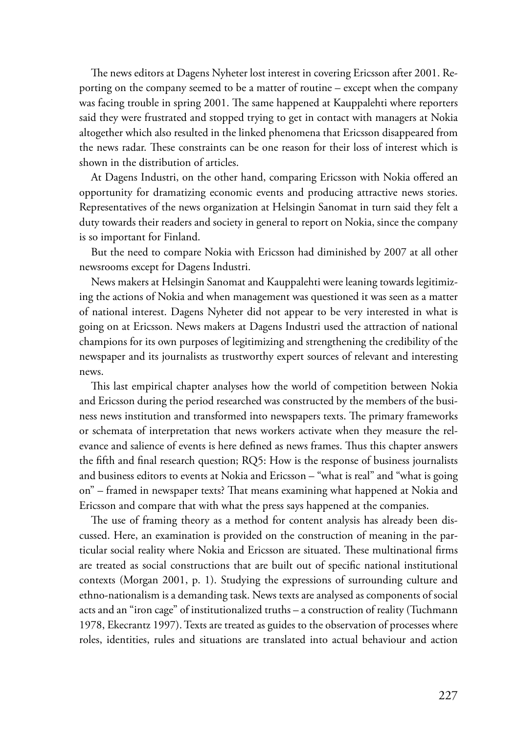The news editors at Dagens Nyheter lost interest in covering Ericsson after 2001. Reporting on the company seemed to be a matter of routine – except when the company was facing trouble in spring 2001. The same happened at Kauppalehti where reporters said they were frustrated and stopped trying to get in contact with managers at Nokia altogether which also resulted in the linked phenomena that Ericsson disappeared from the news radar. These constraints can be one reason for their loss of interest which is shown in the distribution of articles.

At Dagens Industri, on the other hand, comparing Ericsson with Nokia offered an opportunity for dramatizing economic events and producing attractive news stories. Representatives of the news organization at Helsingin Sanomat in turn said they felt a duty towards their readers and society in general to report on Nokia, since the company is so important for Finland.

But the need to compare Nokia with Ericsson had diminished by 2007 at all other newsrooms except for Dagens Industri.

News makers at Helsingin Sanomat and Kauppalehti were leaning towards legitimizing the actions of Nokia and when management was questioned it was seen as a matter of national interest. Dagens Nyheter did not appear to be very interested in what is going on at Ericsson. News makers at Dagens Industri used the attraction of national champions for its own purposes of legitimizing and strengthening the credibility of the newspaper and its journalists as trustworthy expert sources of relevant and interesting news.

This last empirical chapter analyses how the world of competition between Nokia and Ericsson during the period researched was constructed by the members of the business news institution and transformed into newspapers texts. The primary frameworks or schemata of interpretation that news workers activate when they measure the relevance and salience of events is here defined as news frames. Thus this chapter answers the fifth and final research question; RQ5: How is the response of business journalists and business editors to events at Nokia and Ericsson – "what is real" and "what is going on" – framed in newspaper texts? That means examining what happened at Nokia and Ericsson and compare that with what the press says happened at the companies.

The use of framing theory as a method for content analysis has already been discussed. Here, an examination is provided on the construction of meaning in the particular social reality where Nokia and Ericsson are situated. These multinational firms are treated as social constructions that are built out of specific national institutional contexts (Morgan 2001, p. 1). Studying the expressions of surrounding culture and ethno-nationalism is a demanding task. News texts are analysed as components of social acts and an "iron cage" of institutionalized truths – a construction of reality (Tuchmann 1978, Ekecrantz 1997). Texts are treated as guides to the observation of processes where roles, identities, rules and situations are translated into actual behaviour and action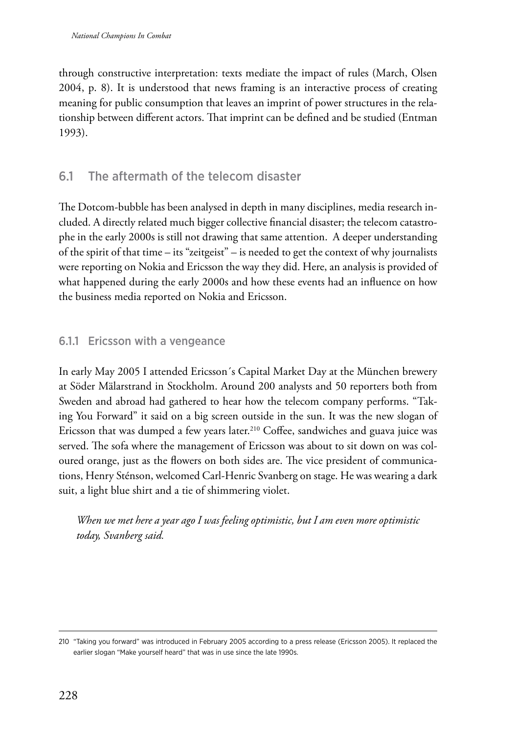through constructive interpretation: texts mediate the impact of rules (March, Olsen 2004, p. 8). It is understood that news framing is an interactive process of creating meaning for public consumption that leaves an imprint of power structures in the relationship between different actors. That imprint can be defined and be studied (Entman 1993).

# 6.1 The aftermath of the telecom disaster

The Dotcom-bubble has been analysed in depth in many disciplines, media research included. A directly related much bigger collective financial disaster; the telecom catastrophe in the early 2000s is still not drawing that same attention. A deeper understanding of the spirit of that time – its "zeitgeist" – is needed to get the context of why journalists were reporting on Nokia and Ericsson the way they did. Here, an analysis is provided of what happened during the early 2000s and how these events had an influence on how the business media reported on Nokia and Ericsson.

### 6.1.1 Ericsson with a vengeance

In early May 2005 I attended Ericsson´s Capital Market Day at the München brewery at Söder Mälarstrand in Stockholm. Around 200 analysts and 50 reporters both from Sweden and abroad had gathered to hear how the telecom company performs. "Taking You Forward" it said on a big screen outside in the sun. It was the new slogan of Ericsson that was dumped a few years later.<sup>210</sup> Coffee, sandwiches and guava juice was served. The sofa where the management of Ericsson was about to sit down on was coloured orange, just as the flowers on both sides are. The vice president of communications, Henry Sténson, welcomed Carl-Henric Svanberg on stage. He was wearing a dark suit, a light blue shirt and a tie of shimmering violet.

*When we met here a year ago I was feeling optimistic, but I am even more optimistic today, Svanberg said.*

<sup>210</sup> "Taking you forward" was introduced in February 2005 according to a press release (Ericsson 2005). It replaced the earlier slogan "Make yourself heard" that was in use since the late 1990s.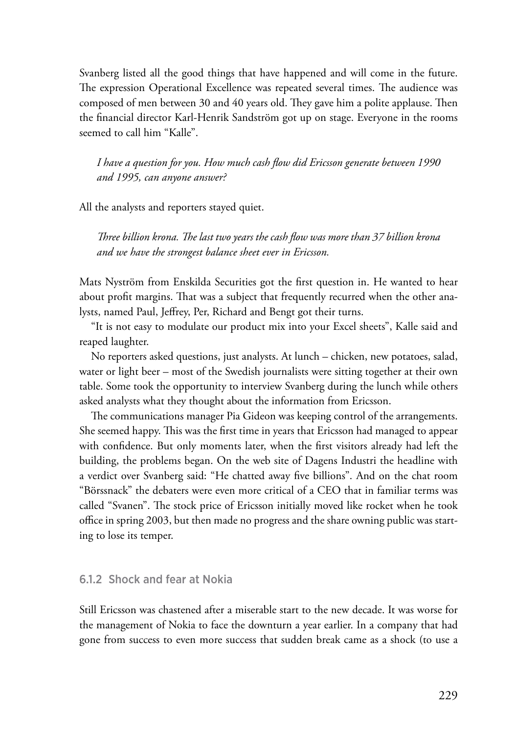Svanberg listed all the good things that have happened and will come in the future. The expression Operational Excellence was repeated several times. The audience was composed of men between 30 and 40 years old. They gave him a polite applause. Then the financial director Karl-Henrik Sandström got up on stage. Everyone in the rooms seemed to call him "Kalle".

*I have a question for you. How much cash flow did Ericsson generate between 1990 and 1995, can anyone answer?*

All the analysts and reporters stayed quiet.

*Three billion krona. The last two years the cash flow was more than 37 billion krona and we have the strongest balance sheet ever in Ericsson.*

Mats Nyström from Enskilda Securities got the first question in. He wanted to hear about profit margins. That was a subject that frequently recurred when the other analysts, named Paul, Jeffrey, Per, Richard and Bengt got their turns.

"It is not easy to modulate our product mix into your Excel sheets", Kalle said and reaped laughter.

No reporters asked questions, just analysts. At lunch – chicken, new potatoes, salad, water or light beer – most of the Swedish journalists were sitting together at their own table. Some took the opportunity to interview Svanberg during the lunch while others asked analysts what they thought about the information from Ericsson.

The communications manager Pia Gideon was keeping control of the arrangements. She seemed happy. This was the first time in years that Ericsson had managed to appear with confidence. But only moments later, when the first visitors already had left the building, the problems began. On the web site of Dagens Industri the headline with a verdict over Svanberg said: "He chatted away five billions". And on the chat room "Börssnack" the debaters were even more critical of a CEO that in familiar terms was called "Svanen". The stock price of Ericsson initially moved like rocket when he took office in spring 2003, but then made no progress and the share owning public was starting to lose its temper.

#### 6.1.2 Shock and fear at Nokia

Still Ericsson was chastened after a miserable start to the new decade. It was worse for the management of Nokia to face the downturn a year earlier. In a company that had gone from success to even more success that sudden break came as a shock (to use a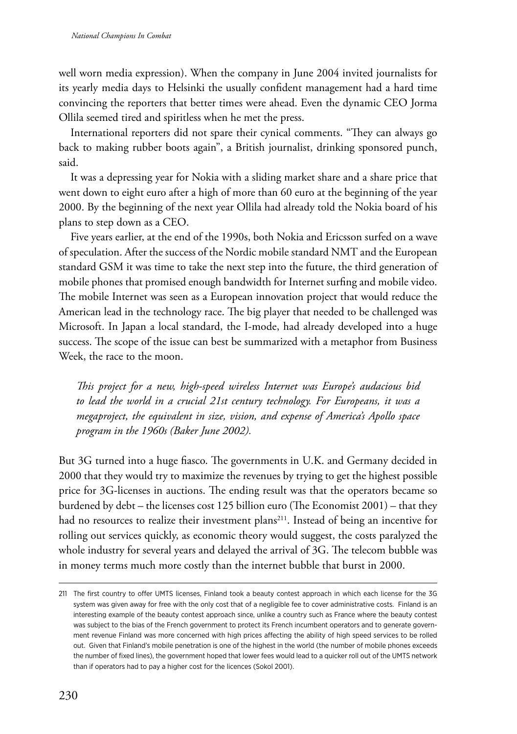well worn media expression). When the company in June 2004 invited journalists for its yearly media days to Helsinki the usually confident management had a hard time convincing the reporters that better times were ahead. Even the dynamic CEO Jorma Ollila seemed tired and spiritless when he met the press.

International reporters did not spare their cynical comments. "They can always go back to making rubber boots again", a British journalist, drinking sponsored punch, said.

It was a depressing year for Nokia with a sliding market share and a share price that went down to eight euro after a high of more than 60 euro at the beginning of the year 2000. By the beginning of the next year Ollila had already told the Nokia board of his plans to step down as a CEO.

Five years earlier, at the end of the 1990s, both Nokia and Ericsson surfed on a wave of speculation. After the success of the Nordic mobile standard NMT and the European standard GSM it was time to take the next step into the future, the third generation of mobile phones that promised enough bandwidth for Internet surfing and mobile video. The mobile Internet was seen as a European innovation project that would reduce the American lead in the technology race. The big player that needed to be challenged was Microsoft. In Japan a local standard, the I-mode, had already developed into a huge success. The scope of the issue can best be summarized with a metaphor from Business Week, the race to the moon.

*This project for a new, high-speed wireless Internet was Europe's audacious bid to lead the world in a crucial 21st century technology. For Europeans, it was a megaproject, the equivalent in size, vision, and expense of America's Apollo space program in the 1960s (Baker June 2002).*

But 3G turned into a huge fiasco. The governments in U.K. and Germany decided in 2000 that they would try to maximize the revenues by trying to get the highest possible price for 3G-licenses in auctions. The ending result was that the operators became so burdened by debt – the licenses cost 125 billion euro (The Economist 2001) – that they had no resources to realize their investment plans<sup>211</sup>. Instead of being an incentive for rolling out services quickly, as economic theory would suggest, the costs paralyzed the whole industry for several years and delayed the arrival of 3G. The telecom bubble was in money terms much more costly than the internet bubble that burst in 2000.

<sup>211</sup> The first country to offer UMTS licenses, Finland took a beauty contest approach in which each license for the 3G system was given away for free with the only cost that of a negligible fee to cover administrative costs. Finland is an interesting example of the beauty contest approach since, unlike a country such as France where the beauty contest was subject to the bias of the French government to protect its French incumbent operators and to generate government revenue Finland was more concerned with high prices affecting the ability of high speed services to be rolled out. Given that Finland's mobile penetration is one of the highest in the world (the number of mobile phones exceeds the number of fixed lines), the government hoped that lower fees would lead to a quicker roll out of the UMTS network than if operators had to pay a higher cost for the licences (Sokol 2001).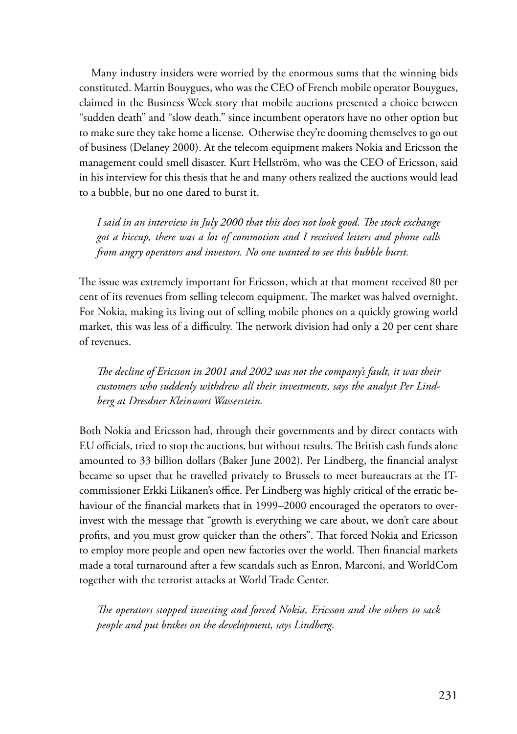Many industry insiders were worried by the enormous sums that the winning bids constituted. Martin Bouygues, who was the CEO of French mobile operator Bouygues, claimed in the Business Week story that mobile auctions presented a choice between "sudden death" and "slow death." since incumbent operators have no other option but to make sure they take home a license. Otherwise they're dooming themselves to go out of business (Delaney 2000). At the telecom equipment makers Nokia and Ericsson the management could smell disaster. Kurt Hellström, who was the CEO of Ericsson, said in his interview for this thesis that he and many others realized the auctions would lead to a bubble, but no one dared to burst it.

*I said in an interview in July 2000 that this does not look good. The stock exchange got a hiccup, there was a lot of commotion and I received letters and phone calls from angry operators and investors. No one wanted to see this bubble burst.*

The issue was extremely important for Ericsson, which at that moment received 80 per cent of its revenues from selling telecom equipment. The market was halved overnight. For Nokia, making its living out of selling mobile phones on a quickly growing world market, this was less of a difficulty. The network division had only a 20 per cent share of revenues.

*The decline of Ericsson in 2001 and 2002 was not the company's fault, it was their customers who suddenly withdrew all their investments, says the analyst Per Lindberg at Dresdner Kleinwort Wasserstein.*

Both Nokia and Ericsson had, through their governments and by direct contacts with EU officials, tried to stop the auctions, but without results. The British cash funds alone amounted to 33 billion dollars (Baker June 2002). Per Lindberg, the financial analyst became so upset that he travelled privately to Brussels to meet bureaucrats at the ITcommissioner Erkki Liikanen's office. Per Lindberg was highly critical of the erratic behaviour of the financial markets that in 1999–2000 encouraged the operators to overinvest with the message that "growth is everything we care about, we don't care about profits, and you must grow quicker than the others". That forced Nokia and Ericsson to employ more people and open new factories over the world. Then financial markets made a total turnaround after a few scandals such as Enron, Marconi, and WorldCom together with the terrorist attacks at World Trade Center.

*The operators stopped investing and forced Nokia, Ericsson and the others to sack people and put brakes on the development, says Lindberg.*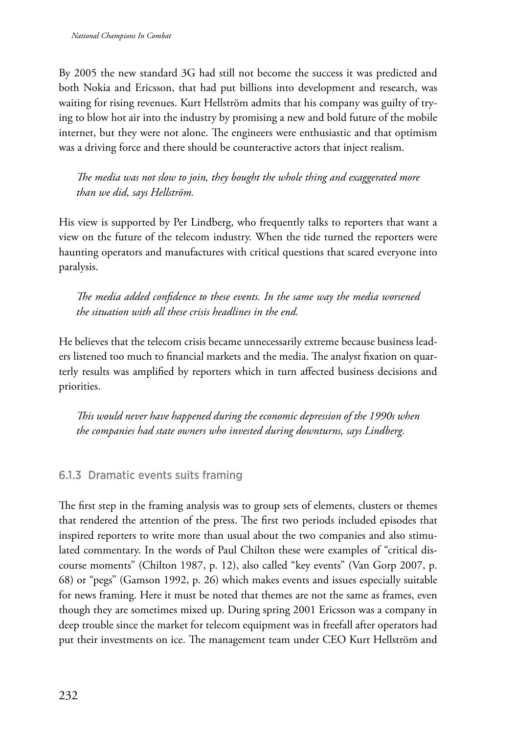By 2005 the new standard 3G had still not become the success it was predicted and both Nokia and Ericsson, that had put billions into development and research, was waiting for rising revenues. Kurt Hellström admits that his company was guilty of trying to blow hot air into the industry by promising a new and bold future of the mobile internet, but they were not alone. The engineers were enthusiastic and that optimism was a driving force and there should be counteractive actors that inject realism.

*The media was not slow to join, they bought the whole thing and exaggerated more than we did, says Hellström.*

His view is supported by Per Lindberg, who frequently talks to reporters that want a view on the future of the telecom industry. When the tide turned the reporters were haunting operators and manufactures with critical questions that scared everyone into paralysis.

*The media added confidence to these events. In the same way the media worsened the situation with all these crisis headlines in the end.*

He believes that the telecom crisis became unnecessarily extreme because business leaders listened too much to financial markets and the media. The analyst fixation on quarterly results was amplified by reporters which in turn affected business decisions and priorities.

*This would never have happened during the economic depression of the 1990s when the companies had state owners who invested during downturns, says Lindberg.*

# 6.1.3 Dramatic events suits framing

The first step in the framing analysis was to group sets of elements, clusters or themes that rendered the attention of the press. The first two periods included episodes that inspired reporters to write more than usual about the two companies and also stimulated commentary. In the words of Paul Chilton these were examples of "critical discourse moments" (Chilton 1987, p. 12), also called "key events" (Van Gorp 2007, p. 68) or "pegs" (Gamson 1992, p. 26) which makes events and issues especially suitable for news framing. Here it must be noted that themes are not the same as frames, even though they are sometimes mixed up. During spring 2001 Ericsson was a company in deep trouble since the market for telecom equipment was in freefall after operators had put their investments on ice. The management team under CEO Kurt Hellström and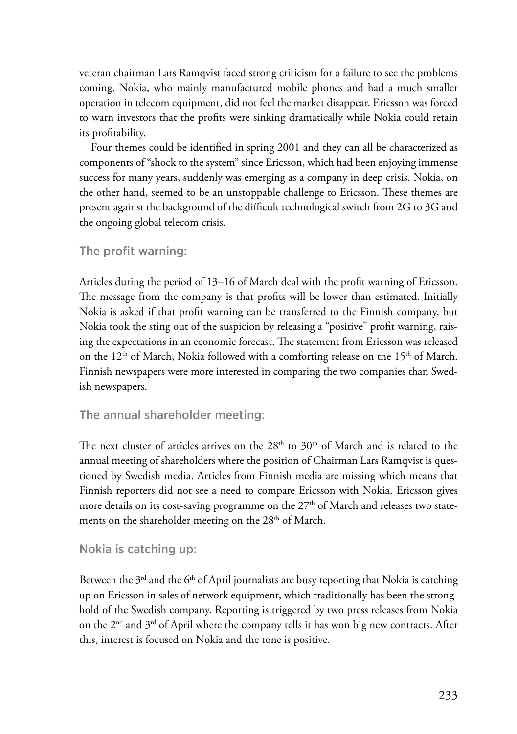veteran chairman Lars Ramqvist faced strong criticism for a failure to see the problems coming. Nokia, who mainly manufactured mobile phones and had a much smaller operation in telecom equipment, did not feel the market disappear. Ericsson was forced to warn investors that the profits were sinking dramatically while Nokia could retain its profitability.

Four themes could be identified in spring 2001 and they can all be characterized as components of "shock to the system" since Ericsson, which had been enjoying immense success for many years, suddenly was emerging as a company in deep crisis. Nokia, on the other hand, seemed to be an unstoppable challenge to Ericsson. These themes are present against the background of the difficult technological switch from 2G to 3G and the ongoing global telecom crisis.

### The profit warning:

Articles during the period of 13–16 of March deal with the profit warning of Ericsson. The message from the company is that profits will be lower than estimated. Initially Nokia is asked if that profit warning can be transferred to the Finnish company, but Nokia took the sting out of the suspicion by releasing a "positive" profit warning, raising the expectations in an economic forecast. The statement from Ericsson was released on the  $12<sup>th</sup>$  of March, Nokia followed with a comforting release on the  $15<sup>th</sup>$  of March. Finnish newspapers were more interested in comparing the two companies than Swedish newspapers.

# The annual shareholder meeting:

The next cluster of articles arrives on the  $28<sup>th</sup>$  to  $30<sup>th</sup>$  of March and is related to the annual meeting of shareholders where the position of Chairman Lars Ramqvist is questioned by Swedish media. Articles from Finnish media are missing which means that Finnish reporters did not see a need to compare Ericsson with Nokia. Ericsson gives more details on its cost-saving programme on the  $27<sup>th</sup>$  of March and releases two statements on the shareholder meeting on the 28<sup>th</sup> of March.

#### Nokia is catching up:

Between the  $3<sup>rd</sup>$  and the  $6<sup>th</sup>$  of April journalists are busy reporting that Nokia is catching up on Ericsson in sales of network equipment, which traditionally has been the stronghold of the Swedish company. Reporting is triggered by two press releases from Nokia on the  $2<sup>nd</sup>$  and  $3<sup>rd</sup>$  of April where the company tells it has won big new contracts. After this, interest is focused on Nokia and the tone is positive.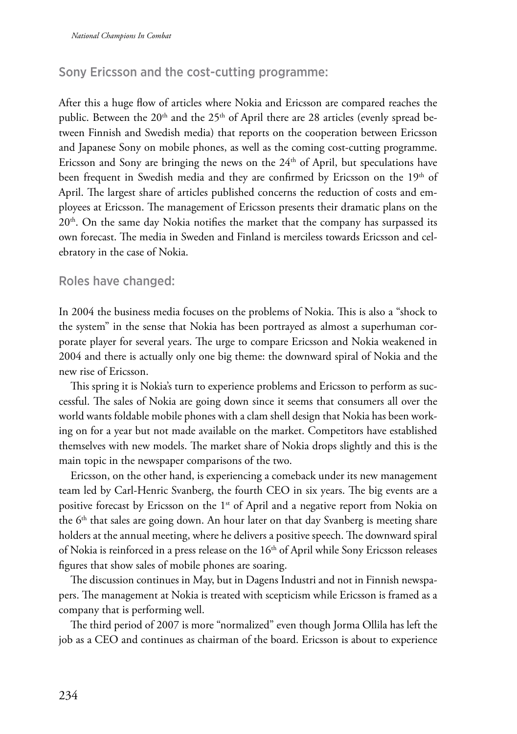# Sony Ericsson and the cost-cutting programme:

After this a huge flow of articles where Nokia and Ericsson are compared reaches the public. Between the 20<sup>th</sup> and the 25<sup>th</sup> of April there are 28 articles (evenly spread between Finnish and Swedish media) that reports on the cooperation between Ericsson and Japanese Sony on mobile phones, as well as the coming cost-cutting programme. Ericsson and Sony are bringing the news on the  $24<sup>th</sup>$  of April, but speculations have been frequent in Swedish media and they are confirmed by Ericsson on the 19<sup>th</sup> of April. The largest share of articles published concerns the reduction of costs and employees at Ericsson. The management of Ericsson presents their dramatic plans on the  $20<sup>th</sup>$ . On the same day Nokia notifies the market that the company has surpassed its own forecast. The media in Sweden and Finland is merciless towards Ericsson and celebratory in the case of Nokia.

### Roles have changed:

In 2004 the business media focuses on the problems of Nokia. This is also a "shock to the system" in the sense that Nokia has been portrayed as almost a superhuman corporate player for several years. The urge to compare Ericsson and Nokia weakened in 2004 and there is actually only one big theme: the downward spiral of Nokia and the new rise of Ericsson.

This spring it is Nokia's turn to experience problems and Ericsson to perform as successful. The sales of Nokia are going down since it seems that consumers all over the world wants foldable mobile phones with a clam shell design that Nokia has been working on for a year but not made available on the market. Competitors have established themselves with new models. The market share of Nokia drops slightly and this is the main topic in the newspaper comparisons of the two.

Ericsson, on the other hand, is experiencing a comeback under its new management team led by Carl-Henric Svanberg, the fourth CEO in six years. The big events are a positive forecast by Ericsson on the 1<sup>st</sup> of April and a negative report from Nokia on the  $6<sup>th</sup>$  that sales are going down. An hour later on that day Svanberg is meeting share holders at the annual meeting, where he delivers a positive speech. The downward spiral of Nokia is reinforced in a press release on the  $16<sup>th</sup>$  of April while Sony Ericsson releases figures that show sales of mobile phones are soaring.

The discussion continues in May, but in Dagens Industri and not in Finnish newspapers. The management at Nokia is treated with scepticism while Ericsson is framed as a company that is performing well.

The third period of 2007 is more "normalized" even though Jorma Ollila has left the job as a CEO and continues as chairman of the board. Ericsson is about to experience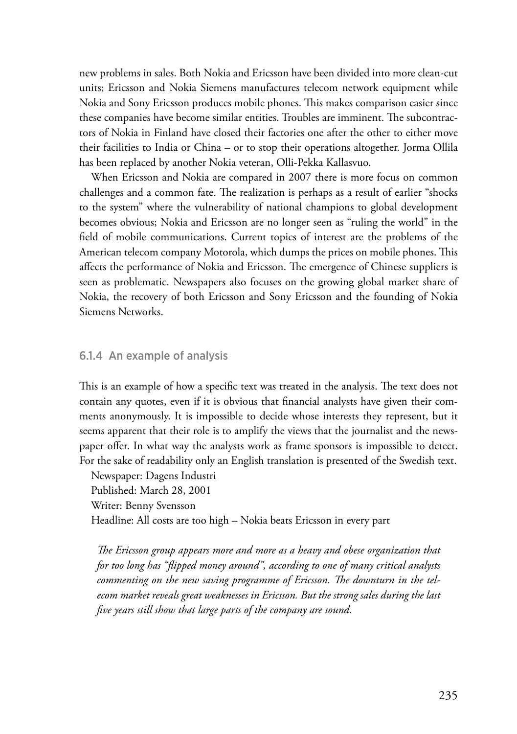new problems in sales. Both Nokia and Ericsson have been divided into more clean-cut units; Ericsson and Nokia Siemens manufactures telecom network equipment while Nokia and Sony Ericsson produces mobile phones. This makes comparison easier since these companies have become similar entities. Troubles are imminent. The subcontractors of Nokia in Finland have closed their factories one after the other to either move their facilities to India or China – or to stop their operations altogether. Jorma Ollila has been replaced by another Nokia veteran, Olli-Pekka Kallasvuo.

When Ericsson and Nokia are compared in 2007 there is more focus on common challenges and a common fate. The realization is perhaps as a result of earlier "shocks to the system" where the vulnerability of national champions to global development becomes obvious; Nokia and Ericsson are no longer seen as "ruling the world" in the field of mobile communications. Current topics of interest are the problems of the American telecom company Motorola, which dumps the prices on mobile phones. This affects the performance of Nokia and Ericsson. The emergence of Chinese suppliers is seen as problematic. Newspapers also focuses on the growing global market share of Nokia, the recovery of both Ericsson and Sony Ericsson and the founding of Nokia Siemens Networks.

#### 6.1.4 An example of analysis

This is an example of how a specific text was treated in the analysis. The text does not contain any quotes, even if it is obvious that financial analysts have given their comments anonymously. It is impossible to decide whose interests they represent, but it seems apparent that their role is to amplify the views that the journalist and the newspaper offer. In what way the analysts work as frame sponsors is impossible to detect. For the sake of readability only an English translation is presented of the Swedish text.

Newspaper: Dagens Industri Published: March 28, 2001 Writer: Benny Svensson Headline: All costs are too high – Nokia beats Ericsson in every part

*The Ericsson group appears more and more as a heavy and obese organization that for too long has "flipped money around", according to one of many critical analysts commenting on the new saving programme of Ericsson. The downturn in the telecom market reveals great weaknesses in Ericsson. But the strong sales during the last five years still show that large parts of the company are sound.*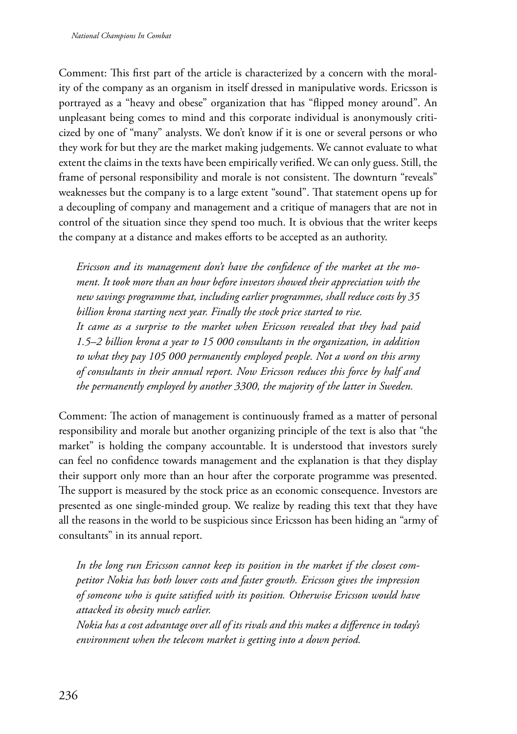Comment: This first part of the article is characterized by a concern with the morality of the company as an organism in itself dressed in manipulative words. Ericsson is portrayed as a "heavy and obese" organization that has "flipped money around". An unpleasant being comes to mind and this corporate individual is anonymously criticized by one of "many" analysts. We don't know if it is one or several persons or who they work for but they are the market making judgements. We cannot evaluate to what extent the claims in the texts have been empirically verified. We can only guess. Still, the frame of personal responsibility and morale is not consistent. The downturn "reveals" weaknesses but the company is to a large extent "sound". That statement opens up for a decoupling of company and management and a critique of managers that are not in control of the situation since they spend too much. It is obvious that the writer keeps the company at a distance and makes efforts to be accepted as an authority.

*Ericsson and its management don't have the confidence of the market at the moment. It took more than an hour before investors showed their appreciation with the new savings programme that, including earlier programmes, shall reduce costs by 35 billion krona starting next year. Finally the stock price started to rise.*

*It came as a surprise to the market when Ericsson revealed that they had paid 1.5–2 billion krona a year to 15 000 consultants in the organization, in addition to what they pay 105 000 permanently employed people. Not a word on this army of consultants in their annual report. Now Ericsson reduces this force by half and the permanently employed by another 3300, the majority of the latter in Sweden.*

Comment: The action of management is continuously framed as a matter of personal responsibility and morale but another organizing principle of the text is also that "the market" is holding the company accountable. It is understood that investors surely can feel no confidence towards management and the explanation is that they display their support only more than an hour after the corporate programme was presented. The support is measured by the stock price as an economic consequence. Investors are presented as one single-minded group. We realize by reading this text that they have all the reasons in the world to be suspicious since Ericsson has been hiding an "army of consultants" in its annual report.

*In the long run Ericsson cannot keep its position in the market if the closest competitor Nokia has both lower costs and faster growth. Ericsson gives the impression of someone who is quite satisfied with its position. Otherwise Ericsson would have attacked its obesity much earlier.*

*Nokia has a cost advantage over all of its rivals and this makes a difference in today's environment when the telecom market is getting into a down period.*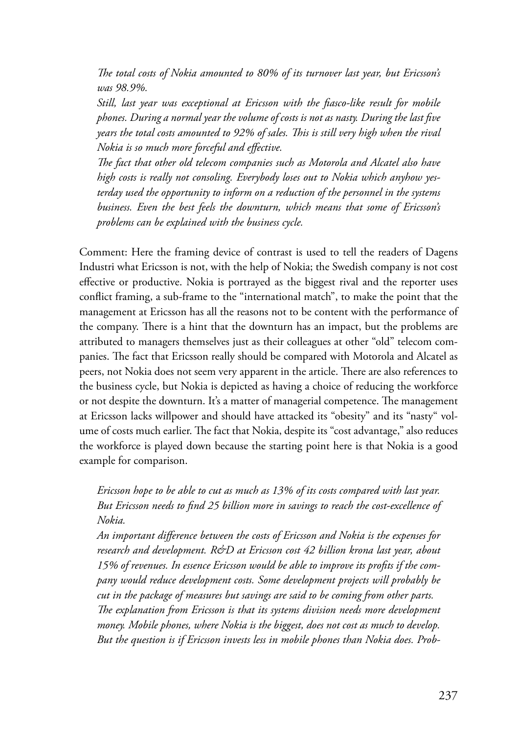*The total costs of Nokia amounted to 80% of its turnover last year, but Ericsson's was 98.9%.*

*Still, last year was exceptional at Ericsson with the fiasco-like result for mobile phones. During a normal year the volume of costs is not as nasty. During the last five years the total costs amounted to 92% of sales. This is still very high when the rival Nokia is so much more forceful and effective.*

*The fact that other old telecom companies such as Motorola and Alcatel also have high costs is really not consoling. Everybody loses out to Nokia which anyhow yesterday used the opportunity to inform on a reduction of the personnel in the systems business. Even the best feels the downturn, which means that some of Ericsson's problems can be explained with the business cycle.*

Comment: Here the framing device of contrast is used to tell the readers of Dagens Industri what Ericsson is not, with the help of Nokia; the Swedish company is not cost effective or productive. Nokia is portrayed as the biggest rival and the reporter uses conflict framing, a sub-frame to the "international match", to make the point that the management at Ericsson has all the reasons not to be content with the performance of the company. There is a hint that the downturn has an impact, but the problems are attributed to managers themselves just as their colleagues at other "old" telecom companies. The fact that Ericsson really should be compared with Motorola and Alcatel as peers, not Nokia does not seem very apparent in the article. There are also references to the business cycle, but Nokia is depicted as having a choice of reducing the workforce or not despite the downturn. It's a matter of managerial competence. The management at Ericsson lacks willpower and should have attacked its "obesity" and its "nasty" volume of costs much earlier. The fact that Nokia, despite its "cost advantage," also reduces the workforce is played down because the starting point here is that Nokia is a good example for comparison.

*Ericsson hope to be able to cut as much as 13% of its costs compared with last year. But Ericsson needs to find 25 billion more in savings to reach the cost-excellence of Nokia.*

*An important difference between the costs of Ericsson and Nokia is the expenses for research and development. R&D at Ericsson cost 42 billion krona last year, about 15% of revenues. In essence Ericsson would be able to improve its profits if the company would reduce development costs. Some development projects will probably be cut in the package of measures but savings are said to be coming from other parts. The explanation from Ericsson is that its systems division needs more development money. Mobile phones, where Nokia is the biggest, does not cost as much to develop. But the question is if Ericsson invests less in mobile phones than Nokia does. Prob-*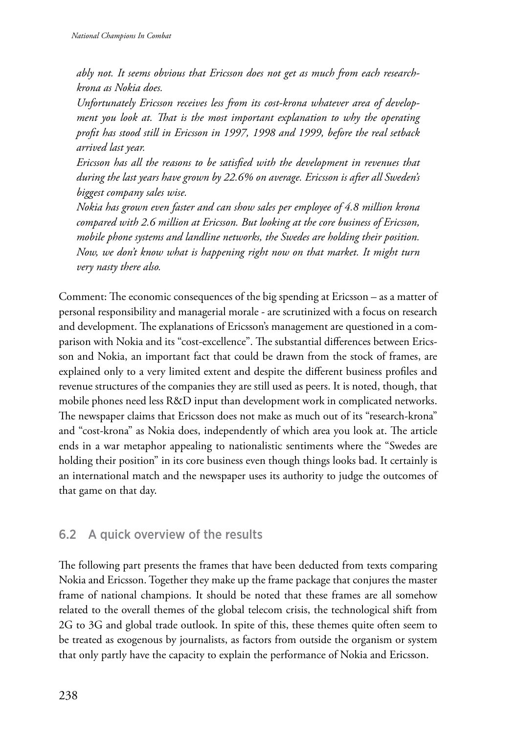*ably not. It seems obvious that Ericsson does not get as much from each researchkrona as Nokia does.*

*Unfortunately Ericsson receives less from its cost-krona whatever area of development you look at. That is the most important explanation to why the operating profit has stood still in Ericsson in 1997, 1998 and 1999, before the real setback arrived last year.*

*Ericsson has all the reasons to be satisfied with the development in revenues that during the last years have grown by 22.6% on average. Ericsson is after all Sweden's biggest company sales wise.*

*Nokia has grown even faster and can show sales per employee of 4.8 million krona compared with 2.6 million at Ericsson. But looking at the core business of Ericsson, mobile phone systems and landline networks, the Swedes are holding their position. Now, we don't know what is happening right now on that market. It might turn very nasty there also.*

Comment: The economic consequences of the big spending at Ericsson – as a matter of personal responsibility and managerial morale - are scrutinized with a focus on research and development. The explanations of Ericsson's management are questioned in a comparison with Nokia and its "cost-excellence". The substantial differences between Ericsson and Nokia, an important fact that could be drawn from the stock of frames, are explained only to a very limited extent and despite the different business profiles and revenue structures of the companies they are still used as peers. It is noted, though, that mobile phones need less R&D input than development work in complicated networks. The newspaper claims that Ericsson does not make as much out of its "research-krona" and "cost-krona" as Nokia does, independently of which area you look at. The article ends in a war metaphor appealing to nationalistic sentiments where the "Swedes are holding their position" in its core business even though things looks bad. It certainly is an international match and the newspaper uses its authority to judge the outcomes of that game on that day.

# 6.2 A quick overview of the results

The following part presents the frames that have been deducted from texts comparing Nokia and Ericsson. Together they make up the frame package that conjures the master frame of national champions. It should be noted that these frames are all somehow related to the overall themes of the global telecom crisis, the technological shift from 2G to 3G and global trade outlook. In spite of this, these themes quite often seem to be treated as exogenous by journalists, as factors from outside the organism or system that only partly have the capacity to explain the performance of Nokia and Ericsson.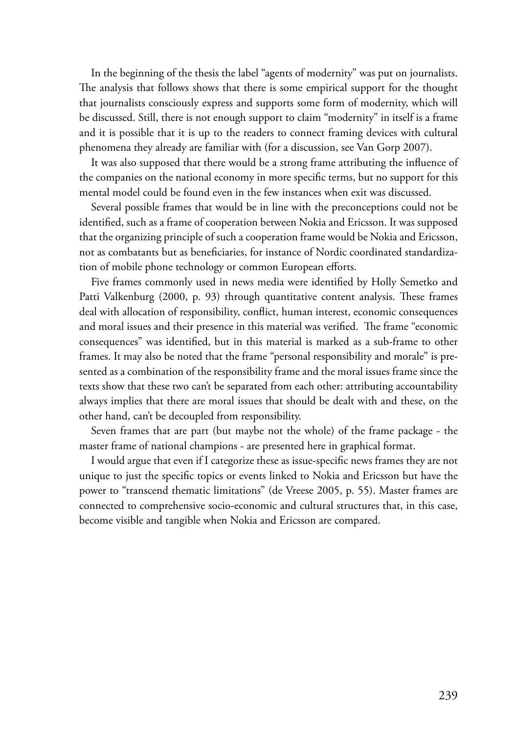In the beginning of the thesis the label "agents of modernity" was put on journalists. The analysis that follows shows that there is some empirical support for the thought that journalists consciously express and supports some form of modernity, which will be discussed. Still, there is not enough support to claim "modernity" in itself is a frame and it is possible that it is up to the readers to connect framing devices with cultural phenomena they already are familiar with (for a discussion, see Van Gorp 2007).

It was also supposed that there would be a strong frame attributing the influence of the companies on the national economy in more specific terms, but no support for this mental model could be found even in the few instances when exit was discussed.

Several possible frames that would be in line with the preconceptions could not be identified, such as a frame of cooperation between Nokia and Ericsson. It was supposed that the organizing principle of such a cooperation frame would be Nokia and Ericsson, not as combatants but as beneficiaries, for instance of Nordic coordinated standardization of mobile phone technology or common European efforts.

Five frames commonly used in news media were identified by Holly Semetko and Patti Valkenburg (2000, p. 93) through quantitative content analysis. These frames deal with allocation of responsibility, conflict, human interest, economic consequences and moral issues and their presence in this material was verified. The frame "economic consequences" was identified, but in this material is marked as a sub-frame to other frames. It may also be noted that the frame "personal responsibility and morale" is presented as a combination of the responsibility frame and the moral issues frame since the texts show that these two can't be separated from each other: attributing accountability always implies that there are moral issues that should be dealt with and these, on the other hand, can't be decoupled from responsibility.

Seven frames that are part (but maybe not the whole) of the frame package - the master frame of national champions - are presented here in graphical format.

I would argue that even if I categorize these as issue-specific news frames they are not unique to just the specific topics or events linked to Nokia and Ericsson but have the power to "transcend thematic limitations" (de Vreese 2005, p. 55). Master frames are connected to comprehensive socio-economic and cultural structures that, in this case, become visible and tangible when Nokia and Ericsson are compared.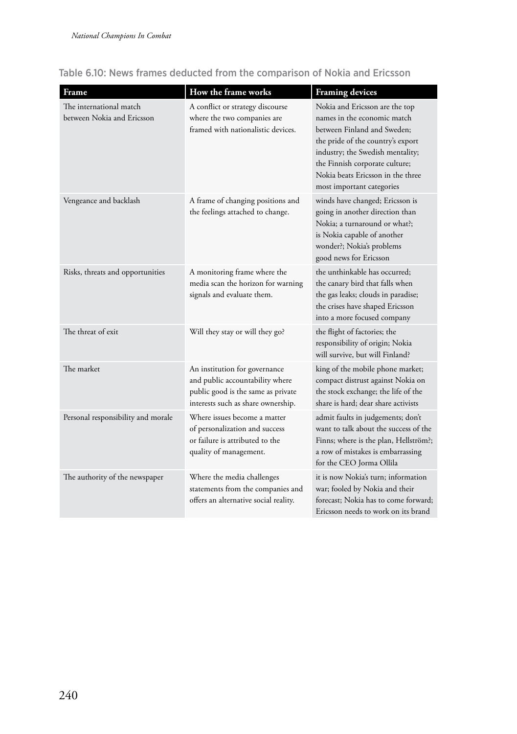| Frame                                                 | How the frame works                                                                                                                          | <b>Framing devices</b>                                                                                                                                                                                                                                                    |
|-------------------------------------------------------|----------------------------------------------------------------------------------------------------------------------------------------------|---------------------------------------------------------------------------------------------------------------------------------------------------------------------------------------------------------------------------------------------------------------------------|
| The international match<br>between Nokia and Ericsson | A conflict or strategy discourse<br>where the two companies are<br>framed with nationalistic devices.                                        | Nokia and Ericsson are the top<br>names in the economic match<br>between Finland and Sweden;<br>the pride of the country's export<br>industry; the Swedish mentality;<br>the Finnish corporate culture;<br>Nokia beats Ericsson in the three<br>most important categories |
| Vengeance and backlash                                | A frame of changing positions and<br>the feelings attached to change.                                                                        | winds have changed; Ericsson is<br>going in another direction than<br>Nokia; a turnaround or what?;<br>is Nokia capable of another<br>wonder?; Nokia's problems<br>good news for Ericsson                                                                                 |
| Risks, threats and opportunities                      | A monitoring frame where the<br>media scan the horizon for warning<br>signals and evaluate them.                                             | the unthinkable has occurred;<br>the canary bird that falls when<br>the gas leaks; clouds in paradise;<br>the crises have shaped Ericsson<br>into a more focused company                                                                                                  |
| The threat of exit                                    | Will they stay or will they go?                                                                                                              | the flight of factories; the<br>responsibility of origin; Nokia<br>will survive, but will Finland?                                                                                                                                                                        |
| The market                                            | An institution for governance<br>and public accountability where<br>public good is the same as private<br>interests such as share ownership. | king of the mobile phone market;<br>compact distrust against Nokia on<br>the stock exchange; the life of the<br>share is hard; dear share activists                                                                                                                       |
| Personal responsibility and morale                    | Where issues become a matter<br>of personalization and success<br>or failure is attributed to the<br>quality of management.                  | admit faults in judgements; don't<br>want to talk about the success of the<br>Finns; where is the plan, Hellström?;<br>a row of mistakes is embarrassing<br>for the CEO Jorma Ollila                                                                                      |
| The authority of the newspaper                        | Where the media challenges<br>statements from the companies and<br>offers an alternative social reality.                                     | it is now Nokia's turn; information<br>war; fooled by Nokia and their<br>forecast; Nokia has to come forward;<br>Ericsson needs to work on its brand                                                                                                                      |

### Table 6.10: News frames deducted from the comparison of Nokia and Ericsson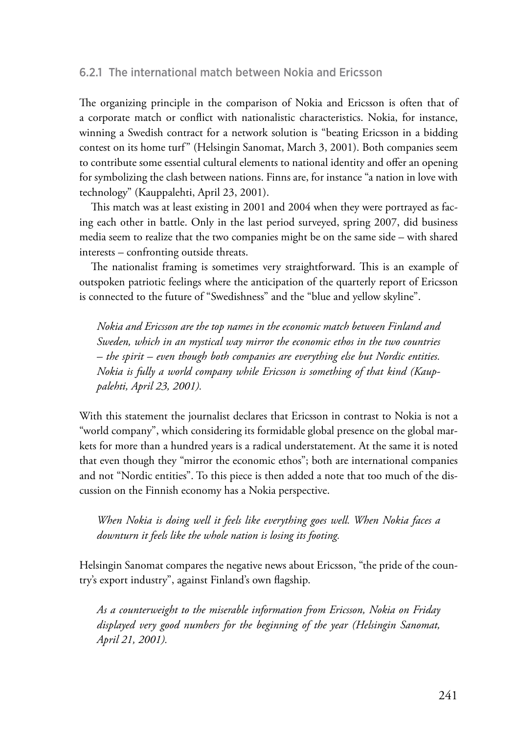#### 6.2.1 The international match between Nokia and Ericsson

The organizing principle in the comparison of Nokia and Ericsson is often that of a corporate match or conflict with nationalistic characteristics. Nokia, for instance, winning a Swedish contract for a network solution is "beating Ericsson in a bidding contest on its home turf" (Helsingin Sanomat, March 3, 2001). Both companies seem to contribute some essential cultural elements to national identity and offer an opening for symbolizing the clash between nations. Finns are, for instance "a nation in love with technology" (Kauppalehti, April 23, 2001).

This match was at least existing in 2001 and 2004 when they were portrayed as facing each other in battle. Only in the last period surveyed, spring 2007, did business media seem to realize that the two companies might be on the same side – with shared interests – confronting outside threats.

The nationalist framing is sometimes very straightforward. This is an example of outspoken patriotic feelings where the anticipation of the quarterly report of Ericsson is connected to the future of "Swedishness" and the "blue and yellow skyline".

*Nokia and Ericsson are the top names in the economic match between Finland and Sweden, which in an mystical way mirror the economic ethos in the two countries – the spirit – even though both companies are everything else but Nordic entities. Nokia is fully a world company while Ericsson is something of that kind (Kauppalehti, April 23, 2001).*

With this statement the journalist declares that Ericsson in contrast to Nokia is not a "world company", which considering its formidable global presence on the global markets for more than a hundred years is a radical understatement. At the same it is noted that even though they "mirror the economic ethos"; both are international companies and not "Nordic entities". To this piece is then added a note that too much of the discussion on the Finnish economy has a Nokia perspective.

*When Nokia is doing well it feels like everything goes well. When Nokia faces a downturn it feels like the whole nation is losing its footing.*

Helsingin Sanomat compares the negative news about Ericsson, "the pride of the country's export industry", against Finland's own flagship.

*As a counterweight to the miserable information from Ericsson, Nokia on Friday displayed very good numbers for the beginning of the year (Helsingin Sanomat, April 21, 2001).*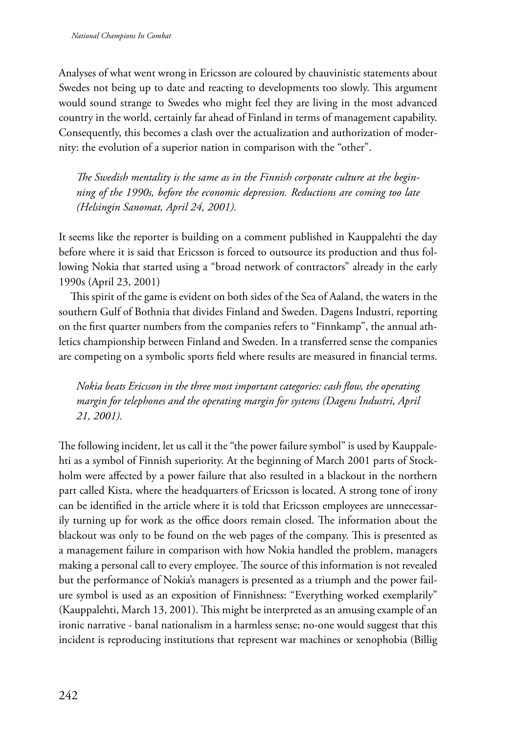Analyses of what went wrong in Ericsson are coloured by chauvinistic statements about Swedes not being up to date and reacting to developments too slowly. This argument would sound strange to Swedes who might feel they are living in the most advanced country in the world, certainly far ahead of Finland in terms of management capability. Consequently, this becomes a clash over the actualization and authorization of modernity: the evolution of a superior nation in comparison with the "other".

*The Swedish mentality is the same as in the Finnish corporate culture at the beginning of the 1990s, before the economic depression. Reductions are coming too late (Helsingin Sanomat, April 24, 2001).*

It seems like the reporter is building on a comment published in Kauppalehti the day before where it is said that Ericsson is forced to outsource its production and thus following Nokia that started using a "broad network of contractors" already in the early 1990s (April 23, 2001)

This spirit of the game is evident on both sides of the Sea of Aaland, the waters in the southern Gulf of Bothnia that divides Finland and Sweden. Dagens Industri, reporting on the first quarter numbers from the companies refers to "Finnkamp", the annual athletics championship between Finland and Sweden. In a transferred sense the companies are competing on a symbolic sports field where results are measured in financial terms.

*Nokia beats Ericsson in the three most important categories: cash flow, the operating margin for telephones and the operating margin for systems (Dagens Industri, April 21, 2001).*

The following incident, let us call it the "the power failure symbol" is used by Kauppalehti as a symbol of Finnish superiority. At the beginning of March 2001 parts of Stockholm were affected by a power failure that also resulted in a blackout in the northern part called Kista, where the headquarters of Ericsson is located. A strong tone of irony can be identified in the article where it is told that Ericsson employees are unnecessarily turning up for work as the office doors remain closed. The information about the blackout was only to be found on the web pages of the company. This is presented as a management failure in comparison with how Nokia handled the problem, managers making a personal call to every employee. The source of this information is not revealed but the performance of Nokia's managers is presented as a triumph and the power failure symbol is used as an exposition of Finnishness: "Everything worked exemplarily" (Kauppalehti, March 13, 2001). This might be interpreted as an amusing example of an ironic narrative - banal nationalism in a harmless sense; no-one would suggest that this incident is reproducing institutions that represent war machines or xenophobia (Billig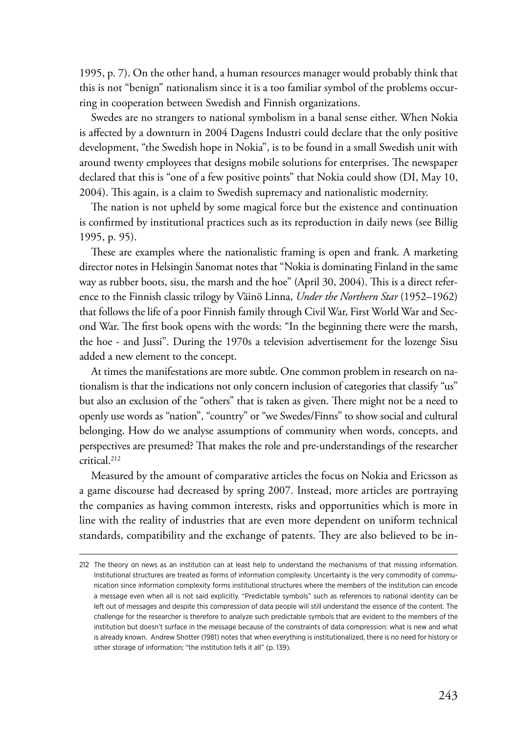1995, p. 7). On the other hand, a human resources manager would probably think that this is not "benign" nationalism since it is a too familiar symbol of the problems occurring in cooperation between Swedish and Finnish organizations.

Swedes are no strangers to national symbolism in a banal sense either. When Nokia is affected by a downturn in 2004 Dagens Industri could declare that the only positive development, "the Swedish hope in Nokia", is to be found in a small Swedish unit with around twenty employees that designs mobile solutions for enterprises. The newspaper declared that this is "one of a few positive points" that Nokia could show (DI, May 10, 2004). This again, is a claim to Swedish supremacy and nationalistic modernity.

The nation is not upheld by some magical force but the existence and continuation is confirmed by institutional practices such as its reproduction in daily news (see Billig 1995, p. 95).

These are examples where the nationalistic framing is open and frank. A marketing director notes in Helsingin Sanomat notes that "Nokia is dominating Finland in the same way as rubber boots, sisu, the marsh and the hoe" (April 30, 2004). This is a direct reference to the Finnish classic trilogy by Väinö Linna, *Under the Northern Star* (1952–1962) that follows the life of a poor Finnish family through Civil War, First World War and Second War. The first book opens with the words: "In the beginning there were the marsh, the hoe - and Jussi". During the 1970s a television advertisement for the lozenge Sisu added a new element to the concept.

At times the manifestations are more subtle. One common problem in research on nationalism is that the indications not only concern inclusion of categories that classify "us" but also an exclusion of the "others" that is taken as given. There might not be a need to openly use words as "nation", "country" or "we Swedes/Finns" to show social and cultural belonging. How do we analyse assumptions of community when words, concepts, and perspectives are presumed? That makes the role and pre-understandings of the researcher critical.212

Measured by the amount of comparative articles the focus on Nokia and Ericsson as a game discourse had decreased by spring 2007. Instead, more articles are portraying the companies as having common interests, risks and opportunities which is more in line with the reality of industries that are even more dependent on uniform technical standards, compatibility and the exchange of patents. They are also believed to be in-

<sup>212</sup> The theory on news as an institution can at least help to understand the mechanisms of that missing information. Institutional structures are treated as forms of information complexity. Uncertainty is the very commodity of communication since information complexity forms institutional structures where the members of the institution can encode a message even when all is not said explicitly. "Predictable symbols" such as references to national identity can be left out of messages and despite this compression of data people will still understand the essence of the content. The challenge for the researcher is therefore to analyze such predictable symbols that are evident to the members of the institution but doesn't surface in the message because of the constraints of data compression: what is new and what is already known. Andrew Shotter (1981) notes that when everything is institutionalized, there is no need for history or other storage of information; "the institution tells it all" (p. 139).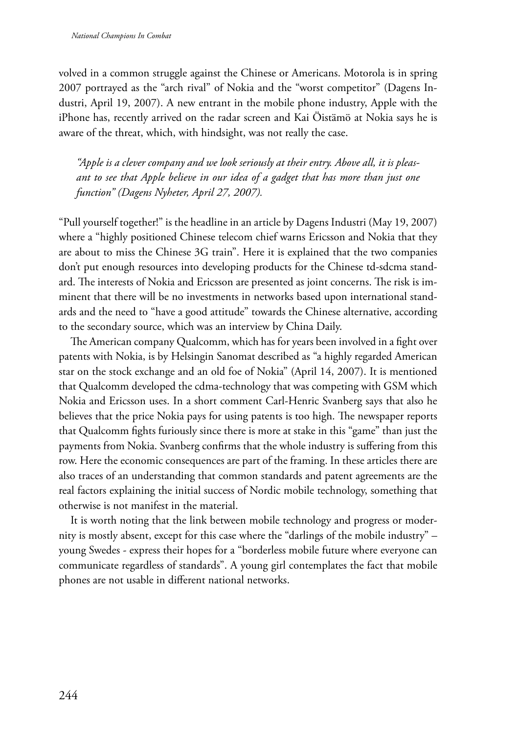volved in a common struggle against the Chinese or Americans. Motorola is in spring 2007 portrayed as the "arch rival" of Nokia and the "worst competitor" (Dagens Industri, April 19, 2007). A new entrant in the mobile phone industry, Apple with the iPhone has, recently arrived on the radar screen and Kai Öistämö at Nokia says he is aware of the threat, which, with hindsight, was not really the case.

*"Apple is a clever company and we look seriously at their entry. Above all, it is pleasant to see that Apple believe in our idea of a gadget that has more than just one function" (Dagens Nyheter, April 27, 2007).*

"Pull yourself together!" is the headline in an article by Dagens Industri (May 19, 2007) where a "highly positioned Chinese telecom chief warns Ericsson and Nokia that they are about to miss the Chinese 3G train". Here it is explained that the two companies don't put enough resources into developing products for the Chinese td-sdcma standard. The interests of Nokia and Ericsson are presented as joint concerns. The risk is imminent that there will be no investments in networks based upon international standards and the need to "have a good attitude" towards the Chinese alternative, according to the secondary source, which was an interview by China Daily.

The American company Qualcomm, which has for years been involved in a fight over patents with Nokia, is by Helsingin Sanomat described as "a highly regarded American star on the stock exchange and an old foe of Nokia" (April 14, 2007). It is mentioned that Qualcomm developed the cdma-technology that was competing with GSM which Nokia and Ericsson uses. In a short comment Carl-Henric Svanberg says that also he believes that the price Nokia pays for using patents is too high. The newspaper reports that Qualcomm fights furiously since there is more at stake in this "game" than just the payments from Nokia. Svanberg confirms that the whole industry is suffering from this row. Here the economic consequences are part of the framing. In these articles there are also traces of an understanding that common standards and patent agreements are the real factors explaining the initial success of Nordic mobile technology, something that otherwise is not manifest in the material.

It is worth noting that the link between mobile technology and progress or modernity is mostly absent, except for this case where the "darlings of the mobile industry" – young Swedes - express their hopes for a "borderless mobile future where everyone can communicate regardless of standards". A young girl contemplates the fact that mobile phones are not usable in different national networks.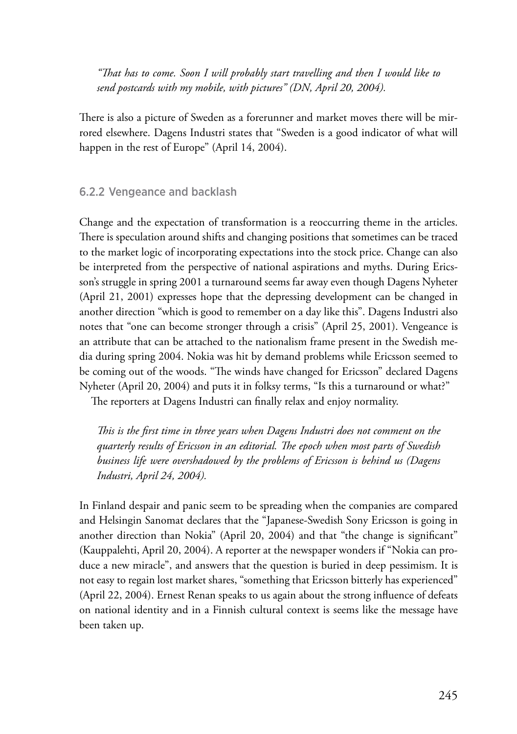*"That has to come. Soon I will probably start travelling and then I would like to send postcards with my mobile, with pictures" (DN, April 20, 2004).*

There is also a picture of Sweden as a forerunner and market moves there will be mirrored elsewhere. Dagens Industri states that "Sweden is a good indicator of what will happen in the rest of Europe" (April 14, 2004).

#### 6.2.2 Vengeance and backlash

Change and the expectation of transformation is a reoccurring theme in the articles. There is speculation around shifts and changing positions that sometimes can be traced to the market logic of incorporating expectations into the stock price. Change can also be interpreted from the perspective of national aspirations and myths. During Ericsson's struggle in spring 2001 a turnaround seems far away even though Dagens Nyheter (April 21, 2001) expresses hope that the depressing development can be changed in another direction "which is good to remember on a day like this". Dagens Industri also notes that "one can become stronger through a crisis" (April 25, 2001). Vengeance is an attribute that can be attached to the nationalism frame present in the Swedish media during spring 2004. Nokia was hit by demand problems while Ericsson seemed to be coming out of the woods. "The winds have changed for Ericsson" declared Dagens Nyheter (April 20, 2004) and puts it in folksy terms, "Is this a turnaround or what?"

The reporters at Dagens Industri can finally relax and enjoy normality.

*This is the first time in three years when Dagens Industri does not comment on the quarterly results of Ericsson in an editorial. The epoch when most parts of Swedish business life were overshadowed by the problems of Ericsson is behind us (Dagens Industri, April 24, 2004).*

In Finland despair and panic seem to be spreading when the companies are compared and Helsingin Sanomat declares that the "Japanese-Swedish Sony Ericsson is going in another direction than Nokia" (April 20, 2004) and that "the change is significant" (Kauppalehti, April 20, 2004). A reporter at the newspaper wonders if "Nokia can produce a new miracle", and answers that the question is buried in deep pessimism. It is not easy to regain lost market shares, "something that Ericsson bitterly has experienced" (April 22, 2004). Ernest Renan speaks to us again about the strong influence of defeats on national identity and in a Finnish cultural context is seems like the message have been taken up.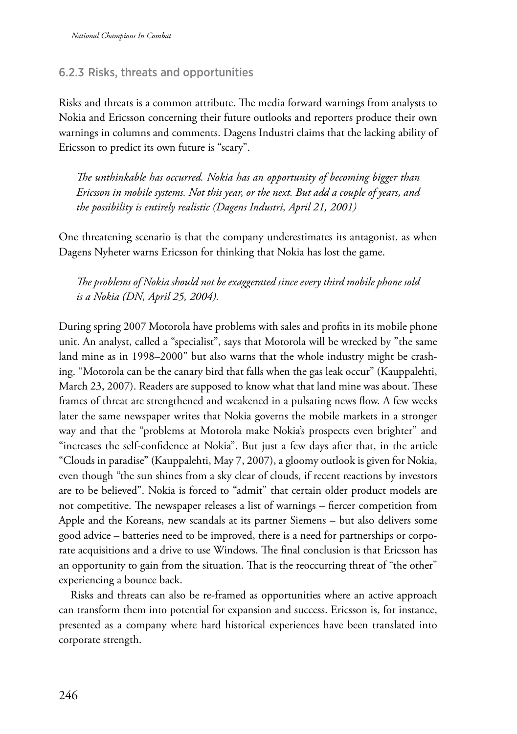#### 6.2.3 Risks, threats and opportunities

Risks and threats is a common attribute. The media forward warnings from analysts to Nokia and Ericsson concerning their future outlooks and reporters produce their own warnings in columns and comments. Dagens Industri claims that the lacking ability of Ericsson to predict its own future is "scary".

*The unthinkable has occurred. Nokia has an opportunity of becoming bigger than Ericsson in mobile systems. Not this year, or the next. But add a couple of years, and the possibility is entirely realistic (Dagens Industri, April 21, 2001)*

One threatening scenario is that the company underestimates its antagonist, as when Dagens Nyheter warns Ericsson for thinking that Nokia has lost the game.

*The problems of Nokia should not be exaggerated since every third mobile phone sold is a Nokia (DN, April 25, 2004).*

During spring 2007 Motorola have problems with sales and profits in its mobile phone unit. An analyst, called a "specialist", says that Motorola will be wrecked by "the same land mine as in 1998–2000" but also warns that the whole industry might be crashing. "Motorola can be the canary bird that falls when the gas leak occur" (Kauppalehti, March 23, 2007). Readers are supposed to know what that land mine was about. These frames of threat are strengthened and weakened in a pulsating news flow. A few weeks later the same newspaper writes that Nokia governs the mobile markets in a stronger way and that the "problems at Motorola make Nokia's prospects even brighter" and "increases the self-confidence at Nokia". But just a few days after that, in the article "Clouds in paradise" (Kauppalehti, May 7, 2007), a gloomy outlook is given for Nokia, even though "the sun shines from a sky clear of clouds, if recent reactions by investors are to be believed". Nokia is forced to "admit" that certain older product models are not competitive. The newspaper releases a list of warnings – fiercer competition from Apple and the Koreans, new scandals at its partner Siemens – but also delivers some good advice – batteries need to be improved, there is a need for partnerships or corporate acquisitions and a drive to use Windows. The final conclusion is that Ericsson has an opportunity to gain from the situation. That is the reoccurring threat of "the other" experiencing a bounce back.

Risks and threats can also be re-framed as opportunities where an active approach can transform them into potential for expansion and success. Ericsson is, for instance, presented as a company where hard historical experiences have been translated into corporate strength.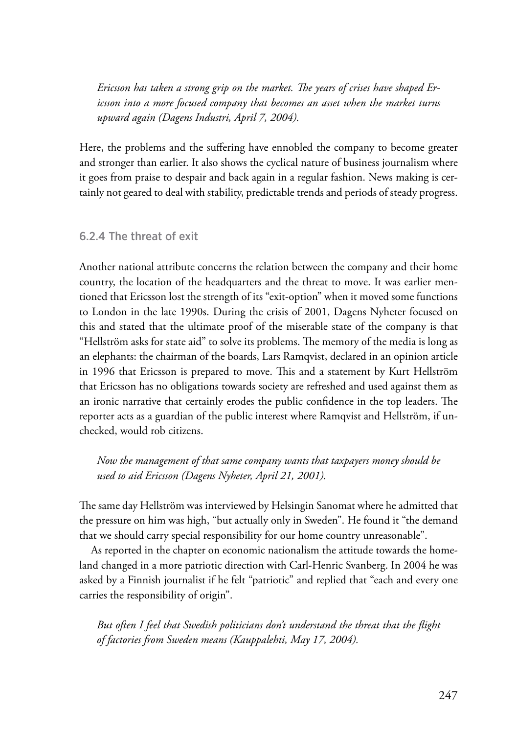*Ericsson has taken a strong grip on the market. The years of crises have shaped Ericsson into a more focused company that becomes an asset when the market turns upward again (Dagens Industri, April 7, 2004).*

Here, the problems and the suffering have ennobled the company to become greater and stronger than earlier. It also shows the cyclical nature of business journalism where it goes from praise to despair and back again in a regular fashion. News making is certainly not geared to deal with stability, predictable trends and periods of steady progress.

#### 6.2.4 The threat of exit

Another national attribute concerns the relation between the company and their home country, the location of the headquarters and the threat to move. It was earlier mentioned that Ericsson lost the strength of its "exit-option" when it moved some functions to London in the late 1990s. During the crisis of 2001, Dagens Nyheter focused on this and stated that the ultimate proof of the miserable state of the company is that "Hellström asks for state aid" to solve its problems. The memory of the media is long as an elephants: the chairman of the boards, Lars Ramqvist, declared in an opinion article in 1996 that Ericsson is prepared to move. This and a statement by Kurt Hellström that Ericsson has no obligations towards society are refreshed and used against them as an ironic narrative that certainly erodes the public confidence in the top leaders. The reporter acts as a guardian of the public interest where Ramqvist and Hellström, if unchecked, would rob citizens.

*Now the management of that same company wants that taxpayers money should be used to aid Ericsson (Dagens Nyheter, April 21, 2001).*

The same day Hellström was interviewed by Helsingin Sanomat where he admitted that the pressure on him was high, "but actually only in Sweden". He found it "the demand that we should carry special responsibility for our home country unreasonable".

As reported in the chapter on economic nationalism the attitude towards the homeland changed in a more patriotic direction with Carl-Henric Svanberg. In 2004 he was asked by a Finnish journalist if he felt "patriotic" and replied that "each and every one carries the responsibility of origin".

*But often I feel that Swedish politicians don't understand the threat that the flight of factories from Sweden means (Kauppalehti, May 17, 2004).*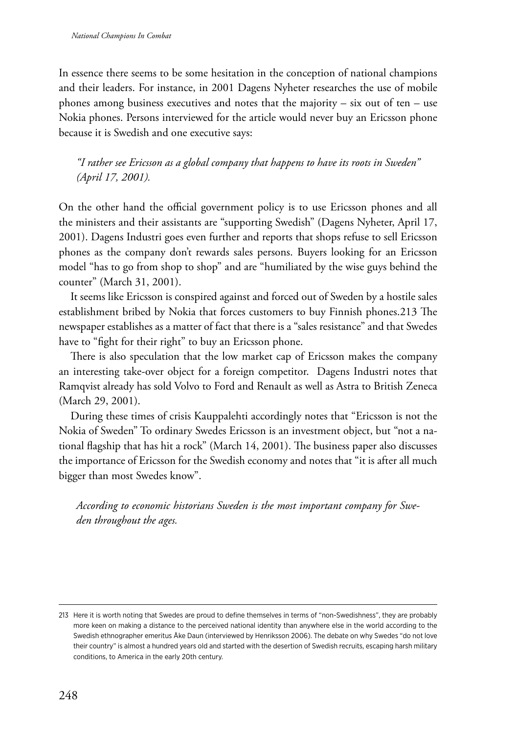In essence there seems to be some hesitation in the conception of national champions and their leaders. For instance, in 2001 Dagens Nyheter researches the use of mobile phones among business executives and notes that the majority – six out of ten – use Nokia phones. Persons interviewed for the article would never buy an Ericsson phone because it is Swedish and one executive says:

*"I rather see Ericsson as a global company that happens to have its roots in Sweden" (April 17, 2001).*

On the other hand the official government policy is to use Ericsson phones and all the ministers and their assistants are "supporting Swedish" (Dagens Nyheter, April 17, 2001). Dagens Industri goes even further and reports that shops refuse to sell Ericsson phones as the company don't rewards sales persons. Buyers looking for an Ericsson model "has to go from shop to shop" and are "humiliated by the wise guys behind the counter" (March 31, 2001).

It seems like Ericsson is conspired against and forced out of Sweden by a hostile sales establishment bribed by Nokia that forces customers to buy Finnish phones.213 The newspaper establishes as a matter of fact that there is a "sales resistance" and that Swedes have to "fight for their right" to buy an Ericsson phone.

There is also speculation that the low market cap of Ericsson makes the company an interesting take-over object for a foreign competitor. Dagens Industri notes that Ramqvist already has sold Volvo to Ford and Renault as well as Astra to British Zeneca (March 29, 2001).

During these times of crisis Kauppalehti accordingly notes that "Ericsson is not the Nokia of Sweden" To ordinary Swedes Ericsson is an investment object, but "not a national flagship that has hit a rock" (March 14, 2001). The business paper also discusses the importance of Ericsson for the Swedish economy and notes that "it is after all much bigger than most Swedes know".

*According to economic historians Sweden is the most important company for Sweden throughout the ages.*

<sup>213</sup> Here it is worth noting that Swedes are proud to define themselves in terms of "non-Swedishness", they are probably more keen on making a distance to the perceived national identity than anywhere else in the world according to the Swedish ethnographer emeritus Åke Daun (interviewed by Henriksson 2006). The debate on why Swedes "do not love their country" is almost a hundred years old and started with the desertion of Swedish recruits, escaping harsh military conditions, to America in the early 20th century.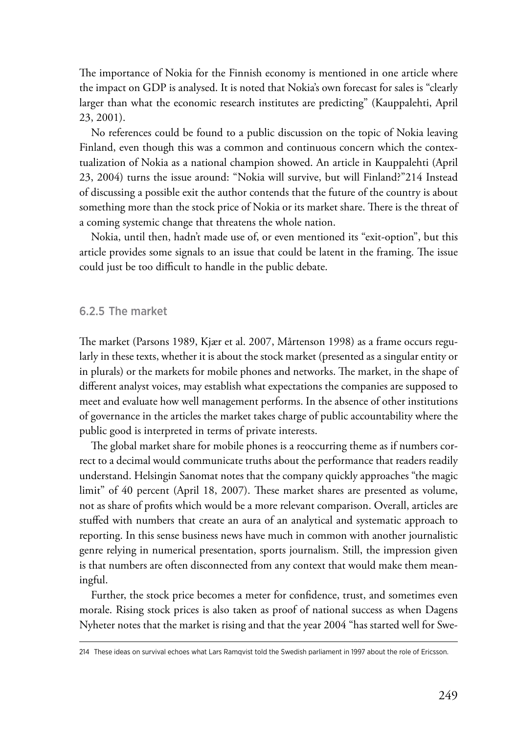The importance of Nokia for the Finnish economy is mentioned in one article where the impact on GDP is analysed. It is noted that Nokia's own forecast for sales is "clearly larger than what the economic research institutes are predicting" (Kauppalehti, April 23, 2001).

No references could be found to a public discussion on the topic of Nokia leaving Finland, even though this was a common and continuous concern which the contextualization of Nokia as a national champion showed. An article in Kauppalehti (April 23, 2004) turns the issue around: "Nokia will survive, but will Finland?"214 Instead of discussing a possible exit the author contends that the future of the country is about something more than the stock price of Nokia or its market share. There is the threat of a coming systemic change that threatens the whole nation.

Nokia, until then, hadn't made use of, or even mentioned its "exit-option", but this article provides some signals to an issue that could be latent in the framing. The issue could just be too difficult to handle in the public debate.

#### 6.2.5 The market

The market (Parsons 1989, Kjær et al. 2007, Mårtenson 1998) as a frame occurs regularly in these texts, whether it is about the stock market (presented as a singular entity or in plurals) or the markets for mobile phones and networks. The market, in the shape of different analyst voices, may establish what expectations the companies are supposed to meet and evaluate how well management performs. In the absence of other institutions of governance in the articles the market takes charge of public accountability where the public good is interpreted in terms of private interests.

The global market share for mobile phones is a reoccurring theme as if numbers correct to a decimal would communicate truths about the performance that readers readily understand. Helsingin Sanomat notes that the company quickly approaches "the magic limit" of 40 percent (April 18, 2007). These market shares are presented as volume, not as share of profits which would be a more relevant comparison. Overall, articles are stuffed with numbers that create an aura of an analytical and systematic approach to reporting. In this sense business news have much in common with another journalistic genre relying in numerical presentation, sports journalism. Still, the impression given is that numbers are often disconnected from any context that would make them meaningful.

Further, the stock price becomes a meter for confidence, trust, and sometimes even morale. Rising stock prices is also taken as proof of national success as when Dagens Nyheter notes that the market is rising and that the year 2004 "has started well for Swe-

<sup>214</sup> These ideas on survival echoes what Lars Ramqvist told the Swedish parliament in 1997 about the role of Ericsson.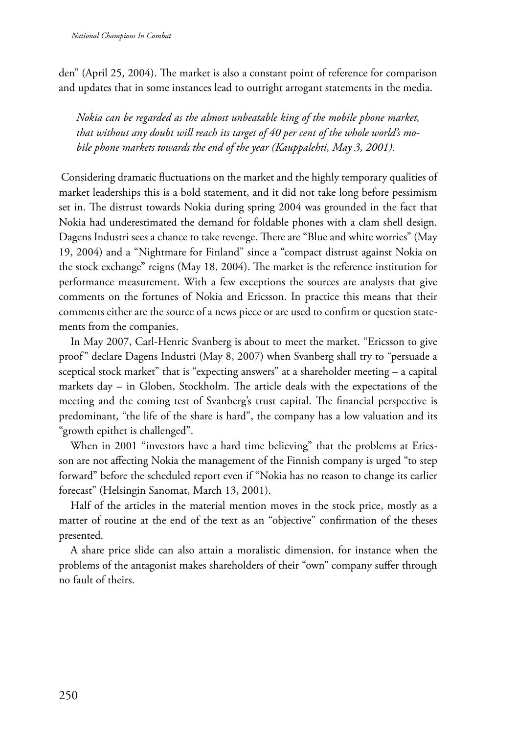den" (April 25, 2004). The market is also a constant point of reference for comparison and updates that in some instances lead to outright arrogant statements in the media.

*Nokia can be regarded as the almost unbeatable king of the mobile phone market, that without any doubt will reach its target of 40 per cent of the whole world's mobile phone markets towards the end of the year (Kauppalehti, May 3, 2001).*

 Considering dramatic fluctuations on the market and the highly temporary qualities of market leaderships this is a bold statement, and it did not take long before pessimism set in. The distrust towards Nokia during spring 2004 was grounded in the fact that Nokia had underestimated the demand for foldable phones with a clam shell design. Dagens Industri sees a chance to take revenge. There are "Blue and white worries" (May 19, 2004) and a "Nightmare for Finland" since a "compact distrust against Nokia on the stock exchange" reigns (May 18, 2004). The market is the reference institution for performance measurement. With a few exceptions the sources are analysts that give comments on the fortunes of Nokia and Ericsson. In practice this means that their comments either are the source of a news piece or are used to confirm or question statements from the companies.

In May 2007, Carl-Henric Svanberg is about to meet the market. "Ericsson to give proof" declare Dagens Industri (May 8, 2007) when Svanberg shall try to "persuade a sceptical stock market" that is "expecting answers" at a shareholder meeting – a capital markets day – in Globen, Stockholm. The article deals with the expectations of the meeting and the coming test of Svanberg's trust capital. The financial perspective is predominant, "the life of the share is hard", the company has a low valuation and its "growth epithet is challenged".

When in 2001 "investors have a hard time believing" that the problems at Ericsson are not affecting Nokia the management of the Finnish company is urged "to step forward" before the scheduled report even if "Nokia has no reason to change its earlier forecast" (Helsingin Sanomat, March 13, 2001).

Half of the articles in the material mention moves in the stock price, mostly as a matter of routine at the end of the text as an "objective" confirmation of the theses presented.

A share price slide can also attain a moralistic dimension, for instance when the problems of the antagonist makes shareholders of their "own" company suffer through no fault of theirs.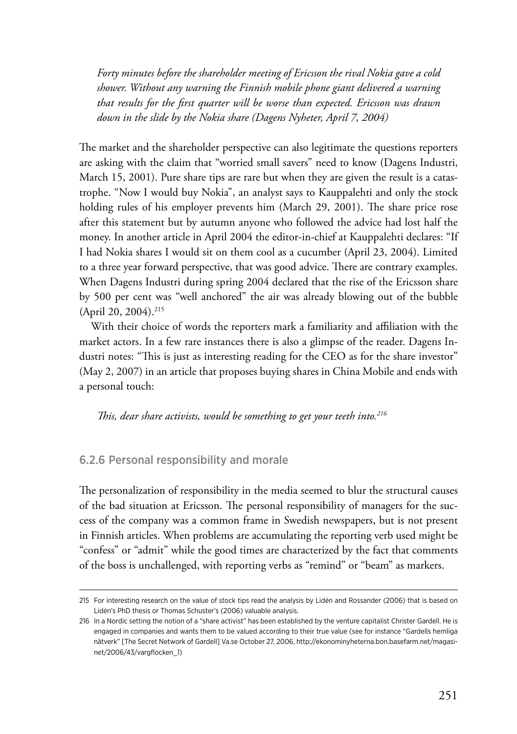*Forty minutes before the shareholder meeting of Ericsson the rival Nokia gave a cold shower. Without any warning the Finnish mobile phone giant delivered a warning that results for the first quarter will be worse than expected. Ericsson was drawn down in the slide by the Nokia share (Dagens Nyheter, April 7, 2004)*

The market and the shareholder perspective can also legitimate the questions reporters are asking with the claim that "worried small savers" need to know (Dagens Industri, March 15, 2001). Pure share tips are rare but when they are given the result is a catastrophe. "Now I would buy Nokia", an analyst says to Kauppalehti and only the stock holding rules of his employer prevents him (March 29, 2001). The share price rose after this statement but by autumn anyone who followed the advice had lost half the money. In another article in April 2004 the editor-in-chief at Kauppalehti declares: "If I had Nokia shares I would sit on them cool as a cucumber (April 23, 2004). Limited to a three year forward perspective, that was good advice. There are contrary examples. When Dagens Industri during spring 2004 declared that the rise of the Ericsson share by 500 per cent was "well anchored" the air was already blowing out of the bubble (April 20, 2004).<sup>215</sup>

With their choice of words the reporters mark a familiarity and affiliation with the market actors. In a few rare instances there is also a glimpse of the reader. Dagens Industri notes: "This is just as interesting reading for the CEO as for the share investor" (May 2, 2007) in an article that proposes buying shares in China Mobile and ends with a personal touch:

*This, dear share activists, would be something to get your teeth into.216*

#### 6.2.6 Personal responsibility and morale

The personalization of responsibility in the media seemed to blur the structural causes of the bad situation at Ericsson. The personal responsibility of managers for the success of the company was a common frame in Swedish newspapers, but is not present in Finnish articles. When problems are accumulating the reporting verb used might be "confess" or "admit" while the good times are characterized by the fact that comments of the boss is unchallenged, with reporting verbs as "remind" or "beam" as markers.

<sup>215</sup> For interesting research on the value of stock tips read the analysis by Lidén and Rossander (2006) that is based on Lidén's PhD thesis or Thomas Schuster's (2006) valuable analysis.

<sup>216</sup> In a Nordic setting the notion of a "share activist" has been established by the venture capitalist Christer Gardell. He is engaged in companies and wants them to be valued according to their true value (see for instance "Gardells hemliga nätverk" [The Secret Network of Gardell] Va.se October 27, 2006, [http://ekonominyheterna.bon.basefarm.net/magasi](http://ekonominyheterna.bon.basefarm.net/magasinet/2006/43/vargflocken_1)[net/2006/43/vargflocken\\_1](http://ekonominyheterna.bon.basefarm.net/magasinet/2006/43/vargflocken_1))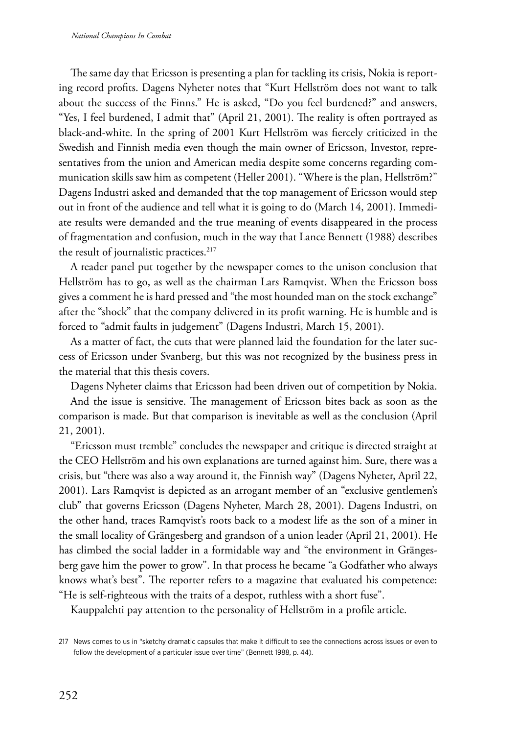The same day that Ericsson is presenting a plan for tackling its crisis, Nokia is reporting record profits. Dagens Nyheter notes that "Kurt Hellström does not want to talk about the success of the Finns." He is asked, "Do you feel burdened?" and answers, "Yes, I feel burdened, I admit that" (April 21, 2001). The reality is often portrayed as black-and-white. In the spring of 2001 Kurt Hellström was fiercely criticized in the Swedish and Finnish media even though the main owner of Ericsson, Investor, representatives from the union and American media despite some concerns regarding communication skills saw him as competent (Heller 2001). "Where is the plan, Hellström?" Dagens Industri asked and demanded that the top management of Ericsson would step out in front of the audience and tell what it is going to do (March 14, 2001). Immediate results were demanded and the true meaning of events disappeared in the process of fragmentation and confusion, much in the way that Lance Bennett (1988) describes the result of journalistic practices.<sup>217</sup>

A reader panel put together by the newspaper comes to the unison conclusion that Hellström has to go, as well as the chairman Lars Ramqvist. When the Ericsson boss gives a comment he is hard pressed and "the most hounded man on the stock exchange" after the "shock" that the company delivered in its profit warning. He is humble and is forced to "admit faults in judgement" (Dagens Industri, March 15, 2001).

As a matter of fact, the cuts that were planned laid the foundation for the later success of Ericsson under Svanberg, but this was not recognized by the business press in the material that this thesis covers.

Dagens Nyheter claims that Ericsson had been driven out of competition by Nokia.

And the issue is sensitive. The management of Ericsson bites back as soon as the comparison is made. But that comparison is inevitable as well as the conclusion (April 21, 2001).

"Ericsson must tremble" concludes the newspaper and critique is directed straight at the CEO Hellström and his own explanations are turned against him. Sure, there was a crisis, but "there was also a way around it, the Finnish way" (Dagens Nyheter, April 22, 2001). Lars Ramqvist is depicted as an arrogant member of an "exclusive gentlemen's club" that governs Ericsson (Dagens Nyheter, March 28, 2001). Dagens Industri, on the other hand, traces Ramqvist's roots back to a modest life as the son of a miner in the small locality of Grängesberg and grandson of a union leader (April 21, 2001). He has climbed the social ladder in a formidable way and "the environment in Grängesberg gave him the power to grow". In that process he became "a Godfather who always knows what's best". The reporter refers to a magazine that evaluated his competence: "He is self-righteous with the traits of a despot, ruthless with a short fuse".

Kauppalehti pay attention to the personality of Hellström in a profile article.

<sup>217</sup> News comes to us in "sketchy dramatic capsules that make it difficult to see the connections across issues or even to follow the development of a particular issue over time" (Bennett 1988, p. 44).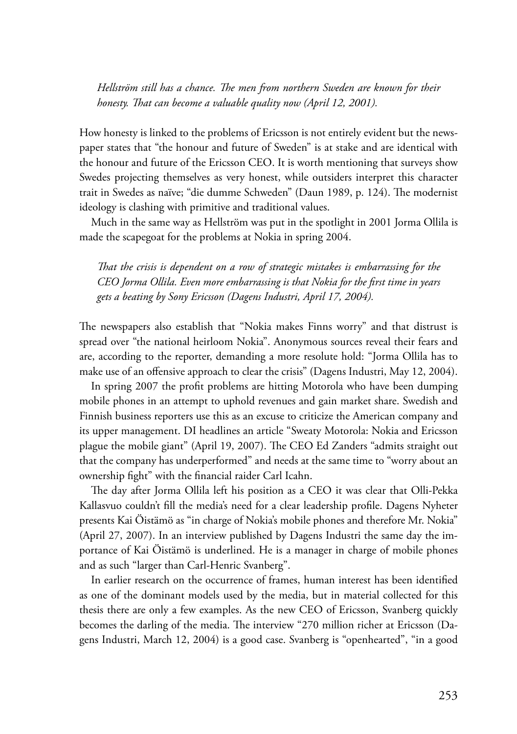*Hellström still has a chance. The men from northern Sweden are known for their honesty. That can become a valuable quality now (April 12, 2001).*

How honesty is linked to the problems of Ericsson is not entirely evident but the newspaper states that "the honour and future of Sweden" is at stake and are identical with the honour and future of the Ericsson CEO. It is worth mentioning that surveys show Swedes projecting themselves as very honest, while outsiders interpret this character trait in Swedes as naïve; "die dumme Schweden" (Daun 1989, p. 124). The modernist ideology is clashing with primitive and traditional values.

Much in the same way as Hellström was put in the spotlight in 2001 Jorma Ollila is made the scapegoat for the problems at Nokia in spring 2004.

*That the crisis is dependent on a row of strategic mistakes is embarrassing for the CEO Jorma Ollila. Even more embarrassing is that Nokia for the first time in years gets a beating by Sony Ericsson (Dagens Industri, April 17, 2004).*

The newspapers also establish that "Nokia makes Finns worry" and that distrust is spread over "the national heirloom Nokia". Anonymous sources reveal their fears and are, according to the reporter, demanding a more resolute hold: "Jorma Ollila has to make use of an offensive approach to clear the crisis" (Dagens Industri, May 12, 2004).

In spring 2007 the profit problems are hitting Motorola who have been dumping mobile phones in an attempt to uphold revenues and gain market share. Swedish and Finnish business reporters use this as an excuse to criticize the American company and its upper management. DI headlines an article "Sweaty Motorola: Nokia and Ericsson plague the mobile giant" (April 19, 2007). The CEO Ed Zanders "admits straight out that the company has underperformed" and needs at the same time to "worry about an ownership fight" with the financial raider Carl Icahn.

The day after Jorma Ollila left his position as a CEO it was clear that Olli-Pekka Kallasvuo couldn't fill the media's need for a clear leadership profile. Dagens Nyheter presents Kai Öistämö as "in charge of Nokia's mobile phones and therefore Mr. Nokia" (April 27, 2007). In an interview published by Dagens Industri the same day the importance of Kai Öistämö is underlined. He is a manager in charge of mobile phones and as such "larger than Carl-Henric Svanberg".

In earlier research on the occurrence of frames, human interest has been identified as one of the dominant models used by the media, but in material collected for this thesis there are only a few examples. As the new CEO of Ericsson, Svanberg quickly becomes the darling of the media. The interview "270 million richer at Ericsson (Dagens Industri, March 12, 2004) is a good case. Svanberg is "openhearted", "in a good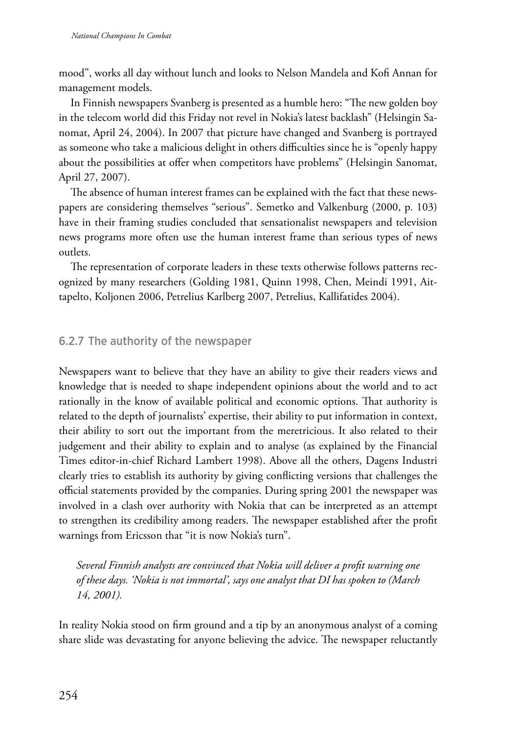mood", works all day without lunch and looks to Nelson Mandela and Kofi Annan for management models.

In Finnish newspapers Svanberg is presented as a humble hero: "The new golden boy in the telecom world did this Friday not revel in Nokia's latest backlash" (Helsingin Sanomat, April 24, 2004). In 2007 that picture have changed and Svanberg is portrayed as someone who take a malicious delight in others difficulties since he is "openly happy about the possibilities at offer when competitors have problems" (Helsingin Sanomat, April 27, 2007).

The absence of human interest frames can be explained with the fact that these newspapers are considering themselves "serious". Semetko and Valkenburg (2000, p. 103) have in their framing studies concluded that sensationalist newspapers and television news programs more often use the human interest frame than serious types of news outlets.

The representation of corporate leaders in these texts otherwise follows patterns recognized by many researchers (Golding 1981, Quinn 1998, Chen, Meindi 1991, Aittapelto, Koljonen 2006, Petrelius Karlberg 2007, Petrelius, Kallifatides 2004).

## 6.2.7 The authority of the newspaper

Newspapers want to believe that they have an ability to give their readers views and knowledge that is needed to shape independent opinions about the world and to act rationally in the know of available political and economic options. That authority is related to the depth of journalists' expertise, their ability to put information in context, their ability to sort out the important from the meretricious. It also related to their judgement and their ability to explain and to analyse (as explained by the Financial Times editor-in-chief Richard Lambert 1998). Above all the others, Dagens Industri clearly tries to establish its authority by giving conflicting versions that challenges the official statements provided by the companies. During spring 2001 the newspaper was involved in a clash over authority with Nokia that can be interpreted as an attempt to strengthen its credibility among readers. The newspaper established after the profit warnings from Ericsson that "it is now Nokia's turn".

*Several Finnish analysts are convinced that Nokia will deliver a profit warning one of these days. 'Nokia is not immortal', says one analyst that DI has spoken to (March 14, 2001).*

In reality Nokia stood on firm ground and a tip by an anonymous analyst of a coming share slide was devastating for anyone believing the advice. The newspaper reluctantly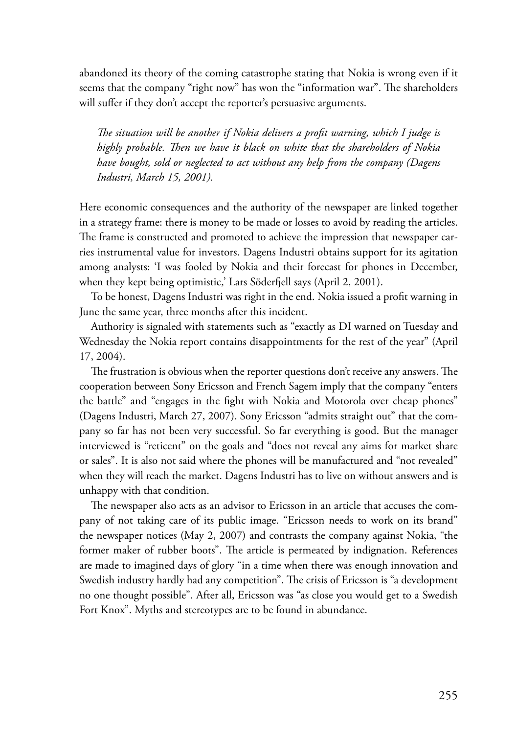abandoned its theory of the coming catastrophe stating that Nokia is wrong even if it seems that the company "right now" has won the "information war". The shareholders will suffer if they don't accept the reporter's persuasive arguments.

*The situation will be another if Nokia delivers a profit warning, which I judge is highly probable. Then we have it black on white that the shareholders of Nokia have bought, sold or neglected to act without any help from the company (Dagens Industri, March 15, 2001).*

Here economic consequences and the authority of the newspaper are linked together in a strategy frame: there is money to be made or losses to avoid by reading the articles. The frame is constructed and promoted to achieve the impression that newspaper carries instrumental value for investors. Dagens Industri obtains support for its agitation among analysts: 'I was fooled by Nokia and their forecast for phones in December, when they kept being optimistic,' Lars Söderfjell says (April 2, 2001).

To be honest, Dagens Industri was right in the end. Nokia issued a profit warning in June the same year, three months after this incident.

Authority is signaled with statements such as "exactly as DI warned on Tuesday and Wednesday the Nokia report contains disappointments for the rest of the year" (April 17, 2004).

The frustration is obvious when the reporter questions don't receive any answers. The cooperation between Sony Ericsson and French Sagem imply that the company "enters the battle" and "engages in the fight with Nokia and Motorola over cheap phones" (Dagens Industri, March 27, 2007). Sony Ericsson "admits straight out" that the company so far has not been very successful. So far everything is good. But the manager interviewed is "reticent" on the goals and "does not reveal any aims for market share or sales". It is also not said where the phones will be manufactured and "not revealed" when they will reach the market. Dagens Industri has to live on without answers and is unhappy with that condition.

The newspaper also acts as an advisor to Ericsson in an article that accuses the company of not taking care of its public image. "Ericsson needs to work on its brand" the newspaper notices (May 2, 2007) and contrasts the company against Nokia, "the former maker of rubber boots". The article is permeated by indignation. References are made to imagined days of glory "in a time when there was enough innovation and Swedish industry hardly had any competition". The crisis of Ericsson is "a development no one thought possible". After all, Ericsson was "as close you would get to a Swedish Fort Knox". Myths and stereotypes are to be found in abundance.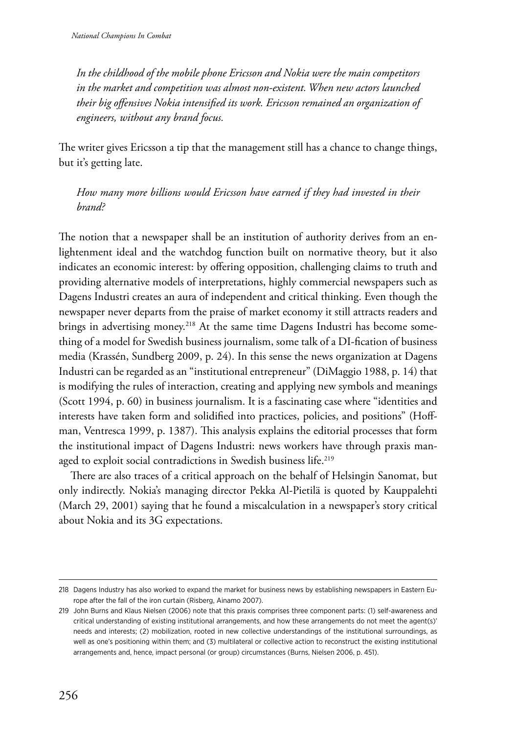*In the childhood of the mobile phone Ericsson and Nokia were the main competitors in the market and competition was almost non-existent. When new actors launched their big offensives Nokia intensified its work. Ericsson remained an organization of engineers, without any brand focus.*

The writer gives Ericsson a tip that the management still has a chance to change things, but it's getting late.

*How many more billions would Ericsson have earned if they had invested in their brand?*

The notion that a newspaper shall be an institution of authority derives from an enlightenment ideal and the watchdog function built on normative theory, but it also indicates an economic interest: by offering opposition, challenging claims to truth and providing alternative models of interpretations, highly commercial newspapers such as Dagens Industri creates an aura of independent and critical thinking. Even though the newspaper never departs from the praise of market economy it still attracts readers and brings in advertising money.<sup>218</sup> At the same time Dagens Industri has become something of a model for Swedish business journalism, some talk of a DI-fication of business media (Krassén, Sundberg 2009, p. 24). In this sense the news organization at Dagens Industri can be regarded as an "institutional entrepreneur" (DiMaggio 1988, p. 14) that is modifying the rules of interaction, creating and applying new symbols and meanings (Scott 1994, p. 60) in business journalism. It is a fascinating case where "identities and interests have taken form and solidified into practices, policies, and positions" (Hoffman, Ventresca 1999, p. 1387). This analysis explains the editorial processes that form the institutional impact of Dagens Industri: news workers have through praxis managed to exploit social contradictions in Swedish business life.<sup>219</sup>

There are also traces of a critical approach on the behalf of Helsingin Sanomat, but only indirectly. Nokia's managing director Pekka Al-Pietilä is quoted by Kauppalehti (March 29, 2001) saying that he found a miscalculation in a newspaper's story critical about Nokia and its 3G expectations.

<sup>218</sup> Dagens Industry has also worked to expand the market for business news by establishing newspapers in Eastern Europe after the fall of the iron curtain (Risberg, Ainamo 2007).

<sup>219</sup> John Burns and Klaus Nielsen (2006) note that this praxis comprises three component parts: (1) self-awareness and critical understanding of existing institutional arrangements, and how these arrangements do not meet the agent(s)' needs and interests; (2) mobilization, rooted in new collective understandings of the institutional surroundings, as well as one's positioning within them; and (3) multilateral or collective action to reconstruct the existing institutional arrangements and, hence, impact personal (or group) circumstances (Burns, Nielsen 2006, p. 451).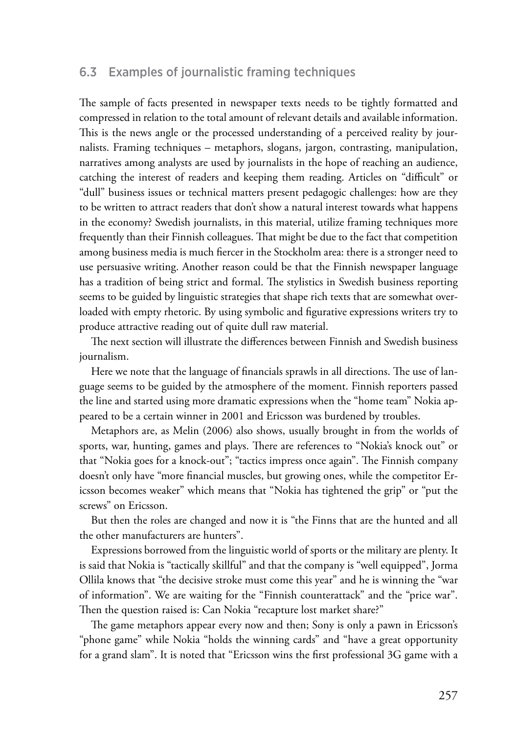### 6.3 Examples of journalistic framing techniques

The sample of facts presented in newspaper texts needs to be tightly formatted and compressed in relation to the total amount of relevant details and available information. This is the news angle or the processed understanding of a perceived reality by journalists. Framing techniques – metaphors, slogans, jargon, contrasting, manipulation, narratives among analysts are used by journalists in the hope of reaching an audience, catching the interest of readers and keeping them reading. Articles on "difficult" or "dull" business issues or technical matters present pedagogic challenges: how are they to be written to attract readers that don't show a natural interest towards what happens in the economy? Swedish journalists, in this material, utilize framing techniques more frequently than their Finnish colleagues. That might be due to the fact that competition among business media is much fiercer in the Stockholm area: there is a stronger need to use persuasive writing. Another reason could be that the Finnish newspaper language has a tradition of being strict and formal. The stylistics in Swedish business reporting seems to be guided by linguistic strategies that shape rich texts that are somewhat overloaded with empty rhetoric. By using symbolic and figurative expressions writers try to produce attractive reading out of quite dull raw material.

The next section will illustrate the differences between Finnish and Swedish business journalism.

Here we note that the language of financials sprawls in all directions. The use of language seems to be guided by the atmosphere of the moment. Finnish reporters passed the line and started using more dramatic expressions when the "home team" Nokia appeared to be a certain winner in 2001 and Ericsson was burdened by troubles.

Metaphors are, as Melin (2006) also shows, usually brought in from the worlds of sports, war, hunting, games and plays. There are references to "Nokia's knock out" or that "Nokia goes for a knock-out"; "tactics impress once again". The Finnish company doesn't only have "more financial muscles, but growing ones, while the competitor Ericsson becomes weaker" which means that "Nokia has tightened the grip" or "put the screws" on Ericsson.

But then the roles are changed and now it is "the Finns that are the hunted and all the other manufacturers are hunters".

Expressions borrowed from the linguistic world of sports or the military are plenty. It is said that Nokia is "tactically skillful" and that the company is "well equipped", Jorma Ollila knows that "the decisive stroke must come this year" and he is winning the "war of information". We are waiting for the "Finnish counterattack" and the "price war". Then the question raised is: Can Nokia "recapture lost market share?"

The game metaphors appear every now and then; Sony is only a pawn in Ericsson's "phone game" while Nokia "holds the winning cards" and "have a great opportunity for a grand slam". It is noted that "Ericsson wins the first professional 3G game with a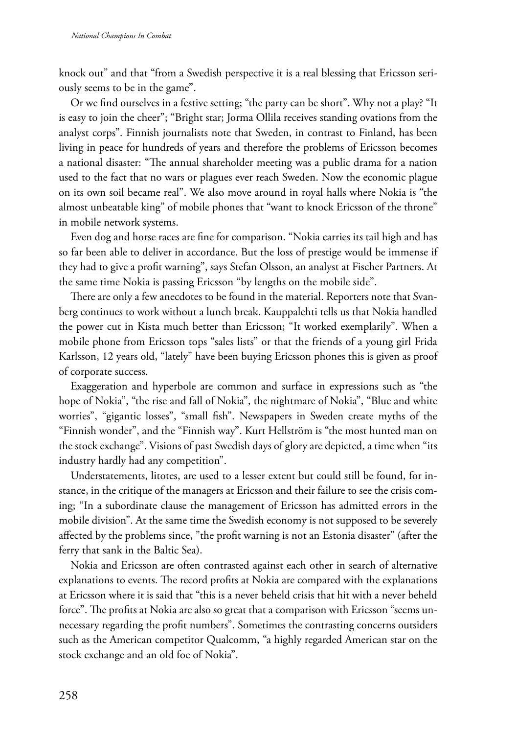knock out" and that "from a Swedish perspective it is a real blessing that Ericsson seriously seems to be in the game".

Or we find ourselves in a festive setting; "the party can be short". Why not a play? "It is easy to join the cheer"; "Bright star; Jorma Ollila receives standing ovations from the analyst corps". Finnish journalists note that Sweden, in contrast to Finland, has been living in peace for hundreds of years and therefore the problems of Ericsson becomes a national disaster: "The annual shareholder meeting was a public drama for a nation used to the fact that no wars or plagues ever reach Sweden. Now the economic plague on its own soil became real". We also move around in royal halls where Nokia is "the almost unbeatable king" of mobile phones that "want to knock Ericsson of the throne" in mobile network systems.

Even dog and horse races are fine for comparison. "Nokia carries its tail high and has so far been able to deliver in accordance. But the loss of prestige would be immense if they had to give a profit warning", says Stefan Olsson, an analyst at Fischer Partners. At the same time Nokia is passing Ericsson "by lengths on the mobile side".

There are only a few anecdotes to be found in the material. Reporters note that Svanberg continues to work without a lunch break. Kauppalehti tells us that Nokia handled the power cut in Kista much better than Ericsson; "It worked exemplarily". When a mobile phone from Ericsson tops "sales lists" or that the friends of a young girl Frida Karlsson, 12 years old, "lately" have been buying Ericsson phones this is given as proof of corporate success.

Exaggeration and hyperbole are common and surface in expressions such as "the hope of Nokia", "the rise and fall of Nokia", the nightmare of Nokia", "Blue and white worries", "gigantic losses", "small fish". Newspapers in Sweden create myths of the "Finnish wonder", and the "Finnish way". Kurt Hellström is "the most hunted man on the stock exchange". Visions of past Swedish days of glory are depicted, a time when "its industry hardly had any competition".

Understatements, litotes, are used to a lesser extent but could still be found, for instance, in the critique of the managers at Ericsson and their failure to see the crisis coming; "In a subordinate clause the management of Ericsson has admitted errors in the mobile division". At the same time the Swedish economy is not supposed to be severely affected by the problems since, "the profit warning is not an Estonia disaster" (after the ferry that sank in the Baltic Sea).

Nokia and Ericsson are often contrasted against each other in search of alternative explanations to events. The record profits at Nokia are compared with the explanations at Ericsson where it is said that "this is a never beheld crisis that hit with a never beheld force". The profits at Nokia are also so great that a comparison with Ericsson "seems unnecessary regarding the profit numbers". Sometimes the contrasting concerns outsiders such as the American competitor Qualcomm, "a highly regarded American star on the stock exchange and an old foe of Nokia".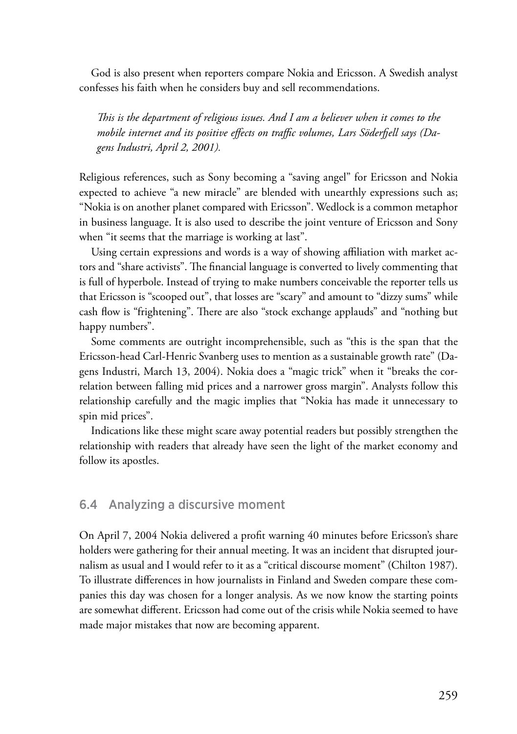God is also present when reporters compare Nokia and Ericsson. A Swedish analyst confesses his faith when he considers buy and sell recommendations.

*This is the department of religious issues. And I am a believer when it comes to the mobile internet and its positive effects on traffic volumes, Lars Söderfjell says (Dagens Industri, April 2, 2001).*

Religious references, such as Sony becoming a "saving angel" for Ericsson and Nokia expected to achieve "a new miracle" are blended with unearthly expressions such as; "Nokia is on another planet compared with Ericsson". Wedlock is a common metaphor in business language. It is also used to describe the joint venture of Ericsson and Sony when "it seems that the marriage is working at last".

Using certain expressions and words is a way of showing affiliation with market actors and "share activists". The financial language is converted to lively commenting that is full of hyperbole. Instead of trying to make numbers conceivable the reporter tells us that Ericsson is "scooped out", that losses are "scary" and amount to "dizzy sums" while cash flow is "frightening". There are also "stock exchange applauds" and "nothing but happy numbers".

Some comments are outright incomprehensible, such as "this is the span that the Ericsson-head Carl-Henric Svanberg uses to mention as a sustainable growth rate" (Dagens Industri, March 13, 2004). Nokia does a "magic trick" when it "breaks the correlation between falling mid prices and a narrower gross margin". Analysts follow this relationship carefully and the magic implies that "Nokia has made it unnecessary to spin mid prices".

Indications like these might scare away potential readers but possibly strengthen the relationship with readers that already have seen the light of the market economy and follow its apostles.

### 6.4 Analyzing a discursive moment

On April 7, 2004 Nokia delivered a profit warning 40 minutes before Ericsson's share holders were gathering for their annual meeting. It was an incident that disrupted journalism as usual and I would refer to it as a "critical discourse moment" (Chilton 1987). To illustrate differences in how journalists in Finland and Sweden compare these companies this day was chosen for a longer analysis. As we now know the starting points are somewhat different. Ericsson had come out of the crisis while Nokia seemed to have made major mistakes that now are becoming apparent.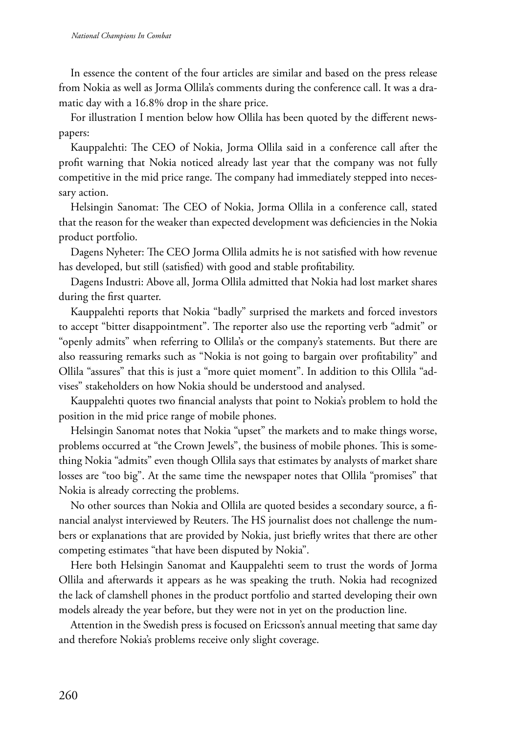In essence the content of the four articles are similar and based on the press release from Nokia as well as Jorma Ollila's comments during the conference call. It was a dramatic day with a 16.8% drop in the share price.

For illustration I mention below how Ollila has been quoted by the different newspapers:

Kauppalehti: The CEO of Nokia, Jorma Ollila said in a conference call after the profit warning that Nokia noticed already last year that the company was not fully competitive in the mid price range. The company had immediately stepped into necessary action.

Helsingin Sanomat: The CEO of Nokia, Jorma Ollila in a conference call, stated that the reason for the weaker than expected development was deficiencies in the Nokia product portfolio.

Dagens Nyheter: The CEO Jorma Ollila admits he is not satisfied with how revenue has developed, but still (satisfied) with good and stable profitability.

Dagens Industri: Above all, Jorma Ollila admitted that Nokia had lost market shares during the first quarter.

Kauppalehti reports that Nokia "badly" surprised the markets and forced investors to accept "bitter disappointment". The reporter also use the reporting verb "admit" or "openly admits" when referring to Ollila's or the company's statements. But there are also reassuring remarks such as "Nokia is not going to bargain over profitability" and Ollila "assures" that this is just a "more quiet moment". In addition to this Ollila "advises" stakeholders on how Nokia should be understood and analysed.

Kauppalehti quotes two financial analysts that point to Nokia's problem to hold the position in the mid price range of mobile phones.

Helsingin Sanomat notes that Nokia "upset" the markets and to make things worse, problems occurred at "the Crown Jewels", the business of mobile phones. This is something Nokia "admits" even though Ollila says that estimates by analysts of market share losses are "too big". At the same time the newspaper notes that Ollila "promises" that Nokia is already correcting the problems.

No other sources than Nokia and Ollila are quoted besides a secondary source, a financial analyst interviewed by Reuters. The HS journalist does not challenge the numbers or explanations that are provided by Nokia, just briefly writes that there are other competing estimates "that have been disputed by Nokia".

Here both Helsingin Sanomat and Kauppalehti seem to trust the words of Jorma Ollila and afterwards it appears as he was speaking the truth. Nokia had recognized the lack of clamshell phones in the product portfolio and started developing their own models already the year before, but they were not in yet on the production line.

Attention in the Swedish press is focused on Ericsson's annual meeting that same day and therefore Nokia's problems receive only slight coverage.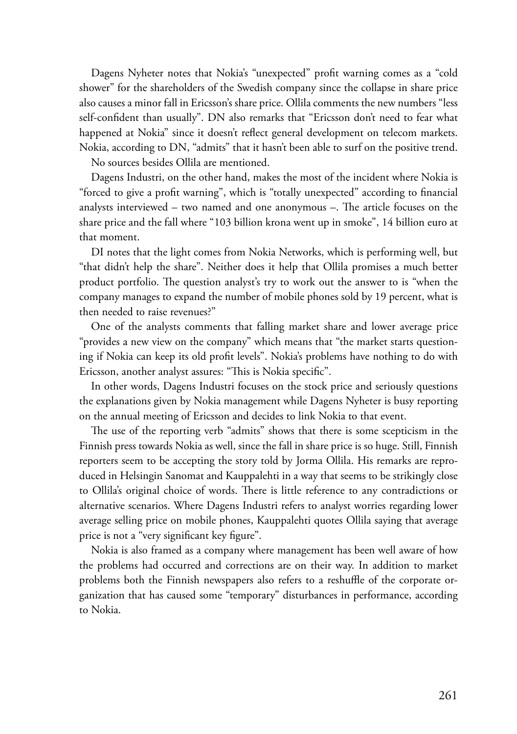Dagens Nyheter notes that Nokia's "unexpected" profit warning comes as a "cold shower" for the shareholders of the Swedish company since the collapse in share price also causes a minor fall in Ericsson's share price. Ollila comments the new numbers "less self-confident than usually". DN also remarks that "Ericsson don't need to fear what happened at Nokia" since it doesn't reflect general development on telecom markets. Nokia, according to DN, "admits" that it hasn't been able to surf on the positive trend.

No sources besides Ollila are mentioned.

Dagens Industri, on the other hand, makes the most of the incident where Nokia is "forced to give a profit warning", which is "totally unexpected" according to financial analysts interviewed – two named and one anonymous –. The article focuses on the share price and the fall where "103 billion krona went up in smoke", 14 billion euro at that moment.

DI notes that the light comes from Nokia Networks, which is performing well, but "that didn't help the share". Neither does it help that Ollila promises a much better product portfolio. The question analyst's try to work out the answer to is "when the company manages to expand the number of mobile phones sold by 19 percent, what is then needed to raise revenues?"

One of the analysts comments that falling market share and lower average price "provides a new view on the company" which means that "the market starts questioning if Nokia can keep its old profit levels". Nokia's problems have nothing to do with Ericsson, another analyst assures: "This is Nokia specific".

In other words, Dagens Industri focuses on the stock price and seriously questions the explanations given by Nokia management while Dagens Nyheter is busy reporting on the annual meeting of Ericsson and decides to link Nokia to that event.

The use of the reporting verb "admits" shows that there is some scepticism in the Finnish press towards Nokia as well, since the fall in share price is so huge. Still, Finnish reporters seem to be accepting the story told by Jorma Ollila. His remarks are reproduced in Helsingin Sanomat and Kauppalehti in a way that seems to be strikingly close to Ollila's original choice of words. There is little reference to any contradictions or alternative scenarios. Where Dagens Industri refers to analyst worries regarding lower average selling price on mobile phones, Kauppalehti quotes Ollila saying that average price is not a "very significant key figure".

Nokia is also framed as a company where management has been well aware of how the problems had occurred and corrections are on their way. In addition to market problems both the Finnish newspapers also refers to a reshuffle of the corporate organization that has caused some "temporary" disturbances in performance, according to Nokia.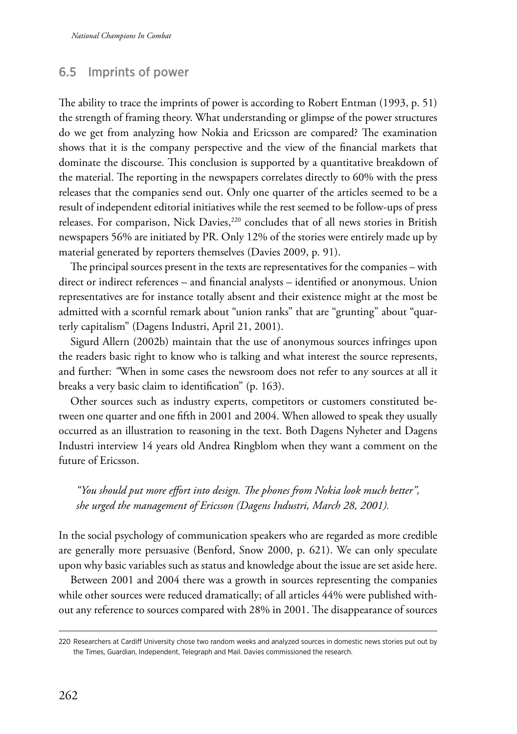# 6.5 Imprints of power

The ability to trace the imprints of power is according to Robert Entman (1993, p. 51) the strength of framing theory. What understanding or glimpse of the power structures do we get from analyzing how Nokia and Ericsson are compared? The examination shows that it is the company perspective and the view of the financial markets that dominate the discourse. This conclusion is supported by a quantitative breakdown of the material. The reporting in the newspapers correlates directly to 60% with the press releases that the companies send out. Only one quarter of the articles seemed to be a result of independent editorial initiatives while the rest seemed to be follow-ups of press releases. For comparison, Nick Davies,<sup>220</sup> concludes that of all news stories in British newspapers 56% are initiated by PR. Only 12% of the stories were entirely made up by material generated by reporters themselves (Davies 2009, p. 91).

The principal sources present in the texts are representatives for the companies – with direct or indirect references – and financial analysts – identified or anonymous. Union representatives are for instance totally absent and their existence might at the most be admitted with a scornful remark about "union ranks" that are "grunting" about "quarterly capitalism" (Dagens Industri, April 21, 2001).

Sigurd Allern (2002b) maintain that the use of anonymous sources infringes upon the readers basic right to know who is talking and what interest the source represents, and further: *"*When in some cases the newsroom does not refer to any sources at all it breaks a very basic claim to identification" (p. 163).

Other sources such as industry experts, competitors or customers constituted between one quarter and one fifth in 2001 and 2004. When allowed to speak they usually occurred as an illustration to reasoning in the text. Both Dagens Nyheter and Dagens Industri interview 14 years old Andrea Ringblom when they want a comment on the future of Ericsson.

## *"You should put more effort into design. The phones from Nokia look much better", she urged the management of Ericsson (Dagens Industri, March 28, 2001).*

In the social psychology of communication speakers who are regarded as more credible are generally more persuasive (Benford, Snow 2000, p. 621). We can only speculate upon why basic variables such as status and knowledge about the issue are set aside here.

Between 2001 and 2004 there was a growth in sources representing the companies while other sources were reduced dramatically; of all articles 44% were published without any reference to sources compared with 28% in 2001. The disappearance of sources

<sup>220</sup> Researchers at Cardiff University chose two random weeks and analyzed sources in domestic news stories put out by the Times, Guardian, Independent, Telegraph and Mail. Davies commissioned the research.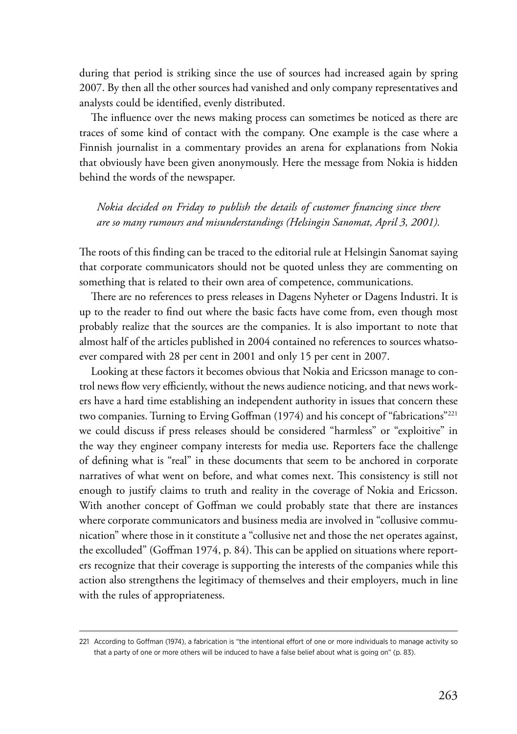during that period is striking since the use of sources had increased again by spring 2007. By then all the other sources had vanished and only company representatives and analysts could be identified, evenly distributed.

The influence over the news making process can sometimes be noticed as there are traces of some kind of contact with the company. One example is the case where a Finnish journalist in a commentary provides an arena for explanations from Nokia that obviously have been given anonymously. Here the message from Nokia is hidden behind the words of the newspaper.

*Nokia decided on Friday to publish the details of customer financing since there are so many rumours and misunderstandings (Helsingin Sanomat, April 3, 2001).*

The roots of this finding can be traced to the editorial rule at Helsingin Sanomat saying that corporate communicators should not be quoted unless they are commenting on something that is related to their own area of competence, communications.

There are no references to press releases in Dagens Nyheter or Dagens Industri. It is up to the reader to find out where the basic facts have come from, even though most probably realize that the sources are the companies. It is also important to note that almost half of the articles published in 2004 contained no references to sources whatsoever compared with 28 per cent in 2001 and only 15 per cent in 2007.

Looking at these factors it becomes obvious that Nokia and Ericsson manage to control news flow very efficiently, without the news audience noticing, and that news workers have a hard time establishing an independent authority in issues that concern these two companies. Turning to Erving Goffman (1974) and his concept of "fabrications"<sup>221</sup> we could discuss if press releases should be considered "harmless" or "exploitive" in the way they engineer company interests for media use. Reporters face the challenge of defining what is "real" in these documents that seem to be anchored in corporate narratives of what went on before, and what comes next. This consistency is still not enough to justify claims to truth and reality in the coverage of Nokia and Ericsson. With another concept of Goffman we could probably state that there are instances where corporate communicators and business media are involved in "collusive communication" where those in it constitute a "collusive net and those the net operates against, the excolluded" (Goffman 1974, p. 84). This can be applied on situations where reporters recognize that their coverage is supporting the interests of the companies while this action also strengthens the legitimacy of themselves and their employers, much in line with the rules of appropriateness.

<sup>221</sup> According to Goffman (1974), a fabrication is "the intentional effort of one or more individuals to manage activity so that a party of one or more others will be induced to have a false belief about what is going on" (p. 83).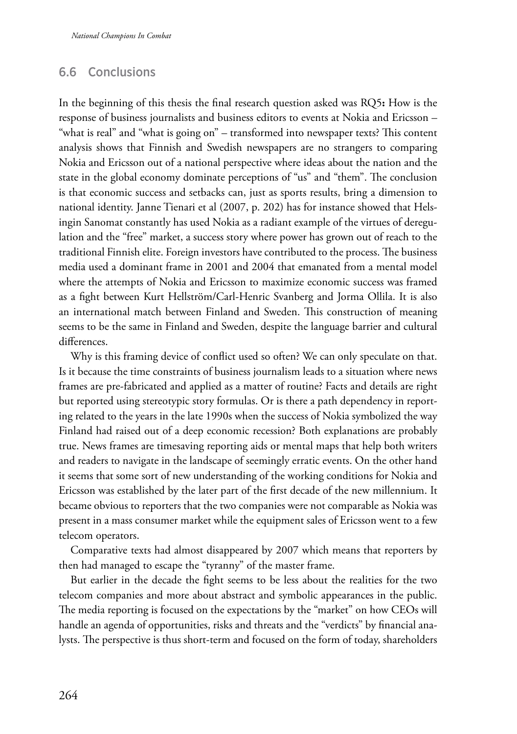## 6.6 Conclusions

In the beginning of this thesis the final research question asked was RQ5**:** How is the response of business journalists and business editors to events at Nokia and Ericsson – "what is real" and "what is going on" – transformed into newspaper texts? This content analysis shows that Finnish and Swedish newspapers are no strangers to comparing Nokia and Ericsson out of a national perspective where ideas about the nation and the state in the global economy dominate perceptions of "us" and "them". The conclusion is that economic success and setbacks can, just as sports results, bring a dimension to national identity. Janne Tienari et al (2007, p. 202) has for instance showed that Helsingin Sanomat constantly has used Nokia as a radiant example of the virtues of deregulation and the "free" market, a success story where power has grown out of reach to the traditional Finnish elite. Foreign investors have contributed to the process. The business media used a dominant frame in 2001 and 2004 that emanated from a mental model where the attempts of Nokia and Ericsson to maximize economic success was framed as a fight between Kurt Hellström/Carl-Henric Svanberg and Jorma Ollila. It is also an international match between Finland and Sweden. This construction of meaning seems to be the same in Finland and Sweden, despite the language barrier and cultural differences.

Why is this framing device of conflict used so often? We can only speculate on that. Is it because the time constraints of business journalism leads to a situation where news frames are pre-fabricated and applied as a matter of routine? Facts and details are right but reported using stereotypic story formulas. Or is there a path dependency in reporting related to the years in the late 1990s when the success of Nokia symbolized the way Finland had raised out of a deep economic recession? Both explanations are probably true. News frames are timesaving reporting aids or mental maps that help both writers and readers to navigate in the landscape of seemingly erratic events. On the other hand it seems that some sort of new understanding of the working conditions for Nokia and Ericsson was established by the later part of the first decade of the new millennium. It became obvious to reporters that the two companies were not comparable as Nokia was present in a mass consumer market while the equipment sales of Ericsson went to a few telecom operators.

Comparative texts had almost disappeared by 2007 which means that reporters by then had managed to escape the "tyranny" of the master frame.

But earlier in the decade the fight seems to be less about the realities for the two telecom companies and more about abstract and symbolic appearances in the public. The media reporting is focused on the expectations by the "market" on how CEOs will handle an agenda of opportunities, risks and threats and the "verdicts" by financial analysts. The perspective is thus short-term and focused on the form of today, shareholders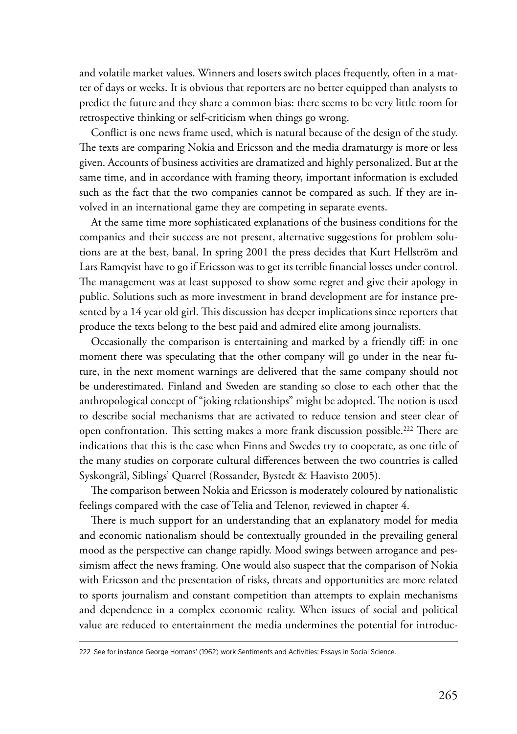and volatile market values. Winners and losers switch places frequently, often in a matter of days or weeks. It is obvious that reporters are no better equipped than analysts to predict the future and they share a common bias: there seems to be very little room for retrospective thinking or self-criticism when things go wrong.

Conflict is one news frame used, which is natural because of the design of the study. The texts are comparing Nokia and Ericsson and the media dramaturgy is more or less given. Accounts of business activities are dramatized and highly personalized. But at the same time, and in accordance with framing theory, important information is excluded such as the fact that the two companies cannot be compared as such. If they are involved in an international game they are competing in separate events.

At the same time more sophisticated explanations of the business conditions for the companies and their success are not present, alternative suggestions for problem solutions are at the best, banal. In spring 2001 the press decides that Kurt Hellström and Lars Ramqvist have to go if Ericsson was to get its terrible financial losses under control. The management was at least supposed to show some regret and give their apology in public. Solutions such as more investment in brand development are for instance presented by a 14 year old girl. This discussion has deeper implications since reporters that produce the texts belong to the best paid and admired elite among journalists.

Occasionally the comparison is entertaining and marked by a friendly tiff: in one moment there was speculating that the other company will go under in the near future, in the next moment warnings are delivered that the same company should not be underestimated. Finland and Sweden are standing so close to each other that the anthropological concept of "joking relationships" might be adopted. The notion is used to describe social mechanisms that are activated to reduce tension and steer clear of open confrontation. This setting makes a more frank discussion possible.<sup>222</sup> There are indications that this is the case when Finns and Swedes try to cooperate, as one title of the many studies on corporate cultural differences between the two countries is called Syskongräl, Siblings' Quarrel (Rossander, Bystedt & Haavisto 2005).

The comparison between Nokia and Ericsson is moderately coloured by nationalistic feelings compared with the case of Telia and Telenor, reviewed in chapter 4.

There is much support for an understanding that an explanatory model for media and economic nationalism should be contextually grounded in the prevailing general mood as the perspective can change rapidly. Mood swings between arrogance and pessimism affect the news framing. One would also suspect that the comparison of Nokia with Ericsson and the presentation of risks, threats and opportunities are more related to sports journalism and constant competition than attempts to explain mechanisms and dependence in a complex economic reality. When issues of social and political value are reduced to entertainment the media undermines the potential for introduc-

<sup>222</sup> See for instance George Homans' (1962) work Sentiments and Activities: Essays in Social Science.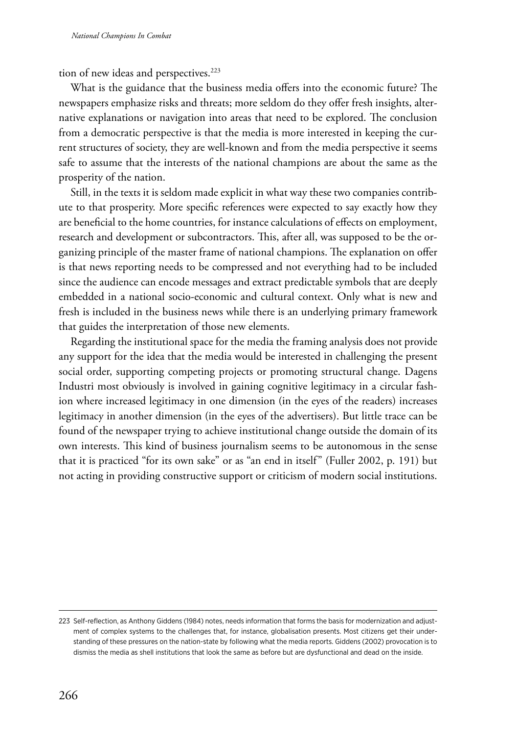tion of new ideas and perspectives.<sup>223</sup>

What is the guidance that the business media offers into the economic future? The newspapers emphasize risks and threats; more seldom do they offer fresh insights, alternative explanations or navigation into areas that need to be explored. The conclusion from a democratic perspective is that the media is more interested in keeping the current structures of society, they are well-known and from the media perspective it seems safe to assume that the interests of the national champions are about the same as the prosperity of the nation.

Still, in the texts it is seldom made explicit in what way these two companies contribute to that prosperity. More specific references were expected to say exactly how they are beneficial to the home countries, for instance calculations of effects on employment, research and development or subcontractors. This, after all, was supposed to be the organizing principle of the master frame of national champions. The explanation on offer is that news reporting needs to be compressed and not everything had to be included since the audience can encode messages and extract predictable symbols that are deeply embedded in a national socio-economic and cultural context. Only what is new and fresh is included in the business news while there is an underlying primary framework that guides the interpretation of those new elements.

Regarding the institutional space for the media the framing analysis does not provide any support for the idea that the media would be interested in challenging the present social order, supporting competing projects or promoting structural change. Dagens Industri most obviously is involved in gaining cognitive legitimacy in a circular fashion where increased legitimacy in one dimension (in the eyes of the readers) increases legitimacy in another dimension (in the eyes of the advertisers). But little trace can be found of the newspaper trying to achieve institutional change outside the domain of its own interests. This kind of business journalism seems to be autonomous in the sense that it is practiced "for its own sake" or as "an end in itself" (Fuller 2002, p. 191) but not acting in providing constructive support or criticism of modern social institutions.

<sup>223</sup> Self-reflection, as Anthony Giddens (1984) notes, needs information that forms the basis for modernization and adjustment of complex systems to the challenges that, for instance, globalisation presents. Most citizens get their understanding of these pressures on the nation-state by following what the media reports. Giddens (2002) provocation is to dismiss the media as shell institutions that look the same as before but are dysfunctional and dead on the inside.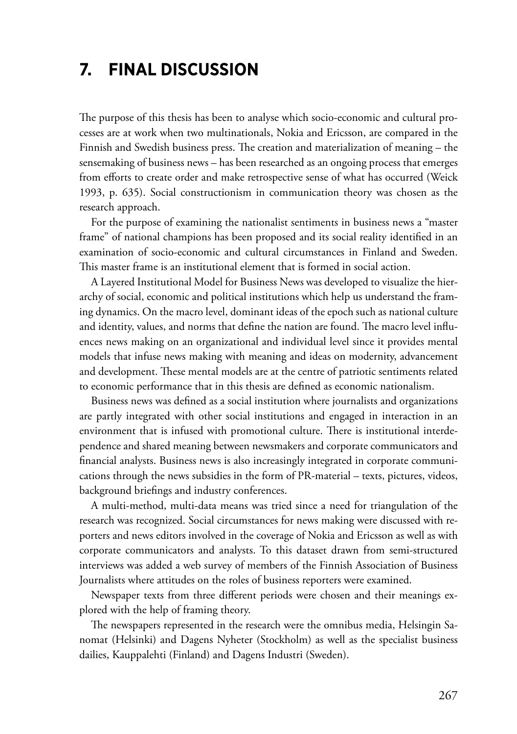# **7. Final discussion**

The purpose of this thesis has been to analyse which socio-economic and cultural processes are at work when two multinationals, Nokia and Ericsson, are compared in the Finnish and Swedish business press. The creation and materialization of meaning – the sensemaking of business news – has been researched as an ongoing process that emerges from efforts to create order and make retrospective sense of what has occurred (Weick 1993, p. 635). Social constructionism in communication theory was chosen as the research approach.

For the purpose of examining the nationalist sentiments in business news a "master frame" of national champions has been proposed and its social reality identified in an examination of socio-economic and cultural circumstances in Finland and Sweden. This master frame is an institutional element that is formed in social action.

A Layered Institutional Model for Business News was developed to visualize the hierarchy of social, economic and political institutions which help us understand the framing dynamics. On the macro level, dominant ideas of the epoch such as national culture and identity, values, and norms that define the nation are found. The macro level influences news making on an organizational and individual level since it provides mental models that infuse news making with meaning and ideas on modernity, advancement and development. These mental models are at the centre of patriotic sentiments related to economic performance that in this thesis are defined as economic nationalism.

Business news was defined as a social institution where journalists and organizations are partly integrated with other social institutions and engaged in interaction in an environment that is infused with promotional culture. There is institutional interdependence and shared meaning between newsmakers and corporate communicators and financial analysts. Business news is also increasingly integrated in corporate communications through the news subsidies in the form of PR-material – texts, pictures, videos, background briefings and industry conferences.

A multi-method, multi-data means was tried since a need for triangulation of the research was recognized. Social circumstances for news making were discussed with reporters and news editors involved in the coverage of Nokia and Ericsson as well as with corporate communicators and analysts. To this dataset drawn from semi-structured interviews was added a web survey of members of the Finnish Association of Business Journalists where attitudes on the roles of business reporters were examined.

Newspaper texts from three different periods were chosen and their meanings explored with the help of framing theory.

The newspapers represented in the research were the omnibus media, Helsingin Sanomat (Helsinki) and Dagens Nyheter (Stockholm) as well as the specialist business dailies, Kauppalehti (Finland) and Dagens Industri (Sweden).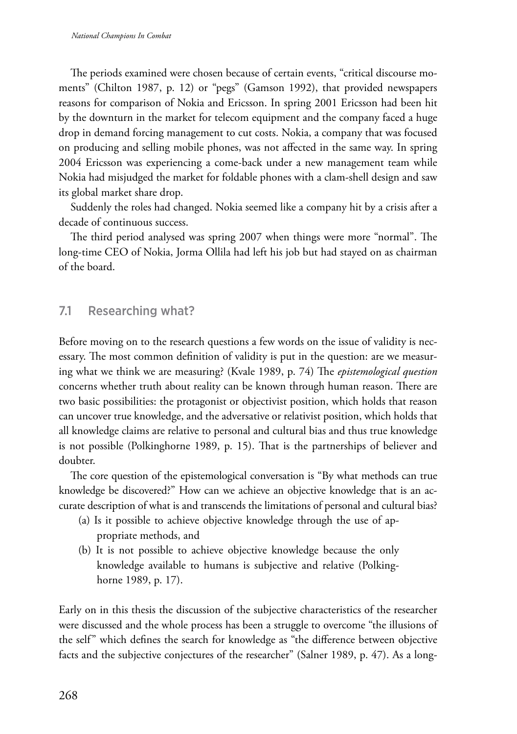The periods examined were chosen because of certain events, "critical discourse moments" (Chilton 1987, p. 12) or "pegs" (Gamson 1992), that provided newspapers reasons for comparison of Nokia and Ericsson. In spring 2001 Ericsson had been hit by the downturn in the market for telecom equipment and the company faced a huge drop in demand forcing management to cut costs. Nokia, a company that was focused on producing and selling mobile phones, was not affected in the same way. In spring 2004 Ericsson was experiencing a come-back under a new management team while Nokia had misjudged the market for foldable phones with a clam-shell design and saw its global market share drop.

Suddenly the roles had changed. Nokia seemed like a company hit by a crisis after a decade of continuous success.

The third period analysed was spring 2007 when things were more "normal". The long-time CEO of Nokia, Jorma Ollila had left his job but had stayed on as chairman of the board.

### 7.1 Researching what?

Before moving on to the research questions a few words on the issue of validity is necessary. The most common definition of validity is put in the question: are we measuring what we think we are measuring? (Kvale 1989, p. 74) The *epistemological question* concerns whether truth about reality can be known through human reason. There are two basic possibilities: the protagonist or objectivist position, which holds that reason can uncover true knowledge, and the adversative or relativist position, which holds that all knowledge claims are relative to personal and cultural bias and thus true knowledge is not possible (Polkinghorne 1989, p. 15). That is the partnerships of believer and doubter.

The core question of the epistemological conversation is "By what methods can true knowledge be discovered?" How can we achieve an objective knowledge that is an accurate description of what is and transcends the limitations of personal and cultural bias?

- (a) Is it possible to achieve objective knowledge through the use of appropriate methods, and
- (b) It is not possible to achieve objective knowledge because the only knowledge available to humans is subjective and relative (Polkinghorne 1989, p. 17).

Early on in this thesis the discussion of the subjective characteristics of the researcher were discussed and the whole process has been a struggle to overcome "the illusions of the self" which defines the search for knowledge as "the difference between objective facts and the subjective conjectures of the researcher" (Salner 1989, p. 47). As a long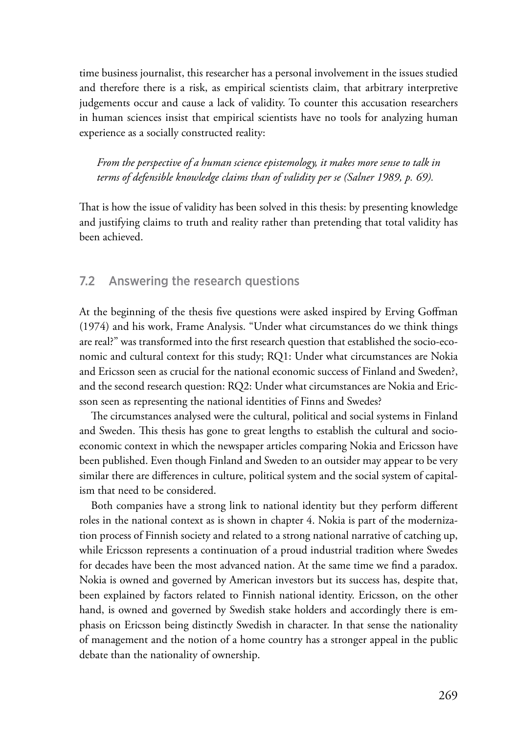time business journalist, this researcher has a personal involvement in the issues studied and therefore there is a risk, as empirical scientists claim, that arbitrary interpretive judgements occur and cause a lack of validity. To counter this accusation researchers in human sciences insist that empirical scientists have no tools for analyzing human experience as a socially constructed reality:

*From the perspective of a human science epistemology, it makes more sense to talk in terms of defensible knowledge claims than of validity per se (Salner 1989, p. 69).*

That is how the issue of validity has been solved in this thesis: by presenting knowledge and justifying claims to truth and reality rather than pretending that total validity has been achieved.

## 7.2 Answering the research questions

At the beginning of the thesis five questions were asked inspired by Erving Goffman (1974) and his work, Frame Analysis. "Under what circumstances do we think things are real?" was transformed into the first research question that established the socio-economic and cultural context for this study; RQ1: Under what circumstances are Nokia and Ericsson seen as crucial for the national economic success of Finland and Sweden?, and the second research question: RQ2: Under what circumstances are Nokia and Ericsson seen as representing the national identities of Finns and Swedes?

The circumstances analysed were the cultural, political and social systems in Finland and Sweden. This thesis has gone to great lengths to establish the cultural and socioeconomic context in which the newspaper articles comparing Nokia and Ericsson have been published. Even though Finland and Sweden to an outsider may appear to be very similar there are differences in culture, political system and the social system of capitalism that need to be considered.

Both companies have a strong link to national identity but they perform different roles in the national context as is shown in chapter 4. Nokia is part of the modernization process of Finnish society and related to a strong national narrative of catching up, while Ericsson represents a continuation of a proud industrial tradition where Swedes for decades have been the most advanced nation. At the same time we find a paradox. Nokia is owned and governed by American investors but its success has, despite that, been explained by factors related to Finnish national identity. Ericsson, on the other hand, is owned and governed by Swedish stake holders and accordingly there is emphasis on Ericsson being distinctly Swedish in character. In that sense the nationality of management and the notion of a home country has a stronger appeal in the public debate than the nationality of ownership.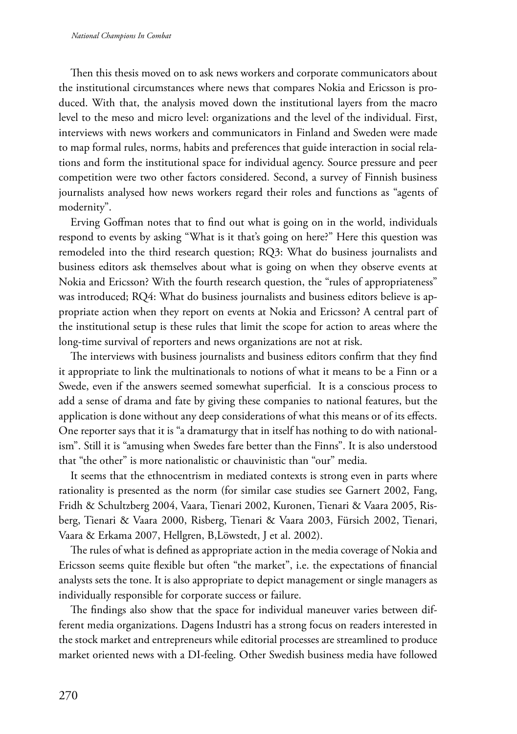Then this thesis moved on to ask news workers and corporate communicators about the institutional circumstances where news that compares Nokia and Ericsson is produced. With that, the analysis moved down the institutional layers from the macro level to the meso and micro level: organizations and the level of the individual. First, interviews with news workers and communicators in Finland and Sweden were made to map formal rules, norms, habits and preferences that guide interaction in social relations and form the institutional space for individual agency. Source pressure and peer competition were two other factors considered. Second, a survey of Finnish business journalists analysed how news workers regard their roles and functions as "agents of modernity".

Erving Goffman notes that to find out what is going on in the world, individuals respond to events by asking "What is it that's going on here?" Here this question was remodeled into the third research question; RQ3: What do business journalists and business editors ask themselves about what is going on when they observe events at Nokia and Ericsson? With the fourth research question, the "rules of appropriateness" was introduced; RQ4: What do business journalists and business editors believe is appropriate action when they report on events at Nokia and Ericsson? A central part of the institutional setup is these rules that limit the scope for action to areas where the long-time survival of reporters and news organizations are not at risk.

The interviews with business journalists and business editors confirm that they find it appropriate to link the multinationals to notions of what it means to be a Finn or a Swede, even if the answers seemed somewhat superficial. It is a conscious process to add a sense of drama and fate by giving these companies to national features, but the application is done without any deep considerations of what this means or of its effects. One reporter says that it is "a dramaturgy that in itself has nothing to do with nationalism". Still it is "amusing when Swedes fare better than the Finns". It is also understood that "the other" is more nationalistic or chauvinistic than "our" media.

It seems that the ethnocentrism in mediated contexts is strong even in parts where rationality is presented as the norm (for similar case studies see Garnert 2002, Fang, Fridh & Schultzberg 2004, Vaara, Tienari 2002, Kuronen, Tienari & Vaara 2005, Risberg, Tienari & Vaara 2000, Risberg, Tienari & Vaara 2003, Fürsich 2002, Tienari, Vaara & Erkama 2007, Hellgren, B,Löwstedt, J et al. 2002).

The rules of what is defined as appropriate action in the media coverage of Nokia and Ericsson seems quite flexible but often "the market", i.e. the expectations of financial analysts sets the tone. It is also appropriate to depict management or single managers as individually responsible for corporate success or failure.

The findings also show that the space for individual maneuver varies between different media organizations. Dagens Industri has a strong focus on readers interested in the stock market and entrepreneurs while editorial processes are streamlined to produce market oriented news with a DI-feeling. Other Swedish business media have followed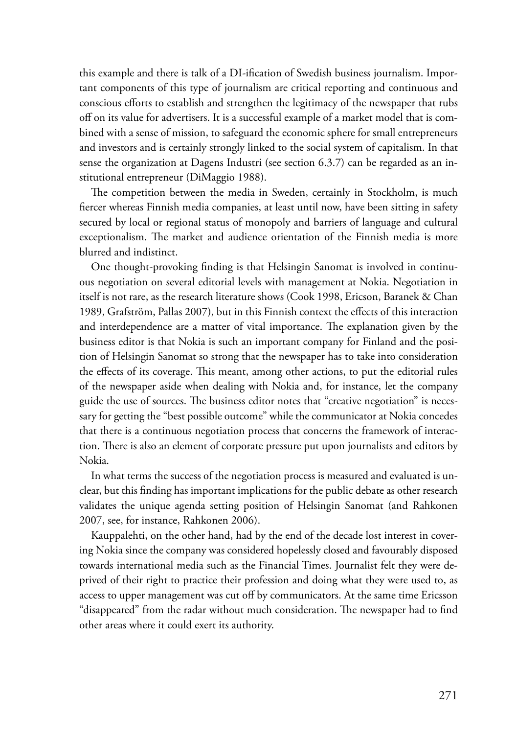this example and there is talk of a DI-ification of Swedish business journalism. Important components of this type of journalism are critical reporting and continuous and conscious efforts to establish and strengthen the legitimacy of the newspaper that rubs off on its value for advertisers. It is a successful example of a market model that is combined with a sense of mission, to safeguard the economic sphere for small entrepreneurs and investors and is certainly strongly linked to the social system of capitalism. In that sense the organization at Dagens Industri (see section 6.3.7) can be regarded as an institutional entrepreneur (DiMaggio 1988).

The competition between the media in Sweden, certainly in Stockholm, is much fiercer whereas Finnish media companies, at least until now, have been sitting in safety secured by local or regional status of monopoly and barriers of language and cultural exceptionalism. The market and audience orientation of the Finnish media is more blurred and indistinct.

One thought-provoking finding is that Helsingin Sanomat is involved in continuous negotiation on several editorial levels with management at Nokia. Negotiation in itself is not rare, as the research literature shows (Cook 1998, Ericson, Baranek & Chan 1989, Grafström, Pallas 2007), but in this Finnish context the effects of this interaction and interdependence are a matter of vital importance. The explanation given by the business editor is that Nokia is such an important company for Finland and the position of Helsingin Sanomat so strong that the newspaper has to take into consideration the effects of its coverage. This meant, among other actions, to put the editorial rules of the newspaper aside when dealing with Nokia and, for instance, let the company guide the use of sources. The business editor notes that "creative negotiation" is necessary for getting the "best possible outcome" while the communicator at Nokia concedes that there is a continuous negotiation process that concerns the framework of interaction. There is also an element of corporate pressure put upon journalists and editors by Nokia.

In what terms the success of the negotiation process is measured and evaluated is unclear, but this finding has important implications for the public debate as other research validates the unique agenda setting position of Helsingin Sanomat (and Rahkonen 2007, see, for instance, Rahkonen 2006).

Kauppalehti, on the other hand, had by the end of the decade lost interest in covering Nokia since the company was considered hopelessly closed and favourably disposed towards international media such as the Financial Times. Journalist felt they were deprived of their right to practice their profession and doing what they were used to, as access to upper management was cut off by communicators. At the same time Ericsson "disappeared" from the radar without much consideration. The newspaper had to find other areas where it could exert its authority.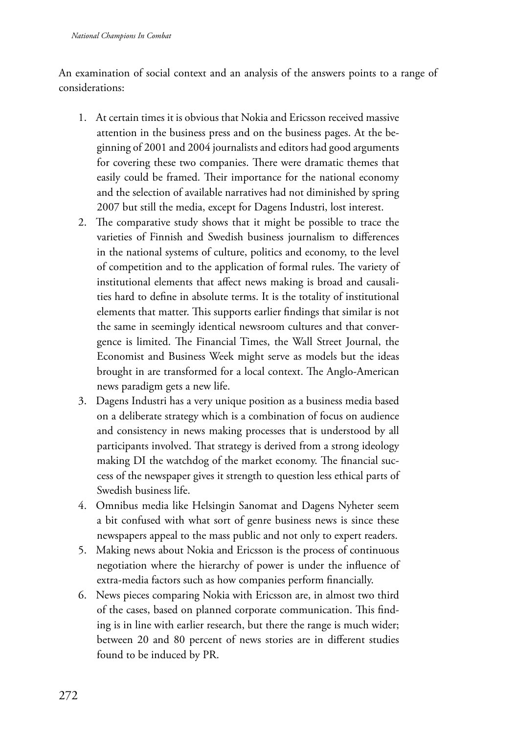An examination of social context and an analysis of the answers points to a range of considerations:

- 1. At certain times it is obvious that Nokia and Ericsson received massive attention in the business press and on the business pages. At the beginning of 2001 and 2004 journalists and editors had good arguments for covering these two companies. There were dramatic themes that easily could be framed. Their importance for the national economy and the selection of available narratives had not diminished by spring 2007 but still the media, except for Dagens Industri, lost interest.
- 2. The comparative study shows that it might be possible to trace the varieties of Finnish and Swedish business journalism to differences in the national systems of culture, politics and economy, to the level of competition and to the application of formal rules. The variety of institutional elements that affect news making is broad and causalities hard to define in absolute terms. It is the totality of institutional elements that matter. This supports earlier findings that similar is not the same in seemingly identical newsroom cultures and that convergence is limited. The Financial Times, the Wall Street Journal, the Economist and Business Week might serve as models but the ideas brought in are transformed for a local context. The Anglo-American news paradigm gets a new life.
- 3. Dagens Industri has a very unique position as a business media based on a deliberate strategy which is a combination of focus on audience and consistency in news making processes that is understood by all participants involved. That strategy is derived from a strong ideology making DI the watchdog of the market economy. The financial success of the newspaper gives it strength to question less ethical parts of Swedish business life.
- 4. Omnibus media like Helsingin Sanomat and Dagens Nyheter seem a bit confused with what sort of genre business news is since these newspapers appeal to the mass public and not only to expert readers.
- 5. Making news about Nokia and Ericsson is the process of continuous negotiation where the hierarchy of power is under the influence of extra-media factors such as how companies perform financially.
- 6. News pieces comparing Nokia with Ericsson are, in almost two third of the cases, based on planned corporate communication. This finding is in line with earlier research, but there the range is much wider; between 20 and 80 percent of news stories are in different studies found to be induced by PR.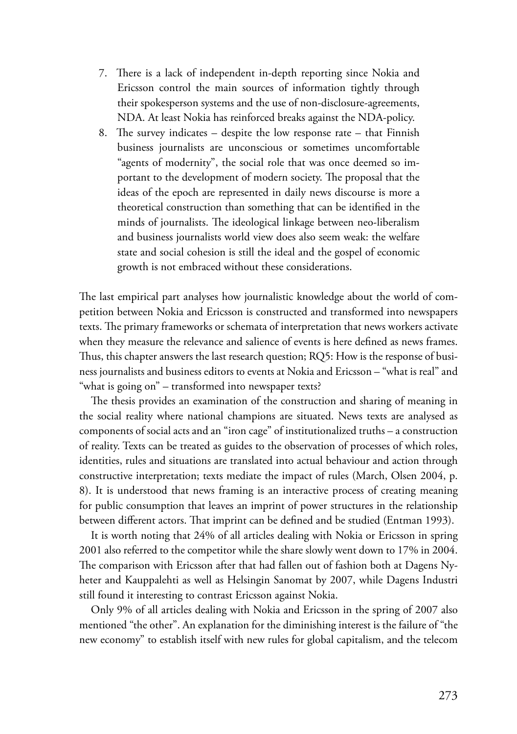- 7. There is a lack of independent in-depth reporting since Nokia and Ericsson control the main sources of information tightly through their spokesperson systems and the use of non-disclosure-agreements, NDA. At least Nokia has reinforced breaks against the NDA-policy.
- 8. The survey indicates despite the low response rate that Finnish business journalists are unconscious or sometimes uncomfortable "agents of modernity", the social role that was once deemed so important to the development of modern society. The proposal that the ideas of the epoch are represented in daily news discourse is more a theoretical construction than something that can be identified in the minds of journalists. The ideological linkage between neo-liberalism and business journalists world view does also seem weak: the welfare state and social cohesion is still the ideal and the gospel of economic growth is not embraced without these considerations.

The last empirical part analyses how journalistic knowledge about the world of competition between Nokia and Ericsson is constructed and transformed into newspapers texts. The primary frameworks or schemata of interpretation that news workers activate when they measure the relevance and salience of events is here defined as news frames. Thus, this chapter answers the last research question; RQ5: How is the response of business journalists and business editors to events at Nokia and Ericsson – "what is real" and "what is going on" – transformed into newspaper texts?

The thesis provides an examination of the construction and sharing of meaning in the social reality where national champions are situated. News texts are analysed as components of social acts and an "iron cage" of institutionalized truths – a construction of reality. Texts can be treated as guides to the observation of processes of which roles, identities, rules and situations are translated into actual behaviour and action through constructive interpretation; texts mediate the impact of rules (March, Olsen 2004, p. 8). It is understood that news framing is an interactive process of creating meaning for public consumption that leaves an imprint of power structures in the relationship between different actors. That imprint can be defined and be studied (Entman 1993).

It is worth noting that 24% of all articles dealing with Nokia or Ericsson in spring 2001 also referred to the competitor while the share slowly went down to 17% in 2004. The comparison with Ericsson after that had fallen out of fashion both at Dagens Nyheter and Kauppalehti as well as Helsingin Sanomat by 2007, while Dagens Industri still found it interesting to contrast Ericsson against Nokia.

Only 9% of all articles dealing with Nokia and Ericsson in the spring of 2007 also mentioned "the other". An explanation for the diminishing interest is the failure of "the new economy" to establish itself with new rules for global capitalism, and the telecom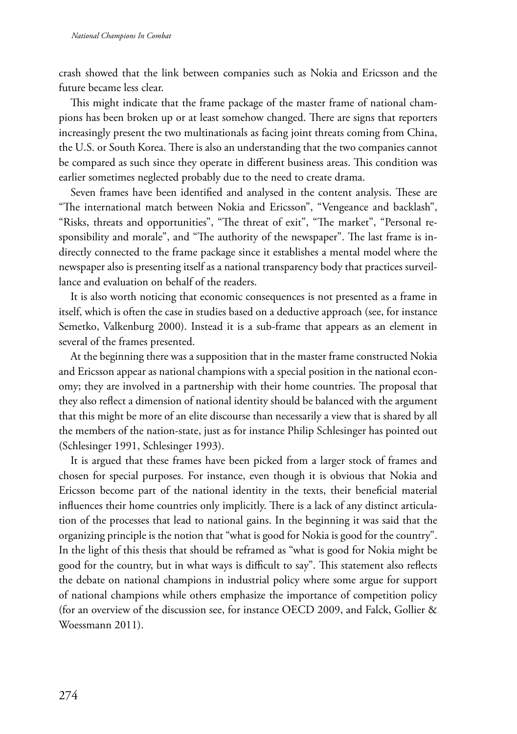crash showed that the link between companies such as Nokia and Ericsson and the future became less clear.

This might indicate that the frame package of the master frame of national champions has been broken up or at least somehow changed. There are signs that reporters increasingly present the two multinationals as facing joint threats coming from China, the U.S. or South Korea. There is also an understanding that the two companies cannot be compared as such since they operate in different business areas. This condition was earlier sometimes neglected probably due to the need to create drama.

Seven frames have been identified and analysed in the content analysis. These are "The international match between Nokia and Ericsson", "Vengeance and backlash", "Risks, threats and opportunities", "The threat of exit", "The market", "Personal responsibility and morale", and "The authority of the newspaper". The last frame is indirectly connected to the frame package since it establishes a mental model where the newspaper also is presenting itself as a national transparency body that practices surveillance and evaluation on behalf of the readers.

It is also worth noticing that economic consequences is not presented as a frame in itself, which is often the case in studies based on a deductive approach (see, for instance Semetko, Valkenburg 2000). Instead it is a sub-frame that appears as an element in several of the frames presented.

At the beginning there was a supposition that in the master frame constructed Nokia and Ericsson appear as national champions with a special position in the national economy; they are involved in a partnership with their home countries. The proposal that they also reflect a dimension of national identity should be balanced with the argument that this might be more of an elite discourse than necessarily a view that is shared by all the members of the nation-state, just as for instance Philip Schlesinger has pointed out (Schlesinger 1991, Schlesinger 1993).

It is argued that these frames have been picked from a larger stock of frames and chosen for special purposes. For instance, even though it is obvious that Nokia and Ericsson become part of the national identity in the texts, their beneficial material influences their home countries only implicitly. There is a lack of any distinct articulation of the processes that lead to national gains. In the beginning it was said that the organizing principle is the notion that "what is good for Nokia is good for the country". In the light of this thesis that should be reframed as "what is good for Nokia might be good for the country, but in what ways is difficult to say". This statement also reflects the debate on national champions in industrial policy where some argue for support of national champions while others emphasize the importance of competition policy (for an overview of the discussion see, for instance OECD 2009, and Falck, Gollier & Woessmann 2011).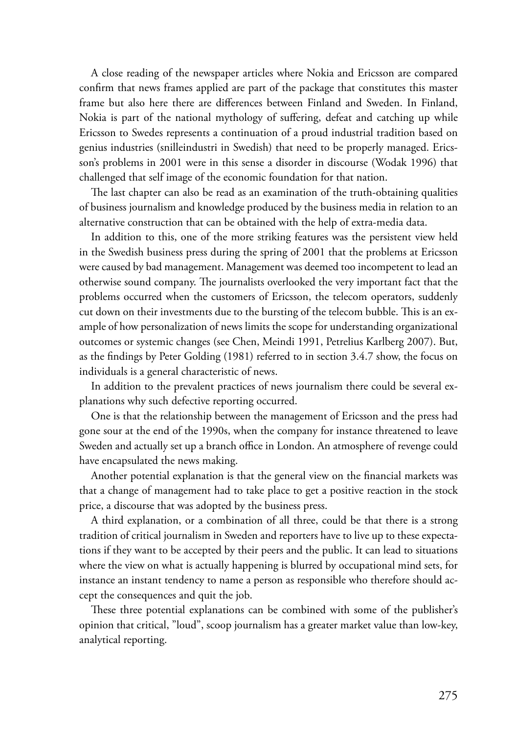A close reading of the newspaper articles where Nokia and Ericsson are compared confirm that news frames applied are part of the package that constitutes this master frame but also here there are differences between Finland and Sweden. In Finland, Nokia is part of the national mythology of suffering, defeat and catching up while Ericsson to Swedes represents a continuation of a proud industrial tradition based on genius industries (snilleindustri in Swedish) that need to be properly managed. Ericsson's problems in 2001 were in this sense a disorder in discourse (Wodak 1996) that challenged that self image of the economic foundation for that nation.

The last chapter can also be read as an examination of the truth-obtaining qualities of business journalism and knowledge produced by the business media in relation to an alternative construction that can be obtained with the help of extra-media data.

In addition to this, one of the more striking features was the persistent view held in the Swedish business press during the spring of 2001 that the problems at Ericsson were caused by bad management. Management was deemed too incompetent to lead an otherwise sound company. The journalists overlooked the very important fact that the problems occurred when the customers of Ericsson, the telecom operators, suddenly cut down on their investments due to the bursting of the telecom bubble. This is an example of how personalization of news limits the scope for understanding organizational outcomes or systemic changes (see Chen, Meindi 1991, Petrelius Karlberg 2007). But, as the findings by Peter Golding (1981) referred to in section 3.4.7 show, the focus on individuals is a general characteristic of news.

In addition to the prevalent practices of news journalism there could be several explanations why such defective reporting occurred.

One is that the relationship between the management of Ericsson and the press had gone sour at the end of the 1990s, when the company for instance threatened to leave Sweden and actually set up a branch office in London. An atmosphere of revenge could have encapsulated the news making.

Another potential explanation is that the general view on the financial markets was that a change of management had to take place to get a positive reaction in the stock price, a discourse that was adopted by the business press.

A third explanation, or a combination of all three, could be that there is a strong tradition of critical journalism in Sweden and reporters have to live up to these expectations if they want to be accepted by their peers and the public. It can lead to situations where the view on what is actually happening is blurred by occupational mind sets, for instance an instant tendency to name a person as responsible who therefore should accept the consequences and quit the job.

These three potential explanations can be combined with some of the publisher's opinion that critical, "loud", scoop journalism has a greater market value than low-key, analytical reporting.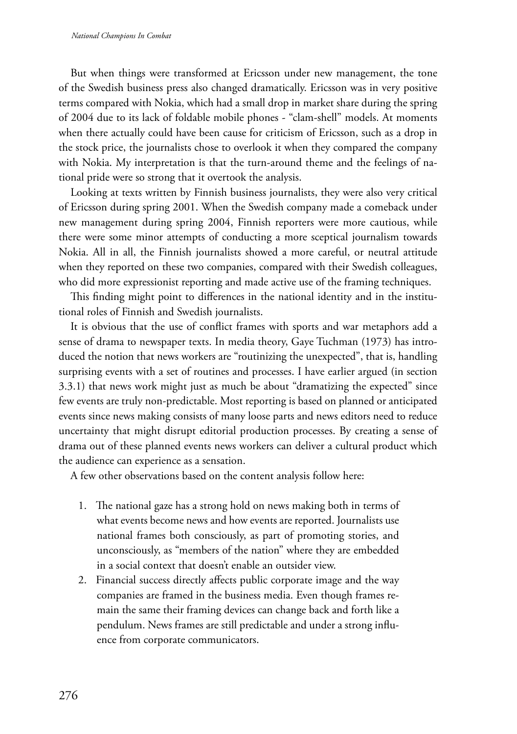But when things were transformed at Ericsson under new management, the tone of the Swedish business press also changed dramatically. Ericsson was in very positive terms compared with Nokia, which had a small drop in market share during the spring of 2004 due to its lack of foldable mobile phones - "clam-shell" models. At moments when there actually could have been cause for criticism of Ericsson, such as a drop in the stock price, the journalists chose to overlook it when they compared the company with Nokia. My interpretation is that the turn-around theme and the feelings of national pride were so strong that it overtook the analysis.

Looking at texts written by Finnish business journalists, they were also very critical of Ericsson during spring 2001. When the Swedish company made a comeback under new management during spring 2004, Finnish reporters were more cautious, while there were some minor attempts of conducting a more sceptical journalism towards Nokia. All in all, the Finnish journalists showed a more careful, or neutral attitude when they reported on these two companies, compared with their Swedish colleagues, who did more expressionist reporting and made active use of the framing techniques.

This finding might point to differences in the national identity and in the institutional roles of Finnish and Swedish journalists.

It is obvious that the use of conflict frames with sports and war metaphors add a sense of drama to newspaper texts. In media theory, Gaye Tuchman (1973) has introduced the notion that news workers are "routinizing the unexpected", that is, handling surprising events with a set of routines and processes. I have earlier argued (in section 3.3.1) that news work might just as much be about "dramatizing the expected" since few events are truly non-predictable. Most reporting is based on planned or anticipated events since news making consists of many loose parts and news editors need to reduce uncertainty that might disrupt editorial production processes. By creating a sense of drama out of these planned events news workers can deliver a cultural product which the audience can experience as a sensation.

A few other observations based on the content analysis follow here:

- 1. The national gaze has a strong hold on news making both in terms of what events become news and how events are reported. Journalists use national frames both consciously, as part of promoting stories, and unconsciously, as "members of the nation" where they are embedded in a social context that doesn't enable an outsider view.
- 2. Financial success directly affects public corporate image and the way companies are framed in the business media. Even though frames remain the same their framing devices can change back and forth like a pendulum. News frames are still predictable and under a strong influence from corporate communicators.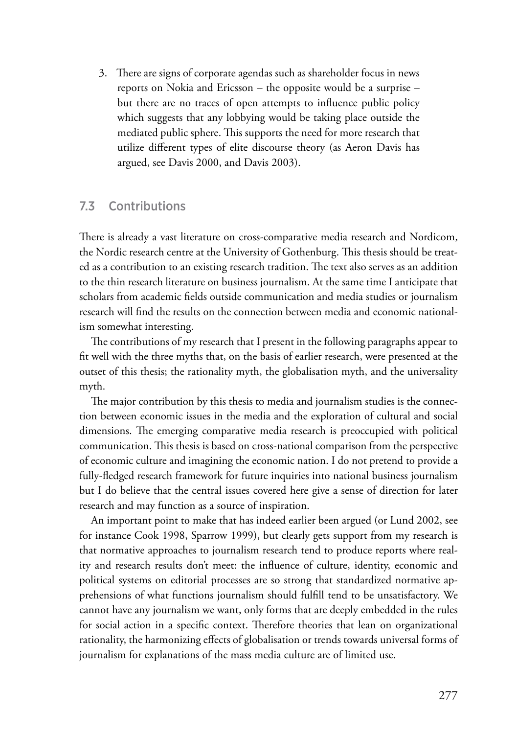3. There are signs of corporate agendas such as shareholder focus in news reports on Nokia and Ericsson – the opposite would be a surprise – but there are no traces of open attempts to influence public policy which suggests that any lobbying would be taking place outside the mediated public sphere. This supports the need for more research that utilize different types of elite discourse theory (as Aeron Davis has argued, see Davis 2000, and Davis 2003).

## 7.3 Contributions

There is already a vast literature on cross-comparative media research and Nordicom, the Nordic research centre at the University of Gothenburg. This thesis should be treated as a contribution to an existing research tradition. The text also serves as an addition to the thin research literature on business journalism. At the same time I anticipate that scholars from academic fields outside communication and media studies or journalism research will find the results on the connection between media and economic nationalism somewhat interesting.

The contributions of my research that I present in the following paragraphs appear to fit well with the three myths that, on the basis of earlier research, were presented at the outset of this thesis; the rationality myth, the globalisation myth, and the universality myth.

The major contribution by this thesis to media and journalism studies is the connection between economic issues in the media and the exploration of cultural and social dimensions. The emerging comparative media research is preoccupied with political communication. This thesis is based on cross-national comparison from the perspective of economic culture and imagining the economic nation. I do not pretend to provide a fully-fledged research framework for future inquiries into national business journalism but I do believe that the central issues covered here give a sense of direction for later research and may function as a source of inspiration.

An important point to make that has indeed earlier been argued (or Lund 2002, see for instance Cook 1998, Sparrow 1999), but clearly gets support from my research is that normative approaches to journalism research tend to produce reports where reality and research results don't meet: the influence of culture, identity, economic and political systems on editorial processes are so strong that standardized normative apprehensions of what functions journalism should fulfill tend to be unsatisfactory. We cannot have any journalism we want, only forms that are deeply embedded in the rules for social action in a specific context. Therefore theories that lean on organizational rationality, the harmonizing effects of globalisation or trends towards universal forms of journalism for explanations of the mass media culture are of limited use.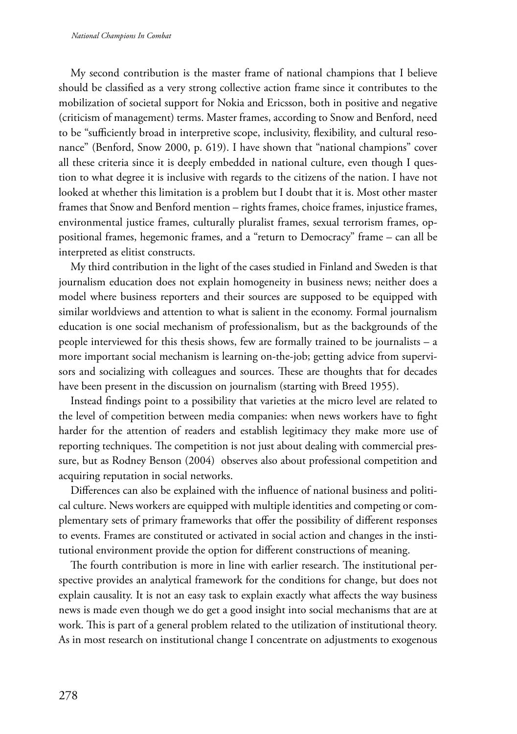My second contribution is the master frame of national champions that I believe should be classified as a very strong collective action frame since it contributes to the mobilization of societal support for Nokia and Ericsson, both in positive and negative (criticism of management) terms. Master frames, according to Snow and Benford, need to be "sufficiently broad in interpretive scope, inclusivity, flexibility, and cultural resonance" (Benford, Snow 2000, p. 619). I have shown that "national champions" cover all these criteria since it is deeply embedded in national culture, even though I question to what degree it is inclusive with regards to the citizens of the nation. I have not looked at whether this limitation is a problem but I doubt that it is. Most other master frames that Snow and Benford mention – rights frames, choice frames, injustice frames, environmental justice frames, culturally pluralist frames, sexual terrorism frames, oppositional frames, hegemonic frames, and a "return to Democracy" frame – can all be interpreted as elitist constructs.

My third contribution in the light of the cases studied in Finland and Sweden is that journalism education does not explain homogeneity in business news; neither does a model where business reporters and their sources are supposed to be equipped with similar worldviews and attention to what is salient in the economy. Formal journalism education is one social mechanism of professionalism, but as the backgrounds of the people interviewed for this thesis shows, few are formally trained to be journalists – a more important social mechanism is learning on-the-job; getting advice from supervisors and socializing with colleagues and sources. These are thoughts that for decades have been present in the discussion on journalism (starting with Breed 1955).

Instead findings point to a possibility that varieties at the micro level are related to the level of competition between media companies: when news workers have to fight harder for the attention of readers and establish legitimacy they make more use of reporting techniques. The competition is not just about dealing with commercial pressure, but as Rodney Benson (2004) observes also about professional competition and acquiring reputation in social networks.

Differences can also be explained with the influence of national business and political culture. News workers are equipped with multiple identities and competing or complementary sets of primary frameworks that offer the possibility of different responses to events. Frames are constituted or activated in social action and changes in the institutional environment provide the option for different constructions of meaning.

The fourth contribution is more in line with earlier research. The institutional perspective provides an analytical framework for the conditions for change, but does not explain causality. It is not an easy task to explain exactly what affects the way business news is made even though we do get a good insight into social mechanisms that are at work. This is part of a general problem related to the utilization of institutional theory. As in most research on institutional change I concentrate on adjustments to exogenous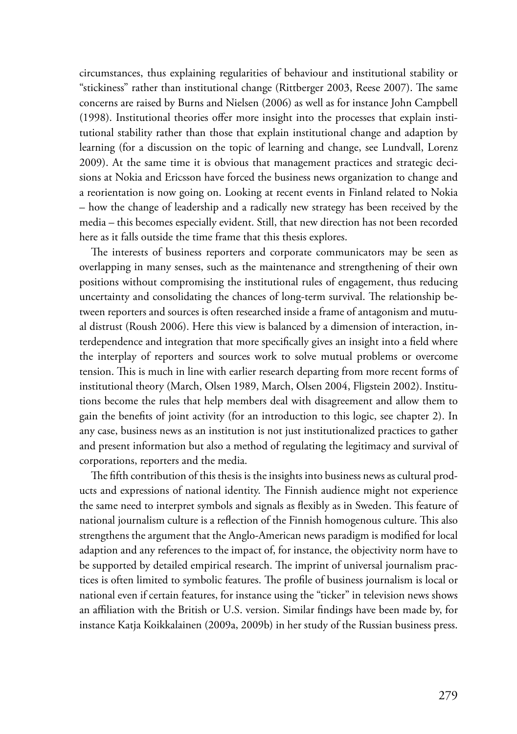circumstances, thus explaining regularities of behaviour and institutional stability or "stickiness" rather than institutional change (Rittberger 2003, Reese 2007). The same concerns are raised by Burns and Nielsen (2006) as well as for instance John Campbell (1998). Institutional theories offer more insight into the processes that explain institutional stability rather than those that explain institutional change and adaption by learning (for a discussion on the topic of learning and change, see Lundvall, Lorenz 2009). At the same time it is obvious that management practices and strategic decisions at Nokia and Ericsson have forced the business news organization to change and a reorientation is now going on. Looking at recent events in Finland related to Nokia – how the change of leadership and a radically new strategy has been received by the media – this becomes especially evident. Still, that new direction has not been recorded here as it falls outside the time frame that this thesis explores.

The interests of business reporters and corporate communicators may be seen as overlapping in many senses, such as the maintenance and strengthening of their own positions without compromising the institutional rules of engagement, thus reducing uncertainty and consolidating the chances of long-term survival. The relationship between reporters and sources is often researched inside a frame of antagonism and mutual distrust (Roush 2006). Here this view is balanced by a dimension of interaction, interdependence and integration that more specifically gives an insight into a field where the interplay of reporters and sources work to solve mutual problems or overcome tension. This is much in line with earlier research departing from more recent forms of institutional theory (March, Olsen 1989, March, Olsen 2004, Fligstein 2002). Institutions become the rules that help members deal with disagreement and allow them to gain the benefits of joint activity (for an introduction to this logic, see chapter 2). In any case, business news as an institution is not just institutionalized practices to gather and present information but also a method of regulating the legitimacy and survival of corporations, reporters and the media.

The fifth contribution of this thesis is the insights into business news as cultural products and expressions of national identity. The Finnish audience might not experience the same need to interpret symbols and signals as flexibly as in Sweden. This feature of national journalism culture is a reflection of the Finnish homogenous culture. This also strengthens the argument that the Anglo-American news paradigm is modified for local adaption and any references to the impact of, for instance, the objectivity norm have to be supported by detailed empirical research. The imprint of universal journalism practices is often limited to symbolic features. The profile of business journalism is local or national even if certain features, for instance using the "ticker" in television news shows an affiliation with the British or U.S. version. Similar findings have been made by, for instance Katja Koikkalainen (2009a, 2009b) in her study of the Russian business press.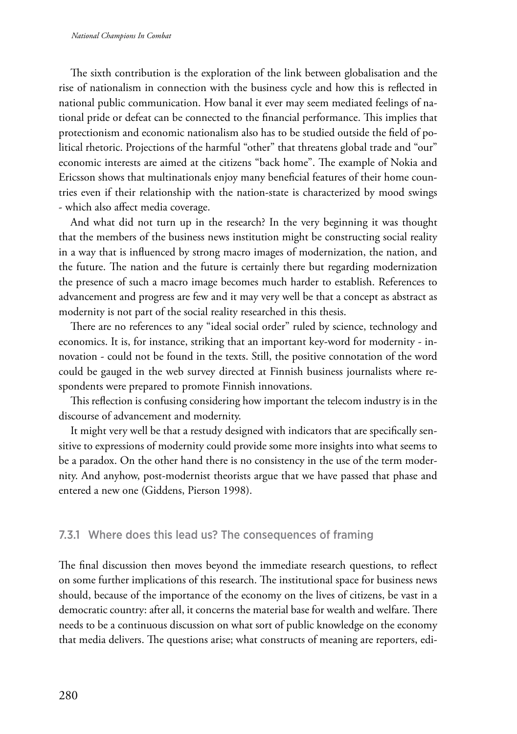The sixth contribution is the exploration of the link between globalisation and the rise of nationalism in connection with the business cycle and how this is reflected in national public communication. How banal it ever may seem mediated feelings of national pride or defeat can be connected to the financial performance. This implies that protectionism and economic nationalism also has to be studied outside the field of political rhetoric. Projections of the harmful "other" that threatens global trade and "our" economic interests are aimed at the citizens "back home". The example of Nokia and Ericsson shows that multinationals enjoy many beneficial features of their home countries even if their relationship with the nation-state is characterized by mood swings - which also affect media coverage.

And what did not turn up in the research? In the very beginning it was thought that the members of the business news institution might be constructing social reality in a way that is influenced by strong macro images of modernization, the nation, and the future. The nation and the future is certainly there but regarding modernization the presence of such a macro image becomes much harder to establish. References to advancement and progress are few and it may very well be that a concept as abstract as modernity is not part of the social reality researched in this thesis.

There are no references to any "ideal social order" ruled by science, technology and economics. It is, for instance, striking that an important key-word for modernity - innovation - could not be found in the texts. Still, the positive connotation of the word could be gauged in the web survey directed at Finnish business journalists where respondents were prepared to promote Finnish innovations.

This reflection is confusing considering how important the telecom industry is in the discourse of advancement and modernity.

It might very well be that a restudy designed with indicators that are specifically sensitive to expressions of modernity could provide some more insights into what seems to be a paradox. On the other hand there is no consistency in the use of the term modernity. And anyhow, post-modernist theorists argue that we have passed that phase and entered a new one (Giddens, Pierson 1998).

## 7.3.1 Where does this lead us? The consequences of framing

The final discussion then moves beyond the immediate research questions, to reflect on some further implications of this research. The institutional space for business news should, because of the importance of the economy on the lives of citizens, be vast in a democratic country: after all, it concerns the material base for wealth and welfare. There needs to be a continuous discussion on what sort of public knowledge on the economy that media delivers. The questions arise; what constructs of meaning are reporters, edi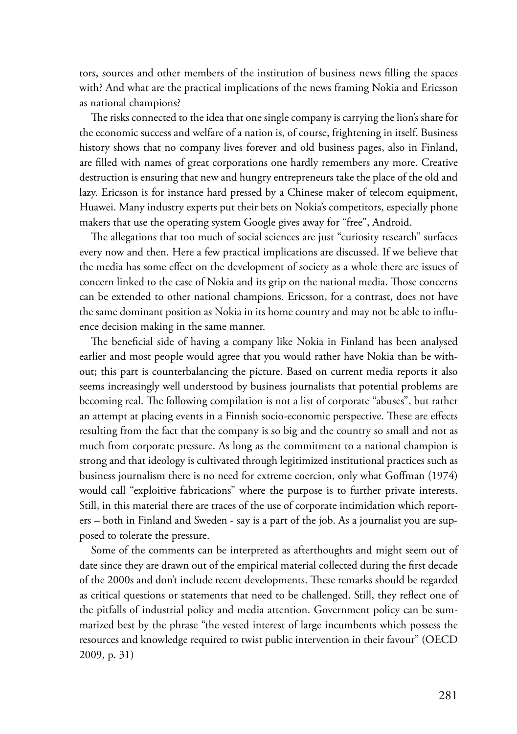tors, sources and other members of the institution of business news filling the spaces with? And what are the practical implications of the news framing Nokia and Ericsson as national champions?

The risks connected to the idea that one single company is carrying the lion's share for the economic success and welfare of a nation is, of course, frightening in itself. Business history shows that no company lives forever and old business pages, also in Finland, are filled with names of great corporations one hardly remembers any more. Creative destruction is ensuring that new and hungry entrepreneurs take the place of the old and lazy. Ericsson is for instance hard pressed by a Chinese maker of telecom equipment, Huawei. Many industry experts put their bets on Nokia's competitors, especially phone makers that use the operating system Google gives away for "free", Android.

The allegations that too much of social sciences are just "curiosity research" surfaces every now and then. Here a few practical implications are discussed. If we believe that the media has some effect on the development of society as a whole there are issues of concern linked to the case of Nokia and its grip on the national media. Those concerns can be extended to other national champions. Ericsson, for a contrast, does not have the same dominant position as Nokia in its home country and may not be able to influence decision making in the same manner.

The beneficial side of having a company like Nokia in Finland has been analysed earlier and most people would agree that you would rather have Nokia than be without; this part is counterbalancing the picture. Based on current media reports it also seems increasingly well understood by business journalists that potential problems are becoming real. The following compilation is not a list of corporate "abuses", but rather an attempt at placing events in a Finnish socio-economic perspective. These are effects resulting from the fact that the company is so big and the country so small and not as much from corporate pressure. As long as the commitment to a national champion is strong and that ideology is cultivated through legitimized institutional practices such as business journalism there is no need for extreme coercion, only what Goffman (1974) would call "exploitive fabrications" where the purpose is to further private interests. Still, in this material there are traces of the use of corporate intimidation which reporters – both in Finland and Sweden - say is a part of the job. As a journalist you are supposed to tolerate the pressure.

Some of the comments can be interpreted as afterthoughts and might seem out of date since they are drawn out of the empirical material collected during the first decade of the 2000s and don't include recent developments. These remarks should be regarded as critical questions or statements that need to be challenged. Still, they reflect one of the pitfalls of industrial policy and media attention. Government policy can be summarized best by the phrase "the vested interest of large incumbents which possess the resources and knowledge required to twist public intervention in their favour" (OECD 2009, p. 31)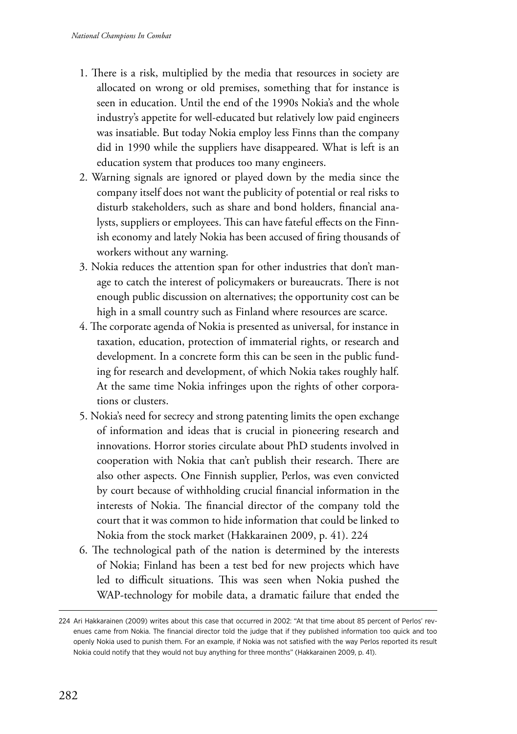- 1. There is a risk, multiplied by the media that resources in society are allocated on wrong or old premises, something that for instance is seen in education. Until the end of the 1990s Nokia's and the whole industry's appetite for well-educated but relatively low paid engineers was insatiable. But today Nokia employ less Finns than the company did in 1990 while the suppliers have disappeared. What is left is an education system that produces too many engineers.
- 2. Warning signals are ignored or played down by the media since the company itself does not want the publicity of potential or real risks to disturb stakeholders, such as share and bond holders, financial analysts, suppliers or employees. This can have fateful effects on the Finnish economy and lately Nokia has been accused of firing thousands of workers without any warning.
- 3. Nokia reduces the attention span for other industries that don't manage to catch the interest of policymakers or bureaucrats. There is not enough public discussion on alternatives; the opportunity cost can be high in a small country such as Finland where resources are scarce.
- 4. The corporate agenda of Nokia is presented as universal, for instance in taxation, education, protection of immaterial rights, or research and development. In a concrete form this can be seen in the public funding for research and development, of which Nokia takes roughly half. At the same time Nokia infringes upon the rights of other corporations or clusters.
- 5. Nokia's need for secrecy and strong patenting limits the open exchange of information and ideas that is crucial in pioneering research and innovations. Horror stories circulate about PhD students involved in cooperation with Nokia that can't publish their research. There are also other aspects. One Finnish supplier, Perlos, was even convicted by court because of withholding crucial financial information in the interests of Nokia. The financial director of the company told the court that it was common to hide information that could be linked to Nokia from the stock market (Hakkarainen 2009, p. 41). 224
- 6. The technological path of the nation is determined by the interests of Nokia; Finland has been a test bed for new projects which have led to difficult situations. This was seen when Nokia pushed the WAP-technology for mobile data, a dramatic failure that ended the

<sup>224</sup> Ari Hakkarainen (2009) writes about this case that occurred in 2002: "At that time about 85 percent of Perlos' revenues came from Nokia. The financial director told the judge that if they published information too quick and too openly Nokia used to punish them. For an example, if Nokia was not satisfied with the way Perlos reported its result Nokia could notify that they would not buy anything for three months" (Hakkarainen 2009, p. 41).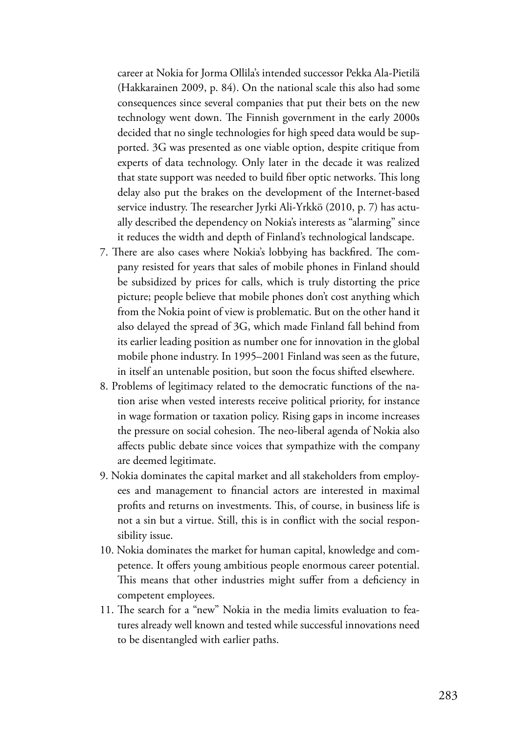career at Nokia for Jorma Ollila's intended successor Pekka Ala-Pietilä (Hakkarainen 2009, p. 84). On the national scale this also had some consequences since several companies that put their bets on the new technology went down. The Finnish government in the early 2000s decided that no single technologies for high speed data would be supported. 3G was presented as one viable option, despite critique from experts of data technology. Only later in the decade it was realized that state support was needed to build fiber optic networks. This long delay also put the brakes on the development of the Internet-based service industry. The researcher Jyrki Ali-Yrkkö (2010, p. 7) has actually described the dependency on Nokia's interests as "alarming" since it reduces the width and depth of Finland's technological landscape.

- 7. There are also cases where Nokia's lobbying has backfired. The company resisted for years that sales of mobile phones in Finland should be subsidized by prices for calls, which is truly distorting the price picture; people believe that mobile phones don't cost anything which from the Nokia point of view is problematic. But on the other hand it also delayed the spread of 3G, which made Finland fall behind from its earlier leading position as number one for innovation in the global mobile phone industry. In 1995–2001 Finland was seen as the future, in itself an untenable position, but soon the focus shifted elsewhere.
- 8. Problems of legitimacy related to the democratic functions of the nation arise when vested interests receive political priority, for instance in wage formation or taxation policy. Rising gaps in income increases the pressure on social cohesion. The neo-liberal agenda of Nokia also affects public debate since voices that sympathize with the company are deemed legitimate.
- 9. Nokia dominates the capital market and all stakeholders from employees and management to financial actors are interested in maximal profits and returns on investments. This, of course, in business life is not a sin but a virtue. Still, this is in conflict with the social responsibility issue.
- 10. Nokia dominates the market for human capital, knowledge and competence. It offers young ambitious people enormous career potential. This means that other industries might suffer from a deficiency in competent employees.
- 11. The search for a "new" Nokia in the media limits evaluation to features already well known and tested while successful innovations need to be disentangled with earlier paths.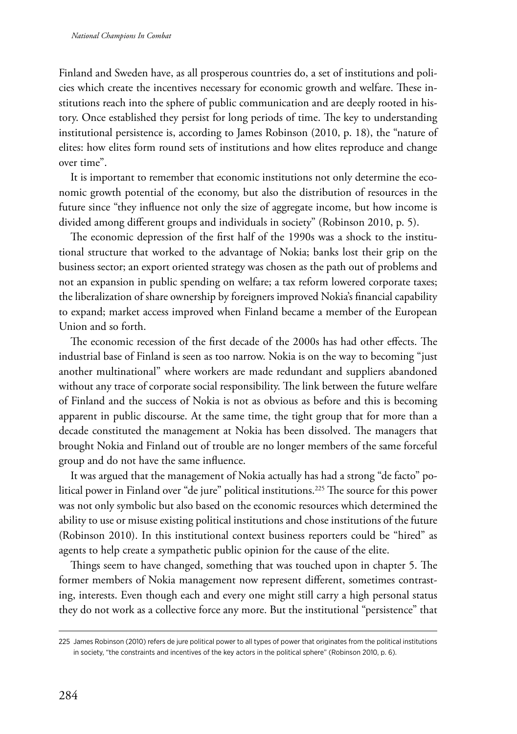Finland and Sweden have, as all prosperous countries do, a set of institutions and policies which create the incentives necessary for economic growth and welfare. These institutions reach into the sphere of public communication and are deeply rooted in history. Once established they persist for long periods of time. The key to understanding institutional persistence is, according to James Robinson (2010, p. 18), the "nature of elites: how elites form round sets of institutions and how elites reproduce and change over time".

It is important to remember that economic institutions not only determine the economic growth potential of the economy, but also the distribution of resources in the future since "they influence not only the size of aggregate income, but how income is divided among different groups and individuals in society" (Robinson 2010, p. 5).

The economic depression of the first half of the 1990s was a shock to the institutional structure that worked to the advantage of Nokia; banks lost their grip on the business sector; an export oriented strategy was chosen as the path out of problems and not an expansion in public spending on welfare; a tax reform lowered corporate taxes; the liberalization of share ownership by foreigners improved Nokia's financial capability to expand; market access improved when Finland became a member of the European Union and so forth.

The economic recession of the first decade of the 2000s has had other effects. The industrial base of Finland is seen as too narrow. Nokia is on the way to becoming "just another multinational" where workers are made redundant and suppliers abandoned without any trace of corporate social responsibility. The link between the future welfare of Finland and the success of Nokia is not as obvious as before and this is becoming apparent in public discourse. At the same time, the tight group that for more than a decade constituted the management at Nokia has been dissolved. The managers that brought Nokia and Finland out of trouble are no longer members of the same forceful group and do not have the same influence.

It was argued that the management of Nokia actually has had a strong "de facto" political power in Finland over "de jure" political institutions.225 The source for this power was not only symbolic but also based on the economic resources which determined the ability to use or misuse existing political institutions and chose institutions of the future (Robinson 2010). In this institutional context business reporters could be "hired" as agents to help create a sympathetic public opinion for the cause of the elite.

Things seem to have changed, something that was touched upon in chapter 5. The former members of Nokia management now represent different, sometimes contrasting, interests. Even though each and every one might still carry a high personal status they do not work as a collective force any more. But the institutional "persistence" that

<sup>225</sup> James Robinson (2010) refers de jure political power to all types of power that originates from the political institutions in society, "the constraints and incentives of the key actors in the political sphere" (Robinson 2010, p. 6).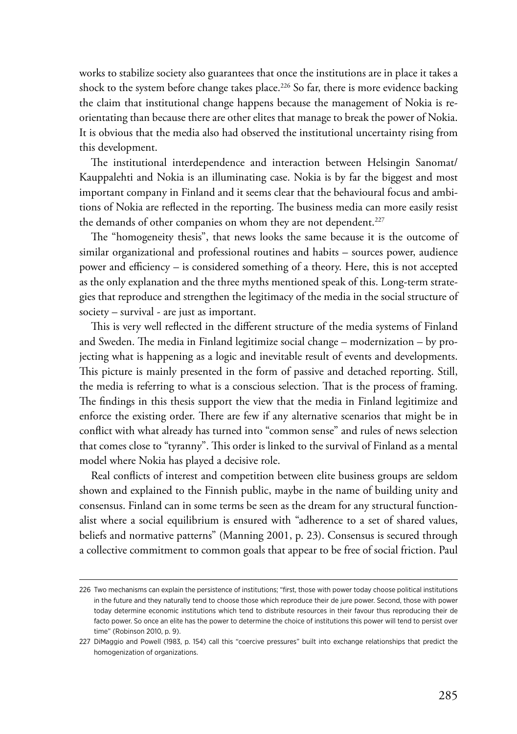works to stabilize society also guarantees that once the institutions are in place it takes a shock to the system before change takes place.<sup>226</sup> So far, there is more evidence backing the claim that institutional change happens because the management of Nokia is reorientating than because there are other elites that manage to break the power of Nokia. It is obvious that the media also had observed the institutional uncertainty rising from this development.

The institutional interdependence and interaction between Helsingin Sanomat/ Kauppalehti and Nokia is an illuminating case. Nokia is by far the biggest and most important company in Finland and it seems clear that the behavioural focus and ambitions of Nokia are reflected in the reporting. The business media can more easily resist the demands of other companies on whom they are not dependent.<sup>227</sup>

The "homogeneity thesis", that news looks the same because it is the outcome of similar organizational and professional routines and habits – sources power, audience power and efficiency – is considered something of a theory. Here, this is not accepted as the only explanation and the three myths mentioned speak of this. Long-term strategies that reproduce and strengthen the legitimacy of the media in the social structure of society – survival - are just as important.

This is very well reflected in the different structure of the media systems of Finland and Sweden. The media in Finland legitimize social change – modernization – by projecting what is happening as a logic and inevitable result of events and developments. This picture is mainly presented in the form of passive and detached reporting. Still, the media is referring to what is a conscious selection. That is the process of framing. The findings in this thesis support the view that the media in Finland legitimize and enforce the existing order. There are few if any alternative scenarios that might be in conflict with what already has turned into "common sense" and rules of news selection that comes close to "tyranny". This order is linked to the survival of Finland as a mental model where Nokia has played a decisive role.

Real conflicts of interest and competition between elite business groups are seldom shown and explained to the Finnish public, maybe in the name of building unity and consensus. Finland can in some terms be seen as the dream for any structural functionalist where a social equilibrium is ensured with "adherence to a set of shared values, beliefs and normative patterns" (Manning 2001, p. 23). Consensus is secured through a collective commitment to common goals that appear to be free of social friction. Paul

<sup>226</sup> Two mechanisms can explain the persistence of institutions; "first, those with power today choose political institutions in the future and they naturally tend to choose those which reproduce their de jure power. Second, those with power today determine economic institutions which tend to distribute resources in their favour thus reproducing their de facto power. So once an elite has the power to determine the choice of institutions this power will tend to persist over time" (Robinson 2010, p. 9).

<sup>227</sup> DiMaggio and Powell (1983, p. 154) call this "coercive pressures" built into exchange relationships that predict the homogenization of organizations.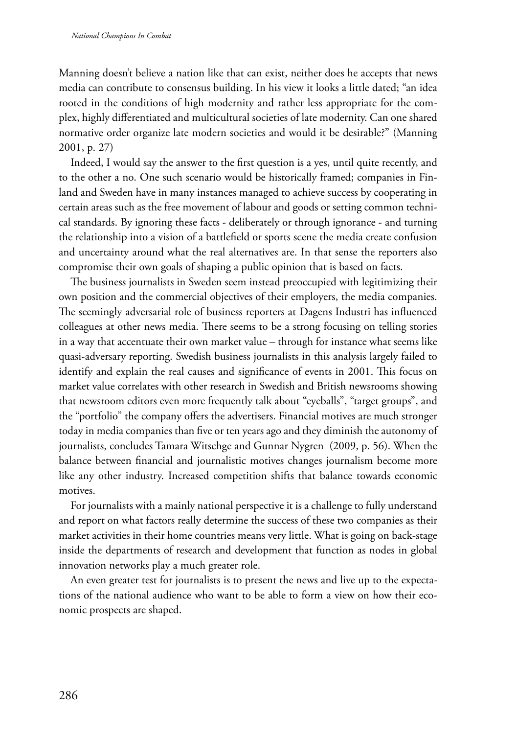Manning doesn't believe a nation like that can exist, neither does he accepts that news media can contribute to consensus building. In his view it looks a little dated; "an idea rooted in the conditions of high modernity and rather less appropriate for the complex, highly differentiated and multicultural societies of late modernity. Can one shared normative order organize late modern societies and would it be desirable?" (Manning 2001, p. 27)

Indeed, I would say the answer to the first question is a yes, until quite recently, and to the other a no. One such scenario would be historically framed; companies in Finland and Sweden have in many instances managed to achieve success by cooperating in certain areas such as the free movement of labour and goods or setting common technical standards. By ignoring these facts - deliberately or through ignorance - and turning the relationship into a vision of a battlefield or sports scene the media create confusion and uncertainty around what the real alternatives are. In that sense the reporters also compromise their own goals of shaping a public opinion that is based on facts.

The business journalists in Sweden seem instead preoccupied with legitimizing their own position and the commercial objectives of their employers, the media companies. The seemingly adversarial role of business reporters at Dagens Industri has influenced colleagues at other news media. There seems to be a strong focusing on telling stories in a way that accentuate their own market value – through for instance what seems like quasi-adversary reporting. Swedish business journalists in this analysis largely failed to identify and explain the real causes and significance of events in 2001. This focus on market value correlates with other research in Swedish and British newsrooms showing that newsroom editors even more frequently talk about "eyeballs", "target groups", and the "portfolio" the company offers the advertisers. Financial motives are much stronger today in media companies than five or ten years ago and they diminish the autonomy of journalists, concludes Tamara Witschge and Gunnar Nygren (2009, p. 56). When the balance between financial and journalistic motives changes journalism become more like any other industry. Increased competition shifts that balance towards economic motives.

For journalists with a mainly national perspective it is a challenge to fully understand and report on what factors really determine the success of these two companies as their market activities in their home countries means very little. What is going on back-stage inside the departments of research and development that function as nodes in global innovation networks play a much greater role.

An even greater test for journalists is to present the news and live up to the expectations of the national audience who want to be able to form a view on how their economic prospects are shaped.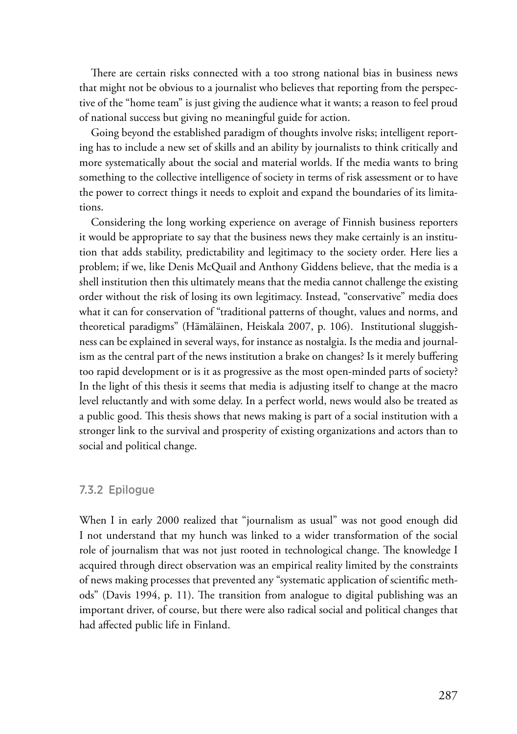There are certain risks connected with a too strong national bias in business news that might not be obvious to a journalist who believes that reporting from the perspective of the "home team" is just giving the audience what it wants; a reason to feel proud of national success but giving no meaningful guide for action.

Going beyond the established paradigm of thoughts involve risks; intelligent reporting has to include a new set of skills and an ability by journalists to think critically and more systematically about the social and material worlds. If the media wants to bring something to the collective intelligence of society in terms of risk assessment or to have the power to correct things it needs to exploit and expand the boundaries of its limitations.

Considering the long working experience on average of Finnish business reporters it would be appropriate to say that the business news they make certainly is an institution that adds stability, predictability and legitimacy to the society order. Here lies a problem; if we, like Denis McQuail and Anthony Giddens believe, that the media is a shell institution then this ultimately means that the media cannot challenge the existing order without the risk of losing its own legitimacy. Instead, "conservative" media does what it can for conservation of "traditional patterns of thought, values and norms, and theoretical paradigms" (Hämäläinen, Heiskala 2007, p. 106). Institutional sluggishness can be explained in several ways, for instance as nostalgia. Is the media and journalism as the central part of the news institution a brake on changes? Is it merely buffering too rapid development or is it as progressive as the most open-minded parts of society? In the light of this thesis it seems that media is adjusting itself to change at the macro level reluctantly and with some delay. In a perfect world, news would also be treated as a public good. This thesis shows that news making is part of a social institution with a stronger link to the survival and prosperity of existing organizations and actors than to social and political change.

#### 7.3.2 Epilogue

When I in early 2000 realized that "journalism as usual" was not good enough did I not understand that my hunch was linked to a wider transformation of the social role of journalism that was not just rooted in technological change. The knowledge I acquired through direct observation was an empirical reality limited by the constraints of news making processes that prevented any "systematic application of scientific methods" (Davis 1994, p. 11). The transition from analogue to digital publishing was an important driver, of course, but there were also radical social and political changes that had affected public life in Finland.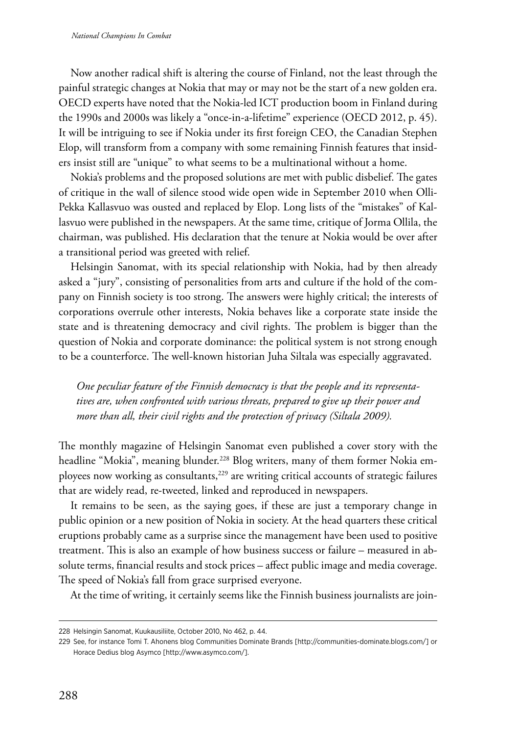Now another radical shift is altering the course of Finland, not the least through the painful strategic changes at Nokia that may or may not be the start of a new golden era. OECD experts have noted that the Nokia-led ICT production boom in Finland during the 1990s and 2000s was likely a "once-in-a-lifetime" experience (OECD 2012, p. 45). It will be intriguing to see if Nokia under its first foreign CEO, the Canadian Stephen Elop, will transform from a company with some remaining Finnish features that insiders insist still are "unique" to what seems to be a multinational without a home.

Nokia's problems and the proposed solutions are met with public disbelief. The gates of critique in the wall of silence stood wide open wide in September 2010 when Olli-Pekka Kallasvuo was ousted and replaced by Elop. Long lists of the "mistakes" of Kallasvuo were published in the newspapers. At the same time, critique of Jorma Ollila, the chairman, was published. His declaration that the tenure at Nokia would be over after a transitional period was greeted with relief.

Helsingin Sanomat, with its special relationship with Nokia, had by then already asked a "jury", consisting of personalities from arts and culture if the hold of the company on Finnish society is too strong. The answers were highly critical; the interests of corporations overrule other interests, Nokia behaves like a corporate state inside the state and is threatening democracy and civil rights. The problem is bigger than the question of Nokia and corporate dominance: the political system is not strong enough to be a counterforce. The well-known historian Juha Siltala was especially aggravated.

*One peculiar feature of the Finnish democracy is that the people and its representatives are, when confronted with various threats, prepared to give up their power and more than all, their civil rights and the protection of privacy (Siltala 2009).*

The monthly magazine of Helsingin Sanomat even published a cover story with the headline "Mokia", meaning blunder.<sup>228</sup> Blog writers, many of them former Nokia employees now working as consultants,<sup>229</sup> are writing critical accounts of strategic failures that are widely read, re-tweeted, linked and reproduced in newspapers.

It remains to be seen, as the saying goes, if these are just a temporary change in public opinion or a new position of Nokia in society. At the head quarters these critical eruptions probably came as a surprise since the management have been used to positive treatment. This is also an example of how business success or failure – measured in absolute terms, financial results and stock prices – affect public image and media coverage. The speed of Nokia's fall from grace surprised everyone.

At the time of writing, it certainly seems like the Finnish business journalists are join-

<sup>228</sup> Helsingin Sanomat, Kuukausiliite, October 2010, No 462, p. 44.

<sup>229</sup> See, for instance Tomi T. Ahonens blog Communities Dominate Brands [http://communities-dominate.blogs.com/] or Horace Dedius blog Asymco [http://www.asymco.com/].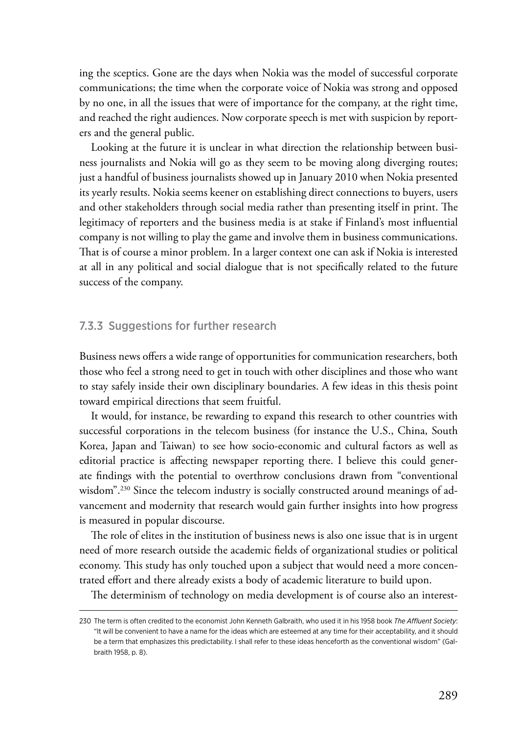ing the sceptics. Gone are the days when Nokia was the model of successful corporate communications; the time when the corporate voice of Nokia was strong and opposed by no one, in all the issues that were of importance for the company, at the right time, and reached the right audiences. Now corporate speech is met with suspicion by reporters and the general public.

Looking at the future it is unclear in what direction the relationship between business journalists and Nokia will go as they seem to be moving along diverging routes; just a handful of business journalists showed up in January 2010 when Nokia presented its yearly results. Nokia seems keener on establishing direct connections to buyers, users and other stakeholders through social media rather than presenting itself in print. The legitimacy of reporters and the business media is at stake if Finland's most influential company is not willing to play the game and involve them in business communications. That is of course a minor problem. In a larger context one can ask if Nokia is interested at all in any political and social dialogue that is not specifically related to the future success of the company.

## 7.3.3 Suggestions for further research

Business news offers a wide range of opportunities for communication researchers, both those who feel a strong need to get in touch with other disciplines and those who want to stay safely inside their own disciplinary boundaries. A few ideas in this thesis point toward empirical directions that seem fruitful.

It would, for instance, be rewarding to expand this research to other countries with successful corporations in the telecom business (for instance the U.S., China, South Korea, Japan and Taiwan) to see how socio-economic and cultural factors as well as editorial practice is affecting newspaper reporting there. I believe this could generate findings with the potential to overthrow conclusions drawn from "conventional wisdom".<sup>230</sup> Since the telecom industry is socially constructed around meanings of advancement and modernity that research would gain further insights into how progress is measured in popular discourse.

The role of elites in the institution of business news is also one issue that is in urgent need of more research outside the academic fields of organizational studies or political economy. This study has only touched upon a subject that would need a more concentrated effort and there already exists a body of academic literature to build upon.

The determinism of technology on media development is of course also an interest-

<sup>230</sup> The term is often credited to the economist John Kenneth Galbraith, who used it in his 1958 book *The Affluent Society*: "It will be convenient to have a name for the ideas which are esteemed at any time for their acceptability, and it should be a term that emphasizes this predictability. I shall refer to these ideas henceforth as the conventional wisdom" (Galbraith 1958, p. 8).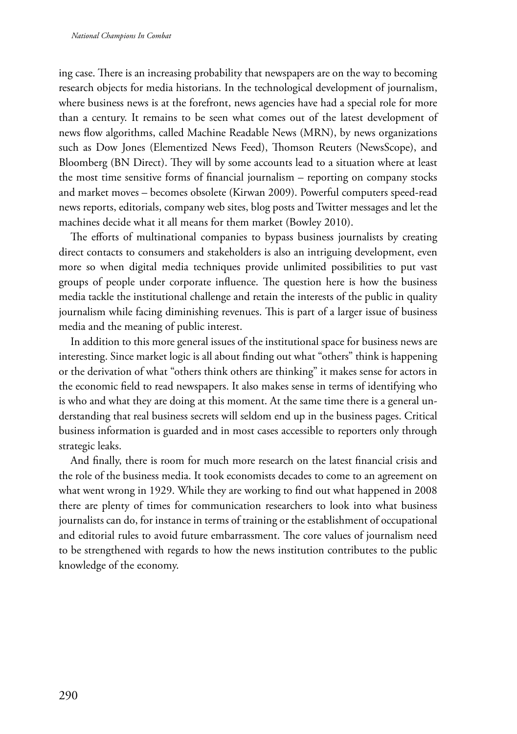ing case. There is an increasing probability that newspapers are on the way to becoming research objects for media historians. In the technological development of journalism, where business news is at the forefront, news agencies have had a special role for more than a century. It remains to be seen what comes out of the latest development of news flow algorithms, called Machine Readable News (MRN), by news organizations such as Dow Jones (Elementized News Feed), Thomson Reuters (NewsScope), and Bloomberg (BN Direct). They will by some accounts lead to a situation where at least the most time sensitive forms of financial journalism – reporting on company stocks and market moves – becomes obsolete (Kirwan 2009). Powerful computers speed-read news reports, editorials, company web sites, blog posts and Twitter messages and let the machines decide what it all means for them market (Bowley 2010).

The efforts of multinational companies to bypass business journalists by creating direct contacts to consumers and stakeholders is also an intriguing development, even more so when digital media techniques provide unlimited possibilities to put vast groups of people under corporate influence. The question here is how the business media tackle the institutional challenge and retain the interests of the public in quality journalism while facing diminishing revenues. This is part of a larger issue of business media and the meaning of public interest.

In addition to this more general issues of the institutional space for business news are interesting. Since market logic is all about finding out what "others" think is happening or the derivation of what "others think others are thinking" it makes sense for actors in the economic field to read newspapers. It also makes sense in terms of identifying who is who and what they are doing at this moment. At the same time there is a general understanding that real business secrets will seldom end up in the business pages. Critical business information is guarded and in most cases accessible to reporters only through strategic leaks.

And finally, there is room for much more research on the latest financial crisis and the role of the business media. It took economists decades to come to an agreement on what went wrong in 1929. While they are working to find out what happened in 2008 there are plenty of times for communication researchers to look into what business journalists can do, for instance in terms of training or the establishment of occupational and editorial rules to avoid future embarrassment. The core values of journalism need to be strengthened with regards to how the news institution contributes to the public knowledge of the economy.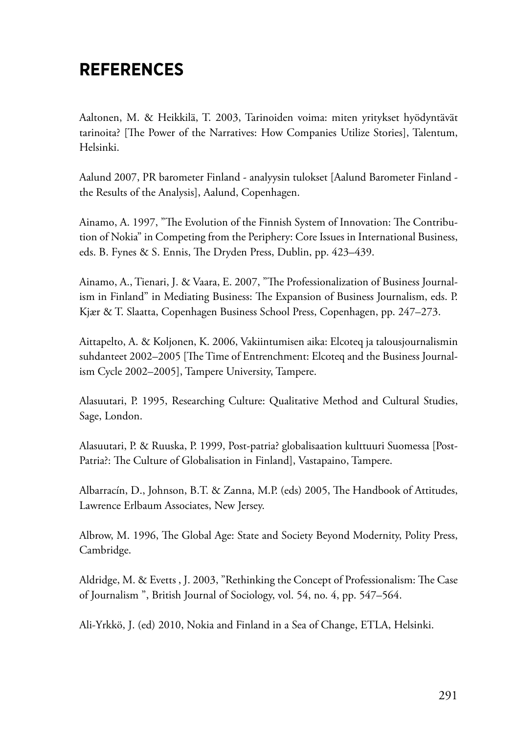## **References**

Aaltonen, M. & Heikkilä, T. 2003, Tarinoiden voima: miten yritykset hyödyntävät tarinoita? [The Power of the Narratives: How Companies Utilize Stories], Talentum, Helsinki.

Aalund 2007, PR barometer Finland - analyysin tulokset [Aalund Barometer Finland the Results of the Analysis], Aalund, Copenhagen.

Ainamo, A. 1997, "The Evolution of the Finnish System of Innovation: The Contribution of Nokia" in Competing from the Periphery: Core Issues in International Business, eds. B. Fynes & S. Ennis, The Dryden Press, Dublin, pp. 423–439.

Ainamo, A., Tienari, J. & Vaara, E. 2007, "The Professionalization of Business Journalism in Finland" in Mediating Business: The Expansion of Business Journalism, eds. P. Kjær & T. Slaatta, Copenhagen Business School Press, Copenhagen, pp. 247–273.

Aittapelto, A. & Koljonen, K. 2006, Vakiintumisen aika: Elcoteq ja talousjournalismin suhdanteet 2002–2005 [The Time of Entrenchment: Elcoteq and the Business Journalism Cycle 2002–2005], Tampere University, Tampere.

Alasuutari, P. 1995, Researching Culture: Qualitative Method and Cultural Studies, Sage, London.

Alasuutari, P. & Ruuska, P. 1999, Post-patria? globalisaation kulttuuri Suomessa [Post-Patria?: The Culture of Globalisation in Finland], Vastapaino, Tampere.

Albarracín, D., Johnson, B.T. & Zanna, M.P. (eds) 2005, The Handbook of Attitudes, Lawrence Erlbaum Associates, New Jersey.

Albrow, M. 1996, The Global Age: State and Society Beyond Modernity, Polity Press, Cambridge.

Aldridge, M. & Evetts , J. 2003, "Rethinking the Concept of Professionalism: The Case of Journalism ", British Journal of Sociology, vol. 54, no. 4, pp. 547–564.

Ali-Yrkkö, J. (ed) 2010, Nokia and Finland in a Sea of Change, ETLA, Helsinki.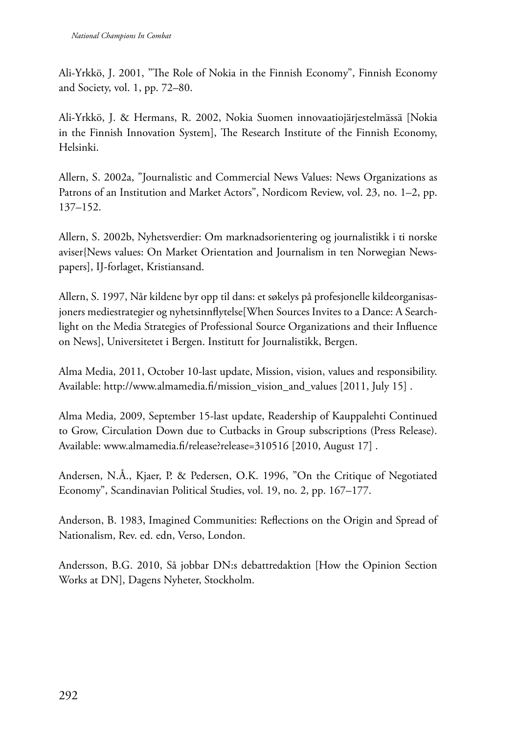Ali-Yrkkö, J. 2001, "The Role of Nokia in the Finnish Economy", Finnish Economy and Society, vol. 1, pp. 72–80.

Ali-Yrkkö, J. & Hermans, R. 2002, Nokia Suomen innovaatiojärjestelmässä [Nokia in the Finnish Innovation System], The Research Institute of the Finnish Economy, Helsinki.

Allern, S. 2002a, "Journalistic and Commercial News Values: News Organizations as Patrons of an Institution and Market Actors", Nordicom Review, vol. 23, no. 1–2, pp. 137–152.

Allern, S. 2002b, Nyhetsverdier: Om marknadsorientering og journalistikk i ti norske aviser{News values: On Market Orientation and Journalism in ten Norwegian Newspapers], IJ-forlaget, Kristiansand.

Allern, S. 1997, Når kildene byr opp til dans: et søkelys på profesjonelle kildeorganisasjoners mediestrategier og nyhetsinnflytelse[When Sources Invites to a Dance: A Searchlight on the Media Strategies of Professional Source Organizations and their Influence on News], Universitetet i Bergen. Institutt for Journalistikk, Bergen.

Alma Media, 2011, October 10-last update, Mission, vision, values and responsibility. Available: http://www.almamedia.fi/mission\_vision\_and\_values [2011, July 15] .

Alma Media, 2009, September 15-last update, Readership of Kauppalehti Continued to Grow, Circulation Down due to Cutbacks in Group subscriptions (Press Release). Available: www.almamedia.fi/release?release=310516 [2010, August 17].

Andersen, N.Å., Kjaer, P. & Pedersen, O.K. 1996, "On the Critique of Negotiated Economy", Scandinavian Political Studies, vol. 19, no. 2, pp. 167–177.

Anderson, B. 1983, Imagined Communities: Reflections on the Origin and Spread of Nationalism, Rev. ed. edn, Verso, London.

Andersson, B.G. 2010, Så jobbar DN:s debattredaktion [How the Opinion Section Works at DN], Dagens Nyheter, Stockholm.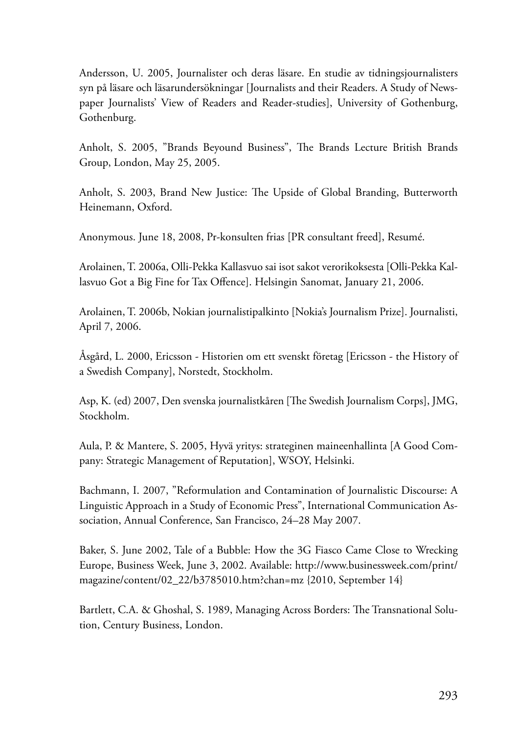Andersson, U. 2005, Journalister och deras läsare. En studie av tidningsjournalisters syn på läsare och läsarundersökningar [Journalists and their Readers. A Study of Newspaper Journalists' View of Readers and Reader-studies], University of Gothenburg, Gothenburg.

Anholt, S. 2005, "Brands Beyound Business", The Brands Lecture British Brands Group, London, May 25, 2005.

Anholt, S. 2003, Brand New Justice: The Upside of Global Branding, Butterworth Heinemann, Oxford.

Anonymous. June 18, 2008, Pr-konsulten frias [PR consultant freed], Resumé.

Arolainen, T. 2006a, Olli-Pekka Kallasvuo sai isot sakot verorikoksesta [Olli-Pekka Kallasvuo Got a Big Fine for Tax Offence]. Helsingin Sanomat, January 21, 2006.

Arolainen, T. 2006b, Nokian journalistipalkinto [Nokia's Journalism Prize]. Journalisti, April 7, 2006.

Åsgård, L. 2000, Ericsson - Historien om ett svenskt företag [Ericsson - the History of a Swedish Company], Norstedt, Stockholm.

Asp, K. (ed) 2007, Den svenska journalistkåren [The Swedish Journalism Corps], JMG, Stockholm.

Aula, P. & Mantere, S. 2005, Hyvä yritys: strateginen maineenhallinta [A Good Company: Strategic Management of Reputation], WSOY, Helsinki.

Bachmann, I. 2007, "Reformulation and Contamination of Journalistic Discourse: A Linguistic Approach in a Study of Economic Press", International Communication Association, Annual Conference, San Francisco, 24–28 May 2007.

Baker, S. June 2002, Tale of a Bubble: How the 3G Fiasco Came Close to Wrecking Europe, Business Week, June 3, 2002. Available: http://www.businessweek.com/print/ magazine/content/02\_22/b3785010.htm?chan=mz {2010, September 14}

Bartlett, C.A. & Ghoshal, S. 1989, Managing Across Borders: The Transnational Solution, Century Business, London.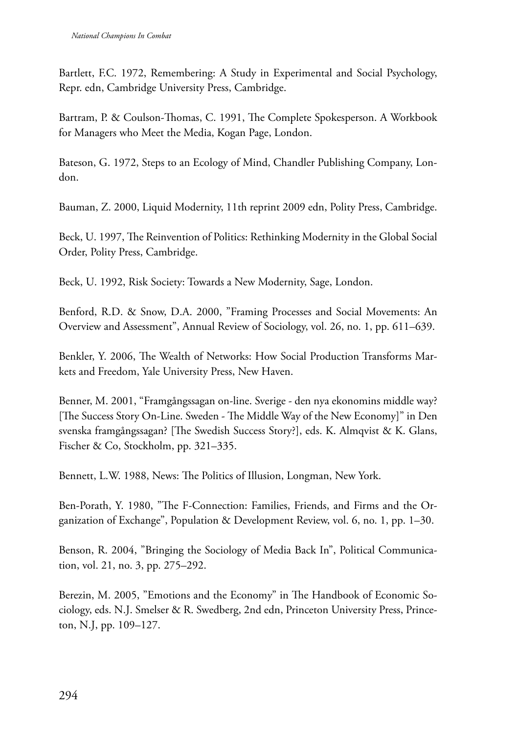Bartlett, F.C. 1972, Remembering: A Study in Experimental and Social Psychology, Repr. edn, Cambridge University Press, Cambridge.

Bartram, P. & Coulson-Thomas, C. 1991, The Complete Spokesperson. A Workbook for Managers who Meet the Media, Kogan Page, London.

Bateson, G. 1972, Steps to an Ecology of Mind, Chandler Publishing Company, London.

Bauman, Z. 2000, Liquid Modernity, 11th reprint 2009 edn, Polity Press, Cambridge.

Beck, U. 1997, The Reinvention of Politics: Rethinking Modernity in the Global Social Order, Polity Press, Cambridge.

Beck, U. 1992, Risk Society: Towards a New Modernity, Sage, London.

Benford, R.D. & Snow, D.A. 2000, "Framing Processes and Social Movements: An Overview and Assessment", Annual Review of Sociology, vol. 26, no. 1, pp. 611–639.

Benkler, Y. 2006, The Wealth of Networks: How Social Production Transforms Markets and Freedom, Yale University Press, New Haven.

Benner, M. 2001, "Framgångssagan on-line. Sverige - den nya ekonomins middle way? [The Success Story On-Line. Sweden - The Middle Way of the New Economy]" in Den svenska framgångssagan? [The Swedish Success Story?], eds. K. Almqvist & K. Glans, Fischer & Co, Stockholm, pp. 321–335.

Bennett, L.W. 1988, News: The Politics of Illusion, Longman, New York.

Ben-Porath, Y. 1980, "The F-Connection: Families, Friends, and Firms and the Organization of Exchange", Population & Development Review, vol. 6, no. 1, pp. 1–30.

Benson, R. 2004, "Bringing the Sociology of Media Back In", Political Communication, vol. 21, no. 3, pp. 275–292.

Berezin, M. 2005, "Emotions and the Economy" in The Handbook of Economic Sociology, eds. N.J. Smelser & R. Swedberg, 2nd edn, Princeton University Press, Princeton, N.J, pp. 109–127.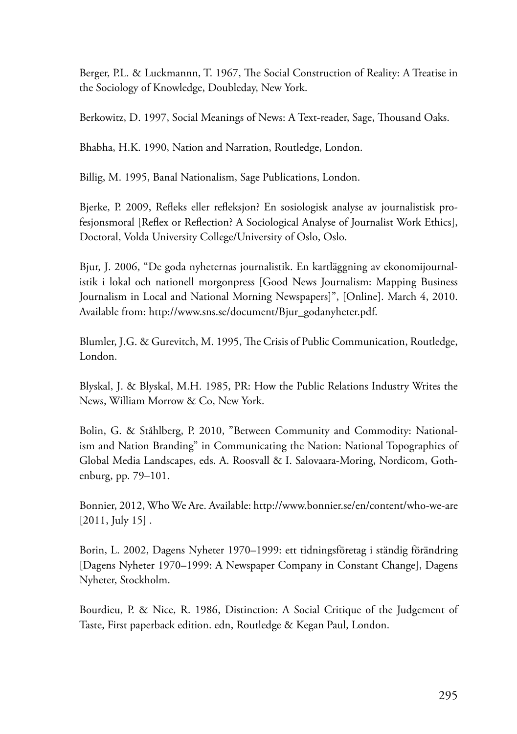Berger, P.L. & Luckmannn, T. 1967, The Social Construction of Reality: A Treatise in the Sociology of Knowledge, Doubleday, New York.

Berkowitz, D. 1997, Social Meanings of News: A Text-reader, Sage, Thousand Oaks.

Bhabha, H.K. 1990, Nation and Narration, Routledge, London.

Billig, M. 1995, Banal Nationalism, Sage Publications, London.

Bjerke, P. 2009, Refleks eller refleksjon? En sosiologisk analyse av journalistisk profesjonsmoral [Reflex or Reflection? A Sociological Analyse of Journalist Work Ethics], Doctoral, Volda University College/University of Oslo, Oslo.

Bjur, J. 2006, "De goda nyheternas journalistik. En kartläggning av ekonomijournalistik i lokal och nationell morgonpress [Good News Journalism: Mapping Business Journalism in Local and National Morning Newspapers]", [Online]. March 4, 2010. Available from: http://www.sns.se/document/Bjur\_godanyheter.pdf.

Blumler, J.G. & Gurevitch, M. 1995, The Crisis of Public Communication, Routledge, London.

Blyskal, J. & Blyskal, M.H. 1985, PR: How the Public Relations Industry Writes the News, William Morrow & Co, New York.

Bolin, G. & Ståhlberg, P. 2010, "Between Community and Commodity: Nationalism and Nation Branding" in Communicating the Nation: National Topographies of Global Media Landscapes, eds. A. Roosvall & I. Salovaara-Moring, Nordicom, Gothenburg, pp. 79–101.

Bonnier, 2012, Who We Are. Available: http://www.bonnier.se/en/content/who-we-are [2011, July 15].

Borin, L. 2002, Dagens Nyheter 1970–1999: ett tidningsföretag i ständig förändring [Dagens Nyheter 1970–1999: A Newspaper Company in Constant Change], Dagens Nyheter, Stockholm.

Bourdieu, P. & Nice, R. 1986, Distinction: A Social Critique of the Judgement of Taste, First paperback edition. edn, Routledge & Kegan Paul, London.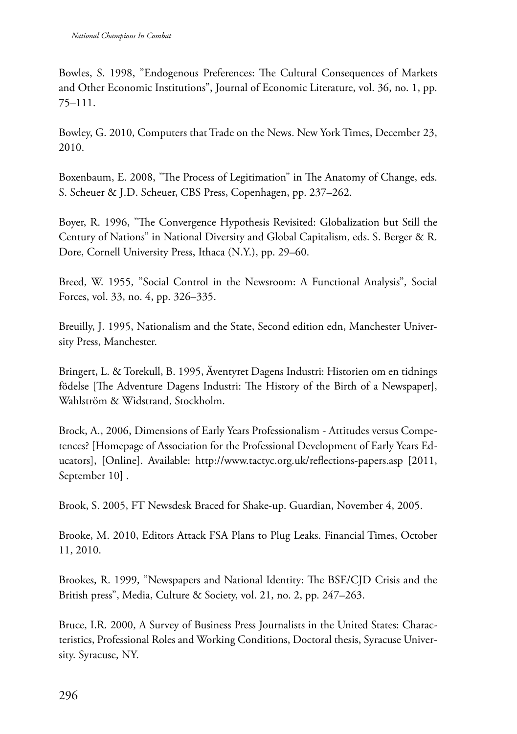Bowles, S. 1998, "Endogenous Preferences: The Cultural Consequences of Markets and Other Economic Institutions", Journal of Economic Literature, vol. 36, no. 1, pp. 75–111.

Bowley, G. 2010, Computers that Trade on the News. New York Times, December 23, 2010.

Boxenbaum, E. 2008, "The Process of Legitimation" in The Anatomy of Change, eds. S. Scheuer & J.D. Scheuer, CBS Press, Copenhagen, pp. 237–262.

Boyer, R. 1996, "The Convergence Hypothesis Revisited: Globalization but Still the Century of Nations" in National Diversity and Global Capitalism, eds. S. Berger & R. Dore, Cornell University Press, Ithaca (N.Y.), pp. 29–60.

Breed, W. 1955, "Social Control in the Newsroom: A Functional Analysis", Social Forces, vol. 33, no. 4, pp. 326–335.

Breuilly, J. 1995, Nationalism and the State, Second edition edn, Manchester University Press, Manchester.

Bringert, L. & Torekull, B. 1995, Äventyret Dagens Industri: Historien om en tidnings födelse [The Adventure Dagens Industri: The History of the Birth of a Newspaper], Wahlström & Widstrand, Stockholm.

Brock, A., 2006, Dimensions of Early Years Professionalism - Attitudes versus Competences? [Homepage of Association for the Professional Development of Early Years Educators], [Online]. Available: http://www.tactyc.org.uk/reflections-papers.asp [2011, September 10] .

Brook, S. 2005, FT Newsdesk Braced for Shake-up. Guardian, November 4, 2005.

Brooke, M. 2010, Editors Attack FSA Plans to Plug Leaks. Financial Times, October 11, 2010.

Brookes, R. 1999, "Newspapers and National Identity: The BSE/CJD Crisis and the British press", Media, Culture & Society, vol. 21, no. 2, pp. 247–263.

Bruce, I.R. 2000, A Survey of Business Press Journalists in the United States: Characteristics, Professional Roles and Working Conditions, Doctoral thesis, Syracuse University. Syracuse, NY.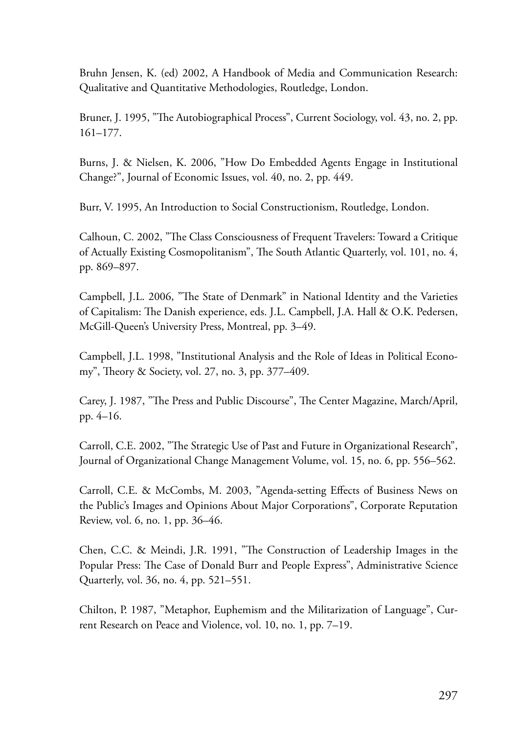Bruhn Jensen, K. (ed) 2002, A Handbook of Media and Communication Research: Qualitative and Quantitative Methodologies, Routledge, London.

Bruner, J. 1995, "The Autobiographical Process", Current Sociology, vol. 43, no. 2, pp. 161–177.

Burns, J. & Nielsen, K. 2006, "How Do Embedded Agents Engage in Institutional Change?", Journal of Economic Issues, vol. 40, no. 2, pp. 449.

Burr, V. 1995, An Introduction to Social Constructionism, Routledge, London.

Calhoun, C. 2002, "The Class Consciousness of Frequent Travelers: Toward a Critique of Actually Existing Cosmopolitanism", The South Atlantic Quarterly, vol. 101, no. 4, pp. 869–897.

Campbell, J.L. 2006, "The State of Denmark" in National Identity and the Varieties of Capitalism: The Danish experience, eds. J.L. Campbell, J.A. Hall & O.K. Pedersen, McGill-Queen's University Press, Montreal, pp. 3–49.

Campbell, J.L. 1998, "Institutional Analysis and the Role of Ideas in Political Economy", Theory & Society, vol. 27, no. 3, pp. 377–409.

Carey, J. 1987, "The Press and Public Discourse", The Center Magazine, March/April, pp. 4–16.

Carroll, C.E. 2002, "The Strategic Use of Past and Future in Organizational Research", Journal of Organizational Change Management Volume, vol. 15, no. 6, pp. 556–562.

Carroll, C.E. & McCombs, M. 2003, "Agenda-setting Effects of Business News on the Public's Images and Opinions About Major Corporations", Corporate Reputation Review, vol. 6, no. 1, pp. 36–46.

Chen, C.C. & Meindi, J.R. 1991, "The Construction of Leadership Images in the Popular Press: The Case of Donald Burr and People Express", Administrative Science Quarterly, vol. 36, no. 4, pp. 521–551.

Chilton, P. 1987, "Metaphor, Euphemism and the Militarization of Language", Current Research on Peace and Violence, vol. 10, no. 1, pp. 7–19.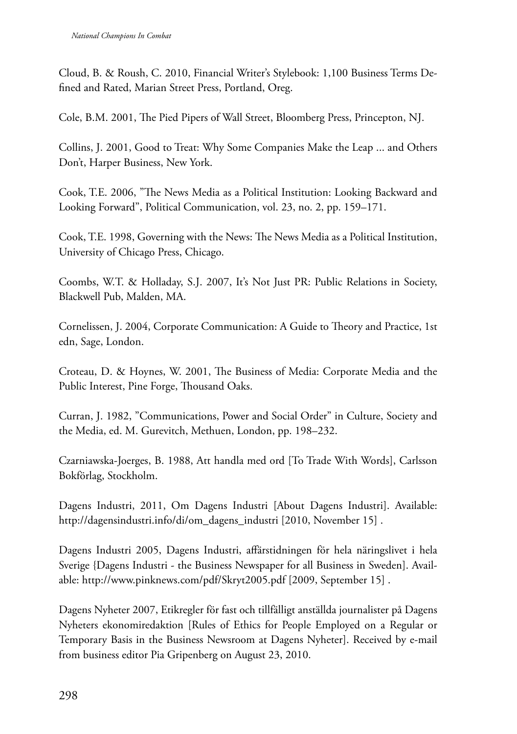Cloud, B. & Roush, C. 2010, Financial Writer's Stylebook: 1,100 Business Terms Defined and Rated, Marian Street Press, Portland, Oreg.

Cole, B.M. 2001, The Pied Pipers of Wall Street, Bloomberg Press, Princepton, NJ.

Collins, J. 2001, Good to Treat: Why Some Companies Make the Leap ... and Others Don't, Harper Business, New York.

Cook, T.E. 2006, "The News Media as a Political Institution: Looking Backward and Looking Forward", Political Communication, vol. 23, no. 2, pp. 159–171.

Cook, T.E. 1998, Governing with the News: The News Media as a Political Institution, University of Chicago Press, Chicago.

Coombs, W.T. & Holladay, S.J. 2007, It's Not Just PR: Public Relations in Society, Blackwell Pub, Malden, MA.

Cornelissen, J. 2004, Corporate Communication: A Guide to Theory and Practice, 1st edn, Sage, London.

Croteau, D. & Hoynes, W. 2001, The Business of Media: Corporate Media and the Public Interest, Pine Forge, Thousand Oaks.

Curran, J. 1982, "Communications, Power and Social Order" in Culture, Society and the Media, ed. M. Gurevitch, Methuen, London, pp. 198–232.

Czarniawska-Joerges, B. 1988, Att handla med ord [To Trade With Words], Carlsson Bokförlag, Stockholm.

Dagens Industri, 2011, Om Dagens Industri [About Dagens Industri]. Available: http://dagensindustri.info/di/om\_dagens\_industri [2010, November 15] .

Dagens Industri 2005, Dagens Industri, affärstidningen för hela näringslivet i hela Sverige {Dagens Industri - the Business Newspaper for all Business in Sweden]. Available: http://www.pinknews.com/pdf/Skryt2005.pdf [2009, September 15] .

Dagens Nyheter 2007, Etikregler för fast och tillfälligt anställda journalister på Dagens Nyheters ekonomiredaktion [Rules of Ethics for People Employed on a Regular or Temporary Basis in the Business Newsroom at Dagens Nyheter]. Received by e-mail from business editor Pia Gripenberg on August 23, 2010.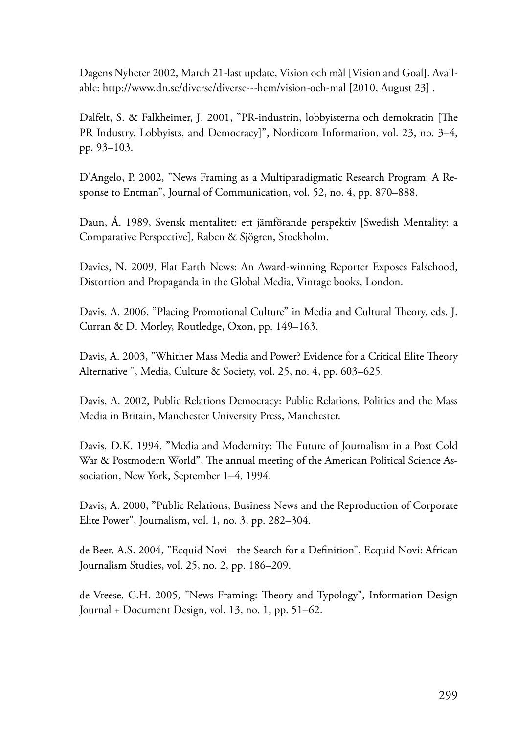Dagens Nyheter 2002, March 21-last update, Vision och mål [Vision and Goal]. Available: http://www.dn.se/diverse/diverse---hem/vision-och-mal [2010, August 23] .

Dalfelt, S. & Falkheimer, J. 2001, "PR-industrin, lobbyisterna och demokratin [The PR Industry, Lobbyists, and Democracy]", Nordicom Information, vol. 23, no. 3–4, pp. 93–103.

D'Angelo, P. 2002, "News Framing as a Multiparadigmatic Research Program: A Response to Entman", Journal of Communication, vol. 52, no. 4, pp. 870–888.

Daun, Å. 1989, Svensk mentalitet: ett jämförande perspektiv [Swedish Mentality: a Comparative Perspective], Raben & Sjögren, Stockholm.

Davies, N. 2009, Flat Earth News: An Award-winning Reporter Exposes Falsehood, Distortion and Propaganda in the Global Media, Vintage books, London.

Davis, A. 2006, "Placing Promotional Culture" in Media and Cultural Theory, eds. J. Curran & D. Morley, Routledge, Oxon, pp. 149–163.

Davis, A. 2003, "Whither Mass Media and Power? Evidence for a Critical Elite Theory Alternative ", Media, Culture & Society, vol. 25, no. 4, pp. 603–625.

Davis, A. 2002, Public Relations Democracy: Public Relations, Politics and the Mass Media in Britain, Manchester University Press, Manchester.

Davis, D.K. 1994, "Media and Modernity: The Future of Journalism in a Post Cold War & Postmodern World", The annual meeting of the American Political Science Association, New York, September 1–4, 1994.

Davis, A. 2000, "Public Relations, Business News and the Reproduction of Corporate Elite Power", Journalism, vol. 1, no. 3, pp. 282–304.

de Beer, A.S. 2004, "Ecquid Novi - the Search for a Definition", Ecquid Novi: African Journalism Studies, vol. 25, no. 2, pp. 186–209.

de Vreese, C.H. 2005, "News Framing: Theory and Typology", Information Design Journal + Document Design, vol. 13, no. 1, pp. 51–62.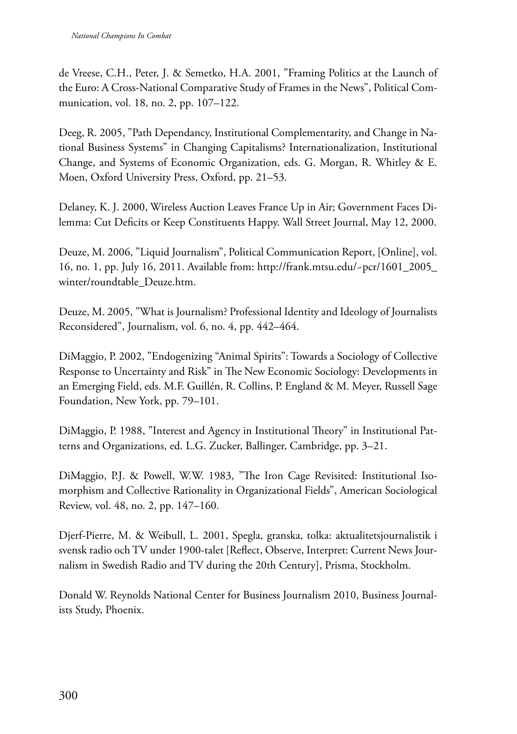de Vreese, C.H., Peter, J. & Semetko, H.A. 2001, "Framing Politics at the Launch of the Euro: A Cross-National Comparative Study of Frames in the News", Political Communication, vol. 18, no. 2, pp. 107–122.

Deeg, R. 2005, "Path Dependancy, Institutional Complementarity, and Change in National Business Systems" in Changing Capitalisms? Internationalization, Institutional Change, and Systems of Economic Organization, eds. G. Morgan, R. Whitley & E. Moen, Oxford University Press, Oxford, pp. 21–53.

Delaney, K. J. 2000, Wireless Auction Leaves France Up in Air; Government Faces Dilemma: Cut Deficits or Keep Constituents Happy. Wall Street Journal, May 12, 2000.

Deuze, M. 2006, "Liquid Journalism", Political Communication Report, [Online], vol. 16, no. 1, pp. July 16, 2011. Available from: http://frank.mtsu.edu/~pcr/1601\_2005\_ winter/roundtable\_Deuze.htm.

Deuze, M. 2005, "What is Journalism? Professional Identity and Ideology of Journalists Reconsidered", Journalism, vol. 6, no. 4, pp. 442–464.

DiMaggio, P. 2002, "Endogenizing "Animal Spirits": Towards a Sociology of Collective Response to Uncertainty and Risk" in The New Economic Sociology: Developments in an Emerging Field, eds. M.F. Guillén, R. Collins, P. England & M. Meyer, Russell Sage Foundation, New York, pp. 79–101.

DiMaggio, P. 1988, "Interest and Agency in Institutional Theory" in Institutional Patterns and Organizations, ed. L.G. Zucker, Ballinger, Cambridge, pp. 3–21.

DiMaggio, P.J. & Powell, W.W. 1983, "The Iron Cage Revisited: Institutional Isomorphism and Collective Rationality in Organizational Fields", American Sociological Review, vol. 48, no. 2, pp. 147–160.

Djerf-Pierre, M. & Weibull, L. 2001, Spegla, granska, tolka: aktualitetsjournalistik i svensk radio och TV under 1900-talet [Reflect, Observe, Interpret: Current News Journalism in Swedish Radio and TV during the 20th Century], Prisma, Stockholm.

Donald W. Reynolds National Center for Business Journalism 2010, Business Journalists Study, Phoenix.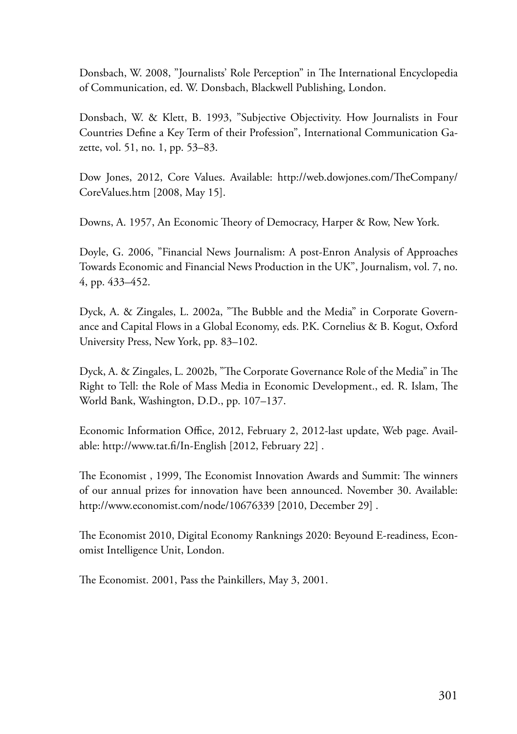Donsbach, W. 2008, "Journalists' Role Perception" in The International Encyclopedia of Communication, ed. W. Donsbach, Blackwell Publishing, London.

Donsbach, W. & Klett, B. 1993, "Subjective Objectivity. How Journalists in Four Countries Define a Key Term of their Profession", International Communication Gazette, vol. 51, no. 1, pp. 53–83.

Dow Jones, 2012, Core Values. Available: http://web.dowjones.com/TheCompany/ CoreValues.htm [2008, May 15].

Downs, A. 1957, An Economic Theory of Democracy, Harper & Row, New York.

Doyle, G. 2006, "Financial News Journalism: A post-Enron Analysis of Approaches Towards Economic and Financial News Production in the UK", Journalism, vol. 7, no. 4, pp. 433–452.

Dyck, A. & Zingales, L. 2002a, "The Bubble and the Media" in Corporate Governance and Capital Flows in a Global Economy, eds. P.K. Cornelius & B. Kogut, Oxford University Press, New York, pp. 83–102.

Dyck, A. & Zingales, L. 2002b, "The Corporate Governance Role of the Media" in The Right to Tell: the Role of Mass Media in Economic Development., ed. R. Islam, The World Bank, Washington, D.D., pp. 107–137.

Economic Information Office, 2012, February 2, 2012-last update, Web page. Available: http://www.tat.fi/In-English [2012, February 22] .

The Economist , 1999, The Economist Innovation Awards and Summit: The winners of our annual prizes for innovation have been announced. November 30. Available: http://www.economist.com/node/10676339 [2010, December 29] .

The Economist 2010, Digital Economy Ranknings 2020: Beyound E-readiness, Economist Intelligence Unit, London.

The Economist. 2001, Pass the Painkillers, May 3, 2001.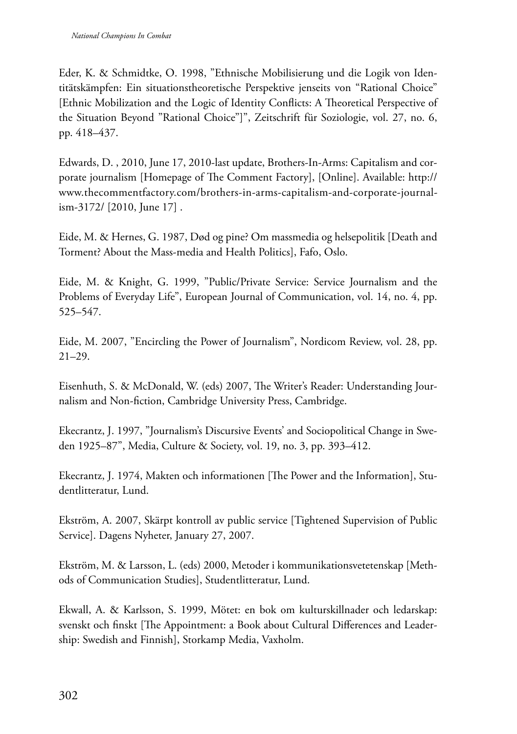Eder, K. & Schmidtke, O. 1998, "Ethnische Mobilisierung und die Logik von Identitätskämpfen: Ein situationstheoretische Perspektive jenseits von "Rational Choice" [Ethnic Mobilization and the Logic of Identity Conflicts: A Theoretical Perspective of the Situation Beyond "Rational Choice"]", Zeitschrift für Soziologie, vol. 27, no. 6, pp. 418–437.

Edwards, D. , 2010, June 17, 2010-last update, Brothers-In-Arms: Capitalism and corporate journalism [Homepage of The Comment Factory], [Online]. Available: http:// www.thecommentfactory.com/brothers-in-arms-capitalism-and-corporate-journalism-3172/ [2010, June 17] .

Eide, M. & Hernes, G. 1987, Død og pine? Om massmedia og helsepolitik [Death and Torment? About the Mass-media and Health Politics], Fafo, Oslo.

Eide, M. & Knight, G. 1999, "Public/Private Service: Service Journalism and the Problems of Everyday Life", European Journal of Communication, vol. 14, no. 4, pp. 525–547.

Eide, M. 2007, "Encircling the Power of Journalism", Nordicom Review, vol. 28, pp. 21–29.

Eisenhuth, S. & McDonald, W. (eds) 2007, The Writer's Reader: Understanding Journalism and Non-fiction, Cambridge University Press, Cambridge.

Ekecrantz, J. 1997, "Journalism's Discursive Events' and Sociopolitical Change in Sweden 1925–87", Media, Culture & Society, vol. 19, no. 3, pp. 393–412.

Ekecrantz, J. 1974, Makten och informationen [The Power and the Information], Studentlitteratur, Lund.

Ekström, A. 2007, Skärpt kontroll av public service [Tightened Supervision of Public Service]. Dagens Nyheter, January 27, 2007.

Ekström, M. & Larsson, L. (eds) 2000, Metoder i kommunikationsvetetenskap [Methods of Communication Studies], Studentlitteratur, Lund.

Ekwall, A. & Karlsson, S. 1999, Mötet: en bok om kulturskillnader och ledarskap: svenskt och finskt [The Appointment: a Book about Cultural Differences and Leadership: Swedish and Finnish], Storkamp Media, Vaxholm.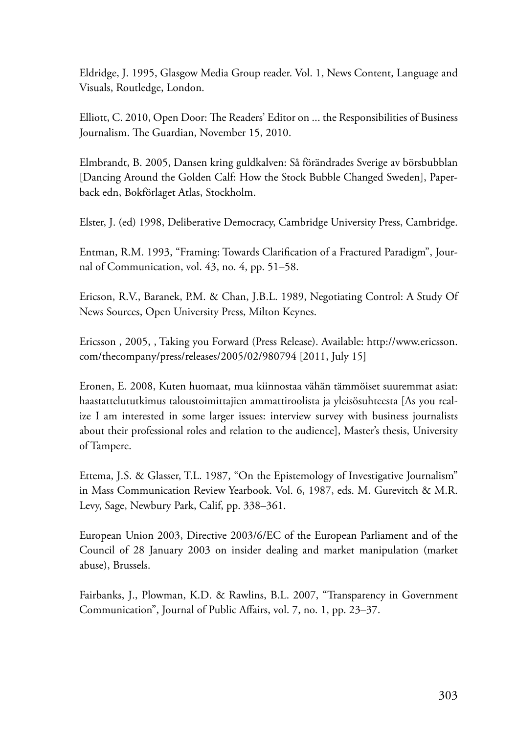Eldridge, J. 1995, Glasgow Media Group reader. Vol. 1, News Content, Language and Visuals, Routledge, London.

Elliott, C. 2010, Open Door: The Readers' Editor on ... the Responsibilities of Business Journalism. The Guardian, November 15, 2010.

Elmbrandt, B. 2005, Dansen kring guldkalven: Så förändrades Sverige av börsbubblan [Dancing Around the Golden Calf: How the Stock Bubble Changed Sweden], Paperback edn, Bokförlaget Atlas, Stockholm.

Elster, J. (ed) 1998, Deliberative Democracy, Cambridge University Press, Cambridge.

Entman, R.M. 1993, "Framing: Towards Clarification of a Fractured Paradigm", Journal of Communication, vol. 43, no. 4, pp. 51–58.

Ericson, R.V., Baranek, P.M. & Chan, J.B.L. 1989, Negotiating Control: A Study Of News Sources, Open University Press, Milton Keynes.

Ericsson , 2005, , Taking you Forward (Press Release). Available: http://www.ericsson. com/thecompany/press/releases/2005/02/980794 [2011, July 15]

Eronen, E. 2008, Kuten huomaat, mua kiinnostaa vähän tämmöiset suuremmat asiat: haastattelututkimus taloustoimittajien ammattiroolista ja yleisösuhteesta [As you realize I am interested in some larger issues: interview survey with business journalists about their professional roles and relation to the audience], Master's thesis, University of Tampere.

Ettema, J.S. & Glasser, T.L. 1987, "On the Epistemology of Investigative Journalism" in Mass Communication Review Yearbook. Vol. 6, 1987, eds. M. Gurevitch & M.R. Levy, Sage, Newbury Park, Calif, pp. 338–361.

European Union 2003, Directive 2003/6/EC of the European Parliament and of the Council of 28 January 2003 on insider dealing and market manipulation (market abuse), Brussels.

Fairbanks, J., Plowman, K.D. & Rawlins, B.L. 2007, "Transparency in Government Communication", Journal of Public Affairs, vol. 7, no. 1, pp. 23–37.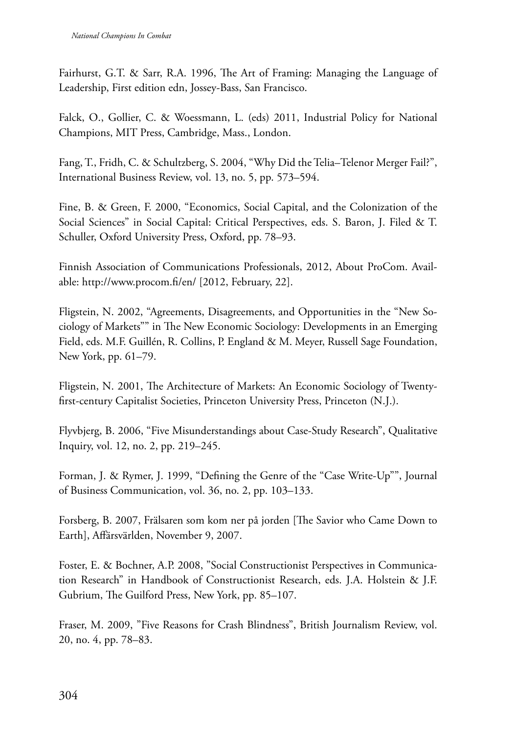Fairhurst, G.T. & Sarr, R.A. 1996, The Art of Framing: Managing the Language of Leadership, First edition edn, Jossey-Bass, San Francisco.

Falck, O., Gollier, C. & Woessmann, L. (eds) 2011, Industrial Policy for National Champions, MIT Press, Cambridge, Mass., London.

Fang, T., Fridh, C. & Schultzberg, S. 2004, "Why Did the Telia–Telenor Merger Fail?", International Business Review, vol. 13, no. 5, pp. 573–594.

Fine, B. & Green, F. 2000, "Economics, Social Capital, and the Colonization of the Social Sciences" in Social Capital: Critical Perspectives, eds. S. Baron, J. Filed & T. Schuller, Oxford University Press, Oxford, pp. 78–93.

Finnish Association of Communications Professionals, 2012, About ProCom. Available: http://www.procom.fi/en/ [2012, February, 22].

Fligstein, N. 2002, "Agreements, Disagreements, and Opportunities in the "New Sociology of Markets"" in The New Economic Sociology: Developments in an Emerging Field, eds. M.F. Guillén, R. Collins, P. England & M. Meyer, Russell Sage Foundation, New York, pp. 61–79.

Fligstein, N. 2001, The Architecture of Markets: An Economic Sociology of Twentyfirst-century Capitalist Societies, Princeton University Press, Princeton (N.J.).

Flyvbjerg, B. 2006, "Five Misunderstandings about Case-Study Research", Qualitative Inquiry, vol. 12, no. 2, pp. 219–245.

Forman, J. & Rymer, J. 1999, "Defining the Genre of the "Case Write-Up"", Journal of Business Communication, vol. 36, no. 2, pp. 103–133.

Forsberg, B. 2007, Frälsaren som kom ner på jorden [The Savior who Came Down to Earth], Affärsvärlden, November 9, 2007.

Foster, E. & Bochner, A.P. 2008, "Social Constructionist Perspectives in Communication Research" in Handbook of Constructionist Research, eds. J.A. Holstein & J.F. Gubrium, The Guilford Press, New York, pp. 85–107.

Fraser, M. 2009, "Five Reasons for Crash Blindness", British Journalism Review, vol. 20, no. 4, pp. 78–83.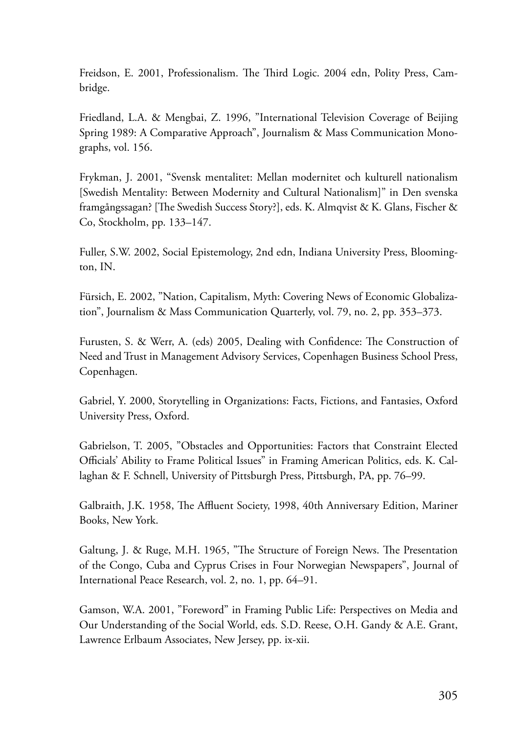Freidson, E. 2001, Professionalism. The Third Logic. 2004 edn, Polity Press, Cambridge.

Friedland, L.A. & Mengbai, Z. 1996, "International Television Coverage of Beijing Spring 1989: A Comparative Approach", Journalism & Mass Communication Monographs, vol. 156.

Frykman, J. 2001, "Svensk mentalitet: Mellan modernitet och kulturell nationalism [Swedish Mentality: Between Modernity and Cultural Nationalism]" in Den svenska framgångssagan? [The Swedish Success Story?], eds. K. Almqvist & K. Glans, Fischer & Co, Stockholm, pp. 133–147.

Fuller, S.W. 2002, Social Epistemology, 2nd edn, Indiana University Press, Bloomington, IN.

Fürsich, E. 2002, "Nation, Capitalism, Myth: Covering News of Economic Globalization", Journalism & Mass Communication Quarterly, vol. 79, no. 2, pp. 353–373.

Furusten, S. & Werr, A. (eds) 2005, Dealing with Confidence: The Construction of Need and Trust in Management Advisory Services, Copenhagen Business School Press, Copenhagen.

Gabriel, Y. 2000, Storytelling in Organizations: Facts, Fictions, and Fantasies, Oxford University Press, Oxford.

Gabrielson, T. 2005, "Obstacles and Opportunities: Factors that Constraint Elected Officials' Ability to Frame Political Issues" in Framing American Politics, eds. K. Callaghan & F. Schnell, University of Pittsburgh Press, Pittsburgh, PA, pp. 76–99.

Galbraith, J.K. 1958, The Affluent Society, 1998, 40th Anniversary Edition, Mariner Books, New York.

Galtung, J. & Ruge, M.H. 1965, "The Structure of Foreign News. The Presentation of the Congo, Cuba and Cyprus Crises in Four Norwegian Newspapers", Journal of International Peace Research, vol. 2, no. 1, pp. 64–91.

Gamson, W.A. 2001, "Foreword" in Framing Public Life: Perspectives on Media and Our Understanding of the Social World, eds. S.D. Reese, O.H. Gandy & A.E. Grant, Lawrence Erlbaum Associates, New Jersey, pp. ix-xii.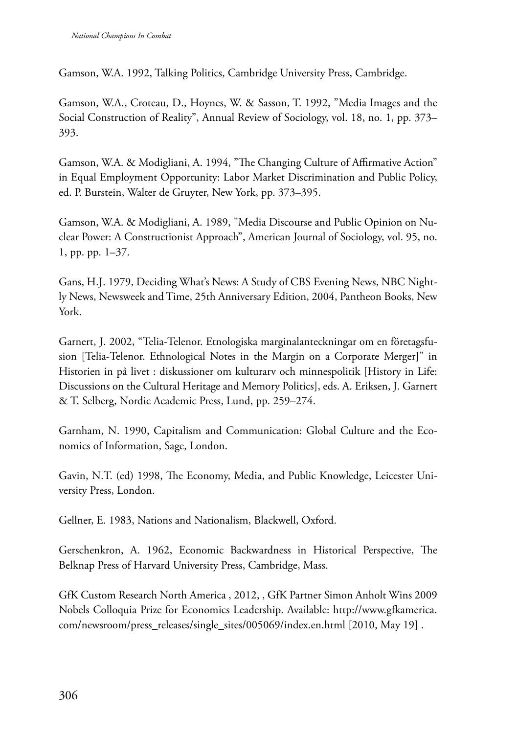Gamson, W.A. 1992, Talking Politics, Cambridge University Press, Cambridge.

Gamson, W.A., Croteau, D., Hoynes, W. & Sasson, T. 1992, "Media Images and the Social Construction of Reality", Annual Review of Sociology, vol. 18, no. 1, pp. 373– 393.

Gamson, W.A. & Modigliani, A. 1994, "The Changing Culture of Affirmative Action" in Equal Employment Opportunity: Labor Market Discrimination and Public Policy, ed. P. Burstein, Walter de Gruyter, New York, pp. 373–395.

Gamson, W.A. & Modigliani, A. 1989, "Media Discourse and Public Opinion on Nuclear Power: A Constructionist Approach", American Journal of Sociology, vol. 95, no. 1, pp. pp. 1–37.

Gans, H.J. 1979, Deciding What's News: A Study of CBS Evening News, NBC Nightly News, Newsweek and Time, 25th Anniversary Edition, 2004, Pantheon Books, New York.

Garnert, J. 2002, "Telia-Telenor. Etnologiska marginalanteckningar om en företagsfusion [Telia-Telenor. Ethnological Notes in the Margin on a Corporate Merger]" in Historien in på livet : diskussioner om kulturarv och minnespolitik [History in Life: Discussions on the Cultural Heritage and Memory Politics], eds. A. Eriksen, J. Garnert & T. Selberg, Nordic Academic Press, Lund, pp. 259–274.

Garnham, N. 1990, Capitalism and Communication: Global Culture and the Economics of Information, Sage, London.

Gavin, N.T. (ed) 1998, The Economy, Media, and Public Knowledge, Leicester University Press, London.

Gellner, E. 1983, Nations and Nationalism, Blackwell, Oxford.

Gerschenkron, A. 1962, Economic Backwardness in Historical Perspective, The Belknap Press of Harvard University Press, Cambridge, Mass.

GfK Custom Research North America , 2012, , GfK Partner Simon Anholt Wins 2009 Nobels Colloquia Prize for Economics Leadership. Available: http://www.gfkamerica. com/newsroom/press\_releases/single\_sites/005069/index.en.html [2010, May 19] .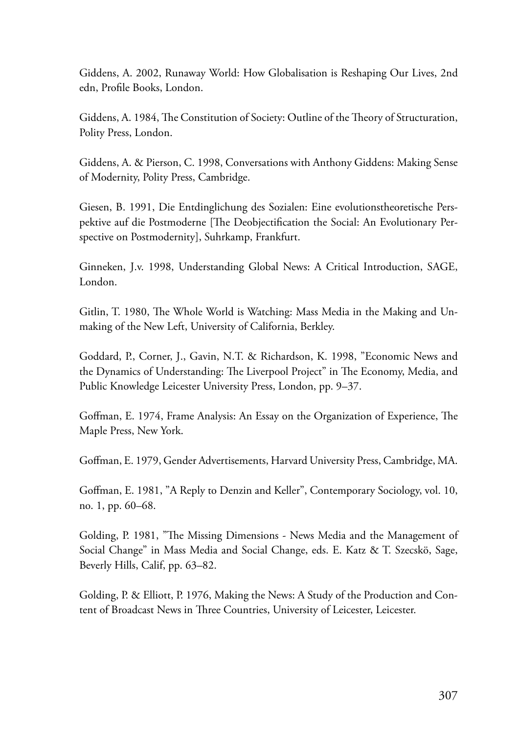Giddens, A. 2002, Runaway World: How Globalisation is Reshaping Our Lives, 2nd edn, Profile Books, London.

Giddens, A. 1984, The Constitution of Society: Outline of the Theory of Structuration, Polity Press, London.

Giddens, A. & Pierson, C. 1998, Conversations with Anthony Giddens: Making Sense of Modernity, Polity Press, Cambridge.

Giesen, B. 1991, Die Entdinglichung des Sozialen: Eine evolutionstheoretische Perspektive auf die Postmoderne [The Deobjectification the Social: An Evolutionary Perspective on Postmodernity], Suhrkamp, Frankfurt.

Ginneken, J.v. 1998, Understanding Global News: A Critical Introduction, SAGE, London.

Gitlin, T. 1980, The Whole World is Watching: Mass Media in the Making and Unmaking of the New Left, University of California, Berkley.

Goddard, P., Corner, J., Gavin, N.T. & Richardson, K. 1998, "Economic News and the Dynamics of Understanding: The Liverpool Project" in The Economy, Media, and Public Knowledge Leicester University Press, London, pp. 9–37.

Goffman, E. 1974, Frame Analysis: An Essay on the Organization of Experience, The Maple Press, New York.

Goffman, E. 1979, Gender Advertisements, Harvard University Press, Cambridge, MA.

Goffman, E. 1981, "A Reply to Denzin and Keller", Contemporary Sociology, vol. 10, no. 1, pp. 60–68.

Golding, P. 1981, "The Missing Dimensions - News Media and the Management of Social Change" in Mass Media and Social Change, eds. E. Katz & T. Szecskö, Sage, Beverly Hills, Calif, pp. 63–82.

Golding, P. & Elliott, P. 1976, Making the News: A Study of the Production and Content of Broadcast News in Three Countries, University of Leicester, Leicester.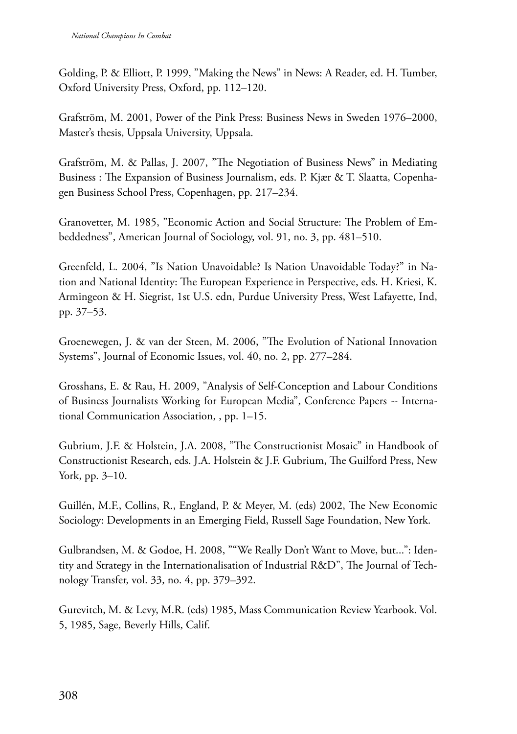Golding, P. & Elliott, P. 1999, "Making the News" in News: A Reader, ed. H. Tumber, Oxford University Press, Oxford, pp. 112–120.

Grafström, M. 2001, Power of the Pink Press: Business News in Sweden 1976–2000, Master's thesis, Uppsala University, Uppsala.

Grafström, M. & Pallas, J. 2007, "The Negotiation of Business News" in Mediating Business : The Expansion of Business Journalism, eds. P. Kjær & T. Slaatta, Copenhagen Business School Press, Copenhagen, pp. 217–234.

Granovetter, M. 1985, "Economic Action and Social Structure: The Problem of Embeddedness", American Journal of Sociology, vol. 91, no. 3, pp. 481–510.

Greenfeld, L. 2004, "Is Nation Unavoidable? Is Nation Unavoidable Today?" in Nation and National Identity: The European Experience in Perspective, eds. H. Kriesi, K. Armingeon & H. Siegrist, 1st U.S. edn, Purdue University Press, West Lafayette, Ind, pp. 37–53.

Groenewegen, J. & van der Steen, M. 2006, "The Evolution of National Innovation Systems", Journal of Economic Issues, vol. 40, no. 2, pp. 277–284.

Grosshans, E. & Rau, H. 2009, "Analysis of Self-Conception and Labour Conditions of Business Journalists Working for European Media", Conference Papers -- International Communication Association, , pp. 1–15.

Gubrium, J.F. & Holstein, J.A. 2008, "The Constructionist Mosaic" in Handbook of Constructionist Research, eds. J.A. Holstein & J.F. Gubrium, The Guilford Press, New York, pp. 3–10.

Guillén, M.F., Collins, R., England, P. & Meyer, M. (eds) 2002, The New Economic Sociology: Developments in an Emerging Field, Russell Sage Foundation, New York.

Gulbrandsen, M. & Godoe, H. 2008, ""We Really Don't Want to Move, but...": Identity and Strategy in the Internationalisation of Industrial R&D", The Journal of Technology Transfer, vol. 33, no. 4, pp. 379–392.

Gurevitch, M. & Levy, M.R. (eds) 1985, Mass Communication Review Yearbook. Vol. 5, 1985, Sage, Beverly Hills, Calif.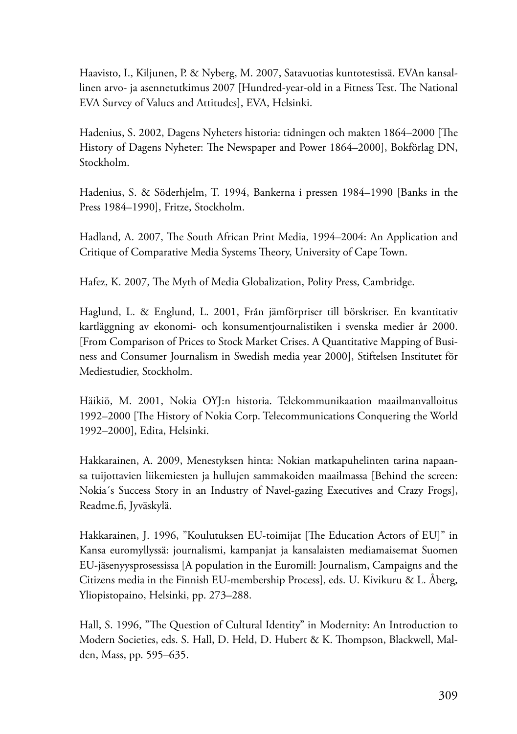Haavisto, I., Kiljunen, P. & Nyberg, M. 2007, Satavuotias kuntotestissä. EVAn kansallinen arvo- ja asennetutkimus 2007 [Hundred-year-old in a Fitness Test. The National EVA Survey of Values and Attitudes], EVA, Helsinki.

Hadenius, S. 2002, Dagens Nyheters historia: tidningen och makten 1864–2000 [The History of Dagens Nyheter: The Newspaper and Power 1864–2000], Bokförlag DN, Stockholm.

Hadenius, S. & Söderhjelm, T. 1994, Bankerna i pressen 1984–1990 [Banks in the Press 1984–1990], Fritze, Stockholm.

Hadland, A. 2007, The South African Print Media, 1994–2004: An Application and Critique of Comparative Media Systems Theory, University of Cape Town.

Hafez, K. 2007, The Myth of Media Globalization, Polity Press, Cambridge.

Haglund, L. & Englund, L. 2001, Från jämförpriser till börskriser. En kvantitativ kartläggning av ekonomi- och konsumentjournalistiken i svenska medier år 2000. [From Comparison of Prices to Stock Market Crises. A Quantitative Mapping of Business and Consumer Journalism in Swedish media year 2000], Stiftelsen Institutet för Mediestudier, Stockholm.

Häikiö, M. 2001, Nokia OYJ:n historia. Telekommunikaation maailmanvalloitus 1992–2000 [The History of Nokia Corp. Telecommunications Conquering the World 1992–2000], Edita, Helsinki.

Hakkarainen, A. 2009, Menestyksen hinta: Nokian matkapuhelinten tarina napaansa tuijottavien liikemiesten ja hullujen sammakoiden maailmassa [Behind the screen: Nokia´s Success Story in an Industry of Navel-gazing Executives and Crazy Frogs], Readme.fi, Jyväskylä.

Hakkarainen, J. 1996, "Koulutuksen EU-toimijat [The Education Actors of EU]" in Kansa euromyllyssä: journalismi, kampanjat ja kansalaisten mediamaisemat Suomen EU-jäsenyysprosessissa [A population in the Euromill: Journalism, Campaigns and the Citizens media in the Finnish EU-membership Process], eds. U. Kivikuru & L. Åberg, Yliopistopaino, Helsinki, pp. 273–288.

Hall, S. 1996, "The Question of Cultural Identity" in Modernity: An Introduction to Modern Societies, eds. S. Hall, D. Held, D. Hubert & K. Thompson, Blackwell, Malden, Mass, pp. 595–635.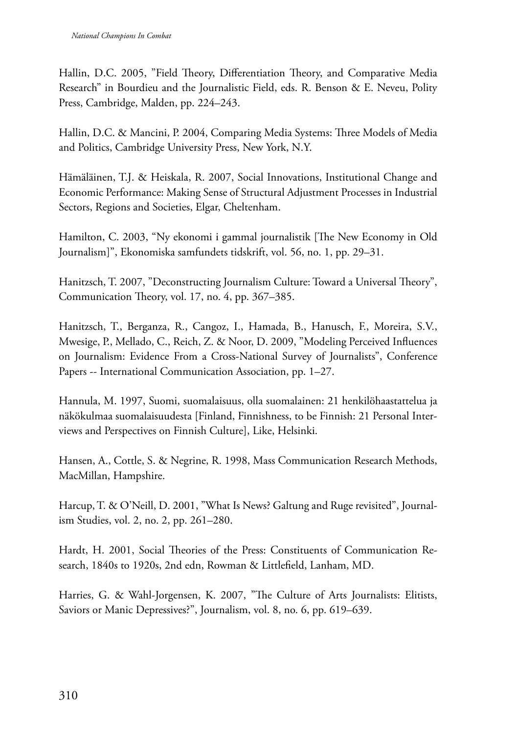Hallin, D.C. 2005, "Field Theory, Differentiation Theory, and Comparative Media Research" in Bourdieu and the Journalistic Field, eds. R. Benson & E. Neveu, Polity Press, Cambridge, Malden, pp. 224–243.

Hallin, D.C. & Mancini, P. 2004, Comparing Media Systems: Three Models of Media and Politics, Cambridge University Press, New York, N.Y.

Hämäläinen, T.J. & Heiskala, R. 2007, Social Innovations, Institutional Change and Economic Performance: Making Sense of Structural Adjustment Processes in Industrial Sectors, Regions and Societies, Elgar, Cheltenham.

Hamilton, C. 2003, "Ny ekonomi i gammal journalistik [The New Economy in Old Journalism]", Ekonomiska samfundets tidskrift, vol. 56, no. 1, pp. 29–31.

Hanitzsch, T. 2007, "Deconstructing Journalism Culture: Toward a Universal Theory", Communication Theory, vol. 17, no. 4, pp. 367–385.

Hanitzsch, T., Berganza, R., Cangoz, I., Hamada, B., Hanusch, F., Moreira, S.V., Mwesige, P., Mellado, C., Reich, Z. & Noor, D. 2009, "Modeling Perceived Influences on Journalism: Evidence From a Cross-National Survey of Journalists", Conference Papers -- International Communication Association, pp. 1–27.

Hannula, M. 1997, Suomi, suomalaisuus, olla suomalainen: 21 henkilöhaastattelua ja näkökulmaa suomalaisuudesta [Finland, Finnishness, to be Finnish: 21 Personal Interviews and Perspectives on Finnish Culture], Like, Helsinki.

Hansen, A., Cottle, S. & Negrine, R. 1998, Mass Communication Research Methods, MacMillan, Hampshire.

Harcup, T. & O'Neill, D. 2001, "What Is News? Galtung and Ruge revisited", Journalism Studies, vol. 2, no. 2, pp. 261–280.

Hardt, H. 2001, Social Theories of the Press: Constituents of Communication Research, 1840s to 1920s, 2nd edn, Rowman & Littlefield, Lanham, MD.

Harries, G. & Wahl-Jorgensen, K. 2007, "The Culture of Arts Journalists: Elitists, Saviors or Manic Depressives?", Journalism, vol. 8, no. 6, pp. 619–639.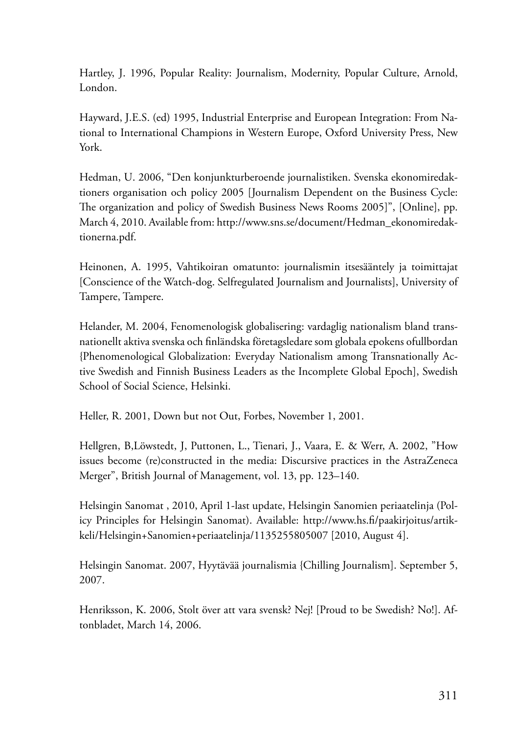Hartley, J. 1996, Popular Reality: Journalism, Modernity, Popular Culture, Arnold, London.

Hayward, J.E.S. (ed) 1995, Industrial Enterprise and European Integration: From National to International Champions in Western Europe, Oxford University Press, New York.

Hedman, U. 2006, "Den konjunkturberoende journalistiken. Svenska ekonomiredaktioners organisation och policy 2005 [Journalism Dependent on the Business Cycle: The organization and policy of Swedish Business News Rooms 2005]", [Online], pp. March 4, 2010. Available from: http://www.sns.se/document/Hedman\_ekonomiredaktionerna.pdf.

Heinonen, A. 1995, Vahtikoiran omatunto: journalismin itsesääntely ja toimittajat [Conscience of the Watch-dog. Selfregulated Journalism and Journalists], University of Tampere, Tampere.

Helander, M. 2004, Fenomenologisk globalisering: vardaglig nationalism bland transnationellt aktiva svenska och finländska företagsledare som globala epokens ofullbordan {Phenomenological Globalization: Everyday Nationalism among Transnationally Active Swedish and Finnish Business Leaders as the Incomplete Global Epoch], Swedish School of Social Science, Helsinki.

Heller, R. 2001, Down but not Out, Forbes, November 1, 2001.

Hellgren, B,Löwstedt, J, Puttonen, L., Tienari, J., Vaara, E. & Werr, A. 2002, "How issues become (re)constructed in the media: Discursive practices in the AstraZeneca Merger", British Journal of Management, vol. 13, pp. 123–140.

Helsingin Sanomat , 2010, April 1-last update, Helsingin Sanomien periaatelinja (Policy Principles for Helsingin Sanomat). Available: http://www.hs.fi/paakirjoitus/artikkeli/Helsingin+Sanomien+periaatelinja/1135255805007 [2010, August 4].

Helsingin Sanomat. 2007, Hyytävää journalismia {Chilling Journalism]. September 5, 2007.

Henriksson, K. 2006, Stolt över att vara svensk? Nej! [Proud to be Swedish? No!]. Aftonbladet, March 14, 2006.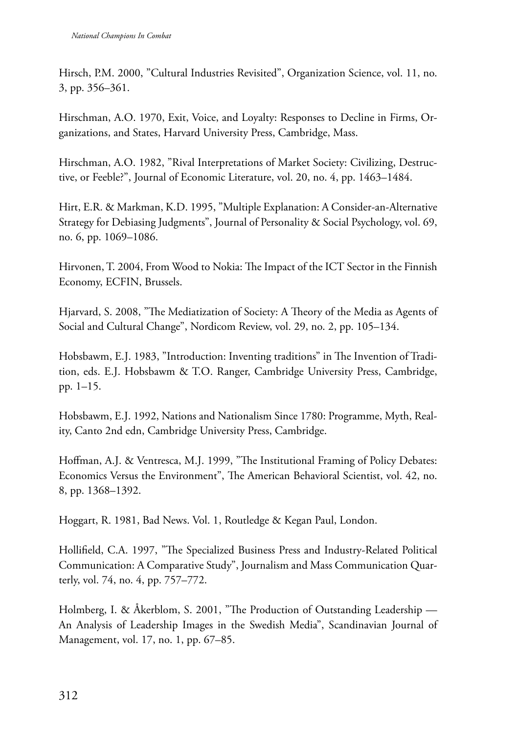Hirsch, P.M. 2000, "Cultural Industries Revisited", Organization Science, vol. 11, no. 3, pp. 356–361.

Hirschman, A.O. 1970, Exit, Voice, and Loyalty: Responses to Decline in Firms, Organizations, and States, Harvard University Press, Cambridge, Mass.

Hirschman, A.O. 1982, "Rival Interpretations of Market Society: Civilizing, Destructive, or Feeble?", Journal of Economic Literature, vol. 20, no. 4, pp. 1463–1484.

Hirt, E.R. & Markman, K.D. 1995, "Multiple Explanation: A Consider-an-Alternative Strategy for Debiasing Judgments", Journal of Personality & Social Psychology, vol. 69, no. 6, pp. 1069–1086.

Hirvonen, T. 2004, From Wood to Nokia: The Impact of the ICT Sector in the Finnish Economy, ECFIN, Brussels.

Hjarvard, S. 2008, "The Mediatization of Society: A Theory of the Media as Agents of Social and Cultural Change", Nordicom Review, vol. 29, no. 2, pp. 105–134.

Hobsbawm, E.J. 1983, "Introduction: Inventing traditions" in The Invention of Tradition, eds. E.J. Hobsbawm & T.O. Ranger, Cambridge University Press, Cambridge, pp. 1–15.

Hobsbawm, E.J. 1992, Nations and Nationalism Since 1780: Programme, Myth, Reality, Canto 2nd edn, Cambridge University Press, Cambridge.

Hoffman, A.J. & Ventresca, M.J. 1999, "The Institutional Framing of Policy Debates: Economics Versus the Environment", The American Behavioral Scientist, vol. 42, no. 8, pp. 1368–1392.

Hoggart, R. 1981, Bad News. Vol. 1, Routledge & Kegan Paul, London.

Hollifield, C.A. 1997, "The Specialized Business Press and Industry-Related Political Communication: A Comparative Study", Journalism and Mass Communication Quarterly, vol. 74, no. 4, pp. 757–772.

Holmberg, I. & Åkerblom, S. 2001, "The Production of Outstanding Leadership — An Analysis of Leadership Images in the Swedish Media", Scandinavian Journal of Management, vol. 17, no. 1, pp. 67–85.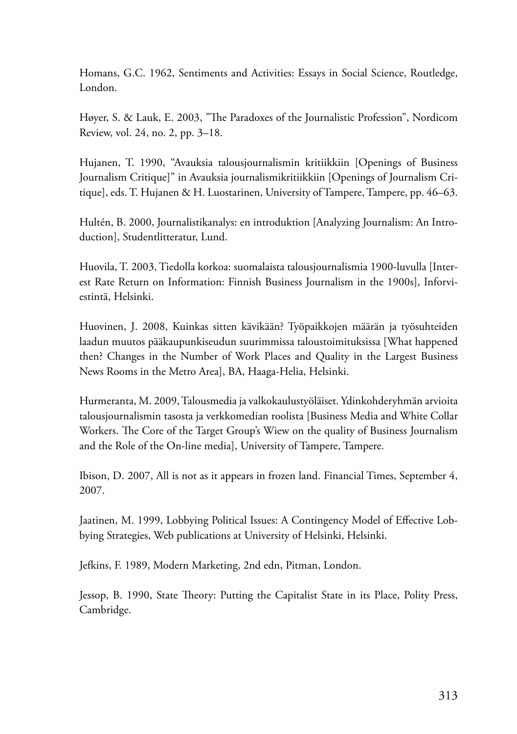Homans, G.C. 1962, Sentiments and Activities: Essays in Social Science, Routledge, London.

Høyer, S. & Lauk, E. 2003, "The Paradoxes of the Journalistic Profession", Nordicom Review, vol. 24, no. 2, pp. 3–18.

Hujanen, T. 1990, "Avauksia talousjournalismin kritiikkiin [Openings of Business Journalism Critique]" in Avauksia journalismikritiikkiin [Openings of Journalism Critique], eds. T. Hujanen & H. Luostarinen, University of Tampere, Tampere, pp. 46–63.

Hultén, B. 2000, Journalistikanalys: en introduktion [Analyzing Journalism: An Introduction], Studentlitteratur, Lund.

Huovila, T. 2003, Tiedolla korkoa: suomalaista talousjournalismia 1900-luvulla [Interest Rate Return on Information: Finnish Business Journalism in the 1900s], Inforviestintä, Helsinki.

Huovinen, J. 2008, Kuinkas sitten kävikään? Työpaikkojen määrän ja työsuhteiden laadun muutos pääkaupunkiseudun suurimmissa taloustoimituksissa [What happened then? Changes in the Number of Work Places and Quality in the Largest Business News Rooms in the Metro Area], BA, Haaga-Helia, Helsinki.

Hurmeranta, M. 2009, Talousmedia ja valkokaulustyöläiset. Ydinkohderyhmän arvioita talousjournalismin tasosta ja verkkomedian roolista [Business Media and White Collar Workers. The Core of the Target Group's Wiew on the quality of Business Journalism and the Role of the On-line media], University of Tampere, Tampere.

Ibison, D. 2007, All is not as it appears in frozen land. Financial Times, September 4, 2007.

Jaatinen, M. 1999, Lobbying Political Issues: A Contingency Model of Effective Lobbying Strategies, Web publications at University of Helsinki, Helsinki.

Jefkins, F. 1989, Modern Marketing, 2nd edn, Pitman, London.

Jessop, B. 1990, State Theory: Putting the Capitalist State in its Place, Polity Press, Cambridge.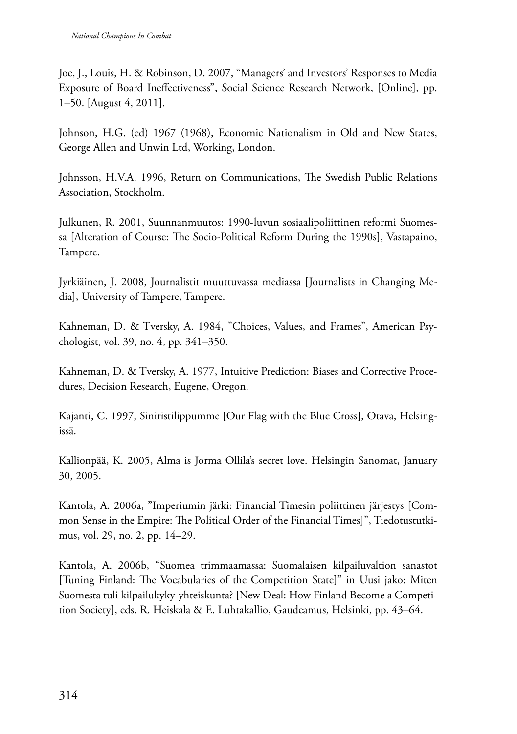Joe, J., Louis, H. & Robinson, D. 2007, "Managers' and Investors' Responses to Media Exposure of Board Ineffectiveness", Social Science Research Network, [Online], pp. 1–50. [August 4, 2011].

Johnson, H.G. (ed) 1967 (1968), Economic Nationalism in Old and New States, George Allen and Unwin Ltd, Working, London.

Johnsson, H.V.A. 1996, Return on Communications, The Swedish Public Relations Association, Stockholm.

Julkunen, R. 2001, Suunnanmuutos: 1990-luvun sosiaalipoliittinen reformi Suomessa [Alteration of Course: The Socio-Political Reform During the 1990s], Vastapaino, Tampere.

Jyrkiäinen, J. 2008, Journalistit muuttuvassa mediassa [Journalists in Changing Media], University of Tampere, Tampere.

Kahneman, D. & Tversky, A. 1984, "Choices, Values, and Frames", American Psychologist, vol. 39, no. 4, pp. 341–350.

Kahneman, D. & Tversky, A. 1977, Intuitive Prediction: Biases and Corrective Procedures, Decision Research, Eugene, Oregon.

Kajanti, C. 1997, Siniristilippumme [Our Flag with the Blue Cross], Otava, Helsingissä.

Kallionpää, K. 2005, Alma is Jorma Ollila's secret love. Helsingin Sanomat, January 30, 2005.

Kantola, A. 2006a, "Imperiumin järki: Financial Timesin poliittinen järjestys [Common Sense in the Empire: The Political Order of the Financial Times]", Tiedotustutkimus, vol. 29, no. 2, pp. 14–29.

Kantola, A. 2006b, "Suomea trimmaamassa: Suomalaisen kilpailuvaltion sanastot [Tuning Finland: The Vocabularies of the Competition State]" in Uusi jako: Miten Suomesta tuli kilpailukyky-yhteiskunta? [New Deal: How Finland Become a Competition Society], eds. R. Heiskala & E. Luhtakallio, Gaudeamus, Helsinki, pp. 43–64.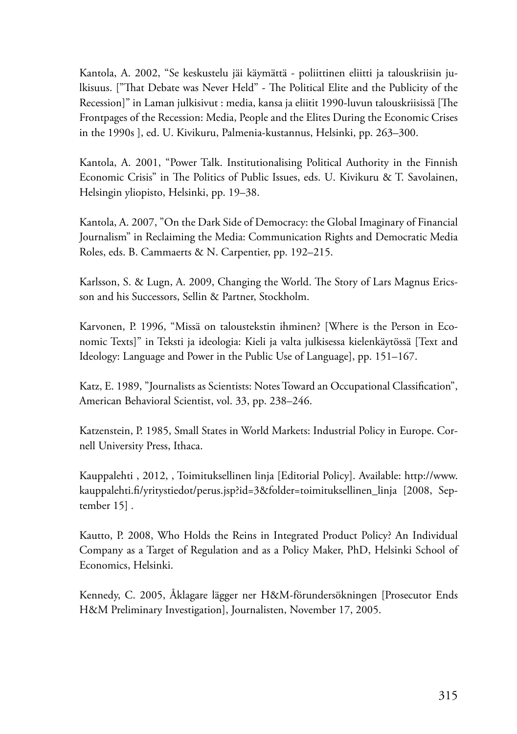Kantola, A. 2002, "Se keskustelu jäi käymättä - poliittinen eliitti ja talouskriisin julkisuus. ["That Debate was Never Held" - The Political Elite and the Publicity of the Recession]" in Laman julkisivut : media, kansa ja eliitit 1990-luvun talouskriisissä [The Frontpages of the Recession: Media, People and the Elites During the Economic Crises in the 1990s ], ed. U. Kivikuru, Palmenia-kustannus, Helsinki, pp. 263–300.

Kantola, A. 2001, "Power Talk. Institutionalising Political Authority in the Finnish Economic Crisis" in The Politics of Public Issues, eds. U. Kivikuru & T. Savolainen, Helsingin yliopisto, Helsinki, pp. 19–38.

Kantola, A. 2007, "On the Dark Side of Democracy: the Global Imaginary of Financial Journalism" in Reclaiming the Media: Communication Rights and Democratic Media Roles, eds. B. Cammaerts & N. Carpentier, pp. 192–215.

Karlsson, S. & Lugn, A. 2009, Changing the World. The Story of Lars Magnus Ericsson and his Successors, Sellin & Partner, Stockholm.

Karvonen, P. 1996, "Missä on taloustekstin ihminen? [Where is the Person in Economic Texts]" in Teksti ja ideologia: Kieli ja valta julkisessa kielenkäytössä [Text and Ideology: Language and Power in the Public Use of Language], pp. 151–167.

Katz, E. 1989, "Journalists as Scientists: Notes Toward an Occupational Classification", American Behavioral Scientist, vol. 33, pp. 238–246.

Katzenstein, P. 1985, Small States in World Markets: Industrial Policy in Europe. Cornell University Press, Ithaca.

Kauppalehti , 2012, , Toimituksellinen linja [Editorial Policy]. Available: http://www. kauppalehti.fi/yritystiedot/perus.jsp?id=3&folder=toimituksellinen\_linja [2008, September 15] .

Kautto, P. 2008, Who Holds the Reins in Integrated Product Policy? An Individual Company as a Target of Regulation and as a Policy Maker, PhD, Helsinki School of Economics, Helsinki.

Kennedy, C. 2005, Åklagare lägger ner H&M-förundersökningen [Prosecutor Ends H&M Preliminary Investigation], Journalisten, November 17, 2005.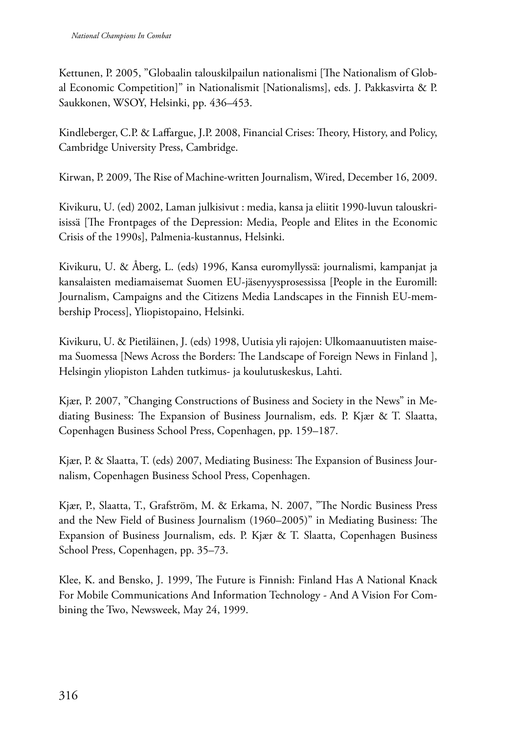Kettunen, P. 2005, "Globaalin talouskilpailun nationalismi [The Nationalism of Global Economic Competition]" in Nationalismit [Nationalisms], eds. J. Pakkasvirta & P. Saukkonen, WSOY, Helsinki, pp. 436–453.

Kindleberger, C.P. & Laffargue, J.P. 2008, Financial Crises: Theory, History, and Policy, Cambridge University Press, Cambridge.

Kirwan, P. 2009, The Rise of Machine-written Journalism, Wired, December 16, 2009.

Kivikuru, U. (ed) 2002, Laman julkisivut : media, kansa ja eliitit 1990-luvun talouskriisissä [The Frontpages of the Depression: Media, People and Elites in the Economic Crisis of the 1990s], Palmenia-kustannus, Helsinki.

Kivikuru, U. & Åberg, L. (eds) 1996, Kansa euromyllyssä: journalismi, kampanjat ja kansalaisten mediamaisemat Suomen EU-jäsenyysprosessissa [People in the Euromill: Journalism, Campaigns and the Citizens Media Landscapes in the Finnish EU-membership Process], Yliopistopaino, Helsinki.

Kivikuru, U. & Pietiläinen, J. (eds) 1998, Uutisia yli rajojen: Ulkomaanuutisten maisema Suomessa [News Across the Borders: The Landscape of Foreign News in Finland ], Helsingin yliopiston Lahden tutkimus- ja koulutuskeskus, Lahti.

Kjær, P. 2007, "Changing Constructions of Business and Society in the News" in Mediating Business: The Expansion of Business Journalism, eds. P. Kjær & T. Slaatta, Copenhagen Business School Press, Copenhagen, pp. 159–187.

Kjær, P. & Slaatta, T. (eds) 2007, Mediating Business: The Expansion of Business Journalism, Copenhagen Business School Press, Copenhagen.

Kjær, P., Slaatta, T., Grafström, M. & Erkama, N. 2007, "The Nordic Business Press and the New Field of Business Journalism (1960–2005)" in Mediating Business: The Expansion of Business Journalism, eds. P. Kjær & T. Slaatta, Copenhagen Business School Press, Copenhagen, pp. 35–73.

Klee, K. and Bensko, J. 1999, The Future is Finnish: Finland Has A National Knack For Mobile Communications And Information Technology - And A Vision For Combining the Two, Newsweek, May 24, 1999.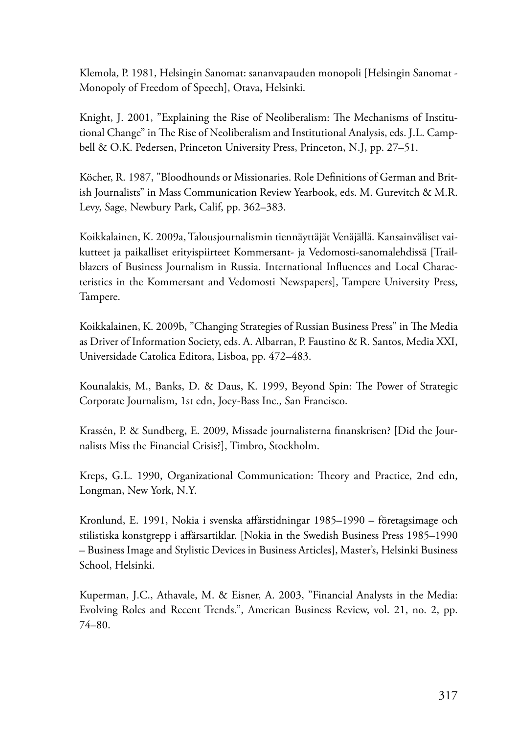Klemola, P. 1981, Helsingin Sanomat: sananvapauden monopoli [Helsingin Sanomat - Monopoly of Freedom of Speech], Otava, Helsinki.

Knight, J. 2001, "Explaining the Rise of Neoliberalism: The Mechanisms of Institutional Change" in The Rise of Neoliberalism and Institutional Analysis, eds. J.L. Campbell & O.K. Pedersen, Princeton University Press, Princeton, N.J, pp. 27–51.

Köcher, R. 1987, "Bloodhounds or Missionaries. Role Definitions of German and British Journalists" in Mass Communication Review Yearbook, eds. M. Gurevitch & M.R. Levy, Sage, Newbury Park, Calif, pp. 362–383.

Koikkalainen, K. 2009a, Talousjournalismin tiennäyttäjät Venäjällä. Kansainväliset vaikutteet ja paikalliset erityispiirteet Kommersant- ja Vedomosti-sanomalehdissä [Trailblazers of Business Journalism in Russia. International Influences and Local Characteristics in the Kommersant and Vedomosti Newspapers], Tampere University Press, Tampere.

Koikkalainen, K. 2009b, "Changing Strategies of Russian Business Press" in The Media as Driver of Information Society, eds. A. Albarran, P. Faustino & R. Santos, Media XXI, Universidade Catolica Editora, Lisboa, pp. 472–483.

Kounalakis, M., Banks, D. & Daus, K. 1999, Beyond Spin: The Power of Strategic Corporate Journalism, 1st edn, Joey-Bass Inc., San Francisco.

Krassén, P. & Sundberg, E. 2009, Missade journalisterna finanskrisen? [Did the Journalists Miss the Financial Crisis?], Timbro, Stockholm.

Kreps, G.L. 1990, Organizational Communication: Theory and Practice, 2nd edn, Longman, New York, N.Y.

Kronlund, E. 1991, Nokia i svenska affärstidningar 1985–1990 – företagsimage och stilistiska konstgrepp i affärsartiklar. [Nokia in the Swedish Business Press 1985–1990 – Business Image and Stylistic Devices in Business Articles], Master's, Helsinki Business School, Helsinki.

Kuperman, J.C., Athavale, M. & Eisner, A. 2003, "Financial Analysts in the Media: Evolving Roles and Recent Trends.", American Business Review, vol. 21, no. 2, pp. 74–80.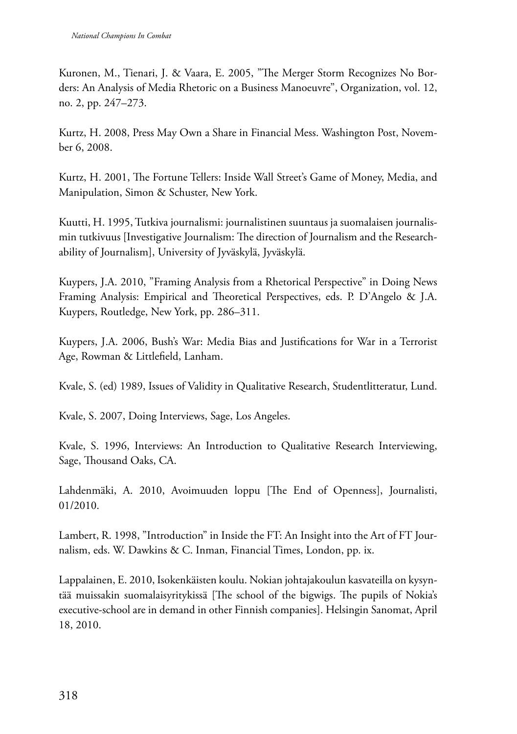Kuronen, M., Tienari, J. & Vaara, E. 2005, "The Merger Storm Recognizes No Borders: An Analysis of Media Rhetoric on a Business Manoeuvre", Organization, vol. 12, no. 2, pp. 247–273.

Kurtz, H. 2008, Press May Own a Share in Financial Mess. Washington Post, November 6, 2008.

Kurtz, H. 2001, The Fortune Tellers: Inside Wall Street's Game of Money, Media, and Manipulation, Simon & Schuster, New York.

Kuutti, H. 1995, Tutkiva journalismi: journalistinen suuntaus ja suomalaisen journalismin tutkivuus [Investigative Journalism: The direction of Journalism and the Researchability of Journalism], University of Jyväskylä, Jyväskylä.

Kuypers, J.A. 2010, "Framing Analysis from a Rhetorical Perspective" in Doing News Framing Analysis: Empirical and Theoretical Perspectives, eds. P. D'Angelo & J.A. Kuypers, Routledge, New York, pp. 286–311.

Kuypers, J.A. 2006, Bush's War: Media Bias and Justifications for War in a Terrorist Age, Rowman & Littlefield, Lanham.

Kvale, S. (ed) 1989, Issues of Validity in Qualitative Research, Studentlitteratur, Lund.

Kvale, S. 2007, Doing Interviews, Sage, Los Angeles.

Kvale, S. 1996, Interviews: An Introduction to Qualitative Research Interviewing, Sage, Thousand Oaks, CA.

Lahdenmäki, A. 2010, Avoimuuden loppu [The End of Openness], Journalisti, 01/2010.

Lambert, R. 1998, "Introduction" in Inside the FT: An Insight into the Art of FT Journalism, eds. W. Dawkins & C. Inman, Financial Times, London, pp. ix.

Lappalainen, E. 2010, Isokenkäisten koulu. Nokian johtajakoulun kasvateilla on kysyntää muissakin suomalaisyritykissä [The school of the bigwigs. The pupils of Nokia's executive-school are in demand in other Finnish companies]. Helsingin Sanomat, April 18, 2010.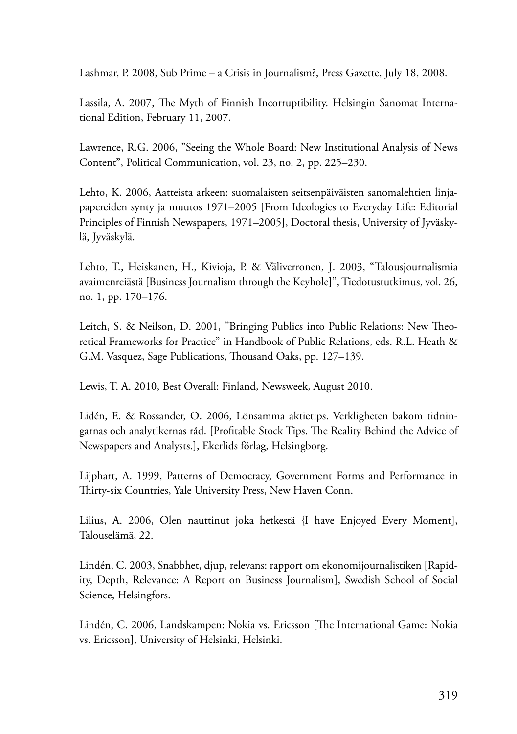Lashmar, P. 2008, Sub Prime – a Crisis in Journalism?, Press Gazette, July 18, 2008.

Lassila, A. 2007, The Myth of Finnish Incorruptibility. Helsingin Sanomat International Edition, February 11, 2007.

Lawrence, R.G. 2006, "Seeing the Whole Board: New Institutional Analysis of News Content", Political Communication, vol. 23, no. 2, pp. 225–230.

Lehto, K. 2006, Aatteista arkeen: suomalaisten seitsenpäiväisten sanomalehtien linjapapereiden synty ja muutos 1971–2005 [From Ideologies to Everyday Life: Editorial Principles of Finnish Newspapers, 1971–2005], Doctoral thesis, University of Jyväskylä, Jyväskylä.

Lehto, T., Heiskanen, H., Kivioja, P. & Väliverronen, J. 2003, "Talousjournalismia avaimenreiästä [Business Journalism through the Keyhole]", Tiedotustutkimus, vol. 26, no. 1, pp. 170–176.

Leitch, S. & Neilson, D. 2001, "Bringing Publics into Public Relations: New Theoretical Frameworks for Practice" in Handbook of Public Relations, eds. R.L. Heath & G.M. Vasquez, Sage Publications, Thousand Oaks, pp. 127–139.

Lewis, T. A. 2010, Best Overall: Finland, Newsweek, August 2010.

Lidén, E. & Rossander, O. 2006, Lönsamma aktietips. Verkligheten bakom tidningarnas och analytikernas råd. [Profitable Stock Tips. The Reality Behind the Advice of Newspapers and Analysts.], Ekerlids förlag, Helsingborg.

Lijphart, A. 1999, Patterns of Democracy, Government Forms and Performance in Thirty-six Countries, Yale University Press, New Haven Conn.

Lilius, A. 2006, Olen nauttinut joka hetkestä {I have Enjoyed Every Moment], Talouselämä, 22.

Lindén, C. 2003, Snabbhet, djup, relevans: rapport om ekonomijournalistiken [Rapidity, Depth, Relevance: A Report on Business Journalism], Swedish School of Social Science, Helsingfors.

Lindén, C. 2006, Landskampen: Nokia vs. Ericsson [The International Game: Nokia vs. Ericsson], University of Helsinki, Helsinki.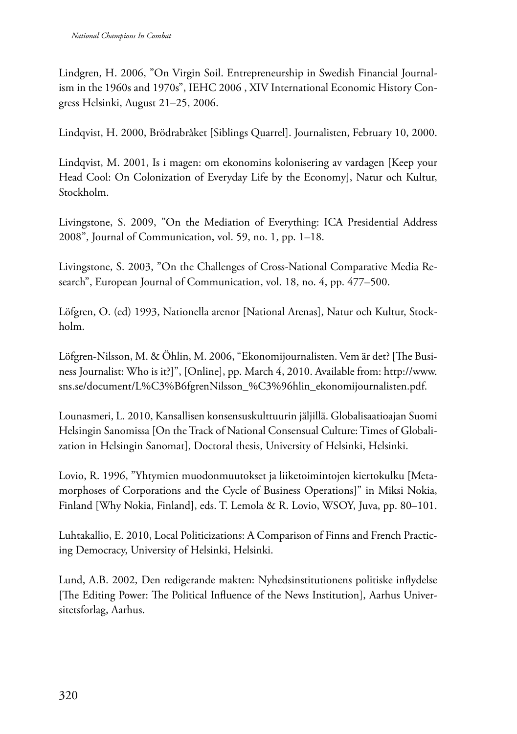Lindgren, H. 2006, "On Virgin Soil. Entrepreneurship in Swedish Financial Journalism in the 1960s and 1970s", IEHC 2006 , XIV International Economic History Congress Helsinki, August 21–25, 2006.

Lindqvist, H. 2000, Brödrabråket [Siblings Quarrel]. Journalisten, February 10, 2000.

Lindqvist, M. 2001, Is i magen: om ekonomins kolonisering av vardagen [Keep your Head Cool: On Colonization of Everyday Life by the Economy], Natur och Kultur, Stockholm.

Livingstone, S. 2009, "On the Mediation of Everything: ICA Presidential Address 2008", Journal of Communication, vol. 59, no. 1, pp. 1–18.

Livingstone, S. 2003, "On the Challenges of Cross-National Comparative Media Research", European Journal of Communication, vol. 18, no. 4, pp. 477–500.

Löfgren, O. (ed) 1993, Nationella arenor [National Arenas], Natur och Kultur, Stockholm.

Löfgren-Nilsson, M. & Öhlin, M. 2006, "Ekonomijournalisten. Vem är det? [The Business Journalist: Who is it?]", [Online], pp. March 4, 2010. Available from: http://www. sns.se/document/L%C3%B6fgrenNilsson\_%C3%96hlin\_ekonomijournalisten.pdf.

Lounasmeri, L. 2010, Kansallisen konsensuskulttuurin jäljillä. Globalisaatioajan Suomi Helsingin Sanomissa [On the Track of National Consensual Culture: Times of Globalization in Helsingin Sanomat], Doctoral thesis, University of Helsinki, Helsinki.

Lovio, R. 1996, "Yhtymien muodonmuutokset ja liiketoimintojen kiertokulku [Metamorphoses of Corporations and the Cycle of Business Operations]" in Miksi Nokia, Finland [Why Nokia, Finland], eds. T. Lemola & R. Lovio, WSOY, Juva, pp. 80–101.

Luhtakallio, E. 2010, Local Politicizations: A Comparison of Finns and French Practicing Democracy, University of Helsinki, Helsinki.

Lund, A.B. 2002, Den redigerande makten: Nyhedsinstitutionens politiske inflydelse [The Editing Power: The Political Influence of the News Institution], Aarhus Universitetsforlag, Aarhus.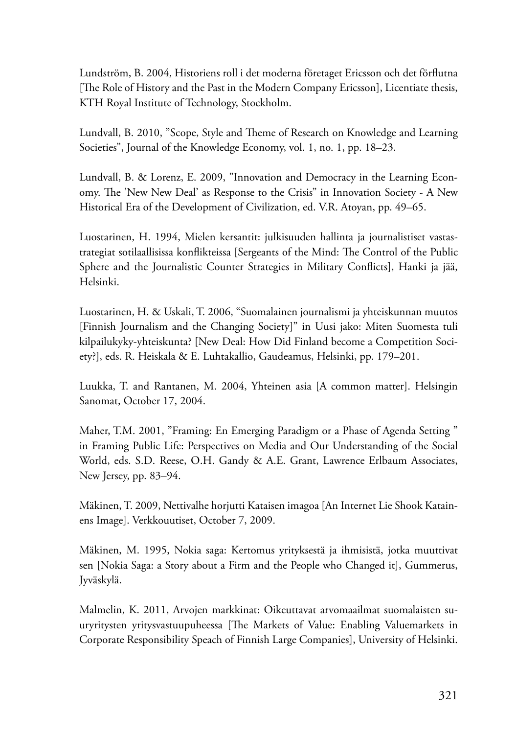Lundström, B. 2004, Historiens roll i det moderna företaget Ericsson och det förflutna [The Role of History and the Past in the Modern Company Ericsson], Licentiate thesis, KTH Royal Institute of Technology, Stockholm.

Lundvall, B. 2010, "Scope, Style and Theme of Research on Knowledge and Learning Societies", Journal of the Knowledge Economy, vol. 1, no. 1, pp. 18–23.

Lundvall, B. & Lorenz, E. 2009, "Innovation and Democracy in the Learning Economy. The 'New New Deal' as Response to the Crisis" in Innovation Society - A New Historical Era of the Development of Civilization, ed. V.R. Atoyan, pp. 49–65.

Luostarinen, H. 1994, Mielen kersantit: julkisuuden hallinta ja journalistiset vastastrategiat sotilaallisissa konflikteissa [Sergeants of the Mind: The Control of the Public Sphere and the Journalistic Counter Strategies in Military Conflicts], Hanki ja jää, Helsinki.

Luostarinen, H. & Uskali, T. 2006, "Suomalainen journalismi ja yhteiskunnan muutos [Finnish Journalism and the Changing Society]" in Uusi jako: Miten Suomesta tuli kilpailukyky-yhteiskunta? [New Deal: How Did Finland become a Competition Society?], eds. R. Heiskala & E. Luhtakallio, Gaudeamus, Helsinki, pp. 179–201.

Luukka, T. and Rantanen, M. 2004, Yhteinen asia [A common matter]. Helsingin Sanomat, October 17, 2004.

Maher, T.M. 2001, "Framing: En Emerging Paradigm or a Phase of Agenda Setting " in Framing Public Life: Perspectives on Media and Our Understanding of the Social World, eds. S.D. Reese, O.H. Gandy & A.E. Grant, Lawrence Erlbaum Associates, New Jersey, pp. 83–94.

Mäkinen, T. 2009, Nettivalhe horjutti Kataisen imagoa [An Internet Lie Shook Katainens Image]. Verkkouutiset, October 7, 2009.

Mäkinen, M. 1995, Nokia saga: Kertomus yrityksestä ja ihmisistä, jotka muuttivat sen [Nokia Saga: a Story about a Firm and the People who Changed it], Gummerus, Jyväskylä.

Malmelin, K. 2011, Arvojen markkinat: Oikeuttavat arvomaailmat suomalaisten suuryritysten yritysvastuupuheessa [The Markets of Value: Enabling Valuemarkets in Corporate Responsibility Speach of Finnish Large Companies], University of Helsinki.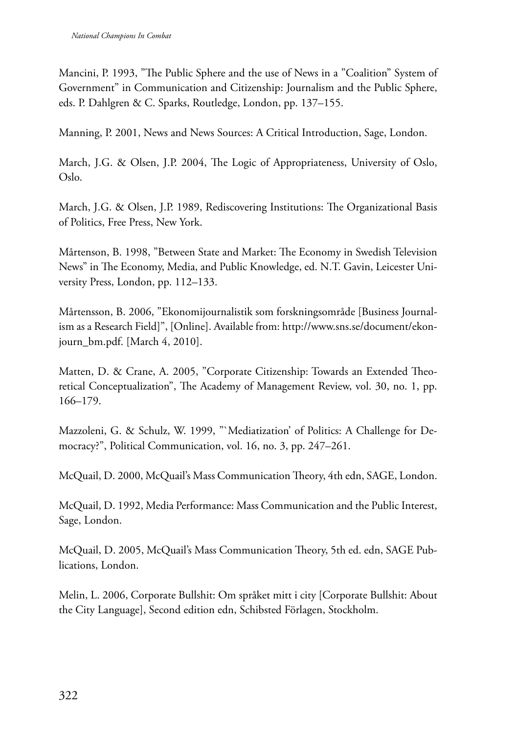Mancini, P. 1993, "The Public Sphere and the use of News in a "Coalition" System of Government" in Communication and Citizenship: Journalism and the Public Sphere, eds. P. Dahlgren & C. Sparks, Routledge, London, pp. 137–155.

Manning, P. 2001, News and News Sources: A Critical Introduction, Sage, London.

March, J.G. & Olsen, J.P. 2004, The Logic of Appropriateness, University of Oslo, Oslo.

March, J.G. & Olsen, J.P. 1989, Rediscovering Institutions: The Organizational Basis of Politics, Free Press, New York.

Mårtenson, B. 1998, "Between State and Market: The Economy in Swedish Television News" in The Economy, Media, and Public Knowledge, ed. N.T. Gavin, Leicester University Press, London, pp. 112–133.

Mårtensson, B. 2006, "Ekonomijournalistik som forskningsområde [Business Journalism as a Research Field]", [Online]. Available from: http://www.sns.se/document/ekonjourn\_bm.pdf. [March 4, 2010].

Matten, D. & Crane, A. 2005, "Corporate Citizenship: Towards an Extended Theoretical Conceptualization", The Academy of Management Review, vol. 30, no. 1, pp. 166–179.

Mazzoleni, G. & Schulz, W. 1999, "`Mediatization' of Politics: A Challenge for Democracy?", Political Communication, vol. 16, no. 3, pp. 247–261.

McQuail, D. 2000, McQuail's Mass Communication Theory, 4th edn, SAGE, London.

McQuail, D. 1992, Media Performance: Mass Communication and the Public Interest, Sage, London.

McQuail, D. 2005, McQuail's Mass Communication Theory, 5th ed. edn, SAGE Publications, London.

Melin, L. 2006, Corporate Bullshit: Om språket mitt i city [Corporate Bullshit: About the City Language], Second edition edn, Schibsted Förlagen, Stockholm.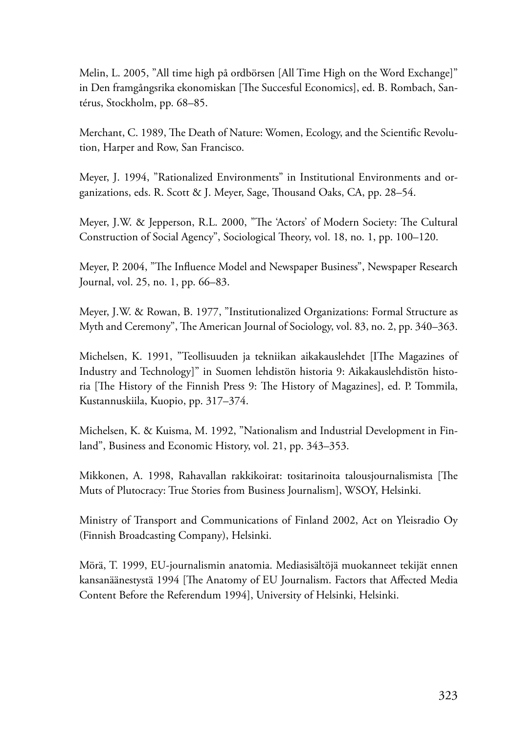Melin, L. 2005, "All time high på ordbörsen [All Time High on the Word Exchange]" in Den framgångsrika ekonomiskan [The Succesful Economics], ed. B. Rombach, Santérus, Stockholm, pp. 68–85.

Merchant, C. 1989, The Death of Nature: Women, Ecology, and the Scientific Revolution, Harper and Row, San Francisco.

Meyer, J. 1994, "Rationalized Environments" in Institutional Environments and organizations, eds. R. Scott & J. Meyer, Sage, Thousand Oaks, CA, pp. 28–54.

Meyer, J.W. & Jepperson, R.L. 2000, "The 'Actors' of Modern Society: The Cultural Construction of Social Agency", Sociological Theory, vol. 18, no. 1, pp. 100–120.

Meyer, P. 2004, "The Influence Model and Newspaper Business", Newspaper Research Journal, vol. 25, no. 1, pp. 66–83.

Meyer, J.W. & Rowan, B. 1977, "Institutionalized Organizations: Formal Structure as Myth and Ceremony", The American Journal of Sociology, vol. 83, no. 2, pp. 340–363.

Michelsen, K. 1991, "Teollisuuden ja tekniikan aikakauslehdet [IThe Magazines of Industry and Technology]" in Suomen lehdistön historia 9: Aikakauslehdistön historia [The History of the Finnish Press 9: The History of Magazines], ed. P. Tommila, Kustannuskiila, Kuopio, pp. 317–374.

Michelsen, K. & Kuisma, M. 1992, "Nationalism and Industrial Development in Finland", Business and Economic History, vol. 21, pp. 343–353.

Mikkonen, A. 1998, Rahavallan rakkikoirat: tositarinoita talousjournalismista [The Muts of Plutocracy: True Stories from Business Journalism], WSOY, Helsinki.

Ministry of Transport and Communications of Finland 2002, Act on Yleisradio Oy (Finnish Broadcasting Company), Helsinki.

Mörä, T. 1999, EU-journalismin anatomia. Mediasisältöjä muokanneet tekijät ennen kansanäänestystä 1994 [The Anatomy of EU Journalism. Factors that Affected Media Content Before the Referendum 1994], University of Helsinki, Helsinki.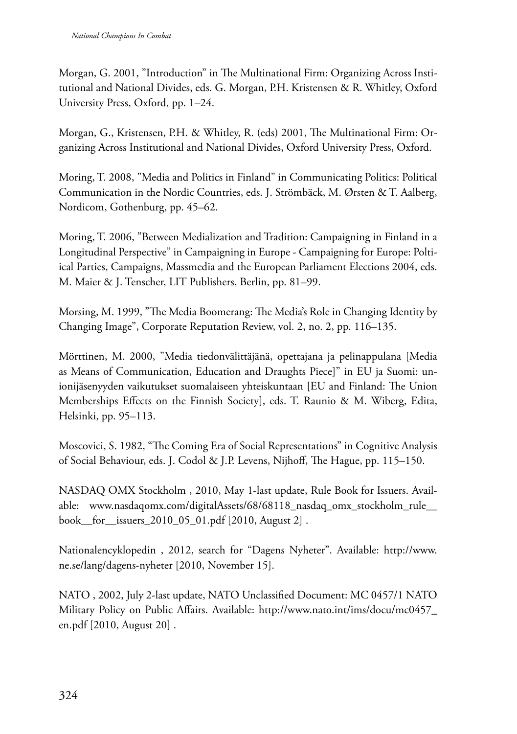Morgan, G. 2001, "Introduction" in The Multinational Firm: Organizing Across Institutional and National Divides, eds. G. Morgan, P.H. Kristensen & R. Whitley, Oxford University Press, Oxford, pp. 1–24.

Morgan, G., Kristensen, P.H. & Whitley, R. (eds) 2001, The Multinational Firm: Organizing Across Institutional and National Divides, Oxford University Press, Oxford.

Moring, T. 2008, "Media and Politics in Finland" in Communicating Politics: Political Communication in the Nordic Countries, eds. J. Strömbäck, M. Ørsten & T. Aalberg, Nordicom, Gothenburg, pp. 45–62.

Moring, T. 2006, "Between Medialization and Tradition: Campaigning in Finland in a Longitudinal Perspective" in Campaigning in Europe - Campaigning for Europe: Poltiical Parties, Campaigns, Massmedia and the European Parliament Elections 2004, eds. M. Maier & J. Tenscher, LIT Publishers, Berlin, pp. 81–99.

Morsing, M. 1999, "The Media Boomerang: The Media's Role in Changing Identity by Changing Image", Corporate Reputation Review, vol. 2, no. 2, pp. 116–135.

Mörttinen, M. 2000, "Media tiedonvälittäjänä, opettajana ja pelinappulana [Media as Means of Communication, Education and Draughts Piece]" in EU ja Suomi: unionijäsenyyden vaikutukset suomalaiseen yhteiskuntaan [EU and Finland: The Union Memberships Effects on the Finnish Society], eds. T. Raunio & M. Wiberg, Edita, Helsinki, pp. 95–113.

Moscovici, S. 1982, "The Coming Era of Social Representations" in Cognitive Analysis of Social Behaviour, eds. J. Codol & J.P. Levens, Nijhoff, The Hague, pp. 115–150.

NASDAQ OMX Stockholm , 2010, May 1-last update, Rule Book for Issuers. Available: www.nasdaqomx.com/digitalAssets/68/68118\_nasdaq\_omx\_stockholm\_rule\_\_ book\_\_for\_\_issuers\_2010\_05\_01.pdf [2010, August 2] .

Nationalencyklopedin , 2012, search for "Dagens Nyheter". Available: http://www. ne.se/lang/dagens-nyheter [2010, November 15].

NATO , 2002, July 2-last update, NATO Unclassified Document: MC 0457/1 NATO Military Policy on Public Affairs. Available: http://www.nato.int/ims/docu/mc0457\_ en.pdf [2010, August 20] .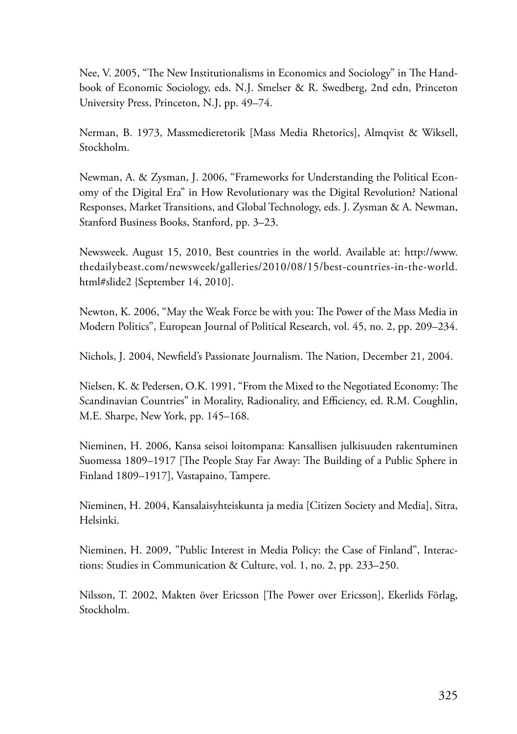Nee, V. 2005, "The New Institutionalisms in Economics and Sociology" in The Handbook of Economic Sociology, eds. N.J. Smelser & R. Swedberg, 2nd edn, Princeton University Press, Princeton, N.J, pp. 49–74.

Nerman, B. 1973, Massmedieretorik [Mass Media Rhetorics], Almqvist & Wiksell, Stockholm.

Newman, A. & Zysman, J. 2006, "Frameworks for Understanding the Political Economy of the Digital Era" in How Revolutionary was the Digital Revolution? National Responses, Market Transitions, and Global Technology, eds. J. Zysman & A. Newman, Stanford Business Books, Stanford, pp. 3–23.

Newsweek. August 15, 2010, Best countries in the world. Available at: http://www. thedailybeast.com/newsweek/galleries/2010/08/15/best-countries-in-the-world. html#slide2 {September 14, 2010].

Newton, K. 2006, "May the Weak Force be with you: The Power of the Mass Media in Modern Politics", European Journal of Political Research, vol. 45, no. 2, pp. 209–234.

Nichols, J. 2004, Newfield's Passionate Journalism. The Nation, December 21, 2004.

Nielsen, K. & Pedersen, O.K. 1991, "From the Mixed to the Negotiated Economy: The Scandinavian Countries" in Morality, Radionality, and Efficiency, ed. R.M. Coughlin, M.E. Sharpe, New York, pp. 145–168.

Nieminen, H. 2006, Kansa seisoi loitompana: Kansallisen julkisuuden rakentuminen Suomessa 1809–1917 [The People Stay Far Away: The Building of a Public Sphere in Finland 1809–1917], Vastapaino, Tampere.

Nieminen, H. 2004, Kansalaisyhteiskunta ja media [Citizen Society and Media], Sitra, Helsinki.

Nieminen, H. 2009, "Public Interest in Media Policy: the Case of Finland", Interactions: Studies in Communication & Culture, vol. 1, no. 2, pp. 233–250.

Nilsson, T. 2002, Makten över Ericsson [The Power over Ericsson], Ekerlids Förlag, Stockholm.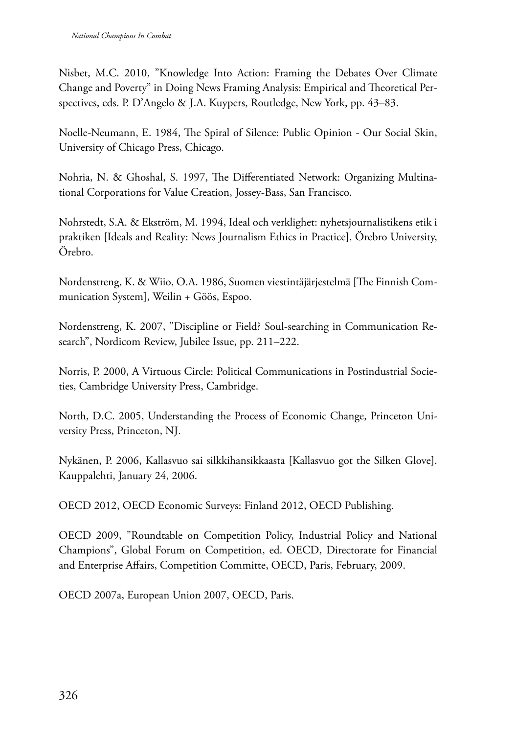Nisbet, M.C. 2010, "Knowledge Into Action: Framing the Debates Over Climate Change and Poverty" in Doing News Framing Analysis: Empirical and Theoretical Perspectives, eds. P. D'Angelo & J.A. Kuypers, Routledge, New York, pp. 43–83.

Noelle-Neumann, E. 1984, The Spiral of Silence: Public Opinion - Our Social Skin, University of Chicago Press, Chicago.

Nohria, N. & Ghoshal, S. 1997, The Differentiated Network: Organizing Multinational Corporations for Value Creation, Jossey-Bass, San Francisco.

Nohrstedt, S.A. & Ekström, M. 1994, Ideal och verklighet: nyhetsjournalistikens etik i praktiken [Ideals and Reality: News Journalism Ethics in Practice], Örebro University, Örebro.

Nordenstreng, K. & Wiio, O.A. 1986, Suomen viestintäjärjestelmä [The Finnish Communication System], Weilin + Göös, Espoo.

Nordenstreng, K. 2007, "Discipline or Field? Soul-searching in Communication Research", Nordicom Review, Jubilee Issue, pp. 211–222.

Norris, P. 2000, A Virtuous Circle: Political Communications in Postindustrial Societies, Cambridge University Press, Cambridge.

North, D.C. 2005, Understanding the Process of Economic Change, Princeton University Press, Princeton, NJ.

Nykänen, P. 2006, Kallasvuo sai silkkihansikkaasta [Kallasvuo got the Silken Glove]. Kauppalehti, January 24, 2006.

OECD 2012, OECD Economic Surveys: Finland 2012, OECD Publishing.

OECD 2009, "Roundtable on Competition Policy, Industrial Policy and National Champions", Global Forum on Competition, ed. OECD, Directorate for Financial and Enterprise Affairs, Competition Committe, OECD, Paris, February, 2009.

OECD 2007a, European Union 2007, OECD, Paris.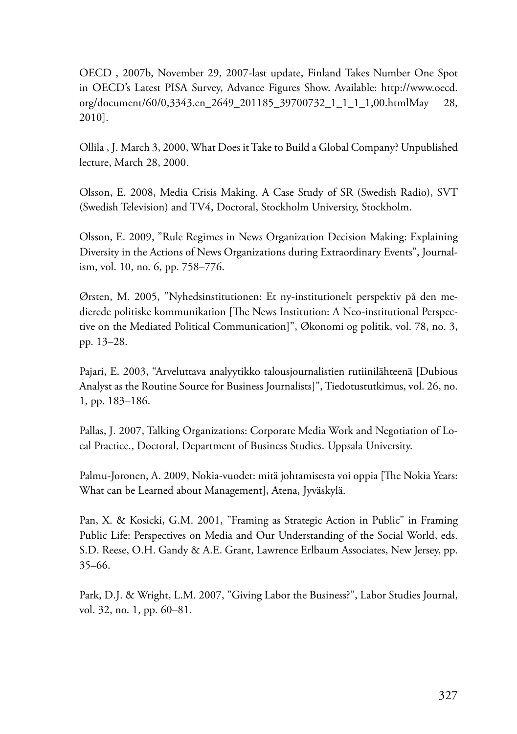OECD , 2007b, November 29, 2007-last update, Finland Takes Number One Spot in OECD's Latest PISA Survey, Advance Figures Show. Available: http://www.oecd. org/document/60/0,3343,en\_2649\_201185\_39700732\_1\_1\_1\_1,00.htmlMay 28, 2010].

Ollila , J. March 3, 2000, What Does it Take to Build a Global Company? Unpublished lecture, March 28, 2000.

Olsson, E. 2008, Media Crisis Making. A Case Study of SR (Swedish Radio), SVT (Swedish Television) and TV4, Doctoral, Stockholm University, Stockholm.

Olsson, E. 2009, "Rule Regimes in News Organization Decision Making: Explaining Diversity in the Actions of News Organizations during Extraordinary Events", Journalism, vol. 10, no. 6, pp. 758–776.

Ørsten, M. 2005, "Nyhedsinstitutionen: Et ny-institutionelt perspektiv på den medierede politiske kommunikation [The News Institution: A Neo-institutional Perspective on the Mediated Political Communication]", Økonomi og politik, vol. 78, no. 3, pp. 13–28.

Pajari, E. 2003, "Arveluttava analyytikko talousjournalistien rutiinilähteenä [Dubious Analyst as the Routine Source for Business Journalists]", Tiedotustutkimus, vol. 26, no. 1, pp. 183–186.

Pallas, J. 2007, Talking Organizations: Corporate Media Work and Negotiation of Local Practice., Doctoral, Department of Business Studies. Uppsala University.

Palmu-Joronen, A. 2009, Nokia-vuodet: mitä johtamisesta voi oppia [The Nokia Years: What can be Learned about Management], Atena, Jyväskylä.

Pan, X. & Kosicki, G.M. 2001, "Framing as Strategic Action in Public" in Framing Public Life: Perspectives on Media and Our Understanding of the Social World, eds. S.D. Reese, O.H. Gandy & A.E. Grant, Lawrence Erlbaum Associates, New Jersey, pp. 35–66.

Park, D.J. & Wright, L.M. 2007, "Giving Labor the Business?", Labor Studies Journal, vol. 32, no. 1, pp. 60–81.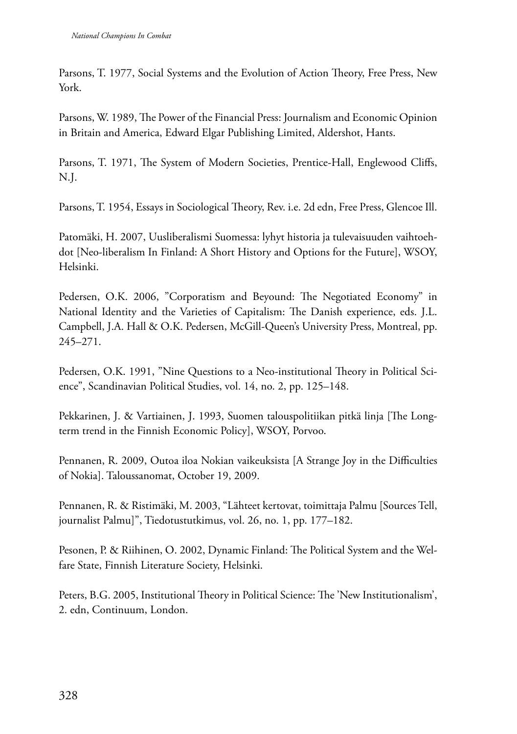Parsons, T. 1977, Social Systems and the Evolution of Action Theory, Free Press, New York.

Parsons, W. 1989, The Power of the Financial Press: Journalism and Economic Opinion in Britain and America, Edward Elgar Publishing Limited, Aldershot, Hants.

Parsons, T. 1971, The System of Modern Societies, Prentice-Hall, Englewood Cliffs, N.J.

Parsons, T. 1954, Essays in Sociological Theory, Rev. i.e. 2d edn, Free Press, Glencoe Ill.

Patomäki, H. 2007, Uusliberalismi Suomessa: lyhyt historia ja tulevaisuuden vaihtoehdot [Neo-liberalism In Finland: A Short History and Options for the Future], WSOY, Helsinki.

Pedersen, O.K. 2006, "Corporatism and Beyound: The Negotiated Economy" in National Identity and the Varieties of Capitalism: The Danish experience, eds. J.L. Campbell, J.A. Hall & O.K. Pedersen, McGill-Queen's University Press, Montreal, pp. 245–271.

Pedersen, O.K. 1991, "Nine Questions to a Neo-institutional Theory in Political Science", Scandinavian Political Studies, vol. 14, no. 2, pp. 125–148.

Pekkarinen, J. & Vartiainen, J. 1993, Suomen talouspolitiikan pitkä linja [The Longterm trend in the Finnish Economic Policy], WSOY, Porvoo.

Pennanen, R. 2009, Outoa iloa Nokian vaikeuksista [A Strange Joy in the Difficulties of Nokia]. Taloussanomat, October 19, 2009.

Pennanen, R. & Ristimäki, M. 2003, "Lähteet kertovat, toimittaja Palmu [Sources Tell, journalist Palmu]", Tiedotustutkimus, vol. 26, no. 1, pp. 177–182.

Pesonen, P. & Riihinen, O. 2002, Dynamic Finland: The Political System and the Welfare State, Finnish Literature Society, Helsinki.

Peters, B.G. 2005, Institutional Theory in Political Science: The 'New Institutionalism', 2. edn, Continuum, London.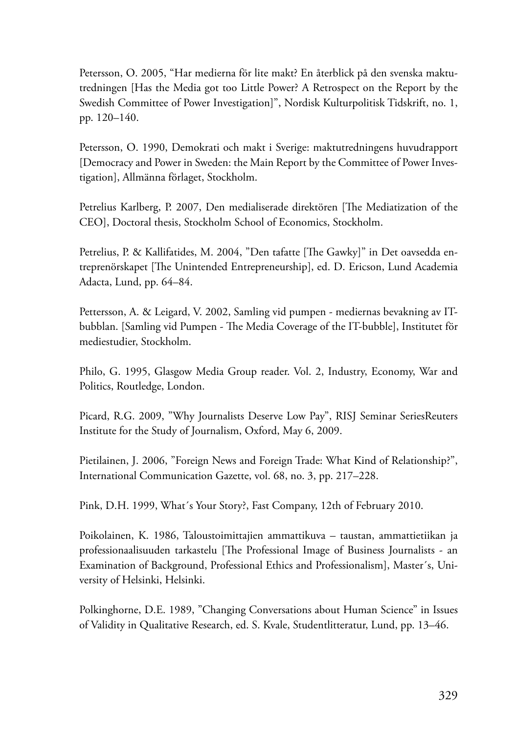Petersson, O. 2005, "Har medierna för lite makt? En återblick på den svenska maktutredningen [Has the Media got too Little Power? A Retrospect on the Report by the Swedish Committee of Power Investigation]", Nordisk Kulturpolitisk Tidskrift, no. 1, pp. 120–140.

Petersson, O. 1990, Demokrati och makt i Sverige: maktutredningens huvudrapport [Democracy and Power in Sweden: the Main Report by the Committee of Power Investigation], Allmänna förlaget, Stockholm.

Petrelius Karlberg, P. 2007, Den medialiserade direktören [The Mediatization of the CEO], Doctoral thesis, Stockholm School of Economics, Stockholm.

Petrelius, P. & Kallifatides, M. 2004, "Den tafatte [The Gawky]" in Det oavsedda entreprenörskapet [The Unintended Entrepreneurship], ed. D. Ericson, Lund Academia Adacta, Lund, pp. 64–84.

Pettersson, A. & Leigard, V. 2002, Samling vid pumpen - mediernas bevakning av ITbubblan. [Samling vid Pumpen - The Media Coverage of the IT-bubble], Institutet för mediestudier, Stockholm.

Philo, G. 1995, Glasgow Media Group reader. Vol. 2, Industry, Economy, War and Politics, Routledge, London.

Picard, R.G. 2009, "Why Journalists Deserve Low Pay", RISJ Seminar SeriesReuters Institute for the Study of Journalism, Oxford, May 6, 2009.

Pietilainen, J. 2006, "Foreign News and Foreign Trade: What Kind of Relationship?", International Communication Gazette, vol. 68, no. 3, pp. 217–228.

Pink, D.H. 1999, What´s Your Story?, Fast Company, 12th of February 2010.

Poikolainen, K. 1986, Taloustoimittajien ammattikuva – taustan, ammattietiikan ja professionaalisuuden tarkastelu [The Professional Image of Business Journalists - an Examination of Background, Professional Ethics and Professionalism], Master´s, University of Helsinki, Helsinki.

Polkinghorne, D.E. 1989, "Changing Conversations about Human Science" in Issues of Validity in Qualitative Research, ed. S. Kvale, Studentlitteratur, Lund, pp. 13–46.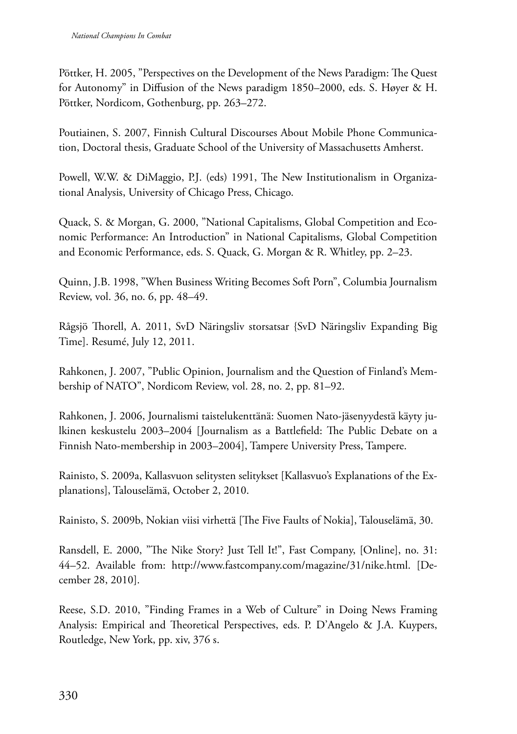Pöttker, H. 2005, "Perspectives on the Development of the News Paradigm: The Quest for Autonomy" in Diffusion of the News paradigm 1850–2000, eds. S. Høyer & H. Pöttker, Nordicom, Gothenburg, pp. 263–272.

Poutiainen, S. 2007, Finnish Cultural Discourses About Mobile Phone Communication, Doctoral thesis, Graduate School of the University of Massachusetts Amherst.

Powell, W.W. & DiMaggio, P.J. (eds) 1991, The New Institutionalism in Organizational Analysis, University of Chicago Press, Chicago.

Quack, S. & Morgan, G. 2000, "National Capitalisms, Global Competition and Economic Performance: An Introduction" in National Capitalisms, Global Competition and Economic Performance, eds. S. Quack, G. Morgan & R. Whitley, pp. 2–23.

Quinn, J.B. 1998, "When Business Writing Becomes Soft Porn", Columbia Journalism Review, vol. 36, no. 6, pp. 48–49.

Rågsjö Thorell, A. 2011, SvD Näringsliv storsatsar {SvD Näringsliv Expanding Big Time]. Resumé, July 12, 2011.

Rahkonen, J. 2007, "Public Opinion, Journalism and the Question of Finland's Membership of NATO", Nordicom Review, vol. 28, no. 2, pp. 81–92.

Rahkonen, J. 2006, Journalismi taistelukenttänä: Suomen Nato-jäsenyydestä käyty julkinen keskustelu 2003–2004 [Journalism as a Battlefield: The Public Debate on a Finnish Nato-membership in 2003–2004], Tampere University Press, Tampere.

Rainisto, S. 2009a, Kallasvuon selitysten selitykset [Kallasvuo's Explanations of the Explanations], Talouselämä, October 2, 2010.

Rainisto, S. 2009b, Nokian viisi virhettä [The Five Faults of Nokia], Talouselämä, 30.

Ransdell, E. 2000, "The Nike Story? Just Tell It!", Fast Company, [Online], no. 31: 44–52. Available from: http://www.fastcompany.com/magazine/31/nike.html. [December 28, 2010].

Reese, S.D. 2010, "Finding Frames in a Web of Culture" in Doing News Framing Analysis: Empirical and Theoretical Perspectives, eds. P. D'Angelo & J.A. Kuypers, Routledge, New York, pp. xiv, 376 s.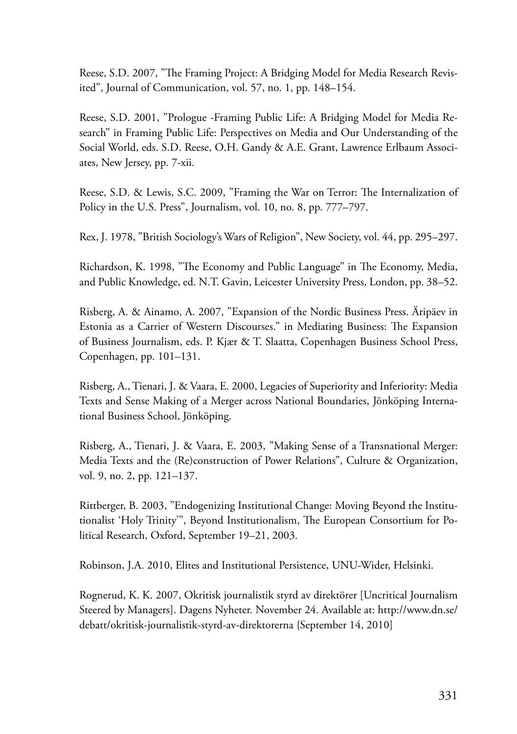Reese, S.D. 2007, "The Framing Project: A Bridging Model for Media Research Revisited", Journal of Communication, vol. 57, no. 1, pp. 148–154.

Reese, S.D. 2001, "Prologue -Framing Public Life: A Bridging Model for Media Research" in Framing Public Life: Perspectives on Media and Our Understanding of the Social World, eds. S.D. Reese, O.H. Gandy & A.E. Grant, Lawrence Erlbaum Associates, New Jersey, pp. 7-xii.

Reese, S.D. & Lewis, S.C. 2009, "Framing the War on Terror: The Internalization of Policy in the U.S. Press", Journalism, vol. 10, no. 8, pp. 777–797.

Rex, J. 1978, "British Sociology's Wars of Religion", New Society, vol. 44, pp. 295–297.

Richardson, K. 1998, "The Economy and Public Language" in The Economy, Media, and Public Knowledge, ed. N.T. Gavin, Leicester University Press, London, pp. 38–52.

Risberg, A. & Ainamo, A. 2007, "Expansion of the Nordic Business Press. Äripäev in Estonia as a Carrier of Western Discourses." in Mediating Business: The Expansion of Business Journalism, eds. P. Kjær & T. Slaatta, Copenhagen Business School Press, Copenhagen, pp. 101–131.

Risberg, A., Tienari, J. & Vaara, E. 2000, Legacies of Superiority and Inferiority: Media Texts and Sense Making of a Merger across National Boundaries, Jönköping International Business School, Jönköping.

Risberg, A., Tienari, J. & Vaara, E. 2003, "Making Sense of a Transnational Merger: Media Texts and the (Re)construction of Power Relations", Culture & Organization, vol. 9, no. 2, pp. 121–137.

Rittberger, B. 2003, "Endogenizing Institutional Change: Moving Beyond the Institutionalist 'Holy Trinity'", Beyond Institutionalism, The European Consortium for Political Research, Oxford, September 19–21, 2003.

Robinson, J.A. 2010, Elites and Institutional Persistence, UNU-Wider, Helsinki.

Rognerud, K. K. 2007, Okritisk journalistik styrd av direktörer [Uncritical Journalism Steered by Managers]. Dagens Nyheter. November 24. Available at: http://www.dn.se/ debatt/okritisk-journalistik-styrd-av-direktorerna {September 14, 2010]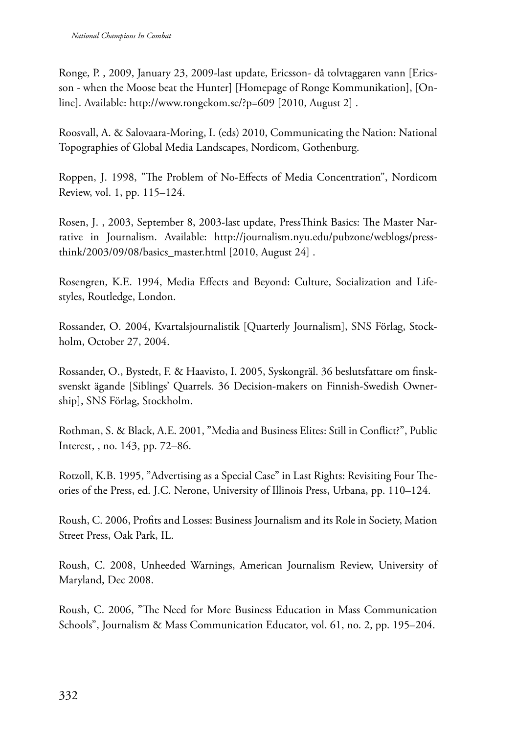Ronge, P. , 2009, January 23, 2009-last update, Ericsson- då tolvtaggaren vann [Ericsson - when the Moose beat the Hunter] [Homepage of Ronge Kommunikation], [Online]. Available: http://www.rongekom.se/?p=609 [2010, August 2] .

Roosvall, A. & Salovaara-Moring, I. (eds) 2010, Communicating the Nation: National Topographies of Global Media Landscapes, Nordicom, Gothenburg.

Roppen, J. 1998, "The Problem of No-Effects of Media Concentration", Nordicom Review, vol. 1, pp. 115–124.

Rosen, J. , 2003, September 8, 2003-last update, PressThink Basics: The Master Narrative in Journalism. Available: http://journalism.nyu.edu/pubzone/weblogs/pressthink/2003/09/08/basics\_master.html [2010, August 24] .

Rosengren, K.E. 1994, Media Effects and Beyond: Culture, Socialization and Lifestyles, Routledge, London.

Rossander, O. 2004, Kvartalsjournalistik [Quarterly Journalism], SNS Förlag, Stockholm, October 27, 2004.

Rossander, O., Bystedt, F. & Haavisto, I. 2005, Syskongräl. 36 beslutsfattare om finsksvenskt ägande [Siblings' Quarrels. 36 Decision-makers on Finnish-Swedish Ownership], SNS Förlag, Stockholm.

Rothman, S. & Black, A.E. 2001, "Media and Business Elites: Still in Conflict?", Public Interest, , no. 143, pp. 72–86.

Rotzoll, K.B. 1995, "Advertising as a Special Case" in Last Rights: Revisiting Four Theories of the Press, ed. J.C. Nerone, University of Illinois Press, Urbana, pp. 110–124.

Roush, C. 2006, Profits and Losses: Business Journalism and its Role in Society, Mation Street Press, Oak Park, IL.

Roush, C. 2008, Unheeded Warnings, American Journalism Review, University of Maryland, Dec 2008.

Roush, C. 2006, "The Need for More Business Education in Mass Communication Schools", Journalism & Mass Communication Educator, vol. 61, no. 2, pp. 195–204.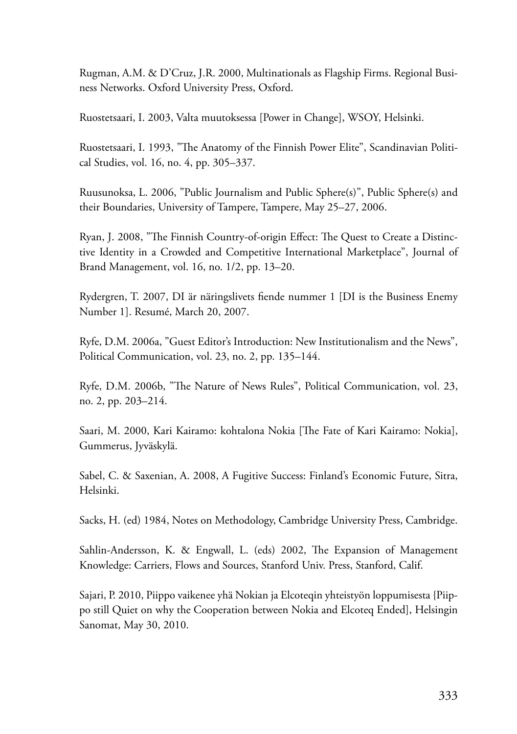Rugman, A.M. & D'Cruz, J.R. 2000, Multinationals as Flagship Firms. Regional Business Networks. Oxford University Press, Oxford.

Ruostetsaari, I. 2003, Valta muutoksessa [Power in Change], WSOY, Helsinki.

Ruostetsaari, I. 1993, "The Anatomy of the Finnish Power Elite", Scandinavian Political Studies, vol. 16, no. 4, pp. 305–337.

Ruusunoksa, L. 2006, "Public Journalism and Public Sphere(s)", Public Sphere(s) and their Boundaries, University of Tampere, Tampere, May 25–27, 2006.

Ryan, J. 2008, "The Finnish Country-of-origin Effect: The Quest to Create a Distinctive Identity in a Crowded and Competitive International Marketplace", Journal of Brand Management, vol. 16, no. 1/2, pp. 13–20.

Rydergren, T. 2007, DI är näringslivets fiende nummer 1 [DI is the Business Enemy Number 1]. Resumé, March 20, 2007.

Ryfe, D.M. 2006a, "Guest Editor's Introduction: New Institutionalism and the News", Political Communication, vol. 23, no. 2, pp. 135–144.

Ryfe, D.M. 2006b, "The Nature of News Rules", Political Communication, vol. 23, no. 2, pp. 203–214.

Saari, M. 2000, Kari Kairamo: kohtalona Nokia [The Fate of Kari Kairamo: Nokia], Gummerus, Jyväskylä.

Sabel, C. & Saxenian, A. 2008, A Fugitive Success: Finland's Economic Future, Sitra, Helsinki.

Sacks, H. (ed) 1984, Notes on Methodology, Cambridge University Press, Cambridge.

Sahlin-Andersson, K. & Engwall, L. (eds) 2002, The Expansion of Management Knowledge: Carriers, Flows and Sources, Stanford Univ. Press, Stanford, Calif.

Sajari, P. 2010, Piippo vaikenee yhä Nokian ja Elcoteqin yhteistyön loppumisesta {Piippo still Quiet on why the Cooperation between Nokia and Elcoteq Ended], Helsingin Sanomat, May 30, 2010.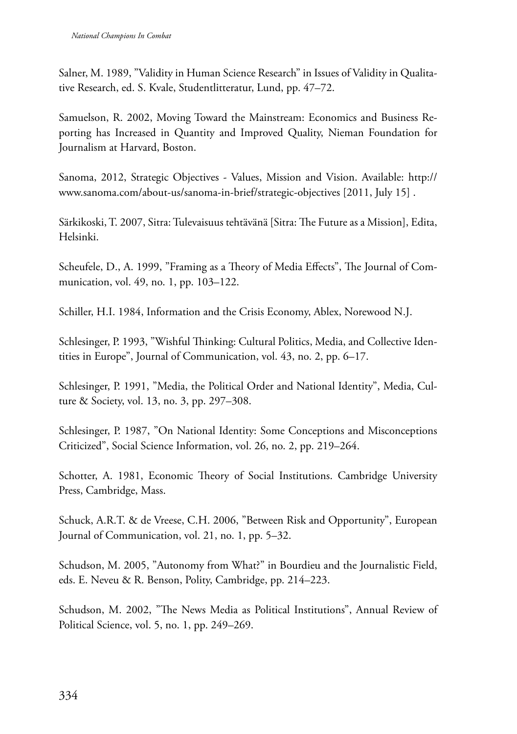Salner, M. 1989, "Validity in Human Science Research" in Issues of Validity in Qualitative Research, ed. S. Kvale, Studentlitteratur, Lund, pp. 47–72.

Samuelson, R. 2002, Moving Toward the Mainstream: Economics and Business Reporting has Increased in Quantity and Improved Quality, Nieman Foundation for Journalism at Harvard, Boston.

Sanoma, 2012, Strategic Objectives - Values, Mission and Vision. Available: http:// www.sanoma.com/about-us/sanoma-in-brief/strategic-objectives [2011, July 15] .

Särkikoski, T. 2007, Sitra: Tulevaisuus tehtävänä [Sitra: The Future as a Mission], Edita, Helsinki.

Scheufele, D., A. 1999, "Framing as a Theory of Media Effects", The Journal of Communication, vol. 49, no. 1, pp. 103–122.

Schiller, H.I. 1984, Information and the Crisis Economy, Ablex, Norewood N.J.

Schlesinger, P. 1993, "Wishful Thinking: Cultural Politics, Media, and Collective Identities in Europe", Journal of Communication, vol. 43, no. 2, pp. 6–17.

Schlesinger, P. 1991, "Media, the Political Order and National Identity", Media, Culture & Society, vol. 13, no. 3, pp. 297–308.

Schlesinger, P. 1987, "On National Identity: Some Conceptions and Misconceptions Criticized", Social Science Information, vol. 26, no. 2, pp. 219–264.

Schotter, A. 1981, Economic Theory of Social Institutions. Cambridge University Press, Cambridge, Mass.

Schuck, A.R.T. & de Vreese, C.H. 2006, "Between Risk and Opportunity", European Journal of Communication, vol. 21, no. 1, pp. 5–32.

Schudson, M. 2005, "Autonomy from What?" in Bourdieu and the Journalistic Field, eds. E. Neveu & R. Benson, Polity, Cambridge, pp. 214–223.

Schudson, M. 2002, "The News Media as Political Institutions", Annual Review of Political Science, vol. 5, no. 1, pp. 249–269.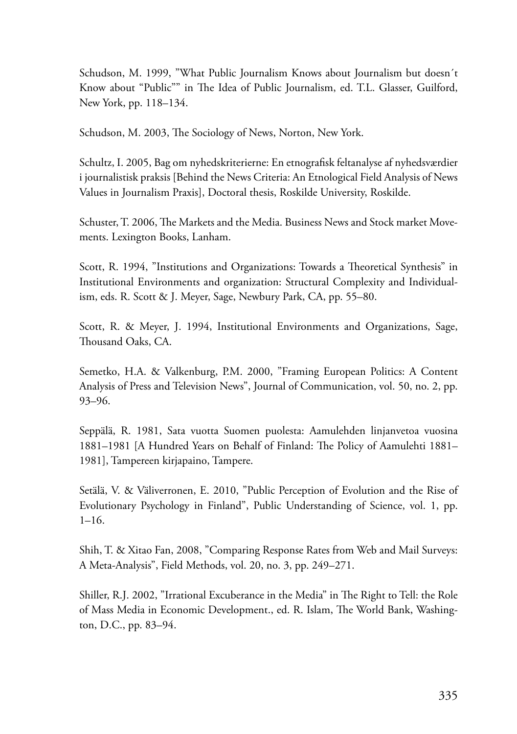Schudson, M. 1999, "What Public Journalism Knows about Journalism but doesn´t Know about "Public"" in The Idea of Public Journalism, ed. T.L. Glasser, Guilford, New York, pp. 118–134.

Schudson, M. 2003, The Sociology of News, Norton, New York.

Schultz, I. 2005, Bag om nyhedskriterierne: En etnografisk feltanalyse af nyhedsværdier i journalistisk praksis [Behind the News Criteria: An Etnological Field Analysis of News Values in Journalism Praxis], Doctoral thesis, Roskilde University, Roskilde.

Schuster, T. 2006, The Markets and the Media. Business News and Stock market Movements. Lexington Books, Lanham.

Scott, R. 1994, "Institutions and Organizations: Towards a Theoretical Synthesis" in Institutional Environments and organization: Structural Complexity and Individualism, eds. R. Scott & J. Meyer, Sage, Newbury Park, CA, pp. 55–80.

Scott, R. & Meyer, J. 1994, Institutional Environments and Organizations, Sage, Thousand Oaks, CA.

Semetko, H.A. & Valkenburg, P.M. 2000, "Framing European Politics: A Content Analysis of Press and Television News", Journal of Communication, vol. 50, no. 2, pp. 93–96.

Seppälä, R. 1981, Sata vuotta Suomen puolesta: Aamulehden linjanvetoa vuosina 1881–1981 [A Hundred Years on Behalf of Finland: The Policy of Aamulehti 1881– 1981], Tampereen kirjapaino, Tampere.

Setälä, V. & Väliverronen, E. 2010, "Public Perception of Evolution and the Rise of Evolutionary Psychology in Finland", Public Understanding of Science, vol. 1, pp. 1–16.

Shih, T. & Xitao Fan, 2008, "Comparing Response Rates from Web and Mail Surveys: A Meta-Analysis", Field Methods, vol. 20, no. 3, pp. 249–271.

Shiller, R.J. 2002, "Irrational Excuberance in the Media" in The Right to Tell: the Role of Mass Media in Economic Development., ed. R. Islam, The World Bank, Washington, D.C., pp. 83–94.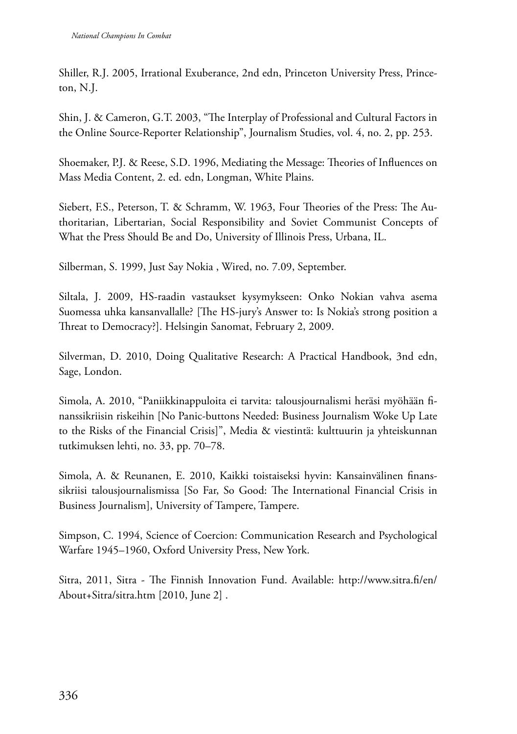Shiller, R.J. 2005, Irrational Exuberance, 2nd edn, Princeton University Press, Princeton, N.J.

Shin, J. & Cameron, G.T. 2003, "The Interplay of Professional and Cultural Factors in the Online Source-Reporter Relationship", Journalism Studies, vol. 4, no. 2, pp. 253.

Shoemaker, P.J. & Reese, S.D. 1996, Mediating the Message: Theories of Influences on Mass Media Content, 2. ed. edn, Longman, White Plains.

Siebert, F.S., Peterson, T. & Schramm, W. 1963, Four Theories of the Press: The Authoritarian, Libertarian, Social Responsibility and Soviet Communist Concepts of What the Press Should Be and Do, University of Illinois Press, Urbana, IL.

Silberman, S. 1999, Just Say Nokia , Wired, no. 7.09, September.

Siltala, J. 2009, HS-raadin vastaukset kysymykseen: Onko Nokian vahva asema Suomessa uhka kansanvallalle? [The HS-jury's Answer to: Is Nokia's strong position a Threat to Democracy?]. Helsingin Sanomat, February 2, 2009.

Silverman, D. 2010, Doing Qualitative Research: A Practical Handbook, 3nd edn, Sage, London.

Simola, A. 2010, "Paniikkinappuloita ei tarvita: talousjournalismi heräsi myöhään finanssikriisin riskeihin [No Panic-buttons Needed: Business Journalism Woke Up Late to the Risks of the Financial Crisis]", Media & viestintä: kulttuurin ja yhteiskunnan tutkimuksen lehti, no. 33, pp. 70–78.

Simola, A. & Reunanen, E. 2010, Kaikki toistaiseksi hyvin: Kansainvälinen finanssikriisi talousjournalismissa [So Far, So Good: The International Financial Crisis in Business Journalism], University of Tampere, Tampere.

Simpson, C. 1994, Science of Coercion: Communication Research and Psychological Warfare 1945–1960, Oxford University Press, New York.

Sitra, 2011, Sitra - The Finnish Innovation Fund. Available: http://www.sitra.fi/en/ About+Sitra/sitra.htm [2010, June 2] .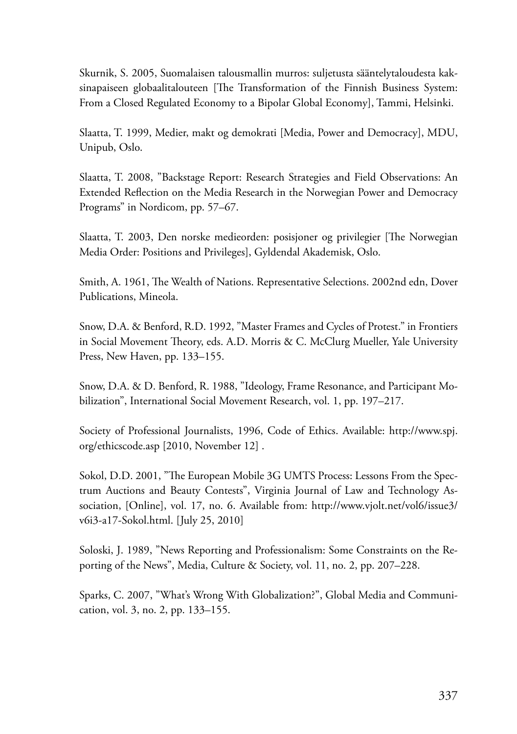Skurnik, S. 2005, Suomalaisen talousmallin murros: suljetusta sääntelytaloudesta kaksinapaiseen globaalitalouteen [The Transformation of the Finnish Business System: From a Closed Regulated Economy to a Bipolar Global Economy], Tammi, Helsinki.

Slaatta, T. 1999, Medier, makt og demokrati [Media, Power and Democracy], MDU, Unipub, Oslo.

Slaatta, T. 2008, "Backstage Report: Research Strategies and Field Observations: An Extended Reflection on the Media Research in the Norwegian Power and Democracy Programs" in Nordicom, pp. 57–67.

Slaatta, T. 2003, Den norske medieorden: posisjoner og privilegier [The Norwegian Media Order: Positions and Privileges], Gyldendal Akademisk, Oslo.

Smith, A. 1961, The Wealth of Nations. Representative Selections. 2002nd edn, Dover Publications, Mineola.

Snow, D.A. & Benford, R.D. 1992, "Master Frames and Cycles of Protest." in Frontiers in Social Movement Theory, eds. A.D. Morris & C. McClurg Mueller, Yale University Press, New Haven, pp. 133–155.

Snow, D.A. & D. Benford, R. 1988, "Ideology, Frame Resonance, and Participant Mobilization", International Social Movement Research, vol. 1, pp. 197–217.

Society of Professional Journalists, 1996, Code of Ethics. Available: http://www.spj. org/ethicscode.asp [2010, November 12] .

Sokol, D.D. 2001, "The European Mobile 3G UMTS Process: Lessons From the Spectrum Auctions and Beauty Contests", Virginia Journal of Law and Technology Association, [Online], vol. 17, no. 6. Available from: http://www.vjolt.net/vol6/issue3/ v6i3-a17-Sokol.html. [July 25, 2010]

Soloski, J. 1989, "News Reporting and Professionalism: Some Constraints on the Reporting of the News", Media, Culture & Society, vol. 11, no. 2, pp. 207–228.

Sparks, C. 2007, "What's Wrong With Globalization?", Global Media and Communication, vol. 3, no. 2, pp. 133–155.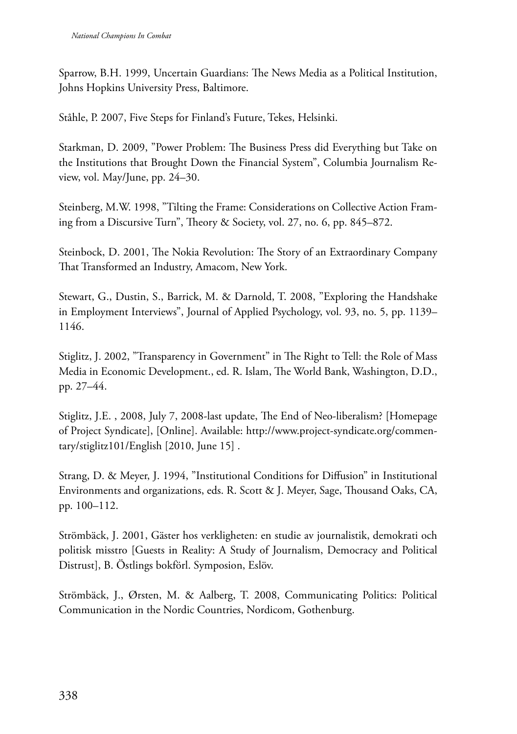Sparrow, B.H. 1999, Uncertain Guardians: The News Media as a Political Institution, Johns Hopkins University Press, Baltimore.

Ståhle, P. 2007, Five Steps for Finland's Future, Tekes, Helsinki.

Starkman, D. 2009, "Power Problem: The Business Press did Everything but Take on the Institutions that Brought Down the Financial System", Columbia Journalism Review, vol. May/June, pp. 24–30.

Steinberg, M.W. 1998, "Tilting the Frame: Considerations on Collective Action Framing from a Discursive Turn", Theory & Society, vol. 27, no. 6, pp. 845–872.

Steinbock, D. 2001, The Nokia Revolution: The Story of an Extraordinary Company That Transformed an Industry, Amacom, New York.

Stewart, G., Dustin, S., Barrick, M. & Darnold, T. 2008, "Exploring the Handshake in Employment Interviews", Journal of Applied Psychology, vol. 93, no. 5, pp. 1139– 1146.

Stiglitz, J. 2002, "Transparency in Government" in The Right to Tell: the Role of Mass Media in Economic Development., ed. R. Islam, The World Bank, Washington, D.D., pp. 27–44.

Stiglitz, J.E. , 2008, July 7, 2008-last update, The End of Neo-liberalism? [Homepage of Project Syndicate], [Online]. Available: http://www.project-syndicate.org/commentary/stiglitz101/English [2010, June 15] .

Strang, D. & Meyer, J. 1994, "Institutional Conditions for Diffusion" in Institutional Environments and organizations, eds. R. Scott & J. Meyer, Sage, Thousand Oaks, CA, pp. 100–112.

Strömbäck, J. 2001, Gäster hos verkligheten: en studie av journalistik, demokrati och politisk misstro [Guests in Reality: A Study of Journalism, Democracy and Political Distrust], B. Östlings bokförl. Symposion, Eslöv.

Strömbäck, J., Ørsten, M. & Aalberg, T. 2008, Communicating Politics: Political Communication in the Nordic Countries, Nordicom, Gothenburg.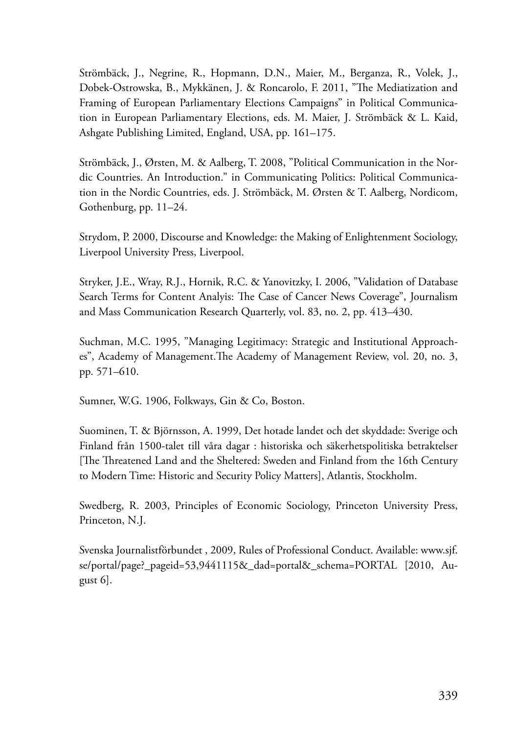Strömbäck, J., Negrine, R., Hopmann, D.N., Maier, M., Berganza, R., Volek, J., Dobek-Ostrowska, B., Mykkänen, J. & Roncarolo, F. 2011, "The Mediatization and Framing of European Parliamentary Elections Campaigns" in Political Communication in European Parliamentary Elections, eds. M. Maier, J. Strömbäck & L. Kaid, Ashgate Publishing Limited, England, USA, pp. 161–175.

Strömbäck, J., Ørsten, M. & Aalberg, T. 2008, "Political Communication in the Nordic Countries. An Introduction." in Communicating Politics: Political Communication in the Nordic Countries, eds. J. Strömbäck, M. Ørsten & T. Aalberg, Nordicom, Gothenburg, pp. 11–24.

Strydom, P. 2000, Discourse and Knowledge: the Making of Enlightenment Sociology, Liverpool University Press, Liverpool.

Stryker, J.E., Wray, R.J., Hornik, R.C. & Yanovitzky, I. 2006, "Validation of Database Search Terms for Content Analyis: The Case of Cancer News Coverage", Journalism and Mass Communication Research Quarterly, vol. 83, no. 2, pp. 413–430.

Suchman, M.C. 1995, "Managing Legitimacy: Strategic and Institutional Approaches", Academy of Management.The Academy of Management Review, vol. 20, no. 3, pp. 571–610.

Sumner, W.G. 1906, Folkways, Gin & Co, Boston.

Suominen, T. & Björnsson, A. 1999, Det hotade landet och det skyddade: Sverige och Finland från 1500-talet till våra dagar : historiska och säkerhetspolitiska betraktelser [The Threatened Land and the Sheltered: Sweden and Finland from the 16th Century to Modern Time: Historic and Security Policy Matters], Atlantis, Stockholm.

Swedberg, R. 2003, Principles of Economic Sociology, Princeton University Press, Princeton, N.J.

Svenska Journalistförbundet , 2009, Rules of Professional Conduct. Available: www.sjf. se/portal/page?\_pageid=53,9441115&\_dad=portal&\_schema=PORTAL [2010, August 6].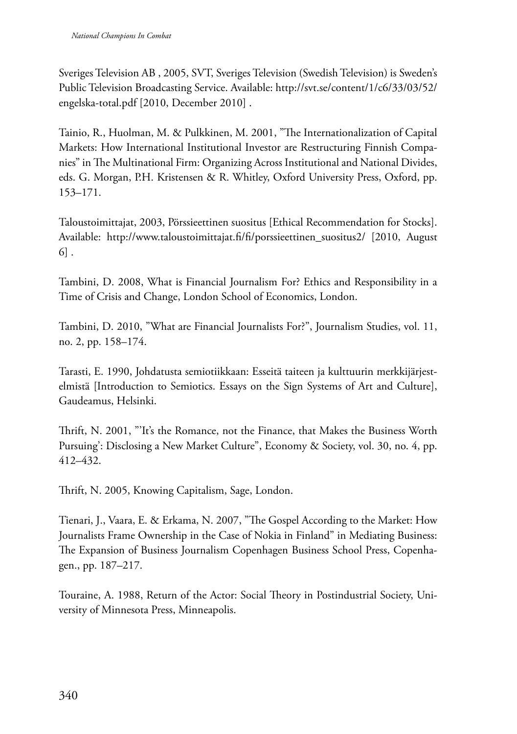Sveriges Television AB , 2005, SVT, Sveriges Television (Swedish Television) is Sweden's Public Television Broadcasting Service. Available: http://svt.se/content/1/c6/33/03/52/ engelska-total.pdf [2010, December 2010] .

Tainio, R., Huolman, M. & Pulkkinen, M. 2001, "The Internationalization of Capital Markets: How International Institutional Investor are Restructuring Finnish Companies" in The Multinational Firm: Organizing Across Institutional and National Divides, eds. G. Morgan, P.H. Kristensen & R. Whitley, Oxford University Press, Oxford, pp. 153–171.

Taloustoimittajat, 2003, Pörssieettinen suositus [Ethical Recommendation for Stocks]. Available: http://www.taloustoimittajat.fi/fi/porssieettinen\_suositus2/ [2010, August 6] .

Tambini, D. 2008, What is Financial Journalism For? Ethics and Responsibility in a Time of Crisis and Change, London School of Economics, London.

Tambini, D. 2010, "What are Financial Journalists For?", Journalism Studies, vol. 11, no. 2, pp. 158–174.

Tarasti, E. 1990, Johdatusta semiotiikkaan: Esseitä taiteen ja kulttuurin merkkijärjestelmistä [Introduction to Semiotics. Essays on the Sign Systems of Art and Culture], Gaudeamus, Helsinki.

Thrift, N. 2001, "'It's the Romance, not the Finance, that Makes the Business Worth Pursuing': Disclosing a New Market Culture", Economy & Society, vol. 30, no. 4, pp. 412–432.

Thrift, N. 2005, Knowing Capitalism, Sage, London.

Tienari, J., Vaara, E. & Erkama, N. 2007, "The Gospel According to the Market: How Journalists Frame Ownership in the Case of Nokia in Finland" in Mediating Business: The Expansion of Business Journalism Copenhagen Business School Press, Copenhagen., pp. 187–217.

Touraine, A. 1988, Return of the Actor: Social Theory in Postindustrial Society, University of Minnesota Press, Minneapolis.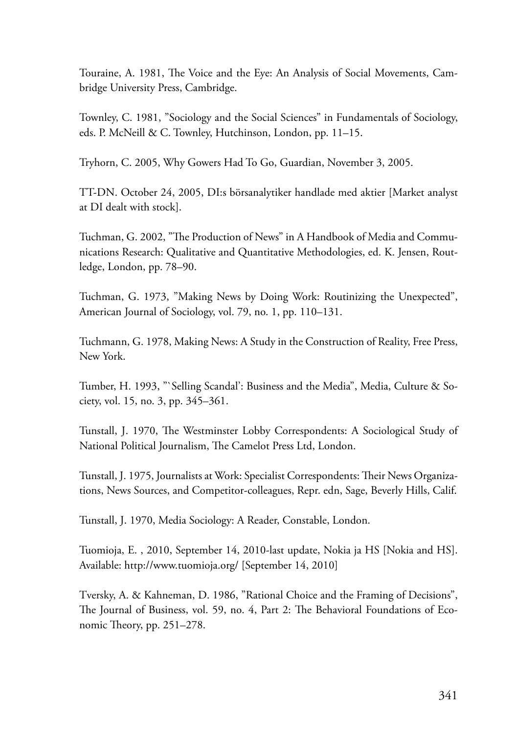Touraine, A. 1981, The Voice and the Eye: An Analysis of Social Movements, Cambridge University Press, Cambridge.

Townley, C. 1981, "Sociology and the Social Sciences" in Fundamentals of Sociology, eds. P. McNeill & C. Townley, Hutchinson, London, pp. 11–15.

Tryhorn, C. 2005, Why Gowers Had To Go, Guardian, November 3, 2005.

TT-DN. October 24, 2005, DI:s börsanalytiker handlade med aktier [Market analyst at DI dealt with stock].

Tuchman, G. 2002, "The Production of News" in A Handbook of Media and Communications Research: Qualitative and Quantitative Methodologies, ed. K. Jensen, Routledge, London, pp. 78–90.

Tuchman, G. 1973, "Making News by Doing Work: Routinizing the Unexpected", American Journal of Sociology, vol. 79, no. 1, pp. 110–131.

Tuchmann, G. 1978, Making News: A Study in the Construction of Reality, Free Press, New York.

Tumber, H. 1993, "`Selling Scandal': Business and the Media", Media, Culture & Society, vol. 15, no. 3, pp. 345–361.

Tunstall, J. 1970, The Westminster Lobby Correspondents: A Sociological Study of National Political Journalism, The Camelot Press Ltd, London.

Tunstall, J. 1975, Journalists at Work: Specialist Correspondents: Their News Organizations, News Sources, and Competitor-colleagues, Repr. edn, Sage, Beverly Hills, Calif.

Tunstall, J. 1970, Media Sociology: A Reader, Constable, London.

Tuomioja, E. , 2010, September 14, 2010-last update, Nokia ja HS [Nokia and HS]. Available: http://www.tuomioja.org/ [September 14, 2010]

Tversky, A. & Kahneman, D. 1986, "Rational Choice and the Framing of Decisions", The Journal of Business, vol. 59, no. 4, Part 2: The Behavioral Foundations of Economic Theory, pp. 251–278.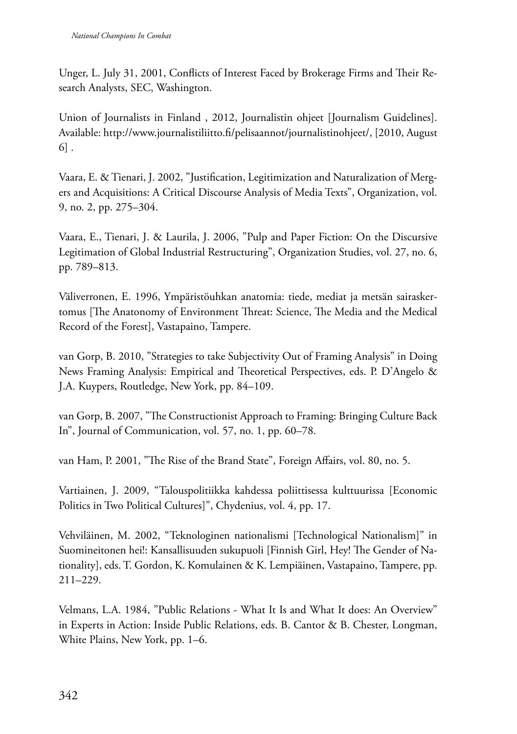Unger, L. July 31, 2001, Conflicts of Interest Faced by Brokerage Firms and Their Research Analysts, SEC, Washington.

Union of Journalists in Finland , 2012, Journalistin ohjeet [Journalism Guidelines]. Available: http://www.journalistiliitto.fi/pelisaannot/journalistinohjeet/, [2010, August 6] .

Vaara, E. & Tienari, J. 2002, "Justification, Legitimization and Naturalization of Mergers and Acquisitions: A Critical Discourse Analysis of Media Texts", Organization, vol. 9, no. 2, pp. 275–304.

Vaara, E., Tienari, J. & Laurila, J. 2006, "Pulp and Paper Fiction: On the Discursive Legitimation of Global Industrial Restructuring", Organization Studies, vol. 27, no. 6, pp. 789–813.

Väliverronen, E. 1996, Ympäristöuhkan anatomia: tiede, mediat ja metsän sairaskertomus [The Anatonomy of Environment Threat: Science, The Media and the Medical Record of the Forest], Vastapaino, Tampere.

van Gorp, B. 2010, "Strategies to take Subjectivity Out of Framing Analysis" in Doing News Framing Analysis: Empirical and Theoretical Perspectives, eds. P. D'Angelo & J.A. Kuypers, Routledge, New York, pp. 84–109.

van Gorp, B. 2007, "The Constructionist Approach to Framing: Bringing Culture Back In", Journal of Communication, vol. 57, no. 1, pp. 60–78.

van Ham, P. 2001, "The Rise of the Brand State", Foreign Affairs, vol. 80, no. 5.

Vartiainen, J. 2009, "Talouspolitiikka kahdessa poliittisessa kulttuurissa [Economic Politics in Two Political Cultures]", Chydenius, vol. 4, pp. 17.

Vehviläinen, M. 2002, "Teknologinen nationalismi [Technological Nationalism]" in Suomineitonen hei!: Kansallisuuden sukupuoli [Finnish Girl, Hey! The Gender of Nationality], eds. T. Gordon, K. Komulainen & K. Lempiäinen, Vastapaino, Tampere, pp. 211–229.

Velmans, L.A. 1984, "Public Relations - What It Is and What It does: An Overview" in Experts in Action: Inside Public Relations, eds. B. Cantor & B. Chester, Longman, White Plains, New York, pp. 1–6.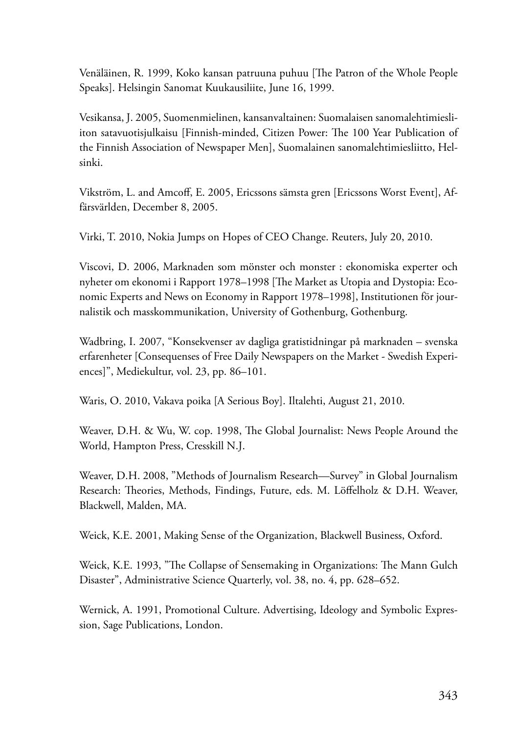Venäläinen, R. 1999, Koko kansan patruuna puhuu [The Patron of the Whole People Speaks]. Helsingin Sanomat Kuukausiliite, June 16, 1999.

Vesikansa, J. 2005, Suomenmielinen, kansanvaltainen: Suomalaisen sanomalehtimiesliiton satavuotisjulkaisu [Finnish-minded, Citizen Power: The 100 Year Publication of the Finnish Association of Newspaper Men], Suomalainen sanomalehtimiesliitto, Helsinki.

Vikström, L. and Amcoff, E. 2005, Ericssons sämsta gren [Ericssons Worst Event], Affärsvärlden, December 8, 2005.

Virki, T. 2010, Nokia Jumps on Hopes of CEO Change. Reuters, July 20, 2010.

Viscovi, D. 2006, Marknaden som mönster och monster : ekonomiska experter och nyheter om ekonomi i Rapport 1978–1998 [The Market as Utopia and Dystopia: Economic Experts and News on Economy in Rapport 1978–1998], Institutionen för journalistik och masskommunikation, University of Gothenburg, Gothenburg.

Wadbring, I. 2007, "Konsekvenser av dagliga gratistidningar på marknaden – svenska erfarenheter [Consequenses of Free Daily Newspapers on the Market - Swedish Experiences]", Mediekultur, vol. 23, pp. 86–101.

Waris, O. 2010, Vakava poika [A Serious Boy]. Iltalehti, August 21, 2010.

Weaver, D.H. & Wu, W. cop. 1998, The Global Journalist: News People Around the World, Hampton Press, Cresskill N.J.

Weaver, D.H. 2008, "Methods of Journalism Research—Survey" in Global Journalism Research: Theories, Methods, Findings, Future, eds. M. Löffelholz & D.H. Weaver, Blackwell, Malden, MA.

Weick, K.E. 2001, Making Sense of the Organization, Blackwell Business, Oxford.

Weick, K.E. 1993, "The Collapse of Sensemaking in Organizations: The Mann Gulch Disaster", Administrative Science Quarterly, vol. 38, no. 4, pp. 628–652.

Wernick, A. 1991, Promotional Culture. Advertising, Ideology and Symbolic Expression, Sage Publications, London.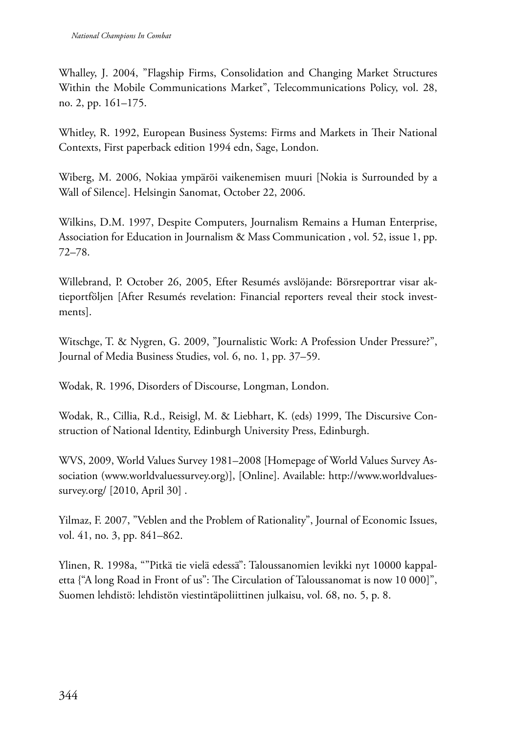Whalley, J. 2004, "Flagship Firms, Consolidation and Changing Market Structures Within the Mobile Communications Market", Telecommunications Policy, vol. 28, no. 2, pp. 161–175.

Whitley, R. 1992, European Business Systems: Firms and Markets in Their National Contexts, First paperback edition 1994 edn, Sage, London.

Wiberg, M. 2006, Nokiaa ympäröi vaikenemisen muuri [Nokia is Surrounded by a Wall of Silence]. Helsingin Sanomat, October 22, 2006.

Wilkins, D.M. 1997, Despite Computers, Journalism Remains a Human Enterprise, Association for Education in Journalism & Mass Communication , vol. 52, issue 1, pp. 72–78.

Willebrand, P. October 26, 2005, Efter Resumés avslöjande: Börsreportrar visar aktieportföljen [After Resumés revelation: Financial reporters reveal their stock investments].

Witschge, T. & Nygren, G. 2009, "Journalistic Work: A Profession Under Pressure?", Journal of Media Business Studies, vol. 6, no. 1, pp. 37–59.

Wodak, R. 1996, Disorders of Discourse, Longman, London.

Wodak, R., Cillia, R.d., Reisigl, M. & Liebhart, K. (eds) 1999, The Discursive Construction of National Identity, Edinburgh University Press, Edinburgh.

WVS, 2009, World Values Survey 1981–2008 [Homepage of World Values Survey Association (www.worldvaluessurvey.org)], [Online]. Available: http://www.worldvaluessurvey.org/ [2010, April 30] .

Yilmaz, F. 2007, "Veblen and the Problem of Rationality", Journal of Economic Issues, vol. 41, no. 3, pp. 841–862.

Ylinen, R. 1998a, ""Pitkä tie vielä edessä": Taloussanomien levikki nyt 10000 kappaletta {"A long Road in Front of us": The Circulation of Taloussanomat is now 10 000]", Suomen lehdistö: lehdistön viestintäpoliittinen julkaisu, vol. 68, no. 5, p. 8.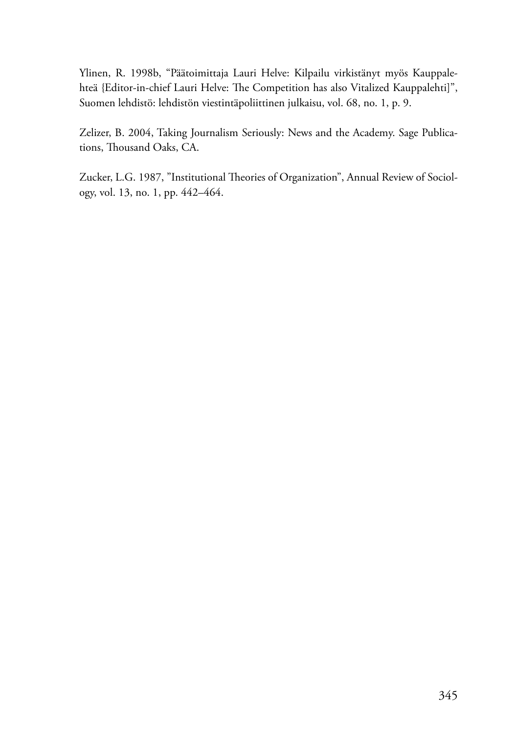Ylinen, R. 1998b, "Päätoimittaja Lauri Helve: Kilpailu virkistänyt myös Kauppalehteä {Editor-in-chief Lauri Helve: The Competition has also Vitalized Kauppalehti]", Suomen lehdistö: lehdistön viestintäpoliittinen julkaisu, vol. 68, no. 1, p. 9.

Zelizer, B. 2004, Taking Journalism Seriously: News and the Academy. Sage Publications, Thousand Oaks, CA.

Zucker, L.G. 1987, "Institutional Theories of Organization", Annual Review of Sociology, vol. 13, no. 1, pp. 442–464.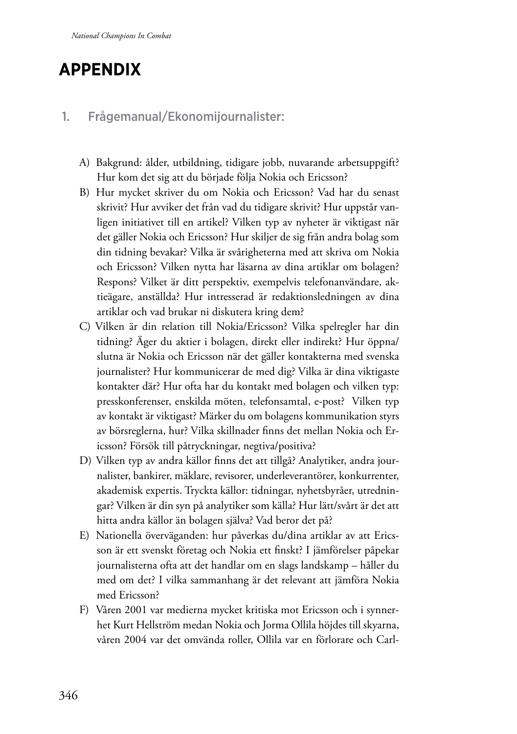# **Appendix**

### 1. Frågemanual/Ekonomijournalister:

- A) Bakgrund: ålder, utbildning, tidigare jobb, nuvarande arbetsuppgift? Hur kom det sig att du började följa Nokia och Ericsson?
- B) Hur mycket skriver du om Nokia och Ericsson? Vad har du senast skrivit? Hur avviker det från vad du tidigare skrivit? Hur uppstår vanligen initiativet till en artikel? Vilken typ av nyheter är viktigast när det gäller Nokia och Ericsson? Hur skiljer de sig från andra bolag som din tidning bevakar? Vilka är svårigheterna med att skriva om Nokia och Ericsson? Vilken nytta har läsarna av dina artiklar om bolagen? Respons? Vilket är ditt perspektiv, exempelvis telefonanvändare, aktieägare, anställda? Hur intresserad är redaktionsledningen av dina artiklar och vad brukar ni diskutera kring dem?
- C) Vilken är din relation till Nokia/Ericsson? Vilka spelregler har din tidning? Äger du aktier i bolagen, direkt eller indirekt? Hur öppna/ slutna är Nokia och Ericsson när det gäller kontakterna med svenska journalister? Hur kommunicerar de med dig? Vilka är dina viktigaste kontakter där? Hur ofta har du kontakt med bolagen och vilken typ: presskonferenser, enskilda möten, telefonsamtal, e-post? Vilken typ av kontakt är viktigast? Märker du om bolagens kommunikation styrs av börsreglerna, hur? Vilka skillnader finns det mellan Nokia och Ericsson? Försök till påtryckningar, negtiva/positiva?
- D) Vilken typ av andra källor finns det att tillgå? Analytiker, andra journalister, bankirer, mäklare, revisorer, underleverantörer, konkurrenter, akademisk expertis. Tryckta källor: tidningar, nyhetsbyråer, utredningar? Vilken är din syn på analytiker som källa? Hur lätt/svårt är det att hitta andra källor än bolagen själva? Vad beror det på?
- E) Nationella överväganden: hur påverkas du/dina artiklar av att Ericsson är ett svenskt företag och Nokia ett finskt? I jämförelser påpekar journalisterna ofta att det handlar om en slags landskamp – håller du med om det? I vilka sammanhang är det relevant att jämföra Nokia med Ericsson?
- F) Våren 2001 var medierna mycket kritiska mot Ericsson och i synnerhet Kurt Hellström medan Nokia och Jorma Ollila höjdes till skyarna, våren 2004 var det omvända roller, Ollila var en förlorare och Carl-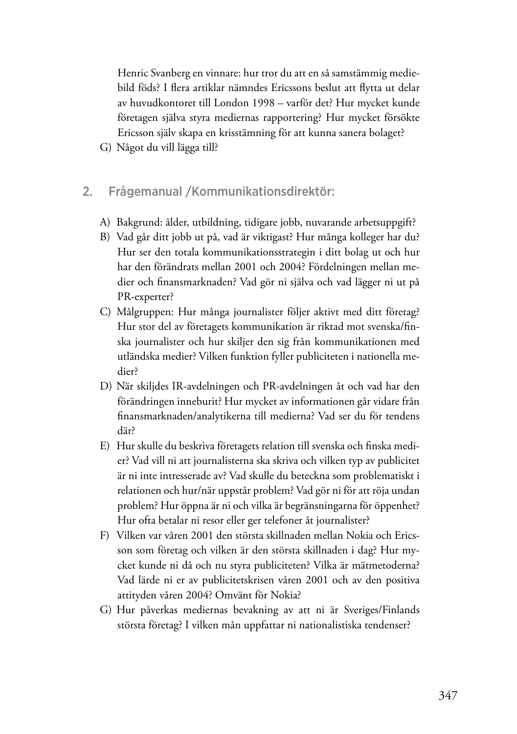Henric Svanberg en vinnare: hur tror du att en så samstämmig mediebild föds? I flera artiklar nämndes Ericssons beslut att flytta ut delar av huvudkontoret till London 1998 – varför det? Hur mycket kunde företagen själva styra mediernas rapportering? Hur mycket försökte Ericsson själv skapa en krisstämning för att kunna sanera bolaget?

- G) Något du vill lägga till?
- 2. Frågemanual /Kommunikationsdirektör:
	- A) Bakgrund: ålder, utbildning, tidigare jobb, nuvarande arbetsuppgift?
	- B) Vad går ditt jobb ut på, vad är viktigast? Hur många kolleger har du? Hur ser den totala kommunikationsstrategin i ditt bolag ut och hur har den förändrats mellan 2001 och 2004? Fördelningen mellan medier och finansmarknaden? Vad gör ni själva och vad lägger ni ut på PR-experter?
	- C) Målgruppen: Hur många journalister följer aktivt med ditt företag? Hur stor del av företagets kommunikation är riktad mot svenska/finska journalister och hur skiljer den sig från kommunikationen med utländska medier? Vilken funktion fyller publiciteten i nationella medier?
	- D) När skiljdes IR-avdelningen och PR-avdelningen åt och vad har den förändringen inneburit? Hur mycket av informationen går vidare från finansmarknaden/analytikerna till medierna? Vad ser du för tendens där?
	- E) Hur skulle du beskriva företagets relation till svenska och finska medier? Vad vill ni att journalisterna ska skriva och vilken typ av publicitet är ni inte intresserade av? Vad skulle du beteckna som problematiskt i relationen och hur/när uppstår problem? Vad gör ni för att röja undan problem? Hur öppna är ni och vilka är begränsningarna för öppenhet? Hur ofta betalar ni resor eller ger telefoner åt journalister?
	- F) Vilken var våren 2001 den största skillnaden mellan Nokia och Ericsson som företag och vilken är den största skillnaden i dag? Hur mycket kunde ni då och nu styra publiciteten? Vilka är mätmetoderna? Vad lärde ni er av publicitetskrisen våren 2001 och av den positiva attityden våren 2004? Omvänt för Nokia?
	- G) Hur påverkas mediernas bevakning av att ni är Sveriges/Finlands största företag? I vilken mån uppfattar ni nationalistiska tendenser?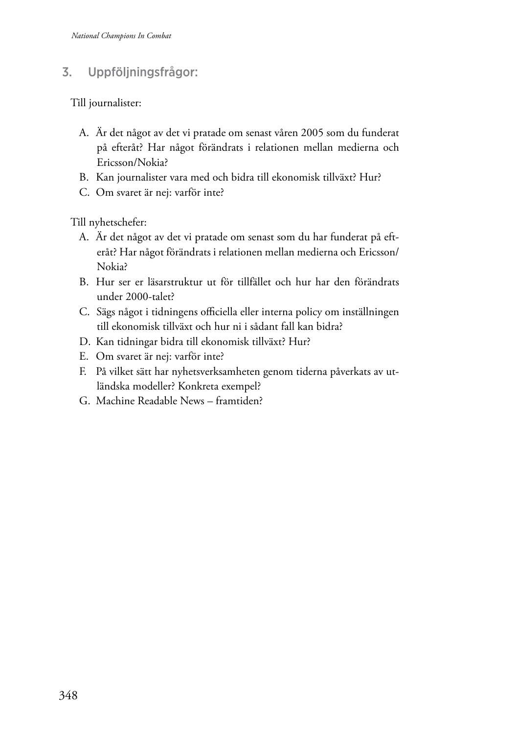### 3. Uppföljningsfrågor:

Till journalister:

- A. Är det något av det vi pratade om senast våren 2005 som du funderat på efteråt? Har något förändrats i relationen mellan medierna och Ericsson/Nokia?
- B. Kan journalister vara med och bidra till ekonomisk tillväxt? Hur?
- C. Om svaret är nej: varför inte?

Till nyhetschefer:

- A. Är det något av det vi pratade om senast som du har funderat på efteråt? Har något förändrats i relationen mellan medierna och Ericsson/ Nokia?
- B. Hur ser er läsarstruktur ut för tillfället och hur har den förändrats under 2000-talet?
- C. Sägs något i tidningens officiella eller interna policy om inställningen till ekonomisk tillväxt och hur ni i sådant fall kan bidra?
- D. Kan tidningar bidra till ekonomisk tillväxt? Hur?
- E. Om svaret är nej: varför inte?
- F. På vilket sätt har nyhetsverksamheten genom tiderna påverkats av utländska modeller? Konkreta exempel?
- G. Machine Readable News framtiden?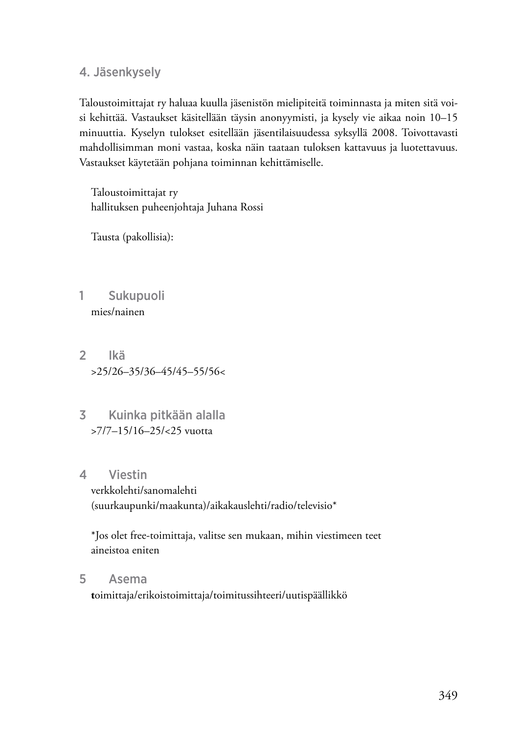4. Jäsenkysely

Taloustoimittajat ry haluaa kuulla jäsenistön mielipiteitä toiminnasta ja miten sitä voisi kehittää. Vastaukset käsitellään täysin anonyymisti, ja kysely vie aikaa noin 10–15 minuuttia. Kyselyn tulokset esitellään jäsentilaisuudessa syksyllä 2008. Toivottavasti mahdollisimman moni vastaa, koska näin taataan tuloksen kattavuus ja luotettavuus. Vastaukset käytetään pohjana toiminnan kehittämiselle.

Taloustoimittajat ry hallituksen puheenjohtaja Juhana Rossi

Tausta (pakollisia):

- 1 Sukupuoli mies/nainen
- 2 Ikä >25/26–35/36–45/45–55/56<
- 3 Kuinka pitkään alalla >7/7–15/16–25/<25 vuotta
- 4 Viestin

verkkolehti/sanomalehti (suurkaupunki/maakunta)/aikakauslehti/radio/televisio\*

\*Jos olet free-toimittaja, valitse sen mukaan, mihin viestimeen teet aineistoa eniten

5 Asema

**t**oimittaja/erikoistoimittaja/toimitussihteeri/uutispäällikkö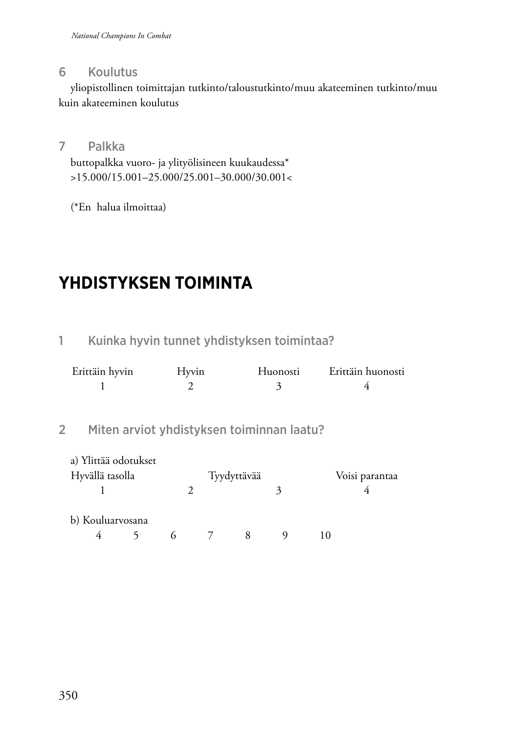#### 6 Koulutus

yliopistollinen toimittajan tutkinto/taloustutkinto/muu akateeminen tutkinto/muu kuin akateeminen koulutus

#### 7 Palkka

buttopalkka vuoro- ja ylityölisineen kuukaudessa\* >15.000/15.001–25.000/25.001–30.000/30.001<

(\*En halua ilmoittaa)

# **Yhdistyksen toiminta**

## 1 Kuinka hyvin tunnet yhdistyksen toimintaa?

| Erittäin hyvin | Hyvin | Huonosti | Erittäin huonosti |
|----------------|-------|----------|-------------------|
|                |       |          |                   |

### 2 Miten arviot yhdistyksen toiminnan laatu?

| a) Ylittää odotukset<br>Hyvällä tasolla |  |          | Tyydyttävää |   | Voisi parantaa |
|-----------------------------------------|--|----------|-------------|---|----------------|
|                                         |  |          |             | 3 |                |
| b) Kouluarvosana<br>4                   |  | $6 \t 7$ | 8           |   |                |
|                                         |  |          |             |   |                |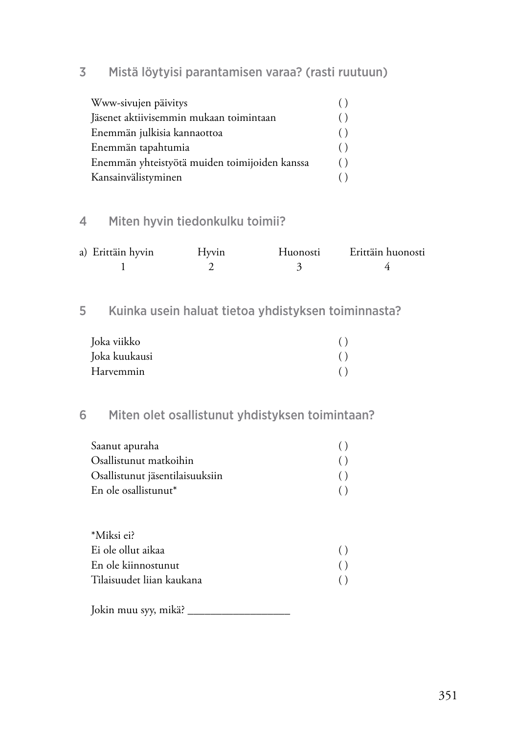#### 3 Mistä löytyisi parantamisen varaa? (rasti ruutuun)

| Www-sivujen päivitys                          |     |
|-----------------------------------------------|-----|
| Jäsenet aktiivisemmin mukaan toimintaan       | ( ) |
| Enemmän julkisia kannaottoa                   | ( ) |
| Enemmän tapahtumia                            | ( ) |
| Enemmän yhteistyötä muiden toimijoiden kanssa | ( ) |
| Kansainvälistyminen                           |     |

## 4 Miten hyvin tiedonkulku toimii?

| a) Erittäin hyvin | Hyvin | Huonosti | Erittäin huonosti |
|-------------------|-------|----------|-------------------|
|                   |       |          |                   |

#### 5 Kuinka usein haluat tietoa yhdistyksen toiminnasta?

| Joka viikko   |  |
|---------------|--|
| Joka kuukausi |  |
| Harvemmin     |  |

## 6 Miten olet osallistunut yhdistyksen toimintaan?

| Saanut apuraha                   |     |
|----------------------------------|-----|
| Osallistunut matkoihin           | ( ) |
| Osallistunut jäsentilaisuuksiin  |     |
| En ole osallistunut <sup>*</sup> |     |

| *Miksi ei?                |     |
|---------------------------|-----|
| Ei ole ollut aikaa        | ( ) |
| En ole kiinnostunut       | ( ) |
| Tilaisuudet liian kaukana | ( ) |

Jokin muu syy, mikä? \_\_\_\_\_\_\_\_\_\_\_\_\_\_\_\_\_\_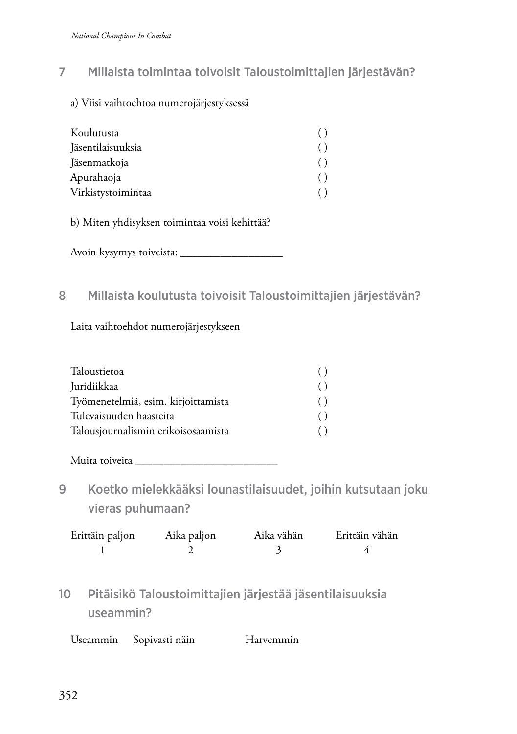#### 7 Millaista toimintaa toivoisit Taloustoimittajien järjestävän?

a) Viisi vaihtoehtoa numerojärjestyksessä

| Koulutusta         |  |
|--------------------|--|
| Jäsentilaisuuksia  |  |
| Jäsenmatkoja       |  |
| Apurahaoja         |  |
| Virkistystoimintaa |  |

b) Miten yhdisyksen toimintaa voisi kehittää?

Avoin kysymys toiveista: \_\_\_\_\_\_\_\_\_\_\_\_\_\_\_\_\_\_

#### 8 Millaista koulutusta toivoisit Taloustoimittajien järjestävän?

Laita vaihtoehdot numerojärjestykseen

| Taloustietoa                        |     |
|-------------------------------------|-----|
| Juridiikkaa                         | ( ) |
| Työmenetelmiä, esim. kirjoittamista | ( ) |
| Tulevaisuuden haasteita             | ( ) |
| Talousjournalismin erikoisosaamista |     |

Muita toiveita \_\_\_\_\_\_\_\_\_\_\_\_\_\_\_\_\_\_\_\_\_\_\_\_\_

9 Koetko mielekkääksi lounastilaisuudet, joihin kutsutaan joku vieras puhumaan?

| Erittäin paljon | Aika paljon | Aika vähän | Erittäin vähän |
|-----------------|-------------|------------|----------------|
|                 |             |            |                |

10 Pitäisikö Taloustoimittajien järjestää jäsentilaisuuksia useammin?

| Useammin | Sopivasti näin | Harvemmin |
|----------|----------------|-----------|
|----------|----------------|-----------|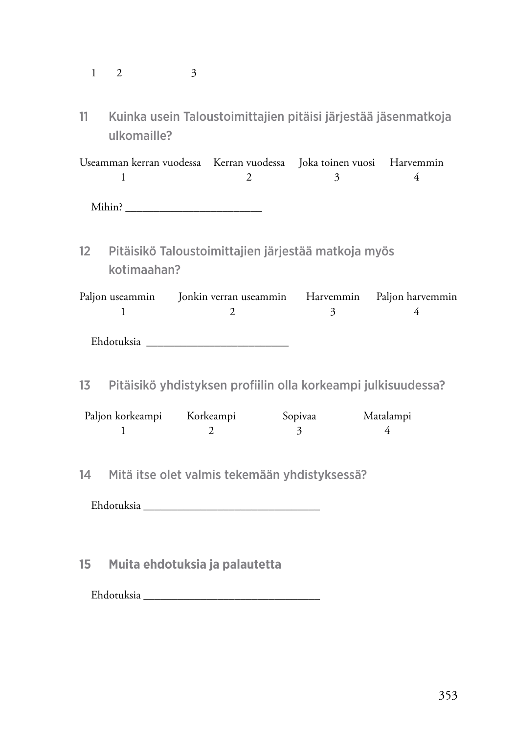| ◠<br>$\mathbf{1}$<br>Ζ.<br>-<br>. . | ∍<br>ാ |
|-------------------------------------|--------|
|-------------------------------------|--------|

11 Kuinka usein Taloustoimittajien pitäisi järjestää jäsenmatkoja ulkomaille?

Useamman kerran vuodessa Kerran vuodessa Joka toinen vuosi Harvemmin  $1$  2 3 4 Mihin? \_\_\_\_\_\_\_\_\_\_\_\_\_\_\_\_\_\_\_\_\_\_\_\_

12 Pitäisikö Taloustoimittajien järjestää matkoja myös kotimaahan?

Paljon useammin Jonkin verran useammin Harvemmin Paljon harvemmin  $1$  2 3 4

Ehdotuksia \_\_\_\_\_\_\_\_\_\_\_\_\_\_\_\_\_\_\_\_\_\_\_\_\_

13 Pitäisikö yhdistyksen profiilin olla korkeampi julkisuudessa?

| Paljon korkeampi | Korkeampi | Sopivaa | Matalampi |
|------------------|-----------|---------|-----------|
|                  |           |         |           |

14 Mitä itse olet valmis tekemään yhdistyksessä?

Ehdotuksia \_\_\_\_\_\_\_\_\_\_\_\_\_\_\_\_\_\_\_\_\_\_\_\_\_\_\_\_\_\_\_

**15 Muita ehdotuksia ja palautetta**

Ehdotuksia \_\_\_\_\_\_\_\_\_\_\_\_\_\_\_\_\_\_\_\_\_\_\_\_\_\_\_\_\_\_\_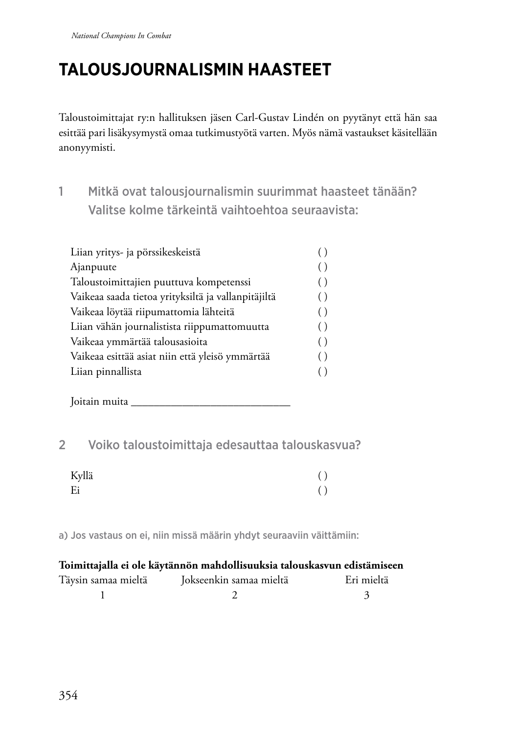# **Talo usjournalismin haasteet**

Taloustoimittajat ry:n hallituksen jäsen Carl-Gustav Lindén on pyytänyt että hän saa esittää pari lisäkysymystä omaa tutkimustyötä varten. Myös nämä vastaukset käsitellään anonyymisti.

1 Mitkä ovat talousjournalismin suurimmat haasteet tänään? Valitse kolme tärkeintä vaihtoehtoa seuraavista:

| Liian yritys- ja pörssikeskeistä                    |                    |
|-----------------------------------------------------|--------------------|
| Ajanpuute                                           |                    |
| Taloustoimittajien puuttuva kompetenssi             | ( )                |
| Vaikeaa saada tietoa yrityksiltä ja vallanpitäjiltä | ( )                |
| Vaikeaa löytää riipumattomia lähteitä               | $\left( \ \right)$ |
| Liian vähän journalistista riippumattomuutta        | ( )                |
| Vaikeaa ymmärtää talousasioita                      | $\left( \ \right)$ |
| Vaikeaa esittää asiat niin että yleisö ymmärtää     | ( )                |
| Liian pinnallista                                   |                    |
|                                                     |                    |

Joitain muita \_\_\_\_\_\_\_\_\_\_\_\_\_\_\_\_\_\_\_\_\_\_\_\_\_\_\_\_

## 2 Voiko taloustoimittaja edesauttaa talouskasvua?

| Kyllä | ( ) |
|-------|-----|
| Ei    | ( ) |

a) Jos vastaus on ei, niin missä määrin yhdyt seuraaviin väittämiin:

#### **Toimittajalla ei ole käytännön mahdollisuuksia talouskasvun edistämiseen**

| Täysin samaa mieltä | Jokseenkin samaa mieltä | Eri mieltä |
|---------------------|-------------------------|------------|
|                     |                         |            |